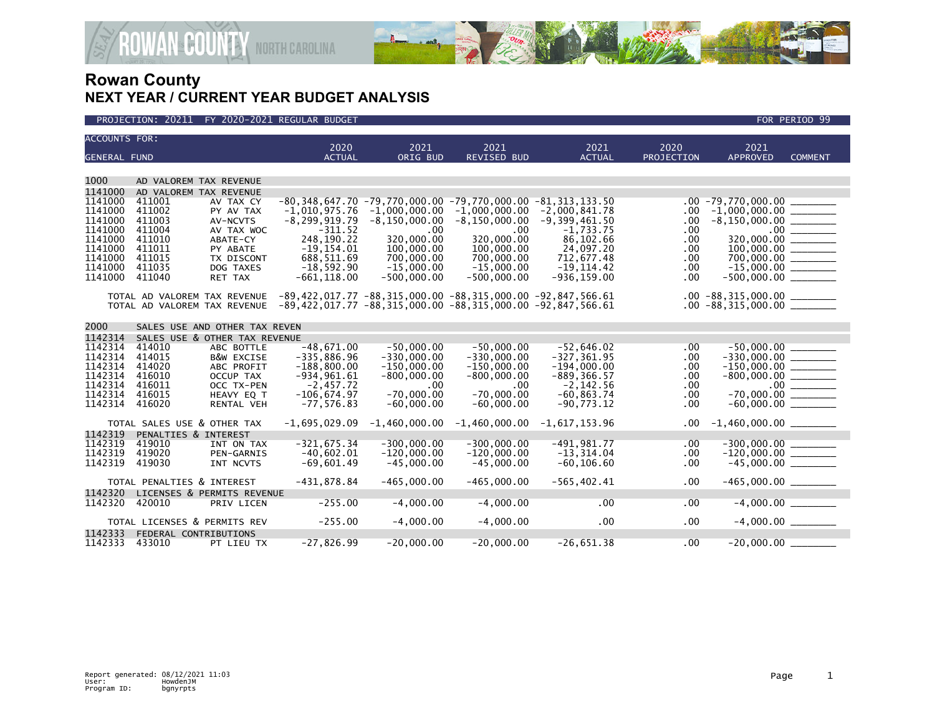



| <b>ACCOUNTS FOR:</b> |                               |                               | 2020                                                                                     | 2021              | 2021              | 2021            | 2020              | 2021                           |                       |
|----------------------|-------------------------------|-------------------------------|------------------------------------------------------------------------------------------|-------------------|-------------------|-----------------|-------------------|--------------------------------|-----------------------|
| <b>GENERAL FUND</b>  |                               |                               | <b>ACTUAL</b>                                                                            | ORIG BUD          | REVISED BUD       | <b>ACTUAL</b>   | <b>PROJECTION</b> | <b>APPROVED</b>                | <b>COMMENT</b>        |
|                      |                               |                               |                                                                                          |                   |                   |                 |                   |                                |                       |
| 1000                 |                               | AD VALOREM TAX REVENUE        |                                                                                          |                   |                   |                 |                   |                                |                       |
| 1141000              |                               | AD VALOREM TAX REVENUE        |                                                                                          |                   |                   |                 |                   |                                |                       |
| 1141000              | 411001                        | AV TAX CY                     | $-80,348,647.70$ $-79,770,000.00$ $-79,770,000.00$ $-81,313,133.50$                      |                   |                   |                 |                   | $.00 - 79,770,000.00$          |                       |
| 1141000              | 411002                        | PY AV TAX                     | $-1.010.975.76$                                                                          | $-1,000,000.00$   | $-1,000,000.00$   | $-2,000,841.78$ | .00               | $-1,000,000.00$ _________      |                       |
| 1141000              | 411003                        | AV-NCVTS                      | $-8, 299, 919.79$                                                                        | $-8, 150, 000.00$ | $-8, 150, 000.00$ | $-9,399,461.50$ | .00.              | $-8,150,000.00$ ________       |                       |
| 1141000              | 411004                        | AV TAX WOC                    | $-311.52$                                                                                | .00               | .00.              | $-1,733.75$     | .00               |                                | $.00$ $\qquad \qquad$ |
| 1141000              | 411010                        | ABATE-CY                      | 248,190.22                                                                               | 320,000,00        | 320,000.00        | 86,102.66       | .00.              |                                |                       |
| 1141000              | 411011                        | PY ABATE                      | $-19, 154.01$                                                                            | 100,000.00        | 100,000.00        | 24,097.20       | .00               |                                |                       |
| 1141000              | 411015                        | TX DISCONT                    | 688,511.69                                                                               | 700,000.00        | 700,000.00        | 712,677.48      | .00.              |                                |                       |
| 1141000              | 411035                        | DOG TAXES                     | $-18,592.90$                                                                             | $-15.000.00$      | $-15,000.00$      | $-19, 114.42$   | .00.              | $-15,000.00$ ________          |                       |
| 1141000              | 411040                        | RET TAX                       | $-661, 118.00$                                                                           | $-500,000.00$     | $-500,000.00$     | $-936, 159.00$  | .00.              | $-500,000.00$ _________        |                       |
|                      |                               |                               |                                                                                          |                   |                   |                 |                   |                                |                       |
|                      |                               |                               | TOTAL AD VALOREM TAX REVENUE -89,422,017.77 -88,315,000.00 -88,315,000.00 -92,847,566.61 |                   |                   |                 |                   | $.00 - 88,315,000.00$ ________ |                       |
|                      |                               |                               | TOTAL AD VALOREM TAX REVENUE -89,422,017.77 -88,315,000.00 -88,315,000.00 -92,847,566.61 |                   |                   |                 |                   | $.00 - 88,315,000.00$ ________ |                       |
|                      |                               |                               |                                                                                          |                   |                   |                 |                   |                                |                       |
| 2000                 | SALES USE AND OTHER TAX REVEN |                               |                                                                                          |                   |                   |                 |                   |                                |                       |
| 1142314              |                               | SALES USE & OTHER TAX REVENUE |                                                                                          |                   |                   |                 |                   |                                |                       |
| 1142314              | 414010                        | ABC BOTTLE                    | $-48,671.00$                                                                             | $-50,000.00$      | $-50,000.00$      | $-52,646.02$    | .00.              | $-50,000.00$                   |                       |
| 1142314              | 414015                        | <b>B&amp;W EXCISE</b>         | $-335,886.96$                                                                            | $-330,000.00$     | $-330,000.00$     | $-327, 361.95$  | .00               |                                |                       |
| 1142314              | 414020                        | ABC PROFIT                    | $-188,800.00$                                                                            | $-150,000.00$     | $-150,000.00$     | $-194,000.00$   | .00               | $-150,000.00$ ________         |                       |
| 1142314              | 416010                        | OCCUP TAX                     | $-934,961.61$                                                                            | $-800,000.00$     | $-800,000.00$     | $-889, 366.57$  | .00.              | $-800,000.00$ ________         |                       |
| 1142314              | 416011                        | OCC TX-PEN                    | $-2,457.72$                                                                              | .00               | .00               | $-2, 142.56$    | .00               |                                |                       |
| 1142314              | 416015                        | HEAVY EQ T                    | $-106,674.97$                                                                            | $-70,000.00$      | $-70,000.00$      | $-60, 863, 74$  | .00               | $-70,000.00$ ________          |                       |
| 1142314              | 416020                        | RENTAL VEH                    | $-77, 576.83$                                                                            | $-60,000.00$      | $-60,000.00$      | $-90,773.12$    | .00               |                                |                       |
|                      |                               |                               |                                                                                          |                   |                   |                 |                   |                                |                       |
|                      |                               | TOTAL SALES USE & OTHER TAX   | $-1,695,029.09$                                                                          | $-1,460,000.00$   | $-1,460,000.00$   | $-1,617,153.96$ | .00               | $-1,460,000.00$ ________       |                       |
| 1142319              | PENALTIES & INTEREST          |                               |                                                                                          |                   |                   |                 |                   |                                |                       |
| 1142319              | 419010                        | INT ON TAX                    | $-321,675.34$                                                                            | $-300,000.00$     | $-300,000.00$     | $-491,981.77$   | .00.              | $-300,000.00$<br>$-120,000.00$ |                       |
| 1142319              | 419020                        | <b>PEN-GARNIS</b>             | $-40,602.01$                                                                             | $-120,000.00$     | $-120,000.00$     | $-13, 314.04$   | .00.              |                                |                       |
| 1142319              | 419030                        | INT NCVTS                     | $-69,601.49$                                                                             | $-45,000.00$      | $-45,000.00$      | $-60, 106.60$   | .00               |                                |                       |
|                      |                               |                               |                                                                                          |                   |                   |                 |                   |                                |                       |
|                      | TOTAL PENALTIES & INTEREST    |                               | $-431,878.84$                                                                            | $-465.000.00$     | $-465,000.00$     | $-565, 402.41$  | .00               |                                |                       |
| 1142320              |                               | LICENSES & PERMITS REVENUE    |                                                                                          |                   |                   |                 |                   |                                |                       |
| 1142320              | 420010                        | PRIV LICEN                    | $-255.00$                                                                                | $-4,000.00$       | $-4,000.00$       | .00             | .00               | $-4,000.00$                    |                       |
|                      |                               |                               |                                                                                          |                   |                   |                 |                   |                                |                       |
|                      |                               | TOTAL LICENSES & PERMITS REV  | $-255.00$                                                                                | $-4,000.00$       | $-4,000.00$       | .00             | .00               | $-4,000.00$ _________          |                       |
| 1142333              | FEDERAL CONTRIBUTIONS         |                               |                                                                                          |                   |                   |                 |                   |                                |                       |
| 1142333              | 433010                        | PT LIEU TX                    | $-27,826.99$                                                                             | $-20,000.00$      | $-20,000.00$      | $-26,651.38$    | .00               | $-20,000.00$                   |                       |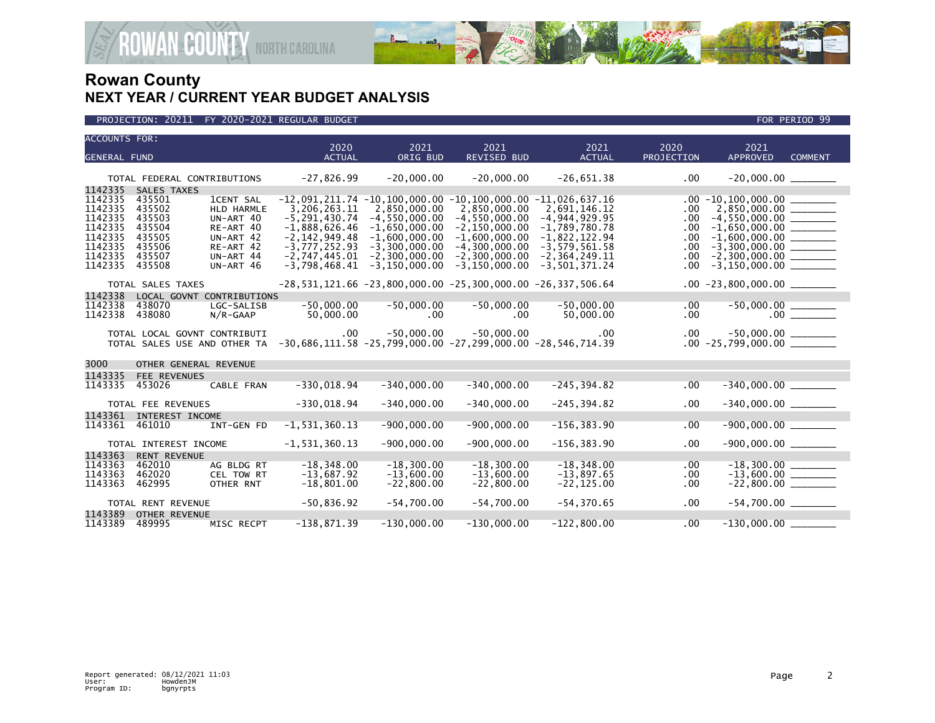

| <b>ACCOUNTS FOR:</b>                                                                 |                                                                                   |                                                                                                        | 2020                                                                                                            | 2021                                                                                                          | 2021                                                                                                                                                                                   | 2021                                                                                                            | 2020                                                | 2021                                                                                                                             |  |
|--------------------------------------------------------------------------------------|-----------------------------------------------------------------------------------|--------------------------------------------------------------------------------------------------------|-----------------------------------------------------------------------------------------------------------------|---------------------------------------------------------------------------------------------------------------|----------------------------------------------------------------------------------------------------------------------------------------------------------------------------------------|-----------------------------------------------------------------------------------------------------------------|-----------------------------------------------------|----------------------------------------------------------------------------------------------------------------------------------|--|
| <b>GENERAL FUND</b>                                                                  |                                                                                   |                                                                                                        | <b>ACTUAL</b>                                                                                                   | ORIG BUD                                                                                                      | <b>REVISED BUD</b>                                                                                                                                                                     | <b>ACTUAL</b>                                                                                                   | PROJECTION                                          | <b>APPROVED</b><br><b>COMMENT</b>                                                                                                |  |
|                                                                                      | TOTAL FEDERAL CONTRIBUTIONS                                                       |                                                                                                        | $-27,826.99$                                                                                                    | $-20,000.00$                                                                                                  | $-20,000.00$                                                                                                                                                                           | $-26,651.38$                                                                                                    | $.00 \,$                                            | $-20,000.00$ ________                                                                                                            |  |
| 1142335<br>1142335<br>1142335<br>1142335<br>1142335<br>1142335<br>1142335<br>1142335 | SALES TAXES<br>435501<br>435502<br>435503<br>435504<br>435505<br>435506<br>435507 | <b>ICENT SAL</b><br><b>HLD HARMLE</b><br>UN-ART 40<br>RE-ART 40<br>UN-ART 42<br>RE-ART 42<br>UN-ART 44 | 3,206,263.11<br>$-5, 291, 430.74$<br>$-1,888,626.46$<br>$-2, 142, 949.48$<br>$-3,777,252.93$<br>$-2,747,445.01$ | 2,850,000.00<br>$-4, 550, 000.00$<br>$-1,650,000.00$<br>$-1,600,000.00$<br>$-3.300.000.00$<br>$-2,300,000.00$ | $-12,091,211.74$ $-10,100,000.00$ $-10,100,000.00$ $-11,026,637.16$<br>2,850,000.00<br>$-4, 550, 000.00$<br>$-2, 150, 000.00$<br>$-1,600,000.00$<br>$-4.300.000.00$<br>$-2,300,000.00$ | 2,691,146.12<br>$-4, 944, 929.95$<br>$-1,789,780.78$<br>$-1,822,122.94$<br>$-3,579,561.58$<br>$-2, 364, 249.11$ | .00<br>.00.<br>.00.<br>.00.<br>$.00 \,$<br>$.00 \,$ | $2,850,000.00$ ________<br>$-4,550,000.00$ _________<br>$-1,600,000.00$ _________<br>$-3.300.000.00$<br>$-2,300,000.00$ ________ |  |
| 1142335                                                                              | 435508                                                                            | UN-ART 46                                                                                              | $-3,798,468.41$                                                                                                 | $-3.150.000.00$                                                                                               | $-3, 150, 000.00$                                                                                                                                                                      | $-3,501,371.24$                                                                                                 | $.00 \,$                                            |                                                                                                                                  |  |
|                                                                                      | TOTAL SALES TAXES                                                                 |                                                                                                        |                                                                                                                 |                                                                                                               | $-28, 531, 121.66 -23, 800, 000.00 -25, 300, 000.00 -26, 337, 506.64$                                                                                                                  |                                                                                                                 |                                                     | $.00 -23,800,000.00$ ________                                                                                                    |  |
| 1142338<br>1142338<br>1142338                                                        | LOCAL GOVNT CONTRIBUTIONS<br>438070<br>438080                                     | LGC-SALISB<br>N/R-GAAP                                                                                 | $-50,000.00$<br>50,000.00                                                                                       | $-50,000.00$<br>$.00 \,$                                                                                      | $-50,000.00$<br>$.00 \,$                                                                                                                                                               | $-50,000.00$<br>50,000.00                                                                                       | .00<br>$.00 \,$                                     |                                                                                                                                  |  |
|                                                                                      | TOTAL LOCAL GOVNT CONTRIBUTI<br>TOTAL SALES USE AND OTHER TA                      |                                                                                                        | $.00 \,$<br>$-30,686,111.58 -25,799,000.00 -27,299,000.00 -28,546,714.39$                                       | $-50,000.00$                                                                                                  | $-50,000.00$                                                                                                                                                                           | $.00 \,$                                                                                                        |                                                     |                                                                                                                                  |  |
| 3000                                                                                 | OTHER GENERAL REVENUE                                                             |                                                                                                        |                                                                                                                 |                                                                                                               |                                                                                                                                                                                        |                                                                                                                 |                                                     |                                                                                                                                  |  |
| 1143335<br>1143335                                                                   | FEE REVENUES<br>453026                                                            | CABLE FRAN                                                                                             | $-330,018.94$                                                                                                   | $-340,000.00$                                                                                                 | $-340,000.00$                                                                                                                                                                          | $-245, 394.82$                                                                                                  | .00                                                 | $-340,000.00$ ________                                                                                                           |  |
|                                                                                      | TOTAL FEE REVENUES                                                                |                                                                                                        | $-330,018.94$                                                                                                   | $-340,000.00$                                                                                                 | $-340,000.00$                                                                                                                                                                          | $-245, 394.82$                                                                                                  | .00                                                 | $-340,000.00$ ________                                                                                                           |  |
| 1143361<br>1143361                                                                   | INTEREST INCOME<br>461010                                                         | INT-GEN FD                                                                                             | $-1, 531, 360.13$                                                                                               | $-900,000.00$                                                                                                 | $-900,000.00$                                                                                                                                                                          | $-156, 383.90$                                                                                                  | .00                                                 | $-900,000.00$ ________                                                                                                           |  |
|                                                                                      | TOTAL INTEREST INCOME                                                             |                                                                                                        | $-1, 531, 360.13$                                                                                               | $-900,000.00$                                                                                                 | $-900,000.00$                                                                                                                                                                          | $-156, 383.90$                                                                                                  | .00                                                 | $-900,000.00$ ________                                                                                                           |  |
| 1143363<br>1143363<br>1143363<br>1143363                                             | <b>RENT REVENUE</b><br>462010<br>462020<br>462995                                 | AG BLDG RT<br>CEL TOW RT<br>OTHER RNT                                                                  | $-18, 348.00$<br>$-13,687.92$<br>$-18,801.00$                                                                   | $-18, 300.00$<br>$-13,600.00$<br>$-22,800.00$                                                                 | $-18, 300.00$<br>$-13,600.00$<br>$-22,800.00$                                                                                                                                          | $-18,348.00$<br>$-13,897.65$<br>$-22, 125.00$                                                                   | .00<br>.00.<br>.00                                  | $-22,800.00$ ________                                                                                                            |  |
|                                                                                      | TOTAL RENT REVENUE                                                                |                                                                                                        | $-50,836.92$                                                                                                    | $-54,700.00$                                                                                                  | $-54,700.00$                                                                                                                                                                           | $-54, 370.65$                                                                                                   | .00                                                 | $-54,700.00$ _________                                                                                                           |  |
| 1143389<br>1143389                                                                   | <b>OTHER REVENUE</b><br>489995                                                    | MISC RECPT                                                                                             | $-138,871.39$                                                                                                   | $-130,000.00$                                                                                                 | $-130,000.00$                                                                                                                                                                          | $-122,800.00$                                                                                                   | .00                                                 | $-130,000.00$ _________                                                                                                          |  |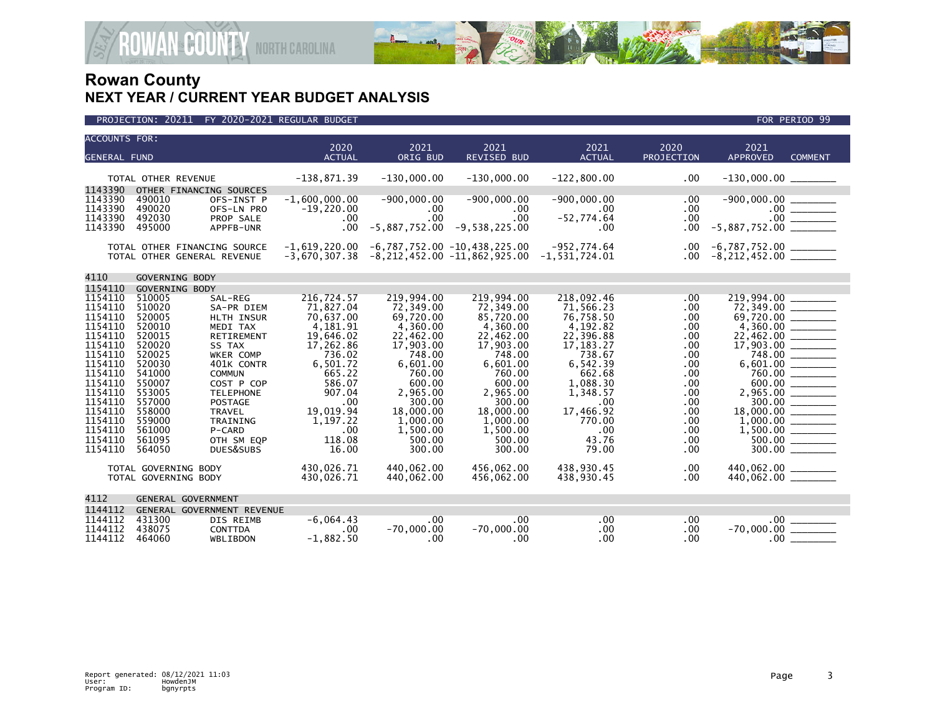

| <b>ACCOUNTS FOR:</b> |                          |                                                             | 2020                               | 2021            | 2021                                                                                   | 2021          | 2020                 | 2021                                             |
|----------------------|--------------------------|-------------------------------------------------------------|------------------------------------|-----------------|----------------------------------------------------------------------------------------|---------------|----------------------|--------------------------------------------------|
| <b>GENERAL FUND</b>  |                          |                                                             | <b>ACTUAL</b>                      | ORIG BUD        | <b>REVISED BUD</b>                                                                     | <b>ACTUAL</b> | PROJECTION           | APPROVED<br><b>COMMENT</b>                       |
| 1143390              | TOTAL OTHER REVENUE      | OTHER FINANCING SOURCES                                     | $-138,871.39$                      | $-130,000.00$   | $-130,000.00$                                                                          | $-122,800.00$ | $.00 \,$             | $-130,000.00$ _________                          |
| 1143390              | 490010                   | OFS-INST P                                                  | $-1,600,000.00$                    | $-900,000.00$   | $-900,000.00$                                                                          | $-900,000.00$ | .00.                 |                                                  |
| 1143390              | 490020                   | OFS-LN PRO                                                  | $-19,220.00$                       | $.00 \,$        | $.00 \,$                                                                               | $.00 \times$  | $.00 \,$             |                                                  |
| 1143390              | 492030                   | PROP SALE                                                   | $.00 \,$                           | .00             | $.00 \,$                                                                               | $-52,774.64$  | .00                  | $.00$ _______                                    |
| 1143390              | 495000                   | APPFB-UNR                                                   | $.00 \,$                           | $-5,887,752.00$ | $-9,538,225.00$                                                                        | $.00 \times$  | $.00 \,$             | $-5,887,752.00$                                  |
|                      |                          | TOTAL OTHER FINANCING SOURCE<br>TOTAL OTHER GENERAL REVENUE | $-1,619,220.00$<br>$-3,670,307.38$ |                 | $-6,787,752.00$ $-10,438,225.00$<br>$-8, 212, 452.00 -11, 862, 925.00 -1, 531, 724.01$ | -952,774.64   | $.00 \,$<br>$.00 \,$ | -6,787,752.00 ________<br>-8,212,452.00 ________ |
| 4110                 | GOVERNING BODY           |                                                             |                                    |                 |                                                                                        |               |                      |                                                  |
| 1154110<br>1154110   | GOVERNING BODY<br>510005 | SAL-REG                                                     | 216,724.57                         | 219,994.00      | 219,994.00                                                                             | 218,092.46    | .00                  |                                                  |
| 1154110              | 510020<br>520005         | SA-PR DIEM                                                  | 71,827.04                          | 72,349.00       | 72,349.00                                                                              | 71,566.23     | .00                  | 219,994.00<br>72,349.00                          |
| 1154110              | 520010                   | <b>HLTH INSUR</b>                                           | 70,637.00                          | 69,720.00       | 85,720.00                                                                              | 76,758.50     | .00                  | 69,720.00                                        |
| 1154110              |                          | MEDI TAX                                                    | 4,181.91                           | 4,360.00        | 4,360.00                                                                               | 4,192.82      | .00                  |                                                  |
| 1154110              | 520015                   | RETIREMENT                                                  | 19,646.02                          | 22,462.00       | 22,462.00                                                                              | 22,396.88     | .00                  |                                                  |
| 1154110              | 520020                   | SS TAX                                                      | 17,262.86                          | 17,903.00       | 17,903.00                                                                              | 17, 183. 27   | .00                  |                                                  |
| 1154110              | 520025                   | WKER COMP                                                   | 736.02                             | 748.00          | 748.00                                                                                 | 738.67        | .00                  |                                                  |
| 1154110              | 520030                   | 401K CONTR                                                  | 6,501.72                           | 6,601.00        | 6.601.00                                                                               | 6,542.39      | .00.                 |                                                  |
| 1154110              | 541000                   | <b>COMMUN</b>                                               | 665.22                             | 760.00          | 760.00                                                                                 | 662.68        | .00                  | 600.00                                           |
| 1154110              | 550007                   | COST P COP                                                  | 586.07                             | 600.00          | 600.00                                                                                 | 1,088.30      | .00                  |                                                  |
| 1154110              | 553005                   | <b>TELEPHONE</b>                                            | 907.04                             | 2,965.00        | 2,965.00                                                                               | 1,348.57      | .00.                 |                                                  |
| 1154110              | 557000                   | POSTAGE                                                     | .00                                | 300.00          | 300.00                                                                                 | .00           | .00                  |                                                  |
| 1154110              | 558000                   | <b>TRAVEL</b>                                               | 19,019.94                          | 18,000.00       | 18,000.00                                                                              | 17,466.92     | .00                  | $18,000.00$ ________                             |
| 1154110              | 559000                   | TRAINING                                                    | 1,197.22                           | 1,000.00        | 1,000.00                                                                               | 770.00        | .00.                 |                                                  |
| 1154110              | 561000                   | P-CARD                                                      | .00                                | 1,500.00        | 1,500.00                                                                               | .00           | .00                  |                                                  |
| 1154110              | 561095                   | OTH SM EQP                                                  | 118.08                             | 500.00          | 500.00                                                                                 | 43.76         | .00                  |                                                  |
| 1154110              | 564050                   | DUES&SUBS                                                   | 16.00                              | 300.00          | 300.00                                                                                 | 79.00         | .00                  |                                                  |
|                      | TOTAL GOVERNING BODY     |                                                             | 430.026.71                         | 440.062.00      | 456.062.00                                                                             | 438,930.45    | .00                  | 440,062.00 ________                              |
|                      | TOTAL GOVERNING BODY     |                                                             | 430,026.71                         | 440,062.00      | 456,062.00                                                                             | 438,930.45    | .00                  |                                                  |
| 4112                 |                          | GENERAL GOVERNMENT                                          |                                    |                 |                                                                                        |               |                      |                                                  |
| 1144112              |                          | GENERAL GOVERNMENT REVENUE                                  |                                    |                 |                                                                                        |               |                      |                                                  |
| 1144112              | 431300                   | DIS REIMB                                                   | $-6,064.43$                        | .00             | .00                                                                                    | .00           | .00                  | .00                                              |
| 1144112              | 438075                   | CONTTDA                                                     | .00                                | $-70,000.00$    | $-70,000.00$                                                                           | .00           | .00.                 |                                                  |
| 1144112              | 464060                   | WBLIBDON                                                    | $-1,882.50$                        | $.00 \times$    | $.00 \,$                                                                               | .00           | $.00 \times$         | $.00 \,$                                         |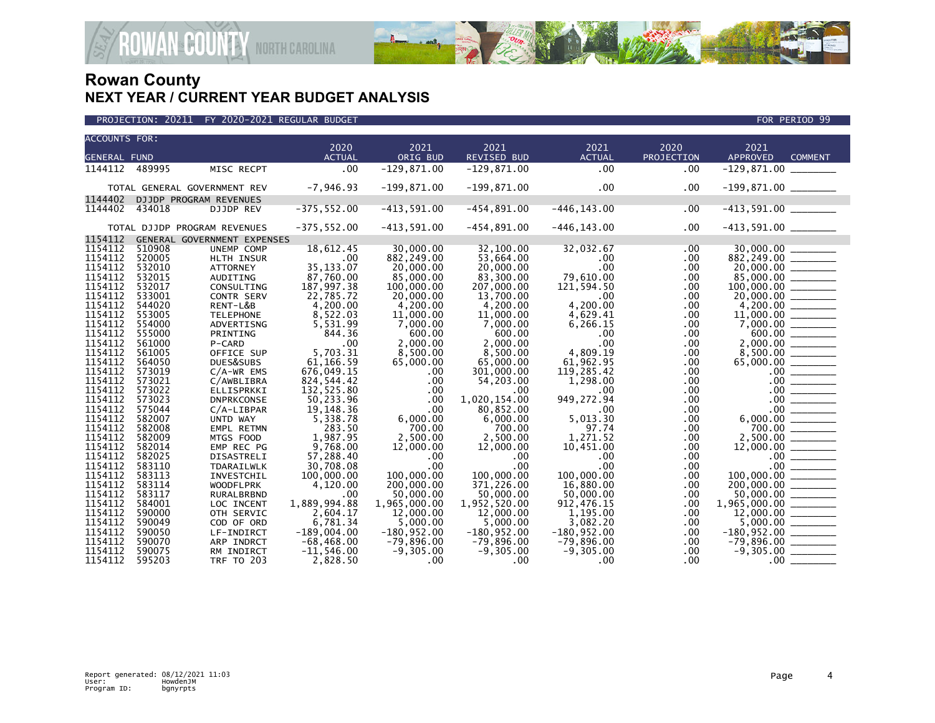

| <b>ACCOUNTS FOR:</b><br>2020<br>2021<br>2021<br>2020<br>2021<br>2021<br>ORIG BUD<br>REVISED BUD<br><b>ACTUAL</b><br>PROJECTION<br><b>APPROVED</b><br><b>ACTUAL</b><br><b>COMMENT</b><br><b>GENERAL FUND</b><br>.00<br>$-129,871.00$<br>$-129,871.00$<br>.00<br>1144112 489995<br>.00.<br>MISC RECPT<br>$-7,946.93$<br>$-199,871.00$<br>$-199,871.00$<br>$.00 \,$<br>TOTAL GENERAL GOVERNMENT REV<br>.00.<br>1144402<br>DJJDP PROGRAM REVENUES<br>$-375, 552.00$<br>$-454,891.00$<br>$-446, 143.00$<br>$-413,591.00$ _________<br>1144402<br>$-413,591.00$<br>.00<br>434018<br>DJJDP REV<br>$-375, 552.00$<br>$-413,591.00$<br>$-454,891.00$<br>$.00 \,$<br>$-413,591.00$ ________<br>$-446, 143.00$<br>TOTAL DJJDP PROGRAM REVENUES<br>1154112<br>GENERAL GOVERNMENT EXPENSES<br>1154112<br>510908<br>30,000,00<br>18,612.45<br>32.100.00<br>32,032.67<br>.00<br>UNEMP COMP<br>1154112<br>520005<br>$882,249.00$<br>$20,000.00$<br>$85,000.00$<br>$100,000.00$<br>$20,000.00$<br>$4,200.00$<br>HLTH INSUR<br>.00<br>882,249.00<br>53,664.00<br>.00<br>$.00 \,$<br>1154112<br>532010<br>35, 133.07<br>.00<br>20,000.00<br>20,000.00<br><b>ATTORNEY</b><br>.00.<br>1154112<br>532015<br>87,760.00<br>85,000,00<br>83.300.00<br>79.610.00<br>AUDITING<br>.00<br>1154112<br>187,997.38<br>532017<br>CONSULTING<br>100,000.00<br>207,000.00<br>121,594.50<br>.00.<br>1154112<br>533001<br>22,785.72<br>$.00 \,$<br>20,000.00<br>13,700.00<br>.00.<br>CONTR SERV<br>1154112<br>4,200.00<br>544020<br>RENT-L&B<br>4.200.00<br>4.200.00<br>4.200.00<br>.00.<br>1154112<br>8,522.03<br>553005<br>11,000.00<br>11,000.00<br>4,629.41<br><b>TELEPHONE</b><br>.00.<br>1154112<br>$7,000.00$<br>$600.00$<br>2,000.00<br>8,500.00<br>7,000.00<br>7,000.00<br>554000<br>ADVERTISNG<br>5,531.99<br>6,266.15<br>.00.<br>1154112<br>555000<br>844.36<br>600.00<br>600.00<br>.00<br>PRINTING<br>.00.<br>1154112<br>.00<br>561000<br>.00<br>2,000.00<br>2,000.00<br>.00<br>P-CARD<br>1154112<br>5.703.31<br>4,809.19<br>561005<br>8,500.00<br>8,500.00<br>.00<br>OFFICE SUP<br>$\begin{array}{r} 65,000.00 \ \underline{\hspace{1cm}} \rule{2.5cm}{0.06cm} \rule{2.5cm}{0.06cm} \rule{2.5cm}{0.06cm} \rule{2.5cm}{0.06cm} \rule{2.5cm}{0.06cm} \rule{2.5cm}{0.06cm} \rule{2.5cm}{0.06cm} \rule{2.5cm}{0.06cm} \rule{2.5cm}{0.06cm} \rule{2.5cm}{0.06cm} \rule{2.5cm}{0.06cm} \rule{2.5cm}{0.06cm} \rule{2.5cm}{0.06cm} \rule{2.5cm}{0.0$<br>1154112<br>61,166.59<br>564050<br>65,000.00<br>65,000.00<br>61,962.95<br>.00<br>DUES&SUBS<br>1154112<br>573019<br>676,049.15<br>301,000.00<br>119,285.42<br>.00<br>$C/A-WR$ EMS<br>$.00 \,$<br>1154112<br>573021<br>824,544.42<br>54,203.00<br>1,298.00<br>.00.<br>C/AWBLIBRA<br>$.00 \,$<br>1154112<br>573022<br>132,525.80<br>.00<br>$.00 \,$<br>$\begin{array}{c c} .00 & \overline{\hspace{1.5cm}} \\ \hline \rule{0cm}{0.15cm} 00 & \overline{\hspace{1.5cm}} \end{array}$<br>ELLISPRKKI<br>$.00 \,$<br>$.00 \,$<br>1154112<br>50,233.96<br>1.020.154.00<br>573023<br>.00<br>949, 272.94<br>$.00 \,$<br><b>DNPRKCONSE</b><br>1154112<br>575044<br>19,148.36<br>80,852.00<br>.00<br>$.00 \,$<br>$C/A$ -LIBPAR<br>.00<br>$6,000.00$<br>$700.00$<br>$2,500.00$<br>1154112<br>5,338.78<br>6,000.00<br>5,013.30<br>582007<br>6,000.00<br>$.00 \,$<br>UNTD WAY<br>1154112<br>97.74<br>582008<br>283.50<br>700.00<br>700.00<br>EMPL RETMN<br>.00.<br>1154112<br>1,987.95<br>2,500.00<br>1,271.52<br>582009<br>2,500.00<br>.00.<br>MTGS FOOD |         |        |            |          |           |           |           |     |  |
|-------------------------------------------------------------------------------------------------------------------------------------------------------------------------------------------------------------------------------------------------------------------------------------------------------------------------------------------------------------------------------------------------------------------------------------------------------------------------------------------------------------------------------------------------------------------------------------------------------------------------------------------------------------------------------------------------------------------------------------------------------------------------------------------------------------------------------------------------------------------------------------------------------------------------------------------------------------------------------------------------------------------------------------------------------------------------------------------------------------------------------------------------------------------------------------------------------------------------------------------------------------------------------------------------------------------------------------------------------------------------------------------------------------------------------------------------------------------------------------------------------------------------------------------------------------------------------------------------------------------------------------------------------------------------------------------------------------------------------------------------------------------------------------------------------------------------------------------------------------------------------------------------------------------------------------------------------------------------------------------------------------------------------------------------------------------------------------------------------------------------------------------------------------------------------------------------------------------------------------------------------------------------------------------------------------------------------------------------------------------------------------------------------------------------------------------------------------------------------------------------------------------------------------------------------------------------------------------------------------------------------------------------------------------------------------------------------------------------------------------------------------------------------------------------------------------------------------------------------------------------------------------------------------------------------------------------------------------------------------------------------------------------------------------------------------------------------------------------------------------------------------------------------------------------------------------------------------------------------------------------------------------------------------------------------------------------------------------------------------------------------------------------------------------------------------------------------------------|---------|--------|------------|----------|-----------|-----------|-----------|-----|--|
|                                                                                                                                                                                                                                                                                                                                                                                                                                                                                                                                                                                                                                                                                                                                                                                                                                                                                                                                                                                                                                                                                                                                                                                                                                                                                                                                                                                                                                                                                                                                                                                                                                                                                                                                                                                                                                                                                                                                                                                                                                                                                                                                                                                                                                                                                                                                                                                                                                                                                                                                                                                                                                                                                                                                                                                                                                                                                                                                                                                                                                                                                                                                                                                                                                                                                                                                                                                                                                                                   |         |        |            |          |           |           |           |     |  |
|                                                                                                                                                                                                                                                                                                                                                                                                                                                                                                                                                                                                                                                                                                                                                                                                                                                                                                                                                                                                                                                                                                                                                                                                                                                                                                                                                                                                                                                                                                                                                                                                                                                                                                                                                                                                                                                                                                                                                                                                                                                                                                                                                                                                                                                                                                                                                                                                                                                                                                                                                                                                                                                                                                                                                                                                                                                                                                                                                                                                                                                                                                                                                                                                                                                                                                                                                                                                                                                                   |         |        |            |          |           |           |           |     |  |
|                                                                                                                                                                                                                                                                                                                                                                                                                                                                                                                                                                                                                                                                                                                                                                                                                                                                                                                                                                                                                                                                                                                                                                                                                                                                                                                                                                                                                                                                                                                                                                                                                                                                                                                                                                                                                                                                                                                                                                                                                                                                                                                                                                                                                                                                                                                                                                                                                                                                                                                                                                                                                                                                                                                                                                                                                                                                                                                                                                                                                                                                                                                                                                                                                                                                                                                                                                                                                                                                   |         |        |            |          |           |           |           |     |  |
|                                                                                                                                                                                                                                                                                                                                                                                                                                                                                                                                                                                                                                                                                                                                                                                                                                                                                                                                                                                                                                                                                                                                                                                                                                                                                                                                                                                                                                                                                                                                                                                                                                                                                                                                                                                                                                                                                                                                                                                                                                                                                                                                                                                                                                                                                                                                                                                                                                                                                                                                                                                                                                                                                                                                                                                                                                                                                                                                                                                                                                                                                                                                                                                                                                                                                                                                                                                                                                                                   |         |        |            |          |           |           |           |     |  |
|                                                                                                                                                                                                                                                                                                                                                                                                                                                                                                                                                                                                                                                                                                                                                                                                                                                                                                                                                                                                                                                                                                                                                                                                                                                                                                                                                                                                                                                                                                                                                                                                                                                                                                                                                                                                                                                                                                                                                                                                                                                                                                                                                                                                                                                                                                                                                                                                                                                                                                                                                                                                                                                                                                                                                                                                                                                                                                                                                                                                                                                                                                                                                                                                                                                                                                                                                                                                                                                                   |         |        |            |          |           |           |           |     |  |
|                                                                                                                                                                                                                                                                                                                                                                                                                                                                                                                                                                                                                                                                                                                                                                                                                                                                                                                                                                                                                                                                                                                                                                                                                                                                                                                                                                                                                                                                                                                                                                                                                                                                                                                                                                                                                                                                                                                                                                                                                                                                                                                                                                                                                                                                                                                                                                                                                                                                                                                                                                                                                                                                                                                                                                                                                                                                                                                                                                                                                                                                                                                                                                                                                                                                                                                                                                                                                                                                   |         |        |            |          |           |           |           |     |  |
|                                                                                                                                                                                                                                                                                                                                                                                                                                                                                                                                                                                                                                                                                                                                                                                                                                                                                                                                                                                                                                                                                                                                                                                                                                                                                                                                                                                                                                                                                                                                                                                                                                                                                                                                                                                                                                                                                                                                                                                                                                                                                                                                                                                                                                                                                                                                                                                                                                                                                                                                                                                                                                                                                                                                                                                                                                                                                                                                                                                                                                                                                                                                                                                                                                                                                                                                                                                                                                                                   |         |        |            |          |           |           |           |     |  |
|                                                                                                                                                                                                                                                                                                                                                                                                                                                                                                                                                                                                                                                                                                                                                                                                                                                                                                                                                                                                                                                                                                                                                                                                                                                                                                                                                                                                                                                                                                                                                                                                                                                                                                                                                                                                                                                                                                                                                                                                                                                                                                                                                                                                                                                                                                                                                                                                                                                                                                                                                                                                                                                                                                                                                                                                                                                                                                                                                                                                                                                                                                                                                                                                                                                                                                                                                                                                                                                                   |         |        |            |          |           |           |           |     |  |
|                                                                                                                                                                                                                                                                                                                                                                                                                                                                                                                                                                                                                                                                                                                                                                                                                                                                                                                                                                                                                                                                                                                                                                                                                                                                                                                                                                                                                                                                                                                                                                                                                                                                                                                                                                                                                                                                                                                                                                                                                                                                                                                                                                                                                                                                                                                                                                                                                                                                                                                                                                                                                                                                                                                                                                                                                                                                                                                                                                                                                                                                                                                                                                                                                                                                                                                                                                                                                                                                   |         |        |            |          |           |           |           |     |  |
|                                                                                                                                                                                                                                                                                                                                                                                                                                                                                                                                                                                                                                                                                                                                                                                                                                                                                                                                                                                                                                                                                                                                                                                                                                                                                                                                                                                                                                                                                                                                                                                                                                                                                                                                                                                                                                                                                                                                                                                                                                                                                                                                                                                                                                                                                                                                                                                                                                                                                                                                                                                                                                                                                                                                                                                                                                                                                                                                                                                                                                                                                                                                                                                                                                                                                                                                                                                                                                                                   |         |        |            |          |           |           |           |     |  |
|                                                                                                                                                                                                                                                                                                                                                                                                                                                                                                                                                                                                                                                                                                                                                                                                                                                                                                                                                                                                                                                                                                                                                                                                                                                                                                                                                                                                                                                                                                                                                                                                                                                                                                                                                                                                                                                                                                                                                                                                                                                                                                                                                                                                                                                                                                                                                                                                                                                                                                                                                                                                                                                                                                                                                                                                                                                                                                                                                                                                                                                                                                                                                                                                                                                                                                                                                                                                                                                                   |         |        |            |          |           |           |           |     |  |
|                                                                                                                                                                                                                                                                                                                                                                                                                                                                                                                                                                                                                                                                                                                                                                                                                                                                                                                                                                                                                                                                                                                                                                                                                                                                                                                                                                                                                                                                                                                                                                                                                                                                                                                                                                                                                                                                                                                                                                                                                                                                                                                                                                                                                                                                                                                                                                                                                                                                                                                                                                                                                                                                                                                                                                                                                                                                                                                                                                                                                                                                                                                                                                                                                                                                                                                                                                                                                                                                   |         |        |            |          |           |           |           |     |  |
|                                                                                                                                                                                                                                                                                                                                                                                                                                                                                                                                                                                                                                                                                                                                                                                                                                                                                                                                                                                                                                                                                                                                                                                                                                                                                                                                                                                                                                                                                                                                                                                                                                                                                                                                                                                                                                                                                                                                                                                                                                                                                                                                                                                                                                                                                                                                                                                                                                                                                                                                                                                                                                                                                                                                                                                                                                                                                                                                                                                                                                                                                                                                                                                                                                                                                                                                                                                                                                                                   |         |        |            |          |           |           |           |     |  |
|                                                                                                                                                                                                                                                                                                                                                                                                                                                                                                                                                                                                                                                                                                                                                                                                                                                                                                                                                                                                                                                                                                                                                                                                                                                                                                                                                                                                                                                                                                                                                                                                                                                                                                                                                                                                                                                                                                                                                                                                                                                                                                                                                                                                                                                                                                                                                                                                                                                                                                                                                                                                                                                                                                                                                                                                                                                                                                                                                                                                                                                                                                                                                                                                                                                                                                                                                                                                                                                                   |         |        |            |          |           |           |           |     |  |
|                                                                                                                                                                                                                                                                                                                                                                                                                                                                                                                                                                                                                                                                                                                                                                                                                                                                                                                                                                                                                                                                                                                                                                                                                                                                                                                                                                                                                                                                                                                                                                                                                                                                                                                                                                                                                                                                                                                                                                                                                                                                                                                                                                                                                                                                                                                                                                                                                                                                                                                                                                                                                                                                                                                                                                                                                                                                                                                                                                                                                                                                                                                                                                                                                                                                                                                                                                                                                                                                   |         |        |            |          |           |           |           |     |  |
|                                                                                                                                                                                                                                                                                                                                                                                                                                                                                                                                                                                                                                                                                                                                                                                                                                                                                                                                                                                                                                                                                                                                                                                                                                                                                                                                                                                                                                                                                                                                                                                                                                                                                                                                                                                                                                                                                                                                                                                                                                                                                                                                                                                                                                                                                                                                                                                                                                                                                                                                                                                                                                                                                                                                                                                                                                                                                                                                                                                                                                                                                                                                                                                                                                                                                                                                                                                                                                                                   |         |        |            |          |           |           |           |     |  |
|                                                                                                                                                                                                                                                                                                                                                                                                                                                                                                                                                                                                                                                                                                                                                                                                                                                                                                                                                                                                                                                                                                                                                                                                                                                                                                                                                                                                                                                                                                                                                                                                                                                                                                                                                                                                                                                                                                                                                                                                                                                                                                                                                                                                                                                                                                                                                                                                                                                                                                                                                                                                                                                                                                                                                                                                                                                                                                                                                                                                                                                                                                                                                                                                                                                                                                                                                                                                                                                                   |         |        |            |          |           |           |           |     |  |
|                                                                                                                                                                                                                                                                                                                                                                                                                                                                                                                                                                                                                                                                                                                                                                                                                                                                                                                                                                                                                                                                                                                                                                                                                                                                                                                                                                                                                                                                                                                                                                                                                                                                                                                                                                                                                                                                                                                                                                                                                                                                                                                                                                                                                                                                                                                                                                                                                                                                                                                                                                                                                                                                                                                                                                                                                                                                                                                                                                                                                                                                                                                                                                                                                                                                                                                                                                                                                                                                   |         |        |            |          |           |           |           |     |  |
|                                                                                                                                                                                                                                                                                                                                                                                                                                                                                                                                                                                                                                                                                                                                                                                                                                                                                                                                                                                                                                                                                                                                                                                                                                                                                                                                                                                                                                                                                                                                                                                                                                                                                                                                                                                                                                                                                                                                                                                                                                                                                                                                                                                                                                                                                                                                                                                                                                                                                                                                                                                                                                                                                                                                                                                                                                                                                                                                                                                                                                                                                                                                                                                                                                                                                                                                                                                                                                                                   |         |        |            |          |           |           |           |     |  |
|                                                                                                                                                                                                                                                                                                                                                                                                                                                                                                                                                                                                                                                                                                                                                                                                                                                                                                                                                                                                                                                                                                                                                                                                                                                                                                                                                                                                                                                                                                                                                                                                                                                                                                                                                                                                                                                                                                                                                                                                                                                                                                                                                                                                                                                                                                                                                                                                                                                                                                                                                                                                                                                                                                                                                                                                                                                                                                                                                                                                                                                                                                                                                                                                                                                                                                                                                                                                                                                                   |         |        |            |          |           |           |           |     |  |
|                                                                                                                                                                                                                                                                                                                                                                                                                                                                                                                                                                                                                                                                                                                                                                                                                                                                                                                                                                                                                                                                                                                                                                                                                                                                                                                                                                                                                                                                                                                                                                                                                                                                                                                                                                                                                                                                                                                                                                                                                                                                                                                                                                                                                                                                                                                                                                                                                                                                                                                                                                                                                                                                                                                                                                                                                                                                                                                                                                                                                                                                                                                                                                                                                                                                                                                                                                                                                                                                   |         |        |            |          |           |           |           |     |  |
|                                                                                                                                                                                                                                                                                                                                                                                                                                                                                                                                                                                                                                                                                                                                                                                                                                                                                                                                                                                                                                                                                                                                                                                                                                                                                                                                                                                                                                                                                                                                                                                                                                                                                                                                                                                                                                                                                                                                                                                                                                                                                                                                                                                                                                                                                                                                                                                                                                                                                                                                                                                                                                                                                                                                                                                                                                                                                                                                                                                                                                                                                                                                                                                                                                                                                                                                                                                                                                                                   |         |        |            |          |           |           |           |     |  |
|                                                                                                                                                                                                                                                                                                                                                                                                                                                                                                                                                                                                                                                                                                                                                                                                                                                                                                                                                                                                                                                                                                                                                                                                                                                                                                                                                                                                                                                                                                                                                                                                                                                                                                                                                                                                                                                                                                                                                                                                                                                                                                                                                                                                                                                                                                                                                                                                                                                                                                                                                                                                                                                                                                                                                                                                                                                                                                                                                                                                                                                                                                                                                                                                                                                                                                                                                                                                                                                                   |         |        |            |          |           |           |           |     |  |
|                                                                                                                                                                                                                                                                                                                                                                                                                                                                                                                                                                                                                                                                                                                                                                                                                                                                                                                                                                                                                                                                                                                                                                                                                                                                                                                                                                                                                                                                                                                                                                                                                                                                                                                                                                                                                                                                                                                                                                                                                                                                                                                                                                                                                                                                                                                                                                                                                                                                                                                                                                                                                                                                                                                                                                                                                                                                                                                                                                                                                                                                                                                                                                                                                                                                                                                                                                                                                                                                   |         |        |            |          |           |           |           |     |  |
|                                                                                                                                                                                                                                                                                                                                                                                                                                                                                                                                                                                                                                                                                                                                                                                                                                                                                                                                                                                                                                                                                                                                                                                                                                                                                                                                                                                                                                                                                                                                                                                                                                                                                                                                                                                                                                                                                                                                                                                                                                                                                                                                                                                                                                                                                                                                                                                                                                                                                                                                                                                                                                                                                                                                                                                                                                                                                                                                                                                                                                                                                                                                                                                                                                                                                                                                                                                                                                                                   |         |        |            |          |           |           |           |     |  |
|                                                                                                                                                                                                                                                                                                                                                                                                                                                                                                                                                                                                                                                                                                                                                                                                                                                                                                                                                                                                                                                                                                                                                                                                                                                                                                                                                                                                                                                                                                                                                                                                                                                                                                                                                                                                                                                                                                                                                                                                                                                                                                                                                                                                                                                                                                                                                                                                                                                                                                                                                                                                                                                                                                                                                                                                                                                                                                                                                                                                                                                                                                                                                                                                                                                                                                                                                                                                                                                                   |         |        |            |          |           |           |           |     |  |
|                                                                                                                                                                                                                                                                                                                                                                                                                                                                                                                                                                                                                                                                                                                                                                                                                                                                                                                                                                                                                                                                                                                                                                                                                                                                                                                                                                                                                                                                                                                                                                                                                                                                                                                                                                                                                                                                                                                                                                                                                                                                                                                                                                                                                                                                                                                                                                                                                                                                                                                                                                                                                                                                                                                                                                                                                                                                                                                                                                                                                                                                                                                                                                                                                                                                                                                                                                                                                                                                   |         |        |            |          |           |           |           |     |  |
|                                                                                                                                                                                                                                                                                                                                                                                                                                                                                                                                                                                                                                                                                                                                                                                                                                                                                                                                                                                                                                                                                                                                                                                                                                                                                                                                                                                                                                                                                                                                                                                                                                                                                                                                                                                                                                                                                                                                                                                                                                                                                                                                                                                                                                                                                                                                                                                                                                                                                                                                                                                                                                                                                                                                                                                                                                                                                                                                                                                                                                                                                                                                                                                                                                                                                                                                                                                                                                                                   |         |        |            |          |           |           |           |     |  |
|                                                                                                                                                                                                                                                                                                                                                                                                                                                                                                                                                                                                                                                                                                                                                                                                                                                                                                                                                                                                                                                                                                                                                                                                                                                                                                                                                                                                                                                                                                                                                                                                                                                                                                                                                                                                                                                                                                                                                                                                                                                                                                                                                                                                                                                                                                                                                                                                                                                                                                                                                                                                                                                                                                                                                                                                                                                                                                                                                                                                                                                                                                                                                                                                                                                                                                                                                                                                                                                                   |         |        |            |          |           |           |           |     |  |
|                                                                                                                                                                                                                                                                                                                                                                                                                                                                                                                                                                                                                                                                                                                                                                                                                                                                                                                                                                                                                                                                                                                                                                                                                                                                                                                                                                                                                                                                                                                                                                                                                                                                                                                                                                                                                                                                                                                                                                                                                                                                                                                                                                                                                                                                                                                                                                                                                                                                                                                                                                                                                                                                                                                                                                                                                                                                                                                                                                                                                                                                                                                                                                                                                                                                                                                                                                                                                                                                   |         |        |            |          |           |           |           |     |  |
|                                                                                                                                                                                                                                                                                                                                                                                                                                                                                                                                                                                                                                                                                                                                                                                                                                                                                                                                                                                                                                                                                                                                                                                                                                                                                                                                                                                                                                                                                                                                                                                                                                                                                                                                                                                                                                                                                                                                                                                                                                                                                                                                                                                                                                                                                                                                                                                                                                                                                                                                                                                                                                                                                                                                                                                                                                                                                                                                                                                                                                                                                                                                                                                                                                                                                                                                                                                                                                                                   | 1154112 | 582014 | EMP REC PG | 9,768.00 | 12,000.00 | 12,000.00 | 10,451.00 | .00 |  |
| 1154112<br>582025<br>57,288.40<br>DISASTRELI<br>$.00 \,$<br>.00.<br>$.00 \,$<br>.00.                                                                                                                                                                                                                                                                                                                                                                                                                                                                                                                                                                                                                                                                                                                                                                                                                                                                                                                                                                                                                                                                                                                                                                                                                                                                                                                                                                                                                                                                                                                                                                                                                                                                                                                                                                                                                                                                                                                                                                                                                                                                                                                                                                                                                                                                                                                                                                                                                                                                                                                                                                                                                                                                                                                                                                                                                                                                                                                                                                                                                                                                                                                                                                                                                                                                                                                                                                              |         |        |            |          |           |           |           |     |  |
| $12,000.00$<br>$00$<br>$00$<br>$00$<br>$00$<br>$00$<br>$00$<br>$00$<br>$00$<br>$00$<br>$00$<br>$00$<br>$00$<br>$00$<br>$00$<br>$00$<br>$00$<br>$00$<br>$00$<br>$00$<br>1154112<br>$.00 \times$<br>.00<br>$.00 \,$<br>583110<br>30,708.08<br>.00<br>TDARAILWLK                                                                                                                                                                                                                                                                                                                                                                                                                                                                                                                                                                                                                                                                                                                                                                                                                                                                                                                                                                                                                                                                                                                                                                                                                                                                                                                                                                                                                                                                                                                                                                                                                                                                                                                                                                                                                                                                                                                                                                                                                                                                                                                                                                                                                                                                                                                                                                                                                                                                                                                                                                                                                                                                                                                                                                                                                                                                                                                                                                                                                                                                                                                                                                                                     |         |        |            |          |           |           |           |     |  |
| 1154112<br>583113<br>100,000.00<br>100,000,00<br>100,000,00<br>100,000,00<br>INVESTCHIL<br>.00.                                                                                                                                                                                                                                                                                                                                                                                                                                                                                                                                                                                                                                                                                                                                                                                                                                                                                                                                                                                                                                                                                                                                                                                                                                                                                                                                                                                                                                                                                                                                                                                                                                                                                                                                                                                                                                                                                                                                                                                                                                                                                                                                                                                                                                                                                                                                                                                                                                                                                                                                                                                                                                                                                                                                                                                                                                                                                                                                                                                                                                                                                                                                                                                                                                                                                                                                                                   |         |        |            |          |           |           |           |     |  |
| 1154112<br>583114<br>4,120.00<br>200,000.00<br>371,226.00<br>16,880.00<br>$.00 \,$<br><b>WOODFLPRK</b><br>1154112                                                                                                                                                                                                                                                                                                                                                                                                                                                                                                                                                                                                                                                                                                                                                                                                                                                                                                                                                                                                                                                                                                                                                                                                                                                                                                                                                                                                                                                                                                                                                                                                                                                                                                                                                                                                                                                                                                                                                                                                                                                                                                                                                                                                                                                                                                                                                                                                                                                                                                                                                                                                                                                                                                                                                                                                                                                                                                                                                                                                                                                                                                                                                                                                                                                                                                                                                 |         |        |            |          |           |           |           |     |  |
| 50,000.00<br>583117<br>50,000.00<br>50,000.00<br>.00<br>.00<br>RURALBRBND                                                                                                                                                                                                                                                                                                                                                                                                                                                                                                                                                                                                                                                                                                                                                                                                                                                                                                                                                                                                                                                                                                                                                                                                                                                                                                                                                                                                                                                                                                                                                                                                                                                                                                                                                                                                                                                                                                                                                                                                                                                                                                                                                                                                                                                                                                                                                                                                                                                                                                                                                                                                                                                                                                                                                                                                                                                                                                                                                                                                                                                                                                                                                                                                                                                                                                                                                                                         |         |        |            |          |           |           |           |     |  |
| 1154112<br>584001<br>1,889,994.88<br>1.965.000.00<br>1,952,520.00<br>912, 476. 15<br>.00<br>LOC INCENT                                                                                                                                                                                                                                                                                                                                                                                                                                                                                                                                                                                                                                                                                                                                                                                                                                                                                                                                                                                                                                                                                                                                                                                                                                                                                                                                                                                                                                                                                                                                                                                                                                                                                                                                                                                                                                                                                                                                                                                                                                                                                                                                                                                                                                                                                                                                                                                                                                                                                                                                                                                                                                                                                                                                                                                                                                                                                                                                                                                                                                                                                                                                                                                                                                                                                                                                                            |         |        |            |          |           |           |           |     |  |
| $1,965,000.00$<br>12,000.00<br>1154112<br>2,604.17<br>12,000.00<br>12,000.00<br>590000<br>1,195.00<br>OTH SERVIC<br>.00.<br>1154112<br>590049<br>5,000.00<br>5,000.00                                                                                                                                                                                                                                                                                                                                                                                                                                                                                                                                                                                                                                                                                                                                                                                                                                                                                                                                                                                                                                                                                                                                                                                                                                                                                                                                                                                                                                                                                                                                                                                                                                                                                                                                                                                                                                                                                                                                                                                                                                                                                                                                                                                                                                                                                                                                                                                                                                                                                                                                                                                                                                                                                                                                                                                                                                                                                                                                                                                                                                                                                                                                                                                                                                                                                             |         |        |            |          |           |           |           |     |  |
| 3,082.20<br>COD OF ORD<br>6,781.34<br>.00<br>1154112<br>590050<br>$-189.004.00$                                                                                                                                                                                                                                                                                                                                                                                                                                                                                                                                                                                                                                                                                                                                                                                                                                                                                                                                                                                                                                                                                                                                                                                                                                                                                                                                                                                                                                                                                                                                                                                                                                                                                                                                                                                                                                                                                                                                                                                                                                                                                                                                                                                                                                                                                                                                                                                                                                                                                                                                                                                                                                                                                                                                                                                                                                                                                                                                                                                                                                                                                                                                                                                                                                                                                                                                                                                   |         |        |            |          |           |           |           |     |  |
| $-180,952.00$<br>$-79,896.00$<br>$-180, 952.00$<br>$-180,952.00$<br>$-180,952.00$<br>.00<br>LF-INDIRCT<br>1154112<br>$-79,896.00$<br>590070<br>$-68, 468.00$<br>$-79,896.00$<br>$-79,896.00$<br>$.00 \,$<br>ARP INDRCT                                                                                                                                                                                                                                                                                                                                                                                                                                                                                                                                                                                                                                                                                                                                                                                                                                                                                                                                                                                                                                                                                                                                                                                                                                                                                                                                                                                                                                                                                                                                                                                                                                                                                                                                                                                                                                                                                                                                                                                                                                                                                                                                                                                                                                                                                                                                                                                                                                                                                                                                                                                                                                                                                                                                                                                                                                                                                                                                                                                                                                                                                                                                                                                                                                            |         |        |            |          |           |           |           |     |  |
| 1154112<br>590075<br>RM INDIRCT<br>$-11,546.00$<br>$-9,305.00$<br>$-9,305.00$<br>$-9,305.00$<br>.00.                                                                                                                                                                                                                                                                                                                                                                                                                                                                                                                                                                                                                                                                                                                                                                                                                                                                                                                                                                                                                                                                                                                                                                                                                                                                                                                                                                                                                                                                                                                                                                                                                                                                                                                                                                                                                                                                                                                                                                                                                                                                                                                                                                                                                                                                                                                                                                                                                                                                                                                                                                                                                                                                                                                                                                                                                                                                                                                                                                                                                                                                                                                                                                                                                                                                                                                                                              |         |        |            |          |           |           |           |     |  |
| 1154112<br>.00<br>595203<br>2,828.50<br>.00.<br>.00.<br><b>TRF TO 203</b><br>$.00 \,$                                                                                                                                                                                                                                                                                                                                                                                                                                                                                                                                                                                                                                                                                                                                                                                                                                                                                                                                                                                                                                                                                                                                                                                                                                                                                                                                                                                                                                                                                                                                                                                                                                                                                                                                                                                                                                                                                                                                                                                                                                                                                                                                                                                                                                                                                                                                                                                                                                                                                                                                                                                                                                                                                                                                                                                                                                                                                                                                                                                                                                                                                                                                                                                                                                                                                                                                                                             |         |        |            |          |           |           |           |     |  |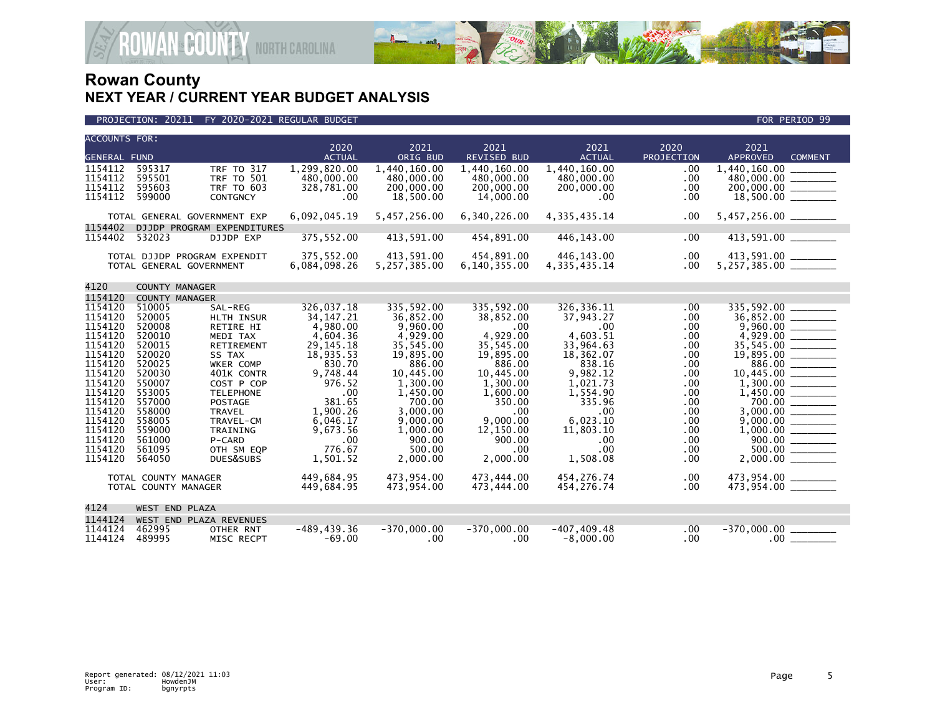

### PROJECTION: 20211 FY 2020-2021 REGULAR BUDGET FOR PERIOD 99

**ROWAN-COUNTY NORTH CAROLINA** 

| <b>ACCOUNTS FOR:</b> |                              |                             | 2020           | 2021               | 2021               | 2021               | 2020       | 2021                                         |
|----------------------|------------------------------|-----------------------------|----------------|--------------------|--------------------|--------------------|------------|----------------------------------------------|
| <b>GENERAL FUND</b>  |                              |                             | <b>ACTUAL</b>  | ORIG BUD           | <b>REVISED BUD</b> | <b>ACTUAL</b>      | PROJECTION | <b>APPROVED</b><br><b>COMMENT</b>            |
| 1154112              | 595317                       | <b>TRF TO 317</b>           | 1,299,820.00   | 1.440.160.00       | 1.440.160.00       | 1.440.160.00       | .00        | 1,440,160.00                                 |
| 1154112              | 595501                       | <b>TRF TO 501</b>           | 480,000.00     | 480,000.00         | 480,000.00         | 480,000.00         | .00        | 480,000.00 _______                           |
| 1154112              | 595603                       | <b>TRF TO 603</b>           | 328,781.00     | 200,000.00         | 200,000.00         | 200,000.00         | .00        | 200,000.00 ________                          |
| 1154112              | 599000                       | <b>CONTGNCY</b>             | .00            | 18,500.00          | 14,000.00          | $.00 \,$           | .00        |                                              |
|                      | TOTAL GENERAL GOVERNMENT EXP |                             | 6,092,045.19   | 5,457,256.00       | 6,340,226.00       | 4, 335, 435. 14    | .00        |                                              |
| 1154402              |                              | DJJDP PROGRAM EXPENDITURES  |                |                    |                    |                    |            |                                              |
| 1154402              | 532023                       | DJJDP EXP                   | 375,552.00     | 413,591.00         | 454,891.00         | 446,143.00         | .00        | 413,591.00 _______                           |
|                      | TOTAL DJJDP PROGRAM EXPENDIT |                             | 375,552.00     | 413,591.00         | 454,891.00         | 446,143.00         | .00        |                                              |
|                      | TOTAL GENERAL GOVERNMENT     |                             | 6,084,098.26   | 5, 257, 385.00     | 6,140,355.00       | 4, 335, 435. 14    | .00        |                                              |
| 4120                 | <b>COUNTY MANAGER</b>        |                             |                |                    |                    |                    |            |                                              |
| 1154120              | COUNTY MANAGER               |                             |                |                    |                    |                    |            |                                              |
| 1154120              | 510005                       | SAL-REG                     | 326,037.18     | 335,592.00         | 335,592.00         | 326, 336.11        | .00        | 335,592.00                                   |
| 1154120              | 520005                       | HLTH INSUR                  | 34, 147. 21    | 36,852.00          | 38,852.00          | 37,943.27          | .00        | 36,852.00 _______                            |
| 1154120              | 520008                       | RETIRE HI                   | 4,980.00       | 9.960.00           | $.00 \,$           | $.00 \,$           | .00        |                                              |
| 1154120              | 520010                       | MEDI TAX                    | 4,604.36       | 4,929.00           | 4,929.00           | 4,603.51           | .00        |                                              |
| 1154120              | 520015                       | RETIREMENT                  | 29, 145. 18    | 35,545.00          | 35,545.00          | 33,964.63          | .00        | 35,545.00 _______                            |
| 1154120              | 520020                       | SS TAX                      | 18,935.53      | 19,895.00          | 19,895.00          | 18,362.07          | .00        |                                              |
| 1154120              | 520025                       | WKER COMP                   | 830.70         | 886.00             | 886.00             | 838.16             | .00        |                                              |
| 1154120              | 520030                       | 401K CONTR                  | 9,748.44       | 10,445.00          | 10,445.00          | 9,982.12           | .00        |                                              |
| 1154120              | 550007                       | COST P COP                  | 976.52         | 1,300.00           | 1,300.00           | 1,021.73           | .00        |                                              |
| 1154120<br>1154120   | 553005<br>557000             | <b>TELEPHONE</b><br>POSTAGE | .00<br>381.65  | 1,450.00<br>700.00 | 1,600.00<br>350.00 | 1,554.90<br>335.96 | .00<br>.00 | 700.00                                       |
| 1154120              | 558000                       | <b>TRAVEL</b>               | 1,900.26       | 3,000.00           | .00                | .00                | .00        | 3,000.00 _______                             |
| 1154120              | 558005                       | TRAVEL-CM                   | 6,046.17       | 9,000.00           | 9.000.00           | 6.023.10           | .00        |                                              |
| 1154120              | 559000                       | TRAINING                    | 9,673.56       | 1,000.00           | 12.150.00          | 11,803.10          | .00        |                                              |
| 1154120              | 561000                       | P-CARD                      | .00            | 900.00             | 900.00             | .00                | .00        |                                              |
| 1154120              | 561095                       | OTH SM EQP                  | 776.67         | 500.00             | .00                | $.00 \,$           | .00        | $\frac{900.00}{500.00} \ \frac{\ \ }{ \ \ }$ |
| 1154120              | 564050                       | DUES&SUBS                   | 1,501.52       | 2,000.00           | 2,000.00           | 1,508.08           | .00        |                                              |
|                      | TOTAL COUNTY MANAGER         |                             | 449,684.95     | 473,954.00         | 473,444.00         | 454,276.74         | .00        | 473,954.00 ________                          |
| TOTAL COUNTY MANAGER |                              |                             | 449,684.95     | 473,954.00         | 473,444.00         | 454,276.74         | .00        |                                              |
| 4124                 | WEST END PLAZA               |                             |                |                    |                    |                    |            |                                              |
| 1144124              | WEST END PLAZA REVENUES      |                             |                |                    |                    |                    |            |                                              |
| 1144124              | 462995                       | OTHER RNT                   | $-489, 439.36$ | $-370,000.00$      | $-370,000.00$      | $-407, 409.48$     | .00        | $-370,000.00$                                |
| 1144124              | 489995                       | MISC RECPT                  | $-69.00$       | $.00 \,$           | $.00 \,$           | $-8,000.00$        | .00        |                                              |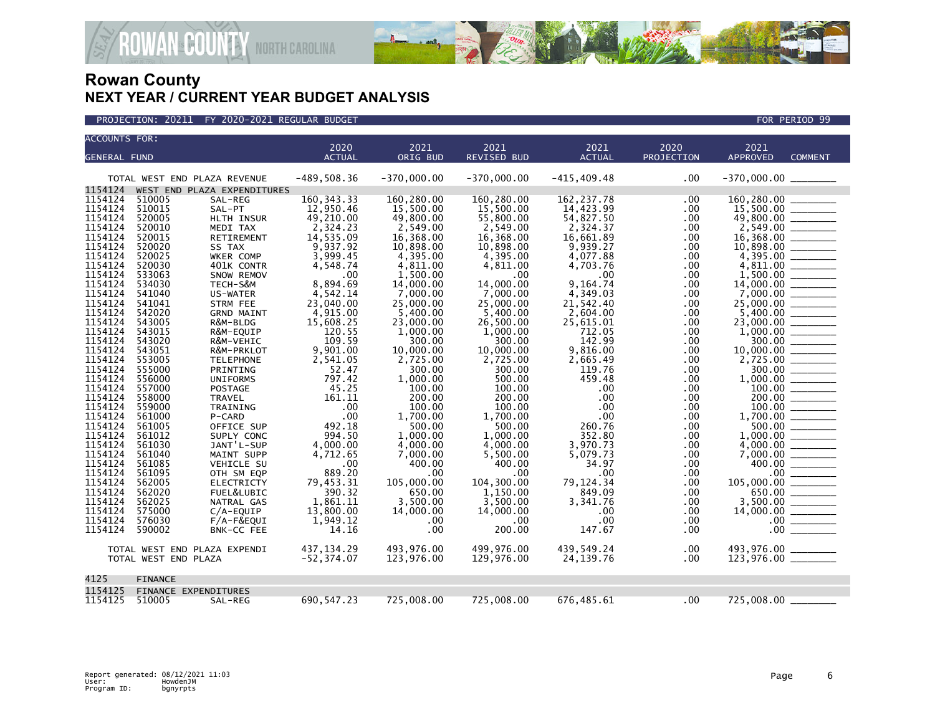



| <b>ACCOUNTS FOR:</b> |                      |                               |                           |                       |                         |                          |            |                                   |  |
|----------------------|----------------------|-------------------------------|---------------------------|-----------------------|-------------------------|--------------------------|------------|-----------------------------------|--|
|                      |                      |                               | 2020                      | 2021                  | 2021                    | 2021                     | 2020       | 2021                              |  |
| <b>GENERAL FUND</b>  |                      |                               | <b>ACTUAL</b>             | ORIG BUD              | <b>REVISED BUD</b>      | <b>ACTUAL</b>            | PROJECTION | <b>APPROVED</b><br><b>COMMENT</b> |  |
|                      |                      | TOTAL WEST END PLAZA REVENUE  | $-489, 508.36$            | $-370,000.00$         | $-370,000.00$           | $-415, 409.48$           | .00        |                                   |  |
| 1154124<br>1154124   | 510005               | WEST END PLAZA EXPENDITURES   |                           | 160.280.00            |                         |                          |            |                                   |  |
| 1154124              | 510015               | SAL-REG<br>SAL-PT             | 160, 343. 33<br>12,950.46 | 15,500.00             | 160,280.00<br>15,500.00 | 162, 237.78<br>14,423.99 | .00<br>.00 | 160,280.00<br>15,500.00           |  |
| 1154124              | 520005               | HLTH INSUR                    | 49,210.00                 | 49,800.00             | 55,800.00               | 54,827.50                | .00        | 49,800.00                         |  |
| 1154124              | 520010               | MEDI TAX                      | 2,324.23                  | 2,549.00              | 2,549.00                | 2,324.37                 | .00        | 2,549.00                          |  |
| 1154124              | 520015               | RETIREMENT                    | 14,535.09                 | 16,368.00             | 16,368.00               | 16,661.89                | .00        |                                   |  |
| 1154124              | 520020               | SS TAX                        | 9,937.92                  | 10,898.00             | 10,898.00               | 9,939.27                 | .00        | 10,898.00                         |  |
| 1154124              | 520025               | WKER COMP                     | 3,999.45                  | 4,395.00              | 4,395.00                | 4,077.88                 | .00        | 4,395.00                          |  |
| 1154124              | 520030               | 401K CONTR                    | 4,548.74                  | 4,811.00              | 4,811.00                | 4,703.76                 | .00        | 4,811.00                          |  |
| 1154124              | 533063               | SNOW REMOV                    | .00                       | 1,500.00              | .00 <sub>1</sub>        | .00                      | .00        | 1.500.00                          |  |
| 1154124              | 534030               | TECH-S&M                      | 8,894.69                  | 14,000.00             | 14,000,00               | 9,164.74                 | .00        | 14,000,00                         |  |
| 1154124              | 541040               | US-WATER                      | 4,542.14                  | 7,000.00              | 7,000.00                | 4,349.03                 | .00        | 7,000.00                          |  |
| 1154124              | 541041               | <b>STRM FEE</b>               | 23,040.00                 | 25,000.00             | 25,000.00               | 21,542.40                | .00        | 25,000.00                         |  |
| 1154124<br>1154124   | 542020<br>543005     | <b>GRND MAINT</b><br>R&M-BLDG | 4,915.00<br>15,608.25     | 5,400.00<br>23,000.00 | 5,400.00<br>26,500.00   | 2,604.00                 | .00        | 5,400.00<br>23,000.00             |  |
| 1154124              | 543015               | R&M-EQUIP                     | 120.55                    | 1.000.00              | 1.000.00                | 25,615.01<br>712.05      | .00<br>.00 | 1,000.00                          |  |
| 1154124              | 543020               | R&M-VEHIC                     | 109.59                    | 300.00                | 300.00                  | 142.99                   | .00        | 300.00                            |  |
| 1154124              | 543051               | R&M-PRKLOT                    | 9,901.00                  | 10,000.00             | 10,000.00               | 9,816.00                 | .00        | 10,000.00                         |  |
| 1154124              | 553005               | <b>TELEPHONE</b>              | 2,541.05                  | 2,725.00              | 2,725.00                | 2,665.49                 | .00        | 2,725.00                          |  |
| 1154124              | 555000               | PRINTING                      | 52.47                     | 300.00                | 300.00                  | 119.76                   | .00        | 300.00                            |  |
| 1154124              | 556000               | <b>UNIFORMS</b>               | 797.42                    | 1,000.00              | 500.00                  | 459.48                   | .00        |                                   |  |
| 1154124              | 557000               | POSTAGE                       | 45.25                     | 100.00                | 100.00                  | .00                      | .00        |                                   |  |
| 1154124              | 558000               | TRAVEL                        | 161.11                    | 200.00                | 200.00                  | .00                      | .00        | 200.00                            |  |
| 1154124              | 559000               | TRAINING                      | .00                       | 100.00                | 100.00                  | .00                      | .00        | 100.00                            |  |
| 1154124              | 561000               | P-CARD                        | .00                       | 1,700.00              | 1.700.00                | .00                      | .00        | 1.700.00                          |  |
| 1154124              | 561005               | OFFICE SUP                    | 492.18                    | 500.00                | 500.00                  | 260.76                   | .00        | 500.00                            |  |
| 1154124              | 561012               | SUPLY CONC                    | 994.50                    | 1,000.00              | 1,000.00                | 352.80                   | .00        | 1,000.00                          |  |
| 1154124              | 561030               | JANT'L-SUP                    | 4,000.00                  | 4,000.00              | 4,000.00                | 3,970.73                 | .00        | 4,000.00                          |  |
| 1154124<br>1154124   | 561040<br>561085     | MAINT SUPP                    | 4,712.65                  | 7,000.00              | 5,500.00<br>400.00      | 5,079.73<br>34.97        | .00        | 7,000.00<br>400.00                |  |
| 1154124              | 561095               | VEHICLE SU<br>OTH SM EQP      | .00<br>889.20             | 400.00<br>$.00 \,$    | .00                     | .00                      | .00<br>.00 | .00 <sub>1</sub>                  |  |
| 1154124              | 562005               | <b>ELECTRICTY</b>             | 79,453.31                 | 105,000.00            | 104,300.00              | 79,124.34                | .00        | 105,000.00                        |  |
| 1154124              | 562020               | FUEL&LUBIC                    | 390.32                    | 650.00                | 1,150.00                | 849.09                   | .00        | 650.00                            |  |
| 1154124              | 562025               | NATRAL GAS                    | 1.861.11                  | 3,500.00              | 3,500.00                | 3,341.76                 | .00        | 3.500.00                          |  |
| 1154124              | 575000               | $C/A$ -EQUIP                  | 13,800.00                 | 14,000.00             | 14,000.00               | .00                      | .00        |                                   |  |
| 1154124              | 576030               | F/A-F&EQUI                    | 1,949.12                  | $.00 \,$              | .00                     | .00                      | .00        | $.00 \,$                          |  |
| 1154124              | 590002               | BNK-CC FEE                    | 14.16                     | $.00 \,$              | 200.00                  | 147.67                   | .00.       | .00 <sub>1</sub>                  |  |
|                      |                      | TOTAL WEST END PLAZA EXPENDI  | 437, 134. 29              | 493,976.00            | 499,976.00              | 439,549.24               | .00        | 493,976.00 _______                |  |
|                      | TOTAL WEST END PLAZA |                               | $-52, 374.07$             | 123,976.00            | 129,976.00              | 24,139.76                | .00        |                                   |  |
| 4125                 | <b>FINANCE</b>       |                               |                           |                       |                         |                          |            |                                   |  |
| 1154125              |                      | <b>FINANCE EXPENDITURES</b>   |                           |                       |                         |                          |            |                                   |  |
| 1154125              | 510005               | SAL-REG                       | 690, 547.23               | 725,008.00            | 725,008.00              | 676,485.61               | .00        | 725,008.00                        |  |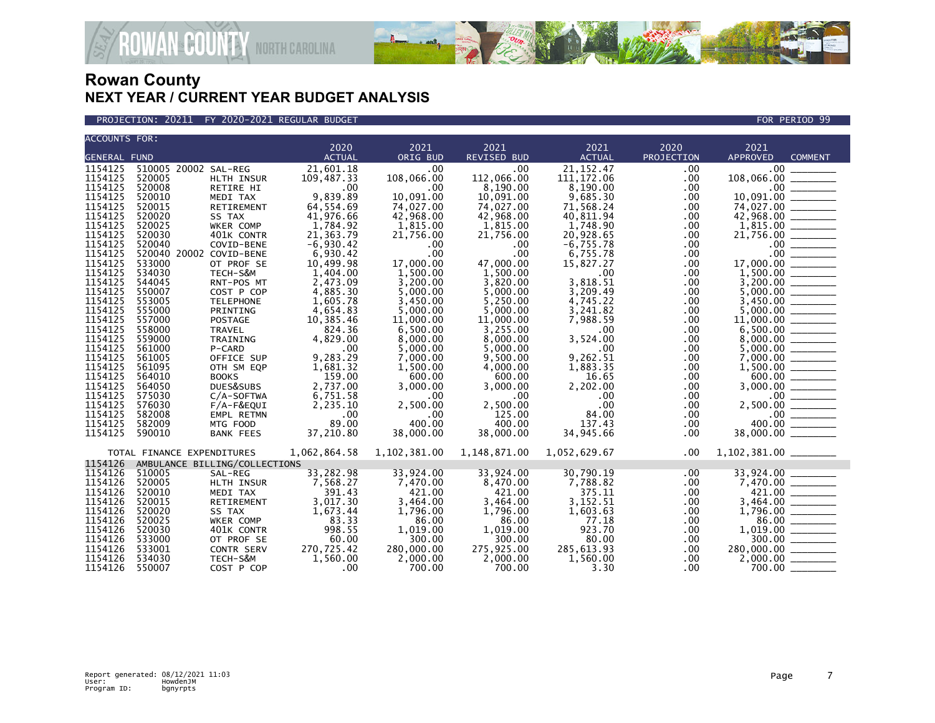



| <b>ACCOUNTS FOR:</b> |                               |                   |               |              |                    |               |            |                                                                                                                                                                                                                 |
|----------------------|-------------------------------|-------------------|---------------|--------------|--------------------|---------------|------------|-----------------------------------------------------------------------------------------------------------------------------------------------------------------------------------------------------------------|
|                      |                               |                   | 2020          | 2021         | 2021               | 2021          | 2020       | 2021                                                                                                                                                                                                            |
| <b>GENERAL FUND</b>  |                               |                   | <b>ACTUAL</b> | ORIG BUD     | <b>REVISED BUD</b> | <b>ACTUAL</b> | PROJECTION | <b>APPROVED</b><br><b>COMMENT</b>                                                                                                                                                                               |
| 1154125              | 510005 20002 SAL-REG          |                   | 21,601.18     | .00          | .00                | 21, 152.47    | .00        | $.00 \,$                                                                                                                                                                                                        |
| 1154125              | 520005                        | HLTH INSUR        | 109,487.33    | 108,066.00   | 112,066.00         | 111, 172.06   | .00        | 108,066.00<br>$108,066.00$<br>$10,091.00$<br>$74,027.00$<br>$1000$<br>$1000$<br>$1000$<br>$1000$<br>$1000$<br>$1000$<br>$1000$                                                                                  |
| 1154125              | 520008                        | RETIRE HI         | .00           | .00          | 8,190.00           | 8,190.00      | .00        |                                                                                                                                                                                                                 |
| 1154125              | 520010                        | MEDI TAX          | 9,839.89      | 10,091.00    | 10,091.00          | 9,685.30      | .00.       |                                                                                                                                                                                                                 |
| 1154125              | 520015                        | RETIREMENT        | 64,554.69     | 74,027.00    | 74,027.00          | 71,568.24     | .00        |                                                                                                                                                                                                                 |
| 1154125              | 520020                        | SS TAX            | 41,976.66     | 42,968.00    | 42,968.00          | 40,811.94     | .00        | $42,968.00$ $1,815.00$                                                                                                                                                                                          |
| 1154125              | 520025                        | WKER COMP         | 1,784.92      | 1,815.00     | 1,815.00           | 1,748.90      | .00        |                                                                                                                                                                                                                 |
| 1154125              | 520030                        | 401K CONTR        | 21,363.79     | 21,756.00    | 21,756.00          | 20,928.65     | .00        | 21,756.00<br>.00<br>.00<br>.00<br>.17,000.00<br>.1,500.00                                                                                                                                                       |
| 1154125              | 520040                        | COVID-BENE        | $-6,930.42$   | .00          | .00                | $-6,755.78$   | .00        |                                                                                                                                                                                                                 |
| 1154125              | 520040 20002 COVID-BENE       |                   | 6,930.42      | .00          | .00                | 6,755.78      | .00        |                                                                                                                                                                                                                 |
| 1154125              | 533000                        | OT PROF SE        | 10,499.98     | 17,000.00    | 47,000.00          | 15,827.27     | .00        |                                                                                                                                                                                                                 |
| 1154125              | 534030                        | TECH-S&M          | 1,404.00      | 1.500.00     | 1.500.00           | $.00 \times$  | .00        |                                                                                                                                                                                                                 |
| 1154125              | 544045                        | RNT-POS MT        | 2,473.09      | 3,200.00     | 3,820.00           | 3,818.51      | .00        |                                                                                                                                                                                                                 |
| 1154125              | 550007                        | COST P COP        | 4,885.30      | 5,000.00     | 5,000.00           | 3.209.49      | .00        |                                                                                                                                                                                                                 |
| 1154125              | 553005                        | <b>TELEPHONE</b>  | 1,605.78      | 3,450.00     | 5,250.00           | 4.745.22      | .00.       |                                                                                                                                                                                                                 |
| 1154125              | 555000                        | PRINTING          | 4,654.83      | 5.000.00     | 5,000.00           | 3.241.82      | $.00 \,$   |                                                                                                                                                                                                                 |
| 1154125              | 557000                        | <b>POSTAGE</b>    | 10,385.46     | 11,000.00    | 11,000.00          | 7,988.59      | .00.       |                                                                                                                                                                                                                 |
| 1154125              | 558000                        | TRAVEL            | 824.36        | 6,500.00     | 3,255.00           | .00           | .00        |                                                                                                                                                                                                                 |
| 1154125              | 559000                        | TRAINING          | 4,829.00      | 8,000.00     | 8,000.00           | 3,524.00      | .00        |                                                                                                                                                                                                                 |
| 1154125              | 561000                        | P-CARD            | .00           | 5,000.00     | 5,000.00           | .00           | .00        |                                                                                                                                                                                                                 |
| 1154125              | 561005                        | OFFICE SUP        | 9,283.29      | 7,000.00     | 9,500.00           | 9,262.51      | .00        |                                                                                                                                                                                                                 |
| 1154125              | 561095                        | OTH SM EQP        | 1,681.32      | 1,500.00     | 4,000.00           | 1,883.35      | .00.       |                                                                                                                                                                                                                 |
| 1154125              | 564010                        | <b>BOOKS</b>      | 159.00        | 600.00       | 600.00             | 16.65         | .00        |                                                                                                                                                                                                                 |
| 1154125              | 564050                        | DUES&SUBS         | 2,737.00      | 3,000.00     | 3,000.00           | 2,202.00      | .00        |                                                                                                                                                                                                                 |
| 1154125              | 575030                        | $C/A$ -SOFTWA     | 6,751.58      | .00          | .00.               | .00           | .00        |                                                                                                                                                                                                                 |
| 1154125              | 576030                        | F/A-F&EQUI        | 2,235.10      | 2,500.00     | 2,500.00           | .00           | .00        |                                                                                                                                                                                                                 |
| 1154125              | 582008                        | EMPL RETMN        | .00           | .00          | 125.00             | 84.00         | .00        |                                                                                                                                                                                                                 |
| 1154125              | 582009                        | MTG FOOD          | 89.00         | 400.00       | 400.00             | 137.43        | .00        |                                                                                                                                                                                                                 |
| 1154125              | 590010                        | <b>BANK FEES</b>  | 37,210.80     | 38,000.00    | 38,000.00          | 34,945.66     | $.00 \,$   | $\begin{array}{r} 8,000.00 \ \hline 5,000.00 \ \hline 7,000.00 \ \hline 1,500.00 \ \hline 1,500.00 \ \hline 600.00 \ \hline 3,000.00 \ \hline 2,500.00 \ \hline 400.00 \ \hline 38,000.00 \ \hline \end{array}$ |
|                      | TOTAL FINANCE EXPENDITURES    |                   | 1,062,864.58  | 1,102,381.00 | 1,148,871.00       | 1,052,629.67  | .00        | 1,102,381.00 ________                                                                                                                                                                                           |
| 1154126              | AMBULANCE BILLING/COLLECTIONS |                   |               |              |                    |               |            |                                                                                                                                                                                                                 |
| 1154126              | 510005                        | SAL-REG           | 33,282.98     | 33,924.00    | 33,924.00          | 30,790.19     | .00.       | $33,924.00$<br>7,470.00                                                                                                                                                                                         |
| 1154126              | 520005                        | HLTH INSUR        | 7,568.27      | 7,470.00     | 8,470.00           | 7,788.82      | .00        |                                                                                                                                                                                                                 |
| 1154126              | 520010                        | MEDI TAX          | 391.43        | 421.00       | 421.00             | 375.11        | .00        |                                                                                                                                                                                                                 |
| 1154126              | 520015                        | RETIREMENT        | 3,017.30      | 3,464.00     | 3,464.00           | 3,152.51      | .00        |                                                                                                                                                                                                                 |
| 1154126              | 520020                        | SS TAX            | 1,673.44      | 1,796.00     | 1,796.00           | 1,603.63      | .00        |                                                                                                                                                                                                                 |
| 1154126              | 520025                        | WKER COMP         | 83.33         | 86.00        | 86.00              | 77.18         | .00        | $7,421.00$<br>$3,464.00$<br>$1,796.00$<br>$86.00$<br>$1,019.00$<br>$300.00$<br>$280,000.00$                                                                                                                     |
| 1154126              | 520030                        | 401K CONTR        | 998.55        | 1,019.00     | 1,019.00           | 923.70        | .00        |                                                                                                                                                                                                                 |
| 1154126              | 533000                        | OT PROF SE        | 60.00         | 300.00       | 300.00             | 80.00         | .00        |                                                                                                                                                                                                                 |
| 1154126              | 533001                        | <b>CONTR SERV</b> | 270,725.42    | 280,000.00   | 275,925.00         | 285,613.93    | .00        |                                                                                                                                                                                                                 |
| 1154126              | 534030                        | TECH-S&M          | 1,560.00      | 2,000.00     | 2,000.00           | 1,560.00      | .00        | $2,000.00$ $\overline{\phantom{0}}$                                                                                                                                                                             |
| 1154126              | 550007                        | COST P COP        | .00           | 700.00       | 700.00             | 3.30          | .00.       |                                                                                                                                                                                                                 |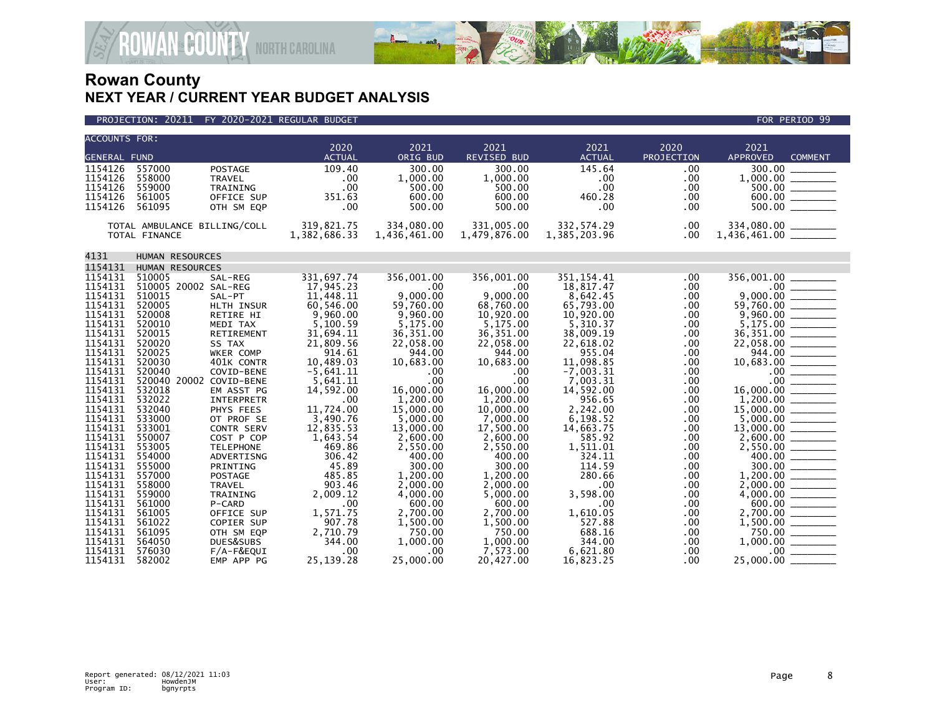



| <b>ACCOUNTS FOR:</b> |                              |                           |                     |                     |                     |                     |             |                                                                                                                                                                                                                                                                                                                                                |
|----------------------|------------------------------|---------------------------|---------------------|---------------------|---------------------|---------------------|-------------|------------------------------------------------------------------------------------------------------------------------------------------------------------------------------------------------------------------------------------------------------------------------------------------------------------------------------------------------|
|                      |                              |                           | 2020                | 2021                | 2021                | 2021                | 2020        | 2021                                                                                                                                                                                                                                                                                                                                           |
| <b>GENERAL FUND</b>  |                              |                           | <b>ACTUAL</b>       | ORIG BUD            | <b>REVISED BUD</b>  | <b>ACTUAL</b>       | PROJECTION  | <b>APPROVED</b><br><b>COMMENT</b>                                                                                                                                                                                                                                                                                                              |
| 1154126              | 557000                       | <b>POSTAGE</b>            | 109.40              | 300.00              | 300.00              | 145.64              | .00         | 300.00                                                                                                                                                                                                                                                                                                                                         |
| 1154126<br>1154126   | 558000<br>559000             | <b>TRAVEL</b><br>TRAINING | .00<br>.00          | 1,000.00<br>500.00  | 1,000.00<br>500.00  | .00<br>.00          | .00<br>.00  |                                                                                                                                                                                                                                                                                                                                                |
| 1154126              | 561005                       | OFFICE SUP                | 351.63              | 600.00              | 600.00              | 460.28              | .00.        |                                                                                                                                                                                                                                                                                                                                                |
| 1154126              | 561095                       | OTH SM EQP                | .00                 | 500.00              | 500.00              | .00                 | .00         | $\frac{600.00}{500.00}$                                                                                                                                                                                                                                                                                                                        |
|                      |                              |                           |                     |                     |                     |                     |             |                                                                                                                                                                                                                                                                                                                                                |
|                      | TOTAL AMBULANCE BILLING/COLL |                           | 319,821.75          | 334,080.00          | 331,005.00          | 332,574.29          | .00         |                                                                                                                                                                                                                                                                                                                                                |
|                      | TOTAL FINANCE                |                           | 1,382,686.33        | 1,436,461.00        | 1,479,876.00        | 1,385,203.96        | .00         | $334,080.00$ _________<br>1,436,461.00 ________                                                                                                                                                                                                                                                                                                |
|                      |                              |                           |                     |                     |                     |                     |             |                                                                                                                                                                                                                                                                                                                                                |
| 4131                 | HUMAN RESOURCES              |                           |                     |                     |                     |                     |             |                                                                                                                                                                                                                                                                                                                                                |
| 1154131              | HUMAN RESOURCES              |                           |                     |                     |                     |                     |             |                                                                                                                                                                                                                                                                                                                                                |
| 1154131              | 510005                       | SAL-REG                   | 331,697.74          | 356,001.00          | 356,001.00          | 351, 154.41         | .00         | 356,001.00 _____                                                                                                                                                                                                                                                                                                                               |
| 1154131              | 510005 20002 SAL-REG         |                           | 17,945.23           | .00                 | .00                 | 18,817.47           | .00.        | $9,000.00$<br>$59,760.00$                                                                                                                                                                                                                                                                                                                      |
| 1154131              | 510015                       | SAL-PT                    | 11,448.11           | 9,000.00            | 9,000.00            | 8,642.45            | .00         |                                                                                                                                                                                                                                                                                                                                                |
| 1154131              | 520005                       | HLTH INSUR                | 60,546.00           | 59,760.00           | 68,760.00           | 65,793.00           | .00.        |                                                                                                                                                                                                                                                                                                                                                |
| 1154131              | 520008                       | RETIRE HI                 | 9,960.00            | 9,960.00            | 10,920.00           | 10,920.00           | .00         |                                                                                                                                                                                                                                                                                                                                                |
| 1154131              | 520010                       | MEDI TAX                  | 5,100.59            | 5,175.00            | 5,175.00            | 5.310.37            | .00         |                                                                                                                                                                                                                                                                                                                                                |
| 1154131<br>1154131   | 520015                       | <b>RETIREMENT</b>         | 31,694.11           | 36, 351.00          | 36,351.00           | 38,009.19           | .00         |                                                                                                                                                                                                                                                                                                                                                |
| 1154131              | 520020<br>520025             | SS TAX<br>WKER COMP       | 21,809.56<br>914.61 | 22,058.00<br>944.00 | 22,058.00<br>944.00 | 22,618.02<br>955.04 | .00.<br>.00 |                                                                                                                                                                                                                                                                                                                                                |
| 1154131              | 520030                       | 401K CONTR                | 10,489.03           | 10,683.00           | 10,683.00           | 11,098.85           | .00         |                                                                                                                                                                                                                                                                                                                                                |
| 1154131              | 520040                       | COVID-BENE                | $-5,641.11$         | .00                 | .00                 | $-7,003.31$         | .00         |                                                                                                                                                                                                                                                                                                                                                |
| 1154131              | 520040 20002 COVID-BENE      |                           | 5,641.11            | .00                 | .00                 | 7,003.31            | .00         | $\begin{array}{r} 10,683.00 \overline{\hspace{1cm}} \overline{\qquad \qquad } \\ 10,683.00 \overline{\hspace{1cm}} \overline{\qquad \qquad } \\ 00 \overline{\hspace{1cm}} \overline{\qquad \qquad } \\ 16,000.00 \overline{\hspace{1cm}} \overline{\qquad \qquad } \\ 1,200.00 \overline{\hspace{1cm}} \overline{\qquad \qquad } \end{array}$ |
| 1154131              | 532018                       | EM ASST PG                | 14,592.00           | 16,000.00           | 16,000.00           | 14,592.00           | .00         |                                                                                                                                                                                                                                                                                                                                                |
| 1154131              | 532022                       | <b>INTERPRETR</b>         | .00                 | 1.200.00            | 1,200.00            | 956.65              | .00         |                                                                                                                                                                                                                                                                                                                                                |
| 1154131              | 532040                       | PHYS FEES                 | 11,724.00           | 15,000.00           | 10,000.00           | 2,242.00            | .00         | $15,000.00$<br>$5,000.00$<br>$13,000.00$<br>$2,600.00$<br>$2,550.00$<br>$2,550.00$                                                                                                                                                                                                                                                             |
| 1154131              | 533000                       | OT PROF SE                | 3,490.76            | 5.000.00            | 7.000.00            | 6,198.52            | .00         |                                                                                                                                                                                                                                                                                                                                                |
| 1154131              | 533001                       | <b>CONTR SERV</b>         | 12,835.53           | 13,000.00           | 17.500.00           | 14,663.75           | .00         |                                                                                                                                                                                                                                                                                                                                                |
| 1154131              | 550007                       | COST P COP                | 1,643.54            | 2,600.00            | 2,600.00            | 585.92              | .00         |                                                                                                                                                                                                                                                                                                                                                |
| 1154131              | 553005                       | <b>TELEPHONE</b>          | 469.86              | 2,550.00            | 2,550.00            | 1,511.01            | .00         |                                                                                                                                                                                                                                                                                                                                                |
| 1154131<br>1154131   | 554000<br>555000             | ADVERTISNG<br>PRINTING    | 306.42<br>45.89     | 400.00<br>300.00    | 400.00<br>300.00    | 324.11<br>114.59    | .00<br>.00  | $\frac{400.00}{300.00}$                                                                                                                                                                                                                                                                                                                        |
| 1154131              | 557000                       | <b>POSTAGE</b>            | 485.85              | 1.200.00            | 1.200.00            | 280.66              | .00         |                                                                                                                                                                                                                                                                                                                                                |
| 1154131              | 558000                       | <b>TRAVEL</b>             | 903.46              | 2,000.00            | 2,000.00            | $.00 \times$        | .00         | $1,200.00$<br>$2,000.00$<br>$4,000.00$                                                                                                                                                                                                                                                                                                         |
| 1154131              | 559000                       | TRAINING                  | 2,009.12            | 4,000.00            | 5,000.00            | 3,598.00            | .00         |                                                                                                                                                                                                                                                                                                                                                |
| 1154131              | 561000                       | P-CARD                    | .00                 | 600.00              | 600.00              | .00                 | .00         |                                                                                                                                                                                                                                                                                                                                                |
| 1154131              | 561005                       | OFFICE SUP                | 1,571.75            | 2,700.00            | 2.700.00            | 1,610.05            | .00         | $600.00$<br>2,700.00                                                                                                                                                                                                                                                                                                                           |
| 1154131              | 561022                       | COPIER SUP                | 907.78              | 1,500.00            | 1,500.00            | 527.88              | .00         |                                                                                                                                                                                                                                                                                                                                                |
| 1154131              | 561095                       | OTH SM EQP                | 2,710.79            | 750.00              | 750.00              | 688.16              | .00         |                                                                                                                                                                                                                                                                                                                                                |
| 1154131              | 564050                       | DUES&SUBS                 | 344.00              | 1,000.00            | 1,000.00            | 344.00              | .00.        |                                                                                                                                                                                                                                                                                                                                                |
| 1154131              | 576030                       | F/A-F&EQUI                | .00                 | .00                 | 7,573.00            | 6,621.80            | .00         |                                                                                                                                                                                                                                                                                                                                                |
| 1154131              | 582002                       | EMP APP PG                | 25, 139. 28         | 25,000.00           | 20.427.00           | 16,823.25           | .00         | 25,000.00 __                                                                                                                                                                                                                                                                                                                                   |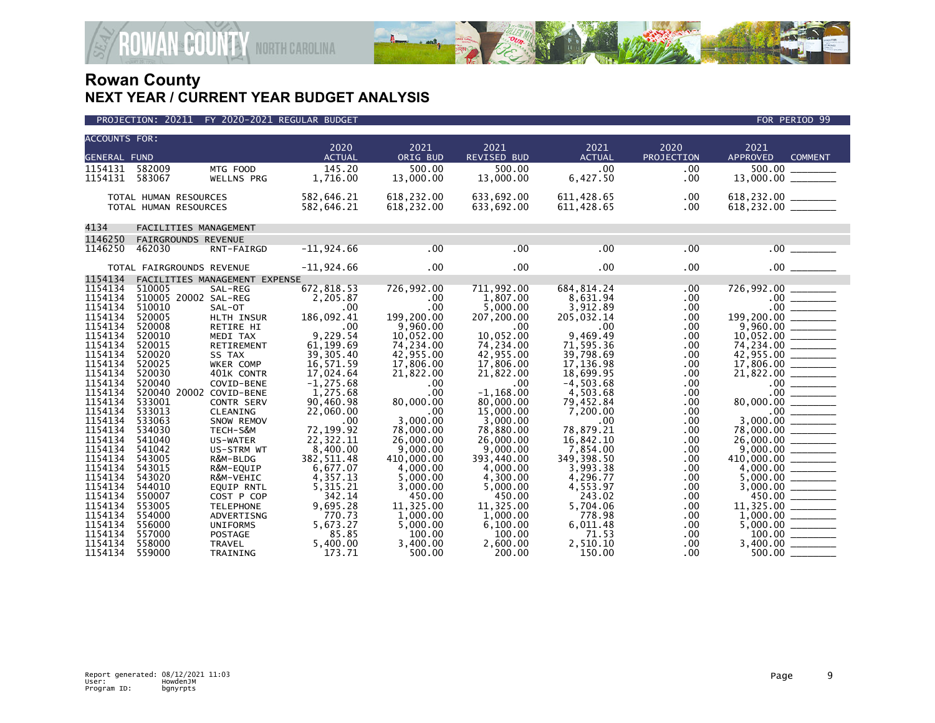

| <b>ACCOUNTS FOR:</b> |                               |                   |                       |                  |                     |                       |                    |                                                                                                                                                                                                   |
|----------------------|-------------------------------|-------------------|-----------------------|------------------|---------------------|-----------------------|--------------------|---------------------------------------------------------------------------------------------------------------------------------------------------------------------------------------------------|
| <b>GENERAL FUND</b>  |                               |                   | 2020<br><b>ACTUAL</b> | 2021<br>ORIG BUD | 2021<br>REVISED BUD | 2021<br><b>ACTUAL</b> | 2020<br>PROJECTION | 2021<br><b>APPROVED</b><br><b>COMMENT</b>                                                                                                                                                         |
| 1154131              | 582009                        | MTG FOOD          | 145.20                | 500.00           | 500.00              | .00                   | .00                | 500.00                                                                                                                                                                                            |
| 1154131              | 583067                        | <b>WELLNS PRG</b> | 1,716.00              | 13,000.00        | 13,000.00           | 6,427.50              | .00                |                                                                                                                                                                                                   |
|                      |                               |                   |                       |                  |                     |                       |                    |                                                                                                                                                                                                   |
|                      | TOTAL HUMAN RESOURCES         |                   | 582,646.21            | 618,232.00       | 633,692.00          | 611,428.65            | .00                |                                                                                                                                                                                                   |
|                      | TOTAL HUMAN RESOURCES         |                   | 582,646.21            | 618,232.00       | 633,692.00          | 611,428.65            | .00                |                                                                                                                                                                                                   |
|                      |                               |                   |                       |                  |                     |                       |                    |                                                                                                                                                                                                   |
| 4134                 | FACILITIES MANAGEMENT         |                   |                       |                  |                     |                       |                    |                                                                                                                                                                                                   |
| 1146250              | FAIRGROUNDS REVENUE           |                   |                       |                  |                     |                       |                    |                                                                                                                                                                                                   |
| 1146250              | 462030                        | RNT-FAIRGD        | $-11,924.66$          | .00              | $.00 \times$        | .00                   | .00                | .00                                                                                                                                                                                               |
|                      |                               |                   |                       |                  |                     |                       |                    |                                                                                                                                                                                                   |
|                      | TOTAL FAIRGROUNDS REVENUE     |                   | $-11,924.66$          | $.00 \,$         | .00                 | .00                   | .00                | .00                                                                                                                                                                                               |
| 1154134              | FACILITIES MANAGEMENT EXPENSE |                   |                       |                  |                     |                       |                    |                                                                                                                                                                                                   |
| 1154134              | 510005                        | SAL-REG           | 672,818.53            | 726,992.00       | 711,992.00          | 684, 814.24           | .00.               | 726,992.00                                                                                                                                                                                        |
| 1154134              | 510005 20002 SAL-REG          |                   | 2,205.87              | .00              | 1.807.00            | 8,631.94              | .00.               |                                                                                                                                                                                                   |
| 1154134              | 510010                        | SAL-OT            | .00                   | .00              | 5,000.00            | 3,912.89              | .00                |                                                                                                                                                                                                   |
| 1154134              | 520005                        | HLTH INSUR        | 186,092.41            | 199,200.00       | 207,200.00          | 205,032.14            | .00                | $\frac{1}{00}$ $\frac{1}{00}$<br>199,200.00                                                                                                                                                       |
| 1154134              | 520008                        | RETIRE HI         | .00                   | 9,960.00         | .00                 | .00                   | .00                |                                                                                                                                                                                                   |
| 1154134              | 520010                        | MEDI TAX          | 9,229.54              | 10,052.00        | 10.052.00           | 9.469.49              | .00                |                                                                                                                                                                                                   |
| 1154134              | 520015                        | RETIREMENT        | 61,199.69             | 74,234.00        | 74,234.00           | 71,595.36             | .00                | 74,234.00                                                                                                                                                                                         |
| 1154134              | 520020                        | SS TAX            | 39,305.40             | 42,955.00        | 42,955.00           | 39,798.69             | .00                | 42,955.00                                                                                                                                                                                         |
| 1154134              | 520025                        | WKER COMP         | 16,571.59             | 17,806.00        | 17,806.00           | 17, 136.98            | .00                | $17,806.00$ _________                                                                                                                                                                             |
| 1154134              | 520030                        | 401K CONTR        | 17,024.64             | 21,822.00        | 21,822.00           | 18,699.95             | .00                |                                                                                                                                                                                                   |
| 1154134              | 520040                        | COVID-BENE        | $-1, 275.68$          | .00              | .00                 | $-4,503.68$           | .00                |                                                                                                                                                                                                   |
| 1154134              | 520040 20002 COVID-BENE       |                   | 1,275.68              | .00              | $-1, 168.00$        | 4,503.68              | .00                | $80,000.00$ $0.00$ $0.00$ $0.00$ $0.00$ $0.00$ $0.00$ $0.00$ $0.00$ $0.00$ $0.00$ $0.00$ $0.00$ $0.00$ $0.00$ $0.00$ $0.00$ $0.00$ $0.00$ $0.00$ $0.00$ $0.00$ $0.00$ $0.00$ $0.00$ $0.00$ $0.00$ |
| 1154134              | 533001                        | CONTR SERV        | 90,460.98             | 80,000.00        | 80,000,00           | 79.452.84             | .00                |                                                                                                                                                                                                   |
| 1154134              | 533013                        | CLEANING          | 22,060.00             | .00              | 15,000.00           | 7,200.00              | .00                |                                                                                                                                                                                                   |
| 1154134              | 533063                        | SNOW REMOV        | .00                   | 3,000.00         | 3,000.00            | .00                   | .00                |                                                                                                                                                                                                   |
| 1154134              | 534030                        | TECH-S&M          | 72,199.92             | 78,000.00        | 78,880.00           | 78,879.21             | .00                |                                                                                                                                                                                                   |
| 1154134              | 541040                        | US-WATER          | 22,322.11             | 26,000.00        | 26,000.00           | 16,842.10             | .00                |                                                                                                                                                                                                   |
| 1154134              | 541042                        | US-STRM WT        | 8,400.00              | 9,000.00         | 9,000.00            | 7,854.00              | .00                |                                                                                                                                                                                                   |
| 1154134              | 543005                        | R&M-BLDG          | 382, 511.48           | 410,000.00       | 393,440.00          | 349.398.50            | .00                | 410,000.00 _______                                                                                                                                                                                |
| 1154134              | 543015                        | R&M-EQUIP         | 6,677.07              | 4,000.00         | 4,000.00            | 3,993.38              | .00                |                                                                                                                                                                                                   |
| 1154134              | 543020                        | R&M-VEHIC         | 4,357.13              | 5.000.00         | 4,300.00            | 4,296.77              | .00                |                                                                                                                                                                                                   |
| 1154134              | 544010                        | <b>EQUIP RNTL</b> | 5,315.21              | 3.000.00         | 5.000.00            | 4.553.97              | .00                |                                                                                                                                                                                                   |
| 1154134              | 550007                        | COST P COP        | 342.14                | 450.00           | 450.00              | 243.02                | .00                | 450.00                                                                                                                                                                                            |
| 1154134              | 553005                        | <b>TELEPHONE</b>  | 9,695.28              | 11,325.00        | 11,325.00           | 5,704.06              | .00                |                                                                                                                                                                                                   |
| 1154134              | 554000                        | ADVERTISNG        | 770.73                | 1.000.00         | 1.000.00            | 778.98                | .00                |                                                                                                                                                                                                   |
| 1154134              | 556000                        | <b>UNIFORMS</b>   | 5,673.27              | 5,000.00         | 6,100.00            | 6,011.48              | .00                |                                                                                                                                                                                                   |
| 1154134              | 557000                        | POSTAGE           | 85.85                 | 100.00           | 100.00              | 71.53                 | .00                | 100.00                                                                                                                                                                                            |
| 1154134              | 558000                        | <b>TRAVEL</b>     | 5,400.00              | 3,400.00         | 2,600.00            | 2,510.10              | .00                | 3,400.00                                                                                                                                                                                          |
| 1154134              | 559000                        | TRAINING          | 173.71                | 500.00           | 200.00              | 150.00                | $.00 \,$           | 500.00                                                                                                                                                                                            |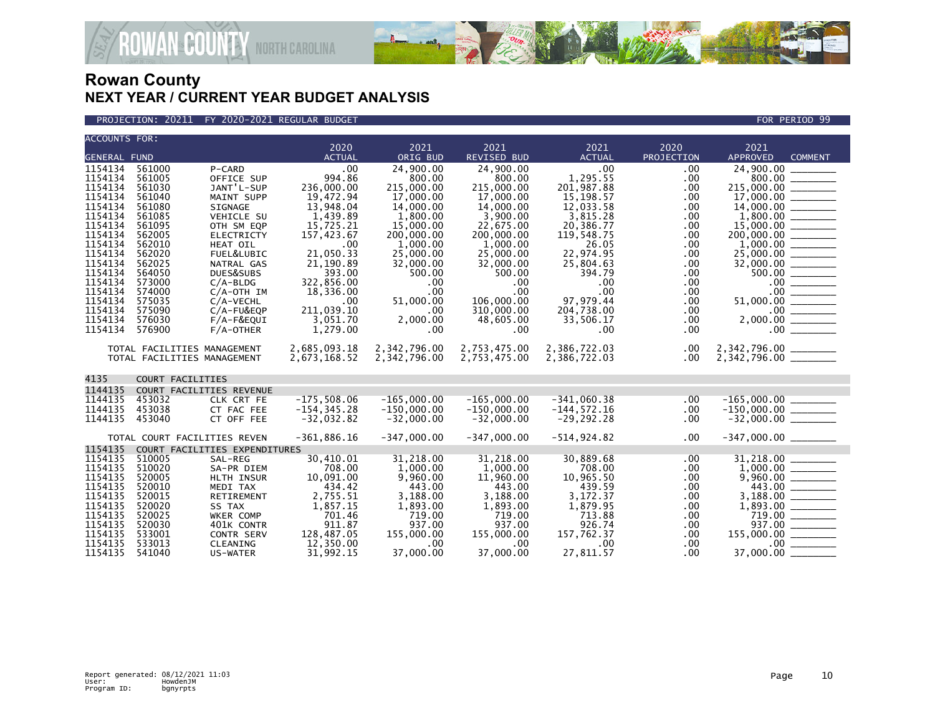

AN<sup>&</sup> COUNTY NORTH CAROLINA

| <b>ACCOUNTS FOR:</b> |                  |                               |                    |                        |                        |                     |            |                                   |
|----------------------|------------------|-------------------------------|--------------------|------------------------|------------------------|---------------------|------------|-----------------------------------|
|                      |                  |                               | 2020               | 2021                   | 2021                   | 2021                | 2020       | 2021                              |
| <b>GENERAL FUND</b>  |                  |                               | <b>ACTUAL</b>      | ORIG BUD               | <b>REVISED BUD</b>     | <b>ACTUAL</b>       | PROJECTION | <b>APPROVED</b><br><b>COMMENT</b> |
| 1154134              | 561000           | P-CARD                        | .00                | 24,900.00              | 24,900.00              | .00                 | .00        | 24,900.00                         |
| 1154134              | 561005           | OFFICE SUP                    | 994.86             | 800.00                 | 800.00                 | 1,295.55            | .00        | 800.00                            |
| 1154134              | 561030           | JANT'L-SUP                    | 236,000.00         | 215,000.00             | 215,000.00             | 201,987.88          | .00        | 215,000.00                        |
| 1154134              | 561040           | MAINT SUPP                    | 19,472.94          | 17,000.00              | 17,000.00              | 15,198.57           | .00        |                                   |
| 1154134              | 561080           | SIGNAGE                       | 13,948.04          | 14,000.00              | 14,000.00              | 12,033.58           | .00        | 14,000.00                         |
| 1154134              | 561085           | <b>VEHICLE SU</b>             | 1.439.89           | 1,800,00               | 3.900.00               | 3.815.28            | .00        |                                   |
| 1154134              | 561095           | OTH SM EQP                    | 15,725.21          | 15,000.00              | 22,675.00              | 20,386.77           | .00        |                                   |
| 1154134<br>1154134   | 562005           | <b>ELECTRICTY</b>             | 157,423.67         | 200,000.00<br>1,000.00 | 200,000.00<br>1,000.00 | 119,548.75<br>26.05 | .00        | 200,000.00 _______                |
| 1154134              | 562010<br>562020 | <b>HEAT OIL</b><br>FUEL&LUBIC | .00<br>21,050.33   | 25,000.00              | 25,000.00              | 22,974.95           | .00<br>.00 |                                   |
| 1154134              | 562025           | NATRAL GAS                    | 21,190.89          | 32,000.00              | 32,000.00              | 25,804.63           |            |                                   |
| 1154134              | 564050           | DUES&SUBS                     | 393.00             | 500.00                 | 500.00                 | 394.79              | .00<br>.00 | $500.00$                          |
| 1154134              | 573000           | $C/A-BLDG$                    | 322,856.00         | .00                    | .00.                   | .00                 | .00        |                                   |
| 1154134              | 574000           | $C/A$ -OTH IM                 | 18,336.00          | .00                    | .00                    | .00                 | .00        |                                   |
| 1154134              | 575035           | C/A-VECHL                     | .00                | 51,000.00              | 106,000.00             | 97.979.44           | .00        |                                   |
| 1154134              | 575090           | $C/A$ -FU&EQP                 | 211,039.10         | .00                    | 310,000.00             | 204,738.00          | .00        |                                   |
| 1154134              | 576030           | $F/A-F\&EQUI$                 | 3.051.70           | 2,000.00               | 48,605.00              | 33,506.17           | .00        |                                   |
| 1154134              | 576900           | $F/A$ -OTHER                  | 1,279.00           | .00                    | .00.                   | .00.                | .00        | 2,000.00                          |
|                      |                  |                               |                    |                        |                        |                     |            |                                   |
|                      |                  | TOTAL FACILITIES MANAGEMENT   | 2.685.093.18       | 2,342,796.00           | 2,753,475.00           | 2,386,722.03        | .00        | 2,342,796.00 _______              |
|                      |                  | TOTAL FACILITIES MANAGEMENT   | 2,673,168.52       | 2,342,796.00           | 2,753,475.00           | 2,386,722.03        | .00        | 2,342,796.00 _______              |
|                      |                  |                               |                    |                        |                        |                     |            |                                   |
| 4135                 |                  | COURT FACILITIES              |                    |                        |                        |                     |            |                                   |
| 1144135              |                  | COURT FACILITIES REVENUE      |                    |                        |                        |                     |            |                                   |
| 1144135              | 453032           | CLK CRT FE                    | $-175,508.06$      | $-165,000.00$          | $-165,000.00$          | $-341,060.38$       | .00        | $-165,000.00$                     |
| 1144135              | 453038           | CT FAC FEE                    | $-154, 345.28$     | $-150,000.00$          | $-150,000.00$          | $-144, 572.16$      | .00        | $-150,000.00$ ________            |
| 1144135              | 453040           | CT OFF FEE                    | $-32,032.82$       | $-32,000.00$           | $-32.000.00$           | $-29, 292.28$       | .00        |                                   |
|                      |                  |                               |                    |                        |                        |                     |            |                                   |
|                      |                  | TOTAL COURT FACILITIES REVEN  | $-361,886.16$      | $-347,000.00$          | $-347,000.00$          | $-514, 924.82$      | .00        | $-347,000.00$ ________            |
| 1154135              |                  | COURT FACILITIES EXPENDITURES |                    |                        |                        |                     |            |                                   |
| 1154135              | 510005           | SAL-REG                       | 30,410.01          | 31.218.00              | 31.218.00              | 30.889.68           | $.00 \,$   | 31.218.00                         |
| 1154135              | 510020           | SA-PR DIEM                    | 708.00             | 1,000.00               | 1,000.00               | 708.00              | .00.       |                                   |
| 1154135              | 520005           | HLTH INSUR                    | 10,091.00          | 9,960.00               | 11,960.00              | 10,965.50           | .00.       |                                   |
| 1154135<br>1154135   | 520010           | MEDI TAX                      | 434.42             | 443.00                 | 443.00                 | 439.59              | .00        |                                   |
| 1154135              | 520015<br>520020 | RETIREMENT                    | 2,755.51           | 3,188.00               | 3,188.00               | 3,172.37            | .00.       | 3,188.00<br>$\frac{1}{2}$         |
| 1154135              | 520025           | SS TAX<br>WKER COMP           | 1,857.15<br>701.46 | 1,893.00<br>719.00     | 1,893.00<br>719.00     | 1,879.95<br>713.88  | .00<br>.00 | 719.00                            |
| 1154135              | 520030           | 401K CONTR                    | 911.87             | 937.00                 | 937.00                 | 926.74              | .00        |                                   |
| 1154135              | 533001           | <b>CONTR SERV</b>             | 128,487.05         | 155,000.00             | 155,000.00             | 157,762.37          | .00        | 155,000.00                        |
| 1154135              | 533013           | CLEANING                      | 12,350.00          | $.00 \,$               | .00.                   | .00                 | .00        | $.00 \,$                          |
| 1154135              | 541040           | US-WATER                      | 31,992.15          | 37,000.00              | 37,000.00              | 27,811.57           | .00        | 37,000.00                         |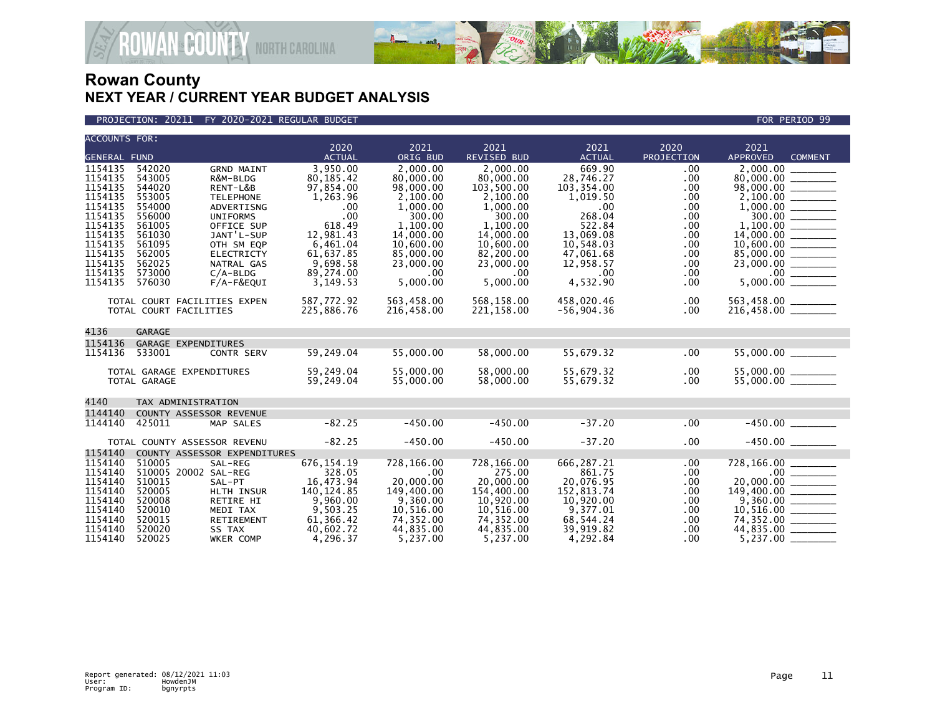

VAN<sup>&</sup>GOUNTY NORTH CAROLINA

| <b>ACCOUNTS FOR:</b>                                                                                                                        |                                                                                                                                |                                                                                                                                                                                                         | 2020                                                                                                                                               | 2021                                                                                                                                                    | 2021                                                                                                                                                            | 2021                                                                                                                                                 | 2020                                                                                        | 2021                                                                                                        |
|---------------------------------------------------------------------------------------------------------------------------------------------|--------------------------------------------------------------------------------------------------------------------------------|---------------------------------------------------------------------------------------------------------------------------------------------------------------------------------------------------------|----------------------------------------------------------------------------------------------------------------------------------------------------|---------------------------------------------------------------------------------------------------------------------------------------------------------|-----------------------------------------------------------------------------------------------------------------------------------------------------------------|------------------------------------------------------------------------------------------------------------------------------------------------------|---------------------------------------------------------------------------------------------|-------------------------------------------------------------------------------------------------------------|
| <b>GENERAL FUND</b>                                                                                                                         |                                                                                                                                |                                                                                                                                                                                                         | <b>ACTUAL</b>                                                                                                                                      | ORIG BUD                                                                                                                                                | <b>REVISED BUD</b>                                                                                                                                              | <b>ACTUAL</b>                                                                                                                                        | PROJECTION                                                                                  | <b>APPROVED</b><br><b>COMMENT</b>                                                                           |
| 1154135<br>1154135<br>1154135<br>1154135<br>1154135<br>1154135<br>1154135<br>1154135<br>1154135<br>1154135<br>1154135<br>1154135<br>1154135 | 542020<br>543005<br>544020<br>553005<br>554000<br>556000<br>561005<br>561030<br>561095<br>562005<br>562025<br>573000<br>576030 | <b>GRND MAINT</b><br>R&M-BLDG<br>RENT-L&B<br><b>TELEPHONE</b><br>ADVERTISNG<br><b>UNIFORMS</b><br>OFFICE SUP<br>JANT'L-SUP<br>OTH SM EQP<br><b>ELECTRICTY</b><br>NATRAL GAS<br>$C/A-BLDG$<br>F/A-F&EQUI | 3,950.00<br>80, 185.42<br>97,854.00<br>1,263.96<br>.00<br>.00<br>618.49<br>12,981.43<br>6,461.04<br>61,637.85<br>9,698.58<br>89,274.00<br>3,149.53 | 2,000.00<br>80,000.00<br>98,000.00<br>2,100.00<br>1,000.00<br>300.00<br>1,100.00<br>14,000.00<br>10,600.00<br>85,000.00<br>23,000.00<br>.00<br>5,000.00 | 2.000.00<br>80,000.00<br>103,500.00<br>2,100.00<br>1.000.00<br>300.00<br>1.100.00<br>14,000.00<br>10,600.00<br>82,200.00<br>23,000.00<br>$.00 \ \,$<br>5,000.00 | 669.90<br>28,746.27<br>103,354.00<br>1,019.50<br>$.00 \,$<br>268.04<br>522.84<br>13.069.08<br>10,548.03<br>47,061.68<br>12,958.57<br>.00<br>4,532.90 | .00<br>.00<br>.00<br>.00.<br>.00<br>.00<br>.00.<br>.00.<br>.00<br>.00<br>.00<br>.00<br>.00. | 2,000.00<br>$\begin{array}{r} 85,000.00 \\ 23,000.00 \\ 23,000.00 \\ \hline 5,000.00 \\ \hline \end{array}$ |
|                                                                                                                                             | TOTAL COURT FACILITIES EXPEN<br>TOTAL COURT FACILITIES                                                                         |                                                                                                                                                                                                         | 587,772.92<br>225,886.76                                                                                                                           | 563,458.00<br>216,458.00                                                                                                                                | 568,158.00<br>221,158.00                                                                                                                                        | 458,020.46<br>$-56,904.36$                                                                                                                           | .00.<br>.00.                                                                                | 563,458.00 ______<br>216,458.00 ______                                                                      |
| 4136                                                                                                                                        | GARAGE                                                                                                                         |                                                                                                                                                                                                         |                                                                                                                                                    |                                                                                                                                                         |                                                                                                                                                                 |                                                                                                                                                      |                                                                                             |                                                                                                             |
| 1154136<br>1154136                                                                                                                          | GARAGE EXPENDITURES<br>533001<br>TOTAL GARAGE EXPENDITURES<br>TOTAL GARAGE                                                     | <b>CONTR SERV</b>                                                                                                                                                                                       | 59,249.04<br>59,249.04<br>59,249.04                                                                                                                | 55,000.00<br>55,000.00<br>55,000.00                                                                                                                     | 58,000.00<br>58,000.00<br>58,000.00                                                                                                                             | 55,679.32<br>55,679.32<br>55,679.32                                                                                                                  | .00<br>.00<br>.00.                                                                          |                                                                                                             |
|                                                                                                                                             |                                                                                                                                |                                                                                                                                                                                                         |                                                                                                                                                    |                                                                                                                                                         |                                                                                                                                                                 |                                                                                                                                                      |                                                                                             |                                                                                                             |
| 4140                                                                                                                                        | TAX ADMINISTRATION                                                                                                             |                                                                                                                                                                                                         |                                                                                                                                                    |                                                                                                                                                         |                                                                                                                                                                 |                                                                                                                                                      |                                                                                             |                                                                                                             |
| 1144140<br>1144140                                                                                                                          | COUNTY ASSESSOR REVENUE<br>425011                                                                                              | MAP SALES                                                                                                                                                                                               | $-82.25$                                                                                                                                           | $-450.00$                                                                                                                                               | $-450.00$                                                                                                                                                       | $-37.20$                                                                                                                                             | .00                                                                                         |                                                                                                             |
|                                                                                                                                             | TOTAL COUNTY ASSESSOR REVENU                                                                                                   |                                                                                                                                                                                                         | $-82.25$                                                                                                                                           | $-450.00$                                                                                                                                               | $-450.00$                                                                                                                                                       | $-37.20$                                                                                                                                             | .00                                                                                         |                                                                                                             |
| 1154140<br>1154140<br>1154140<br>1154140<br>1154140<br>1154140<br>1154140<br>1154140<br>1154140<br>1154140                                  | 510005<br>510005 20002 SAL-REG<br>510015<br>520005<br>520008<br>520010<br>520015<br>520020<br>520025                           | COUNTY ASSESSOR EXPENDITURES<br>SAL-REG<br>SAL-PT<br>HLTH INSUR<br>RETIRE HI<br>MEDI TAX<br>RETIREMENT<br>SS TAX<br><b>WKER COMP</b>                                                                    | 676, 154. 19<br>328.05<br>16,473.94<br>140, 124.85<br>9,960.00<br>9,503.25<br>61,366.42<br>40,602.72<br>4.296.37                                   | 728,166.00<br>.00<br>20,000.00<br>149,400.00<br>9,360.00<br>10,516.00<br>74,352.00<br>44,835.00<br>5,237.00                                             | 728,166.00<br>275.00<br>20,000.00<br>154,400.00<br>10,920.00<br>10.516.00<br>74,352.00<br>44,835.00<br>5.237.00                                                 | 666,287.21<br>861.75<br>20,076.95<br>152,813.74<br>10,920.00<br>9.377.01<br>68,544.24<br>39,919.82<br>4.292.84                                       | .00<br>.00.<br>.00.<br>.00<br>.00<br>.00.<br>.00<br>.00.<br>.00                             | 728,166.00<br>$9,360.00$<br>10,516.00<br>74,352.00<br>5,237.00                                              |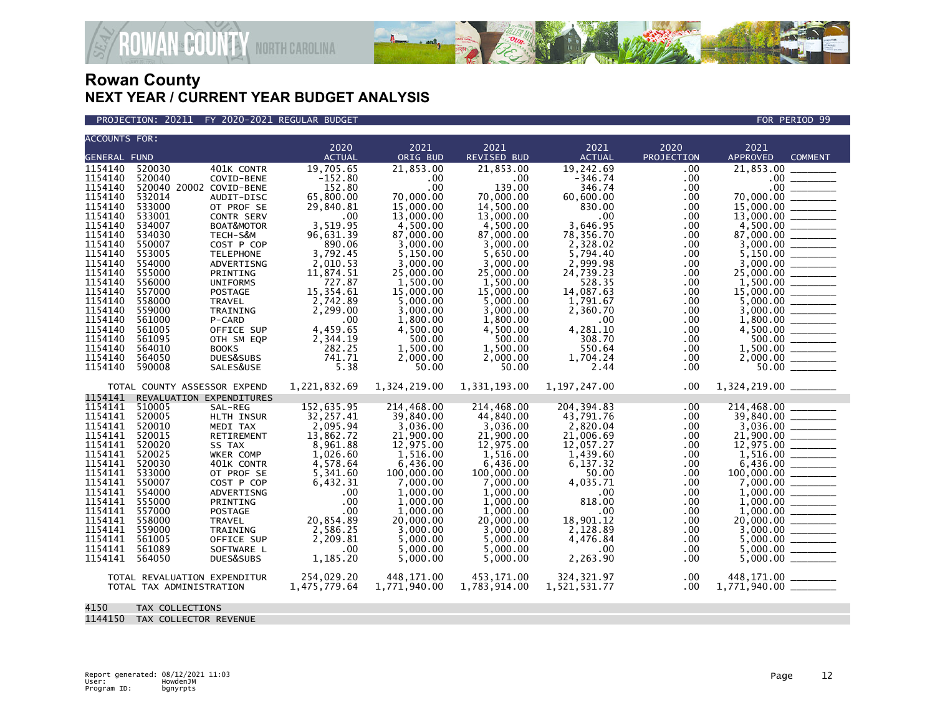

### PROJECTION: 20211 FY 2020-2021 REGULAR BUDGET FOR PERIOD 99

**ROWAN COUNTY NORTH CAROLINA** 

| <b>ACCOUNTS FOR:</b> |                                                          | 2020                  | 2021                   | 2021                   | 2021                  | 2020       | 2021                                                                                                                                                                                                                                                                                                                                                                                                                                                                                                |
|----------------------|----------------------------------------------------------|-----------------------|------------------------|------------------------|-----------------------|------------|-----------------------------------------------------------------------------------------------------------------------------------------------------------------------------------------------------------------------------------------------------------------------------------------------------------------------------------------------------------------------------------------------------------------------------------------------------------------------------------------------------|
| <b>GENERAL FUND</b>  |                                                          | <b>ACTUAL</b>         | ORIG BUD               | <b>REVISED BUD</b>     | <b>ACTUAL</b>         | PROJECTION | APPROVED<br><b>COMMENT</b>                                                                                                                                                                                                                                                                                                                                                                                                                                                                          |
| 1154140              | 401K CONTR<br>520030                                     | 19,705.65             | 21,853.00              | 21,853.00              | 19,242.69             | .00        | 21,853.00                                                                                                                                                                                                                                                                                                                                                                                                                                                                                           |
| 1154140              | 520040<br>COVID-BENE                                     | $-152.80$             | .00                    | .00                    | $-346.74$             | .00        |                                                                                                                                                                                                                                                                                                                                                                                                                                                                                                     |
| 1154140              | 520040 20002 COVID-BENE                                  | 152.80                | .00                    | 139.00                 | 346.74                | .00        | .00 <sub>1</sub><br>$\frac{1}{2} \left( \frac{1}{2} \right) \left( \frac{1}{2} \right) \left( \frac{1}{2} \right) \left( \frac{1}{2} \right) \left( \frac{1}{2} \right) \left( \frac{1}{2} \right) \left( \frac{1}{2} \right) \left( \frac{1}{2} \right) \left( \frac{1}{2} \right) \left( \frac{1}{2} \right) \left( \frac{1}{2} \right) \left( \frac{1}{2} \right) \left( \frac{1}{2} \right) \left( \frac{1}{2} \right) \left( \frac{1}{2} \right) \left( \frac{1}{2} \right) \left( \frac$      |
| 1154140              | 532014<br>AUDIT-DISC                                     | 65,800.00             | 70,000.00              | 70,000.00              | 60,600.00             | .00        | <u> Elizabeth I</u><br>70,000.00                                                                                                                                                                                                                                                                                                                                                                                                                                                                    |
| 1154140              | 533000<br>OT PROF SE                                     | 29,840.81             | 15,000,00              | 14,500.00              | 830.00                | .00        |                                                                                                                                                                                                                                                                                                                                                                                                                                                                                                     |
| 1154140              | 533001<br><b>CONTR SERV</b>                              | .00                   | 13,000.00              | 13,000.00              | .00                   | .00        |                                                                                                                                                                                                                                                                                                                                                                                                                                                                                                     |
| 1154140              | 534007<br>BOAT&MOTOR                                     | 3,519.95              | 4,500.00               | 4,500.00               | 3,646.95              | .00        |                                                                                                                                                                                                                                                                                                                                                                                                                                                                                                     |
| 1154140              | 534030<br>TECH-S&M                                       | 96,631.39             | 87,000.00              | 87,000.00              | 78,356.70             | .00        |                                                                                                                                                                                                                                                                                                                                                                                                                                                                                                     |
| 1154140              | 550007<br>COST P COP                                     | 890.06                | 3,000.00               | 3.000.00               | 2,328.02              | $.00 \,$   |                                                                                                                                                                                                                                                                                                                                                                                                                                                                                                     |
| 1154140              | 553005<br><b>TELEPHONE</b>                               | 3,792.45              | 5,150.00               | 5,650.00               | 5.794.40              | .00        |                                                                                                                                                                                                                                                                                                                                                                                                                                                                                                     |
| 1154140<br>1154140   | 554000<br>ADVERTISNG<br>555000<br>PRINTING               | 2,010.53<br>11,874.51 | 3,000.00<br>25,000.00  | 3,000.00<br>25,000.00  | 2.999.98<br>24,739.23 | .00<br>.00 |                                                                                                                                                                                                                                                                                                                                                                                                                                                                                                     |
| 1154140              | 556000<br><b>UNIFORMS</b>                                | 727.87                | 1,500.00               | 1,500.00               | 528.35                | .00        |                                                                                                                                                                                                                                                                                                                                                                                                                                                                                                     |
| 1154140              | 557000<br>POSTAGE                                        | 15,354.61             | 15,000.00              | 15,000.00              | 14,087.63             | .00        |                                                                                                                                                                                                                                                                                                                                                                                                                                                                                                     |
| 1154140              | 558000<br><b>TRAVEL</b>                                  | 2,742.89              | 5,000.00               | 5,000.00               | 1,791.67              | .00        | $5,000.00$ $\frac{\phantom{0}}{\phantom{0}}$                                                                                                                                                                                                                                                                                                                                                                                                                                                        |
| 1154140              | 559000<br>TRAINING                                       | 2,299.00              | 3,000.00               | 3,000.00               | 2,360.70              | .00        |                                                                                                                                                                                                                                                                                                                                                                                                                                                                                                     |
| 1154140              | 561000<br>P-CARD                                         | .00                   | 1,800.00               | 1,800.00               | $.00 \,$              | $.00 \,$   |                                                                                                                                                                                                                                                                                                                                                                                                                                                                                                     |
| 1154140              | 561005<br>OFFICE SUP                                     | 4,459.65              | 4,500.00               | 4,500.00               | 4,281.10              | $.00 \,$   | $4,500.00$ $\frac{1}{\sqrt{1.500}}$                                                                                                                                                                                                                                                                                                                                                                                                                                                                 |
| 1154140              | 561095<br>OTH SM EQP                                     | 2,344.19              | 500.00                 | 500.00                 | 308.70                | $.00 \,$   | $500.00$ $\overline{\phantom{2500}}$                                                                                                                                                                                                                                                                                                                                                                                                                                                                |
| 1154140              | 564010<br><b>BOOKS</b>                                   | 282.25                | 1,500.00               | 1,500.00               | 550.64                | $.00 \,$   | 1,500.00<br>$\begin{tabular}{ccccc} \multicolumn{2}{c }{\textbf{1} & \textbf{2} & \textbf{3} & \textbf{4} & \textbf{5} & \textbf{5} & \textbf{6} & \textbf{7} & \textbf{8} & \textbf{8} & \textbf{9} & \textbf{10} & \textbf{10} & \textbf{10} & \textbf{10} & \textbf{10} & \textbf{10} & \textbf{10} & \textbf{10} & \textbf{10} & \textbf{10} & \textbf{10} & \textbf{10} & \textbf{10} & \textbf{10} & \textbf{10} & \textbf{$                                                                  |
| 1154140              | 564050<br>DUES&SUBS                                      | 741.71                | 2,000.00               | 2,000.00               | 1,704.24              | $.00 \,$   |                                                                                                                                                                                                                                                                                                                                                                                                                                                                                                     |
| 1154140              | 590008<br>SALES&USE                                      | 5.38                  | 50.00                  | 50.00                  | 2.44                  | $.00 \,$   |                                                                                                                                                                                                                                                                                                                                                                                                                                                                                                     |
|                      | TOTAL COUNTY ASSESSOR EXPEND                             | 1,221,832.69          | 1,324,219.00           | 1,331,193.00           | 1, 197, 247, 00       | $.00 \,$   |                                                                                                                                                                                                                                                                                                                                                                                                                                                                                                     |
| 1154141              | REVALUATION EXPENDITURES                                 |                       |                        |                        |                       |            |                                                                                                                                                                                                                                                                                                                                                                                                                                                                                                     |
| 1154141              | 510005<br>SAL-REG                                        | 152,635.95            | 214,468.00             | 214,468.00             | 204, 394.83           | .00        | 214,468.00                                                                                                                                                                                                                                                                                                                                                                                                                                                                                          |
| 1154141              | 520005<br>HLTH INSUR                                     | 32,257.41             | 39,840.00              | 44,840.00              | 43,791.76             | .00        | 39,840.00 ______                                                                                                                                                                                                                                                                                                                                                                                                                                                                                    |
| 1154141              | 520010<br>MEDI TAX                                       | 2,095.94              | 3,036.00               | 3,036.00               | 2,820.04              | $.00 \,$   |                                                                                                                                                                                                                                                                                                                                                                                                                                                                                                     |
| 1154141              | 520015<br>RETIREMENT                                     | 13,862.72             | 21,900.00              | 21,900.00              | 21,006.69             | .00        |                                                                                                                                                                                                                                                                                                                                                                                                                                                                                                     |
| 1154141              | 520020<br>SS TAX                                         | 8,961.88              | 12,975.00              | 12,975.00              | 12,057.27             | .00        |                                                                                                                                                                                                                                                                                                                                                                                                                                                                                                     |
| 1154141              | 520025<br>WKER COMP                                      | 1,026.60              | 1,516.00               | 1,516.00               | 1,439.60              | .00        |                                                                                                                                                                                                                                                                                                                                                                                                                                                                                                     |
| 1154141<br>1154141   | 520030<br>401K CONTR<br>533000<br>OT PROF SE             | 4,578.64<br>5,341.60  | 6,436.00<br>100,000.00 | 6,436.00<br>100,000.00 | 6,137.32<br>50.00     | .00<br>.00 |                                                                                                                                                                                                                                                                                                                                                                                                                                                                                                     |
| 1154141              | 550007<br>COST P COP                                     | 6,432.31              | 7.000.00               | 7.000.00               | 4,035.71              | .00        |                                                                                                                                                                                                                                                                                                                                                                                                                                                                                                     |
| 1154141              | 554000<br>ADVERTISNG                                     | .00                   | 1,000.00               | 1,000.00               | $.00 \,$              | .00        |                                                                                                                                                                                                                                                                                                                                                                                                                                                                                                     |
| 1154141              | 555000<br>PRINTING                                       | .00                   | 1,000.00               | 1,000.00               | 818.00                | .00        |                                                                                                                                                                                                                                                                                                                                                                                                                                                                                                     |
| 1154141              | 557000<br>POSTAGE                                        | .00                   | 1,000.00               | 1,000.00               | .00                   | .00        |                                                                                                                                                                                                                                                                                                                                                                                                                                                                                                     |
| 1154141              | 558000<br><b>TRAVEL</b>                                  | 20,854.89             | 20,000.00              | 20,000.00              | 18,901.12             | $.00 \,$   | 20,000.00<br>$\begin{array}{cccccccccc} \multicolumn{2}{c}{} & \multicolumn{2}{c}{} & \multicolumn{2}{c}{} & \multicolumn{2}{c}{} & \multicolumn{2}{c}{} & \multicolumn{2}{c}{} & \multicolumn{2}{c}{} & \multicolumn{2}{c}{} & \multicolumn{2}{c}{} & \multicolumn{2}{c}{} & \multicolumn{2}{c}{} & \multicolumn{2}{c}{} & \multicolumn{2}{c}{} & \multicolumn{2}{c}{} & \multicolumn{2}{c}{} & \multicolumn{2}{c}{} & \multicolumn{2}{c}{} & \multicolumn{2}{c}{} & \multicolumn{2}{c}{} & \mult$ |
| 1154141              | 559000<br>TRAINING                                       | 2,586.25              | 3,000.00               | 3,000.00               | 2,128.89              | .00        | 3,000.00                                                                                                                                                                                                                                                                                                                                                                                                                                                                                            |
| 1154141              | 561005<br>OFFICE SUP                                     | 2,209.81              | 5.000.00               | 5.000.00               | 4,476.84              | .00        |                                                                                                                                                                                                                                                                                                                                                                                                                                                                                                     |
| 1154141              | 561089<br>SOFTWARE L                                     | .00                   | 5,000.00               | 5,000.00               | $.00 \,$              | .00        | 5,000.00                                                                                                                                                                                                                                                                                                                                                                                                                                                                                            |
| 1154141              | 564050<br>DUES&SUBS                                      | 1.185.20              | 5.000.00               | 5.000.00               | 2.263.90              | .00        | 5.000.00                                                                                                                                                                                                                                                                                                                                                                                                                                                                                            |
|                      |                                                          | 254,029.20            | 448,171.00             | 453,171.00             | 324, 321.97           | $.00 \,$   | 448,171.00 _______                                                                                                                                                                                                                                                                                                                                                                                                                                                                                  |
|                      | TOTAL REVALUATION EXPENDITUR<br>TOTAL TAX ADMINISTRATION | 1,475,779.64          | 1,771,940.00           | 1,783,914.00           | 1,521,531.77          | $.00 \,$   |                                                                                                                                                                                                                                                                                                                                                                                                                                                                                                     |
|                      |                                                          |                       |                        |                        |                       |            |                                                                                                                                                                                                                                                                                                                                                                                                                                                                                                     |

- 4150 TAX COLLECTIONS
- 1144150 TAX COLLECTOR REVENUE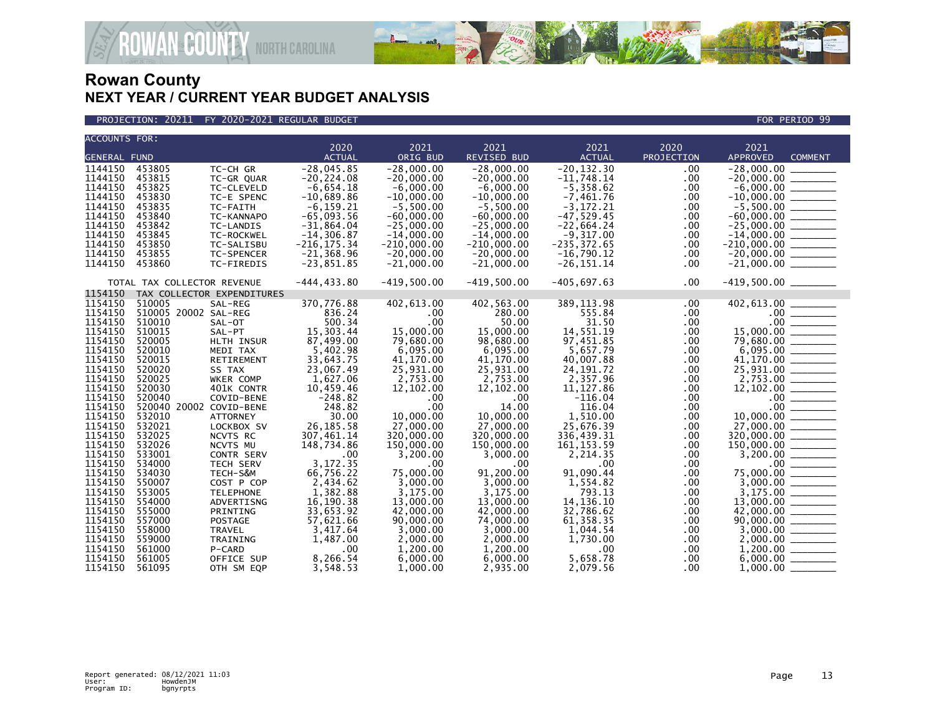

PROJECTION: 20211 FY 2020-2021 REGULAR BUDGET FOR PERIOD 99

**ROWAN-COUNTY NORTH CAROLINA** 

| <b>ACCOUNTS FOR:</b> |                             |                            | 2020                   | 2021                   | 2021                   | 2021                     | 2020       | 2021                                                                                                                                                                                                                                                                                                                                                                                           |                                                                                                                                                                                                                                                                                                                                                                                                                                                                                                         |
|----------------------|-----------------------------|----------------------------|------------------------|------------------------|------------------------|--------------------------|------------|------------------------------------------------------------------------------------------------------------------------------------------------------------------------------------------------------------------------------------------------------------------------------------------------------------------------------------------------------------------------------------------------|---------------------------------------------------------------------------------------------------------------------------------------------------------------------------------------------------------------------------------------------------------------------------------------------------------------------------------------------------------------------------------------------------------------------------------------------------------------------------------------------------------|
| <b>GENERAL FUND</b>  |                             |                            | <b>ACTUAL</b>          | ORIG BUD               | <b>REVISED BUD</b>     | <b>ACTUAL</b>            | PROJECTION | APPROVED                                                                                                                                                                                                                                                                                                                                                                                       | <b>COMMENT</b>                                                                                                                                                                                                                                                                                                                                                                                                                                                                                          |
| 1144150              | 453805                      | TC-CH GR                   | $-28,045.85$           | $-28,000.00$           | $-28,000.00$           | $-20, 132.30$            | .00        | $-28,000.00$                                                                                                                                                                                                                                                                                                                                                                                   |                                                                                                                                                                                                                                                                                                                                                                                                                                                                                                         |
| 1144150              | 453815                      | TC-GR QUAR                 | $-20, 224.08$          | $-20,000.00$           | $-20,000.00$           | $-11,748.14$             | .00        | $-20,000.00$                                                                                                                                                                                                                                                                                                                                                                                   |                                                                                                                                                                                                                                                                                                                                                                                                                                                                                                         |
| 1144150              | 453825                      | TC-CLEVELD                 | $-6,654.18$            | $-6,000.00$            | $-6,000.00$            | $-5,358.62$              | .00        |                                                                                                                                                                                                                                                                                                                                                                                                |                                                                                                                                                                                                                                                                                                                                                                                                                                                                                                         |
| 1144150              | 453830                      | TC-E SPENC                 | $-10,689.86$           | $-10,000.00$           | $-10,000.00$           | $-7,461.76$              | .00        |                                                                                                                                                                                                                                                                                                                                                                                                |                                                                                                                                                                                                                                                                                                                                                                                                                                                                                                         |
| 1144150              | 453835                      | TC-FAITH                   | $-6, 159.21$           | $-5,500.00$            | $-5,500.00$            | $-3, 172.21$             | .00        |                                                                                                                                                                                                                                                                                                                                                                                                |                                                                                                                                                                                                                                                                                                                                                                                                                                                                                                         |
| 1144150              | 453840                      | TC-KANNAPO                 | $-65,093.56$           | $-60,000.00$           | $-60,000.00$           | $-47,529.45$             | .00        |                                                                                                                                                                                                                                                                                                                                                                                                |                                                                                                                                                                                                                                                                                                                                                                                                                                                                                                         |
| 1144150              | 453842                      | TC-LANDIS                  | $-31,864.04$           | $-25,000.00$           | $-25,000.00$           | $-22,664.24$             | .00        |                                                                                                                                                                                                                                                                                                                                                                                                |                                                                                                                                                                                                                                                                                                                                                                                                                                                                                                         |
| 1144150              | 453845                      | TC-ROCKWEL                 | $-14, 306.87$          | $-14,000.00$           | $-14,000.00$           | $-9,317.00$              | .00        | $-14,000.00$                                                                                                                                                                                                                                                                                                                                                                                   |                                                                                                                                                                                                                                                                                                                                                                                                                                                                                                         |
| 1144150              | 453850                      | TC-SALISBU                 | $-216, 175.34$         | $-210,000.00$          | $-210,000.00$          | $-235, 372.65$           | .00        | $-210,000.00$ ________                                                                                                                                                                                                                                                                                                                                                                         |                                                                                                                                                                                                                                                                                                                                                                                                                                                                                                         |
| 1144150              | 453855                      | TC-SPENCER                 | $-21,368.96$           | $-20,000.00$           | $-20,000.00$           | $-16,790.12$             | .00        |                                                                                                                                                                                                                                                                                                                                                                                                |                                                                                                                                                                                                                                                                                                                                                                                                                                                                                                         |
| 1144150              | 453860                      | TC-FIREDIS                 | $-23,851.85$           | $-21,000.00$           | $-21,000.00$           | $-26, 151.14$            | .00        | $-21,000.00$ ________                                                                                                                                                                                                                                                                                                                                                                          |                                                                                                                                                                                                                                                                                                                                                                                                                                                                                                         |
|                      | TOTAL TAX COLLECTOR REVENUE |                            | $-444, 433.80$         | $-419,500.00$          | $-419,500.00$          | $-405,697.63$            | .00        | $-419,500.00$ ________                                                                                                                                                                                                                                                                                                                                                                         |                                                                                                                                                                                                                                                                                                                                                                                                                                                                                                         |
| 1154150              |                             | TAX COLLECTOR EXPENDITURES |                        |                        |                        |                          |            |                                                                                                                                                                                                                                                                                                                                                                                                |                                                                                                                                                                                                                                                                                                                                                                                                                                                                                                         |
| 1154150              | 510005                      | SAL-REG                    | 370,776.88             | 402,613.00             | 402,563.00             | 389, 113.98              | .00.       |                                                                                                                                                                                                                                                                                                                                                                                                |                                                                                                                                                                                                                                                                                                                                                                                                                                                                                                         |
| 1154150              | 510005 20002 SAL-REG        |                            | 836.24                 | .00                    | 280.00                 | 555.84                   | .00.       |                                                                                                                                                                                                                                                                                                                                                                                                |                                                                                                                                                                                                                                                                                                                                                                                                                                                                                                         |
| 1154150              | 510010                      | SAL-OT                     | 500.34                 | .00                    | 50.00                  | 31.50                    | .00        |                                                                                                                                                                                                                                                                                                                                                                                                | $\frac{100}{00}$                                                                                                                                                                                                                                                                                                                                                                                                                                                                                        |
| 1154150              | 510015                      | SAL-PT                     | 15,303.44              | 15,000.00              | 15,000.00              | 14,551.19                | .00        |                                                                                                                                                                                                                                                                                                                                                                                                |                                                                                                                                                                                                                                                                                                                                                                                                                                                                                                         |
| 1154150              | 520005                      | HLTH INSUR                 | 87,499.00              | 79,680.00              | 98,680.00              | 97,451.85                | .00        |                                                                                                                                                                                                                                                                                                                                                                                                |                                                                                                                                                                                                                                                                                                                                                                                                                                                                                                         |
| 1154150              | 520010                      | MEDI TAX                   | 5,402.98               | 6,095.00               | 6,095.00               | 5,657.79                 | .00        | $6,095.00$ ________                                                                                                                                                                                                                                                                                                                                                                            |                                                                                                                                                                                                                                                                                                                                                                                                                                                                                                         |
| 1154150<br>1154150   | 520015<br>520020            | RETIREMENT                 | 33,643.75<br>23,067.49 | 41,170.00<br>25,931.00 | 41,170.00<br>25,931.00 | 40,007.88<br>24, 191. 72 | .00        | 41,170.00<br>25,931.00                                                                                                                                                                                                                                                                                                                                                                         | $\frac{1}{2}$                                                                                                                                                                                                                                                                                                                                                                                                                                                                                           |
| 1154150              | 520025                      | SS TAX<br>WKER COMP        |                        |                        |                        |                          | .00        | 2,753.00                                                                                                                                                                                                                                                                                                                                                                                       | $\frac{1}{1}$                                                                                                                                                                                                                                                                                                                                                                                                                                                                                           |
| 1154150              | 520030                      | 401K CONTR                 | 1,627.06<br>10,459.46  | 2,753.00<br>12,102.00  | 2,753.00<br>12,102.00  | 2,357.96<br>11, 127.86   | .00<br>.00 | 12,102.00                                                                                                                                                                                                                                                                                                                                                                                      |                                                                                                                                                                                                                                                                                                                                                                                                                                                                                                         |
| 1154150              | 520040                      | COVID-BENE                 | $-248.82$              | .00                    | $.00 \,$               | $-116.04$                | .00        | .00 <sub>1</sub>                                                                                                                                                                                                                                                                                                                                                                               | $\begin{array}{cccccccccc} \multicolumn{2}{c}{} & \multicolumn{2}{c}{} & \multicolumn{2}{c}{} & \multicolumn{2}{c}{} & \multicolumn{2}{c}{} & \multicolumn{2}{c}{} & \multicolumn{2}{c}{} & \multicolumn{2}{c}{} & \multicolumn{2}{c}{} & \multicolumn{2}{c}{} & \multicolumn{2}{c}{} & \multicolumn{2}{c}{} & \multicolumn{2}{c}{} & \multicolumn{2}{c}{} & \multicolumn{2}{c}{} & \multicolumn{2}{c}{} & \multicolumn{2}{c}{} & \multicolumn{2}{c}{} & \multicolumn{2}{c}{} & \mult$<br>$\frac{1}{1}$ |
| 1154150              | 520040 20002 COVID-BENE     |                            | 248.82                 | $.00 \times$           | 14.00                  | 116.04                   | .00        |                                                                                                                                                                                                                                                                                                                                                                                                |                                                                                                                                                                                                                                                                                                                                                                                                                                                                                                         |
| 1154150              | 532010                      | <b>ATTORNEY</b>            | 30.00                  | 10,000.00              | 10,000.00              | 1,510.00                 | .00        | $\begin{array}{r} .00  \hline .00  \hline .00  \hline .00  \hline .00  \hline .00  \hline .00  \hline .00  \hline .00  \hline .00  \hline .00  \hline .00  \hline .00  \hline .00  \hline .00  \hline .00  \hline .00  \hline .00  \hline .00  \hline .00  \hline .00  \hline .00  \hline .00  \hline .00  \hline .00  \hline .00  \hline .00  \hline .00  \hline .00  \hline .00  \hline .00$ |                                                                                                                                                                                                                                                                                                                                                                                                                                                                                                         |
| 1154150              | 532021                      | LOCKBOX SV                 | 26, 185. 58            | 27,000.00              | 27,000.00              | 25,676.39                | .00        |                                                                                                                                                                                                                                                                                                                                                                                                |                                                                                                                                                                                                                                                                                                                                                                                                                                                                                                         |
| 1154150              | 532025                      | NCVTS RC                   | 307,461.14             | 320,000.00             | 320,000.00             | 336,439.31               | .00        | 320,000.00                                                                                                                                                                                                                                                                                                                                                                                     |                                                                                                                                                                                                                                                                                                                                                                                                                                                                                                         |
| 1154150              | 532026                      | NCVTS MU                   | 148,734.86             | 150,000.00             | 150,000.00             | 161, 153.59              | .00        |                                                                                                                                                                                                                                                                                                                                                                                                |                                                                                                                                                                                                                                                                                                                                                                                                                                                                                                         |
| 1154150              | 533001                      | <b>CONTR SERV</b>          | .00                    | 3,200.00               | 3,000.00               | 2,214.35                 | .00        |                                                                                                                                                                                                                                                                                                                                                                                                |                                                                                                                                                                                                                                                                                                                                                                                                                                                                                                         |
| 1154150              | 534000                      | <b>TECH SERV</b>           | 3,172.35               | .00                    | .00                    | .00                      | .00        |                                                                                                                                                                                                                                                                                                                                                                                                |                                                                                                                                                                                                                                                                                                                                                                                                                                                                                                         |
| 1154150              | 534030                      | TECH-S&M                   | 66,756.22              | 75,000.00              | 91,200.00              | 91,090.44                | .00        | $75,000.00$ $\overline{\hspace{1cm}}$<br>3,000.00                                                                                                                                                                                                                                                                                                                                              |                                                                                                                                                                                                                                                                                                                                                                                                                                                                                                         |
| 1154150              | 550007                      | COST P COP                 | 2,434.62               | 3.000.00               | 3,000.00               | 1,554.82                 | .00        |                                                                                                                                                                                                                                                                                                                                                                                                |                                                                                                                                                                                                                                                                                                                                                                                                                                                                                                         |
| 1154150              | 553005                      | <b>TELEPHONE</b>           | 1,382.88               | 3,175.00               | 3,175.00               | 793.13                   | .00        | 3,175.00                                                                                                                                                                                                                                                                                                                                                                                       |                                                                                                                                                                                                                                                                                                                                                                                                                                                                                                         |
| 1154150              | 554000                      | ADVERTISNG                 | 16,190.38              | 13,000.00              | 13,000.00              | 14, 136. 10              | .00        | 13,000.00                                                                                                                                                                                                                                                                                                                                                                                      |                                                                                                                                                                                                                                                                                                                                                                                                                                                                                                         |
| 1154150              | 555000                      | PRINTING                   | 33,653.92              | 42,000.00              | 42,000.00              | 32,786.62                | .00        |                                                                                                                                                                                                                                                                                                                                                                                                |                                                                                                                                                                                                                                                                                                                                                                                                                                                                                                         |
| 1154150              | 557000                      | POSTAGE                    | 57,621.66              | 90,000.00              | 74,000.00              | 61, 358.35               | .00        |                                                                                                                                                                                                                                                                                                                                                                                                |                                                                                                                                                                                                                                                                                                                                                                                                                                                                                                         |
| 1154150              | 558000                      | <b>TRAVEL</b>              | 3,417.64               | 3,000.00               | 3.000.00               | 1,044.54                 | .00        |                                                                                                                                                                                                                                                                                                                                                                                                |                                                                                                                                                                                                                                                                                                                                                                                                                                                                                                         |
| 1154150              | 559000                      | <b>TRAINING</b>            | 1,487.00               | 2,000.00               | 2,000.00               | 1,730.00                 | .00        | 2,000.00                                                                                                                                                                                                                                                                                                                                                                                       |                                                                                                                                                                                                                                                                                                                                                                                                                                                                                                         |
| 1154150              | 561000                      | P-CARD                     | .00                    | 1,200.00               | 1,200.00               | $.00 \,$                 | .00        | 1,200.00                                                                                                                                                                                                                                                                                                                                                                                       | $\begin{tabular}{ll} \multicolumn{2}{c} {\textbf{1}} & \multicolumn{2}{c} {\textbf{1}} & \multicolumn{2}{c} {\textbf{1}} \\ \multicolumn{2}{c} {\textbf{1}} & \multicolumn{2}{c} {\textbf{1}} & \multicolumn{2}{c} {\textbf{1}} \\ \multicolumn{2}{c} {\textbf{1}} & \multicolumn{2}{c} {\textbf{1}} & \multicolumn{2}{c} {\textbf{1}} \\ \multicolumn{2}{c} {\textbf{1}} & \multicolumn{2}{c} {\textbf{1}} & \multicolumn{2}{c} {\textbf{1}} \\ \multicolumn{2}{c} {\textbf{1}} & \multicolumn$        |
| 1154150              | 561005                      | OFFICE SUP                 | 8,266.54               | 6,000.00               | 6,000.00               | 5.658.78                 | .00        | 6,000.00                                                                                                                                                                                                                                                                                                                                                                                       |                                                                                                                                                                                                                                                                                                                                                                                                                                                                                                         |
| 1154150              | 561095                      | OTH SM EQP                 | 3,548.53               | 1,000.00               | 2,935.00               | 2,079.56                 | .00        | 1,000.00                                                                                                                                                                                                                                                                                                                                                                                       |                                                                                                                                                                                                                                                                                                                                                                                                                                                                                                         |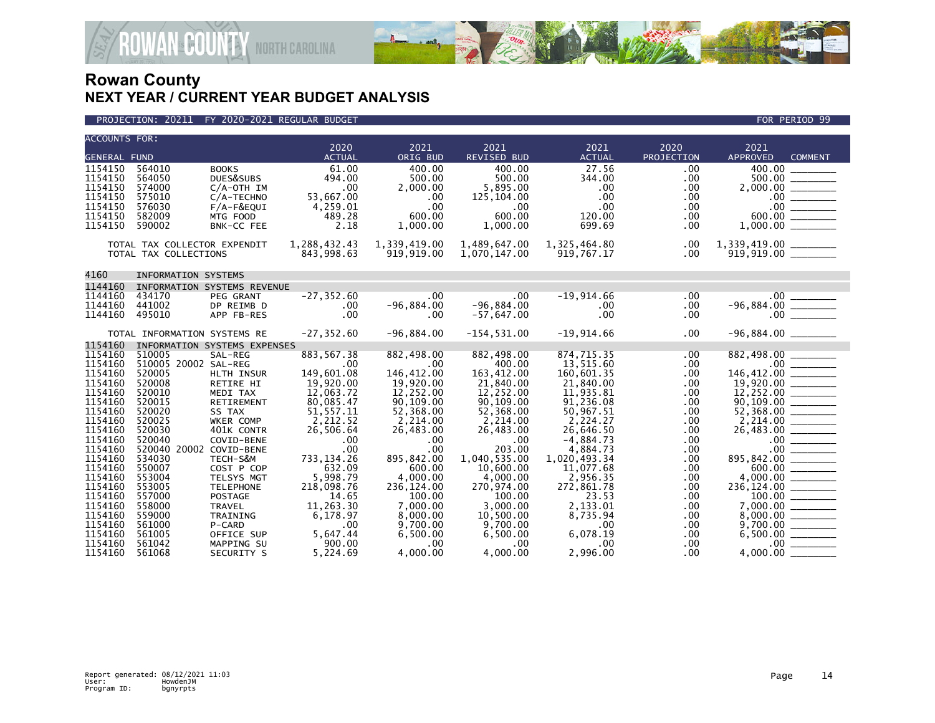



| ACCOUNTS FOR:       |                              |                              |               |              |                |                  |            |                                                                                                                        |
|---------------------|------------------------------|------------------------------|---------------|--------------|----------------|------------------|------------|------------------------------------------------------------------------------------------------------------------------|
|                     |                              |                              | 2020          | 2021         | 2021           | 2021             | 2020       | 2021                                                                                                                   |
| <b>GENERAL FUND</b> |                              |                              | <b>ACTUAL</b> | ORIG BUD     | REVISED BUD    | <b>ACTUAL</b>    | PROJECTION | <b>APPROVED</b><br><b>COMMENT</b>                                                                                      |
| 1154150             | 564010                       | <b>BOOKS</b>                 | 61.00         | 400.00       | 400.00         | 27.56            | .00        |                                                                                                                        |
| 1154150             | 564050                       | DUES&SUBS                    | 494.00        | 500.00       | 500.00         | 344.00           | .00        | $2,000.00$<br>$-00$<br>$-00$<br>$-00$<br>$-00$<br>$-00$<br>$-00$<br>$-00$<br>$-00$<br>$-00$<br>$-00$<br>$-00$          |
| 1154150             | 574000                       | $C/A$ -OTH IM                | .00           | 2,000.00     | 5,895.00       | $.00 \,$         | .00        |                                                                                                                        |
| 1154150             | 575010                       | C/A-TECHNO                   | 53,667.00     | .00          | 125,104.00     | .00              | $.00 \,$   |                                                                                                                        |
| 1154150             | 576030                       | $F/A-F\&EQUI$                | 4,259.01      | .00          | $.00 \times$   | $.00 \,$         | $.00 \,$   |                                                                                                                        |
| 1154150             | 582009                       | MTG FOOD                     | 489.28        | 600.00       | 600.00         | 120.00           | $.00 \,$   |                                                                                                                        |
| 1154150             | 590002                       | BNK-CC FEE                   | 2.18          | 1,000.00     | 1,000.00       | 699.69           | .00.       |                                                                                                                        |
|                     |                              |                              |               |              |                |                  |            |                                                                                                                        |
|                     | TOTAL TAX COLLECTOR EXPENDIT |                              | 1,288,432.43  | 1,339,419.00 | 1,489,647.00   | 1,325,464.80     | .00        |                                                                                                                        |
|                     | TOTAL TAX COLLECTIONS        |                              | 843,998.63    | 919,919.00   | 1,070,147.00   | 919,767.17       | $.00 \,$   |                                                                                                                        |
|                     |                              |                              |               |              |                |                  |            |                                                                                                                        |
| 4160                | <b>INFORMATION SYSTEMS</b>   |                              |               |              |                |                  |            |                                                                                                                        |
| 1144160             |                              | INFORMATION SYSTEMS REVENUE  |               |              |                |                  |            |                                                                                                                        |
| 1144160             | 434170                       | PEG GRANT                    | $-27, 352.60$ | $.00 \cdot$  | .00            | $-19,914.66$     | .00        |                                                                                                                        |
| 1144160             | 441002                       | DP REIMB D                   | .00           | $-96,884.00$ | $-96,884.00$   | $.00 \,$         | $.00 \,$   |                                                                                                                        |
| 1144160             | 495010                       | APP FB-RES                   | .00           | .00          | $-57,647.00$   | .00 <sub>1</sub> | .00        |                                                                                                                        |
|                     |                              |                              |               |              |                |                  |            |                                                                                                                        |
|                     | TOTAL INFORMATION SYSTEMS RE |                              | $-27, 352.60$ | $-96,884.00$ | $-154, 531.00$ | $-19,914.66$     | .00        |                                                                                                                        |
| 1154160             |                              | INFORMATION SYSTEMS EXPENSES |               |              |                |                  |            |                                                                                                                        |
| 1154160             | 510005                       | SAL-REG                      | 883, 567.38   | 882,498.00   | 882,498.00     | 874,715.35       | .00        | 882,498.00                                                                                                             |
| 1154160             | 510005 20002 SAL-REG         |                              | .00           | .00          | 400.00         | 13,515.60        | .00.       | $146,412.00$ $146,412.00$ $19,920.00$ $12,252.00$ $90,109.00$ $52,368.00$ $52,368.00$                                  |
| 1154160             | 520005                       | HLTH INSUR                   | 149.601.08    | 146.412.00   | 163,412.00     | 160.601.35       | .00        |                                                                                                                        |
| 1154160             | 520008                       | RETIRE HI                    | 19,920.00     | 19,920.00    | 21,840.00      | 21,840.00        | .00        |                                                                                                                        |
| 1154160             | 520010                       | MEDI TAX                     | 12,063.72     | 12,252.00    | 12,252.00      | 11,935.81        | .00        |                                                                                                                        |
| 1154160             | 520015                       | RETIREMENT                   | 80,085.47     | 90,109.00    | 90,109.00      | 91,236.08        | .00        |                                                                                                                        |
| 1154160             | 520020                       | SS TAX                       | 51, 557.11    | 52,368.00    | 52,368.00      | 50,967.51        | .00        |                                                                                                                        |
| 1154160             | 520025                       | WKER COMP                    | 2,212.52      | 2,214.00     | 2,214.00       | 2,224.27         | .00        |                                                                                                                        |
| 1154160             | 520030                       | 401K CONTR                   | 26,506.64     | 26,483.00    | 26,483.00      | 26,646.50        | .00        | $2,214.00$<br>$2,6,483.00$<br>$-0.00$<br>$-0.00$<br>$-0.00$<br>$-0.00$<br>$-0.000$<br>$-0.000$<br>$-0.000$<br>$-0.000$ |
| 1154160             | 520040                       | COVID-BENE                   | .00           | .00          | .00            | $-4,884.73$      | .00        |                                                                                                                        |
| 1154160             | 520040 20002 COVID-BENE      |                              | .00           | .00          | 203.00         | 4,884.73         | .00        |                                                                                                                        |
| 1154160             | 534030                       | TECH-S&M                     | 733, 134. 26  | 895,842.00   | 1.040.535.00   | 1,020,493.34     | .00        |                                                                                                                        |
| 1154160             | 550007                       | COST P COP                   | 632.09        | 600.00       | 10,600.00      | 11,077.68        | .00        |                                                                                                                        |
| 1154160             | 553004                       | TELSYS MGT                   | 5,998.79      | 4,000.00     | 4,000.00       | 2,956.35         | .00        |                                                                                                                        |
| 1154160             | 553005                       | <b>TELEPHONE</b>             | 218,098.76    | 236,124.00   | 270,974.00     | 272,861.78       | .00        |                                                                                                                        |
| 1154160             | 557000                       | <b>POSTAGE</b>               | 14.65         | 100.00       | 100.00         | 23.53            | .00        |                                                                                                                        |
| 1154160             | 558000                       | TRAVEL                       | 11,263.30     | 7,000.00     | 3,000.00       | 2,133.01         | .00        | $236,124.00$<br>$236,124.00$<br>$100.00$<br>$7,000.00$                                                                 |
| 1154160             | 559000                       | TRAINING                     | 6,178.97      | 8,000.00     | 10.500.00      | 8.735.94         | .00        |                                                                                                                        |
| 1154160             | 561000                       | P-CARD                       | .00           | 9,700.00     | 9,700.00       | $.00 \,$         | .00        |                                                                                                                        |
| 1154160             | 561005                       | OFFICE SUP                   | 5,647.44      | 6,500.00     | 6,500.00       | 6,078.19         | .00.       | $8,000.00$<br>9,700.00<br>6,500.00                                                                                     |
| 1154160             | 561042                       | MAPPING SU                   | 900.00        | .00          | .00.           | $.00 \,$         | .00        |                                                                                                                        |
| 1154160             | 561068                       | SECURITY S                   | 5.224.69      | 4.000.00     | 4,000.00       | 2,996.00         | .00        |                                                                                                                        |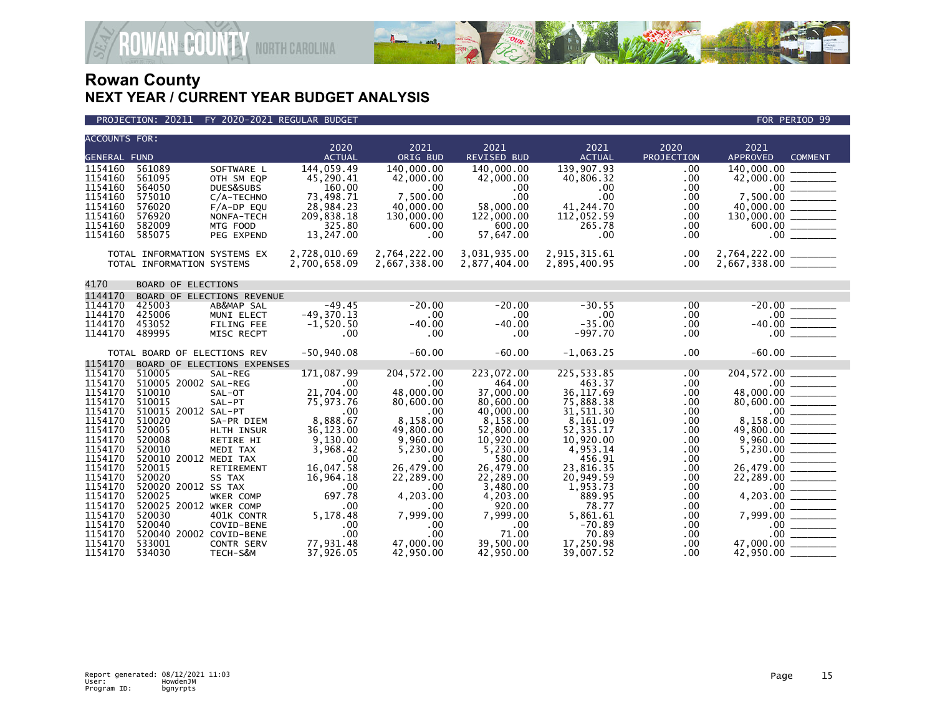

### PROJECTION: 20211 FY 2020-2021 REGULAR BUDGET FOR PERIOD 99

**ROWAN-COUNTY NORTH CAROLINA** 

| <b>ACCOUNTS FOR:</b> |                               |                             |                         |                         |                            |                         |                    |                                                                                                                                          |
|----------------------|-------------------------------|-----------------------------|-------------------------|-------------------------|----------------------------|-------------------------|--------------------|------------------------------------------------------------------------------------------------------------------------------------------|
| <b>GENERAL FUND</b>  |                               |                             | 2020<br><b>ACTUAL</b>   | 2021<br>ORIG BUD        | 2021<br><b>REVISED BUD</b> | 2021<br><b>ACTUAL</b>   | 2020<br>PROJECTION | 2021<br><b>APPROVED</b><br><b>COMMENT</b>                                                                                                |
|                      |                               |                             |                         |                         |                            |                         |                    |                                                                                                                                          |
| 1154160<br>1154160   | 561089<br>561095              | SOFTWARE L                  | 144,059.49<br>45,290.41 | 140,000.00<br>42,000.00 | 140,000.00                 | 139,907.93<br>40,806.32 | .00<br>.00         |                                                                                                                                          |
| 1154160              | 564050                        | OTH SM EQP<br>DUES&SUBS     | 160.00                  | .00                     | 42,000.00<br>.00           | $.00 \,$                | .00                |                                                                                                                                          |
| 1154160              | 575010                        | C/A-TECHNO                  | 73,498.71               | 7,500.00                | .00                        | $.00 \,$                | .00                |                                                                                                                                          |
| 1154160              | 576020                        | $F/A-DP$ EQU                | 28,984.23               | 40,000.00               | 58,000.00                  | 41,244.70               | .00                |                                                                                                                                          |
| 1154160              | 576920                        | NONFA-TECH                  | 209,838.18              | 130,000.00              | 122,000.00                 | 112,052.59              | .00                |                                                                                                                                          |
| 1154160              | 582009                        | MTG FOOD                    | 325.80                  | 600.00                  | 600.00                     | 265.78                  | .00                | $7,500.00$<br>$7,500.00$<br>$40,000.00$<br>$130,000.00$<br>$600.00$                                                                      |
| 1154160              | 585075                        | PEG EXPEND                  | 13,247.00               | .00                     | 57,647.00                  | $.00 \,$                | .00                | .00                                                                                                                                      |
|                      | TOTAL INFORMATION SYSTEMS EX  |                             | 2,728,010.69            | 2,764,222.00            | 3,031,935.00               | 2,915,315.61            | .00                |                                                                                                                                          |
|                      | TOTAL INFORMATION SYSTEMS     |                             | 2,700,658.09            | 2,667,338.00            | 2,877,404.00               | 2,895,400.95            | .00                | 2,764,222.00 _________<br>2,667,338.00 _________                                                                                         |
|                      |                               |                             |                         |                         |                            |                         |                    |                                                                                                                                          |
| 4170                 | <b>BOARD OF ELECTIONS</b>     |                             |                         |                         |                            |                         |                    |                                                                                                                                          |
| 1144170              |                               | BOARD OF ELECTIONS REVENUE  |                         |                         |                            |                         |                    |                                                                                                                                          |
| 1144170              | 425003                        | AB&MAP SAL                  | $-49.45$                | $-20.00$                | $-20.00$                   | $-30.55$                | $.00 \ \,$         | $-20.00$<br>$-00$<br>$-40.00$<br>$-00$<br>$-$                                                                                            |
| 1144170              | 425006                        | MUNI ELECT                  | $-49,370.13$            | .00                     | .00                        | .00                     | $.00 \,$           |                                                                                                                                          |
| 1144170              | 453052                        | <b>FILING FEE</b>           | $-1,520.50$             | $-40.00$                | $-40.00$                   | $-35.00$                | .00                |                                                                                                                                          |
| 1144170              | 489995                        | MISC RECPT                  | .00                     | .00                     | $.00 \,$                   | $-997.70$               | .00                |                                                                                                                                          |
|                      | TOTAL BOARD OF ELECTIONS REV  |                             | $-50,940.08$            | $-60.00$                | $-60.00$                   | $-1,063.25$             | .00                |                                                                                                                                          |
| 1154170              |                               | BOARD OF ELECTIONS EXPENSES |                         |                         |                            |                         |                    |                                                                                                                                          |
| 1154170              | 510005                        | SAL-REG                     | 171,087.99              | 204, 572.00             | 223,072.00                 | 225,533.85              | .00                | 204,572.00                                                                                                                               |
| 1154170              | 510005 20002 SAL-REG          |                             | .00                     | .00                     | 464.00                     | 463.37                  | .00                | $204,372.00$<br>$-80,000.00$<br>$-80,600.00$<br>$-8,158.00$<br>$-49,800.00$<br>$-49,800.00$                                              |
| 1154170              | 510010                        | SAL-OT                      | 21,704.00               | 48,000.00               | 37,000.00                  | 36, 117.69              | .00                |                                                                                                                                          |
| 1154170<br>1154170   | 510015<br>510015 20012 SAL-PT | SAL-PT                      | 75,973.76<br>.00        | 80,600.00<br>.00        | 80,600.00<br>40,000.00     | 75,888.38<br>31,511.30  | .00<br>.00         |                                                                                                                                          |
| 1154170              | 510020                        | SA-PR DIEM                  | 8,888.67                | 8,158.00                | 8,158.00                   | 8,161.09                | .00                |                                                                                                                                          |
| 1154170              | 520005                        | HLTH INSUR                  | 36,123.00               | 49,800.00               | 52,800.00                  | 52, 335.17              | .00                |                                                                                                                                          |
| 1154170              | 520008                        | RETIRE HI                   | 9,130.00                | 9,960.00                | 10,920.00                  | 10,920.00               | .00                |                                                                                                                                          |
| 1154170              | 520010                        | MEDI TAX                    | 3,968.42                | 5,230.00                | 5,230.00                   | 4,953.14                | .00                | $\frac{9,960.00}{5,230.00}$                                                                                                              |
| 1154170              | 520010 20012 MEDI TAX         |                             | .00                     | .00                     | 580.00                     | 456.91                  | .00                |                                                                                                                                          |
| 1154170              | 520015                        | RETIREMENT                  | 16,047.58               | 26,479.00               | 26,479.00                  | 23,816.35               | .00                |                                                                                                                                          |
| 1154170              | 520020                        | SS TAX                      | 16,964.18               | 22,289.00               | 22,289.00                  | 20,949.59               | .00                |                                                                                                                                          |
| 1154170              | 520020 20012 SS TAX           |                             | .00                     | .00                     | 3,480.00                   | 1,953.73                | .00                |                                                                                                                                          |
| 1154170              | 520025                        | WKER COMP                   | 697.78                  | 4,203.00                | 4,203.00                   | 889.95                  | .00                |                                                                                                                                          |
| 1154170              | 520025 20012 WKER COMP        |                             | .00                     | .00                     | 920.00                     | 78.77                   | .00                | $26,479.00$<br>$22,289.00$<br>$-4,203.00$<br>$7,999.00$<br>$-00$<br>$-00$<br>$-00$<br>$-00$<br>$-00$<br>$-00$<br>$-00$<br>$-00$<br>$-00$ |
| 1154170<br>1154170   | 520030<br>520040              | 401K CONTR<br>COVID-BENE    | 5,178.48<br>.00         | 7,999.00<br>.00         | 7,999.00<br>$.00 \,$       | 5.861.61<br>$-70.89$    | .00<br>.00         |                                                                                                                                          |
| 1154170              | 520040 20002 COVID-BENE       |                             | .00                     | .00                     | 71.00                      | 70.89                   | .00                |                                                                                                                                          |
| 1154170              | 533001                        | CONTR SERV                  | 77,931.48               | 47,000.00               | 39,500.00                  | 17,250.98               | .00                | 47,000.00                                                                                                                                |
| 1154170              | 534030                        | TECH-S&M                    | 37,926.05               | 42,950.00               | 42,950.00                  | 39,007.52               | .00                | $42,950.00$ $-$                                                                                                                          |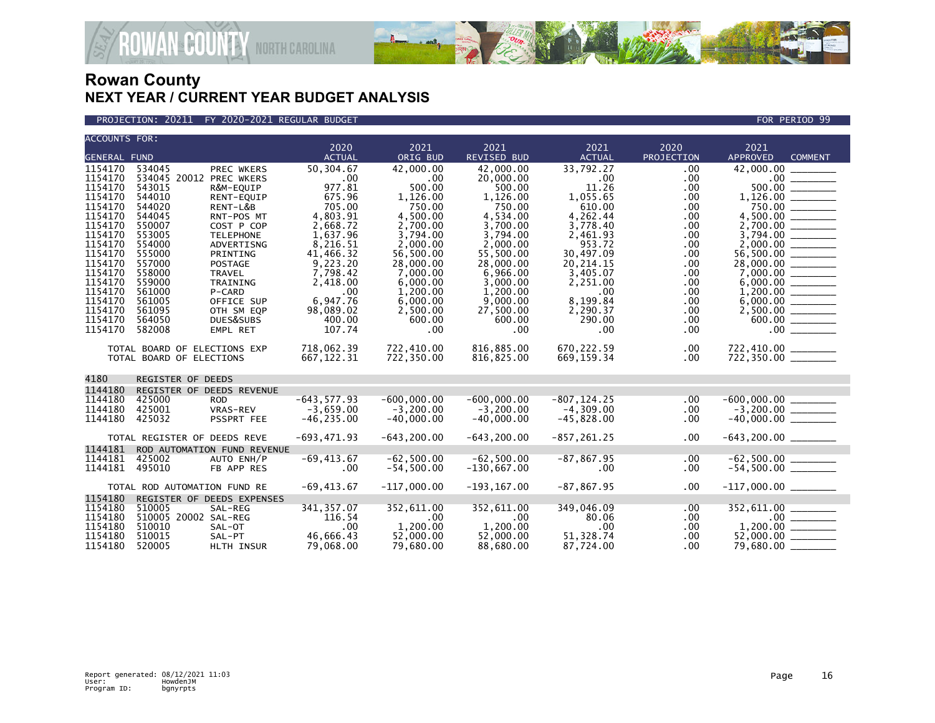

### PROJECTION: 20211 FY 2020-2021 REGULAR BUDGET FOR PERIOD 99

**ROWAN-COUNTY NORTH CAROLINA** 

| <b>ACCOUNTS FOR:</b> |                              |                             |                        |                        |                            |                        |                    |                                              |  |
|----------------------|------------------------------|-----------------------------|------------------------|------------------------|----------------------------|------------------------|--------------------|----------------------------------------------|--|
| <b>GENERAL FUND</b>  |                              |                             | 2020<br><b>ACTUAL</b>  | 2021<br>ORIG BUD       | 2021<br><b>REVISED BUD</b> | 2021<br><b>ACTUAL</b>  | 2020<br>PROJECTION | 2021<br><b>APPROVED</b><br><b>COMMENT</b>    |  |
| 1154170              | 534045                       | <b>PREC WKERS</b>           | 50.304.67              | 42,000,00              | 42,000,00                  | 33.792.27              | .00                | 42,000,00                                    |  |
| 1154170              | 534045 20012 PREC WKERS      |                             | .00                    | .00                    | 20,000.00                  | $.00 \,$               | .00                | $.00 \,$                                     |  |
| 1154170              | 543015                       | R&M-EQUIP                   | 977.81                 | 500.00                 | 500.00                     | 11.26                  | .00.               | 500.00                                       |  |
| 1154170              | 544010                       | RENT-EQUIP                  | 675.96                 | 1,126.00               | 1,126.00                   | 1,055.65               | .00                |                                              |  |
| 1154170              | 544020                       | RENT-L&B                    | 705.00                 | 750.00                 | 750.00                     | 610.00                 | .00.               | 750.00                                       |  |
| 1154170              | 544045                       | RNT-POS MT                  | 4,803.91               | 4.500.00               | 4.534.00                   | 4,262.44               | .00.               |                                              |  |
| 1154170              | 550007                       | COST P COP                  | 2,668.72               | 2,700.00               | 3,700.00                   | 3,778.40               | .00                |                                              |  |
| 1154170              | 553005                       | <b>TELEPHONE</b>            | 1,637.96               | 3,794.00               | 3,794.00                   | 2,461.93               | .00.               |                                              |  |
| 1154170              | 554000                       | ADVERTISNG                  | 8,216.51               | 2,000.00               | 2.000.00                   | 953.72                 | .00.               |                                              |  |
| 1154170              | 555000                       | PRINTING                    | 41,466.32              | 56,500.00              | 55,500.00                  | 30,497.09              | .00                |                                              |  |
| 1154170              | 557000                       | <b>POSTAGE</b>              | 9,223.20               | 28,000.00              | 28,000.00                  | 20, 214. 15            | .00.               |                                              |  |
| 1154170              | 558000                       | TRAVEL                      | 7,798.42               | 7,000.00               | 6,966.00                   | 3,405.07               | .00.               |                                              |  |
| 1154170              | 559000                       | TRAINING                    | 2,418.00               | 6,000.00               | 3,000.00                   | 2,251.00               | .00                |                                              |  |
| 1154170              | 561000                       | P-CARD                      | .00                    | 1,200.00               | 1,200.00                   | .00                    | .00.               |                                              |  |
| 1154170<br>1154170   | 561005<br>561095             | OFFICE SUP<br>OTH SM EQP    | 6,947.76<br>98,089.02  | 6,000.00<br>2,500.00   | 9,000.00<br>27,500.00      | 8,199.84<br>2,290.37   | .00.<br>.00        |                                              |  |
| 1154170              | 564050                       | DUES&SUBS                   | 400.00                 | 600.00                 | 600.00                     | 290.00                 | .00.               | $2,500.00$ ________                          |  |
| 1154170              | 582008                       | EMPL RET                    | 107.74                 | .00                    | .00                        | $.00 \,$               | .00.               |                                              |  |
|                      |                              |                             |                        |                        |                            |                        |                    |                                              |  |
|                      | TOTAL BOARD OF ELECTIONS EXP |                             | 718,062.39             | 722,410.00             | 816,885.00                 | 670,222.59             | .00                |                                              |  |
|                      | TOTAL BOARD OF ELECTIONS     |                             | 667, 122.31            | 722,350.00             | 816,825.00                 | 669, 159.34            | .00.               | $722,410.00$ $722,350.00$ $100$              |  |
|                      |                              |                             |                        |                        |                            |                        |                    |                                              |  |
| 4180                 | REGISTER OF DEEDS            |                             |                        |                        |                            |                        |                    |                                              |  |
| 1144180              |                              | REGISTER OF DEEDS REVENUE   |                        |                        |                            |                        |                    |                                              |  |
| 1144180              | 425000                       | ROD.                        | $-643, 577.93$         | $-600.000.00$          | $-600.000.00$              | $-807, 124.25$         | .00                |                                              |  |
| 1144180              | 425001                       | VRAS-REV                    | $-3,659.00$            | $-3,200.00$            | $-3.200.00$                | $-4,309.00$            | .00.               | $-600,000.00$<br>$-3,200.00$<br>$-40,000.00$ |  |
| 1144180              | 425032                       | PSSPRT FEE                  | $-46, 235.00$          | $-40.000.00$           | $-40.000.00$               | $-45,828.00$           | .00                |                                              |  |
|                      | TOTAL REGISTER OF DEEDS REVE |                             | $-693,471.93$          | $-643, 200.00$         | $-643, 200.00$             | $-857, 261.25$         | .00.               |                                              |  |
| 1144181              |                              | ROD AUTOMATION FUND REVENUE |                        |                        |                            |                        |                    |                                              |  |
| 1144181              | 425002                       | AUTO ENH/P                  | $-69, 413.67$          | $-62,500.00$           | $-62,500.00$               | $-87, 867.95$          | .00.               | $-62,500.00$ _________                       |  |
| 1144181              | 495010                       | FB APP RES                  | .00                    | $-54,500.00$           | $-130,667.00$              | .00                    | .00.               | $-54,500.00$ ________                        |  |
|                      |                              |                             |                        |                        |                            |                        |                    |                                              |  |
|                      | TOTAL ROD AUTOMATION FUND RE |                             | $-69, 413.67$          | $-117,000.00$          | $-193, 167.00$             | $-87, 867.95$          | .00                | $-117,000.00$ ________                       |  |
| 1154180              |                              | REGISTER OF DEEDS EXPENSES  |                        |                        |                            |                        |                    |                                              |  |
| 1154180              | 510005                       | SAL-REG                     | 341, 357.07            | 352,611.00             | 352,611.00                 | 349,046.09             | .00                | 352,611.00                                   |  |
| 1154180              | 510005 20002 SAL-REG         |                             | 116.54                 | .00                    | $.00 \,$                   | 80.06                  | .00.               |                                              |  |
| 1154180              | 510010                       | SAL-OT                      | .00                    | 1.200.00               | 1.200.00                   | $.00 \times$           | .00                |                                              |  |
| 1154180<br>1154180   | 510015<br>520005             | SAL-PT                      | 46,666.43<br>79.068.00 | 52,000.00<br>79.680.00 | 52,000.00<br>88.680.00     | 51,328.74<br>87.724.00 | .00                |                                              |  |
|                      |                              | HLTH INSUR                  |                        |                        |                            |                        | .00.               | 79,680.00                                    |  |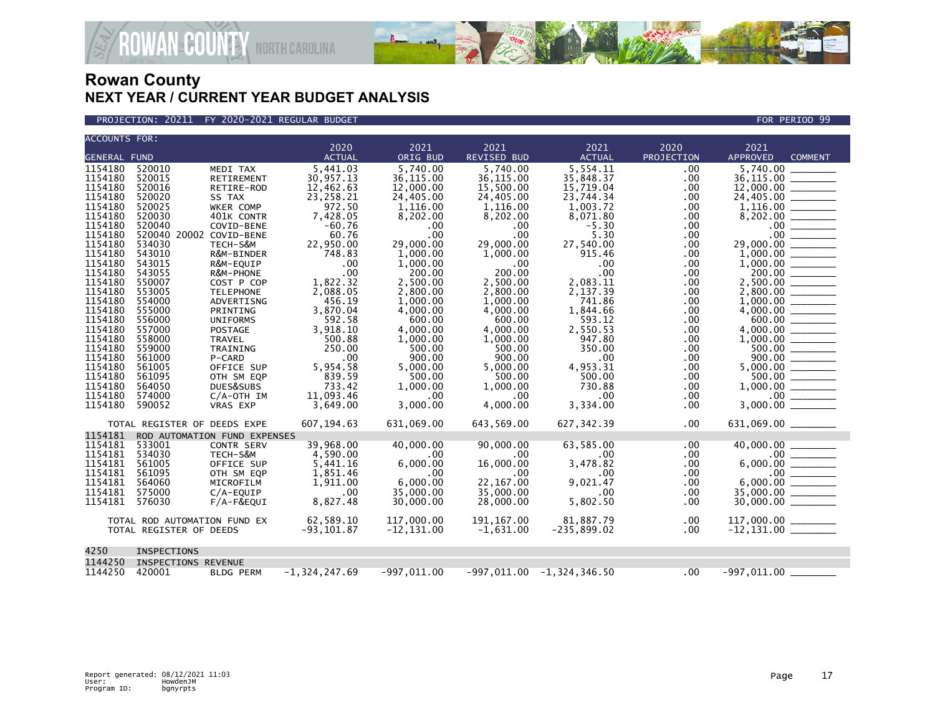

PROJECTION: 20211 FY 2020-2021 REGULAR BUDGET FOR PERIOD 99

**ROWAN COUNTY NORTH CAROLINA** 

| <b>ACCOUNTS FOR:</b> |                              |                         |                   |               |                  |                             |            |                                                                                                                                                                                                                                                                                                                                                                                                                                                                                                     |  |  |
|----------------------|------------------------------|-------------------------|-------------------|---------------|------------------|-----------------------------|------------|-----------------------------------------------------------------------------------------------------------------------------------------------------------------------------------------------------------------------------------------------------------------------------------------------------------------------------------------------------------------------------------------------------------------------------------------------------------------------------------------------------|--|--|
|                      |                              |                         | 2020              | 2021          | 2021             | 2021                        | 2020       | 2021                                                                                                                                                                                                                                                                                                                                                                                                                                                                                                |  |  |
| <b>GENERAL FUND</b>  |                              |                         | <b>ACTUAL</b>     | ORIG BUD      | REVISED BUD      | <b>ACTUAL</b>               | PROJECTION | APPROVED<br><b>COMMENT</b>                                                                                                                                                                                                                                                                                                                                                                                                                                                                          |  |  |
| 1154180              | 520010                       | MEDI TAX                | 5.441.03          | 5.740.00      | 5.740.00         | 5.554.11                    | .00        | 5.740.00                                                                                                                                                                                                                                                                                                                                                                                                                                                                                            |  |  |
| 1154180              | 520015                       | <b>RETIREMENT</b>       | 30,957.13         | 36,115.00     | 36.115.00        | 35,848.37                   | .00        | 36,115.00                                                                                                                                                                                                                                                                                                                                                                                                                                                                                           |  |  |
| 1154180              | 520016                       | RETIRE-ROD              | 12,462.63         | 12,000.00     | 15,500.00        | 15,719.04                   | .00        | 12,000.00                                                                                                                                                                                                                                                                                                                                                                                                                                                                                           |  |  |
| 1154180              | 520020                       | SS TAX                  | 23,258.21         | 24,405.00     | 24,405.00        | 23,744.34                   | .00        |                                                                                                                                                                                                                                                                                                                                                                                                                                                                                                     |  |  |
| 1154180              | 520025                       | WKER COMP               | 972.50            | 1,116.00      | 1,116.00         | 1,003.72                    | .00        |                                                                                                                                                                                                                                                                                                                                                                                                                                                                                                     |  |  |
| 1154180              | 520030                       | 401K CONTR              | 7,428.05          | 8,202.00      | 8,202.00         | 8,071.80                    | .00        |                                                                                                                                                                                                                                                                                                                                                                                                                                                                                                     |  |  |
| 1154180              | 520040                       | COVID-BENE              | $-60.76$          | .00           | $.00 \,$         | $-5.30$                     | $.00 \,$   |                                                                                                                                                                                                                                                                                                                                                                                                                                                                                                     |  |  |
| 1154180              | 520040 20002 COVID-BENE      |                         | 60.76             | .00           | .00              | 5.30                        | .00        |                                                                                                                                                                                                                                                                                                                                                                                                                                                                                                     |  |  |
| 1154180              | 534030                       | TECH-S&M                | 22,950.00         | 29,000,00     | 29,000,00        | 27,540.00                   | .00.       | $\begin{array}{cccccccccc} \multicolumn{2}{c}{} & \multicolumn{2}{c}{} & \multicolumn{2}{c}{} & \multicolumn{2}{c}{} & \multicolumn{2}{c}{} & \multicolumn{2}{c}{} & \multicolumn{2}{c}{} & \multicolumn{2}{c}{} & \multicolumn{2}{c}{} & \multicolumn{2}{c}{} & \multicolumn{2}{c}{} & \multicolumn{2}{c}{} & \multicolumn{2}{c}{} & \multicolumn{2}{c}{} & \multicolumn{2}{c}{} & \multicolumn{2}{c}{} & \multicolumn{2}{c}{} & \multicolumn{2}{c}{} & \multicolumn{2}{c}{} & \mult$<br>29,000,00 |  |  |
| 1154180              | 543010                       | R&M-BINDER              | 748.83            | 1,000.00      | 1,000.00         | 915.46                      | .00.       |                                                                                                                                                                                                                                                                                                                                                                                                                                                                                                     |  |  |
| 1154180              | 543015                       | R&M-EQUIP               | .00               | 1,000.00      | $.00 \,$         | .00                         | .00        |                                                                                                                                                                                                                                                                                                                                                                                                                                                                                                     |  |  |
| 1154180              | 543055                       | R&M-PHONE               | .00               | 200.00        | 200.00           | .00                         | .00        | 200.00                                                                                                                                                                                                                                                                                                                                                                                                                                                                                              |  |  |
| 1154180              | 550007                       | COST P COP              | 1,822.32          | 2,500.00      | 2,500.00         | 2,083.11                    | .00        |                                                                                                                                                                                                                                                                                                                                                                                                                                                                                                     |  |  |
| 1154180              | 553005                       | <b>TELEPHONE</b>        | 2,088.05          | 2,800.00      | 2,800.00         | 2,137.39                    | .00        |                                                                                                                                                                                                                                                                                                                                                                                                                                                                                                     |  |  |
| 1154180              | 554000                       | ADVERTISNG              | 456.19            | 1,000.00      | 1,000.00         | 741.86                      | $.00 \,$   |                                                                                                                                                                                                                                                                                                                                                                                                                                                                                                     |  |  |
| 1154180              | 555000                       | PRINTING                | 3,870.04          | 4,000.00      | 4,000.00         | 1,844.66                    | $.00 \,$   |                                                                                                                                                                                                                                                                                                                                                                                                                                                                                                     |  |  |
| 1154180              | 556000                       | <b>UNIFORMS</b>         | 592.58            | 600.00        | 600.00           | 593.12                      | $.00 \,$   | 600.00 _______                                                                                                                                                                                                                                                                                                                                                                                                                                                                                      |  |  |
| 1154180              | 557000                       | POSTAGE                 | 3,918.10          | 4,000.00      | 4,000.00         | 2,550.53                    | .00.       | 4,000.00 _______                                                                                                                                                                                                                                                                                                                                                                                                                                                                                    |  |  |
| 1154180              | 558000                       | TRAVEL                  | 500.88            | 1,000.00      | 1,000.00         | 947.80                      | $.00 \,$   |                                                                                                                                                                                                                                                                                                                                                                                                                                                                                                     |  |  |
| 1154180              | 559000                       | <b>TRAINING</b>         | 250.00            | 500.00        | 500.00           | 350.00                      | .00        |                                                                                                                                                                                                                                                                                                                                                                                                                                                                                                     |  |  |
| 1154180              | 561000                       | P-CARD                  | .00               | 900.00        | 900.00           | .00                         | .00.       |                                                                                                                                                                                                                                                                                                                                                                                                                                                                                                     |  |  |
| 1154180              | 561005                       | OFFICE SUP              | 5,954.58          | 5,000.00      | 5,000.00         | 4,953.31                    | $.00 \,$   |                                                                                                                                                                                                                                                                                                                                                                                                                                                                                                     |  |  |
| 1154180              | 561095                       |                         | 839.59            | 500.00        | 500.00           | 500.00                      |            |                                                                                                                                                                                                                                                                                                                                                                                                                                                                                                     |  |  |
| 1154180              | 564050                       | OTH SM EQP<br>DUES&SUBS | 733.42            |               |                  | 730.88                      | .00.       | 500.00                                                                                                                                                                                                                                                                                                                                                                                                                                                                                              |  |  |
| 1154180              | 574000                       |                         |                   | 1,000.00      | 1,000.00         |                             | .00.       |                                                                                                                                                                                                                                                                                                                                                                                                                                                                                                     |  |  |
|                      |                              | $C/A$ -OTH IM           | 11,093.46         | $.00 \,$      | $.00 \,$         | $.00 \,$                    | $.00 \,$   |                                                                                                                                                                                                                                                                                                                                                                                                                                                                                                     |  |  |
| 1154180              | 590052                       | VRAS EXP                | 3,649.00          | 3,000.00      | 4,000.00         | 3,334.00                    | .00        |                                                                                                                                                                                                                                                                                                                                                                                                                                                                                                     |  |  |
|                      | TOTAL REGISTER OF DEEDS EXPE |                         | 607, 194.63       | 631.069.00    | 643.569.00       | 627, 342.39                 | .00        |                                                                                                                                                                                                                                                                                                                                                                                                                                                                                                     |  |  |
| 1154181              | ROD AUTOMATION FUND EXPENSES |                         |                   |               |                  |                             |            |                                                                                                                                                                                                                                                                                                                                                                                                                                                                                                     |  |  |
| 1154181              | 533001                       | <b>CONTR SERV</b>       | 39,968.00         | 40,000.00     | 90,000.00        | 63,585.00                   | .00        |                                                                                                                                                                                                                                                                                                                                                                                                                                                                                                     |  |  |
| 1154181              | 534030                       | TECH-S&M                | 4,590.00          | .00           | .00 <sub>1</sub> | $.00 \,$                    | $.00 \,$   |                                                                                                                                                                                                                                                                                                                                                                                                                                                                                                     |  |  |
| 1154181              | 561005                       | OFFICE SUP              | 5,441.16          | 6,000.00      | 16,000.00        | 3,478.82                    | $.00 \,$   | $6,000.00$ $\frac{\phantom{0}}{\phantom{0}}$                                                                                                                                                                                                                                                                                                                                                                                                                                                        |  |  |
| 1154181              | 561095                       | OTH SM EQP              | 1,851.46          | .00           | $.00 \,$         | .00 <sub>1</sub>            | $.00 \,$   |                                                                                                                                                                                                                                                                                                                                                                                                                                                                                                     |  |  |
| 1154181              | 564060                       | MICROFILM               | 1,911.00          | 6,000.00      | 22, 167.00       | 9,021.47                    | .00        |                                                                                                                                                                                                                                                                                                                                                                                                                                                                                                     |  |  |
| 1154181              | 575000                       | C/A-EQUIP               | .00               | 35,000.00     | 35,000.00        | .00                         | .00        |                                                                                                                                                                                                                                                                                                                                                                                                                                                                                                     |  |  |
| 1154181              | 576030                       | F/A-F&EOUI              | 8,827.48          | 30,000.00     | 28,000.00        | 5,802.50                    | .00        | $30,000.00$ _________                                                                                                                                                                                                                                                                                                                                                                                                                                                                               |  |  |
|                      | TOTAL ROD AUTOMATION FUND EX |                         | 62,589.10         | 117,000.00    | 191, 167.00      | 81,887.79                   | $.00 \,$   |                                                                                                                                                                                                                                                                                                                                                                                                                                                                                                     |  |  |
|                      | TOTAL REGISTER OF DEEDS      |                         | $-93, 101.87$     | $-12, 131.00$ | $-1,631.00$      | $-235,899.02$               | $.00 \,$   |                                                                                                                                                                                                                                                                                                                                                                                                                                                                                                     |  |  |
| 4250                 | INSPECTIONS                  |                         |                   |               |                  |                             |            |                                                                                                                                                                                                                                                                                                                                                                                                                                                                                                     |  |  |
| 1144250              | INSPECTIONS REVENUE          |                         |                   |               |                  |                             |            |                                                                                                                                                                                                                                                                                                                                                                                                                                                                                                     |  |  |
| 1144250              | 420001                       | <b>BLDG PERM</b>        | $-1, 324, 247.69$ | $-997,011.00$ |                  | $-997,011.00 -1,324,346.50$ | $.00 \,$   | $-997,011.00$ $\_$                                                                                                                                                                                                                                                                                                                                                                                                                                                                                  |  |  |
|                      |                              |                         |                   |               |                  |                             |            |                                                                                                                                                                                                                                                                                                                                                                                                                                                                                                     |  |  |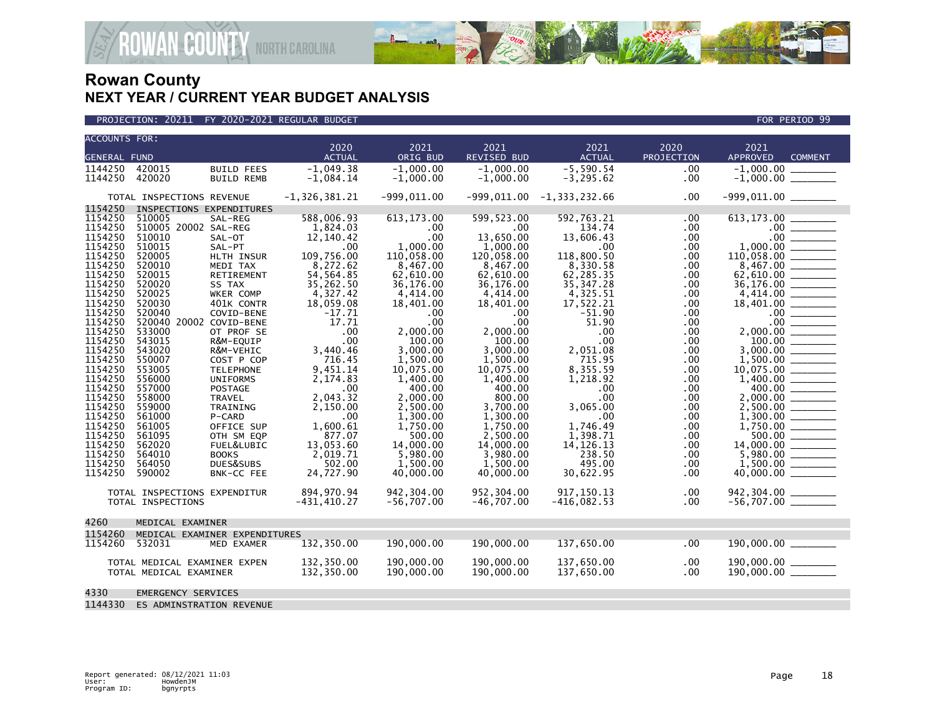

| <b>ACCOUNTS FOR:</b> |                              |                               |                          |                    |                      |                       |                    |                                                                                                                                                                                                                                                                                                                                                                                                                                                                                                              |  |  |
|----------------------|------------------------------|-------------------------------|--------------------------|--------------------|----------------------|-----------------------|--------------------|--------------------------------------------------------------------------------------------------------------------------------------------------------------------------------------------------------------------------------------------------------------------------------------------------------------------------------------------------------------------------------------------------------------------------------------------------------------------------------------------------------------|--|--|
|                      |                              |                               | 2020<br><b>ACTUAL</b>    | 2021<br>ORIG BUD   | 2021<br>REVISED BUD  | 2021<br><b>ACTUAL</b> | 2020<br>PROJECTION | 2021<br><b>APPROVED</b><br><b>COMMENT</b>                                                                                                                                                                                                                                                                                                                                                                                                                                                                    |  |  |
| <b>GENERAL FUND</b>  |                              |                               |                          |                    |                      |                       |                    |                                                                                                                                                                                                                                                                                                                                                                                                                                                                                                              |  |  |
| 1144250              | 420015                       | <b>BUILD FEES</b>             | $-1.049.38$              | $-1.000.00$        | $-1.000.00$          | $-5.590.54$           | .00                | $-1,000.00$                                                                                                                                                                                                                                                                                                                                                                                                                                                                                                  |  |  |
| 1144250              | 420020                       | <b>BUILD REMB</b>             | $-1,084.14$              | $-1,000.00$        | $-1,000.00$          | $-3, 295.62$          | .00                |                                                                                                                                                                                                                                                                                                                                                                                                                                                                                                              |  |  |
|                      | TOTAL INSPECTIONS REVENUE    |                               | $-1, 326, 381.21$        | $-999,011.00$      | $-999,011.00$        | $-1, 333, 232.66$     | .00                |                                                                                                                                                                                                                                                                                                                                                                                                                                                                                                              |  |  |
| 1154250              | INSPECTIONS EXPENDITURES     |                               |                          |                    |                      |                       |                    |                                                                                                                                                                                                                                                                                                                                                                                                                                                                                                              |  |  |
| 1154250              | 510005                       | SAL-REG                       | 588,006.93               | 613, 173.00        | 599, 523.00          | 592,763.21            | .00                |                                                                                                                                                                                                                                                                                                                                                                                                                                                                                                              |  |  |
| 1154250              | 510005 20002 SAL-REG         |                               | 1,824.03                 | .00                | .00.                 | 134.74                | .00                |                                                                                                                                                                                                                                                                                                                                                                                                                                                                                                              |  |  |
| 1154250              | 510010                       | SAL-OT                        | 12,140.42                | .00                | 13,650.00            | 13,606.43             | .00                | $.00 \,$<br>$\begin{array}{cccccccccc} \multicolumn{2}{c}{} & \multicolumn{2}{c}{} & \multicolumn{2}{c}{} & \multicolumn{2}{c}{} & \multicolumn{2}{c}{} & \multicolumn{2}{c}{} & \multicolumn{2}{c}{} & \multicolumn{2}{c}{} & \multicolumn{2}{c}{} & \multicolumn{2}{c}{} & \multicolumn{2}{c}{} & \multicolumn{2}{c}{} & \multicolumn{2}{c}{} & \multicolumn{2}{c}{} & \multicolumn{2}{c}{} & \multicolumn{2}{c}{} & \multicolumn{2}{c}{} & \multicolumn{2}{c}{} & \multicolumn{2}{c}{} & \mult$           |  |  |
| 1154250              | 510015                       | SAL-PT                        | $.00 \,$                 | 1,000.00           | 1,000.00             | .00                   | .00                | 1,000.00<br>$\begin{tabular}{ll} \multicolumn{2}{c} {\textbf{1}} & \multicolumn{2}{c} {\textbf{1}} & \multicolumn{2}{c} {\textbf{1}} \\ \multicolumn{2}{c} {\textbf{1}} & \multicolumn{2}{c} {\textbf{1}} & \multicolumn{2}{c} {\textbf{1}} \\ \multicolumn{2}{c} {\textbf{1}} & \multicolumn{2}{c} {\textbf{1}} & \multicolumn{2}{c} {\textbf{1}} \\ \multicolumn{2}{c} {\textbf{1}} & \multicolumn{2}{c} {\textbf{1}} & \multicolumn{2}{c} {\textbf{1}} \\ \multicolumn{2}{c} {\textbf{1}} & \multicolumn$ |  |  |
| 1154250              | 520005                       | HLTH INSUR                    | 109,756.00               | 110,058.00         | 120,058.00           | 118,800.50            | .00                | 110,058.00                                                                                                                                                                                                                                                                                                                                                                                                                                                                                                   |  |  |
| 1154250              | 520010                       | MEDI TAX                      | 8,272.62                 | 8,467.00           | 8,467.00             | 8,330.58              | .00                | 8,467.00                                                                                                                                                                                                                                                                                                                                                                                                                                                                                                     |  |  |
| 1154250              | 520015                       | RETIREMENT                    | 54, 564.85               | 62,610.00          | 62,610.00            | 62,285.35             | .00                | 62,610.00                                                                                                                                                                                                                                                                                                                                                                                                                                                                                                    |  |  |
| 1154250              | 520020                       | SS TAX                        | 35,262.50                | 36,176.00          | 36,176.00            | 35, 347.28            | .00                | 36,176.00                                                                                                                                                                                                                                                                                                                                                                                                                                                                                                    |  |  |
| 1154250              | 520025                       | WKER COMP                     | 4,327.42                 | 4,414.00           | 4,414.00             | 4,325.51              | .00                |                                                                                                                                                                                                                                                                                                                                                                                                                                                                                                              |  |  |
| 1154250              | 520030                       | 401K CONTR                    | 18,059.08                | 18,401.00          | 18,401.00            | 17,522.21             | .00                | 18,401.00                                                                                                                                                                                                                                                                                                                                                                                                                                                                                                    |  |  |
| 1154250              | 520040                       | COVID-BENE                    | $-17.71$                 | $.00 \times$       | .00                  | $-51.90$              | .00                |                                                                                                                                                                                                                                                                                                                                                                                                                                                                                                              |  |  |
| 1154250              | 520040 20002 COVID-BENE      |                               | 17.71                    | $.00 \,$           | .00 <sub>1</sub>     | 51.90                 | .00                | $.00 \,$<br>$\mathcal{L}^{\text{max}}$ and $\mathcal{L}^{\text{max}}$                                                                                                                                                                                                                                                                                                                                                                                                                                        |  |  |
| 1154250              | 533000                       | OT PROF SE                    | $.00 \,$                 | 2,000.00           | 2,000.00             | .00                   | .00                |                                                                                                                                                                                                                                                                                                                                                                                                                                                                                                              |  |  |
| 1154250              | 543015                       | R&M-EQUIP                     | .00                      | 100.00             | 100.00               | .00                   | .00                | 100.00                                                                                                                                                                                                                                                                                                                                                                                                                                                                                                       |  |  |
| 1154250              | 543020                       | R&M-VEHIC                     | 3,440.46                 | 3,000.00           | 3,000.00             | 2,051.08              | .00                | 3.000.00                                                                                                                                                                                                                                                                                                                                                                                                                                                                                                     |  |  |
| 1154250              | 550007                       | COST P COP                    | 716.45                   | 1,500.00           | 1.500.00             | 715.95                | .00                | 1,500.00                                                                                                                                                                                                                                                                                                                                                                                                                                                                                                     |  |  |
| 1154250              | 553005                       | <b>TELEPHONE</b>              | 9.451.14                 | 10,075.00          | 10,075.00            | 8,355.59              | .00                | 10,075.00                                                                                                                                                                                                                                                                                                                                                                                                                                                                                                    |  |  |
| 1154250              | 556000                       | <b>UNIFORMS</b>               | 2,174.83                 | 1,400.00           | 1,400.00             | 1,218.92              | .00                | 1,400.00                                                                                                                                                                                                                                                                                                                                                                                                                                                                                                     |  |  |
| 1154250              | 557000                       | POSTAGE                       | .00                      | 400.00             | 400.00               | .00                   | .00                | 400.00<br>$\begin{tabular}{ccccc} \multicolumn{2}{c }{\textbf{1} & \textbf{2} & \textbf{3} & \textbf{4} & \textbf{5} & \textbf{5} & \textbf{6} & \textbf{6} & \textbf{7} & \textbf{8} & \textbf{8} & \textbf{9} & \textbf{10} & \textbf{10} & \textbf{10} & \textbf{10} & \textbf{10} & \textbf{10} & \textbf{10} & \textbf{10} & \textbf{10} & \textbf{10} & \textbf{10} & \textbf{10} & \textbf{10} & \textbf{10} & \textbf{1$                                                                             |  |  |
| 1154250              | 558000                       | <b>TRAVEL</b>                 | 2,043.32                 | 2,000.00           | 800.00               | .00                   | .00                | 2,000.00<br>$\overline{\phantom{a}}$                                                                                                                                                                                                                                                                                                                                                                                                                                                                         |  |  |
| 1154250              | 559000                       | TRAINING                      | 2,150.00                 | 2,500.00           | 3,700.00             | 3.065.00              | .00                | 2,500.00                                                                                                                                                                                                                                                                                                                                                                                                                                                                                                     |  |  |
| 1154250<br>1154250   | 561000<br>561005             | P-CARD                        | $.00 \times$<br>1.600.61 | 1,300.00           | 1,300.00             | .00<br>1.746.49       | .00                |                                                                                                                                                                                                                                                                                                                                                                                                                                                                                                              |  |  |
| 1154250              | 561095                       | OFFICE SUP<br>OTH SM EQP      | 877.07                   | 1,750.00<br>500.00 | 1,750.00<br>2,500.00 | 1,398.71              | .00<br>.00         | 1,750.00                                                                                                                                                                                                                                                                                                                                                                                                                                                                                                     |  |  |
| 1154250              | 562020                       | FUEL&LUBIC                    | 13,053.60                | 14,000.00          | 14,000.00            | 14, 126. 13           | .00                | 14,000.00                                                                                                                                                                                                                                                                                                                                                                                                                                                                                                    |  |  |
| 1154250              | 564010                       | <b>BOOKS</b>                  | 2,019.71                 | 5,980.00           | 3,980.00             | 238.50                | .00                |                                                                                                                                                                                                                                                                                                                                                                                                                                                                                                              |  |  |
| 1154250              | 564050                       | DUES&SUBS                     | 502.00                   | 1,500.00           | 1,500.00             | 495.00                | .00                | 1,500.00                                                                                                                                                                                                                                                                                                                                                                                                                                                                                                     |  |  |
| 1154250              | 590002                       | BNK-CC FEE                    | 24,727.90                | 40,000.00          | 40,000.00            | 30,622.95             | .00                | 40,000.00                                                                                                                                                                                                                                                                                                                                                                                                                                                                                                    |  |  |
|                      |                              |                               |                          |                    |                      |                       |                    |                                                                                                                                                                                                                                                                                                                                                                                                                                                                                                              |  |  |
|                      | TOTAL INSPECTIONS EXPENDITUR |                               | 894,970.94               | 942,304.00         | 952,304.00           | 917, 150. 13          | .00                | 942,304.00 ________                                                                                                                                                                                                                                                                                                                                                                                                                                                                                          |  |  |
|                      | TOTAL INSPECTIONS            |                               | $-431, 410.27$           | $-56,707.00$       | $-46,707.00$         | $-416,082.53$         | .00                | $-56,707.00$ _________                                                                                                                                                                                                                                                                                                                                                                                                                                                                                       |  |  |
|                      |                              |                               |                          |                    |                      |                       |                    |                                                                                                                                                                                                                                                                                                                                                                                                                                                                                                              |  |  |
| 4260                 | MEDICAL EXAMINER             |                               |                          |                    |                      |                       |                    |                                                                                                                                                                                                                                                                                                                                                                                                                                                                                                              |  |  |
| 1154260              |                              | MEDICAL EXAMINER EXPENDITURES |                          |                    |                      |                       |                    |                                                                                                                                                                                                                                                                                                                                                                                                                                                                                                              |  |  |
| 1154260              | 532031                       | MED EXAMER                    | 132,350.00               | 190,000.00         | 190,000.00           | 137,650.00            | .00                |                                                                                                                                                                                                                                                                                                                                                                                                                                                                                                              |  |  |
|                      | TOTAL MEDICAL EXAMINER EXPEN |                               | 132,350.00               | 190,000.00         | 190,000.00           | 137,650.00            | .00                | 190,000.00 ________                                                                                                                                                                                                                                                                                                                                                                                                                                                                                          |  |  |
|                      | TOTAL MEDICAL EXAMINER       |                               | 132,350.00               | 190,000.00         | 190,000.00           | 137,650.00            | .00                | $190,000.00$ ________                                                                                                                                                                                                                                                                                                                                                                                                                                                                                        |  |  |
|                      |                              |                               |                          |                    |                      |                       |                    |                                                                                                                                                                                                                                                                                                                                                                                                                                                                                                              |  |  |
| 4330                 | EMERGENCY SERVICES           |                               |                          |                    |                      |                       |                    |                                                                                                                                                                                                                                                                                                                                                                                                                                                                                                              |  |  |
| 1144330              | ES ADMINSTRATION REVENUE     |                               |                          |                    |                      |                       |                    |                                                                                                                                                                                                                                                                                                                                                                                                                                                                                                              |  |  |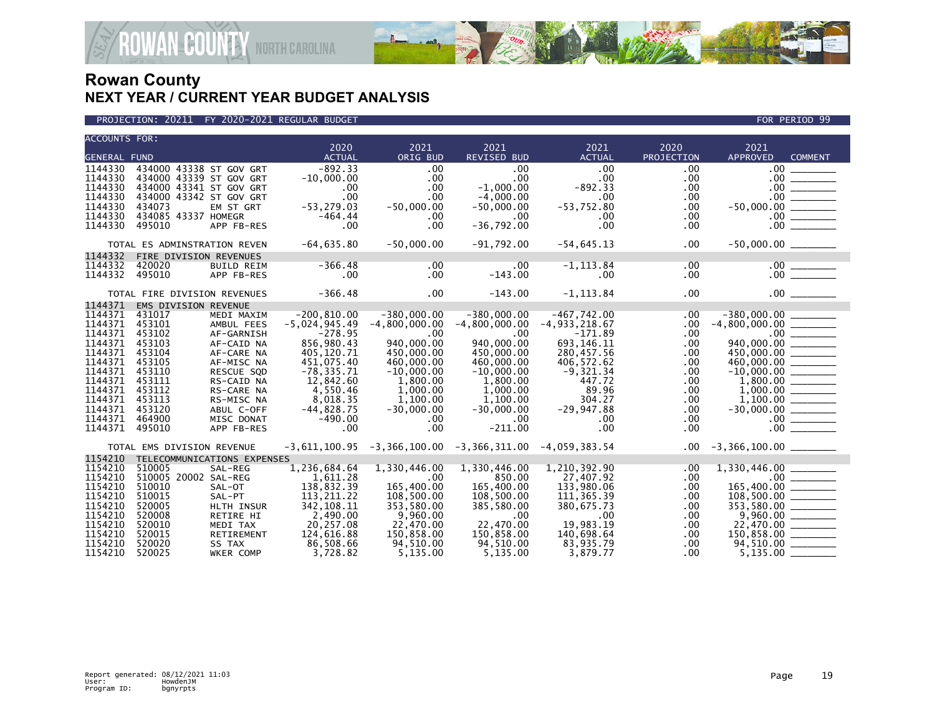

| <b>ACCOUNTS FOR:</b> |                              |                       | 2020                        | 2021                     | 2021                                                            | 2021                     | 2020       | 2021                                                                                                                                                                                                                                                                                                                                       |                      |
|----------------------|------------------------------|-----------------------|-----------------------------|--------------------------|-----------------------------------------------------------------|--------------------------|------------|--------------------------------------------------------------------------------------------------------------------------------------------------------------------------------------------------------------------------------------------------------------------------------------------------------------------------------------------|----------------------|
| <b>GENERAL FUND</b>  |                              |                       | <b>ACTUAL</b>               | ORIG BUD                 | <b>REVISED BUD</b>                                              | <b>ACTUAL</b>            | PROJECTION | <b>APPROVED</b>                                                                                                                                                                                                                                                                                                                            | <b>COMMENT</b>       |
| 1144330              | 434000 43338 ST GOV GRT      |                       | $-892.33$                   | .00                      | .00                                                             | .00                      | .00        | $.00 \cdot$                                                                                                                                                                                                                                                                                                                                |                      |
| 1144330              | 434000 43339 ST GOV GRT      |                       | $-10,000.00$                | .00                      | .00                                                             | .00                      | .00        | $.00 \,$                                                                                                                                                                                                                                                                                                                                   | $\frac{1}{1}$        |
| 1144330              | 434000 43341 ST GOV GRT      |                       | .00                         | .00                      | $-1.000.00$                                                     | $-892.33$                | .00        |                                                                                                                                                                                                                                                                                                                                            |                      |
| 1144330              | 434000 43342 ST GOV GRT      |                       | .00                         | .00.                     | $-4,000.00$                                                     | .00                      | .00        |                                                                                                                                                                                                                                                                                                                                            |                      |
| 1144330              | 434073                       | EM ST GRT             | $-53, 279.03$               | $-50,000.00$             | $-50,000.00$                                                    | $-53,752.80$             | .00        |                                                                                                                                                                                                                                                                                                                                            |                      |
| 1144330              | 434085 43337 HOMEGR          |                       | $-464.44$                   | .00.                     | .00                                                             | $.00 \,$                 | .00.       |                                                                                                                                                                                                                                                                                                                                            | $\frac{00}{00}$      |
| 1144330              | 495010                       | APP FB-RES            | .00                         | .00 <sub>1</sub>         | $-36,792.00$                                                    | $.00 \times$             | .00        | $.00 \,$                                                                                                                                                                                                                                                                                                                                   |                      |
|                      | TOTAL ES ADMINSTRATION REVEN |                       | $-64,635.80$                | $-50,000.00$             | $-91,792.00$                                                    | $-54,645.13$             | .00        |                                                                                                                                                                                                                                                                                                                                            |                      |
| 1144332              | FIRE DIVISION REVENUES       |                       |                             |                          |                                                                 |                          |            |                                                                                                                                                                                                                                                                                                                                            |                      |
| 1144332              | 420020                       | <b>BUILD REIM</b>     | $-366.48$                   | .00                      | $.00 \,$                                                        | $-1, 113.84$             | .00        |                                                                                                                                                                                                                                                                                                                                            |                      |
| 1144332              | 495010                       | APP FB-RES            | .00                         | .00 <sub>1</sub>         | $-143.00$                                                       | $.00 \,$                 | .00        |                                                                                                                                                                                                                                                                                                                                            |                      |
|                      | TOTAL FIRE DIVISION REVENUES |                       | $-366.48$                   | $.00 \,$                 | $-143.00$                                                       | $-1, 113.84$             | .00        |                                                                                                                                                                                                                                                                                                                                            | .00                  |
| 1144371              | EMS DIVISION REVENUE         |                       |                             |                          |                                                                 |                          |            |                                                                                                                                                                                                                                                                                                                                            |                      |
| 1144371              | 431017                       | MEDI MAXIM            | $-200, 810.00$              | $-380,000.00$            | $-380,000.00$                                                   | $-467,742.00$            | .00        |                                                                                                                                                                                                                                                                                                                                            |                      |
| 1144371              | 453101                       | AMBUL FEES            | $-5,024,945.49$             | $-4,800,000.00$          | $-4,800,000.00$                                                 | $-4, 933, 218.67$        | .00        | $-4,800,000.00$ _________                                                                                                                                                                                                                                                                                                                  |                      |
| 1144371              | 453102                       | AF-GARNISH            | $-278.95$                   | .00                      | .00                                                             | $-171.89$                | .00        |                                                                                                                                                                                                                                                                                                                                            |                      |
| 1144371              | 453103                       | AF-CAID NA            | 856,980.43                  | 940,000.00               | 940,000.00                                                      | 693, 146. 11             | .00        |                                                                                                                                                                                                                                                                                                                                            |                      |
| 1144371              | 453104                       | AF-CARE NA            | 405,120.71                  | 450,000.00               | 450,000.00                                                      | 280,457.56               | .00        |                                                                                                                                                                                                                                                                                                                                            |                      |
| 1144371              | 453105                       | AF-MISC NA            | 451,075.40                  | 460,000.00               | 460,000.00                                                      | 406,572.62               | .00        |                                                                                                                                                                                                                                                                                                                                            |                      |
| 1144371              | 453110                       | RESCUE SQD            | $-78, 335.71$               | $-10,000.00$             | $-10,000.00$                                                    | $-9,321.34$              | .00        | $-10,000.00$<br>1,800.00                                                                                                                                                                                                                                                                                                                   |                      |
| 1144371              | 453111                       | RS-CAID NA            | 12,842.60                   | 1,800.00                 | 1,800.00                                                        | 447.72                   | .00        |                                                                                                                                                                                                                                                                                                                                            |                      |
| 1144371              | 453112                       | RS-CARE NA            | 4,550.46                    | 1,000.00                 | 1,000.00                                                        | 89.96                    | .00        |                                                                                                                                                                                                                                                                                                                                            |                      |
| 1144371              | 453113                       | RS-MISC NA            | 8,018.35                    | 1.100.00                 | 1.100.00                                                        | 304.27                   | .00        |                                                                                                                                                                                                                                                                                                                                            |                      |
| 1144371              | 453120                       | ABUL C-OFF            | $-44,828.75$                | $-30,000.00$             | $-30,000.00$                                                    | $-29,947.88$             | .00.       |                                                                                                                                                                                                                                                                                                                                            |                      |
| 1144371              | 464900                       | MISC DONAT            | $-490.00$                   | .00.                     | .00                                                             | $.00 \,$<br>.00          | .00        |                                                                                                                                                                                                                                                                                                                                            |                      |
| 1144371              | 495010                       | APP FB-RES            | .00                         | .00                      | $-211.00$                                                       |                          | .00        | $.00 \,$                                                                                                                                                                                                                                                                                                                                   |                      |
|                      | TOTAL EMS DIVISION REVENUE   |                       |                             |                          | $-3,611,100.95$ $-3,366,100.00$ $-3,366,311.00$ $-4,059,383.54$ |                          | $.00 \,$   |                                                                                                                                                                                                                                                                                                                                            |                      |
| 1154210              | TELECOMMUNICATIONS EXPENSES  |                       |                             |                          |                                                                 |                          |            |                                                                                                                                                                                                                                                                                                                                            |                      |
| 1154210              | 510005                       | SAL-REG               | 1,236,684.64                | 1,330,446.00             | 1,330,446.00                                                    | 1,210,392.90             | .00        |                                                                                                                                                                                                                                                                                                                                            |                      |
| 1154210              | 510005 20002 SAL-REG         |                       | 1,611.28                    | .00                      | 850.00                                                          | 27,407.92                | .00        |                                                                                                                                                                                                                                                                                                                                            |                      |
| 1154210              | 510010                       | SAL-OT                | 138,832.39                  | 165,400.00               | 165,400.00                                                      | 133,980.06               | .00        | 165,400.00 ______                                                                                                                                                                                                                                                                                                                          |                      |
| 1154210<br>1154210   | 510015<br>520005             | SAL-PT<br>HLTH INSUR  | 113, 211, 22<br>342, 108.11 | 108,500.00<br>353,580.00 | 108,500.00<br>385,580.00                                        | 111,365.39<br>380,675.73 | .00<br>.00 | $\overline{108,500.00}$ $\overline{108,500.00}$ $\overline{2000}$ $\overline{2000}$ $\overline{2000}$ $\overline{2000}$ $\overline{2000}$ $\overline{2000}$ $\overline{2000}$ $\overline{2000}$ $\overline{2000}$ $\overline{2000}$ $\overline{2000}$ $\overline{2000}$ $\overline{2000}$ $\overline{2000}$ $\overline{2000}$ $\overline{$ |                      |
| 1154210              | 520008                       |                       | 2,490.00                    | 9,960.00                 | .00                                                             | $.00 \,$                 | .00        |                                                                                                                                                                                                                                                                                                                                            |                      |
| 1154210              | 520010                       | RETIRE HI<br>MEDI TAX | 20,257.08                   | 22,470.00                | 22.470.00                                                       | 19.983.19                | .00        |                                                                                                                                                                                                                                                                                                                                            | $9,960.00$ _________ |
| 1154210              | 520015                       | RETIREMENT            | 124,616.88                  | 150,858.00               | 150,858.00                                                      | 140,698.64               | .00        | $150,858.00$ ________                                                                                                                                                                                                                                                                                                                      |                      |
| 1154210              | 520020                       | SS TAX                | 86,508.66                   | 94,510.00                | 94,510.00                                                       | 83,935.79                | .00        | 94,510.00 ________                                                                                                                                                                                                                                                                                                                         |                      |
| 1154210              | 520025                       | WKER COMP             | 3,728.82                    | 5,135.00                 | 5,135.00                                                        | 3,879.77                 | .00        |                                                                                                                                                                                                                                                                                                                                            |                      |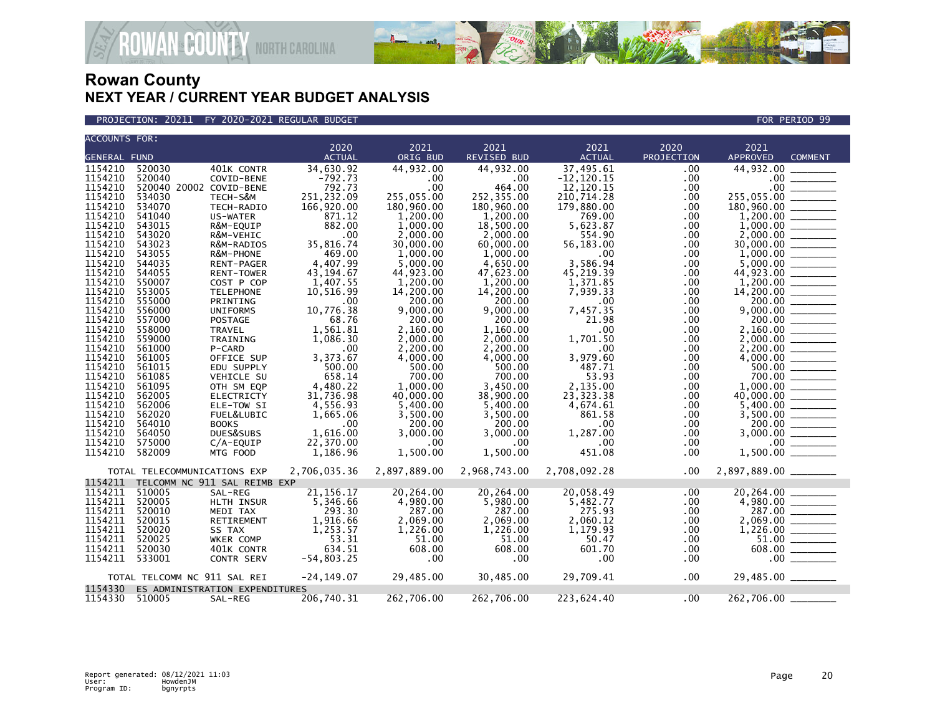

**JAN<sup>&</sup>COUNTY** NORTH CAROLINA

| ACCOUNTS FOR:       |                                |               |              |              |               |             |                            |
|---------------------|--------------------------------|---------------|--------------|--------------|---------------|-------------|----------------------------|
|                     |                                | 2020          | 2021         | 2021         | 2021          | 2020        | 2021                       |
| <b>GENERAL FUND</b> |                                | <b>ACTUAL</b> | ORIG BUD     | REVISED BUD  | <b>ACTUAL</b> | PROJECTION  | APPROVED<br><b>COMMENT</b> |
| 1154210             | 520030<br>401K CONTR           | 34,630.92     | 44,932.00    | 44,932.00    | 37,495.61     | .00.        | 44,932.00                  |
| 1154210             | 520040<br>COVID-BENE           | $-792.73$     | $.00 \times$ | .00          | $-12, 120.15$ | .00         | .00                        |
| 1154210             | 520040 20002 COVID-BENE        | 792.73        | .00          | 464.00       | 12,120.15     | .00         | .00                        |
| 1154210             | 534030<br>TECH-S&M             | 251,232.09    | 255,055.00   | 252,355.00   | 210,714.28    | .00         | 255,055.00                 |
| 1154210             | 534070<br>TECH-RADIO           | 166,920.00    | 180,960.00   | 180,960.00   | 179,880.00    | .00         | 180,960.00                 |
| 1154210             | 541040<br>US-WATER             | 871.12        | 1,200.00     | 1,200.00     | 769.00        | .00.        | 1,200.00                   |
| 1154210             | 543015<br>R&M-EQUIP            | 882.00        | 1,000.00     | 18,500.00    | 5,623.87      | .00         | 1,000.00                   |
| 1154210             | 543020<br>R&M-VEHIC            | .00           | 2,000.00     | 2,000.00     | 554.90        | .00         | 2,000.00                   |
| 1154210             | 543023<br>R&M-RADIOS           | 35,816.74     | 30,000.00    | 60,000.00    | 56,183.00     | .00         | 30,000.00                  |
| 1154210             | 543055<br>R&M-PHONE            | 469.00        | 1,000.00     | 1,000.00     | .00           | .00.        | 1,000.00                   |
| 1154210             | 544035                         | 4,407.99      | 5,000.00     | 4,650.00     | 3,586.94      |             | 5,000.00                   |
| 1154210             | <b>RENT-PAGER</b><br>544055    | 43, 194.67    | 44,923.00    | 47,623.00    |               | .00         | 44,923.00                  |
| 1154210             | <b>RENT-TOWER</b><br>550007    |               |              |              | 45,219.39     | .00.        |                            |
|                     | COST P COP                     | 1,407.55      | 1,200.00     | 1,200.00     | 1,371.85      | .00         | 1,200.00                   |
| 1154210             | 553005<br><b>TELEPHONE</b>     | 10,516.99     | 14,200.00    | 14,200.00    | 7,939.33      | .00         | 14,200.00                  |
| 1154210             | 555000<br>PRINTING             | .00           | 200.00       | 200.00       | $.00 \times$  | .00.        | 200.00                     |
| 1154210             | 556000<br><b>UNIFORMS</b>      | 10,776.38     | 9,000.00     | 9,000.00     | 7,457.35      | .00.        | 9,000.00                   |
| 1154210             | 557000<br>POSTAGE              | 68.76         | 200.00       | 200.00       | 21.98         | .00         | 200.00                     |
| 1154210             | 558000<br><b>TRAVEL</b>        | 1,561.81      | 2,160.00     | 1,160.00     | .00           | .00.        | 2.160.00                   |
| 1154210             | 559000<br>TRAINING             | 1,086.30      | 2,000.00     | 2,000.00     | 1,701.50      | .00.        | 2,000.00                   |
| 1154210             | 561000<br>P-CARD               | .00           | 2,200.00     | 2,200.00     | .00           | .00         | 2,200.00                   |
| 1154210             | 561005<br>OFFICE SUP           | 3,373.67      | 4,000.00     | 4,000.00     | 3,979.60      | .00         | 4,000.00                   |
| 1154210             | 561015<br>EDU SUPPLY           | 500.00        | 500.00       | 500.00       | 487.71        | .00         | 500.00                     |
| 1154210             | 561085<br><b>VEHICLE SU</b>    | 658.14        | 700.00       | 700.00       | 53.93         | .00         | 700.00                     |
| 1154210             | 561095<br>OTH SM EQP           | 4,480.22      | 1,000.00     | 3,450.00     | 2,135.00      | .00.        | 1,000.00                   |
| 1154210             | 562005<br>ELECTRICTY           | 31,736.98     | 40,000.00    | 38,900.00    | 23,323.38     | .00.        | 40,000.00                  |
| 1154210             | 562006<br>ELE-TOW SI           | 4,556.93      | 5,400.00     | 5,400.00     | 4,674.61      | .00         | 5.400.00                   |
| 1154210             | 562020<br>FUEL&LUBIC           | 1,665.06      | 3,500.00     | 3,500.00     | 861.58        | .00         | 3,500.00                   |
| 1154210             | 564010<br><b>BOOKS</b>         | .00.          | 200.00       | 200.00       | $.00 \,$      | .00         | 200.00                     |
| 1154210             | 564050<br>DUES&SUBS            | 1,616.00      | 3,000.00     | 3.000.00     | 1,287.00      | .00.        | 3.000.00                   |
| 1154210             | 575000<br>$C/A$ -EQUIP         | 22,370.00     | $.00 \times$ | $.00 \cdot$  | $.00 \times$  | .00         | .00                        |
| 1154210             | 582009<br>MTG FOOD             | 1,186.96      | 1,500.00     | 1,500.00     | 451.08        | .00.        | 1,500.00                   |
|                     |                                |               |              |              |               |             |                            |
|                     | TOTAL TELECOMMUNICATIONS EXP   | 2,706,035.36  | 2,897,889.00 | 2,968,743.00 | 2,708,092.28  | .00         | 2,897,889.00 _______       |
| 1154211             | TELCOMM NC 911 SAL REIMB EXP   |               |              |              |               |             |                            |
| 1154211             | 510005<br>SAL-REG              | 21, 156. 17   | 20,264.00    | 20,264.00    | 20,058.49     | .00         | 20,264.00                  |
| 1154211             | 520005<br>HLTH INSUR           | 5,346.66      | 4,980.00     | 5,980.00     | 5,482.77      | .00         | 4,980.00                   |
| 1154211             | 520010<br>MEDI TAX             | 293.30        | 287.00       | 287.00       | 275.93        | .00.        | 287.00                     |
| 1154211             | 520015<br>RETIREMENT           | 1,916.66      | 2,069.00     | 2,069.00     | 2,060.12      | .00.        |                            |
| 1154211             | 520020<br>SS TAX               | 1,253.57      | 1,226.00     | 1,226.00     | 1,179.93      | .00.        | 1,226.00                   |
| 1154211             | 520025<br>WKER COMP            | 53.31         | 51.00        | 51.00        | 50.47         | .00         | 51.00                      |
| 1154211             | 520030<br>401K CONTR           | 634.51        | 608.00       | 608.00       | 601.70        | .00.        | 608.00                     |
| 1154211             | 533001<br><b>CONTR SERV</b>    | $-54,803.25$  | .00          | .00          | .00           | .00.        | $.00 \,$                   |
|                     |                                |               |              |              |               |             |                            |
|                     | TOTAL TELCOMM NC 911 SAL REI   | $-24, 149.07$ | 29,485.00    | 30,485.00    | 29,709.41     | $.00 \cdot$ | 29,485.00 _______          |
| 1154330             | ES ADMINISTRATION EXPENDITURES |               |              |              |               |             |                            |
| 1154330             | 510005<br>SAL-REG              | 206,740.31    | 262,706.00   | 262,706.00   | 223,624.40    | .00         | 262,706.00                 |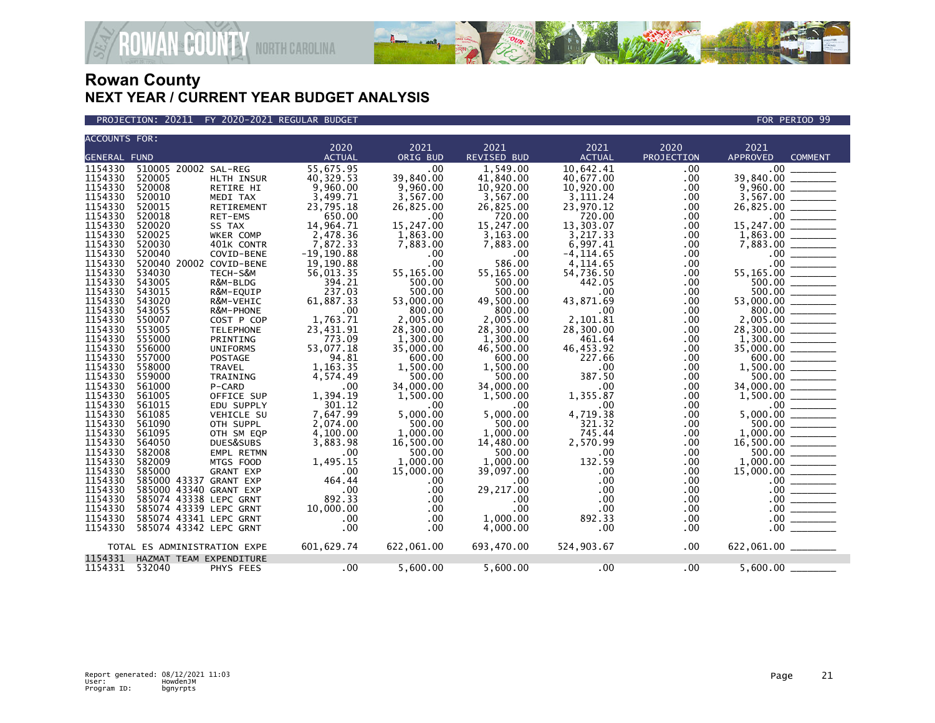

PROJECTION: 20211 FY 2020-2021 REGULAR BUDGET FOR PERIOD 99

**ROWAN-COUNTY NORTH CAROLINA** 

|                     | <b>ACCOUNTS FOR:</b>         |                  |               |              |                    |               |            |                                   |  |  |  |
|---------------------|------------------------------|------------------|---------------|--------------|--------------------|---------------|------------|-----------------------------------|--|--|--|
|                     |                              |                  | 2020          | 2021         | 2021               | 2021          | 2020       | 2021                              |  |  |  |
| <b>GENERAL FUND</b> |                              |                  | <b>ACTUAL</b> | ORIG BUD     | <b>REVISED BUD</b> | <b>ACTUAL</b> | PROJECTION | <b>APPROVED</b><br><b>COMMENT</b> |  |  |  |
| 1154330             | 510005 20002 SAL-REG         |                  | 55,675.95     | .00          | 1,549.00           | 10.642.41     | .00.       | .00 <sub>1</sub>                  |  |  |  |
| 1154330             | 520005                       | HLTH INSUR       | 40,329.53     | 39,840.00    | 41,840.00          | 40,677.00     | .00        | 39,840.00                         |  |  |  |
| 1154330             | 520008                       | RETIRE HI        | 9,960.00      | 9,960.00     | 10,920.00          | 10,920.00     | .00        | 9,960.00                          |  |  |  |
| 1154330             | 520010                       | MEDI TAX         | 3,499.71      | 3,567.00     | 3,567.00           | 3,111.24      | .00        | 3,567.00                          |  |  |  |
| 1154330             | 520015                       | RETIREMENT       | 23,795.18     | 26,825.00    | 26,825.00          | 23,970.12     | .00        | 26,825.00                         |  |  |  |
| 1154330             | 520018                       | RET-EMS          | 650.00        | .00          | 720.00             | 720.00        | .00.       | $.00 \,$                          |  |  |  |
| 1154330             | 520020                       | SS TAX           | 14,964.71     | 15,247.00    | 15,247.00          | 13,303.07     | .00.       | 15,247.00                         |  |  |  |
| 1154330             | 520025                       | <b>WKER COMP</b> | 2.478.36      | 1.863.00     | 3.163.00           | 3.217.33      | .00.       | 1.863.00                          |  |  |  |
| 1154330             | 520030                       | 401K CONTR       | 7,872.33      | 7,883.00     | 7.883.00           | 6,997.41      | .00        | 7,883.00                          |  |  |  |
| 1154330             | 520040                       | COVID-BENE       | $-19, 190.88$ | .00          | $.00 \times$       | $-4.114.65$   | .00        | $.00 \,$                          |  |  |  |
| 1154330             | 520040 20002 COVID-BENE      |                  | 19,190.88     | .00          | 586.00             | 4.114.65      | .00        | .00                               |  |  |  |
| 1154330             | 534030                       | TECH-S&M         | 56,013.35     | 55,165.00    | 55,165.00          | 54,736.50     | .00.       | 55,165.00                         |  |  |  |
| 1154330             | 543005                       | R&M-BLDG         | 394.21        | 500.00       | 500.00             | 442.05        | .00.       | 500.00                            |  |  |  |
| 1154330             | 543015                       | R&M-EQUIP        | 237.03        | 500.00       | 500.00             | .00           | .00        | 500.00                            |  |  |  |
| 1154330             | 543020                       | R&M-VEHIC        | 61,887.33     | 53,000.00    | 49,500.00          | 43,871.69     | .00.       | 53,000.00                         |  |  |  |
| 1154330             | 543055                       | R&M-PHONE        | .00           | 800.00       | 800.00             | .00           | .00        | 800.00                            |  |  |  |
| 1154330             | 550007                       | COST P COP       | 1,763.71      | 2.005.00     | 2.005.00           | 2.101.81      | .00.       | 2.005.00                          |  |  |  |
| 1154330             | 553005                       | <b>TELEPHONE</b> | 23,431.91     | 28,300.00    | 28,300.00          | 28,300.00     | .00.       | 28,300.00                         |  |  |  |
| 1154330             | 555000                       | PRINTING         | 773.09        | 1,300.00     | 1,300.00           | 461.64        | .00        | 1,300.00                          |  |  |  |
| 1154330             | 556000                       | <b>UNIFORMS</b>  | 53,077.18     | 35,000.00    | 46,500.00          | 46,453.92     | .00        | 35,000.00                         |  |  |  |
| 1154330             | 557000                       | <b>POSTAGE</b>   | 94.81         | 600.00       | 600.00             | 227.66        | .00        | 600.00                            |  |  |  |
| 1154330             | 558000                       | <b>TRAVEL</b>    | 1,163.35      | 1,500.00     | 1,500.00           | .00           | .00.       | 1,500.00                          |  |  |  |
| 1154330             | 559000                       | TRAINING         | 4,574.49      | 500.00       | 500.00             | 387.50        |            | 500.00                            |  |  |  |
| 1154330             |                              |                  |               |              |                    | .00           | .00        |                                   |  |  |  |
| 1154330             | 561000                       | P-CARD           | .00           | 34,000.00    | 34,000.00          |               | .00.       | 34,000.00                         |  |  |  |
|                     | 561005                       | OFFICE SUP       | 1,394.19      | 1,500.00     | 1,500.00           | 1,355.87      | .00.       | 1,500.00                          |  |  |  |
| 1154330             | 561015                       | EDU SUPPLY       | 301.12        | .00          | $.00 \times$       | .00           | .00        | .00 <sub>1</sub>                  |  |  |  |
| 1154330             | 561085                       | VEHICLE SU       | 7,647.99      | 5,000.00     | 5.000.00           | 4,719.38      | .00.       | 5,000.00                          |  |  |  |
| 1154330             | 561090                       | OTH SUPPL        | 2,074.00      | 500.00       | 500.00             | 321.32        | .00.       | 500.00                            |  |  |  |
| 1154330             | 561095                       | OTH SM EQP       | 4,100.00      | 1,000.00     | 1,000.00           | 745.44        | .00        | 1,000.00                          |  |  |  |
| 1154330             | 564050                       | DUES&SUBS        | 3,883.98      | 16,500.00    | 14,480.00          | 2,570.99      | .00.       | 16,500.00                         |  |  |  |
| 1154330             | 582008                       | EMPL RETMN       | .00           | 500.00       | 500.00             | .00           | .00        | 500.00                            |  |  |  |
| 1154330             | 582009                       | MTGS FOOD        | 1,495.15      | 1,000.00     | 1.000.00           | 132.59        | .00        | 1,000.00                          |  |  |  |
| 1154330             | 585000                       | <b>GRANT EXP</b> | .00           | 15,000.00    | 39,097.00          | .00           | .00        | 15,000.00                         |  |  |  |
| 1154330             | 585000 43337 GRANT EXP       |                  | 464.44        | .00          | .00                | .00           | .00        | $.00 \,$                          |  |  |  |
| 1154330             | 585000 43340 GRANT EXP       |                  | .00           | .00          | 29,217.00          | .00           | .00.       | .00 <sub>1</sub>                  |  |  |  |
| 1154330             | 585074 43338 LEPC GRNT       |                  | 892.33        | .00          | .00                | .00           | .00        | $.00 \,$                          |  |  |  |
| 1154330             | 585074 43339 LEPC GRNT       |                  | 10,000.00     | .00          | .00                | .00           | .00        | .00 <sub>1</sub>                  |  |  |  |
| 1154330             | 585074 43341 LEPC GRNT       |                  | .00           | .00          | 1,000.00           | 892.33        | .00        | .00                               |  |  |  |
| 1154330             | 585074 43342 LEPC GRNT       |                  | .00           | $.00 \times$ | 4,000.00           | .00           | .00        | .00                               |  |  |  |
|                     | TOTAL ES ADMINISTRATION EXPE |                  | 601,629.74    | 622,061.00   | 693,470.00         | 524,903.67    | .00.       | 622,061.00 _____                  |  |  |  |
| 1154331             | HAZMAT TEAM EXPENDITURE      |                  |               |              |                    |               |            |                                   |  |  |  |
| 1154331 532040      |                              | PHYS FEES        | .00           | 5,600.00     | 5,600.00           | .00           | $.00 \,$   | 5,600.00                          |  |  |  |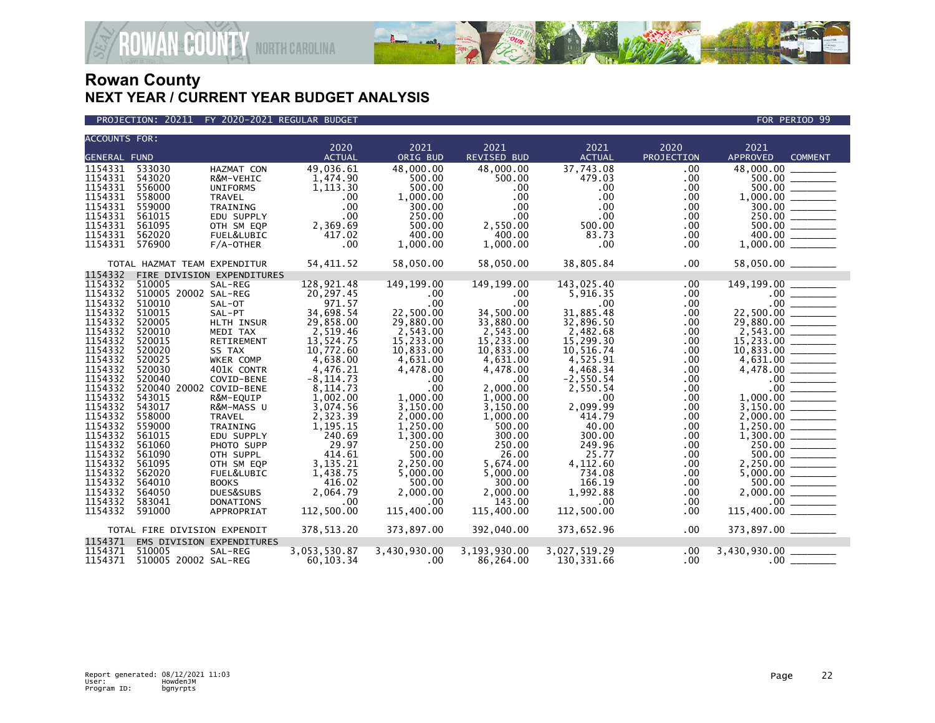

| ACCOUNTS FOR:                                                                                                      |                              |                            |                       |                  |                            |                       |                    |                         |                                                           |
|--------------------------------------------------------------------------------------------------------------------|------------------------------|----------------------------|-----------------------|------------------|----------------------------|-----------------------|--------------------|-------------------------|-----------------------------------------------------------|
| <b>GENERAL FUND</b>                                                                                                |                              |                            | 2020<br><b>ACTUAL</b> | 2021<br>ORIG BUD | 2021<br><b>REVISED BUD</b> | 2021<br><b>ACTUAL</b> | 2020<br>PROJECTION | 2021<br><b>APPROVED</b> |                                                           |
|                                                                                                                    |                              |                            |                       |                  |                            |                       |                    |                         | <b>COMMENT</b>                                            |
| 1154331                                                                                                            | 533030                       | HAZMAT CON                 | 49,036.61             | 48,000.00        | 48,000.00                  | 37,743.08             | .00                | 48,000.00               |                                                           |
| 1154331                                                                                                            | 543020                       | R&M-VEHIC                  | 1,474.90              | 500.00           | 500.00                     | 479.03                | .00                | 500.00                  |                                                           |
| 1154331                                                                                                            | 556000                       | <b>UNIFORMS</b>            | 1,113.30              | 500.00           | .00                        | .00                   | .00                |                         |                                                           |
| 1154331                                                                                                            | 558000                       | <b>TRAVEL</b>              | .00                   | 1,000.00         | .00                        | .00                   | .00                |                         |                                                           |
| 1154331                                                                                                            | 559000                       | TRAINING                   | .00                   | 300.00           | $.00 \,$                   | .00                   | .00                |                         |                                                           |
| 1154331                                                                                                            | 561015                       | EDU SUPPLY                 | .00                   | 250.00           | $.00 \,$                   | .00                   | .00                | 250.00                  |                                                           |
| 1154331                                                                                                            | 561095                       | OTH SM EQP                 | 2,369.69              | 500.00           | 2,550.00                   | 500.00                | $.00 \,$           | 500.00                  |                                                           |
| 1154331                                                                                                            | 562020                       | FUEL&LUBIC                 | 417.02                | 400.00           | 400.00                     | 83.73                 | .00                | 400.00                  |                                                           |
| 1154331                                                                                                            | 576900                       | $F/A$ -OTHER               | .00                   | 1,000.00         | 1,000.00                   | .00                   | .00                | 1,000.00                |                                                           |
|                                                                                                                    | TOTAL HAZMAT TEAM EXPENDITUR |                            | 54,411.52             | 58,050.00        | 58,050.00                  | 38,805.84             | .00                | 58,050.00 _______       |                                                           |
| 1154332                                                                                                            |                              | FIRE DIVISION EXPENDITURES |                       |                  |                            |                       |                    |                         |                                                           |
| 1154332                                                                                                            | 510005                       | SAL-REG                    | 128,921.48            | 149,199.00       | 149,199.00                 | 143,025.40            | .00                | 149,199.00 ______       |                                                           |
| 1154332                                                                                                            | 510005 20002 SAL-REG         |                            | 20,297.45             | $.00 \,$         | $.00 \,$                   | 5,916.35              | $.00 \,$           |                         |                                                           |
| 1154332                                                                                                            | 510010                       | SAL-OT                     | 971.57                | .00              | .00                        | .00 <sub>1</sub>      | .00                | $.00 \,$                |                                                           |
| 1154332                                                                                                            | 510015                       | SAL-PT                     | 34,698.54             | 22,500.00        | 34,500.00                  | 31,885.48             | .00.               | 22,500.00               |                                                           |
| 1154332                                                                                                            | 520005                       | HLTH INSUR                 | 29,858.00             | 29,880.00        | 33,880.00                  | 32,896.50             | .00                | 29,880.00               |                                                           |
| 1154332                                                                                                            | 520010                       | MEDI TAX                   | 2,519.46              | 2,543.00         | 2,543.00                   | 2,482.68              | .00                | 2,543.00                |                                                           |
| 1154332                                                                                                            | 520015                       | RETIREMENT                 | 13,524.75             | 15,233.00        | 15,233.00                  | 15,299.30             | .00                |                         |                                                           |
| 1154332                                                                                                            | 520020                       | SS TAX                     | 10,772.60             | 10,833.00        | 10,833.00                  | 10,516.74             | .00                | 10,833.00               | $\overline{\phantom{a}}$                                  |
| 1154332                                                                                                            | 520025                       | WKER COMP                  | 4,638.00              | 4,631.00         | 4,631.00                   | 4,525.91              | .00                | 4,631.00                |                                                           |
| 1154332                                                                                                            | 520030                       | 401K CONTR                 | 4,476.21              | 4,478.00         | 4,478.00                   | 4.468.34              | .00                | 4,478.00                |                                                           |
| 1154332                                                                                                            | 520040                       | COVID-BENE                 | $-8, 114.73$          | $.00 \,$         | $.00 \times$               | $-2,550.54$           | .00                | $.00 \,$                |                                                           |
| 1154332                                                                                                            | 520040 20002 COVID-BENE      |                            | 8,114.73              | .00              | 2,000.00                   | 2,550.54              | .00                | .00                     | <u>a sering</u>                                           |
| 1154332                                                                                                            | 543015                       | R&M-EQUIP                  | 1,002.00              | 1,000.00         | 1,000.00                   | .00                   | .00                | 1,000.00                |                                                           |
| 1154332                                                                                                            | 543017                       | R&M-MASS U                 | 3,074.56              | 3,150.00         | 3,150.00                   | 2,099.99              | .00                | 3,150.00                |                                                           |
| 1154332                                                                                                            | 558000                       | <b>TRAVEL</b>              | 2,323.39              | 2,000.00         | 1,000.00                   | 414.79                | .00                | 2,000.00                |                                                           |
| 1154332                                                                                                            | 559000                       | TRAINING                   | 1,195.15              | 1,250.00         | 500.00                     | 40.00                 | .00.               | 1,250.00                |                                                           |
| 1154332                                                                                                            | 561015                       | EDU SUPPLY                 | 240.69                | 1,300.00         | 300.00                     | 300.00                | .00                |                         |                                                           |
| 1154332                                                                                                            | 561060                       | PHOTO SUPP                 | 29.97                 | 250.00           | 250.00                     | 249.96                | .00                | 250.00                  | $\frac{1}{1}$                                             |
| 1154332                                                                                                            | 561090                       | OTH SUPPL                  | 414.61                | 500.00           | 26.00                      | 25.77                 | .00.               | 500.00                  | $\mathcal{L}^{\text{max}}$ and $\mathcal{L}^{\text{max}}$ |
| 1154332                                                                                                            | 561095                       | OTH SM EQP                 | 3,135.21              | 2,250.00         | 5,674.00                   | 4,112.60              | .00                |                         |                                                           |
| 1154332                                                                                                            | 562020                       | FUEL&LUBIC                 | 1,438.75              | 5,000.00         | 5,000.00                   | 734.08                | .00                |                         |                                                           |
| 1154332                                                                                                            | 564010                       | <b>BOOKS</b>               | 416.02                | 500.00           | 300.00                     | 166.19                | .00                | 500.00                  |                                                           |
| 1154332                                                                                                            | 564050                       | DUES&SUBS                  | 2.064.79              | 2,000.00         | 2,000.00                   | 1,992.88              | .00                | 2,000.00                |                                                           |
| 1154332                                                                                                            | 583041                       | <b>DONATIONS</b>           | .00                   | .00.             | 143.00                     | .00                   | .00                | .00                     |                                                           |
| 1154332                                                                                                            | 591000                       | APPROPRIAT                 | 112,500.00            | 115,400.00       | 115,400.00                 | 112,500.00            | .00                | 115,400.00              |                                                           |
| 378, 513.20<br>373,897.00<br>392,040.00<br>373,652.96<br>.00<br>373,897.00 _______<br>TOTAL FIRE DIVISION EXPENDIT |                              |                            |                       |                  |                            |                       |                    |                         |                                                           |
| 1154371                                                                                                            |                              | EMS DIVISION EXPENDITURES  |                       |                  |                            |                       |                    |                         |                                                           |
| 1154371                                                                                                            | 510005                       | SAL-REG                    | 3,053,530.87          | 3,430,930.00     | 3,193,930.00               | 3,027,519.29          | .00                | 3,430,930.00            |                                                           |
| 1154371                                                                                                            | 510005 20002 SAL-REG         |                            | 60,103.34             | $.00 \,$         | 86,264.00                  | 130,331.66            | .00                | $.00 \,$                |                                                           |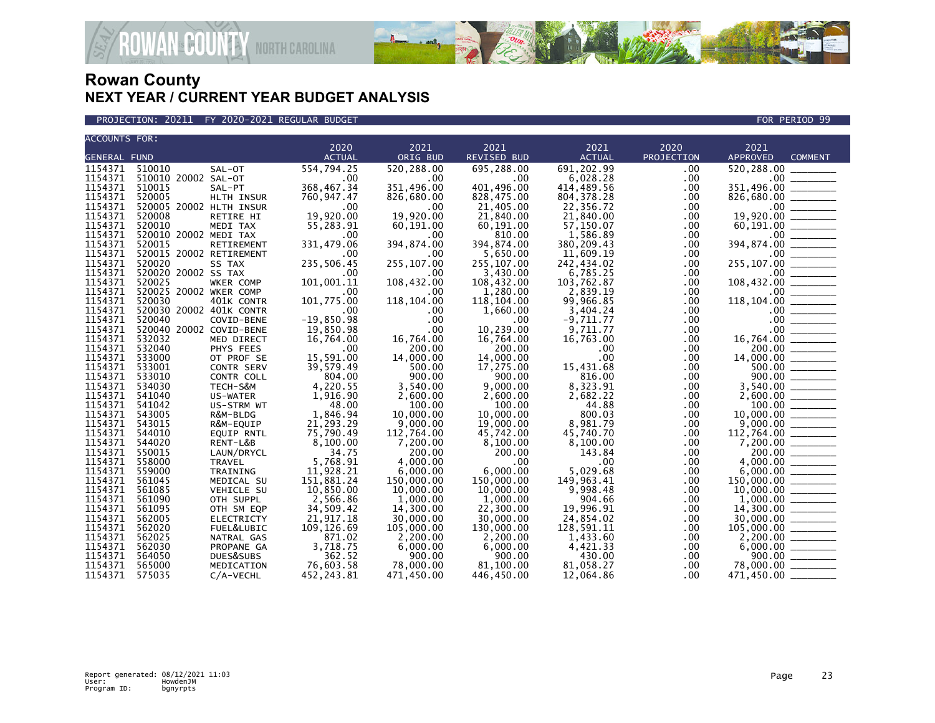



| 2020<br>2021<br>2021<br>2021<br>2020<br>2021<br><b>ACTUAL</b><br><b>GENERAL FUND</b><br><b>ACTUAL</b><br>ORIG BUD<br><b>REVISED BUD</b><br>PROJECTION<br><b>APPROVED</b><br>691,202.99<br>1154371<br>510010<br>554,794.25<br>520,288.00<br>695,288.00<br>520,288.00<br>SAL-OT<br>.00<br>1154371<br>510010 20002 SAL-OT<br>6,028.28<br>.00<br>.00<br>.00<br>.00<br>368,467.34<br>1154371<br>510015<br>351.496.00<br>401.496.00<br>414.489.56<br>.00<br>SAL-PT<br>1154371<br>520005<br>HLTH INSUR<br>760,947.47<br>826,680.00<br>828,475.00<br>804, 378.28<br>.00.<br>1154371<br>520005 20002 HLTH INSUR<br>21,405.00<br>.00<br>.00<br>.00<br>22,356.72 | <b>COMMENT</b>                                                                                                                                                                                                                                                                                                                                                                                                                                        |
|-------------------------------------------------------------------------------------------------------------------------------------------------------------------------------------------------------------------------------------------------------------------------------------------------------------------------------------------------------------------------------------------------------------------------------------------------------------------------------------------------------------------------------------------------------------------------------------------------------------------------------------------------------|-------------------------------------------------------------------------------------------------------------------------------------------------------------------------------------------------------------------------------------------------------------------------------------------------------------------------------------------------------------------------------------------------------------------------------------------------------|
|                                                                                                                                                                                                                                                                                                                                                                                                                                                                                                                                                                                                                                                       | $351,496.00$<br>$351,496.00$<br>$826,680.00$<br>$19,920.00$<br>$60,191.00$<br>$394,874.00$<br>$255,107.00$<br>$108,432.00$                                                                                                                                                                                                                                                                                                                            |
|                                                                                                                                                                                                                                                                                                                                                                                                                                                                                                                                                                                                                                                       |                                                                                                                                                                                                                                                                                                                                                                                                                                                       |
|                                                                                                                                                                                                                                                                                                                                                                                                                                                                                                                                                                                                                                                       |                                                                                                                                                                                                                                                                                                                                                                                                                                                       |
|                                                                                                                                                                                                                                                                                                                                                                                                                                                                                                                                                                                                                                                       |                                                                                                                                                                                                                                                                                                                                                                                                                                                       |
|                                                                                                                                                                                                                                                                                                                                                                                                                                                                                                                                                                                                                                                       |                                                                                                                                                                                                                                                                                                                                                                                                                                                       |
|                                                                                                                                                                                                                                                                                                                                                                                                                                                                                                                                                                                                                                                       |                                                                                                                                                                                                                                                                                                                                                                                                                                                       |
|                                                                                                                                                                                                                                                                                                                                                                                                                                                                                                                                                                                                                                                       |                                                                                                                                                                                                                                                                                                                                                                                                                                                       |
| 19.920.00<br>19.920.00<br>1154371<br>21,840.00<br>21,840.00<br>520008<br>RETIRE HI<br>.00                                                                                                                                                                                                                                                                                                                                                                                                                                                                                                                                                             |                                                                                                                                                                                                                                                                                                                                                                                                                                                       |
| 1154371<br>520010<br>55,283.91<br>60,191.00<br>60,191.00<br>57,150.07<br>.00<br>MEDI TAX                                                                                                                                                                                                                                                                                                                                                                                                                                                                                                                                                              |                                                                                                                                                                                                                                                                                                                                                                                                                                                       |
| 1154371<br>520010 20002 MEDI TAX<br>810.00<br>1,586.89<br>.00<br>.00<br>.00                                                                                                                                                                                                                                                                                                                                                                                                                                                                                                                                                                           |                                                                                                                                                                                                                                                                                                                                                                                                                                                       |
| 1154371<br>331,479.06<br>394,874.00<br>394,874.00<br>520015<br>380,209.43<br>.00<br>RETIREMENT                                                                                                                                                                                                                                                                                                                                                                                                                                                                                                                                                        |                                                                                                                                                                                                                                                                                                                                                                                                                                                       |
| 1154371<br>520015 20002 RETIREMENT<br>.00<br>.00<br>5,650.00<br>11.609.19<br>.00                                                                                                                                                                                                                                                                                                                                                                                                                                                                                                                                                                      |                                                                                                                                                                                                                                                                                                                                                                                                                                                       |
| 1154371<br>520020<br>235,506.45<br>255,107.00<br>255,107.00<br>242,434.02<br>SS TAX<br>.00                                                                                                                                                                                                                                                                                                                                                                                                                                                                                                                                                            |                                                                                                                                                                                                                                                                                                                                                                                                                                                       |
| 1154371<br>520020 20002 SS TAX<br>3,430.00<br>.00<br>.00<br>6.785.25<br>$.00 \,$                                                                                                                                                                                                                                                                                                                                                                                                                                                                                                                                                                      |                                                                                                                                                                                                                                                                                                                                                                                                                                                       |
| 1154371<br>101,001.11<br>520025<br>108,432.00<br>108,432.00<br>103,762.87<br>.00<br>WKER COMP                                                                                                                                                                                                                                                                                                                                                                                                                                                                                                                                                         |                                                                                                                                                                                                                                                                                                                                                                                                                                                       |
| 1154371<br>520025 20002 WKER COMP<br>.00<br>1,280.00<br>2,839.19<br>.00<br>.00                                                                                                                                                                                                                                                                                                                                                                                                                                                                                                                                                                        |                                                                                                                                                                                                                                                                                                                                                                                                                                                       |
| 1154371<br>520030<br>101,775.00<br>118, 104.00<br>401K CONTR<br>118,104.00<br>118,104.00<br>99,966.85<br>.00                                                                                                                                                                                                                                                                                                                                                                                                                                                                                                                                          |                                                                                                                                                                                                                                                                                                                                                                                                                                                       |
| 1154371<br>520030 20002 401K CONTR<br>1,660.00<br>.00<br>.00<br>.00<br>3,404.24                                                                                                                                                                                                                                                                                                                                                                                                                                                                                                                                                                       |                                                                                                                                                                                                                                                                                                                                                                                                                                                       |
| 1154371<br>$-19.850.98$<br>520040<br>.00<br>$-9.711.77$<br>.00.<br>COVID-BENE<br>.00                                                                                                                                                                                                                                                                                                                                                                                                                                                                                                                                                                  |                                                                                                                                                                                                                                                                                                                                                                                                                                                       |
| 1154371<br>520040 20002 COVID-BENE<br>19,850.98<br>.00<br>10,239.00<br>9,711.77<br>$.00 \,$                                                                                                                                                                                                                                                                                                                                                                                                                                                                                                                                                           |                                                                                                                                                                                                                                                                                                                                                                                                                                                       |
| 1154371<br>532032<br>16,764.00<br>16,764.00<br>16,764.00<br>16,763.00<br>$.00 \,$<br>MED DIRECT                                                                                                                                                                                                                                                                                                                                                                                                                                                                                                                                                       |                                                                                                                                                                                                                                                                                                                                                                                                                                                       |
| 1154371<br>532040<br>200.00<br>PHYS FEES<br>.00<br>200.00<br>.00<br>.00                                                                                                                                                                                                                                                                                                                                                                                                                                                                                                                                                                               |                                                                                                                                                                                                                                                                                                                                                                                                                                                       |
| 15,591.00<br>14,000.00<br>.00<br>1154371<br>533000<br>14,000.00<br>OT PROF SE<br>$.00 \,$                                                                                                                                                                                                                                                                                                                                                                                                                                                                                                                                                             |                                                                                                                                                                                                                                                                                                                                                                                                                                                       |
| 1154371 533001<br>39,579.49<br>500.00<br>17,275.00<br>15,431.68<br>.00<br><b>CONTR SERV</b>                                                                                                                                                                                                                                                                                                                                                                                                                                                                                                                                                           | $118,104.00$<br>$100,432.00$<br>$100,00$<br>$00$<br>$16,764.00$<br>$200.00$<br>$14,000.00$<br>$500.00$                                                                                                                                                                                                                                                                                                                                                |
| 1154371<br>804.00<br>900.00<br>533010<br>900.00<br>816.00<br>.00 <sub>1</sub><br>CONTR COLL                                                                                                                                                                                                                                                                                                                                                                                                                                                                                                                                                           |                                                                                                                                                                                                                                                                                                                                                                                                                                                       |
| 1154371<br>4,220.55<br>9.000.00<br>8,323.91<br>534030<br>3,540.00<br>TECH-S&M<br>$.00 \,$                                                                                                                                                                                                                                                                                                                                                                                                                                                                                                                                                             | 3,540.00 _______                                                                                                                                                                                                                                                                                                                                                                                                                                      |
| 1154371<br>541040<br>1,916.90<br>2,600.00<br>US-WATER<br>2,600.00<br>2,682.22<br>$.00 \,$                                                                                                                                                                                                                                                                                                                                                                                                                                                                                                                                                             |                                                                                                                                                                                                                                                                                                                                                                                                                                                       |
| 1154371<br>48.00<br>100.00<br>100.00<br>44.88<br>541042<br>US-STRM WT<br>$.00 \,$                                                                                                                                                                                                                                                                                                                                                                                                                                                                                                                                                                     | $\begin{array}{r} 2,000.00 \ \hline 10,000.00 \ \hline 9,000.00 \ \hline 112,764.00 \ \hline 7,200.00 \ \hline 200.00 \ \hline \end{array}$                                                                                                                                                                                                                                                                                                           |
| 1154371<br>543005<br>1,846.94<br>10,000.00<br>10.000.00<br>800.03<br>R&M-BLDG<br>.00                                                                                                                                                                                                                                                                                                                                                                                                                                                                                                                                                                  |                                                                                                                                                                                                                                                                                                                                                                                                                                                       |
| 21,293.29<br>1154371<br>543015<br>9,000.00<br>8,981.79<br>R&M-EQUIP<br>19,000.00<br>$.00 \,$                                                                                                                                                                                                                                                                                                                                                                                                                                                                                                                                                          |                                                                                                                                                                                                                                                                                                                                                                                                                                                       |
| 1154371<br>75,790.49<br>45,740.70<br>544010<br><b>EQUIP RNTL</b><br>112,764.00<br>45,742.00<br>.00                                                                                                                                                                                                                                                                                                                                                                                                                                                                                                                                                    |                                                                                                                                                                                                                                                                                                                                                                                                                                                       |
| 1154371<br>544020<br>8,100.00<br>8,100.00<br>RENT-L&B<br>7,200.00<br>8,100.00<br>$.00 \,$                                                                                                                                                                                                                                                                                                                                                                                                                                                                                                                                                             |                                                                                                                                                                                                                                                                                                                                                                                                                                                       |
| 1154371<br>34.75<br>550015<br>LAUN/DRYCL<br>200.00<br>200.00<br>143.84<br>$.00 \,$                                                                                                                                                                                                                                                                                                                                                                                                                                                                                                                                                                    |                                                                                                                                                                                                                                                                                                                                                                                                                                                       |
| 1154371<br>5,768.91<br>558000<br><b>TRAVEL</b><br>4,000.00<br>.00.<br>.00<br>.00                                                                                                                                                                                                                                                                                                                                                                                                                                                                                                                                                                      |                                                                                                                                                                                                                                                                                                                                                                                                                                                       |
| 1154371<br>11,928.21<br>6,000.00<br>5.029.68<br>559000<br>6,000.00<br>$.00 \,$<br>TRAINING                                                                                                                                                                                                                                                                                                                                                                                                                                                                                                                                                            |                                                                                                                                                                                                                                                                                                                                                                                                                                                       |
| 1154371<br>151,881.24<br>150,000.00<br>149,963.41<br>561045<br>150,000.00<br>MEDICAL SU<br>.00                                                                                                                                                                                                                                                                                                                                                                                                                                                                                                                                                        |                                                                                                                                                                                                                                                                                                                                                                                                                                                       |
| 1154371<br>9.998.48<br>561085<br>10.850.00<br>10,000.00<br>10,000,00<br><b>VEHICLE SU</b><br>$.00 \,$                                                                                                                                                                                                                                                                                                                                                                                                                                                                                                                                                 | $\begin{array}{r} 200.00 \ \hline 4,000.00 \ \hline 6,000.00 \ \hline 150,000.00 \ \hline 10,000.00 \ \hline 1,000.00 \ \hline 14,300.00 \ \hline 30,000.00 \ \hline 30,000.00 \ \hline \end{array}$                                                                                                                                                                                                                                                  |
| 1154371<br>561090<br>2,566.86<br>1,000.00<br>1,000.00<br>904.66<br>OTH SUPPL<br>.00.                                                                                                                                                                                                                                                                                                                                                                                                                                                                                                                                                                  |                                                                                                                                                                                                                                                                                                                                                                                                                                                       |
| 1154371<br>19,996.91<br>561095<br>34,509.42<br>14,300.00<br>22,300.00<br>$.00 \,$<br>OTH SM EQP                                                                                                                                                                                                                                                                                                                                                                                                                                                                                                                                                       |                                                                                                                                                                                                                                                                                                                                                                                                                                                       |
| 1154371<br>21,917.18<br>30,000.00<br>562005<br>30,000,00<br>24,854.02<br><b>ELECTRICTY</b><br>.00                                                                                                                                                                                                                                                                                                                                                                                                                                                                                                                                                     |                                                                                                                                                                                                                                                                                                                                                                                                                                                       |
| 1154371<br>562020<br>109,126.69<br>130,000.00<br>105,000.00<br>128,591.11<br>.00<br>FUEL&LUBIC                                                                                                                                                                                                                                                                                                                                                                                                                                                                                                                                                        |                                                                                                                                                                                                                                                                                                                                                                                                                                                       |
| 1154371<br>562025<br>871.02<br>2,200.00<br>2,200.00<br>1,433.60<br>$.00 \,$<br>NATRAL GAS                                                                                                                                                                                                                                                                                                                                                                                                                                                                                                                                                             | $\frac{105,000.00}{2,200.00}$                                                                                                                                                                                                                                                                                                                                                                                                                         |
| 1154371<br>562030<br>3,718.75<br>6,000.00<br>6,000.00<br>4,421.33<br>6,000.00<br>PROPANE GA<br>.00                                                                                                                                                                                                                                                                                                                                                                                                                                                                                                                                                    | $\begin{tabular}{ccccc} \multicolumn{2}{c }{\textbf{1} & \multicolumn{2}{c }{\textbf{2} & \multicolumn{2}{c }{\textbf{3} & \multicolumn{2}{c }{\textbf{4} & \multicolumn{2}{c }{\textbf{5} & \multicolumn{2}{c }{\textbf{6} & \multicolumn{2}{c }{\textbf{6} & \multicolumn{2}{c }{\textbf{6} & \multicolumn{2}{c }{\textbf{6} & \multicolumn{2}{c }{\textbf{6} & \multicolumn{2}{c }{\textbf{6} & \multicolumn{2}{c }{\textbf{6} & \multicolumn{2}{$ |
| 362.52<br>430.00<br>1154371<br>564050<br>DUES&SUBS<br>900.00<br>900.00<br>900.00<br>$.00 \,$                                                                                                                                                                                                                                                                                                                                                                                                                                                                                                                                                          |                                                                                                                                                                                                                                                                                                                                                                                                                                                       |
| 78,000.00<br>1154371<br>565000<br>81,100.00<br>78,000.00<br>76,603.58<br>81,058.27<br>MEDICATION<br>.00                                                                                                                                                                                                                                                                                                                                                                                                                                                                                                                                               |                                                                                                                                                                                                                                                                                                                                                                                                                                                       |
| 1154371<br>446,450.00<br>575035<br>C/A-VECHL<br>452,243.81<br>471,450.00<br>12.064.86<br>$.00 \,$<br>471,450.00                                                                                                                                                                                                                                                                                                                                                                                                                                                                                                                                       |                                                                                                                                                                                                                                                                                                                                                                                                                                                       |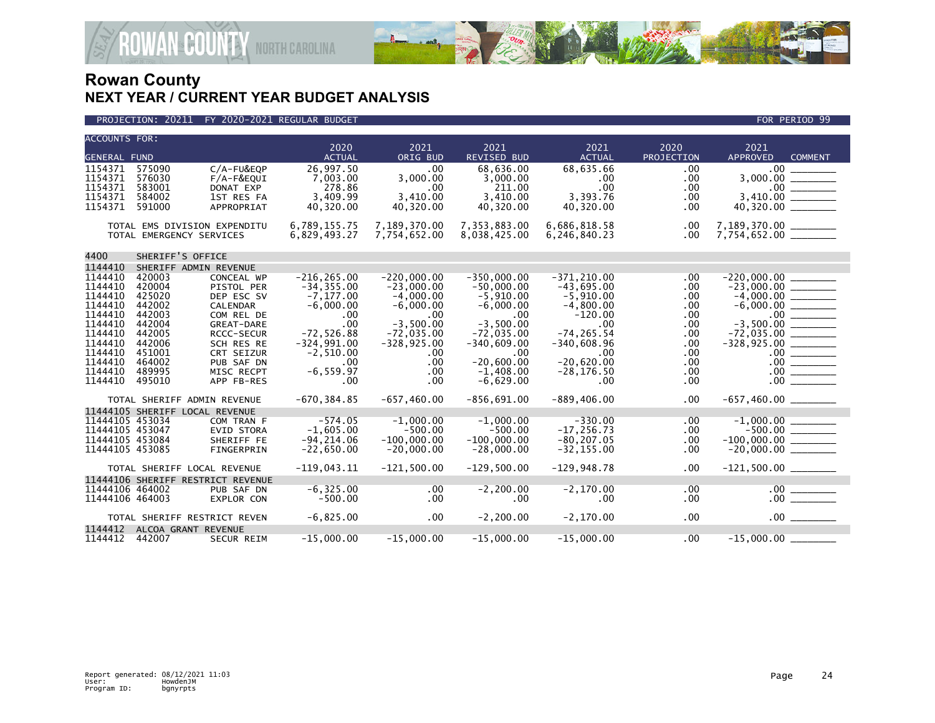

### PROJECTION: 20211 FY 2020-2021 REGULAR BUDGET FOR PERIOD 99

**ROWAN-COUNTY NORTH CAROLINA** 

| <b>ACCOUNTS FOR:</b>               |                                   |                                 | 2020<br><b>ACTUAL</b>         | 2021<br>ORIG BUD              | 2021<br><b>REVISED BUD</b>    | 2021<br><b>ACTUAL</b>          | 2020<br>PROJECTION | 2021<br><b>APPROVED</b>                                                                                                                                                                                                                                                                                                                                                                                                                  |
|------------------------------------|-----------------------------------|---------------------------------|-------------------------------|-------------------------------|-------------------------------|--------------------------------|--------------------|------------------------------------------------------------------------------------------------------------------------------------------------------------------------------------------------------------------------------------------------------------------------------------------------------------------------------------------------------------------------------------------------------------------------------------------|
| <b>GENERAL FUND</b><br>1154371     |                                   |                                 |                               | .00                           |                               |                                |                    | <b>COMMENT</b>                                                                                                                                                                                                                                                                                                                                                                                                                           |
| 1154371                            | 575090<br>576030                  | C/A-FU&EQP<br>$F/A-F&EOUT$      | 26,997.50<br>7.003.00         | 3.000.00                      | 68,636.00                     | 68,635.66                      | .00                | .00 <sub>1</sub><br>3.000.00                                                                                                                                                                                                                                                                                                                                                                                                             |
| 1154371                            | 583001                            | DONAT EXP                       | 278.86                        | .00.                          | 3,000.00<br>211.00            | .00<br>.00                     | .00<br>.00         | $.00 \,$                                                                                                                                                                                                                                                                                                                                                                                                                                 |
| 1154371                            | 584002                            | 1ST RES FA                      | 3,409.99                      | 3,410.00                      | 3,410.00                      | 3,393.76                       | .00                | 3.410.00                                                                                                                                                                                                                                                                                                                                                                                                                                 |
| 1154371                            | 591000                            | APPROPRIAT                      | 40,320.00                     | 40,320.00                     | 40,320.00                     | 40,320.00                      | .00                | 40,320.00                                                                                                                                                                                                                                                                                                                                                                                                                                |
|                                    |                                   |                                 |                               |                               |                               |                                |                    |                                                                                                                                                                                                                                                                                                                                                                                                                                          |
|                                    | TOTAL EMS DIVISION EXPENDITU      |                                 | 6,789,155.75                  | 7,189,370.00                  | 7,353,883.00                  | 6,686,818.58                   | .00                | 7,189,370.00 _______                                                                                                                                                                                                                                                                                                                                                                                                                     |
|                                    | TOTAL EMERGENCY SERVICES          |                                 | 6,829,493.27                  | 7,754,652.00                  | 8,038,425.00                  | 6,246,840.23                   | .00                |                                                                                                                                                                                                                                                                                                                                                                                                                                          |
| 4400                               | SHERIFF'S OFFICE                  |                                 |                               |                               |                               |                                |                    |                                                                                                                                                                                                                                                                                                                                                                                                                                          |
| 1144410                            | SHERIFF ADMIN REVENUE             |                                 |                               |                               |                               |                                |                    |                                                                                                                                                                                                                                                                                                                                                                                                                                          |
| 1144410                            | 420003                            | CONCEAL WP                      | $-216.265.00$                 | $-220.000.00$                 | $-350.000.00$                 | $-371.210.00$                  | .00                | $-220.000.00$                                                                                                                                                                                                                                                                                                                                                                                                                            |
| 1144410                            | 420004                            | PISTOL PER                      | $-34, 355.00$                 | $-23,000.00$                  | $-50,000.00$                  | $-43,695.00$                   | .00                |                                                                                                                                                                                                                                                                                                                                                                                                                                          |
| 1144410                            | 425020                            | DEP ESC SV                      | $-7, 177.00$                  | $-4,000.00$                   | $-5,910.00$                   | $-5,910.00$                    | .00                |                                                                                                                                                                                                                                                                                                                                                                                                                                          |
| 1144410                            | 442002                            | CALENDAR                        | $-6,000.00$                   | $-6,000.00$                   | $-6,000.00$                   | $-4,800.00$                    | .00                |                                                                                                                                                                                                                                                                                                                                                                                                                                          |
| 1144410                            | 442003                            | COM REL DE                      | .00                           | .00                           | .00                           | $-120.00$                      | .00                | $.00 \,$                                                                                                                                                                                                                                                                                                                                                                                                                                 |
| 1144410<br>1144410                 | 442004<br>442005                  | GREAT-DARE<br><b>RCCC-SECUR</b> | .00<br>$-72,526.88$           | $-3,500.00$<br>$-72,035.00$   | $-3,500.00$<br>$-72,035.00$   | $.00 \,$<br>$-74.265.54$       | .00<br>.00         | $-3,500.00$                                                                                                                                                                                                                                                                                                                                                                                                                              |
| 1144410                            | 442006                            | SCH RES RE                      | $-324,991.00$                 | $-328, 925.00$                | $-340,609.00$                 | $-340,608.96$                  | .00                | $-72,035.00$<br>$-328, 925.00$                                                                                                                                                                                                                                                                                                                                                                                                           |
| 1144410                            | 451001                            | CRT SEIZUR                      | $-2,510.00$                   | .00                           | .00                           | .00                            | .00                |                                                                                                                                                                                                                                                                                                                                                                                                                                          |
| 1144410                            | 464002                            | PUB SAF DN                      | .00                           | $.00 \times$                  | $-20,600.00$                  | $-20,620.00$                   | .00                |                                                                                                                                                                                                                                                                                                                                                                                                                                          |
| 1144410                            | 489995                            | MISC RECPT                      | $-6, 559.97$                  | .00                           | $-1.408.00$                   | $-28, 176.50$                  | .00                | $\begin{array}{c c} .00 & \overline{\hspace{1.5cm}} \\ \hline \rule{0cm}{0.5cm} & 00 & \overline{\hspace{1.5cm}} \\ \hline \rule{0cm}{0.5cm} & 00 & \overline{\hspace{1.5cm}} \\ \hline \rule{0cm}{0.5cm} & 00 & \overline{\hspace{1.5cm}} \\ \hline \rule{0cm}{0.5cm} & 00 & \overline{\hspace{1.5cm}} \\ \hline \rule{0cm}{0.5cm} & 00 & \overline{\hspace{1.5cm}} \\ \hline \rule{0cm}{0.5cm} & 00 & \overline{\hspace{1.5cm}} \\ \h$ |
| 1144410                            | 495010                            | APP FB-RES                      | .00                           | .00                           | $-6,629.00$                   | $.00 \,$                       | .00                | .00 <sub>1</sub>                                                                                                                                                                                                                                                                                                                                                                                                                         |
|                                    | TOTAL SHERIFF ADMIN REVENUE       |                                 | $-670, 384.85$                | $-657, 460.00$                | $-856,691.00$                 | $-889, 406.00$                 | .00                |                                                                                                                                                                                                                                                                                                                                                                                                                                          |
|                                    | 11444105 SHERIFF LOCAL REVENUE    |                                 |                               |                               |                               |                                |                    |                                                                                                                                                                                                                                                                                                                                                                                                                                          |
| 11444105 453034                    |                                   | COM TRAN F                      | $-574.05$                     | $-1.000.00$                   | $-1,000.00$                   | $-330.00$                      | .00                |                                                                                                                                                                                                                                                                                                                                                                                                                                          |
| 11444105 453047                    |                                   | <b>EVID STORA</b>               | $-1,605.00$                   | $-500.00$                     | $-500.00$                     | $-17, 256.73$                  | .00                |                                                                                                                                                                                                                                                                                                                                                                                                                                          |
| 11444105 453084<br>11444105 453085 |                                   | SHERIFF FE<br>FINGERPRIN        | $-94, 214.06$<br>$-22.650.00$ | $-100,000.00$<br>$-20,000.00$ | $-100,000.00$<br>$-28.000.00$ | $-80, 207.05$<br>$-32, 155.00$ | .00<br>$.00 \,$    | $-100,000.00$ ________                                                                                                                                                                                                                                                                                                                                                                                                                   |
|                                    |                                   |                                 |                               |                               |                               |                                |                    |                                                                                                                                                                                                                                                                                                                                                                                                                                          |
|                                    | TOTAL SHERIFF LOCAL REVENUE       |                                 | $-119,043.11$                 | $-121.500.00$                 | $-129.500.00$                 | $-129.948.78$                  | .00                |                                                                                                                                                                                                                                                                                                                                                                                                                                          |
|                                    | 11444106 SHERIFF RESTRICT REVENUE |                                 |                               |                               |                               |                                |                    |                                                                                                                                                                                                                                                                                                                                                                                                                                          |
| 11444106 464002                    |                                   | PUB SAF DN                      | $-6, 325.00$                  | .00                           | $-2, 200.00$                  | $-2, 170.00$                   | .00.               | $.00$ $\_$                                                                                                                                                                                                                                                                                                                                                                                                                               |
| 11444106 464003                    |                                   | EXPLOR CON                      | $-500.00$                     | .00                           | $.00 \,$                      | .00.                           | .00                | .00                                                                                                                                                                                                                                                                                                                                                                                                                                      |
|                                    | TOTAL SHERIFF RESTRICT REVEN      |                                 | $-6,825.00$                   | $.00 \,$                      | $-2, 200.00$                  | $-2, 170.00$                   | .00                |                                                                                                                                                                                                                                                                                                                                                                                                                                          |
| 1144412                            | ALCOA GRANT REVENUE               |                                 |                               |                               |                               |                                |                    |                                                                                                                                                                                                                                                                                                                                                                                                                                          |
| 1144412                            | 442007                            | <b>SECUR REIM</b>               | $-15,000.00$                  | $-15,000.00$                  | $-15,000.00$                  | $-15,000.00$                   | .00                |                                                                                                                                                                                                                                                                                                                                                                                                                                          |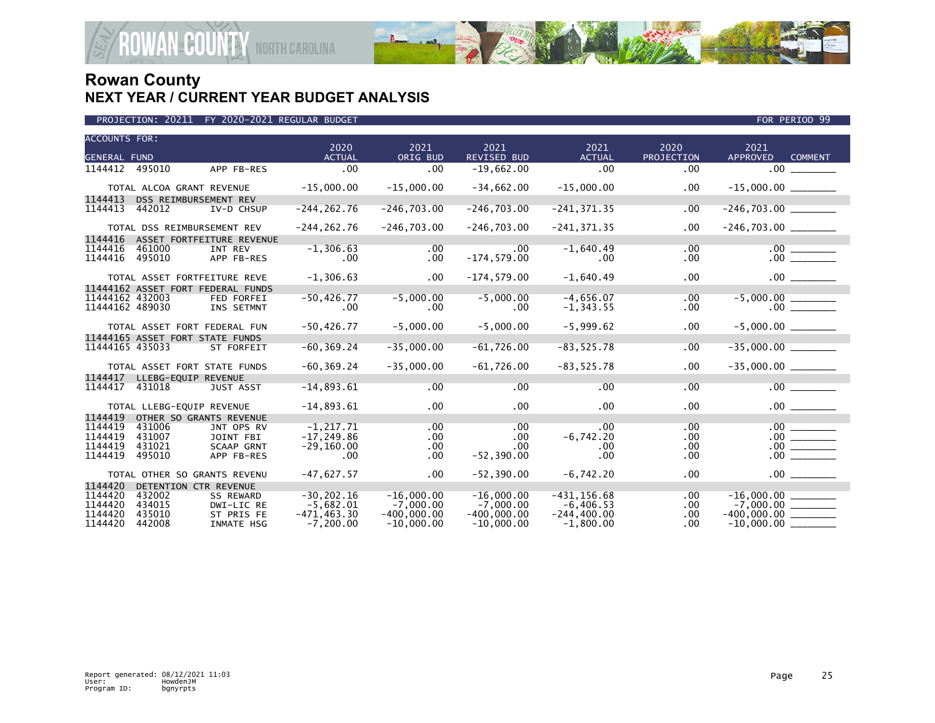

| PROJECTION: 20211 FY 2020-2021 REGULAR BUDGET. |  |  |
|------------------------------------------------|--|--|
|------------------------------------------------|--|--|

| <b>ACCOUNTS FOR:</b> |        |                                   | 2020           | 2021          | 2021               | 2021            | 2020       | 2021                              |
|----------------------|--------|-----------------------------------|----------------|---------------|--------------------|-----------------|------------|-----------------------------------|
| GENERAL FUND         |        |                                   | <b>ACTUAL</b>  | ORIG BUD      | <b>REVISED BUD</b> | <b>ACTUAL</b>   | PROJECTION | <b>APPROVED</b><br><b>COMMENT</b> |
| 1144412              | 495010 | APP FB-RES                        | .00            | .00           | $-19,662.00$       | .00             | .00        | $.00 \,$                          |
|                      |        | TOTAL ALCOA GRANT REVENUE         | $-15,000.00$   | $-15,000.00$  | $-34,662.00$       | $-15,000.00$    | $.00 \,$   | $-15,000.00$ ________             |
| 1144413              |        | DSS REIMBURSEMENT REV             |                |               |                    |                 |            |                                   |
| 1144413              | 442012 | IV-D CHSUP                        | $-244, 262.76$ | $-246,703.00$ | $-246,703.00$      | $-241, 371.35$  | .00        |                                   |
|                      |        | TOTAL DSS REIMBURSEMENT REV       | $-244, 262.76$ | $-246,703.00$ | $-246,703.00$      | $-241, 371, 35$ | .00        |                                   |
| 1144416              |        | ASSET FORTFEITURE REVENUE         |                |               |                    |                 |            |                                   |
| 1144416              | 461000 | INT REV                           | $-1, 306.63$   | $.00 \,$      | .00                | $-1,640.49$     | $.00 \,$   |                                   |
| 1144416              | 495010 | APP FB-RES                        | $.00 \,$       | $.00 \,$      | $-174,579.00$      | .00             | $.00 \,$   |                                   |
|                      |        | TOTAL ASSET FORTFEITURE REVE      | $-1,306.63$    | $.00 \,$      | $-174, 579.00$     | $-1,640.49$     | $.00 \,$   |                                   |
|                      |        | 11444162 ASSET FORT FEDERAL FUNDS |                |               |                    |                 |            |                                   |
| 11444162 432003      |        | <b>FED FORFEI</b>                 | $-50,426.77$   | $-5,000.00$   | $-5,000.00$        | $-4,656.07$     | .00        |                                   |
| 11444162 489030      |        | INS SETMNT                        | .00.           | .00           | .00                | $-1, 343.55$    | .00        |                                   |
|                      |        | TOTAL ASSET FORT FEDERAL FUN      | $-50, 426.77$  | $-5,000.00$   | $-5,000.00$        | $-5,999.62$     | $.00 \,$   |                                   |
|                      |        | 11444165 ASSET FORT STATE FUNDS   |                |               |                    |                 |            |                                   |
| 11444165 435033      |        | ST FORFEIT                        | $-60, 369.24$  | $-35,000.00$  | $-61,726.00$       | $-83,525.78$    | .00        | $-35,000.00$                      |
|                      |        | TOTAL ASSET FORT STATE FUNDS      | $-60, 369.24$  | $-35,000.00$  | $-61,726.00$       | $-83,525.78$    | .00        |                                   |
| 1144417              |        | LLEBG-EQUIP REVENUE               |                |               |                    |                 |            |                                   |
| 1144417              | 431018 | <b>JUST ASST</b>                  | $-14,893.61$   | $.00 \,$      | $.00 \,$           | $.00 \,$        | $.00 \,$   | .00                               |
|                      |        | TOTAL LLEBG-EQUIP REVENUE         | $-14,893.61$   | $.00 \,$      | $.00 \times$       | $.00 \,$        | $.00 \,$   | $.00$ $\qquad \qquad$             |
| 1144419              |        | OTHER SO GRANTS REVENUE           |                |               |                    |                 |            |                                   |
| 1144419              | 431006 | JNT OPS RV                        | $-1, 217.71$   | $.00 \,$      | $.00 \,$           | $.00 \,$        | .00        | $\frac{00}{00}$                   |
| 1144419              | 431007 | JOINT FBI                         | $-17, 249.86$  | .00           | .00                | $-6,742.20$     | .00        |                                   |
| 1144419              | 431021 | <b>SCAAP GRNT</b>                 | $-29,160.00$   | $.00 \,$      | .00                | .00             | .00        | .00                               |
| 1144419              | 495010 | APP FB-RES                        | .00            | .00           | $-52, 390.00$      | .00             | .00        | .00                               |
|                      |        | TOTAL OTHER SO GRANTS REVENU      | $-47,627.57$   | $.00 \times$  | $-52, 390.00$      | $-6,742.20$     | .00        | .00                               |
| 1144420              |        | DETENTION CTR REVENUE             |                |               |                    |                 |            |                                   |
| 1144420              | 432002 | <b>SS REWARD</b>                  | $-30, 202.16$  | $-16,000.00$  | $-16,000.00$       | $-431, 156.68$  | .00.       |                                   |
| 1144420              | 434015 | DWI-LIC RE                        | $-5,682.01$    | $-7,000.00$   | $-7,000.00$        | $-6, 406.53$    | .00        |                                   |
| 1144420              | 435010 | ST PRIS FE                        | $-471, 463.30$ | $-400,000.00$ | $-400,000.00$      | $-244, 400.00$  | .00        | $-400,000.00$ _________           |
| 1144420              | 442008 | <b>INMATE HSG</b>                 | $-7.200.00$    | $-10.000.00$  | $-10,000.00$       | $-1.800.00$     | .00        | $-10,000.00$                      |

FOR PERIOD 99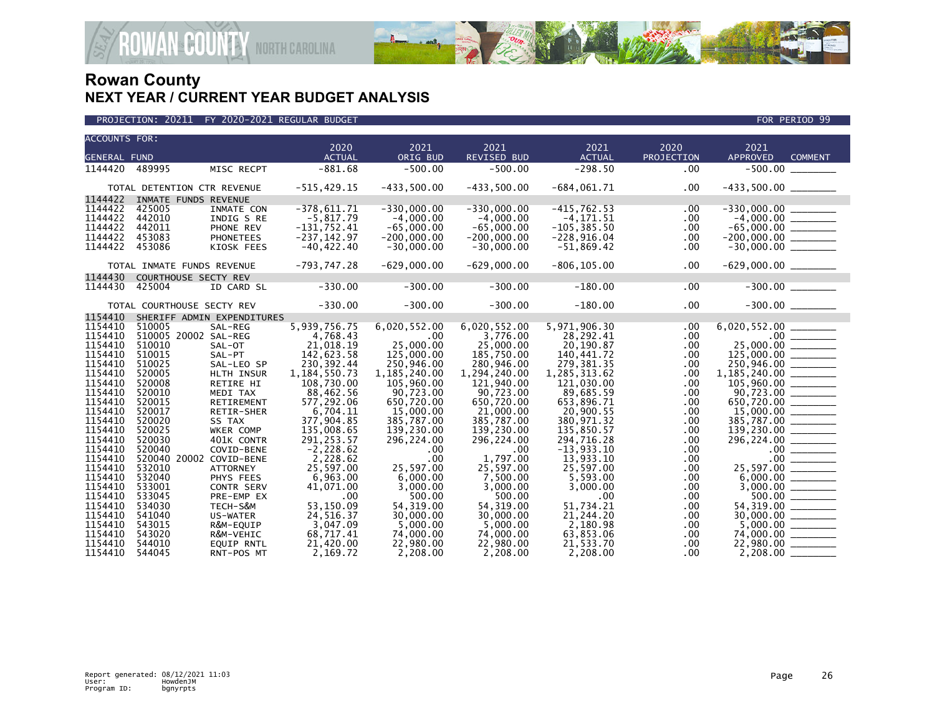

| <b>ACCOUNTS FOR:</b> |                             |                            |                          |                          |                            |                          |                    |                                                                                                                                                                                                                                                                                                                                                                                                                                                                                                     |
|----------------------|-----------------------------|----------------------------|--------------------------|--------------------------|----------------------------|--------------------------|--------------------|-----------------------------------------------------------------------------------------------------------------------------------------------------------------------------------------------------------------------------------------------------------------------------------------------------------------------------------------------------------------------------------------------------------------------------------------------------------------------------------------------------|
| <b>GENERAL FUND</b>  |                             |                            | 2020<br><b>ACTUAL</b>    | 2021<br>ORIG BUD         | 2021<br><b>REVISED BUD</b> | 2021<br><b>ACTUAL</b>    | 2020<br>PROJECTION | 2021<br><b>APPROVED</b><br><b>COMMENT</b>                                                                                                                                                                                                                                                                                                                                                                                                                                                           |
| 1144420              | 489995                      | MISC RECPT                 | $-881.68$                | $-500.00$                | $-500.00$                  | $-298.50$                | .00                | $-500.00$                                                                                                                                                                                                                                                                                                                                                                                                                                                                                           |
|                      |                             |                            |                          |                          |                            |                          |                    |                                                                                                                                                                                                                                                                                                                                                                                                                                                                                                     |
|                      | TOTAL DETENTION CTR REVENUE |                            | $-515, 429.15$           | $-433,500.00$            | $-433,500.00$              | $-684,061.71$            | .00                |                                                                                                                                                                                                                                                                                                                                                                                                                                                                                                     |
| 1144422              | INMATE FUNDS REVENUE        |                            |                          |                          |                            |                          |                    |                                                                                                                                                                                                                                                                                                                                                                                                                                                                                                     |
| 1144422              | 425005                      | INMATE CON                 | $-378,611.71$            | $-330,000.00$            | $-330,000.00$              | $-415,762.53$            | .00                |                                                                                                                                                                                                                                                                                                                                                                                                                                                                                                     |
| 1144422              | 442010                      | INDIG S RE                 | $-5,817.79$              | $-4,000.00$              | $-4,000.00$                | $-4, 171.51$             | .00                |                                                                                                                                                                                                                                                                                                                                                                                                                                                                                                     |
| 1144422              | 442011                      | PHONE REV                  | $-131,752.41$            | $-65,000.00$             | $-65,000.00$               | $-105, 385.50$           | .00                |                                                                                                                                                                                                                                                                                                                                                                                                                                                                                                     |
| 1144422              | 453083                      | <b>PHONETEES</b>           | $-237, 142.97$           | $-200,000.00$            | $-200,000.00$              | $-228,916.04$            | .00                | $-65,000.00$<br>$-200,000.00$                                                                                                                                                                                                                                                                                                                                                                                                                                                                       |
| 1144422              | 453086                      | KIOSK FEES                 | $-40, 422.40$            | $-30,000.00$             | $-30,000.00$               | -51,869.42               | .00                | $-30,000.00$ ________                                                                                                                                                                                                                                                                                                                                                                                                                                                                               |
|                      |                             |                            |                          |                          |                            |                          |                    |                                                                                                                                                                                                                                                                                                                                                                                                                                                                                                     |
|                      | TOTAL INMATE FUNDS REVENUE  |                            | $-793,747.28$            | $-629,000.00$            | $-629,000.00$              | $-806, 105.00$           | .00                | $-629,000.00$ ________                                                                                                                                                                                                                                                                                                                                                                                                                                                                              |
| 1144430              | COURTHOUSE SECTY REV        |                            |                          |                          |                            |                          |                    |                                                                                                                                                                                                                                                                                                                                                                                                                                                                                                     |
| 1144430              | 425004                      | ID CARD SL                 | $-330.00$                | $-300.00$                | $-300.00$                  | $-180.00$                | .00                |                                                                                                                                                                                                                                                                                                                                                                                                                                                                                                     |
|                      |                             |                            |                          |                          |                            |                          |                    |                                                                                                                                                                                                                                                                                                                                                                                                                                                                                                     |
|                      | TOTAL COURTHOUSE SECTY REV  |                            | $-330.00$                | $-300.00$                | $-300.00$                  | $-180.00$                | .00                | $-300.00$                                                                                                                                                                                                                                                                                                                                                                                                                                                                                           |
| 1154410              |                             | SHERIFF ADMIN EXPENDITURES |                          |                          |                            |                          |                    |                                                                                                                                                                                                                                                                                                                                                                                                                                                                                                     |
| 1154410              | 510005                      | SAL-REG                    | 5,939,756.75             | 6,020,552.00             | 6,020,552.00               | 5,971,906.30             | .00                |                                                                                                                                                                                                                                                                                                                                                                                                                                                                                                     |
| 1154410              | 510005 20002 SAL-REG        |                            | 4,768.43                 | $.00 \,$                 | 3,776.00                   | 28,292.41                | .00                |                                                                                                                                                                                                                                                                                                                                                                                                                                                                                                     |
| 1154410              | 510010                      | SAL-OT                     | 21,018.19                | 25,000.00                | 25,000.00                  | 20,190.87                | .00                | $25,000.00$<br>125,000.00                                                                                                                                                                                                                                                                                                                                                                                                                                                                           |
| 1154410              | 510015                      | SAL-PT                     | 142,623.58               | 125,000.00               | 185,750.00                 | 140,441.72               | .00                |                                                                                                                                                                                                                                                                                                                                                                                                                                                                                                     |
| 1154410              | 510025                      | SAL-LEO SP                 | 230, 392.44              | 250,946.00               | 280,946.00                 | 279, 381.35              | .00                | 250,946.00 ______                                                                                                                                                                                                                                                                                                                                                                                                                                                                                   |
| 1154410              | 520005                      | HLTH INSUR                 | 1,184,550.73             | 1,185,240.00             | 1,294,240.00               | 1,285,313.62             | .00                |                                                                                                                                                                                                                                                                                                                                                                                                                                                                                                     |
| 1154410<br>1154410   | 520008                      | RETIRE HI                  | 108,730.00               | 105,960.00               | 121,940.00                 | 121,030.00               | .00                |                                                                                                                                                                                                                                                                                                                                                                                                                                                                                                     |
|                      | 520010                      | MEDI TAX                   | 88,462.56                | 90,723.00                | 90,723.00                  | 89,685.59                | .00                |                                                                                                                                                                                                                                                                                                                                                                                                                                                                                                     |
| 1154410<br>1154410   | 520015<br>520017            | RETIREMENT                 | 577,292.06<br>6,704.11   | 650.720.00<br>15,000,00  | 650,720.00                 | 653.896.71<br>20.900.55  | .00                | 650,720.00 ______                                                                                                                                                                                                                                                                                                                                                                                                                                                                                   |
| 1154410              | 520020                      | RETIR-SHER                 |                          |                          | 21,000.00                  |                          | .00                |                                                                                                                                                                                                                                                                                                                                                                                                                                                                                                     |
| 1154410              | 520025                      | SS TAX<br>WKER COMP        | 377,904.85<br>135,008.65 | 385,787.00<br>139,230.00 | 385,787.00<br>139,230.00   | 380,971.32<br>135,850.57 | .00                | 385,787.00 _______                                                                                                                                                                                                                                                                                                                                                                                                                                                                                  |
| 1154410              | 520030                      | 401K CONTR                 | 291,253.57               | 296,224.00               | 296,224.00                 | 294,716.28               | .00<br>.00         | 296, 224.00                                                                                                                                                                                                                                                                                                                                                                                                                                                                                         |
| 1154410              | 520040                      | COVID-BENE                 | $-2,228.62$              | .00.                     | .00                        | $-13,933.10$             | .00                |                                                                                                                                                                                                                                                                                                                                                                                                                                                                                                     |
| 1154410              | 520040 20002 COVID-BENE     |                            | 2,228.62                 | .00                      | 1,797.00                   | 13,933.10                | .00                | $\begin{array}{c c} .00 & \hline \hline \hline \hline 00 & 0 \end{array}$                                                                                                                                                                                                                                                                                                                                                                                                                           |
| 1154410              | 532010                      | <b>ATTORNEY</b>            | 25,597.00                | 25,597.00                | 25,597.00                  | 25,597.00                | .00                | 25,597.00<br>$\begin{array}{cccccccccc} \multicolumn{2}{c}{} & \multicolumn{2}{c}{} & \multicolumn{2}{c}{} & \multicolumn{2}{c}{} & \multicolumn{2}{c}{} & \multicolumn{2}{c}{} & \multicolumn{2}{c}{} & \multicolumn{2}{c}{} & \multicolumn{2}{c}{} & \multicolumn{2}{c}{} & \multicolumn{2}{c}{} & \multicolumn{2}{c}{} & \multicolumn{2}{c}{} & \multicolumn{2}{c}{} & \multicolumn{2}{c}{} & \multicolumn{2}{c}{} & \multicolumn{2}{c}{} & \multicolumn{2}{c}{} & \multicolumn{2}{c}{} & \mult$ |
| 1154410              | 532040                      | PHYS FEES                  | 6.963.00                 | 6.000.00                 | 7,500.00                   | 5.593.00                 | .00                |                                                                                                                                                                                                                                                                                                                                                                                                                                                                                                     |
| 1154410              | 533001                      | <b>CONTR SERV</b>          | 41,071.00                | 3.000.00                 | 3.000.00                   | 3,000.00                 | .00                |                                                                                                                                                                                                                                                                                                                                                                                                                                                                                                     |
| 1154410              | 533045                      | PRE-EMP EX                 | .00                      | 500.00                   | 500.00                     | .00                      | .00                | 500.00<br>$\begin{array}{cccccccccc} \multicolumn{2}{c}{} & \multicolumn{2}{c}{} & \multicolumn{2}{c}{} & \multicolumn{2}{c}{} & \multicolumn{2}{c}{} & \multicolumn{2}{c}{} & \multicolumn{2}{c}{} & \multicolumn{2}{c}{} & \multicolumn{2}{c}{} & \multicolumn{2}{c}{} & \multicolumn{2}{c}{} & \multicolumn{2}{c}{} & \multicolumn{2}{c}{} & \multicolumn{2}{c}{} & \multicolumn{2}{c}{} & \multicolumn{2}{c}{} & \multicolumn{2}{c}{} & \multicolumn{2}{c}{} & \multicolumn{2}{c}{} & \mult$    |
| 1154410              | 534030                      | TECH-S&M                   | 53,150.09                | 54, 319.00               | 54, 319.00                 | 51,734.21                | .00                | 54, 319.00                                                                                                                                                                                                                                                                                                                                                                                                                                                                                          |
| 1154410              | 541040                      | US-WATER                   | 24,516.37                | 30,000,00                | 30,000,00                  | 21,244.20                | .00                |                                                                                                                                                                                                                                                                                                                                                                                                                                                                                                     |
| 1154410              | 543015                      | R&M-EQUIP                  | 3,047.09                 | 5,000.00                 | 5,000.00                   | 2,180.98                 | .00                |                                                                                                                                                                                                                                                                                                                                                                                                                                                                                                     |
| 1154410              | 543020                      | R&M-VEHIC                  | 68,717.41                | 74,000.00                | 74,000.00                  | 63,853.06                | .00                |                                                                                                                                                                                                                                                                                                                                                                                                                                                                                                     |
| 1154410              | 544010                      | <b>EQUIP RNTL</b>          | 21,420.00                | 22,980.00                | 22,980.00                  | 21,533.70                | .00                | 22,980.00                                                                                                                                                                                                                                                                                                                                                                                                                                                                                           |
| 1154410              | 544045                      | RNT-POS MT                 | 2.169.72                 | 2,208.00                 | 2.208.00                   | 2.208.00                 | .00                | 2.208.00                                                                                                                                                                                                                                                                                                                                                                                                                                                                                            |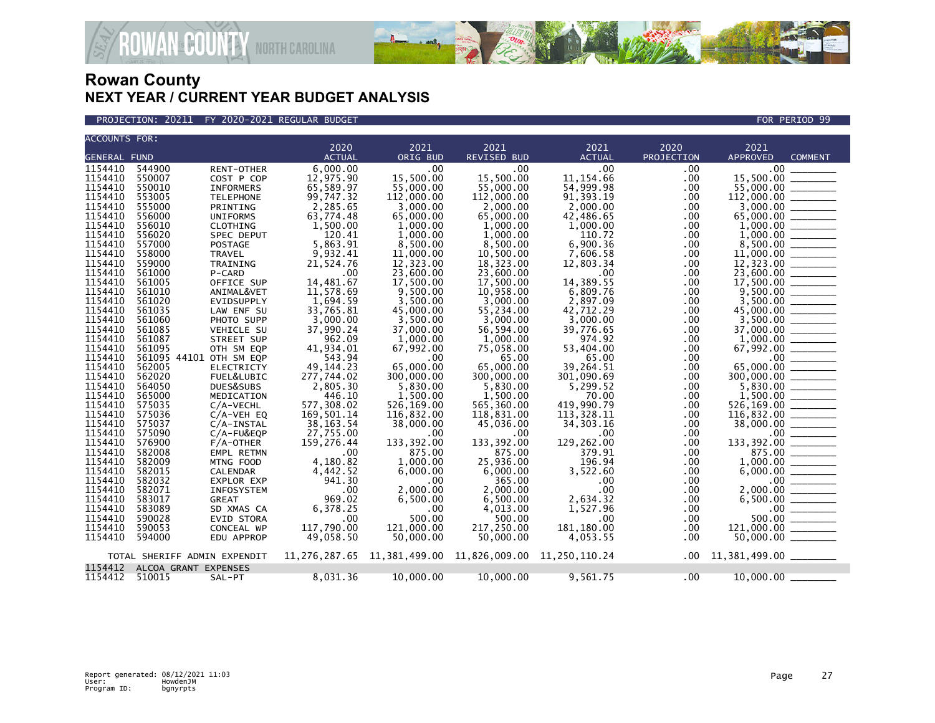

PROJECTION: 20211 FY 2020-2021 REGULAR BUDGET FOR PERIOD 99

**ROWAN COUNTY NORTH CAROLINA** 

| <b>ACCOUNTS FOR:</b> |                              |                   |                       |                      |                                                                 |                       |            |                                                          |                |
|----------------------|------------------------------|-------------------|-----------------------|----------------------|-----------------------------------------------------------------|-----------------------|------------|----------------------------------------------------------|----------------|
| <b>GENERAL FUND</b>  |                              |                   | 2020<br><b>ACTUAL</b> | 2021<br>ORIG BUD     | 2021<br><b>REVISED BUD</b>                                      | 2021<br><b>ACTUAL</b> | 2020       | 2021<br>APPROVED                                         | <b>COMMENT</b> |
|                      |                              |                   |                       |                      |                                                                 |                       | PROJECTION |                                                          |                |
| 1154410              | 544900                       | <b>RENT-OTHER</b> | 6,000.00              | .00                  | .00                                                             | .00                   | .00.       | .00 <sub>1</sub>                                         |                |
| 1154410              | 550007                       | COST P COP        | 12,975.90             | 15,500.00            | 15.500.00                                                       | 11, 154.66            | .00        | 15,500.00                                                |                |
| 1154410              | 550010                       | <b>INFORMERS</b>  | 65,589.97             | 55,000,00            | 55,000.00                                                       | 54,999.98             | .00        | 55,000.00                                                |                |
| 1154410              | 553005                       | <b>TELEPHONE</b>  | 99,747.32             | 112,000.00           | 112,000.00                                                      | 91, 393. 19           | .00        | 112,000.00                                               |                |
| 1154410              | 555000                       | PRINTING          | 2,285.65              | 3,000.00             | 2,000.00                                                        | 2,000.00              | .00        | 3,000.00                                                 |                |
| 1154410              | 556000                       | <b>UNIFORMS</b>   | 63,774.48             | 65,000.00            | 65,000.00                                                       | 42,486.65             | .00        | 65,000.00                                                |                |
| 1154410              | 556010                       | CLOTHING          | 1,500.00              | 1,000.00             | 1,000.00                                                        | 1,000.00              | .00        | 1,000.00                                                 |                |
| 1154410              | 556020                       | SPEC DEPUT        | 120.41                | 1,000.00             | 1,000.00                                                        | 110.72                | .00        | 1.000.00                                                 |                |
| 1154410              | 557000                       | <b>POSTAGE</b>    | 5,863.91              | 8,500.00             | 8.500.00                                                        | 6.900.36              | .00        | 8.500.00                                                 |                |
| 1154410              | 558000                       | <b>TRAVEL</b>     | 9,932.41              | 11,000.00            | 10,500.00                                                       | 7,606.58              | .00        | 11,000.00                                                |                |
| 1154410              | 559000                       | TRAINING          | 21,524.76             | 12,323.00            | 18,323.00                                                       | 12.803.34             | .00        | 12,323.00                                                |                |
| 1154410              | 561000                       | P-CARD            | .00                   | 23,600.00            | 23,600.00                                                       | .00                   | .00        | 23,600.00                                                |                |
| 1154410              | 561005                       | OFFICE SUP        | 14,481.67             | 17,500.00            | 17,500.00                                                       | 14,389.55             | .00        | 17,500.00                                                |                |
| 1154410              | 561010                       | ANIMAL&VET        | 11,578.69             | 9.500.00             | 10,958.00                                                       | 6,809.76              | .00        | 9,500.00                                                 |                |
| 1154410              | 561020                       | EVIDSUPPLY        | 1,694.59              | 3,500.00             | 3,000.00                                                        | 2,897.09              | .00        | 3,500.00                                                 |                |
| 1154410              | 561035                       | LAW ENF SU        | 33,765.81             | 45,000.00            | 55,234.00                                                       | 42,712.29             | .00        | 45,000.00                                                |                |
| 1154410              | 561060                       | PHOTO SUPP        | 3,000.00              | 3,500.00             | 3,000.00                                                        | 3,000.00              | .00        | 3,500.00                                                 |                |
| 1154410              | 561085                       | VEHICLE SU        | 37,990.24             | 37,000.00            | 56,594.00                                                       | 39,776.65             | .00.       | 37,000.00                                                |                |
| 1154410              | 561087                       | STREET SUP        | 962.09                | 1,000.00             | 1,000.00                                                        | 974.92                | .00        | 1,000.00                                                 |                |
| 1154410              | 561095                       | OTH SM EQP        | 41,934.01             | 67,992.00            | 75,058.00                                                       | 53,404.00             | .00        | 67,992.00                                                |                |
| 1154410              | 561095 44101 OTH SM EQP      |                   | 543.94                | .00                  | 65.00                                                           | 65.00                 | .00.       | .00.                                                     |                |
| 1154410              | 562005                       | <b>ELECTRICTY</b> | 49, 144. 23           | 65,000.00            | 65,000.00                                                       | 39,264.51             | .00        | 65,000.00                                                |                |
| 1154410              | 562020                       | FUEL&LUBIC        | 277.744.02            | 300,000,00           | 300,000,00                                                      | 301,090.69            | .00        | 300,000.00                                               |                |
| 1154410              | 564050                       | DUES&SUBS         | 2,805.30              | 5,830.00             | 5,830.00                                                        | 5,299.52              | .00        | 5,830.00                                                 |                |
| 1154410              | 565000                       | MEDICATION        | 446.10                | 1,500.00             | 1,500.00                                                        | 70.00                 | .00        | 1,500.00                                                 |                |
| 1154410              | 575035                       | $C/A-VECHL$       | 577,308.02            | 526,169.00           | 565,360.00                                                      | 419.990.79            | .00        | 526,169.00                                               |                |
| 1154410              | 575036                       | $C/A-VEH$ EQ      | 169,501.14            | 116,832.00           | 118,831.00                                                      | 113,328.11            | .00        | 116,832.00                                               |                |
| 1154410              | 575037                       | $C/A$ -INSTAL     | 38, 163. 54           | 38,000.00            | 45,036.00                                                       | 34, 303. 16           | .00        | 38,000.00                                                |                |
| 1154410              | 575090                       |                   | 27,755.00             |                      | .00                                                             | .00                   |            | .00                                                      |                |
| 1154410              | 576900                       | $C/A$ -FU&EQP     | 159,276.44            | .00                  | 133,392.00                                                      |                       | .00<br>.00 | 133,392.00                                               |                |
| 1154410              |                              | F/A-OTHER         | .00                   | 133,392.00<br>875.00 | 875.00                                                          | 129,262.00<br>379.91  |            | 875.00                                                   |                |
|                      | 582008                       | EMPL RETMN        |                       |                      |                                                                 |                       | .00        |                                                          |                |
| 1154410              | 582009                       | MTNG FOOD         | 4,180.82              | 1,000.00             | 25,936.00                                                       | 196.94                | .00        | 1,000.00                                                 |                |
| 1154410              | 582015                       | CALENDAR          | 4,442.52              | 6,000.00             | 6,000.00                                                        | 3,522.60              | .00.       | 6,000.00                                                 |                |
| 1154410              | 582032                       | EXPLOR EXP        | 941.30                | .00                  | 365.00                                                          | .00                   | .00        | $.00 \,$                                                 |                |
| 1154410              | 582071                       | <b>INFOSYSTEM</b> | .00                   | 2,000.00             | 2.000.00                                                        | .00                   | .00        | 2.000.00                                                 |                |
| 1154410              | 583017                       | <b>GREAT</b>      | 969.02                | 6,500.00             | 6,500.00                                                        | 2,634.32              | .00        | 6,500.00                                                 | $\frac{1}{1}$  |
| 1154410              | 583089                       | SD XMAS CA        | 6,378.25              | $.00 \,$             | 4,013.00                                                        | 1,527.96              | .00        | $.00 \,$                                                 |                |
| 1154410              | 590028                       | <b>EVID STORA</b> | .00                   | 500.00               | 500.00                                                          | .00                   | .00        | 500.00                                                   |                |
| 1154410              | 590053                       | CONCEAL WP        | 117,790.00            | 121,000.00           | 217,250.00                                                      | 181,180.00            | .00        | 121,000.00                                               |                |
| 1154410              | 594000                       | EDU APPROP        | 49,058.50             | 50,000.00            | 50,000.00                                                       | 4,053.55              | .00        | 50,000.00                                                |                |
|                      | TOTAL SHERIFF ADMIN EXPENDIT |                   |                       |                      | 11, 276, 287.65 11, 381, 499.00 11, 826, 009.00 11, 250, 110.24 |                       |            | $.00 \quad 11,381,499.00 \quad \underline{\hspace{2cm}}$ |                |
| 1154412              | ALCOA GRANT EXPENSES         |                   |                       |                      |                                                                 |                       |            |                                                          |                |
| 1154412              | 510015                       | SAL-PT            | 8,031.36              | 10,000.00            | 10,000.00                                                       | 9,561.75              | .00        | $10,000.00$ $\_$                                         |                |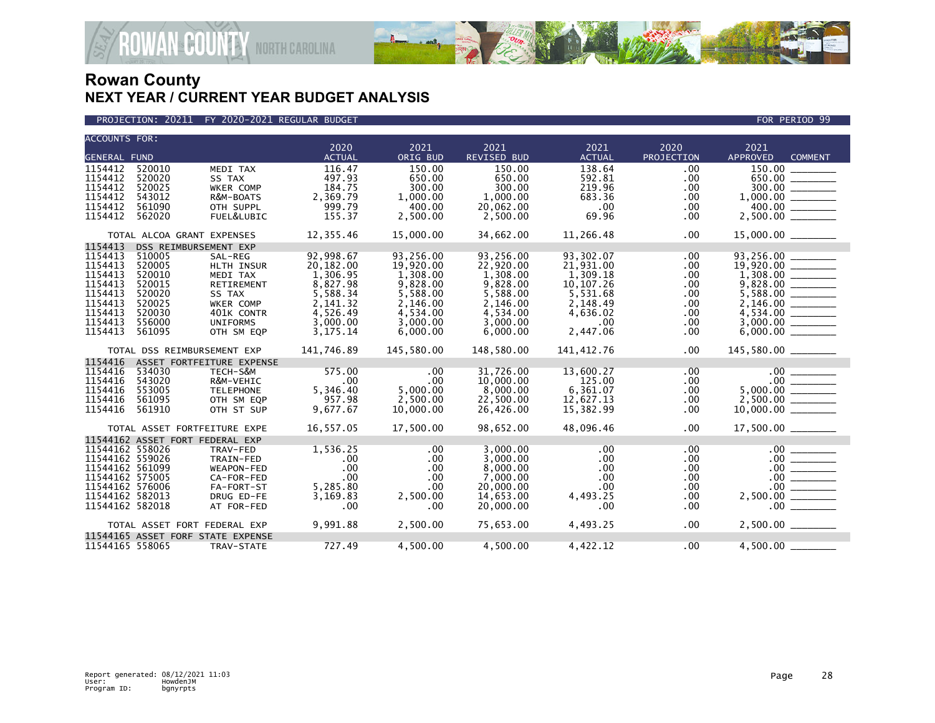

PROJECTION: 20211 FY 2020-2021 REGULAR BUDGET FOR PERIOD 99

**ROWAN COUNTY NORTH CAROLINA** 

| <b>ACCOUNTS FOR:</b> |                                   |                           | 2020          | 2021       | 2021        | 2021          | 2020              | 2021                                             |  |
|----------------------|-----------------------------------|---------------------------|---------------|------------|-------------|---------------|-------------------|--------------------------------------------------|--|
| <b>GENERAL FUND</b>  |                                   |                           | <b>ACTUAL</b> | ORIG BUD   | REVISED BUD | <b>ACTUAL</b> | <b>PROJECTION</b> | <b>APPROVED</b><br><b>COMMENT</b>                |  |
| 1154412              | 520010                            | MEDI TAX                  | 116.47        | 150.00     | 150.00      | 138.64        | .00               | 150.00                                           |  |
| 1154412              | 520020                            | SS TAX                    | 497.93        | 650.00     | 650.00      | 592.81        | .00               | 650.00 ________                                  |  |
| 1154412              | 520025                            | WKER COMP                 | 184.75        | 300.00     | 300.00      | 219.96        | .00               |                                                  |  |
| 1154412              | 543012                            | R&M-BOATS                 | 2,369.79      | 1,000.00   | 1,000.00    | 683.36        | .00.              |                                                  |  |
| 1154412              | 561090                            | OTH SUPPL                 | 999.79        | 400.00     | 20,062.00   | .00           | .00               | 400.00 ______                                    |  |
| 1154412              | 562020                            | FUEL&LUBIC                | 155.37        | 2,500.00   | 2,500.00    | 69.96         | .00               |                                                  |  |
|                      |                                   |                           |               |            |             |               |                   |                                                  |  |
|                      | TOTAL ALCOA GRANT EXPENSES        |                           | 12,355.46     | 15,000.00  | 34,662.00   | 11,266.48     | .00               |                                                  |  |
| 1154413              | DSS REIMBURSEMENT EXP             |                           |               |            |             |               |                   |                                                  |  |
| 1154413              | 510005                            | SAL-REG                   | 92,998.67     | 93,256.00  | 93,256.00   | 93,302.07     | .00               | 93,256.00                                        |  |
| 1154413              | 520005                            | <b>HLTH INSUR</b>         | 20,182.00     | 19,920.00  | 22,920.00   | 21,931.00     | .00.              |                                                  |  |
| 1154413              | 520010                            | MEDI TAX                  | 1,306.95      | 1,308.00   | 1,308.00    | 1,309.18      | .00               |                                                  |  |
| 1154413              | 520015                            | RETIREMENT                | 8,827.98      | 9,828.00   | 9,828.00    | 10, 107. 26   | .00               |                                                  |  |
| 1154413              | 520020                            | SS TAX                    | 5,588.34      | 5,588.00   | 5,588.00    | 5,531.68      | .00.              |                                                  |  |
| 1154413              | 520025                            | WKER COMP                 | 2,141.32      | 2,146.00   | 2,146.00    | 2,148.49      | .00.              |                                                  |  |
| 1154413              | 520030                            | 401K CONTR                | 4,526.49      | 4,534.00   | 4,534.00    | 4,636.02      | .00               |                                                  |  |
| 1154413              | 556000                            | <b>UNIFORMS</b>           | 3,000.00      | 3,000.00   | 3,000.00    | .00           | .00               |                                                  |  |
| 1154413              | 561095                            | OTH SM EOP                | 3, 175. 14    | 6,000.00   | 6,000.00    | 2,447.06      | .00               |                                                  |  |
|                      | TOTAL DSS REIMBURSEMENT EXP       |                           | 141,746.89    | 145,580.00 | 148,580.00  | 141,412.76    | $.00 \,$          | 145,580.00 _______                               |  |
| 1154416              |                                   | ASSET FORTFEITURE EXPENSE |               |            |             |               |                   |                                                  |  |
| 1154416              | 534030                            | TECH-S&M                  | 575.00        | $.00 \,$   | 31,726.00   | 13,600.27     | .00               |                                                  |  |
| 1154416              | 543020                            | R&M-VEHIC                 | .00           | .00        | 10,000.00   | 125.00        | $.00 \,$          |                                                  |  |
| 1154416              | 553005                            | <b>TELEPHONE</b>          | 5,346.40      | 5,000.00   | 8,000.00    | 6,361.07      | .00               |                                                  |  |
| 1154416              | 561095                            | OTH SM EQP                | 957.98        | 2,500.00   | 22,500.00   | 12,627.13     | .00.              |                                                  |  |
| 1154416              | 561910                            | OTH ST SUP                | 9,677.67      | 10,000.00  | 26,426.00   | 15,382.99     | $.00 \,$          |                                                  |  |
|                      | TOTAL ASSET FORTFEITURE EXPE      |                           | 16,557.05     | 17,500.00  | 98,652.00   | 48,096.46     | .00               |                                                  |  |
|                      | 11544162 ASSET FORT FEDERAL EXP   |                           |               |            |             |               |                   |                                                  |  |
| 11544162 558026      |                                   | TRAV-FED                  | 1,536.25      | .00        | 3.000.00    | $.00 \,$      | .00               | .00                                              |  |
| 11544162 559026      |                                   | TRAIN-FED                 | .00           | $.00 \,$   | 3,000.00    | .00           | .00               | $.00$ $\hspace{0.0cm}\underline{\hspace{0.0cm}}$ |  |
| 11544162 561099      |                                   | WEAPON-FED                | .00           | .00        | 8.000.00    | $.00 \,$      | .00               | $\frac{00}{00}$                                  |  |
| 11544162 575005      |                                   | CA-FOR-FED                | .00           | .00        | 7,000.00    | .00           | .00               |                                                  |  |
| 11544162 576006      |                                   | FA-FORT-ST                | 5,285.80      | .00        | 20,000.00   | .00           | .00               |                                                  |  |
| 11544162 582013      |                                   | DRUG ED-FE                | 3,169.83      | 2,500.00   | 14,653.00   | 4,493.25      | .00.              | $2,500.00$ ________                              |  |
| 11544162 582018      |                                   | AT FOR-FED                | .00           | .00        | 20,000.00   | .00           | .00.              | $.00$ $\qquad$                                   |  |
|                      | TOTAL ASSET FORT FEDERAL EXP      |                           | 9,991.88      | 2,500.00   | 75,653.00   | 4,493.25      | $.00 \,$          |                                                  |  |
|                      | 11544165 ASSET FORF STATE EXPENSE |                           |               |            |             |               |                   |                                                  |  |
| 11544165 558065      |                                   | TRAV-STATE                | 727.49        | 4,500.00   | 4,500.00    | 4,422.12      | .00               | 4,500.00                                         |  |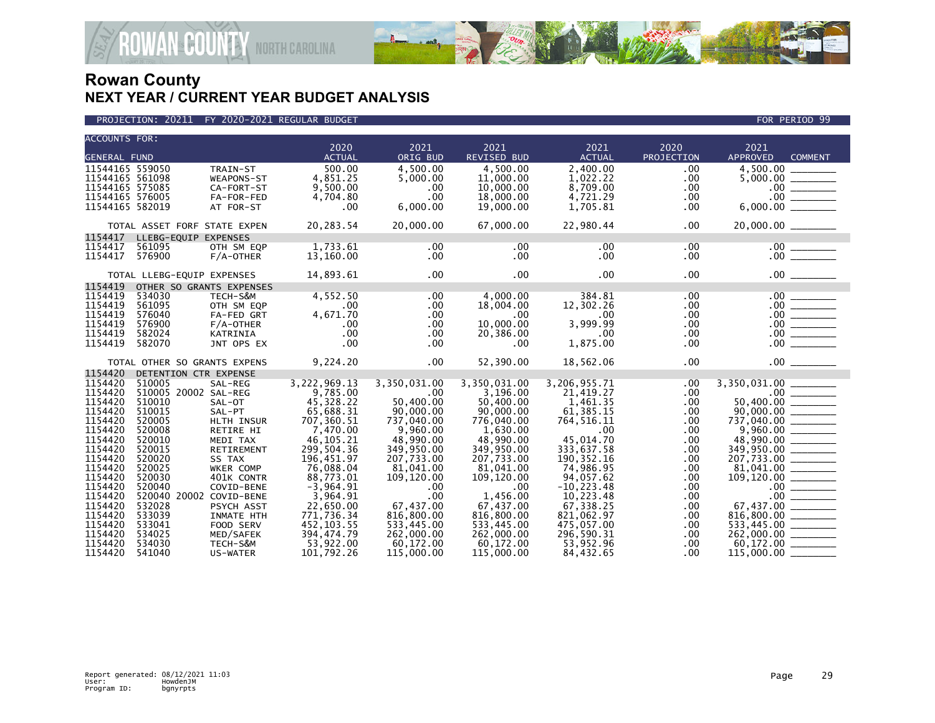

| <b>ACCOUNTS FOR:</b> |                              |              |               |              |              |               |            |                                                                                                          |
|----------------------|------------------------------|--------------|---------------|--------------|--------------|---------------|------------|----------------------------------------------------------------------------------------------------------|
|                      |                              |              | 2020          | 2021         | 2021         | 2021          | 2020       | 2021                                                                                                     |
| <b>GENERAL FUND</b>  |                              |              | <b>ACTUAL</b> | ORIG BUD     | REVISED BUD  | <b>ACTUAL</b> | PROJECTION | <b>APPROVED</b><br><b>COMMENT</b>                                                                        |
| 11544165 559050      |                              | TRAIN-ST     | 500.00        | 4.500.00     | 4.500.00     | 2.400.00      | .00        | 4,500.00 _____                                                                                           |
| 11544165 561098      |                              | WEAPONS-ST   | 4,851.25      | 5.000.00     | 11,000.00    | 1,022.22      | .00        |                                                                                                          |
| 11544165 575085      |                              | CA-FORT-ST   | 9,500.00      | .00          | 10,000.00    | 8,709.00      | .00        |                                                                                                          |
| 11544165 576005      |                              | FA-FOR-FED   | 4,704.80      | .00          | 18,000.00    | 4,721.29      | .00        |                                                                                                          |
| 11544165 582019      |                              | AT FOR-ST    | .00           | 6,000.00     | 19,000.00    | 1,705.81      | .00        | $\begin{array}{r} 5,000.00 \ \hline 0.00 \ \hline 0.00 \ \hline 0.00 \ \hline 0.00 \ \hline \end{array}$ |
|                      | TOTAL ASSET FORF STATE EXPEN |              | 20,283.54     | 20,000.00    | 67,000.00    | 22,980.44     | .00        | $20,000.00$ ________                                                                                     |
| 1154417              | LLEBG-EQUIP EXPENSES         |              |               |              |              |               |            |                                                                                                          |
| 1154417              | 561095                       | OTH SM EQP   | 1,733.61      | .00          | $.00 \,$     | $.00 \,$      | $.00 \,$   |                                                                                                          |
| 1154417              | 576900                       | $F/A$ -OTHER | 13,160.00     | $.00 \,$     | $.00 \,$     | $.00 \,$      | $.00 \,$   |                                                                                                          |
|                      |                              |              |               |              |              |               |            |                                                                                                          |
|                      | TOTAL LLEBG-EQUIP EXPENSES   |              | 14,893.61     | $.00 \,$     | .00          | .00           | $.00 \,$   |                                                                                                          |
| 1154419              | OTHER SO GRANTS EXPENSES     |              |               |              |              |               |            |                                                                                                          |
| 1154419              | 534030                       | TECH-S&M     | 4,552.50      | .00          | 4,000.00     | 384.81        | .00        |                                                                                                          |
| 1154419              | 561095                       | OTH SM EQP   | .00           | $.00 \,$     | 18,004.00    | 12,302.26     | $.00 \,$   |                                                                                                          |
| 1154419              | 576040                       | FA-FED GRT   | 4,671.70      | .00          | $.00 \times$ | $.00 \,$      | .00        |                                                                                                          |
| 1154419              | 576900                       | $F/A$ -OTHER | .00           | .00          | 10,000.00    | 3,999.99      | .00        |                                                                                                          |
| 1154419              | 582024                       | KATRINIA     | .00           | $.00 \,$     | 20,386.00    | $.00 \,$      | $.00 \,$   |                                                                                                          |
| 1154419              | 582070                       | JNT OPS EX   | .00           | .00          | .00          | 1,875.00      | .00        |                                                                                                          |
|                      | TOTAL OTHER SO GRANTS EXPENS |              | 9,224.20      | $.00 \,$     | 52,390.00    | 18,562.06     | .00        |                                                                                                          |
| 1154420              | DETENTION CTR EXPENSE        |              |               |              |              |               |            |                                                                                                          |
| 1154420              | 510005                       | SAL-REG      | 3,222,969.13  | 3,350,031.00 | 3,350,031.00 | 3,206,955.71  | .00        | 3,350,031.00 ______                                                                                      |
| 1154420              | 510005 20002 SAL-REG         |              | 9,785.00      | .00          | 3,196.00     | 21,419.27     | .00        | $\frac{50,400.00}{90,000.00}$                                                                            |
| 1154420              | 510010                       | SAL-OT       | 45,328.22     | 50.400.00    | 50,400.00    | 1,461.35      | .00        |                                                                                                          |
| 1154420              | 510015                       | SAL-PT       | 65,688.31     | 90,000.00    | 90,000.00    | 61,385.15     | .00.       |                                                                                                          |
| 1154420              | 520005                       | HLTH INSUR   | 707,360.51    | 737,040.00   | 776,040.00   | 764,516.11    | .00        |                                                                                                          |
| 1154420              | 520008                       | RETIRE HI    | 7.470.00      | 9,960.00     | 1,630.00     | $.00 \,$      | .00        |                                                                                                          |
| 1154420              | 520010                       | MEDI TAX     | 46,105.21     | 48,990.00    | 48,990.00    | 45,014.70     | .00        |                                                                                                          |
| 1154420              | 520015                       | RETIREMENT   | 299,504.36    | 349,950.00   | 349,950.00   | 333,637.58    | .00        |                                                                                                          |
| 1154420              | 520020                       | SS TAX       | 196.451.97    | 207.733.00   | 207.733.00   | 190.352.16    | .00        |                                                                                                          |
| 1154420              | 520025                       | WKER COMP    | 76,088.04     | 81,041.00    | 81,041.00    | 74,986.95     | .00        |                                                                                                          |
| 1154420              | 520030                       | 401K CONTR   | 88,773.01     | 109,120.00   | 109,120.00   | 94,057.62     | .00.       |                                                                                                          |
| 1154420              | 520040                       | COVID-BENE   | $-3,964.91$   | .00          | .00          | $-10, 223.48$ | .00        |                                                                                                          |
| 1154420              | 520040 20002 COVID-BENE      |              | 3,964.91      | .00          | 1,456.00     | 10,223.48     | .00        |                                                                                                          |
| 1154420              | 532028                       | PSYCH ASST   | 22,650.00     | 67,437.00    | 67,437.00    | 67,338.25     | .00        | $\begin{array}{r} 201,041.00 \\ 81,041.00 \\ 109,120.00 \\ 00 \\ \hline \end{array}$                     |
| 1154420              | 533039                       | INMATE HTH   | 771,736.34    | 816,800.00   | 816,800.00   | 821,062.97    | .00        | 816,800.00<br>533,445.00<br>262,000.00                                                                   |
| 1154420              | 533041                       | FOOD SERV    | 452, 103.55   | 533,445.00   | 533,445.00   | 475,057.00    | .00        |                                                                                                          |
| 1154420              | 534025                       | MED/SAFEK    | 394,474.79    | 262,000.00   | 262,000.00   | 296,590.31    | .00.       |                                                                                                          |
| 1154420              | 534030                       | TECH-S&M     | 53,922.00     | 60,172.00    | 60,172.00    | 53,952.96     | .00        |                                                                                                          |
| 1154420              | 541040                       | US-WATER     | 101,792.26    | 115,000.00   | 115,000.00   | 84,432.65     | .00        | 115,000.00                                                                                               |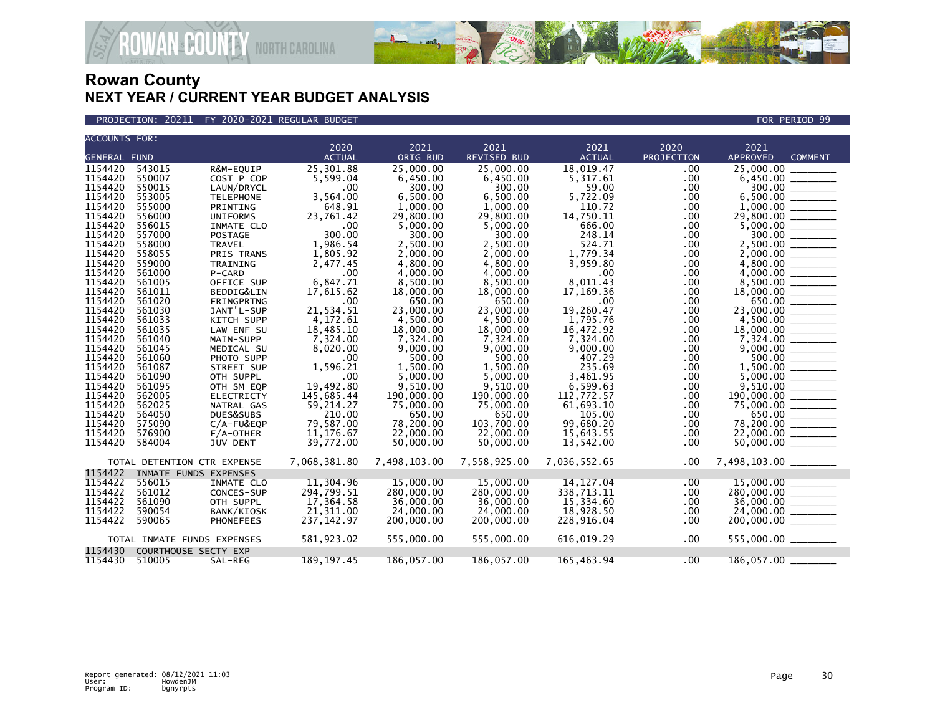

PROJECTION: 20211 FY 2020-2021 REGULAR BUDGET FOR PERIOD 99

**ROWAN COUNTY NORTH CAROLINA** 

| <b>ACCOUNTS FOR:</b> |                  |                             | 2020                | 2021                | 2021                | 2021                | 2020       | 2021                                 |
|----------------------|------------------|-----------------------------|---------------------|---------------------|---------------------|---------------------|------------|--------------------------------------|
| <b>GENERAL FUND</b>  |                  |                             | <b>ACTUAL</b>       | ORIG BUD            | <b>REVISED BUD</b>  | <b>ACTUAL</b>       | PROJECTION | <b>APPROVED</b><br><b>COMMENT</b>    |
| 1154420              | 543015           | R&M-EOUIP                   | 25,301.88           | 25,000,00           | 25,000.00           | 18,019.47           | .00.       | 25,000.00                            |
| 1154420              | 550007           | COST P COP                  | 5,599.04            | 6,450.00            | 6,450.00            | 5,317.61            | .00        | 6,450.00                             |
| 1154420              | 550015           | LAUN/DRYCL                  | .00                 | 300.00              | 300.00              | 59.00               | .00        | 300.00                               |
| 1154420              | 553005           | <b>TELEPHONE</b>            | 3,564.00            | 6,500.00            | 6,500.00            | 5,722.09            | .00        |                                      |
| 1154420              | 555000           | PRINTING                    | 648.91              | 1,000.00            | 1,000.00            | 110.72              | .00        |                                      |
| 1154420              | 556000           | <b>UNIFORMS</b>             | 23,761.42           | 29,800.00           | 29,800.00           | 14,750.11           | .00        | 29,800.00 _______                    |
| 1154420              | 556015           | INMATE CLO                  | .00                 | 5,000.00            | 5,000.00            | 666.00              | .00        |                                      |
| 1154420              | 557000           | <b>POSTAGE</b>              | 300.00              | 300.00              | 300.00              | 248.14              | .00        |                                      |
| 1154420              | 558000           | <b>TRAVEL</b>               | 1,986.54            | 2,500.00            | 2,500.00            | 524.71              | .00        |                                      |
| 1154420              | 558055           | PRIS TRANS                  | 1,805.92            | 2,000.00            | 2,000.00            | 1,779.34            | .00        |                                      |
| 1154420              | 559000           | TRAINING                    | 2,477.45            | 4,800.00            | 4,800.00            | 3,959.80            | .00        |                                      |
| 1154420              | 561000           | P-CARD                      | .00                 | 4,000.00            | 4,000.00            | .00                 | .00        |                                      |
| 1154420              | 561005           | OFFICE SUP                  | 6,847.71            | 8,500.00            | 8,500.00            | 8,011.43            | .00        |                                      |
| 1154420              | 561011           | BEDDIG&LIN                  | 17,615.62           | 18,000.00           | 18,000,00           | 17.169.36           | .00.       |                                      |
| 1154420              | 561020           | FRINGPRTNG                  | .00                 | 650.00              | 650.00              | .00                 | .00        | $\frac{650.00}{23,000.00}$           |
| 1154420              | 561030           | JANT'L-SUP                  | 21,534.51           | 23,000.00           | 23,000.00           | 19,260.47           | .00        |                                      |
| 1154420              | 561033           | KITCH SUPP                  | 4,172.61            | 4,500.00            | 4,500.00            | 1,795.76            | .00        |                                      |
| 1154420              | 561035           | LAW ENF SU                  | 18,485.10           | 18,000.00           | 18,000.00           | 16,472.92           | .00        |                                      |
| 1154420              | 561040           | MAIN-SUPP                   | 7,324.00            | 7,324.00            | 7,324.00            | 7,324.00            | .00        |                                      |
| 1154420              | 561045           | MEDICAL SU                  | 8,020.00            | 9.000.00            | 9,000.00            | 9.000.00            | .00        |                                      |
| 1154420              | 561060           | PHOTO SUPP                  | .00                 | 500.00              | 500.00              | 407.29              | .00        | 500.00                               |
| 1154420              | 561087           | STREET SUP                  | 1,596.21            | 1,500.00            | 1,500.00            | 235.69              | .00        |                                      |
| 1154420              | 561090           | OTH SUPPL                   | .00                 | 5,000.00            | 5,000.00            | 3,461.95            | .00        |                                      |
| 1154420<br>1154420   | 561095           | OTH SM EQP                  | 19,492.80           | 9,510.00            | 9.510.00            | 6,599.63            | .00        | 9.510.00<br>$\overline{\phantom{a}}$ |
|                      | 562005           | <b>ELECTRICTY</b>           | 145,685.44          | 190,000.00          | 190,000.00          | 112,772.57          | .00        | $190,000.00$ ________                |
| 1154420<br>1154420   | 562025<br>564050 | NATRAL GAS                  | 59,214.27<br>210.00 | 75,000.00<br>650.00 | 75,000.00<br>650.00 | 61,693.10<br>105.00 | .00        | 75,000.00 ______                     |
| 1154420              | 575090           | DUES&SUBS<br>C/A-FU&EQP     | 79,587.00           | 78,200.00           | 103,700.00          | 99,680.20           | .00<br>.00 | $650.00$<br>$78,200.00$ ________     |
| 1154420              | 576900           | $F/A$ -OTHER                | 11, 176.67          | 22,000.00           | 22,000.00           | 15,643.55           | .00        |                                      |
| 1154420              | 584004           | <b>JUV DENT</b>             | 39,772.00           | 50,000.00           | 50,000.00           | 13,542.00           | .00        |                                      |
|                      |                  |                             |                     |                     |                     |                     |            |                                      |
|                      |                  | TOTAL DETENTION CTR EXPENSE | 7,068,381.80        | 7,498,103.00        | 7,558,925.00        | 7,036,552.65        | .00        | 7,498,103.00 ______                  |
| 1154422              |                  | INMATE FUNDS EXPENSES       |                     |                     |                     |                     |            |                                      |
| 1154422              | 556015           | INMATE CLO                  | 11,304.96           | 15,000,00           | 15,000,00           | 14, 127.04          | .00        | $15,000.00$ ________                 |
| 1154422              | 561012           | CONCES-SUP                  | 294,799.51          | 280,000.00          | 280,000.00          | 338,713.11          | .00        |                                      |
| 1154422              | 561090           | OTH SUPPL                   | 17,364.58           | 36,000,00           | 36,000,00           | 15,334.60           | .00        | $280,000.00$<br>36,000.00            |
| 1154422              | 590054           | BANK/KIOSK                  | 21,311.00           | 24,000.00           | 24,000.00           | 18,928.50           | .00        | 24,000.00                            |
| 1154422              | 590065           | <b>PHONEFEES</b>            | 237, 142.97         | 200,000.00          | 200,000.00          | 228,916.04          | .00.       |                                      |
|                      |                  | TOTAL INMATE FUNDS EXPENSES | 581,923.02          | 555,000.00          | 555.000.00          | 616,019.29          | .00        | 555,000.00 ________                  |
| 1154430              |                  | COURTHOUSE SECTY EXP        |                     |                     |                     |                     |            |                                      |
| 1154430              | 510005           | SAL-REG                     | 189, 197.45         | 186,057.00          | 186,057.00          | 165,463.94          | $.00 \,$   | 186,057.00                           |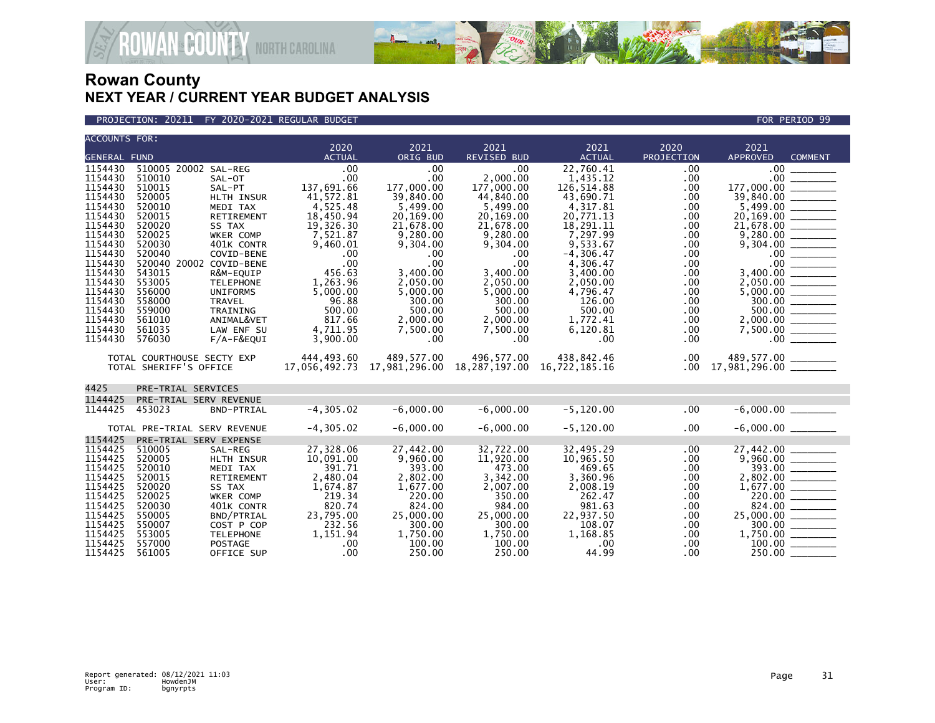

**AN<sup>&</sup>COUNTY** NORTH CAROLINA

| <b>ACCOUNTS FOR:</b> |                              |                         |                       |                             |                            |                         |                    |                         |                          |
|----------------------|------------------------------|-------------------------|-----------------------|-----------------------------|----------------------------|-------------------------|--------------------|-------------------------|--------------------------|
| <b>GENERAL FUND</b>  |                              |                         | 2020<br><b>ACTUAL</b> | 2021<br>ORIG BUD            | 2021<br><b>REVISED BUD</b> | 2021<br><b>ACTUAL</b>   | 2020<br>PROJECTION | 2021<br><b>APPROVED</b> | <b>COMMENT</b>           |
|                      |                              |                         |                       |                             |                            |                         |                    |                         |                          |
| 1154430<br>1154430   | 510005 20002 SAL-REG         |                         | .00                   | .00                         | .00                        | 22,760.41               | .00                | .00 <sub>1</sub>        |                          |
| 1154430              | 510010<br>510015             | SAL-OT                  | .00<br>137,691.66     | .00<br>177,000.00           | 2,000.00<br>177,000.00     | 1,435.12                | .00<br>.00         | .00<br>177,000.00       |                          |
| 1154430              | 520005                       | SAL-PT<br>HLTH INSUR    |                       |                             | 44,840.00                  | 126,514.88<br>43,690.71 | .00                | 39,840.00               |                          |
| 1154430              | 520010                       |                         | 41,572.81             | 39,840.00                   | 5,499.00                   |                         |                    | 5,499.00                |                          |
| 1154430              | 520015                       | MEDI TAX<br>RETIREMENT  | 4,525.48<br>18,450.94 | 5,499.00<br>20,169.00       | 20,169.00                  | 4,317.81<br>20,771.13   | .00<br>.00         | 20,169.00               |                          |
| 1154430              | 520020                       | SS TAX                  | 19,326.30             | 21,678.00                   | 21,678.00                  | 18,291.11               | .00                | 21,678.00               |                          |
| 1154430              | 520025                       | <b>WKER COMP</b>        | 7,521.87              | 9.280.00                    | 9.280.00                   | 7.297.99                | .00                | 9.280.00                |                          |
| 1154430              | 520030                       | 401K CONTR              | 9,460.01              | 9,304.00                    | 9,304.00                   | 9,533.67                | .00                |                         |                          |
| 1154430              | 520040                       | COVID-BENE              | .00                   | .00                         | .00                        | $-4,306.47$             | .00                |                         | 00                       |
| 1154430              | 520040 20002 COVID-BENE      |                         | .00                   | .00                         | .00                        | 4,306.47                | .00                | .00                     |                          |
| 1154430              | 543015                       | R&M-EOUIP               | 456.63                | 3,400.00                    | 3,400.00                   | 3.400.00                | .00                | 3.400.00                |                          |
| 1154430              | 553005                       | <b>TELEPHONE</b>        | 1,263.96              | 2,050.00                    | 2,050.00                   | 2,050.00                | .00.               |                         |                          |
| 1154430              | 556000                       | <b>UNIFORMS</b>         | 5,000.00              | 5,000.00                    | 5,000.00                   | 4,796.47                | .00                |                         |                          |
| 1154430              | 558000                       | <b>TRAVEL</b>           | 96.88                 | 300.00                      | 300.00                     | 126.00                  | .00                | 300.00                  | $\frac{1}{1}$            |
| 1154430              | 559000                       | TRAINING                | 500.00                | 500.00                      | 500.00                     | 500.00                  | .00                | 500.00                  |                          |
| 1154430              | 561010                       | ANIMAL&VET              | 817.66                | 2,000.00                    | 2,000.00                   | 1.772.41                | .00                |                         |                          |
| 1154430              | 561035                       | LAW ENF SU              | 4,711.95              | 7,500.00                    | 7,500.00                   | 6,120.81                | .00                | 7,500.00                |                          |
| 1154430              | 576030                       | $F/A-F&EQUI$            | 3,900.00              | .00                         | .00                        | .00                     | .00                | $.00 \cdot$             |                          |
|                      | TOTAL COURTHOUSE SECTY EXP   |                         | 444,493.60            | 489,577.00                  | 496,577.00                 | 438,842.46              | $.00 \,$           |                         |                          |
|                      | TOTAL SHERIFF'S OFFICE       |                         | 17,056,492.73         | 17,981,296.00 18,287,197.00 |                            | 16,722,185.16           | $.00 \,$           |                         |                          |
| 4425                 | PRE-TRIAL SERVICES           |                         |                       |                             |                            |                         |                    |                         |                          |
|                      |                              |                         |                       |                             |                            |                         |                    |                         |                          |
| 1144425              | PRE-TRIAL SERV REVENUE       |                         |                       |                             |                            |                         |                    |                         |                          |
| 1144425              | 453023                       | BND-PTRIAL              | $-4, 305.02$          | $-6,000.00$                 | $-6,000.00$                | $-5, 120.00$            | .00                |                         |                          |
|                      | TOTAL PRE-TRIAL SERV REVENUE |                         | $-4, 305.02$          | $-6,000.00$                 | $-6,000.00$                | $-5, 120.00$            | .00.               |                         |                          |
| 1154425              | PRE-TRIAL SERV EXPENSE       |                         |                       |                             |                            |                         |                    |                         |                          |
| 1154425              | 510005                       | SAL-REG                 | 27,328.06             | 27,442.00                   | 32,722.00                  | 32,495.29               | .00                | 27,442.00               |                          |
| 1154425              | 520005                       | <b>HLTH INSUR</b>       | 10,091.00             | 9.960.00                    | 11,920.00                  | 10,965.50               | .00                |                         |                          |
| 1154425              | 520010                       | MEDI TAX                | 391.71                | 393.00                      | 473.00                     | 469.65                  | .00                | 393.00                  | $\overline{\phantom{a}}$ |
| 1154425              | 520015                       | RETIREMENT              | 2,480.04              | 2,802.00                    | 3,342.00                   | 3,360.96                | .00                | 2,802.00                |                          |
| 1154425              | 520020                       | SS TAX                  | 1,674.87              | 1,677.00                    | 2,007.00                   | 2,008.19                | .00                |                         |                          |
| 1154425<br>1154425   | 520025<br>520030             | WKER COMP<br>401K CONTR | 219.34<br>820.74      | 220.00<br>824.00            | 350.00<br>984.00           | 262.47<br>981.63        | .00<br>.00         | 824.00                  | 220.00 _________         |
| 1154425              | 550005                       | BND/PTRIAL              | 23,795.00             | 25,000.00                   | 25,000.00                  | 22,937.50               | .00                | $25,000.00$ _________   |                          |
| 1154425              | 550007                       | COST P COP              | 232.56                | 300.00                      | 300.00                     | 108.07                  | .00                | 300.00                  |                          |
| 1154425              | 553005                       | <b>TELEPHONE</b>        | 1,151.94              | 1,750.00                    | 1,750.00                   | 1,168.85                | .00.               | 1,750.00 _______        |                          |
| 1154425              | 557000                       | <b>POSTAGE</b>          | .00                   | 100.00                      | 100.00                     | .00                     | .00                | 100.00                  |                          |
| 1154425              | 561005                       | OFFICE SUP              | .00                   | 250.00                      | 250.00                     | 44.99                   | .00                | 250.00                  |                          |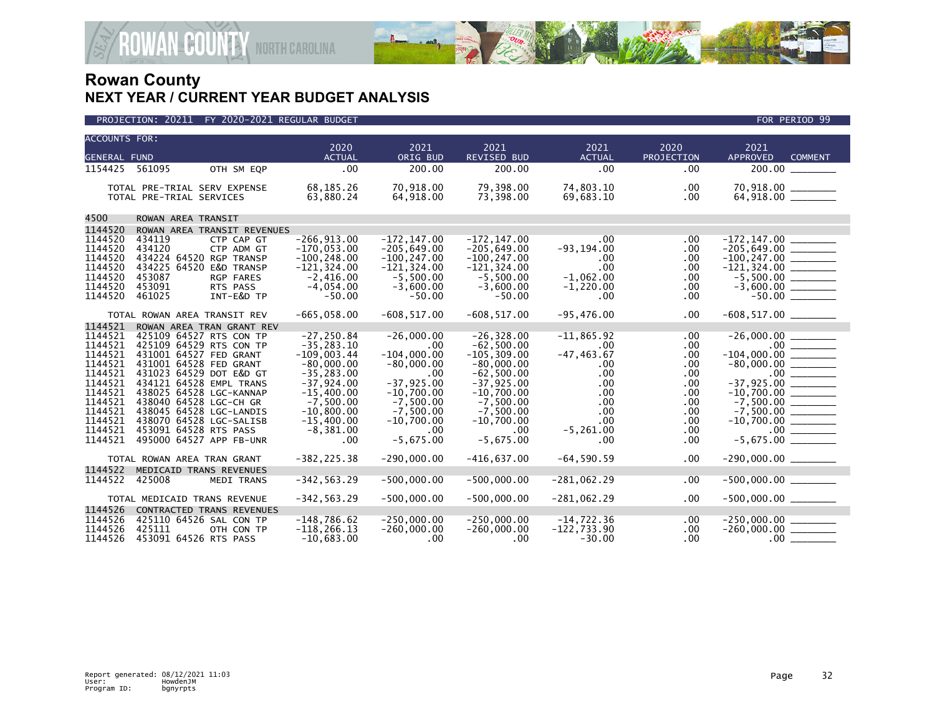

|                                                                                                                                             | PROJECTION: 20211 FY 2020-2021 REGULAR BUDGET                                                                                                                                                                                                                                                                                                            |                                                                                                                                                                                       |                                                                                                                                                                  |                                                                                                                                                                                         |                                                                                                                             |                                                                                  | FOR PERIOD 99                                                      |
|---------------------------------------------------------------------------------------------------------------------------------------------|----------------------------------------------------------------------------------------------------------------------------------------------------------------------------------------------------------------------------------------------------------------------------------------------------------------------------------------------------------|---------------------------------------------------------------------------------------------------------------------------------------------------------------------------------------|------------------------------------------------------------------------------------------------------------------------------------------------------------------|-----------------------------------------------------------------------------------------------------------------------------------------------------------------------------------------|-----------------------------------------------------------------------------------------------------------------------------|----------------------------------------------------------------------------------|--------------------------------------------------------------------|
| <b>ACCOUNTS FOR:</b>                                                                                                                        |                                                                                                                                                                                                                                                                                                                                                          | 2020                                                                                                                                                                                  | 2021                                                                                                                                                             | 2021                                                                                                                                                                                    | 2021                                                                                                                        | 2020                                                                             | 2021                                                               |
| <b>GENERAL FUND</b>                                                                                                                         |                                                                                                                                                                                                                                                                                                                                                          | <b>ACTUAL</b>                                                                                                                                                                         | ORIG BUD                                                                                                                                                         | REVISED BUD                                                                                                                                                                             | <b>ACTUAL</b>                                                                                                               | PROJECTION                                                                       | <b>APPROVED</b><br><b>COMMENT</b>                                  |
| 1154425                                                                                                                                     | 561095<br>OTH SM EQP                                                                                                                                                                                                                                                                                                                                     | .00                                                                                                                                                                                   | 200.00                                                                                                                                                           | 200.00                                                                                                                                                                                  | .00                                                                                                                         | .00                                                                              | 200.00 _________                                                   |
|                                                                                                                                             | TOTAL PRE-TRIAL SERV EXPENSE<br>TOTAL PRE-TRIAL SERVICES                                                                                                                                                                                                                                                                                                 | 68,185.26<br>63,880.24                                                                                                                                                                | 70,918.00<br>64,918.00                                                                                                                                           | 79,398.00<br>73,398.00                                                                                                                                                                  | 74,803.10<br>69,683.10                                                                                                      | .00<br>.00                                                                       |                                                                    |
| 4500                                                                                                                                        | ROWAN AREA TRANSIT                                                                                                                                                                                                                                                                                                                                       |                                                                                                                                                                                       |                                                                                                                                                                  |                                                                                                                                                                                         |                                                                                                                             |                                                                                  |                                                                    |
| 1144520                                                                                                                                     | ROWAN AREA TRANSIT REVENUES                                                                                                                                                                                                                                                                                                                              |                                                                                                                                                                                       |                                                                                                                                                                  |                                                                                                                                                                                         |                                                                                                                             |                                                                                  |                                                                    |
| 1144520<br>1144520<br>1144520<br>1144520<br>1144520<br>1144520<br>1144520                                                                   | 434119<br>CTP CAP GT<br>434120<br>CTP ADM GT<br>434224 64520 RGP TRANSP<br>434225 64520 E&D TRANSP<br>453087<br>RGP FARES<br>453091<br>RTS PASS<br>461025<br>INT-E&D TP                                                                                                                                                                                  | $-266, 913.00$<br>$-170.053.00$<br>$-100, 248.00$<br>$-121, 324.00$<br>$-2,416.00$<br>$-4,054.00$<br>$-50.00$                                                                         | $-172, 147.00$<br>$-205,649.00$<br>$-100, 247.00$<br>$-121, 324.00$<br>$-5,500.00$<br>$-3,600.00$<br>$-50.00$                                                    | $-172, 147.00$<br>$-205,649.00$<br>$-100, 247.00$<br>$-121, 324.00$<br>$-5,500.00$<br>$-3,600.00$<br>$-50.00$                                                                           | $.00\,$<br>$-93, 194.00$<br>.00<br>.00<br>$-1,062.00$<br>$-1,220.00$<br>$.00 \times$                                        | .00<br>.00<br>.00<br>.00<br>.00<br>.00<br>.00                                    |                                                                    |
|                                                                                                                                             | TOTAL ROWAN AREA TRANSIT REV                                                                                                                                                                                                                                                                                                                             | $-665,058.00$                                                                                                                                                                         | $-608, 517.00$                                                                                                                                                   | $-608, 517.00$                                                                                                                                                                          | $-95,476.00$                                                                                                                | .00                                                                              | $-608, 517.00$ _________                                           |
| 1144521<br>1144521<br>1144521<br>1144521<br>1144521<br>1144521<br>1144521<br>1144521<br>1144521<br>1144521<br>1144521<br>1144521<br>1144521 | ROWAN AREA TRAN GRANT REV<br>425109 64527 RTS CON TP<br>425109 64529 RTS CON TP<br>431001 64527 FED GRANT<br>431001 64528 FED GRANT<br>431023 64529 DOT E&D GT<br>434121 64528 EMPL TRANS<br>438025 64528 LGC-KANNAP<br>438040 64528 LGC-CH GR<br>438045 64528 LGC-LANDIS<br>438070 64528 LGC-SALISB<br>453091 64528 RTS PASS<br>495000 64527 APP FB-UNR | $-27, 250.84$<br>$-35, 283.10$<br>$-109,003.44$<br>$-80,000.00$<br>$-35, 283.00$<br>$-37,924.00$<br>$-15,400.00$<br>$-7,500.00$<br>$-10,800.00$<br>$-15,400.00$<br>$-8,381.00$<br>.00 | $-26,000.00$<br>.00.<br>$-104,000.00$<br>$-80,000.00$<br>.00<br>$-37,925.00$<br>$-10,700.00$<br>$-7,500.00$<br>$-7,500.00$<br>$-10,700.00$<br>.00<br>$-5,675.00$ | $-26, 328.00$<br>$-62,500.00$<br>$-105.309.00$<br>$-80,000.00$<br>$-62,500.00$<br>$-37,925.00$<br>$-10,700.00$<br>$-7,500.00$<br>$-7,500.00$<br>$-10,700.00$<br>$.00 \,$<br>$-5.675.00$ | $-11,865.92$<br>$.00 \,$<br>$-47, 463.67$<br>.00<br>.00<br>$.00 \,$<br>.00<br>.00<br>.00<br>$.00 \,$<br>$-5, 261.00$<br>.00 | .00<br>.00<br>.00<br>.00<br>.00<br>.00<br>.00<br>.00<br>.00<br>.00<br>.00<br>.00 | $-80,000.00$ ________<br>$-37,925.00$                              |
|                                                                                                                                             | TOTAL ROWAN AREA TRAN GRANT                                                                                                                                                                                                                                                                                                                              | $-382, 225.38$                                                                                                                                                                        | $-290,000.00$                                                                                                                                                    | $-416,637.00$                                                                                                                                                                           | $-64, 590.59$                                                                                                               | .00                                                                              | $-290,000.00$ ________                                             |
| 1144522<br>1144522                                                                                                                          | MEDICAID TRANS REVENUES<br>425008<br>MEDI TRANS                                                                                                                                                                                                                                                                                                          | $-342, 563.29$                                                                                                                                                                        | $-500,000.00$                                                                                                                                                    | $-500,000.00$                                                                                                                                                                           | $-281,062.29$                                                                                                               | .00                                                                              | $-500,000.00$ ________                                             |
|                                                                                                                                             | TOTAL MEDICAID TRANS REVENUE                                                                                                                                                                                                                                                                                                                             | $-342, 563.29$                                                                                                                                                                        | $-500,000.00$                                                                                                                                                    | $-500,000.00$                                                                                                                                                                           | $-281,062.29$                                                                                                               | .00.                                                                             | $-500,000.00$ ________                                             |
| 1144526<br>1144526<br>1144526<br>1144526                                                                                                    | CONTRACTED TRANS REVENUES<br>425110 64526 SAL CON TP<br>425111<br>OTH CON TP<br>453091 64526 RTS PASS                                                                                                                                                                                                                                                    | $-148,786.62$<br>$-118, 266.13$<br>$-10,683.00$                                                                                                                                       | $-250,000.00$<br>$-260,000.00$<br>$.00 \,$                                                                                                                       | $-250,000.00$<br>$-260,000.00$<br>$.00 \ \,$                                                                                                                                            | -14,722.36<br>$-122,733.90$<br>$-30.00$                                                                                     | $.00 \,$<br>.00.<br>.00.                                                         | $-250,000.00$ _________<br>$-260,000.00$ ________<br>.00 _________ |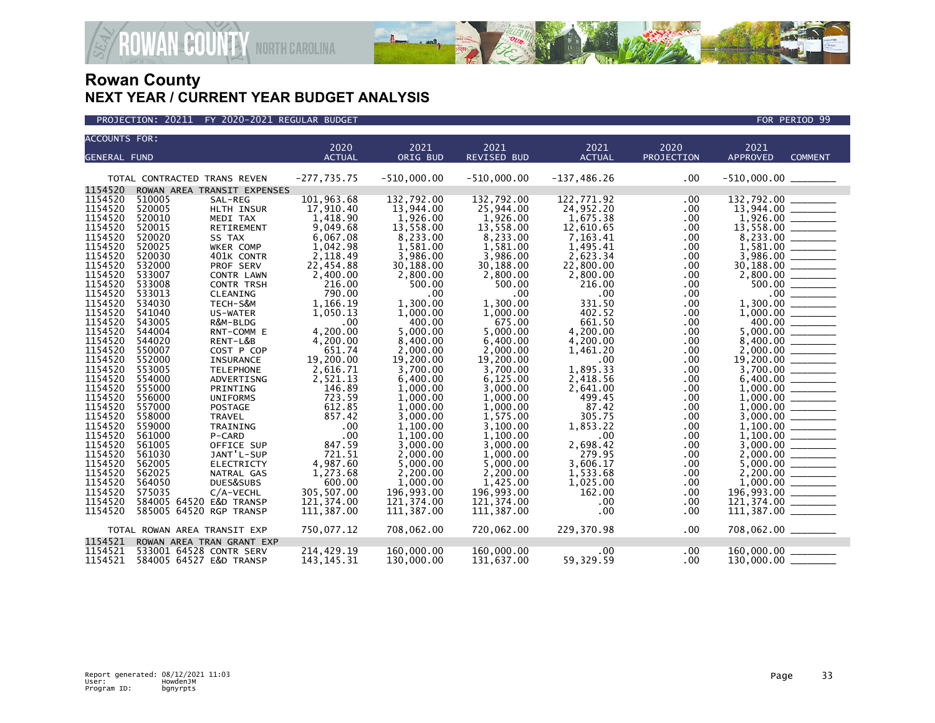



| <b>ACCOUNTS FOR:</b> |        |                              |               |               |                    |                       |                    |                         |  |
|----------------------|--------|------------------------------|---------------|---------------|--------------------|-----------------------|--------------------|-------------------------|--|
|                      |        |                              | 2020          | 2021          | 2021               | 2021<br><b>ACTUAL</b> | 2020<br>PROJECTION | 2021<br><b>APPROVED</b> |  |
| <b>GENERAL FUND</b>  |        |                              | <b>ACTUAL</b> | ORIG BUD      | <b>REVISED BUD</b> |                       |                    | <b>COMMENT</b>          |  |
|                      |        | TOTAL CONTRACTED TRANS REVEN | $-277,735.75$ | $-510,000.00$ | $-510,000.00$      | $-137, 486.26$        | .00                | $-510,000.00$ ________  |  |
| 1154520              |        | ROWAN AREA TRANSIT EXPENSES  |               |               |                    |                       |                    |                         |  |
| 1154520              | 510005 | SAL-REG                      | 101,963.68    | 132,792.00    | 132,792.00         | 122,771.92            | .00                | 132,792.00              |  |
| 1154520              | 520005 | HLTH INSUR                   | 17,910.40     | 13,944.00     | 25,944.00          | 24,952.20             | .00                | $13,944.00$ _______     |  |
| 1154520              | 520010 | MEDI TAX                     | 1,418.90      | 1,926.00      | 1,926.00           | 1,675.38              | .00                |                         |  |
| 1154520              | 520015 | RETIREMENT                   | 9,049.68      | 13,558.00     | 13,558.00          | 12,610.65             | .00                | 13,558.00               |  |
| 1154520              | 520020 | SS TAX                       | 6,067.08      | 8,233.00      | 8,233.00           | 7,163.41              | .00                | 8,233.00                |  |
| 1154520              | 520025 | WKER COMP                    | 1,042.98      | 1,581.00      | 1,581.00           | 1,495.41              | .00                | 1,581.00                |  |
| 1154520              | 520030 | 401K CONTR                   | 2,118.49      | 3,986.00      | 3,986.00           | 2,623.34              | .00                | 3,986.00                |  |
| 1154520              | 532000 | PROF SERV                    | 22,454.88     | 30,188.00     | 30,188.00          | 22,800.00             | .00                | 30,188.00               |  |
| 1154520              | 533007 | CONTR LAWN                   | 2,400.00      | 2,800.00      | 2,800.00           | 2,800.00              | .00                | 2,800.00                |  |
| 1154520              | 533008 | <b>CONTR TRSH</b>            | 216.00        | 500.00        | 500.00             | 216.00                | .00                | 500.00                  |  |
| 1154520              | 533013 | CLEANING                     | 790.00        | $.00 \,$      | $.00 \,$           | .00                   | .00                | $.00 \,$                |  |
| 1154520              | 534030 | TECH-S&M                     | 1,166.19      | 1,300.00      | 1,300.00           | 331.50                | .00                | 1,300.00                |  |
| 1154520              | 541040 | US-WATER                     | 1,050.13      | 1,000.00      | 1,000.00           | 402.52                | .00                | 1,000.00                |  |
| 1154520              | 543005 | R&M-BLDG                     | .00           | 400.00        | 675.00             | 661.50                | .00                | 400.00                  |  |
| 1154520              | 544004 | RNT-COMM E                   | 4.200.00      | 5.000.00      | 5.000.00           | 4,200.00              | .00                | 5,000.00                |  |
| 1154520              | 544020 | RENT-L&B                     | 4,200.00      | 8,400.00      | 6,400.00           | 4,200.00              | .00                | 8,400.00                |  |
| 1154520              | 550007 | COST P COP                   | 651.74        | 2,000.00      | 2,000.00           | 1,461.20              | .00                | 2,000.00                |  |
| 1154520              | 552000 | <b>INSURANCE</b>             | 19,200.00     | 19,200.00     | 19,200.00          | .00                   | .00                | 19,200.00               |  |
| 1154520              | 553005 | <b>TELEPHONE</b>             | 2,616.71      | 3,700.00      | 3,700.00           | 1,895.33              | .00                | 3,700.00                |  |
| 1154520              | 554000 | ADVERTISNG                   | 2,521.13      | 6,400.00      | 6,125.00           | 2,418.56              | .00                | 6,400.00                |  |
| 1154520              | 555000 | PRINTING                     | 146.89        | 1,000.00      | 3,000.00           | 2,641.00              | .00                | 1,000.00                |  |
| 1154520              | 556000 | <b>UNIFORMS</b>              | 723.59        | 1,000.00      | 1,000.00           | 499.45                | .00                | 1,000.00                |  |
| 1154520              | 557000 | POSTAGE                      | 612.85        | 1,000.00      | 1,000.00           | 87.42                 | .00                | 1,000.00                |  |
| 1154520              | 558000 | <b>TRAVEL</b>                | 857.42        | 3,000.00      | 1,575.00           | 305.75                | .00.               | 3,000.00                |  |
| 1154520              | 559000 | TRAINING                     | .00           | 1,100.00      | 3,100.00           | 1,853.22              | .00                | 1,100.00                |  |
| 1154520              | 561000 | P-CARD                       | .00           | 1,100.00      | 1,100.00           | .00                   | .00                |                         |  |
| 1154520              | 561005 | OFFICE SUP                   | 847.59        | 3,000.00      | 3,000.00           | 2,698.42              | .00                | 3,000.00                |  |
| 1154520              | 561030 | JANT'L-SUP                   | 721.51        | 2,000.00      | 1,000.00           | 279.95                | .00                | 2,000.00                |  |
| 1154520              | 562005 | <b>ELECTRICTY</b>            | 4,987.60      | 5,000.00      | 5,000.00           | 3,606.17              | .00                | 5,000.00                |  |
| 1154520              | 562025 | NATRAL GAS                   | 1,273.68      | 2,200.00      | 2,200.00           | 1,533.68              | .00                | 2,200.00                |  |
| 1154520              | 564050 | DUES&SUBS                    | 600.00        | 1,000.00      | 1,425.00           | 1,025.00              | .00                | 1,000.00                |  |
| 1154520              | 575035 | $C/A$ -VECHL                 | 305,507.00    | 196,993.00    | 196,993.00         | 162.00                | .00                |                         |  |
| 1154520              |        | 584005 64520 E&D TRANSP      | 121,374.00    | 121, 374, 00  | 121.374.00         | .00                   | .00                | 121.374.00              |  |
| 1154520              |        | 585005 64520 RGP TRANSP      | 111,387.00    | 111,387.00    | 111,387.00         | $.00 \,$              | .00                | 111,387.00              |  |
|                      |        | TOTAL ROWAN AREA TRANSIT EXP | 750,077.12    | 708,062.00    | 720,062.00         | 229,370.98            | .00                |                         |  |
| 1154521              |        | ROWAN AREA TRAN GRANT EXP    |               |               |                    |                       |                    |                         |  |
| 1154521              |        | 533001 64528 CONTR SERV      | 214,429.19    | 160,000.00    | 160,000.00         | $.00 \,$              | .00                | 160,000.00              |  |
| 1154521              |        | 584005 64527 E&D TRANSP      | 143, 145. 31  | 130,000.00    | 131,637.00         | 59,329.59             | .00                |                         |  |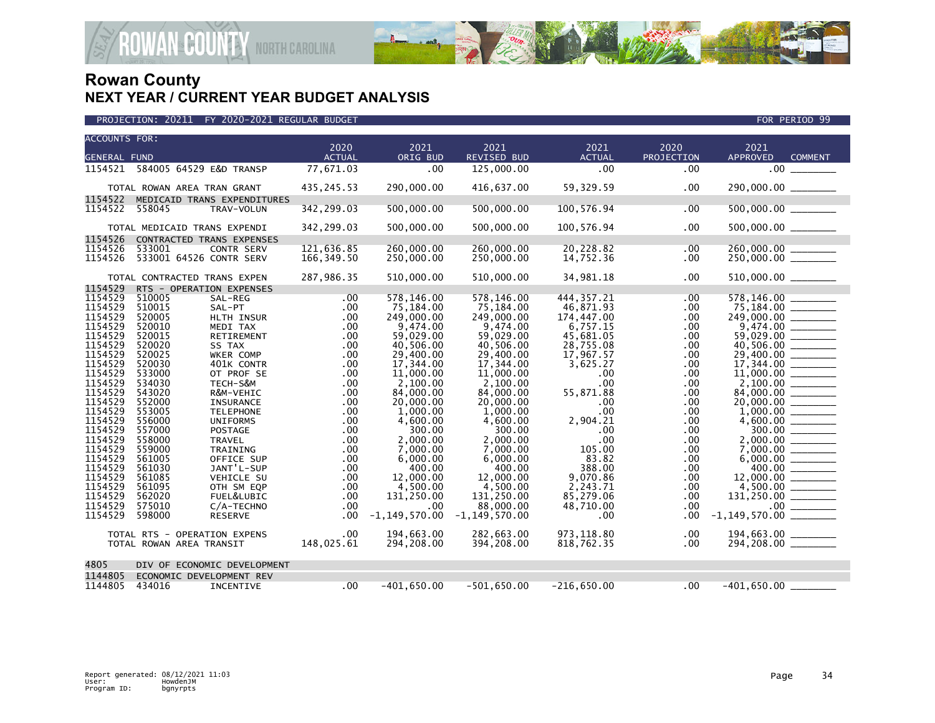

| PROJECTION: 20211 FY 2020-2021 REGULAR BUDGET | FOR PERIOD 99 |
|-----------------------------------------------|---------------|

| <b>ACCOUNTS FOR:</b> |                                    | 2020          | 2021              | 2021               | 2021          | 2020       | 2021                              |
|----------------------|------------------------------------|---------------|-------------------|--------------------|---------------|------------|-----------------------------------|
| <b>GENERAL FUND</b>  |                                    | <b>ACTUAL</b> | ORIG BUD          | <b>REVISED BUD</b> | <b>ACTUAL</b> | PROJECTION | <b>APPROVED</b><br><b>COMMENT</b> |
|                      |                                    |               |                   |                    |               |            |                                   |
|                      | 1154521  584005  64529  E&D TRANSP | 77,671.03     | .00               | 125,000.00         | $.00 \,$      | .00        | .00 <sub>1</sub>                  |
|                      |                                    |               |                   |                    |               |            |                                   |
|                      | TOTAL ROWAN AREA TRAN GRANT        | 435, 245. 53  | 290,000.00        | 416,637.00         | 59,329.59     | .00        | 290,000.00 _______                |
| 1154522              | MEDICAID TRANS EXPENDITURES        |               |                   |                    |               |            |                                   |
| 1154522              | 558045<br>TRAV-VOLUN               | 342,299.03    | 500,000.00        | 500,000.00         | 100,576.94    | .00        | $500,000.00$ ________             |
|                      |                                    |               |                   |                    |               |            |                                   |
|                      | TOTAL MEDICAID TRANS EXPENDI       | 342,299.03    | 500,000.00        | 500,000.00         | 100,576.94    | .00        | $500,000.00$ ________             |
| 1154526              | CONTRACTED TRANS EXPENSES          |               |                   |                    |               |            |                                   |
| 1154526              | 533001<br><b>CONTR SERV</b>        | 121.636.85    | 260,000.00        | 260,000,00         | 20,228.82     | .00.       | 260,000.00                        |
| 1154526              | 533001 64526 CONTR SERV            | 166,349.50    | 250,000.00        | 250,000.00         | 14,752.36     | .00        | $250,000.00$ _______              |
|                      |                                    |               |                   |                    |               |            |                                   |
|                      | TOTAL CONTRACTED TRANS EXPEN       | 287,986.35    | 510,000.00        | 510,000.00         | 34,981.18     | .00        | 510,000.00 ______                 |
| 1154529              | RTS - OPERATION EXPENSES           |               |                   |                    |               |            |                                   |
| 1154529              | 510005<br>SAL-REG                  | .00           | 578,146.00        | 578.146.00         | 444.357.21    | .00        | 578,146.00                        |
| 1154529              | 510015<br>SAL-PT                   | .00           | 75,184.00         | 75,184.00          | 46,871.93     | .00        |                                   |
| 1154529              | 520005                             |               |                   |                    | 174,447.00    |            |                                   |
| 1154529              | HLTH INSUR                         | .00           | 249,000.00        | 249,000.00         |               | .00        |                                   |
| 1154529              | 520010<br>MEDI TAX                 | .00           | 9,474.00          | 9,474.00           | 6,757.15      | .00        |                                   |
|                      | 520015<br>RETIREMENT               | .00           | 59,029.00         | 59,029.00          | 45,681.05     | .00        |                                   |
| 1154529              | 520020<br>SS TAX                   | .00           | 40,506.00         | 40.506.00          | 28,755.08     | .00        |                                   |
| 1154529              | 520025<br>WKER COMP                | .00           | 29,400,00         | 29,400.00          | 17,967.57     | .00        |                                   |
| 1154529              | 520030<br>401K CONTR               | $.00 \,$      | 17,344.00         | 17,344.00          | 3,625.27      | .00        |                                   |
| 1154529              | 533000<br>OT PROF SE               | .00           | 11,000.00         | 11,000.00          | $.00 \,$      | .00        | 11,000.00                         |
| 1154529              | 534030<br>TECH-S&M                 | $.00 \,$      | 2,100.00          | 2,100.00           | .00           | .00        |                                   |
| 1154529              | 543020<br>R&M-VEHIC                | .00           | 84,000.00         | 84,000.00          | 55,871.88     | .00        | 84,000.00                         |
| 1154529              | 552000<br>INSURANCE                | $.00 \,$      | 20,000.00         | 20,000.00          | .00           | .00        |                                   |
| 1154529              | 553005<br><b>TELEPHONE</b>         | .00           | 1,000.00          | 1,000.00           | .00           | .00        |                                   |
| 1154529              | 556000<br><b>UNIFORMS</b>          | $.00 \,$      | 4,600.00          | 4,600.00           | 2,904.21      | .00        |                                   |
| 1154529              | 557000<br><b>POSTAGE</b>           | .00           | 300.00            | 300.00             | .00           | .00        | $300.00$ ________                 |
| 1154529              | 558000<br><b>TRAVEL</b>            | .00.          | 2,000.00          | 2,000.00           | .00           | .00        | 2,000,00                          |
| 1154529              | 559000<br>TRAINING                 | $.00 \,$      | 7,000.00          | 7,000.00           | 105.00        | .00.       |                                   |
| 1154529              | 561005<br>OFFICE SUP               | .00           | 6,000.00          | 6,000.00           | 83.82         | .00        |                                   |
| 1154529              | 561030<br>JANT'L-SUP               | .00           | 400.00            | 400.00             | 388.00        | .00        | 400.00 _______                    |
| 1154529              | 561085<br>VEHICLE SU               | .00           | 12,000.00         | 12,000.00          | 9,070.86      | .00        | 12,000.00 _______                 |
| 1154529              | 561095<br>OTH SM EQP               | .00           | 4,500.00          | 4,500.00           | 2,243.71      | .00        |                                   |
| 1154529              | 562020<br>FUEL&LUBIC               | .00           | 131,250.00        | 131,250.00         | 85,279.06     | .00        | $131,250.00$ _______              |
| 1154529              | 575010<br>C/A-TECHNO               | $.00 \,$      | .00               | 88,000.00          | 48,710.00     | .00        | 00                                |
| 1154529              | 598000<br><b>RESERVE</b>           | $.00 \,$      | $-1, 149, 570.00$ | $-1, 149, 570.00$  | $.00 \,$      | .00        | $-1, 149, 570.00$ ________        |
|                      |                                    |               |                   |                    |               |            |                                   |
|                      | TOTAL RTS - OPERATION EXPENS       | $.00 \,$      | 194,663.00        | 282,663.00         | 973,118.80    | .00        | 194,663.00 ________               |
|                      | TOTAL ROWAN AREA TRANSIT           | 148,025.61    | 294,208.00        | 394,208.00         | 818,762.35    | .00        |                                   |
|                      |                                    |               |                   |                    |               |            |                                   |
| 4805                 | DIV OF ECONOMIC DEVELOPMENT        |               |                   |                    |               |            |                                   |
| 1144805              | ECONOMIC DEVELOPMENT REV           |               |                   |                    |               |            |                                   |
| 1144805              | 434016<br>INCENTIVE                | .00           | $-401,650.00$     | $-501,650.00$      | $-216,650.00$ | .00        | $-401,650.00$                     |
|                      |                                    |               |                   |                    |               |            |                                   |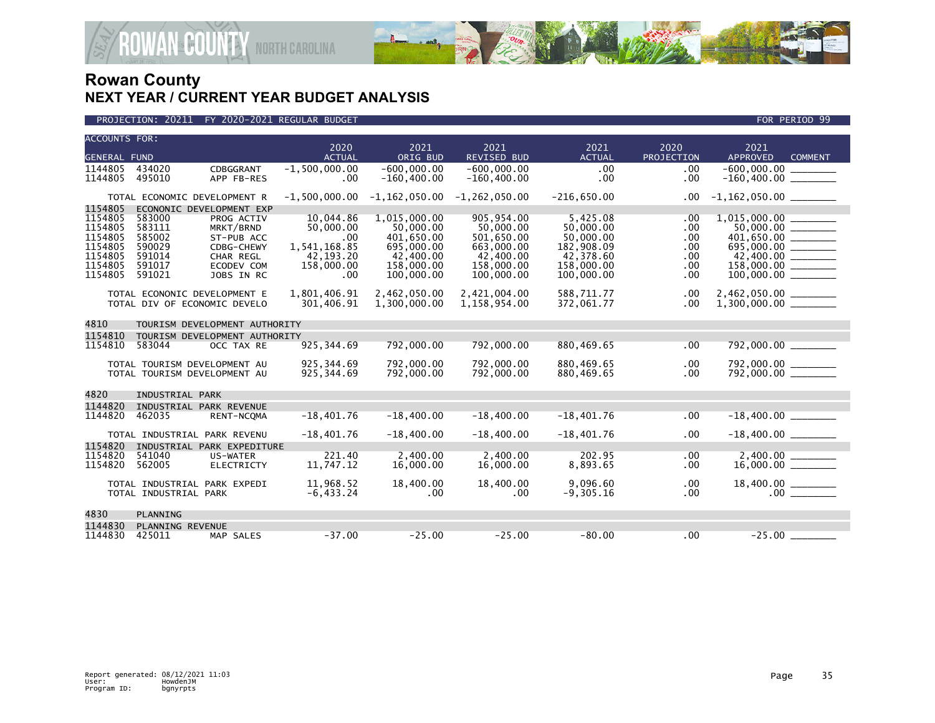

| <b>ACCOUNTS FOR:</b> |                               |                               | 2020             | 2021                    | 2021                    | 2021                   | 2020       | 2021                                           |  |
|----------------------|-------------------------------|-------------------------------|------------------|-------------------------|-------------------------|------------------------|------------|------------------------------------------------|--|
| <b>GENERAL FUND</b>  |                               |                               | <b>ACTUAL</b>    | ORIG BUD                | <b>REVISED BUD</b>      | <b>ACTUAL</b>          | PROJECTION | <b>APPROVED</b><br><b>COMMENT</b>              |  |
| 1144805              | 434020                        | CDBGGRANT                     | $-1,500,000.00$  | $-600.000.00$           | $-600.000.00$           | .00                    | .00        | $-600.000.00$                                  |  |
| 1144805              | 495010                        | APP FB-RES                    | .00              | $-160, 400.00$          | $-160, 400.00$          | .00                    | .00        |                                                |  |
|                      | TOTAL ECONOMIC DEVELOPMENT R  |                               | $-1,500,000.00$  | $-1, 162, 050.00$       | $-1, 262, 050.00$       | $-216,650.00$          | .00        | $-1,162,050.00$ ________                       |  |
| 1154805              |                               | ECONONIC DEVELOPMENT EXP      |                  |                         |                         |                        |            |                                                |  |
| 1154805              | 583000                        | PROG ACTIV                    | 10,044.86        | 1,015,000.00            | 905,954.00              | 5,425.08               | .00        |                                                |  |
| 1154805<br>1154805   | 583111<br>585002              | MRKT/BRND<br>ST-PUB ACC       | 50,000.00<br>.00 | 50,000.00<br>401.650.00 | 50,000.00<br>501,650.00 | 50,000.00<br>50,000,00 | .00<br>.00 | $401,650.00$ ________                          |  |
| 1154805              | 590029                        | CDBG-CHEWY                    | 1,541,168.85     | 695,000.00              | 663,000.00              | 182,908.09             | .00        | 695,000.00 _______                             |  |
| 1154805              | 591014                        | CHAR REGL                     | 42,193.20        | 42,400.00               | 42,400.00               | 42,378.60              | .00        |                                                |  |
| 1154805              | 591017                        | ECODEV COM                    | 158,000.00       | 158,000.00              | 158,000.00              | 158,000.00             | .00        | $158,000.00$ _______                           |  |
| 1154805              | 591021                        | JOBS IN RC                    | .00              | 100,000.00              | 100,000.00              | 100,000.00             | .00        |                                                |  |
|                      | TOTAL ECONONIC DEVELOPMENT E  |                               | 1,801,406.91     | 2,462,050.00            | 2,421,004.00            | 588.711.77             | .00        |                                                |  |
|                      | TOTAL DIV OF ECONOMIC DEVELO  |                               | 301.406.91       | 1,300,000.00            | 1,158,954.00            | 372.061.77             | .00        | 2,462,050.00 ________<br>1,300,000.00 ________ |  |
| 4810                 | TOURISM DEVELOPMENT AUTHORITY |                               |                  |                         |                         |                        |            |                                                |  |
| 1154810              |                               | TOURISM DEVELOPMENT AUTHORITY |                  |                         |                         |                        |            |                                                |  |
| 1154810              | 583044                        | OCC TAX RE                    | 925, 344.69      | 792,000.00              | 792,000.00              | 880,469.65             | .00        | 792,000.00                                     |  |
|                      | TOTAL TOURISM DEVELOPMENT AU  |                               | 925, 344.69      | 792,000.00              | 792,000.00              | 880,469.65             | .00        | 792,000.00<br>792,000.00                       |  |
|                      | TOTAL TOURISM DEVELOPMENT AU  |                               | 925, 344.69      | 792,000.00              | 792,000.00              | 880,469.65             | .00        |                                                |  |
| 4820                 | INDUSTRIAL PARK               |                               |                  |                         |                         |                        |            |                                                |  |
| 1144820              |                               | INDUSTRIAL PARK REVENUE       |                  |                         |                         |                        |            |                                                |  |
| 1144820              | 462035                        | RENT-NCQMA                    | $-18,401.76$     | $-18,400.00$            | $-18,400.00$            | $-18,401.76$           | .00        | $-18,400.00$                                   |  |
|                      | TOTAL INDUSTRIAL PARK REVENU  |                               | $-18,401.76$     | $-18,400.00$            | $-18,400.00$            | $-18,401.76$           | .00        | $-18,400.00$ _______                           |  |
| 1154820              |                               | INDUSTRIAL PARK EXPEDITURE    |                  |                         |                         |                        |            |                                                |  |
| 1154820              | 541040                        | US-WATER                      | 221.40           | 2,400.00                | 2,400.00                | 202.95                 | .00        | $2,400.00$<br>16,000.00                        |  |
| 1154820              | 562005                        | ELECTRICTY                    | 11,747.12        | 16,000.00               | 16,000.00               | 8,893.65               | .00        |                                                |  |
|                      | TOTAL INDUSTRIAL PARK EXPEDI  |                               | 11.968.52        | 18,400.00               | 18,400.00               | 9.096.60               | .00        |                                                |  |
|                      | TOTAL INDUSTRIAL PARK         |                               | $-6, 433.24$     | $.00 \,$                | .00                     | $-9,305.16$            | .00        |                                                |  |
| 4830                 | PLANNING                      |                               |                  |                         |                         |                        |            |                                                |  |
| 1144830              | PLANNING REVENUE              |                               |                  |                         |                         |                        |            |                                                |  |
| 1144830              | 425011                        | MAP SALES                     | $-37.00$         | $-25.00$                | $-25.00$                | $-80.00$               | .00        |                                                |  |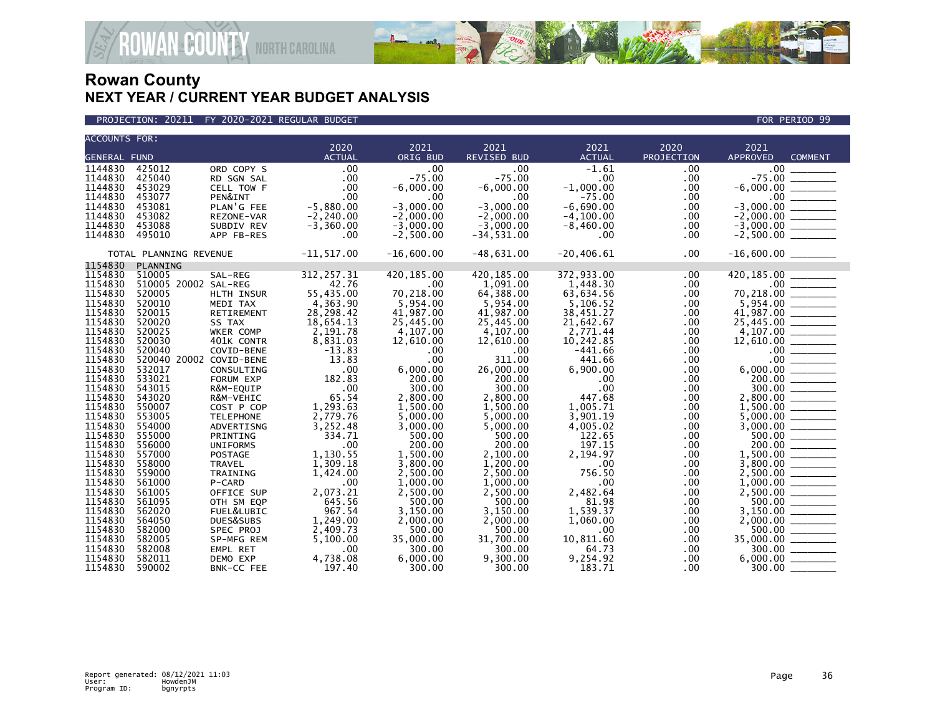



| <b>ACCOUNTS FOR:</b> |                         |                       |               |                 |                    |               |            |                                                                                                                                                                                                    |
|----------------------|-------------------------|-----------------------|---------------|-----------------|--------------------|---------------|------------|----------------------------------------------------------------------------------------------------------------------------------------------------------------------------------------------------|
|                      |                         |                       | 2020          | 2021            | 2021               | 2021          | 2020       | 2021                                                                                                                                                                                               |
| <b>GENERAL FUND</b>  |                         |                       | <b>ACTUAL</b> | <b>ORIG BUD</b> | <b>REVISED BUD</b> | <b>ACTUAL</b> | PROJECTION | <b>APPROVED</b><br><b>COMMENT</b>                                                                                                                                                                  |
| 1144830              | 425012                  | ORD COPY S            | .00           | .00             | $.00 \times$       | $-1.61$       | .00        | .00 <sub>1</sub>                                                                                                                                                                                   |
| 1144830              | 425040                  | RD SGN SAL            | .00           | $-75.00$        | $-75.00$           | .00           | $.00 \,$   | $-75.00$                                                                                                                                                                                           |
| 1144830              | 453029                  | CELL TOW F            | .00           | $-6,000.00$     | $-6,000.00$        | $-1,000.00$   | $.00 \,$   |                                                                                                                                                                                                    |
| 1144830              | 453077                  | PEN&INT               | .00           | .00             | .00                | $-75.00$      | .00        |                                                                                                                                                                                                    |
| 1144830              | 453081                  | PLAN'G FEE            | $-5,880.00$   | $-3,000.00$     | $-3,000.00$        | $-6,690.00$   | .00        |                                                                                                                                                                                                    |
| 1144830              | 453082                  | REZONE-VAR            | $-2, 240.00$  | $-2,000.00$     | $-2,000.00$        | $-4, 100.00$  | .00        |                                                                                                                                                                                                    |
| 1144830              | 453088                  | SUBDIV REV            | $-3,360.00$   | $-3,000.00$     | $-3,000.00$        | $-8,460.00$   | .00        |                                                                                                                                                                                                    |
| 1144830              | 495010                  | APP FB-RES            | .00           | $-2,500.00$     | $-34,531.00$       | $.00 \,$      | .00        | $-6,000.00$<br>$-6,000.00$<br>$-3,000.00$<br>$-2,000.00$<br>$-3,000.00$<br>$-3,000.00$<br>$-2,500.00$                                                                                              |
|                      | TOTAL PLANNING REVENUE  |                       | $-11, 517.00$ | $-16,600.00$    | $-48,631.00$       | $-20, 406.61$ | .00        | $-16,600.00$ ________                                                                                                                                                                              |
| 1154830              | PLANNING                |                       |               |                 |                    |               |            |                                                                                                                                                                                                    |
| 1154830              | 510005                  | SAL-REG               | 312,257.31    | 420, 185.00     | 420, 185.00        | 372,933.00    | $.00 \,$   | 420,185.00                                                                                                                                                                                         |
| 1154830              | 510005 20002 SAL-REG    |                       | 42.76         | $.00 \,$        | 1,091.00           | 1,448.30      | $.00 \,$   |                                                                                                                                                                                                    |
| 1154830              | 520005                  | HLTH INSUR            | 55,435.00     | 70,218.00       | 64,388.00          | 63,634.56     | $.00 \,$   |                                                                                                                                                                                                    |
| 1154830              | 520010                  | MEDI TAX              | 4,363.90      | 5,954.00        | 5,954.00           | 5,106.52      | $.00 \,$   | $70,218.00$<br>$70,218.00$<br>$5,954.00$<br>$41,987.00$<br>$25,445.00$                                                                                                                             |
| 1154830              | 520015                  | RETIREMENT            | 28,298.42     | 41,987.00       | 41,987.00          | 38,451.27     | $.00 \,$   |                                                                                                                                                                                                    |
| 1154830              | 520020                  | SS TAX                | 18,654.13     | 25,445.00       | 25,445.00          | 21,642.67     | .00        |                                                                                                                                                                                                    |
| 1154830              | 520025                  | WKER COMP             | 2,191.78      | 4,107.00        | 4,107.00           | 2,771.44      | .00        |                                                                                                                                                                                                    |
| 1154830              | 520030                  | 401K CONTR            | 8,831.03      | 12,610.00       | 12,610.00          | 10,242.85     | $.00 \,$   |                                                                                                                                                                                                    |
| 1154830              | 520040                  | COVID-BENE            | $-13.83$      | .00             | .00                | $-441.66$     | .00.       |                                                                                                                                                                                                    |
| 1154830              | 520040 20002 COVID-BENE |                       | 13.83         | .00             | 311.00             | 441.66        | .00        | $\begin{array}{r} 23,445.00 \ \hline 4,107.00 \ \hline 12,610.00 \ \hline 0.00 \ \hline 0.00 \ \hline 0.00 \ \hline 0.00 \ \hline 300.00 \ \hline 2,800.00 \ \hline 1,500.00 \ \hline \end{array}$ |
| 1154830              | 532017                  | CONSULTING            | .00           | 6,000.00        | 26,000.00          | 6,900.00      | $.00 \,$   |                                                                                                                                                                                                    |
| 1154830              | 533021                  | FORUM EXP             | 182.83        | 200.00          | 200.00             | .00           | $.00 \,$   |                                                                                                                                                                                                    |
| 1154830              | 543015                  | R&M-EQUIP             | .00           | 300.00          | 300.00             | .00           | $.00 \,$   |                                                                                                                                                                                                    |
| 1154830              | 543020                  | R&M-VEHIC             | 65.54         | 2,800.00        | 2,800.00           | 447.68        | .00.       |                                                                                                                                                                                                    |
| 1154830              | 550007                  | COST P COP            | 1,293.63      | 1,500.00        | 1,500.00           | 1,005.71      | $.00 \,$   |                                                                                                                                                                                                    |
| 1154830              | 553005                  | <b>TELEPHONE</b>      | 2,779.76      | 5,000.00        | 5,000.00           | 3,901.19      | $.00 \,$   |                                                                                                                                                                                                    |
| 1154830              | 554000                  | ADVERTISNG            | 3,252.48      | 3,000.00        | 5,000.00           | 4,005.02      | $.00 \,$   |                                                                                                                                                                                                    |
| 1154830              | 555000                  | PRINTING              | 334.71        | 500.00          | 500.00             | 122.65        | .00        |                                                                                                                                                                                                    |
| 1154830              | 556000                  | <b>UNIFORMS</b>       | .00           | 200.00          | 200.00             | 197.15        | .00        |                                                                                                                                                                                                    |
| 1154830              | 557000                  | POSTAGE               | 1,130.55      | 1,500.00        | 2,100.00           | 2,194.97      | $.00 \,$   | $200.00$<br>1,500.00                                                                                                                                                                               |
| 1154830              | 558000                  | TRAVEL                | 1,309.18      | 3,800.00        | 1,200.00           | $.00 \,$      | $.00 \,$   |                                                                                                                                                                                                    |
| 1154830              | 559000                  | TRAINING              | 1,424.00      | 2,500.00        | 2,500.00           | 756.50        | $.00 \,$   |                                                                                                                                                                                                    |
| 1154830              | 561000                  | P-CARD                | .00           | 1,000.00        | 1,000.00           | $.00 \,$      | $.00 \,$   |                                                                                                                                                                                                    |
| 1154830              | 561005                  | OFFICE SUP            | 2,073.21      | 2,500.00        | 2,500.00           | 2,482.64      | .00        |                                                                                                                                                                                                    |
| 1154830              | 561095                  | OTH SM EQP            | 645.56        | 500.00          | 500.00             | 81.98         | .00        |                                                                                                                                                                                                    |
| 1154830              | 562020                  | <b>FUEL&amp;LUBIC</b> | 967.54        | 3,150.00        | 3.150.00           | 1.539.37      | .00        |                                                                                                                                                                                                    |
| 1154830              | 564050                  | DUES&SUBS             | 1,249.00      | 2,000.00        | 2,000.00           | 1,060.00      | .00.       |                                                                                                                                                                                                    |
| 1154830              | 582000                  | SPEC PROJ             | 2,409.73      | 500.00          | 500.00             | $.00 \,$      | .00.       |                                                                                                                                                                                                    |
| 1154830              | 582005                  | SP-MFG REM            | 5,100.00      | 35,000.00       | 31,700.00          | 10,811.60     | $.00 \,$   |                                                                                                                                                                                                    |
| 1154830              | 582008                  | EMPL RET              | .00           | 300.00          | 300.00             | 64.73         | .00.       | $\begin{array}{r} 2,500.00 \ \hline 2,500.00 \ \hline 500.00 \ \hline 3,150.00 \ \hline 2,000.00 \ \hline 5500.00 \ \hline 5500.00 \ \hline 35,000.00 \ \hline 300.00 \ \hline \end{array}$        |
| 1154830              | 582011                  | DEMO EXP              | 4,738.08      | 6,000.00        | 9,300.00           | 9,254.92      | $.00 \,$   |                                                                                                                                                                                                    |
| 1154830              | 590002                  | BNK-CC FEE            | 197.40        | 300.00          | 300.00             | 183.71        | .00.       | $300.00$ _                                                                                                                                                                                         |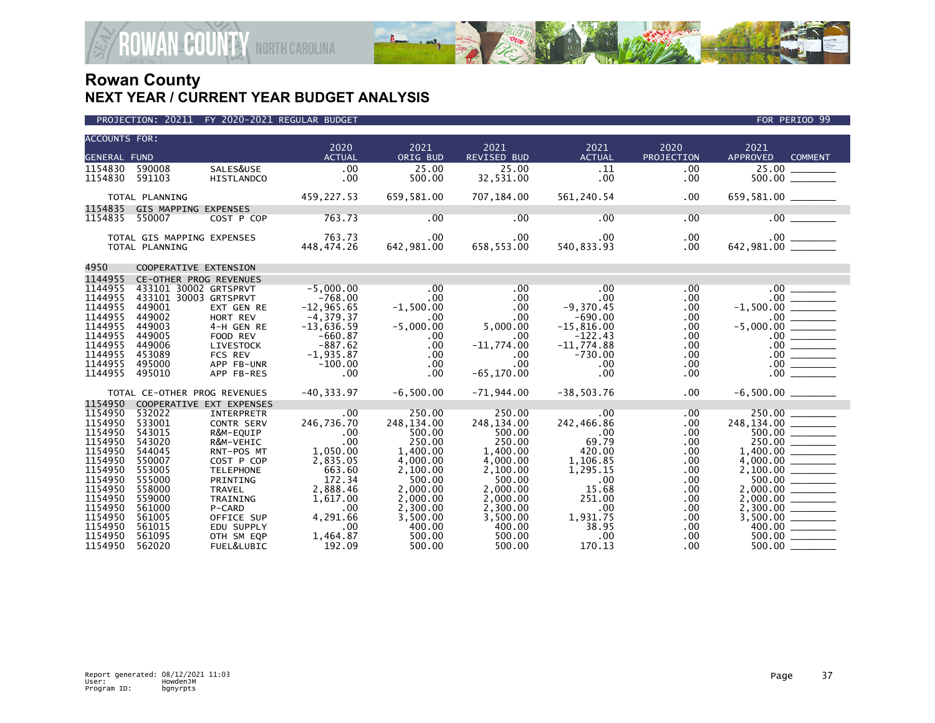

| PROJECTION: 20211 FY 2020-2021 REGULAR BUDGET | FOR PERIOD 99 |
|-----------------------------------------------|---------------|

| <b>ACCOUNTS FOR:</b><br><b>GENERAL FUND</b> |                              |                         | 2020<br><b>ACTUAL</b>  | 2021<br>ORIG BUD            | 2021<br>REVISED BUD                                                                                             | 2021<br><b>ACTUAL</b>        | 2020<br>PROJECTION | 2021<br>APPROVED<br><b>COMMENT</b>              |
|---------------------------------------------|------------------------------|-------------------------|------------------------|-----------------------------|-----------------------------------------------------------------------------------------------------------------|------------------------------|--------------------|-------------------------------------------------|
| 1154830                                     | 590008                       | SALES&USE               | .00                    | 25.00                       | 25.00                                                                                                           | .11                          | $.00 \,$           |                                                 |
| 1154830 591103                              |                              | HISTLANDCO              | .00                    | 500.00                      | 32,531.00                                                                                                       | $.00 \,$                     | .00                |                                                 |
|                                             |                              |                         |                        |                             |                                                                                                                 |                              |                    |                                                 |
|                                             | TOTAL PLANNING               |                         | 459,227.53 659,581.00  |                             |                                                                                                                 | 707, 184.00 561, 240.54      | $.00 \times$       | 659,581.00 _______                              |
|                                             | 1154835 GIS MAPPING EXPENSES |                         |                        |                             |                                                                                                                 |                              |                    |                                                 |
| 1154835 550007                              |                              | COST P COP              | 763.73                 | .00                         | .00                                                                                                             | .00                          | $.00 \,$           | .00                                             |
|                                             | TOTAL GIS MAPPING EXPENSES   |                         |                        |                             | $.00 \,$                                                                                                        | .00                          | $.00 \,$           |                                                 |
|                                             | TOTAL PLANNING               |                         | 763.73<br>448,474.26   | .00<br>642,981.00<br>642.98 | 658,553.00                                                                                                      | 540,833.93                   | $.00 \,$           |                                                 |
|                                             |                              |                         |                        |                             |                                                                                                                 |                              |                    |                                                 |
| 4950                                        | COOPERATIVE EXTENSION        |                         |                        |                             |                                                                                                                 |                              |                    |                                                 |
| 1144955                                     | CE-OTHER PROG REVENUES       |                         |                        |                             |                                                                                                                 |                              |                    |                                                 |
| 1144955                                     | 433101 30002 GRTSPRVT        |                         | $-5,000.00$            | .00                         | .00                                                                                                             | .00                          | .00                |                                                 |
| 1144955                                     | 433101 30003 GRTSPRVT        |                         | $-768.00$              | .00                         | $.00 \,$                                                                                                        | .00                          | .00.               | $-1,500.00$ $\overline{\hspace{1.5cm}1.500.00}$ |
| 1144955                                     | 449001                       | EXT GEN RE              | $-12,965.65$           | $-1,500.00$                 | $.00 \,$                                                                                                        | $-9,370.45$                  | $.00 \,$           |                                                 |
| 1144955                                     | 449002                       | HORT REV                | $-4, 379.37$           | $.00 \cdot$                 | $.00 \cdot$                                                                                                     | $-690.00$                    | .00                |                                                 |
| 1144955<br>1144955                          | 449003<br>449005             | 4-H GEN RE              | $-13,636.59$           | $-5,000.00$<br>$.00 \cdot$  | $\label{eq:2} \frac{1}{2} \int_{0}^{2\pi} \frac{1}{2} \, \mathrm{d} \phi \, \mathrm{d} \phi$<br>5,000.00<br>.00 | $-15,816.00$<br>$-122.43$    | $.00 \,$           |                                                 |
| 1144955                                     | 449006                       | FOOD REV<br>LIVESTOCK   | $-660.87$<br>$-887.62$ | $.00 \,$                    | $-11,774.00$                                                                                                    | $-11,774.88$                 | $.00 \,$<br>.00    |                                                 |
| 1144955                                     | 453089                       | <b>FCS REV</b>          | $-1,935.87$            | .00                         | $.00 \,$                                                                                                        | $-730.00$                    | $.00 \,$           |                                                 |
| 1144955                                     | 495000                       | APP FB-UNR              | $-100.00$              | $.00 \,$                    | $.00 \,$                                                                                                        | $.00 \,$                     | $.00 \,$           |                                                 |
| 1144955                                     | 495010                       | APP FB-RES              | $\sim$ .00             | $.00 \,$                    | $-65, 170.00$                                                                                                   | .00                          | .00                |                                                 |
|                                             |                              |                         |                        |                             |                                                                                                                 |                              |                    |                                                 |
|                                             | TOTAL CE-OTHER PROG REVENUES |                         |                        | $-40,333.97$ $-6,500.00$    |                                                                                                                 | $-71,944.00$ $-38,503.76$    | $.00 \,$           |                                                 |
| 1154950                                     | COOPERATIVE EXT EXPENSES     |                         |                        |                             |                                                                                                                 |                              |                    |                                                 |
| 1154950                                     | 532022                       | INTERPRETR              | .00                    | 250.00                      | 250.00                                                                                                          | $\sim$ 00 $\,$               | .00                |                                                 |
| 1154950                                     | 533001                       | CONTR SERV              | 246,736.70             | 248,134.00                  | 248,134.00                                                                                                      | 242,466.86                   | $.00 \,$           | $248,134.00$<br>500.00                          |
| 1154950                                     | 543015                       | R&M-EQUIP               | $\frac{00}{00}$        | 500.00                      | 500.00                                                                                                          | 60.00                        | .00                |                                                 |
| 1154950<br>1154950                          | 543020<br>544045             | R&M-VEHIC<br>RNT-POS MT | 1,050.00               | 250.00<br>1,400.00          | 250.00<br>1,400.00                                                                                              | 69.79<br>420.00              | .00<br>.00         |                                                 |
| 1154950                                     | 550007                       | COST P COP              | 2,835.05               | 4,000.00                    | 4,000.00                                                                                                        | 1,106.85                     | $.00 \,$           |                                                 |
| 1154950                                     | 553005                       | <b>TELEPHONE</b>        | 663.60                 | 2,100.00                    | 2,100.00                                                                                                        | 1,295.15                     | $.00 \,$           | $\frac{4,000.00}{2,100.00}$                     |
| 1154950                                     | 555000                       | PRINTING                | 172.34                 | 500.00                      | 500.00                                                                                                          | .00                          | .00                | $\frac{500.00}{\frac{1}{200}}$                  |
| 1154950                                     | 558000                       | TRAVEL                  | 2,888.46               | 2,000.00                    | 2,000.00                                                                                                        | 15.68                        | $.00 \,$           | 2,000.00 ________                               |
| 1154950                                     | 559000                       | TRAINING                | 1,617.00               | 2,000.00                    | 2,000.00                                                                                                        | 251.00                       | .00.               |                                                 |
| 1154950                                     | 561000                       | P-CARD                  | .00                    | 2,300.00                    | 2,300.00                                                                                                        | $.00 \,$                     | .00                |                                                 |
| 1154950                                     | 561005                       | OFFICE SUP              | 4,291.66               | 3,500.00                    | 3,500.00                                                                                                        | 1,931.75                     | .00                |                                                 |
| 1154950                                     | 561015                       | EDU SUPPLY              | .00                    | 400.00                      | 400.00                                                                                                          | 38.95                        | .00                |                                                 |
| 1154950                                     | 561095                       | OTH SM EQP              | 1,464.87               | 500.00                      | 500.00                                                                                                          | $\overline{\phantom{0}}$ .00 | .00.               |                                                 |
| 1154950                                     | 562020                       | FUEL&LUBIC              | 192.09                 | 500.00                      | 500.00                                                                                                          | 170.13                       | .00.               | 500.00                                          |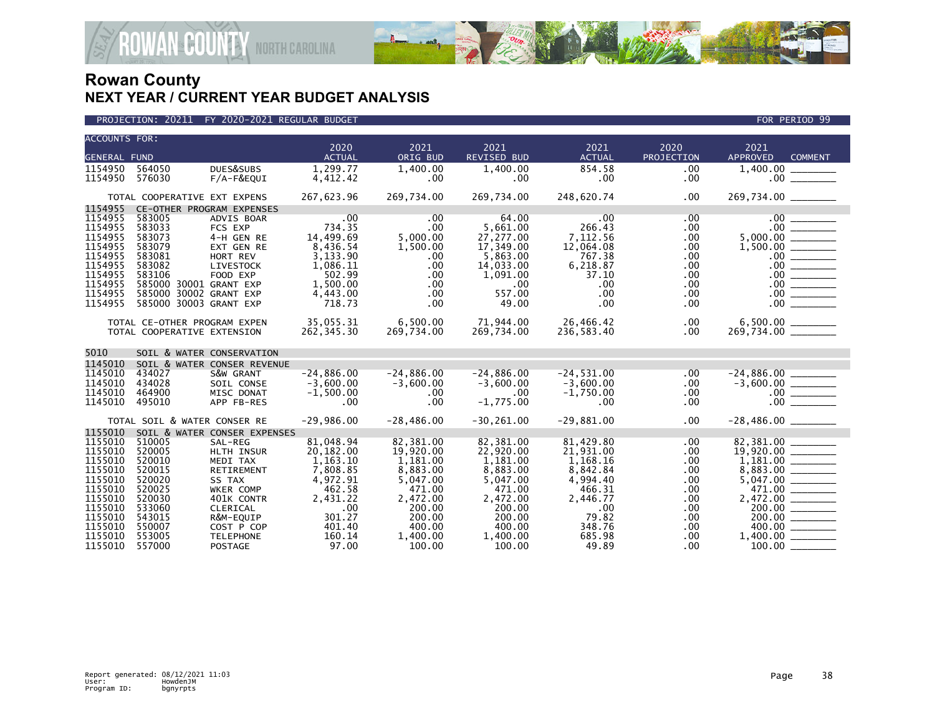

| <b>ACCOUNTS FOR:</b> |                              |                              |                       |                  |                            |                       |                    |                                           |
|----------------------|------------------------------|------------------------------|-----------------------|------------------|----------------------------|-----------------------|--------------------|-------------------------------------------|
| <b>GENERAL FUND</b>  |                              |                              | 2020<br><b>ACTUAL</b> | 2021<br>ORIG BUD | 2021<br><b>REVISED BUD</b> | 2021<br><b>ACTUAL</b> | 2020<br>PROJECTION | 2021<br><b>APPROVED</b><br><b>COMMENT</b> |
| 1154950              | 564050                       | DUES&SUBS                    | 1,299.77              | 1,400.00         | 1,400.00                   | 854.58                | .00                | 1,400.00                                  |
| 1154950              | 576030                       | F/A-F&EQUI                   | 4,412.42              | $.00 \,$         | $.00 \,$                   | .00                   | .00                |                                           |
|                      |                              |                              |                       |                  |                            |                       |                    |                                           |
|                      | TOTAL COOPERATIVE EXT EXPENS |                              | 267,623.96            | 269,734.00       | 269,734.00                 | 248,620.74            | .00                | 269,734.00 ________                       |
| 1154955              |                              | CE-OTHER PROGRAM EXPENSES    |                       |                  |                            |                       |                    |                                           |
| 1154955              | 583005                       | ADVIS BOAR                   | .00.                  | $.00 \,$         | 64.00                      | .00                   | $.00 \,$           | $.00$ $\qquad \qquad$                     |
| 1154955              | 583033                       | FCS EXP                      | 734.35                | $.00 \,$         | 5,661.00                   | 266.43                | $.00 \,$           | 00                                        |
| 1154955              | 583073                       | 4-H GEN RE                   | 14,499.69             | 5,000.00         | 27,277.00                  | 7,112.56              | .00                |                                           |
| 1154955<br>1154955   | 583079<br>583081             | EXT GEN RE<br>HORT REV       | 8,436.54<br>3,133.90  | 1,500.00<br>.00  | 17,349.00<br>5,863.00      | 12,064.08<br>767.38   | .00<br>.00         |                                           |
| 1154955              | 583082                       | LIVESTOCK                    | 1,086.11              | $.00 \,$         | 14,033.00                  | 6,218.87              | .00                |                                           |
| 1154955              | 583106                       | FOOD EXP                     | 502.99                | .00              | 1,091.00                   | 37.10                 | .00                |                                           |
| 1154955              | 585000 30001 GRANT EXP       |                              | 1,500.00              | $.00 \,$         | $.00 \ \,$                 | $.00 \,$              | .00                |                                           |
| 1154955              | 585000 30002 GRANT EXP       |                              | 4,443.00              | $.00 \,$         | 557.00                     | .00                   | .00.               |                                           |
| 1154955              | 585000 30003 GRANT EXP       |                              | 718.73                | $.00 \,$         | 49.00                      | .00                   | .00                | 00                                        |
|                      |                              |                              |                       |                  |                            |                       |                    |                                           |
|                      | TOTAL CE-OTHER PROGRAM EXPEN |                              | 35,055.31             | 6,500.00         | 71,944.00                  | 26,466.42             | $.00 \,$           | 6,500.00 _______                          |
|                      | TOTAL COOPERATIVE EXTENSION  |                              | 262,345.30            | 269,734.00       | 269,734.00                 | 236,583.40            | $.00 \,$           | 269,734.00 _______                        |
| 5010                 |                              | SOIL & WATER CONSERVATION    |                       |                  |                            |                       |                    |                                           |
| 1145010              |                              | SOIL & WATER CONSER REVENUE  |                       |                  |                            |                       |                    |                                           |
| 1145010              | 434027                       | S&W GRANT                    | $-24.886.00$          | $-24,886.00$     | $-24.886.00$               | $-24,531.00$          | $.00 \,$           |                                           |
| 1145010              | 434028                       | SOIL CONSE                   | $-3.600.00$           | $-3,600.00$      | $-3.600.00$                | $-3.600.00$           | $.00 \,$           | $-24,886.00$<br>$-3,600.00$               |
| 1145010              | 464900                       | MISC DONAT                   | $-1.500.00$           | $.00 \,$         | $.00 \,$                   | $-1,750.00$           | .00.               |                                           |
| 1145010              | 495010                       | APP FB-RES                   | $.00 \,$              | $.00 \,$         | $-1,775.00$                | .00.                  | $.00 \,$           |                                           |
|                      | TOTAL SOIL & WATER CONSER RE |                              | $-29,986.00$          | $-28,486.00$     | $-30, 261.00$              | $-29,881.00$          | .00.               |                                           |
| 1155010              |                              | SOIL & WATER CONSER EXPENSES |                       |                  |                            |                       |                    |                                           |
| 1155010              | 510005                       | SAL-REG                      | 81,048.94             | 82,381.00        | 82,381.00                  | 81,429.80             | .00.               | 82,381.00                                 |
| 1155010              | 520005                       | HLTH INSUR                   | 20,182.00             | 19,920.00        | 22,920.00                  | 21,931.00             | .00                |                                           |
| 1155010              | 520010                       | MEDI TAX                     | 1,163.10              | 1,181.00         | 1,181.00                   | 1,168.16              | .00                |                                           |
| 1155010              | 520015                       | RETIREMENT                   | 7,808.85              | 8,883.00         | 8,883.00                   | 8,842.84              | .00                |                                           |
| 1155010              | 520020                       | SS TAX                       | 4,972.91              | 5,047.00         | 5,047.00                   | 4,994.40              | .00                |                                           |
| 1155010              | 520025                       | WKER COMP                    | 462.58                | 471.00           | 471.00                     | 466.31                | .00                | 471.00                                    |
| 1155010<br>1155010   | 520030<br>533060             | 401K CONTR                   | 2,431.22              | 2,472.00         | 2,472.00                   | 2,446.77              | $.00 \,$           |                                           |
| 1155010              | 543015                       | CLERICAL<br>R&M-EQUIP        | .00<br>301.27         | 200.00<br>200.00 | 200.00<br>200.00           | .00<br>79.82          | .00<br>.00.        | 200.00<br>200.00                          |
| 1155010              | 550007                       | COST P COP                   | 401.40                | 400.00           | 400.00                     | 348.76                | .00.               | 400.00                                    |
| 1155010              | 553005                       | <b>TELEPHONE</b>             | 160.14                | 1,400.00         | 1,400.00                   | 685.98                | .00                |                                           |
| 1155010              | 557000                       | <b>POSTAGE</b>               | 97.00                 | 100.00           | 100.00                     | 49.89                 | $.00 \,$           | 100.00                                    |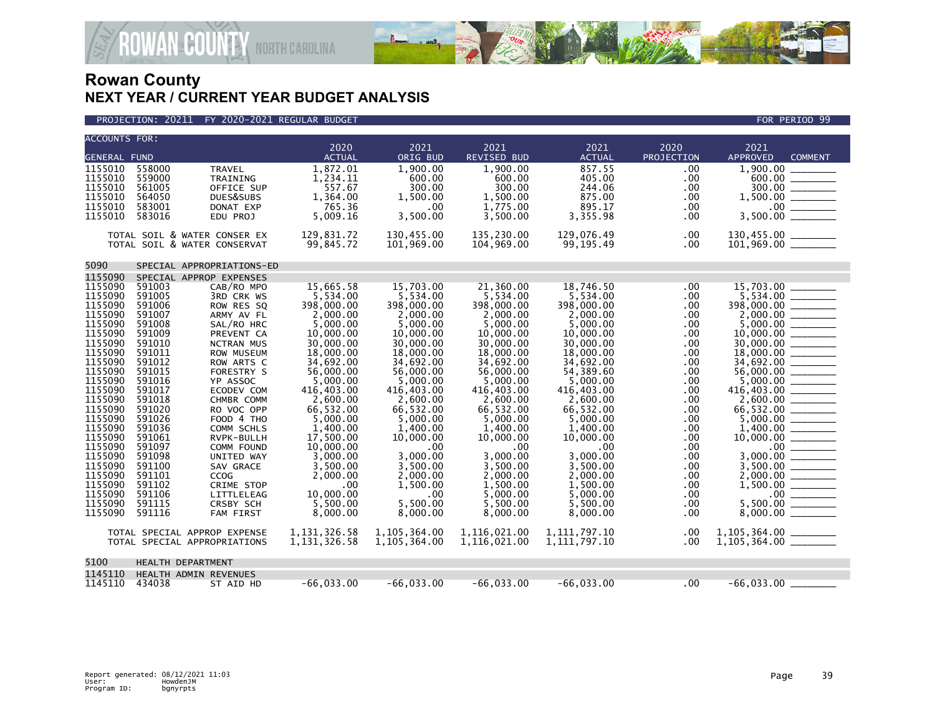

#### PROJECTION: 20211 FY 2020-2021 REGULAR BUDGET FOR PERIOD 99

| <b>ACCOUNTS FOR:</b> |        |                              |                |              |              |                 |            |                                      |
|----------------------|--------|------------------------------|----------------|--------------|--------------|-----------------|------------|--------------------------------------|
|                      |        |                              | 2020           | 2021         | 2021         | 2021            | 2020       | 2021                                 |
| <b>GENERAL FUND</b>  |        |                              | <b>ACTUAL</b>  | ORIG BUD     | REVISED BUD  | <b>ACTUAL</b>   | PROJECTION | APPROVED<br><b>COMMENT</b>           |
| 1155010              | 558000 | <b>TRAVEL</b>                | 1,872.01       | 1,900.00     | 1,900.00     | 857.55          | .00        | 1,900.00                             |
| 1155010              | 559000 | TRAINING                     | 1,234.11       | 600.00       | 600.00       | 405.00          | .00        | 600.00                               |
| 1155010              | 561005 | OFFICE SUP                   | 557.67         | 300.00       | 300.00       | 244.06          | .00        |                                      |
| 1155010              | 564050 | DUES&SUBS                    | 1,364.00       | 1.500.00     | 1,500.00     | 875.00          | .00        |                                      |
| 1155010              | 583001 | DONAT EXP                    | 765.36         | .00          | 1,775.00     | 895.17          | .00        |                                      |
| 1155010              | 583016 | EDU PROJ                     | 5,009.16       | 3,500.00     | 3,500.00     | 3,355.98        | .00        | 3,500.00                             |
|                      |        | TOTAL SOIL & WATER CONSER EX | 129,831.72     | 130,455.00   | 135,230.00   | 129,076.49      | .00        | 130,455.00 _________                 |
|                      |        | TOTAL SOIL & WATER CONSERVAT | 99,845.72      | 101,969.00   | 104,969.00   | 99,195.49       | .00        | $101,969.00$ _______                 |
|                      |        |                              |                |              |              |                 |            |                                      |
| 5090                 |        | SPECIAL APPROPRIATIONS-ED    |                |              |              |                 |            |                                      |
| 1155090              |        | SPECIAL APPROP EXPENSES      |                |              |              |                 |            |                                      |
| 1155090              | 591003 | CAB/RO MPO                   | 15,665.58      | 15,703.00    | 21,360.00    | 18,746.50       | .00        | 15,703.00                            |
| 1155090              | 591005 | 3RD CRK WS                   | 5,534.00       | 5,534.00     | 5,534.00     | 5,534.00        | .00        |                                      |
| 1155090              | 591006 | ROW RES SQ                   | 398,000.00     | 398,000,00   | 398,000,00   | 398,000,00      | .00        | 398,000.00                           |
| 1155090              | 591007 | ARMY AV FL                   | 2,000.00       | 2,000.00     | 2,000.00     | 2,000.00        | .00        |                                      |
| 1155090              | 591008 | SAL/RO HRC                   | 5,000.00       | 5,000.00     | 5,000.00     | 5,000.00        | .00        | 5,000.00                             |
| 1155090              | 591009 | PREVENT CA                   | 10,000.00      | 10,000.00    | 10,000.00    | 10,000.00       | .00        | 10,000.00                            |
| 1155090              | 591010 | <b>NCTRAN MUS</b>            | 30,000.00      | 30,000.00    | 30,000.00    | 30,000.00       | .00        | 30,000.00                            |
| 1155090              | 591011 | ROW MUSEUM                   | 18,000.00      | 18,000.00    | 18,000.00    | 18,000.00       | .00        |                                      |
| 1155090              | 591012 | ROW ARTS C                   | 34,692.00      | 34,692.00    | 34,692.00    | 34,692.00       | .00        |                                      |
| 1155090              | 591015 | <b>FORESTRY S</b>            | 56,000.00      | 56,000,00    | 56,000,00    | 54,389.60       | .00        |                                      |
| 1155090              | 591016 | YP ASSOC                     | 5,000.00       | 5,000.00     | 5,000.00     | 5,000.00        | .00        |                                      |
| 1155090              | 591017 | ECODEV COM                   | 416,403.00     | 416,403.00   | 416,403.00   | 416,403.00      | .00        | 416,403.00                           |
| 1155090              | 591018 | CHMBR COMM                   | 2,600.00       | 2,600.00     | 2,600.00     | 2,600.00        | .00        |                                      |
| 1155090              | 591020 | RO VOC OPP                   | 66,532.00      | 66,532.00    | 66,532.00    | 66,532.00       | .00        | 66,532.00 _______                    |
| 1155090              | 591026 | FOOD 4 THO                   | 5,000.00       | 5,000.00     | 5,000.00     | 5,000.00        | .00        | 5,000.00                             |
| 1155090              | 591036 | COMM SCHLS                   | 1,400.00       | 1,400.00     | 1,400.00     | 1,400.00        | .00        |                                      |
| 1155090              | 591061 | RVPK-BULLH                   | 17,500.00      | 10,000.00    | 10,000.00    | 10,000.00       | .00        |                                      |
| 1155090              | 591097 | COMM FOUND                   | 10,000,00      | .00          | .00          | .00             | .00        |                                      |
| 1155090              | 591098 | UNITED WAY                   | 3,000.00       | 3.000.00     | 3,000.00     | 3,000.00        | .00        | 3,000.00                             |
| 1155090              | 591100 | SAV GRACE                    | 3,500.00       | 3,500.00     | 3,500.00     | 3,500.00        | .00        | 3,500.00<br>$\overline{\phantom{a}}$ |
| 1155090              | 591101 | CCOG                         | 2,000.00       | 2,000.00     | 2,000.00     | 2,000.00        | .00        | 2,000.00                             |
| 1155090              | 591102 | CRIME STOP                   | .00            | 1,500.00     | 1,500.00     | 1,500.00        | .00        |                                      |
| 1155090              | 591106 | LITTLELEAG                   | 10,000.00      | .00          | 5,000.00     | 5,000.00        | .00        |                                      |
| 1155090              | 591115 | CRSBY SCH                    | 5.500.00       | 5.500.00     | 5.500.00     | 5.500.00        | .00        | 5.500.00                             |
| 1155090              | 591116 | FAM FIRST                    | 8,000.00       | 8,000.00     | 8,000.00     | 8,000.00        | .00        | 8,000.00                             |
|                      |        | TOTAL SPECIAL APPROP EXPENSE | 1, 131, 326.58 | 1,105,364.00 | 1,116,021.00 | 1, 111, 797. 10 | .00        |                                      |
|                      |        | TOTAL SPECIAL APPROPRIATIONS | 1, 131, 326.58 | 1,105,364.00 | 1,116,021.00 | 1, 111, 797. 10 | .00        |                                      |
|                      |        |                              |                |              |              |                 |            |                                      |
| 5100                 |        | HEALTH DEPARTMENT            |                |              |              |                 |            |                                      |
| 1145110              |        | HEALTH ADMIN REVENUES        |                |              |              |                 |            |                                      |
| 1145110              | 434038 | ST AID HD                    | $-66,033.00$   | $-66,033.00$ | $-66,033.00$ | $-66,033.00$    | .00        | $-66,033.00$                         |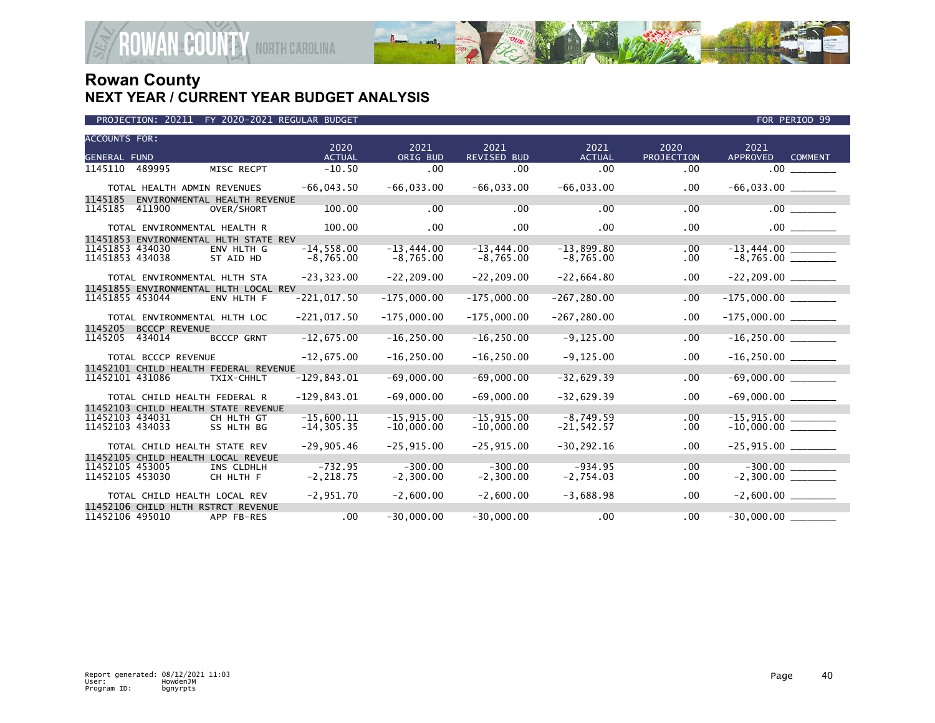

| PROJECTION: 20211                                               | FY 2020-2021 REGULAR BUDGET  |                             |                             |                             |                             |                      | FOR PERIOD 99                                 |  |
|-----------------------------------------------------------------|------------------------------|-----------------------------|-----------------------------|-----------------------------|-----------------------------|----------------------|-----------------------------------------------|--|
| <b>ACCOUNTS FOR:</b><br><b>GENERAL FUND</b>                     |                              | 2020<br><b>ACTUAL</b>       | 2021<br>ORIG BUD            | 2021<br>REVISED BUD         | 2021<br><b>ACTUAL</b>       | 2020<br>PROJECTION   | 2021<br><b>APPROVED</b><br><b>COMMENT</b>     |  |
| 1145110<br>489995                                               | MISC RECPT                   | $-10.50$                    | .00                         | .00                         | .00                         | $.00 \,$             | $.00$ $\qquad \qquad$                         |  |
| TOTAL HEALTH ADMIN REVENUES<br>1145185                          | ENVIRONMENTAL HEALTH REVENUE | $-66,043.50$                | $-66,033.00$                | $-66,033.00$                | $-66,033.00$                | .00                  |                                               |  |
| 1145185<br>411900                                               | OVER/SHORT                   | 100.00                      | .00                         | .00                         | .00                         | .00                  | $.00$ $\qquad$                                |  |
| TOTAL ENVIRONMENTAL HEALTH R                                    |                              | 100.00                      | $.00 \times$                | $.00 \times$                | .00                         | .00                  | $.00$ $\qquad \qquad$                         |  |
| 11451853 ENVIRONMENTAL HLTH STATE REV                           |                              |                             |                             |                             |                             |                      |                                               |  |
| 11451853 434030<br>11451853 434038                              | ENV HLTH G<br>ST AID HD      | $-14,558.00$<br>$-8,765.00$ | $-13,444.00$<br>$-8,765.00$ | $-13,444.00$<br>$-8,765.00$ | $-13,899.80$<br>$-8,765.00$ | $.00 \,$<br>$.00 \,$ | $-13,444.00$ _________<br>-8,765.00 _________ |  |
| TOTAL ENVIRONMENTAL HLTH STA                                    |                              | $-23, 323.00$               | $-22, 209.00$               | $-22, 209.00$               | $-22,664.80$                | $.00 \,$             |                                               |  |
| 11451855 ENVIRONMENTAL HLTH LOCAL REV                           |                              |                             |                             |                             |                             |                      |                                               |  |
| 11451855 453044                                                 | ENV HLTH F                   | $-221,017.50$               | $-175,000.00$               | $-175,000.00$               | $-267, 280.00$              | .00                  |                                               |  |
| TOTAL ENVIRONMENTAL HLTH LOC<br>1145205<br><b>BCCCP REVENUE</b> |                              | $-221,017.50$               | $-175,000.00$               | $-175,000.00$               | $-267, 280.00$              | .00.                 |                                               |  |
| 1145205                                                         |                              | $-12,675.00$                | $-16, 250.00$               | $-16, 250.00$               | $-9, 125.00$                | .00                  |                                               |  |
| 434014                                                          | <b>BCCCP GRNT</b>            |                             |                             |                             |                             |                      | $-16, 250.00$                                 |  |
| TOTAL BCCCP REVENUE                                             |                              | $-12,675.00$                | $-16, 250.00$               | $-16, 250.00$               | $-9, 125.00$                | .00                  |                                               |  |
| 11452101 CHILD HEALTH FEDERAL REVENUE                           |                              |                             |                             |                             |                             |                      |                                               |  |
| 11452101 431086                                                 | TXIX-CHHLT                   | $-129, 843.01$              | $-69,000.00$                | $-69,000.00$                | $-32,629.39$                | .00                  | $-69,000.00$                                  |  |
| TOTAL CHILD HEALTH FEDERAL R                                    |                              | $-129,843.01$               | $-69,000.00$                | $-69,000.00$                | $-32,629.39$                | .00                  | $-69,000.00$ _________                        |  |
| 11452103 CHILD HEALTH STATE REVENUE                             |                              |                             |                             |                             |                             |                      |                                               |  |
| 11452103 434031                                                 | CH HLTH GT                   | $-15,600.11$                | $-15,915.00$                | $-15,915.00$                | $-8,749.59$                 | .00                  |                                               |  |
| 11452103 434033                                                 | SS HLTH BG                   | $-14, 305.35$               | $-10,000.00$                | $-10,000.00$                | $-21, 542.57$               | .00.                 | $-10,000.00$ ________                         |  |
| TOTAL CHILD HEALTH STATE REV                                    |                              | $-29,905.46$                | $-25,915.00$                | $-25,915.00$                | $-30, 292.16$               | $.00 \,$             | $-25,915.00$ ________                         |  |
| 11452105 CHILD HEALTH LOCAL REVEUE                              |                              |                             |                             |                             |                             |                      |                                               |  |
| 11452105 453005                                                 | INS CLDHLH                   | $-732.95$                   | $-300.00$                   | $-300.00$                   | $-934.95$                   | $.00 \,$             |                                               |  |
| 11452105 453030                                                 | CH HLTH F                    | $-2, 218.75$                | $-2,300.00$                 | $-2,300.00$                 | $-2,754.03$                 | .00.                 |                                               |  |
| TOTAL CHILD HEALTH LOCAL REV                                    |                              | $-2,951.70$                 | $-2,600.00$                 | $-2,600.00$                 | $-3,688.98$                 | $.00 \,$             | $-2,600.00$ _________                         |  |
| 11452106 CHILD HLTH RSTRCT REVENUE                              |                              |                             |                             |                             |                             |                      |                                               |  |
| 11452106 495010                                                 | APP FB-RES                   | .00 <sub>1</sub>            | $-30,000.00$                | $-30,000.00$                | .00                         | .00                  | $-30,000.00$                                  |  |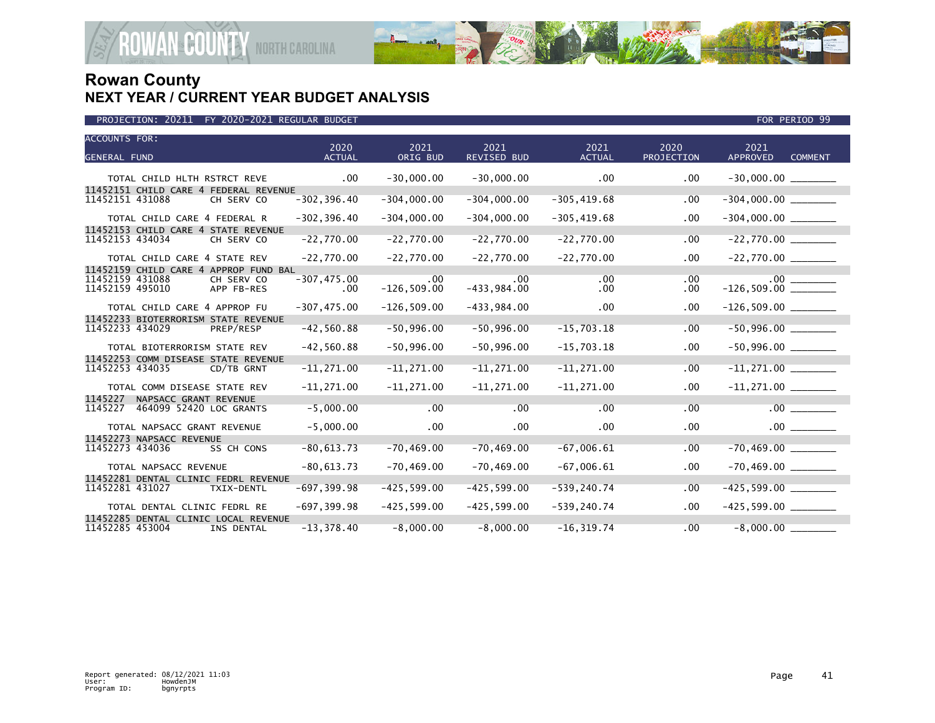

| <b>ACCOUNTS FOR:</b><br><b>GENERAL FUND</b>                                                             | 2020<br><b>ACTUAL</b>  | 2021<br>ORIG BUD      | 2021<br>REVISED BUD  | 2021<br><b>ACTUAL</b> | 2020<br>PROJECTION | 2021<br><b>APPROVED</b><br><b>COMMENT</b> |  |
|---------------------------------------------------------------------------------------------------------|------------------------|-----------------------|----------------------|-----------------------|--------------------|-------------------------------------------|--|
| TOTAL CHILD HLTH RSTRCT REVE                                                                            | $.00 \,$               | $-30,000.00$          | $-30,000.00$         | $.00 \,$              | .00                |                                           |  |
| 11452151 CHILD CARE 4 FEDERAL REVENUE<br>11452151 431088<br>CH SERV CO                                  | $-302, 396.40$         | $-304,000.00$         | $-304,000.00$        | $-305, 419.68$        | .00                | $-304,000.00$ ________                    |  |
| TOTAL CHILD CARE 4 FEDERAL R                                                                            | $-302, 396.40$         | $-304,000.00$         | $-304,000.00$        | $-305, 419.68$        | .00.               | $-304,000.00$ _________                   |  |
| 11452153 CHILD CARE 4 STATE REVENUE<br>11452153 434034<br>CH SERV CO                                    | $-22,770.00$           | $-22,770.00$          | $-22,770.00$         | $-22,770.00$          | .00                |                                           |  |
| TOTAL CHILD CARE 4 STATE REV                                                                            | $-22,770.00$           | $-22,770.00$          | $-22,770.00$         | $-22,770.00$          | .00.               |                                           |  |
| 11452159 CHILD CARE 4 APPROP FUND BAL<br>11452159 431088<br>CH SERV CO<br>11452159 495010<br>APP FB-RES | $-307, 475.00$<br>.00. | .00<br>$-126, 509.00$ | .00<br>$-433,984.00$ | .00<br>.00            | .00<br>$.00 \,$    | $.00\,$                                   |  |
| TOTAL CHILD CARE 4 APPROP FU                                                                            | $-307, 475.00$         | $-126, 509.00$        | $-433,984.00$        | .00                   | .00                |                                           |  |
| 11452233 BIOTERRORISM STATE REVENUE<br>11452233 434029<br>PREP/RESP                                     | $-42,560.88$           | $-50,996.00$          | $-50,996.00$         | $-15,703.18$          | .00.               | $-50,996.00$                              |  |
| TOTAL BIOTERRORISM STATE REV                                                                            | $-42,560.88$           | $-50,996.00$          | $-50,996.00$         | $-15,703.18$          | .00.               |                                           |  |
| 11452253 COMM DISEASE STATE REVENUE<br>11452253 434035<br>CD/TB GRNT                                    | $-11,271.00$           | $-11,271.00$          | $-11, 271.00$        | $-11,271.00$          | .00                |                                           |  |
| TOTAL COMM DISEASE STATE REV                                                                            | $-11, 271.00$          | $-11, 271.00$         | $-11, 271.00$        | $-11, 271.00$         | .00.               | $-11,271.00$ ________                     |  |
| 1145227<br>NAPSACC GRANT REVENUE<br>464099 52420 LOC GRANTS<br>1145227                                  | $-5,000.00$            | .00                   | .00                  | .00                   | .00                | .00 <sub>1</sub>                          |  |
| TOTAL NAPSACC GRANT REVENUE                                                                             | $-5,000.00$            | .00                   | .00                  | .00                   | .00                |                                           |  |
| 11452273 NAPSACC REVENUE<br>11452273 434036<br>SS CH CONS                                               | $-80,613.73$           | $-70, 469.00$         | $-70, 469.00$        | $-67,006.61$          | .00                | $-70,469.00$                              |  |
| TOTAL NAPSACC REVENUE                                                                                   | $-80,613.73$           | $-70, 469.00$         | $-70, 469.00$        | $-67,006.61$          | .00.               |                                           |  |
| 11452281 DENTAL CLINIC FEDRL REVENUE<br>11452281 431027<br>TXIX-DENTL                                   | $-697, 399.98$         | $-425, 599.00$        | $-425, 599.00$       | $-539, 240.74$        | .00                | $-425,599.00$                             |  |
| TOTAL DENTAL CLINIC FEDRL RE                                                                            | $-697, 399.98$         | $-425,599.00$         | $-425, 599.00$       | $-539, 240.74$        | .00.               | $-425,599.00$ _________                   |  |
| 11452285 DENTAL CLINIC LOCAL REVENUE<br>11452285 453004<br>INS DENTAL                                   | $-13,378.40$           | $-8.000.00$           | $-8.000.00$          | $-16.319.74$          | $.00 \,$           | $-8,000.00$                               |  |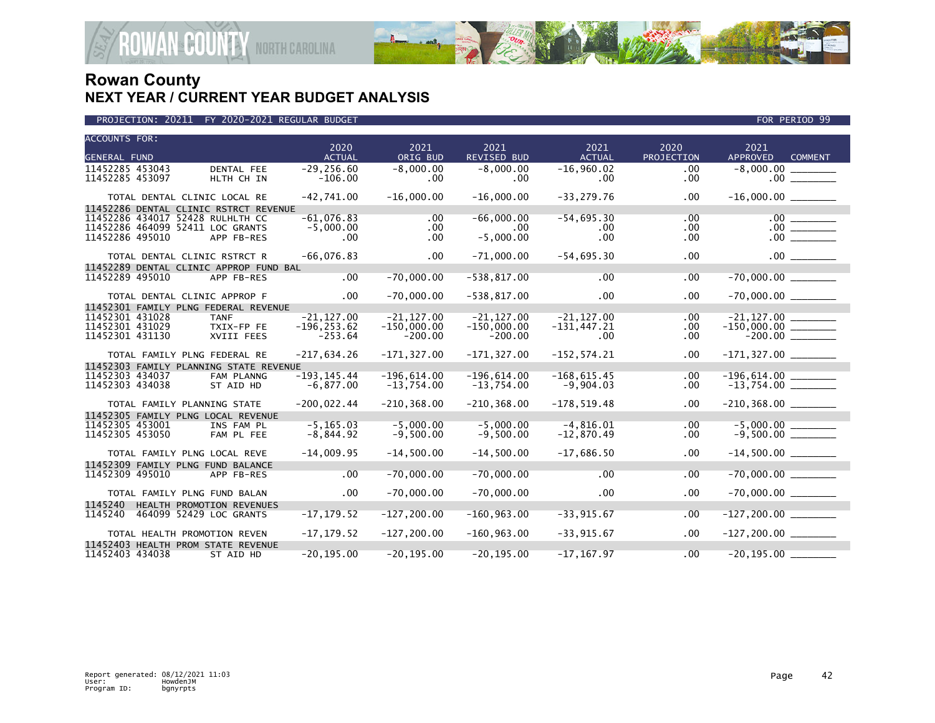

| <b>ACCOUNTS FOR:</b>                   |                           | 2020           | 2021           | 2021               | 2021           | 2020              | 2021                                          |  |
|----------------------------------------|---------------------------|----------------|----------------|--------------------|----------------|-------------------|-----------------------------------------------|--|
| <b>GENERAL FUND</b>                    |                           | <b>ACTUAL</b>  | ORIG BUD       | <b>REVISED BUD</b> | <b>ACTUAL</b>  | <b>PROJECTION</b> | <b>APPROVED</b><br><b>COMMENT</b>             |  |
| 11452285 453043                        | DENTAL FEE                | $-29, 256.60$  | $-8,000.00$    | $-8,000.00$        | $-16,960.02$   | .00               | $-8,000.00$                                   |  |
| 11452285 453097                        | HLTH CH IN                | $-106.00$      | $.00 \,$       | .00                | $.00 \,$       | .00               |                                               |  |
|                                        |                           |                |                |                    |                |                   |                                               |  |
| TOTAL DENTAL CLINIC LOCAL RE           |                           | $-42,741.00$   | $-16,000.00$   | $-16,000.00$       | $-33, 279.76$  | .00               |                                               |  |
| 11452286 DENTAL CLINIC RSTRCT REVENUE  |                           |                |                |                    |                |                   |                                               |  |
| 11452286 434017 52428 RULHLTH CC       |                           | $-61,076.83$   | $.00 \,$       | $-66,000.00$       | $-54,695.30$   | $.00 \,$          |                                               |  |
| 11452286 464099 52411 LOC GRANTS       |                           | $-5,000.00$    | $.00 \,$       | .00                | $.00 \,$       | .00.              |                                               |  |
| 11452286 495010                        | APP FB-RES                | $.00 \,$       | $.00 \,$       | $-5,000.00$        | .00            | .00               | $.00$ $\qquad$                                |  |
|                                        |                           |                |                |                    |                |                   |                                               |  |
| TOTAL DENTAL CLINIC RSTRCT R           |                           | $-66,076.83$   | $.00 \,$       | $-71,000.00$       | $-54,695.30$   | .00               |                                               |  |
| 11452289 DENTAL CLINIC APPROP FUND BAL |                           |                |                |                    |                |                   |                                               |  |
| 11452289 495010                        | APP FB-RES                | $.00 \,$       | $-70,000.00$   | $-538, 817.00$     | .00            | .00               | $-70,000.00$                                  |  |
|                                        |                           |                |                |                    |                |                   |                                               |  |
| TOTAL DENTAL CLINIC APPROP F           |                           | $.00 \times$   | $-70,000.00$   | $-538, 817.00$     | .00            | .00               |                                               |  |
| 11452301 FAMILY PLNG FEDERAL REVENUE   |                           |                |                |                    |                |                   |                                               |  |
| 11452301 431028                        | <b>TANF</b>               | $-21, 127.00$  | $-21, 127.00$  | $-21, 127.00$      | $-21, 127.00$  | .00               |                                               |  |
| 11452301 431029                        | TXIX-FP FE                | $-196, 253.62$ | $-150,000.00$  | $-150,000.00$      | $-131,447.21$  | .00.              | $-150,000.00$ ________                        |  |
| 11452301 431130                        | XVIII FEES                | $-253.64$      | $-200.00$      | $-200.00$          | .00.           | .00               |                                               |  |
|                                        |                           |                |                |                    |                |                   |                                               |  |
| TOTAL FAMILY PLNG FEDERAL RE           |                           | $-217,634.26$  | $-171, 327.00$ | $-171, 327.00$     | $-152, 574.21$ | .00.              |                                               |  |
| 11452303 FAMILY PLANNING STATE REVENUE |                           |                |                |                    |                |                   |                                               |  |
| 11452303 434037                        | FAM PLANNG                | $-193.145.44$  | $-196,614.00$  | $-196,614.00$      | $-168, 615.45$ | .00               |                                               |  |
| 11452303 434038                        | ST AID HD                 | $-6,877.00$    | $-13,754.00$   | $-13,754.00$       | $-9,904.03$    | $.00 \,$          | $-196,614.00$ ________<br>-13,754.00 ________ |  |
|                                        |                           |                |                |                    |                |                   |                                               |  |
| TOTAL FAMILY PLANNING STATE            |                           | $-200,022.44$  | $-210, 368.00$ | $-210, 368.00$     | $-178, 519.48$ | .00.              |                                               |  |
| 11452305 FAMILY PLNG LOCAL REVENUE     |                           |                |                |                    |                |                   |                                               |  |
| 11452305 453001                        | INS FAM PL                | $-5, 165.03$   | $-5,000.00$    | $-5,000.00$        | $-4,816.01$    | .00               |                                               |  |
| 11452305 453050                        | FAM PL FEE                | $-8,844.92$    | $-9,500.00$    | $-9,500.00$        | $-12,870.49$   | $.00 \,$          | $-5,000.00$<br>$-9,500.00$                    |  |
|                                        |                           |                |                |                    |                |                   |                                               |  |
| TOTAL FAMILY PLNG LOCAL REVE           |                           | $-14,009.95$   | $-14,500.00$   | $-14,500.00$       | $-17,686.50$   | $.00 \,$          | $-14,500.00$ ________                         |  |
| 11452309 FAMILY PLNG FUND BALANCE      |                           |                |                |                    |                |                   |                                               |  |
| 11452309 495010                        | APP FB-RES                | .00            | $-70,000.00$   | $-70,000.00$       | .00            | .00               | $-70,000.00$ _________                        |  |
|                                        |                           |                |                |                    |                |                   |                                               |  |
| TOTAL FAMILY PLNG FUND BALAN           |                           | $.00 \times$   | $-70,000.00$   | $-70,000.00$       | $.00 \,$       | .00               |                                               |  |
| 1145240                                |                           |                |                |                    |                |                   |                                               |  |
|                                        | HEALTH PROMOTION REVENUES |                |                |                    | $-33,915.67$   |                   |                                               |  |
| 464099 52429 LOC GRANTS<br>1145240     |                           | $-17, 179.52$  | $-127, 200.00$ | $-160, 963.00$     |                | .00               |                                               |  |
| TOTAL HEALTH PROMOTION REVEN           |                           | $-17, 179.52$  | $-127, 200.00$ | $-160, 963.00$     | $-33,915.67$   | .00               |                                               |  |
|                                        |                           |                |                |                    |                |                   |                                               |  |
| 11452403 HEALTH PROM STATE REVENUE     |                           |                |                |                    |                |                   |                                               |  |
| 11452403 434038                        | ST AID HD                 | $-20, 195.00$  | $-20, 195.00$  | $-20, 195.00$      | $-17.167.97$   | .00               | $-20, 195.00$                                 |  |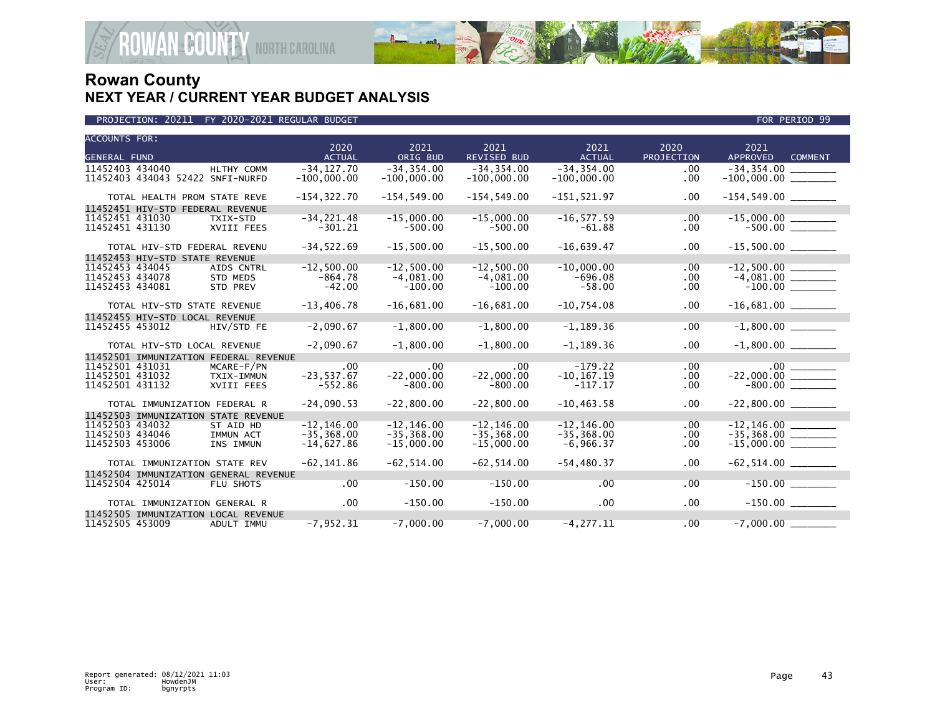

| <b>ACCOUNTS FOR:</b>                                         |                                |                                |               |                                |              |                            |  |
|--------------------------------------------------------------|--------------------------------|--------------------------------|---------------|--------------------------------|--------------|----------------------------|--|
|                                                              | 2020                           | 2021                           | 2021          | 2021                           | 2020         | 2021                       |  |
| <b>GENERAL FUND</b>                                          | <b>ACTUAL</b>                  | ORIG BUD                       | REVISED BUD   | <b>ACTUAL</b>                  | PROJECTION   | APPROVED<br><b>COMMENT</b> |  |
| 11452403 434040<br>HLTHY COMM                                | $-34, 127.70$                  | $-34, 354.00$                  | $-34, 354.00$ | $-34, 354.00$                  | .00          | $-34,354.00$ ________      |  |
| 11452403 434043 52422 SNFI-NURFD                             | $-100,000.00$                  | $-100,000.00$                  | $-100,000.00$ | $-100,000.00$                  | .00.         |                            |  |
| TOTAL HEALTH PROM STATE REVE                                 | $-154, 322.70$                 | $-154, 549.00$                 | $-154.549.00$ | $-151,521.97$                  | $.00 \times$ | $-154, 549.00$ _________   |  |
|                                                              |                                |                                |               |                                |              |                            |  |
| 11452451 HIV-STD FEDERAL REVENUE                             |                                |                                |               |                                |              |                            |  |
| 11452451 431030<br>TXIX-STD                                  | $-34, 221.48$                  | $-15.000.00$                   | $-15,000.00$  | $-16, 577.59$                  | $.00 \,$     |                            |  |
| 11452451 431130<br>XVIII FEES                                | $-301.21$                      | $-500.00$                      | $-500.00$     | $-61.88$                       | .00.         |                            |  |
| TOTAL HIV-STD FEDERAL REVENU                                 | $-34,522.69$                   | $-15,500.00$                   | $-15,500.00$  | $-16,639.47$                   | $.00 \,$     | $-15,500.00$ _________     |  |
|                                                              |                                |                                |               |                                |              |                            |  |
| 11452453 HIV-STD STATE REVENUE                               | $-12.500.00$                   | $-12.500.00$                   | $-12.500.00$  | $-10.000.00$                   |              |                            |  |
| 11452453 434045<br>AIDS CNTRL                                |                                |                                |               |                                | .00          |                            |  |
| 11452453 434078<br><b>STD MEDS</b>                           | $-864.78$                      | $-4,081.00$                    | $-4,081.00$   | $-696.08$                      | .00          | $-4,081.00$ $-100.00$      |  |
| 11452453 434081<br>STD PREV                                  | $-42.00$                       | $-100.00$                      | $-100.00$     | $-58.00$                       | $.00 \,$     |                            |  |
| TOTAL HIV-STD STATE REVENUE                                  | $-13,406.78$                   | $-16,681.00$                   | $-16,681.00$  | $-10,754.08$                   | $.00 \,$     |                            |  |
|                                                              |                                |                                |               |                                |              |                            |  |
| 11452455 HIV-STD LOCAL REVENUE                               | $-2,090.67$                    | $-1,800.00$                    | $-1,800.00$   | $-1, 189.36$                   | .00          | $-1,800.00$                |  |
| 11452455 453012<br>HIV/STD FE                                |                                |                                |               |                                |              |                            |  |
| TOTAL HIV-STD LOCAL REVENUE                                  | $-2,090.67$                    | $-1.800.00$                    | $-1,800.00$   | $-1, 189.36$                   | $.00 \,$     |                            |  |
|                                                              |                                |                                |               |                                |              |                            |  |
| 11452501 IMMUNIZATION FEDERAL REVENUE                        |                                |                                | .00           | $-179.22$                      |              |                            |  |
| 11452501 431031<br>MCARE-F/PN                                | .00                            | .00                            |               |                                | .00          |                            |  |
| 11452501 431032<br>TXIX-IMMUN                                | $-23,537.67$                   | $-22.000.00$                   | $-22.000.00$  | $-10, 167.19$                  | $.00 \,$     | $-22,000.00$<br>$-800.00$  |  |
| 11452501 431132<br>XVIII FEES                                | $-552.86$                      | $-800.00$                      | $-800.00$     | $-117.17$                      | .00          |                            |  |
| TOTAL IMMUNIZATION FEDERAL R                                 | $-24,090.53$                   | $-22,800.00$                   | $-22.800.00$  | $-10, 463.58$                  | $.00 \,$     | $-22,800.00$ _________     |  |
|                                                              |                                |                                |               |                                |              |                            |  |
| 11452503 IMMUNIZATION STATE REVENUE                          |                                |                                | $-12.146.00$  |                                |              | $-12, 146.00$              |  |
| 11452503 434032<br>ST AID HD<br>11452503 434046<br>IMMUN ACT | $-12, 146.00$<br>$-35, 368.00$ | $-12, 146.00$<br>$-35, 368.00$ | $-35.368.00$  | $-12, 146.00$<br>$-35, 368.00$ | .00          | $-35,368.00$ ________      |  |
| 11452503 453006                                              |                                |                                |               |                                | .00          |                            |  |
| INS IMMUN                                                    | $-14,627.86$                   | $-15,000.00$                   | $-15,000.00$  | $-6,966.37$                    | .00          | $-15,000.00$ ________      |  |
| TOTAL IMMUNIZATION STATE REV                                 | $-62, 141.86$                  | $-62, 514.00$                  | $-62, 514.00$ | $-54, 480.37$                  | $.00 \,$     |                            |  |
|                                                              |                                |                                |               |                                |              |                            |  |
| 11452504 IMMUNIZATION GENERAL REVENUE                        |                                | $-150.00$                      |               |                                |              |                            |  |
| 11452504 425014<br>FLU SHOTS                                 | $.00 \,$                       |                                | $-150.00$     | .00                            | $.00 \,$     |                            |  |
| TOTAL IMMUNIZATION GENERAL R                                 | $.00 \,$                       | $-150.00$                      | $-150.00$     | .00 <sub>1</sub>               | $.00 \,$     |                            |  |
|                                                              |                                |                                |               |                                |              |                            |  |
| 11452505 IMMUNIZATION LOCAL REVENUE                          |                                |                                |               |                                | .00          |                            |  |
| 11452505 453009<br>ADULT IMMU                                | $-7, 952.31$                   | $-7.000.00$                    | $-7.000.00$   | $-4.277.11$                    |              | $-7.000.00$                |  |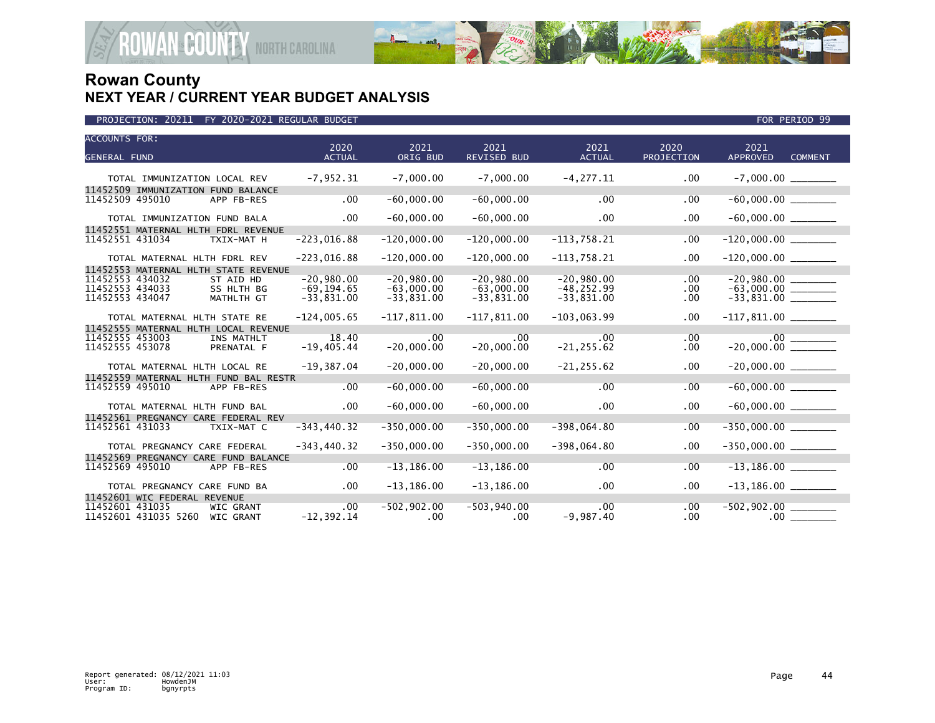

| <b>ACCOUNTS FOR:</b>                     | 2020           | 2021           | 2021               | 2021          | 2020       | 2021                              |  |
|------------------------------------------|----------------|----------------|--------------------|---------------|------------|-----------------------------------|--|
| <b>GENERAL FUND</b>                      | <b>ACTUAL</b>  | ORIG BUD       | <b>REVISED BUD</b> | <b>ACTUAL</b> | PROJECTION | <b>APPROVED</b><br><b>COMMENT</b> |  |
| TOTAL IMMUNIZATION LOCAL REV             | $-7,952.31$    | $-7,000.00$    | $-7,000.00$        | $-4, 277.11$  | $.00 \,$   |                                   |  |
| 11452509 IMMUNIZATION FUND BALANCE       |                |                |                    |               |            |                                   |  |
| 11452509 495010<br>APP FB-RES            | .00            | $-60,000.00$   | $-60,000.00$       | .00           | .00        |                                   |  |
| TOTAL IMMUNIZATION FUND BALA             | $.00 \,$       | $-60,000.00$   | $-60,000.00$       | .00.          | $.00 \,$   | $-60,000.00$ ________             |  |
| 11452551 MATERNAL HLTH FDRL REVENUE      |                |                |                    |               |            |                                   |  |
| 11452551 431034<br>TXIX-MAT H            | $-223,016.88$  | $-120,000.00$  | $-120,000.00$      | $-113,758.21$ | .00        |                                   |  |
| TOTAL MATERNAL HLTH FDRL REV             | $-223,016.88$  | $-120,000.00$  | $-120,000.00$      | $-113,758.21$ | $.00 \,$   | $-120,000.00$ _________           |  |
| 11452553 MATERNAL HLTH STATE REVENUE     |                |                |                    |               |            |                                   |  |
| 11452553 434032<br>ST AID HD             | $-20,980.00$   | $-20,980.00$   | $-20,980.00$       | $-20,980.00$  | .00        |                                   |  |
| 11452553 434033<br>SS HLTH BG            | $-69, 194.65$  | $-63,000.00$   | $-63,000.00$       | $-48, 252.99$ | $.00 \,$   |                                   |  |
| 11452553 434047<br>MATHLTH GT            | $-33,831.00$   | $-33,831.00$   | $-33,831.00$       | $-33,831.00$  | .00.       | $-63,000.00$<br>$-33,831.00$      |  |
| TOTAL MATERNAL HLTH STATE RE             | $-124,005.65$  | $-117,811.00$  | $-117,811.00$      | $-103,063.99$ | $.00 \,$   | $-117,811.00$ ________            |  |
| 11452555 MATERNAL HLTH LOCAL REVENUE     |                |                |                    |               |            |                                   |  |
| 11452555 453003<br>INS MATHLT            | 18.40          | .00            | .00                | .00           | .00        |                                   |  |
| 11452555 453078<br>PRENATAL F            | $-19,405.44$   | $-20,000.00$   | $-20,000.00$       | $-21, 255.62$ | $.00 \,$   | $-20,000.00$                      |  |
| TOTAL MATERNAL HLTH LOCAL RE             | $-19,387.04$   | $-20,000.00$   | $-20,000.00$       | $-21, 255.62$ | $.00 \,$   | $-20,000.00$ ________             |  |
| 11452559 MATERNAL HLTH FUND BAL RESTR    |                |                |                    |               |            |                                   |  |
| 11452559 495010<br>APP FB-RES            | $.00 \,$       | $-60,000.00$   | $-60,000.00$       | .00           | .00        |                                   |  |
| TOTAL MATERNAL HLTH FUND BAL             | $.00 \,$       | $-60,000.00$   | $-60,000.00$       | $.00 \times$  | .00.       |                                   |  |
| 11452561 PREGNANCY CARE FEDERAL REV      |                |                |                    |               |            |                                   |  |
| 11452561 431033<br>TXIX-MAT C            | $-343, 440.32$ | $-350,000.00$  | $-350,000.00$      | $-398,064.80$ | $.00 \,$   | $-350,000.00$ ________            |  |
| TOTAL PREGNANCY CARE FEDERAL             | $-343, 440.32$ | $-350,000.00$  | $-350,000.00$      | $-398,064.80$ | $.00 \,$   | $-350,000.00$ ________            |  |
| 11452569 PREGNANCY CARE FUND BALANCE     |                |                |                    |               |            |                                   |  |
| 11452569 495010<br>APP FB-RES            | $.00 \,$       | $-13, 186.00$  | $-13, 186.00$      | .00           | $.00 \,$   |                                   |  |
| TOTAL PREGNANCY CARE FUND BA             | $.00 \,$       | $-13, 186.00$  | $-13, 186.00$      | $.00 \times$  | $.00 \,$   | $-13,186.00$ ________             |  |
| 11452601 WIC FEDERAL REVENUE             |                |                |                    |               |            |                                   |  |
| 11452601 431035<br><b>WIC GRANT</b>      | .00            | $-502, 902.00$ | $-503,940.00$      | .00           | .00        | $-502,902.00$                     |  |
| 11452601 431035 5260<br><b>WIC GRANT</b> | $-12, 392.14$  | .00            | $.00 \,$           | $-9,987.40$   | $.00 \,$   |                                   |  |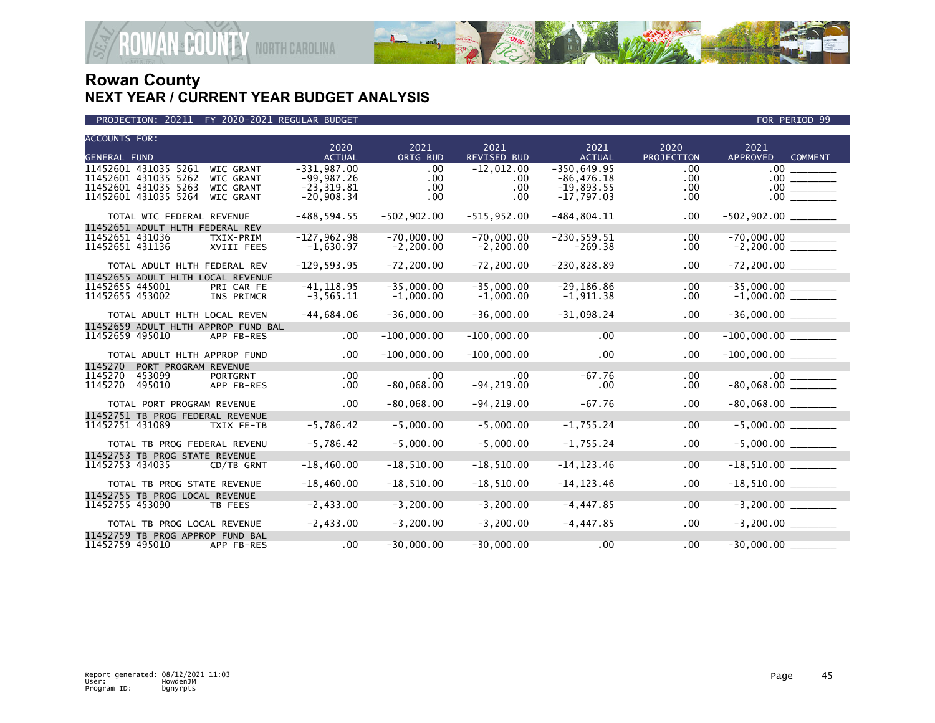

| <b>ACCOUNTS FOR:</b>                                              | 2020          | 2021           | 2021               | 2021           | 2020       | 2021                                          |
|-------------------------------------------------------------------|---------------|----------------|--------------------|----------------|------------|-----------------------------------------------|
| <b>GENERAL FUND</b>                                               | <b>ACTUAL</b> | ORIG BUD       | <b>REVISED BUD</b> | <b>ACTUAL</b>  | PROJECTION | <b>APPROVED</b><br><b>COMMENT</b>             |
| 11452601 431035 5261<br><b>WIC GRANT</b>                          | $-331.987.00$ | .00            | $-12,012.00$       | $-350.649.95$  | .00        | .00 <sub>1</sub>                              |
| 11452601 431035 5262<br>WIC GRANT                                 | $-99,987.26$  | .00.           | .00                | $-86,476.18$   | .00        | $.00 \,$<br><u>and the state of the state</u> |
| 11452601 431035 5263<br><b>WIC GRANT</b>                          | $-23, 319.81$ | .00            | .00                | $-19,893.55$   | .00        | $.00 \,$                                      |
| 11452601 431035 5264<br>WIC GRANT                                 | $-20,908.34$  | .00.           | .00                | $-17,797.03$   | .00        | $.00 \cdot$                                   |
| TOTAL WIC FEDERAL REVENUE                                         | $-488,594.55$ | $-502, 902.00$ | $-515, 952.00$     | $-484, 804.11$ | .00        |                                               |
| 11452651 ADULT HLTH FEDERAL REV                                   |               |                |                    |                |            |                                               |
| 11452651 431036<br>TXIX-PRIM                                      | $-127,962.98$ | $-70.000.00$   | $-70.000.00$       | $-230.559.51$  | .00        |                                               |
| 11452651 431136<br>XVIII FEES                                     | $-1,630.97$   | $-2, 200.00$   | $-2, 200.00$       | $-269.38$      | .00        | $-2,200.00$ _________                         |
| TOTAL ADULT HLTH FEDERAL REV                                      | $-129,593.95$ | $-72, 200.00$  | $-72, 200.00$      | $-230,828.89$  | .00        |                                               |
| 11452655 ADULT HLTH LOCAL REVENUE                                 |               |                |                    |                |            |                                               |
| 11452655 445001<br>PRI CAR FE                                     | $-41, 118.95$ | $-35,000.00$   | $-35,000.00$       | $-29, 186.86$  | .00        | $-35,000.00$ $-$                              |
| 11452655 453002<br>INS PRIMCR                                     | $-3, 565.11$  | $-1,000.00$    | $-1,000.00$        | $-1,911.38$    | .00        | -35,000.00<br>-1,000.00 _______               |
| TOTAL ADULT HLTH LOCAL REVEN                                      | $-44,684.06$  | $-36,000.00$   | $-36,000.00$       | $-31,098.24$   | .00        |                                               |
| 11452659 ADULT HLTH APPROP FUND BAL                               |               |                |                    |                |            |                                               |
| 11452659 495010<br>APP FB-RES                                     | .00           | $-100,000.00$  | $-100,000.00$      | .00            | .00        |                                               |
| TOTAL ADULT HLTH APPROP FUND                                      | .00           | $-100,000.00$  | $-100,000.00$      | .00            | .00        |                                               |
| 1145270<br>PORT PROGRAM REVENUE                                   |               |                |                    |                |            |                                               |
| 1145270<br>453099<br><b>PORTGRNT</b>                              | $.00 \,$      | $.00 \,$       | $.00 \,$           | $-67.76$       | .00        |                                               |
| 1145270<br>495010<br>APP FB-RES                                   | $.00 \,$      | $-80,068.00$   | $-94, 219.00$      | .00            | .00        |                                               |
| TOTAL PORT PROGRAM REVENUE                                        | $.00 \,$      | $-80,068.00$   | $-94, 219.00$      | $-67.76$       | .00        |                                               |
| 11452751 TB PROG FEDERAL REVENUE                                  |               |                |                    |                |            |                                               |
| 11452751 431089<br>TXIX FE-TB                                     | $-5,786.42$   | $-5,000.00$    | $-5,000.00$        | $-1,755.24$    | .00        |                                               |
|                                                                   |               |                |                    |                |            |                                               |
| TOTAL TB PROG FEDERAL REVENU                                      | $-5,786.42$   | $-5,000.00$    | $-5,000.00$        | $-1,755.24$    | .00        | $-5,000.00$ _________                         |
| 11452753 TB PROG STATE REVENUE                                    |               |                |                    |                |            |                                               |
| 11452753 434035<br>CD/TB GRNT                                     | $-18,460.00$  | $-18,510.00$   | $-18,510.00$       | $-14, 123.46$  | .00        |                                               |
| TOTAL TB PROG STATE REVENUE                                       | $-18,460.00$  | $-18,510.00$   | $-18,510.00$       | $-14, 123.46$  | .00        | $-18,510.00$ ________                         |
| 11452755 TB PROG LOCAL REVENUE                                    |               |                |                    |                |            |                                               |
| 11452755 453090<br>TB FEES                                        | $-2,433.00$   | $-3.200.00$    | $-3.200.00$        | $-4, 447.85$   | .00        | $-3,200.00$                                   |
|                                                                   |               |                |                    |                |            |                                               |
| TOTAL TB PROG LOCAL REVENUE                                       | $-2,433.00$   | $-3, 200.00$   | $-3,200.00$        | $-4,447.85$    | .00        | $-3,200.00$                                   |
| 11452759 TB PROG APPROP FUND BAL<br>11452759 495010<br>APP FB-RES | .00           | $-30,000.00$   | $-30,000.00$       | .00            | .00        | $-30,000.00$                                  |
|                                                                   |               |                |                    |                |            |                                               |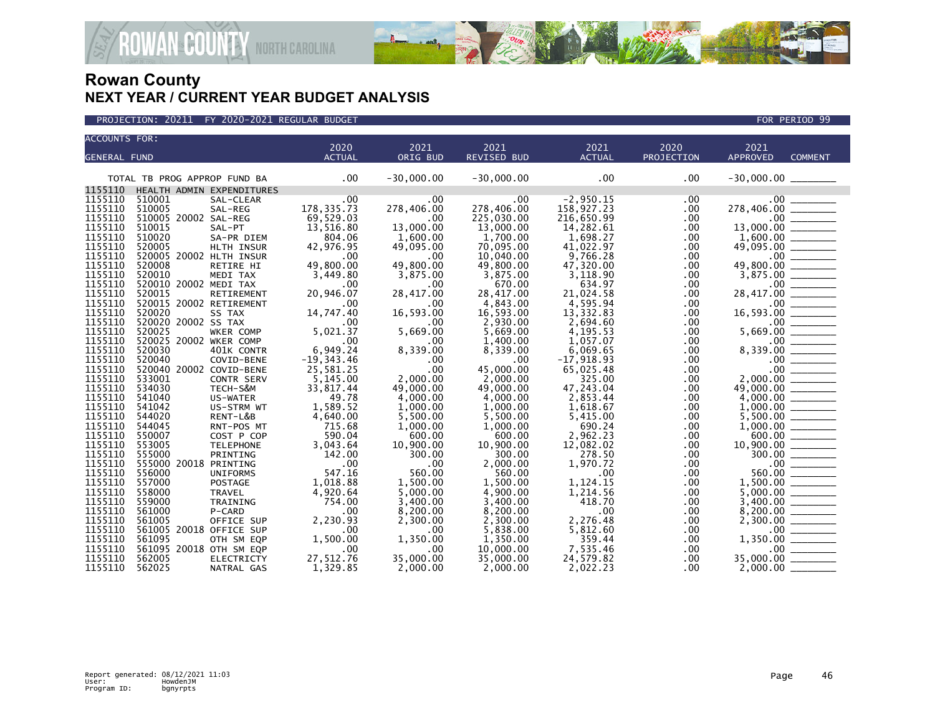

| <b>ACCOUNTS FOR:</b> |                                   |                   |                  |                  |                       |                     |            |                                                                           |                                       |
|----------------------|-----------------------------------|-------------------|------------------|------------------|-----------------------|---------------------|------------|---------------------------------------------------------------------------|---------------------------------------|
|                      |                                   |                   | 2020             | 2021             | 2021                  | 2021                | 2020       | 2021                                                                      |                                       |
| <b>GENERAL FUND</b>  |                                   |                   | <b>ACTUAL</b>    | ORIG BUD         | REVISED BUD           | <b>ACTUAL</b>       | PROJECTION | <b>APPROVED</b>                                                           | <b>COMMENT</b>                        |
|                      | TOTAL TB PROG APPROP FUND BA      |                   | .00              | $-30,000.00$     | $-30,000.00$          | .00                 | .00        |                                                                           |                                       |
| 1155110              | HEALTH ADMIN EXPENDITURES         |                   |                  |                  |                       |                     |            |                                                                           |                                       |
| 1155110              | 510001                            | SAL-CLEAR         | .00              | .00              | .00                   | $-2,950.15$         | .00        | .00                                                                       |                                       |
| 1155110              | 510005                            | SAL-REG           | 178, 335.73      | 278,406.00       | 278,406.00            | 158,927.23          | .00        | 278,406.00                                                                |                                       |
| 1155110              | 510005 20002 SAL-REG              |                   | 69,529.03        | .00              | 225,030.00            | 216,650.99          | .00        |                                                                           |                                       |
| 1155110              | 510015                            | SAL-PT            | 13,516.80        | 13,000.00        | 13,000.00             | 14,282.61           | .00        |                                                                           |                                       |
| 1155110              | 510020                            | SA-PR DIEM        | 804.06           | 1,600.00         | 1,700.00              | 1,698.27            | .00        |                                                                           |                                       |
| 1155110              | 520005                            | HLTH INSUR        | 42,976.95        | 49,095.00        | 70,095.00             | 41,022.97           | .00        | 49,095.00                                                                 |                                       |
| 1155110              | 520005 20002 HLTH INSUR           |                   | .00              | .00              | 10,040.00             | 9,766.28            | .00        |                                                                           | $\frac{00}{00}$                       |
| 1155110              | 520008                            | RETIRE HI         | 49,800.00        | 49,800.00        | 49,800.00             | 47,320.00           | .00        | 49,800.00                                                                 |                                       |
| 1155110              | 520010                            | MEDI TAX          | 3,449.80         | 3,875.00         | 3,875.00              | 3.118.90            | .00        | 3,875.00                                                                  |                                       |
| 1155110<br>1155110   | 520010 20002 MEDI TAX<br>520015   |                   | .00<br>20,946.07 | .00<br>28,417.00 | 670.00<br>28,417.00   | 634.97<br>21,024.58 | .00        | $.00 \,$<br>28,417.00                                                     |                                       |
| 1155110              |                                   | RETIREMENT        |                  |                  |                       | 4.595.94            | .00        | .00 <sub>1</sub>                                                          |                                       |
| 1155110              | 520015 20002 RETIREMENT<br>520020 | SS TAX            | .00<br>14,747.40 | .00<br>16,593.00 | 4.843.00<br>16,593.00 | 13,332.83           | .00<br>.00 | 16,593.00                                                                 |                                       |
| 1155110              | 520020 20002 SS TAX               |                   | .00              | .00              | 2,930.00              | 2,694.60            | .00        |                                                                           | $\frac{1}{2}$                         |
| 1155110              | 520025                            | WKER COMP         | 5,021.37         | 5,669.00         | 5,669.00              | 4,195.53            | .00        | 5,669.00                                                                  | $\frac{1}{00}$ $\frac{1}{\sqrt{100}}$ |
| 1155110              | 520025 20002 WKER COMP            |                   | .00              | .00              | 1,400.00              | 1,057.07            | .00        |                                                                           |                                       |
| 1155110              | 520030                            | 401K CONTR        | 6,949.24         | 8,339.00         | 8,339.00              | 6,069.65            | .00        |                                                                           |                                       |
| 1155110              | 520040                            | COVID-BENE        | $-19, 343.46$    | .00              | .00.                  | $-17,918.93$        | .00        | $8,339.00$<br>$8,339.00$<br>$0.00$<br>$0.00$<br>$2,000.00$<br>$49,000.00$ |                                       |
| 1155110              | 520040 20002 COVID-BENE           |                   | 25,581.25        | .00              | 45,000.00             | 65,025.48           | .00        |                                                                           |                                       |
| 1155110              | 533001                            | CONTR SERV        | 5,145.00         | 2,000.00         | 2,000.00              | 325.00              | .00        |                                                                           |                                       |
| 1155110              | 534030                            | TECH-S&M          | 33,817.44        | 49,000.00        | 49,000.00             | 47,243.04           | .00        | 49,000.00                                                                 |                                       |
| 1155110              | 541040                            | US-WATER          | 49.78            | 4,000.00         | 4,000.00              | 2,853.44            | .00        |                                                                           |                                       |
| 1155110              | 541042                            | US-STRM WT        | 1,589.52         | 1,000.00         | 1,000.00              | 1,618.67            | .00.       |                                                                           |                                       |
| 1155110              | 544020                            | RENT-L&B          | 4,640.00         | 5.500.00         | 5,500.00              | 5,415.00            | .00        |                                                                           |                                       |
| 1155110              | 544045                            | RNT-POS MT        | 715.68           | 1,000.00         | 1,000.00              | 690.24              | .00        | 1,000.00                                                                  |                                       |
| 1155110              | 550007                            | COST P COP        | 590.04           | 600.00           | 600.00                | 2,962.23            | .00        |                                                                           |                                       |
| 1155110              | 553005                            | <b>TELEPHONE</b>  | 3,043.64         | 10,900.00        | 10,900.00             | 12,082.02           | .00.       |                                                                           |                                       |
| 1155110              | 555000                            | PRINTING          | 142.00           | 300.00           | 300.00                | 278.50              | .00.       |                                                                           | $300.00$ ________                     |
| 1155110              | 555000 20018 PRINTING             |                   | .00              | .00              | 2,000.00              | 1,970.72            | .00        |                                                                           |                                       |
| 1155110              | 556000                            | <b>UNIFORMS</b>   | 547.16           | 560.00           | 560.00                | .00                 | .00.       | 560.00                                                                    |                                       |
| 1155110              | 557000                            | POSTAGE           | 1,018.88         | 1,500.00         | 1,500.00              | 1,124.15            | .00.       | 1,500.00                                                                  |                                       |
| 1155110              | 558000                            | TRAVEL            | 4,920.64         | 5,000.00         | 4,900.00              | 1,214.56            | .00        | 5,000.00                                                                  |                                       |
| 1155110              | 559000                            | TRAINING          | 754.00           | 3,400.00         | 3,400.00              | 418.70              | .00        | 3,400.00                                                                  |                                       |
| 1155110              | 561000                            | P-CARD            | .00              | 8,200.00         | 8,200.00              | .00                 | .00        | 8,200.00                                                                  |                                       |
| 1155110              | 561005                            | OFFICE SUP        | 2,230.93         | 2,300.00         | 2,300.00              | 2,276.48            | .00        | 2,300.00                                                                  |                                       |
| 1155110              | 561005 20018 OFFICE SUP           |                   | .00              | .00              | 5,838.00              | 5,812.60            | .00        | .00 <sub>1</sub>                                                          |                                       |
| 1155110              | 561095                            | OTH SM EQP        | 1,500.00         | 1,350.00         | 1,350.00              | 359.44              | .00        | 1,350.00                                                                  |                                       |
| 1155110              | 561095 20018 OTH SM EQP           |                   | .00              | .00              | 10,000.00             | 7,535.46            | .00        | $.00 \,$                                                                  | <u> Liberatura de la p</u>            |
| 1155110              | 562005                            | <b>ELECTRICTY</b> | 27,512.76        | 35,000.00        | 35,000.00             | 24,579.82           | .00        | 35,000.00                                                                 |                                       |
| 1155110              | 562025                            | NATRAL GAS        | 1,329.85         | 2,000.00         | 2,000.00              | 2,022.23            | .00        | 2,000.00                                                                  |                                       |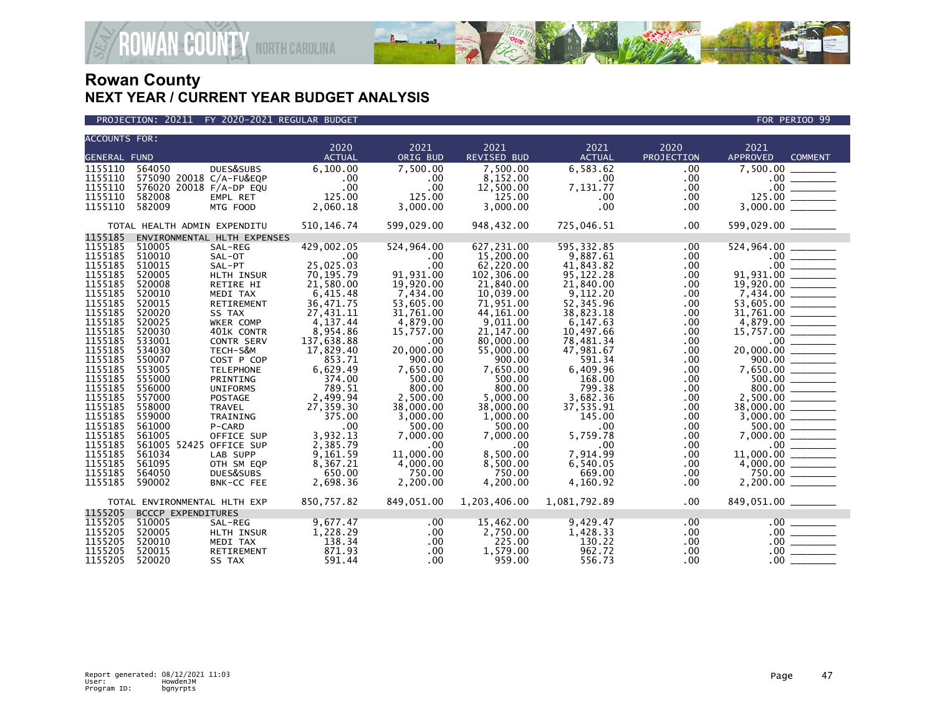



| <b>ACCOUNTS FOR:</b> |                              |                             |               |            |                    |               |            |                     |                                                                                                                                                  |
|----------------------|------------------------------|-----------------------------|---------------|------------|--------------------|---------------|------------|---------------------|--------------------------------------------------------------------------------------------------------------------------------------------------|
|                      |                              |                             | 2020          | 2021       | 2021               | 2021          | 2020       | 2021                |                                                                                                                                                  |
| <b>GENERAL FUND</b>  |                              |                             | <b>ACTUAL</b> | ORIG BUD   | <b>REVISED BUD</b> | <b>ACTUAL</b> | PROJECTION | APPROVED            | <b>COMMENT</b>                                                                                                                                   |
| 1155110              | 564050                       | DUES&SUBS                   | 6,100.00      | 7,500.00   | 7,500.00           | 6,583.62      | .00        | 7,500.00            |                                                                                                                                                  |
| 1155110              | 575090 20018 C/A-FU&EQP      |                             | .00           | .00        | 8,152.00           | $.00 \,$      | .00        | $.00 \,$            |                                                                                                                                                  |
| 1155110              | 576020 20018 F/A-DP EQU      |                             | .00           | .00        | 12,500.00          | 7,131.77      | .00        | .00                 |                                                                                                                                                  |
| 1155110              | 582008                       | EMPL RET                    | 125.00        | 125.00     | 125.00             | .00           | .00        | 125.00              |                                                                                                                                                  |
| 1155110              | 582009                       | MTG FOOD                    | 2,060.18      | 3,000.00   | 3,000.00           | $.00 \,$      | .00.       | 3,000.00            |                                                                                                                                                  |
|                      | TOTAL HEALTH ADMIN EXPENDITU |                             | 510, 146.74   | 599,029.00 | 948,432.00         | 725,046.51    | .00        | 599,029.00 ________ |                                                                                                                                                  |
| 1155185              |                              | ENVIRONMENTAL HLTH EXPENSES |               |            |                    |               |            |                     |                                                                                                                                                  |
| 1155185              | 510005                       | SAL-REG                     | 429,002.05    | 524,964.00 | 627,231.00         | 595, 332.85   | .00        | 524,964.00          |                                                                                                                                                  |
| 1155185              | 510010                       | SAL-OT                      | .00           | .00.       | 15,200,00          | 9.887.61      | .00.       |                     |                                                                                                                                                  |
| 1155185              | 510015                       | SAL-PT                      | 25,025.03     | .00        | 62,220.00          | 41,843.82     | .00        | $.00 \,$            | $\label{eq:2} \begin{split} \mathcal{L}_{\text{max}}(\mathcal{L}_{\text{max}}) = \mathcal{L}_{\text{max}}(\mathcal{L}_{\text{max}}) \end{split}$ |
| 1155185              | 520005                       | HLTH INSUR                  | 70,195.79     | 91,931.00  | 102,306.00         | 95,122.28     | .00.       | 91,931.00           | <u>and the state of the state</u>                                                                                                                |
| 1155185              | 520008                       | RETIRE HI                   | 21,580.00     | 19,920.00  | 21,840.00          | 21,840.00     | .00.       | 19,920.00           |                                                                                                                                                  |
| 1155185              | 520010                       | MEDI TAX                    | 6,415.48      | 7,434.00   | 10,039.00          | 9,112.20      | .00        |                     |                                                                                                                                                  |
| 1155185              | 520015                       | RETIREMENT                  | 36,471.75     | 53,605.00  | 71,951.00          | 52, 345.96    | .00.       | 53,605.00           |                                                                                                                                                  |
| 1155185              | 520020                       | SS TAX                      | 27,431.11     | 31,761.00  | 44,161.00          | 38,823.18     | .00.       | 31,761.00           |                                                                                                                                                  |
| 1155185              | 520025                       | WKER COMP                   | 4, 137.44     | 4,879.00   | 9,011.00           | 6,147.63      | .00.       | 4,879.00            |                                                                                                                                                  |
| 1155185              | 520030                       | 401K CONTR                  | 8,954.86      | 15,757.00  | 21, 147.00         | 10,497.66     | .00        | 15,757.00           |                                                                                                                                                  |
| 1155185              | 533001                       | <b>CONTR SERV</b>           | 137,638.88    | .00        | 80,000.00          | 78,481.34     | .00        | $.00 \,$            |                                                                                                                                                  |
| 1155185              | 534030                       | TECH-S&M                    | 17,829.40     | 20,000.00  | 55,000.00          | 47,981.67     | .00        | 20,000.00           |                                                                                                                                                  |
| 1155185              | 550007                       | COST P COP                  | 853.71        | 900.00     | 900.00             | 591.34        | .00.       | 900.00              |                                                                                                                                                  |
| 1155185              | 553005                       | <b>TELEPHONE</b>            | 6,629.49      | 7,650.00   | 7,650.00           | 6,409.96      | .00.       |                     |                                                                                                                                                  |
| 1155185              | 555000                       |                             | 374.00        | 500.00     | 500.00             | 168.00        |            |                     |                                                                                                                                                  |
| 1155185              |                              | PRINTING                    |               |            |                    |               | .00.       |                     |                                                                                                                                                  |
|                      | 556000                       | <b>UNIFORMS</b>             | 789.51        | 800.00     | 800.00             | 799.38        | .00        | 800.00              |                                                                                                                                                  |
| 1155185              | 557000                       | POSTAGE                     | 2,499.94      | 2,500.00   | 5.000.00           | 3,682.36      | .00        | 2.500.00            |                                                                                                                                                  |
| 1155185              | 558000                       | TRAVEL                      | 27,359.30     | 38,000.00  | 38,000.00          | 37,535.91     | .00        | 38,000.00           |                                                                                                                                                  |
| 1155185              | 559000                       | TRAINING                    | 375.00        | 3,000.00   | 1.000.00           | 145.00        | .00        | 3,000.00            |                                                                                                                                                  |
| 1155185              | 561000                       | P-CARD                      | .00           | 500.00     | 500.00             | .00           | .00        |                     |                                                                                                                                                  |
| 1155185              | 561005                       | OFFICE SUP                  | 3,932.13      | 7,000.00   | 7,000.00           | 5,759.78      | .00        | 7,000.00            |                                                                                                                                                  |
| 1155185              | 561005 52425 OFFICE SUP      |                             | 2,385.79      | .00        | .00 <sub>1</sub>   | .00           | .00        | $.00 \,$            |                                                                                                                                                  |
| 1155185              | 561034                       | LAB SUPP                    | 9,161.59      | 11,000.00  | 8.500.00           | 7.914.99      | .00.       | 11,000,00           |                                                                                                                                                  |
| 1155185              | 561095                       | OTH SM EQP                  | 8,367.21      | 4,000.00   | 8,500.00           | 6,540.05      | .00        |                     |                                                                                                                                                  |
| 1155185              | 564050                       | DUES&SUBS                   | 650.00        | 750.00     | 750.00             | 669.00        | .00.       | 750.00              |                                                                                                                                                  |
| 1155185              | 590002                       | BNK-CC FEE                  | 2,698.36      | 2,200.00   | 4,200.00           | 4,160.92      | .00.       | 2,200.00            |                                                                                                                                                  |
|                      | TOTAL ENVIRONMENTAL HLTH EXP |                             | 850,757.82    | 849,051.00 | 1,203,406.00       | 1,081,792.89  | $.00 \,$   |                     |                                                                                                                                                  |
| 1155205              | <b>BCCCP EXPENDITURES</b>    |                             |               |            |                    |               |            |                     |                                                                                                                                                  |
| 1155205              | 510005                       | SAL-REG                     | 9,677.47      | .00        | 15,462.00          | 9,429.47      | .00        | $.00 \ \,$          |                                                                                                                                                  |
| 1155205              | 520005                       | HLTH INSUR                  | 1,228.29      | $.00 \,$   | 2,750.00           | 1,428.33      | $.00 \,$   | .00                 |                                                                                                                                                  |
| 1155205              | 520010                       | MEDI TAX                    | 138.34        | $.00 \,$   | 225.00             | 130.22        | .00.       | .00 <sub>1</sub>    |                                                                                                                                                  |
| 1155205              | 520015                       | RETIREMENT                  | 871.93        | .00        | 1,579.00           | 962.72        | .00        | .00                 |                                                                                                                                                  |
| 1155205              | 520020                       | SS TAX                      | 591.44        | $.00 \,$   | 959.00             | 556.73        | .00        | .00 <sub>1</sub>    |                                                                                                                                                  |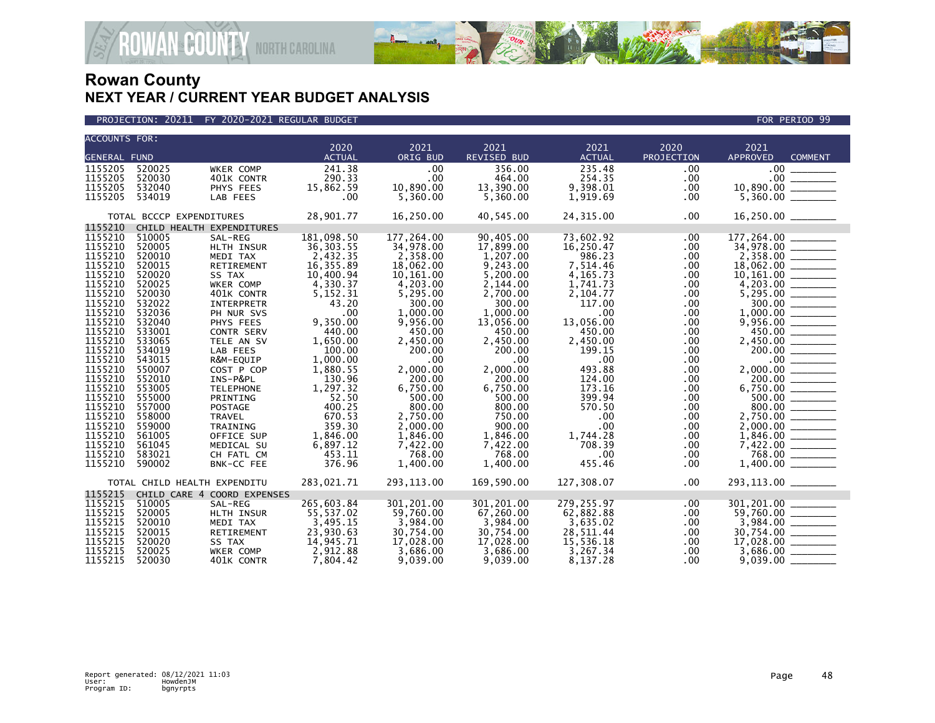

| <b>ACCOUNTS FOR:</b>                                                                                                                                                                                                                                      |                                                                                                                                                                                                                                    |                                                                                                                                                                                                                                                                                                                                | 2020                                                                                                                                                                                                                                                            | 2021                                                                                                                                                                                                                                                                 | 2021                                                                                                                                                                                                                                                           | 2021                                                                                                                                                                                                                                          | 2020                                                                                                                                                                | 2021                                                                                                                                                                                    |  |
|-----------------------------------------------------------------------------------------------------------------------------------------------------------------------------------------------------------------------------------------------------------|------------------------------------------------------------------------------------------------------------------------------------------------------------------------------------------------------------------------------------|--------------------------------------------------------------------------------------------------------------------------------------------------------------------------------------------------------------------------------------------------------------------------------------------------------------------------------|-----------------------------------------------------------------------------------------------------------------------------------------------------------------------------------------------------------------------------------------------------------------|----------------------------------------------------------------------------------------------------------------------------------------------------------------------------------------------------------------------------------------------------------------------|----------------------------------------------------------------------------------------------------------------------------------------------------------------------------------------------------------------------------------------------------------------|-----------------------------------------------------------------------------------------------------------------------------------------------------------------------------------------------------------------------------------------------|---------------------------------------------------------------------------------------------------------------------------------------------------------------------|-----------------------------------------------------------------------------------------------------------------------------------------------------------------------------------------|--|
| <b>GENERAL FUND</b>                                                                                                                                                                                                                                       |                                                                                                                                                                                                                                    |                                                                                                                                                                                                                                                                                                                                | <b>ACTUAL</b>                                                                                                                                                                                                                                                   | ORIG BUD                                                                                                                                                                                                                                                             | <b>REVISED BUD</b>                                                                                                                                                                                                                                             | <b>ACTUAL</b>                                                                                                                                                                                                                                 | PROJECTION                                                                                                                                                          | <b>APPROVED</b><br><b>COMMENT</b>                                                                                                                                                       |  |
| 1155205<br>1155205<br>1155205<br>1155205                                                                                                                                                                                                                  | 520025<br>520030<br>532040<br>534019                                                                                                                                                                                               | WKER COMP<br>401K CONTR<br>PHYS FEES<br>LAB FEES                                                                                                                                                                                                                                                                               | 241.38<br>290.33<br>15,862.59<br>.00                                                                                                                                                                                                                            | .00<br>$.00 \times$<br>10,890.00<br>5,360.00                                                                                                                                                                                                                         | 356.00<br>464.00<br>13,390.00<br>5,360.00                                                                                                                                                                                                                      | 235.48<br>254.35<br>9,398.01<br>1,919.69                                                                                                                                                                                                      | .00<br>.00<br>.00<br>.00                                                                                                                                            | $.00 \,$                                                                                                                                                                                |  |
|                                                                                                                                                                                                                                                           | TOTAL BCCCP EXPENDITURES                                                                                                                                                                                                           |                                                                                                                                                                                                                                                                                                                                | 28,901.77                                                                                                                                                                                                                                                       | 16,250.00                                                                                                                                                                                                                                                            | 40,545.00                                                                                                                                                                                                                                                      | 24,315.00                                                                                                                                                                                                                                     | .00                                                                                                                                                                 | 16,250.00 _______                                                                                                                                                                       |  |
| 1155210                                                                                                                                                                                                                                                   |                                                                                                                                                                                                                                    | CHILD HEALTH EXPENDITURES                                                                                                                                                                                                                                                                                                      |                                                                                                                                                                                                                                                                 |                                                                                                                                                                                                                                                                      |                                                                                                                                                                                                                                                                |                                                                                                                                                                                                                                               |                                                                                                                                                                     |                                                                                                                                                                                         |  |
| 1155210<br>1155210<br>1155210<br>1155210<br>1155210<br>1155210<br>1155210<br>1155210<br>1155210<br>1155210<br>1155210<br>1155210<br>1155210<br>1155210<br>1155210<br>1155210<br>1155210<br>1155210<br>1155210<br>1155210<br>1155210<br>1155210<br>1155210 | 510005<br>520005<br>520010<br>520015<br>520020<br>520025<br>520030<br>532022<br>532036<br>532040<br>533001<br>533065<br>534019<br>543015<br>550007<br>552010<br>553005<br>555000<br>557000<br>558000<br>559000<br>561005<br>561045 | SAL-REG<br>HLTH INSUR<br>MEDI TAX<br>RETIREMENT<br>SS TAX<br>WKER COMP<br>401K CONTR<br>INTERPRETR<br>PH NUR SVS<br>PHYS FEES<br><b>CONTR SERV</b><br>TELE AN SV<br>LAB FEES<br>R&M-EQUIP<br>COST P COP<br>INS-P&PL<br><b>TELEPHONE</b><br>PRINTING<br><b>POSTAGE</b><br><b>TRAVEL</b><br>TRAINING<br>OFFICE SUP<br>MEDICAL SU | 181,098.50<br>36, 303.55<br>2,432.35<br>16,355.89<br>10,400.94<br>4,330.37<br>5,152.31<br>43.20<br>.00<br>9,350.00<br>440.00<br>1,650.00<br>100.00<br>1,000.00<br>1,880.55<br>130.96<br>1,297.32<br>52.50<br>400.25<br>670.53<br>359.30<br>1,846.00<br>6,897.12 | 177,264.00<br>34,978.00<br>2,358.00<br>18,062.00<br>10,161.00<br>4,203.00<br>5,295.00<br>300.00<br>1,000.00<br>9,956.00<br>450.00<br>2,450.00<br>200.00<br>.00<br>2,000.00<br>200.00<br>6,750.00<br>500.00<br>800.00<br>2,750.00<br>2,000.00<br>1,846.00<br>7,422.00 | 90,405.00<br>17,899.00<br>1,207.00<br>9,243.00<br>5,200.00<br>2,144.00<br>2,700.00<br>300.00<br>1,000.00<br>13,056.00<br>450.00<br>2,450.00<br>200.00<br>.00<br>2,000.00<br>200.00<br>6,750.00<br>500.00<br>800.00<br>750.00<br>900.00<br>1,846.00<br>7,422.00 | 73,602.92<br>16,250.47<br>986.23<br>7,514.46<br>4, 165. 73<br>1,741.73<br>2,104.77<br>117.00<br>.00<br>13,056.00<br>450.00<br>2,450.00<br>199.15<br>.00<br>493.88<br>124.00<br>173.16<br>399.94<br>570.50<br>.00<br>.00<br>1,744.28<br>708.39 | .00<br>.00<br>.00<br>.00.<br>.00<br>.00<br>.00<br>.00<br>.00.<br>.00<br>.00<br>.00<br>.00<br>.00.<br>.00<br>.00.<br>.00<br>.00<br>.00<br>.00.<br>.00.<br>.00<br>.00 | 177,264.00<br>$2,358.00$ 18,062.00<br>450.00 ______<br>$2,450.00$ $\overline{\hspace{1.5cm}200.00}$<br>$\frac{00}{200.00}$<br>2,000.00<br>$6,750.00$ $\overline{\phantom{0}}$<br>500.00 |  |
| 1155210                                                                                                                                                                                                                                                   | 583021                                                                                                                                                                                                                             | CH FATL CM                                                                                                                                                                                                                                                                                                                     | 453.11                                                                                                                                                                                                                                                          | 768.00                                                                                                                                                                                                                                                               | 768.00                                                                                                                                                                                                                                                         | .00                                                                                                                                                                                                                                           | .00                                                                                                                                                                 |                                                                                                                                                                                         |  |
| 1155210                                                                                                                                                                                                                                                   | 590002                                                                                                                                                                                                                             | BNK-CC FEE                                                                                                                                                                                                                                                                                                                     | 376.96                                                                                                                                                                                                                                                          | 1,400.00                                                                                                                                                                                                                                                             | 1,400.00                                                                                                                                                                                                                                                       | 455.46                                                                                                                                                                                                                                        | .00                                                                                                                                                                 |                                                                                                                                                                                         |  |
| 1155215                                                                                                                                                                                                                                                   | TOTAL CHILD HEALTH EXPENDITU                                                                                                                                                                                                       | CHILD CARE 4 COORD EXPENSES                                                                                                                                                                                                                                                                                                    | 283,021.71                                                                                                                                                                                                                                                      | 293, 113.00                                                                                                                                                                                                                                                          | 169,590.00                                                                                                                                                                                                                                                     | 127,308.07                                                                                                                                                                                                                                    | .00                                                                                                                                                                 |                                                                                                                                                                                         |  |
| 1155215                                                                                                                                                                                                                                                   | 510005                                                                                                                                                                                                                             |                                                                                                                                                                                                                                                                                                                                | 265,603.84                                                                                                                                                                                                                                                      | 301,201.00                                                                                                                                                                                                                                                           | 301,201.00                                                                                                                                                                                                                                                     | 279,255.97                                                                                                                                                                                                                                    |                                                                                                                                                                     | 301,201.00                                                                                                                                                                              |  |
| 1155215<br>1155215<br>1155215<br>1155215<br>1155215                                                                                                                                                                                                       | 520005<br>520010<br>520015<br>520020<br>520025                                                                                                                                                                                     | SAL-REG<br>HLTH INSUR<br>MEDI TAX<br>RETIREMENT<br>SS TAX<br>WKER COMP                                                                                                                                                                                                                                                         | 55,537.02<br>3,495.15<br>23,930.63<br>14,945.71<br>2,912.88                                                                                                                                                                                                     | 59,760.00<br>3,984.00<br>30,754.00<br>17,028.00<br>3,686.00                                                                                                                                                                                                          | 67,260.00<br>3,984.00<br>30,754.00<br>17,028.00<br>3,686.00                                                                                                                                                                                                    | 62,882.88<br>3,635.02<br>28,511.44<br>15,536.18<br>3,267.34                                                                                                                                                                                   | .00<br>.00.<br>.00<br>.00.<br>.00<br>.00                                                                                                                            | $\frac{101,201.00}{59,760.00}$<br>$17,028.00$ _______<br>3,686.00                                                                                                                       |  |
| 1155215                                                                                                                                                                                                                                                   | 520030                                                                                                                                                                                                                             | 401K CONTR                                                                                                                                                                                                                                                                                                                     | 7.804.42                                                                                                                                                                                                                                                        | 9,039.00                                                                                                                                                                                                                                                             | 9,039.00                                                                                                                                                                                                                                                       | 8,137.28                                                                                                                                                                                                                                      | .00                                                                                                                                                                 | 9,039.00                                                                                                                                                                                |  |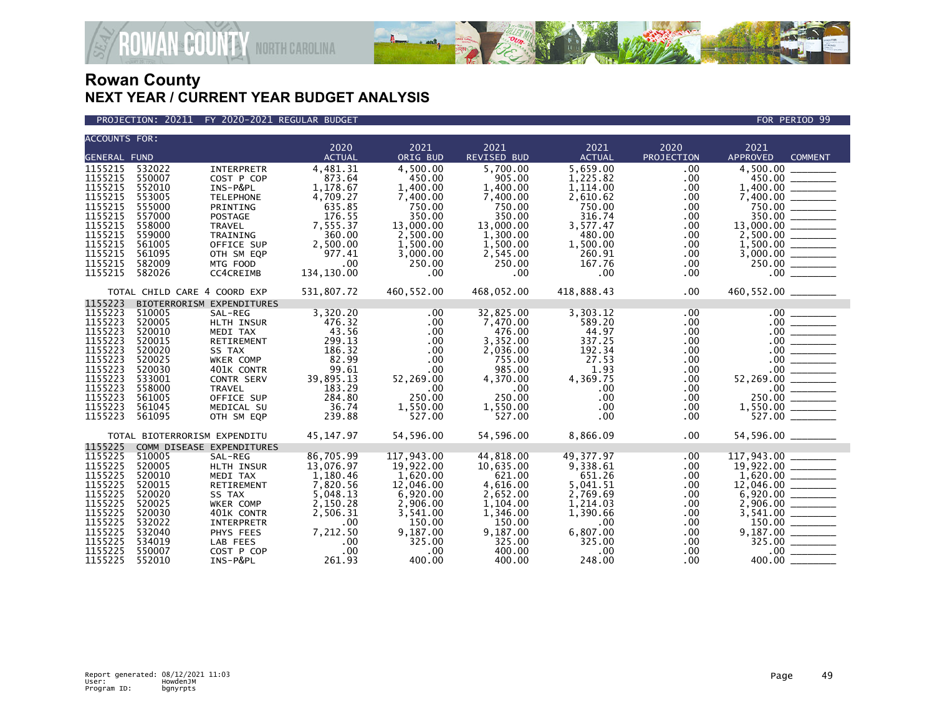

#### PROJECTION: 20211 FY 2020-2021 REGULAR BUDGET FOR PERIOD 99

| <b>ACCOUNTS FOR:</b> |                              |                           |               |                      |                    |                    |                 |                                                                                                                                                                                                                                                                                                                                                                                                                              |  |
|----------------------|------------------------------|---------------------------|---------------|----------------------|--------------------|--------------------|-----------------|------------------------------------------------------------------------------------------------------------------------------------------------------------------------------------------------------------------------------------------------------------------------------------------------------------------------------------------------------------------------------------------------------------------------------|--|
|                      |                              |                           | 2020          | 2021                 | 2021               | 2021               | 2020            | 2021                                                                                                                                                                                                                                                                                                                                                                                                                         |  |
| <b>GENERAL FUND</b>  |                              |                           | <b>ACTUAL</b> | ORIG BUD             | <b>REVISED BUD</b> | <b>ACTUAL</b>      | PROJECTION      | <b>APPROVED</b><br><b>COMMENT</b>                                                                                                                                                                                                                                                                                                                                                                                            |  |
| 1155215              | 532022                       | <b>INTERPRETR</b>         | 4,481.31      | 4.500.00             | 5.700.00           | 5,659.00           | .00             | 4.500.00                                                                                                                                                                                                                                                                                                                                                                                                                     |  |
| 1155215              | 550007                       | COST P COP                | 873.64        | 450.00               | 905.00             | 1,225.82           | .00             | 450.00                                                                                                                                                                                                                                                                                                                                                                                                                       |  |
| 1155215              | 552010                       | INS-P&PL                  | 1,178.67      | 1,400.00             | 1,400.00           | 1,114.00           | .00             |                                                                                                                                                                                                                                                                                                                                                                                                                              |  |
| 1155215              | 553005                       | <b>TELEPHONE</b>          | 4,709.27      | 7,400.00             | 7,400.00           | 2,610.62           | .00             |                                                                                                                                                                                                                                                                                                                                                                                                                              |  |
| 1155215              | 555000                       | PRINTING                  | 635.85        | 750.00               | 750.00             | 750.00             | .00             | 750.00                                                                                                                                                                                                                                                                                                                                                                                                                       |  |
| 1155215              | 557000                       | <b>POSTAGE</b>            | 176.55        | 350.00               | 350.00             | 316.74             | .00             | $350.00$ $\overline{\phantom{2566}}$                                                                                                                                                                                                                                                                                                                                                                                         |  |
| 1155215              | 558000<br>559000             | <b>TRAVEL</b>             | 7,555.37      | 13,000.00            | 13,000.00          | 3,577.47<br>480.00 | .00.            | 13,000.00 _______                                                                                                                                                                                                                                                                                                                                                                                                            |  |
| 1155215              | 561005                       | TRAINING                  | 360.00        | 2,500.00             | 1,300.00           |                    | .00             |                                                                                                                                                                                                                                                                                                                                                                                                                              |  |
| 1155215              |                              | OFFICE SUP                | 2,500.00      | 1,500.00<br>3,000.00 | 1,500.00           | 1,500.00<br>260.91 | .00             | 1,500.00                                                                                                                                                                                                                                                                                                                                                                                                                     |  |
| 1155215<br>1155215   | 561095<br>582009             | OTH SM EQP                | 977.41        |                      | 2,545.00           |                    | .00.            |                                                                                                                                                                                                                                                                                                                                                                                                                              |  |
| 1155215              | 582026                       | MTG FOOD                  | .00           | 250.00<br>.00        | 250.00<br>$.00 \,$ | 167.76<br>.00      | .00.            | .00                                                                                                                                                                                                                                                                                                                                                                                                                          |  |
|                      |                              | CC4CREIMB                 | 134,130.00    |                      |                    |                    | $.00 \,$        |                                                                                                                                                                                                                                                                                                                                                                                                                              |  |
|                      | TOTAL CHILD CARE 4 COORD EXP |                           | 531,807.72    | 460,552.00           | 468,052.00         | 418,888.43         | .00             | 460,552.00 _______                                                                                                                                                                                                                                                                                                                                                                                                           |  |
| 1155223              |                              | BIOTERRORISM EXPENDITURES |               |                      |                    |                    |                 |                                                                                                                                                                                                                                                                                                                                                                                                                              |  |
| 1155223              | 510005                       | SAL-REG                   | 3,320.20      | .00                  | 32,825.00          | 3,303.12           | .00             | .00                                                                                                                                                                                                                                                                                                                                                                                                                          |  |
| 1155223              | 520005                       | HLTH INSUR                | 476.32        | $.00 \,$             | 7,470.00           | 589.20             | .00.            |                                                                                                                                                                                                                                                                                                                                                                                                                              |  |
| 1155223              | 520010                       | MEDI TAX                  | 43.56         | $.00 \,$             | 476.00             | 44.97              | .00             |                                                                                                                                                                                                                                                                                                                                                                                                                              |  |
| 1155223              | 520015                       | RETIREMENT                | 299.13        | .00                  | 3,352.00           | 337.25             | .00             | $\begin{array}{c}\n 00 \end{array}$                                                                                                                                                                                                                                                                                                                                                                                          |  |
| 1155223              | 520020                       | SS TAX                    | 186.32        | $.00 \,$             | 2,036.00           | 192.34             | .00             | $\begin{array}{r} .00 \ \hline .00 \ \hline .00 \ \hline .00 \ \hline .00 \ \hline .00 \ \hline .00 \ \hline .00 \ \hline .00 \ \hline .00 \ \hline .00 \ \hline .00 \ \hline .00 \ \hline .00 \ \hline .00 \ \hline .00 \ \hline .00 \ \hline .00 \ \hline .00 \ \hline .00 \ \hline .00 \ \hline .00 \ \hline .00 \ \hline .00 \ \hline .00 \ \hline .00 \ \hline .00 \ \hline .00 \ \hline .00 \ \hline .00 \ \hline .00$ |  |
| 1155223              | 520025                       | WKER COMP                 | 82.99         | .00                  | 755.00             | 27.53              | .00             |                                                                                                                                                                                                                                                                                                                                                                                                                              |  |
| 1155223              | 520030                       | 401K CONTR                | 99.61         | $.00 \,$             | 985.00             | 1.93               | .00.            |                                                                                                                                                                                                                                                                                                                                                                                                                              |  |
| 1155223              | 533001                       | CONTR SERV                | 39,895.13     | 52,269.00            | 4,370.00           | 4,369.75           | .00.            |                                                                                                                                                                                                                                                                                                                                                                                                                              |  |
| 1155223              | 558000                       | <b>TRAVEL</b>             | 183.29        | .00                  | $.00 \,$           | .00                | .00             |                                                                                                                                                                                                                                                                                                                                                                                                                              |  |
| 1155223              | 561005                       | OFFICE SUP                | 284.80        | 250.00               | 250.00             | .00                | .00             |                                                                                                                                                                                                                                                                                                                                                                                                                              |  |
| 1155223              | 561045                       | MEDICAL SU                | 36.74         | 1,550.00             | 1,550.00           | $.00 \times$       | .00.            |                                                                                                                                                                                                                                                                                                                                                                                                                              |  |
| 1155223              | 561095                       | OTH SM EQP                | 239.88        | 527.00               | 527.00             | $.00 \times$       | .00             |                                                                                                                                                                                                                                                                                                                                                                                                                              |  |
|                      | TOTAL BIOTERRORISM EXPENDITU |                           | 45, 147. 97   | 54,596.00            | 54,596.00          | 8,866.09           | .00             | 54,596.00 ________                                                                                                                                                                                                                                                                                                                                                                                                           |  |
| 1155225              |                              | COMM DISEASE EXPENDITURES |               |                      |                    |                    |                 |                                                                                                                                                                                                                                                                                                                                                                                                                              |  |
| 1155225              | 510005                       | SAL-REG                   | 86,705.99     | 117,943.00           | 44,818.00          | 49, 377.97         | .00             | 117,943.00<br>117,943.00 ________<br>19,922.00 ________                                                                                                                                                                                                                                                                                                                                                                      |  |
| 1155225              | 520005                       | HLTH INSUR                | 13,076.97     | 19,922.00            | 10,635.00          | 9,338.61           | .00             |                                                                                                                                                                                                                                                                                                                                                                                                                              |  |
| 1155225              | 520010                       | MEDI TAX                  | 1,180.46      | 1,620.00             | 621.00             | 651.26             | .00             |                                                                                                                                                                                                                                                                                                                                                                                                                              |  |
| 1155225              | 520015                       | RETIREMENT                | 7,820.56      | 12,046.00            | 4,616.00           | 5,041.51           | .00             |                                                                                                                                                                                                                                                                                                                                                                                                                              |  |
| 1155225              | 520020                       | SS TAX                    | 5,048.13      | 6,920.00             | 2,652.00           | 2,769.69           | .00             | 6,920.00                                                                                                                                                                                                                                                                                                                                                                                                                     |  |
| 1155225              | 520025                       | <b>WKER COMP</b>          | 2,150.28      | 2,906.00             | 1,104.00           | 1,214.03           | .00             | 2.906.00                                                                                                                                                                                                                                                                                                                                                                                                                     |  |
| 1155225              | 520030                       | 401K CONTR                | 2,506.31      | 3,541.00             | 1,346.00           | 1,390.66           | .00             |                                                                                                                                                                                                                                                                                                                                                                                                                              |  |
| 1155225              | 532022                       | INTERPRETR                | .00           | 150.00               | 150.00             | $.00 \,$           | .00             |                                                                                                                                                                                                                                                                                                                                                                                                                              |  |
| 1155225              | 532040                       | PHYS FEES                 | 7,212.50      | 9,187.00             | 9,187.00           | 6,807.00           | .00             |                                                                                                                                                                                                                                                                                                                                                                                                                              |  |
| 1155225<br>1155225   | 534019<br>550007             | LAB FEES                  | .00<br>.00    | 325.00               | 325.00             | 325.00             | .00             | 325.00                                                                                                                                                                                                                                                                                                                                                                                                                       |  |
| 1155225              | 552010                       | COST P COP<br>INS-P&PL    | 261.93        | .00<br>400.00        | 400.00<br>400.00   | $.00 \,$<br>248.00 | .00<br>$.00 \,$ | 400.00                                                                                                                                                                                                                                                                                                                                                                                                                       |  |
|                      |                              |                           |               |                      |                    |                    |                 |                                                                                                                                                                                                                                                                                                                                                                                                                              |  |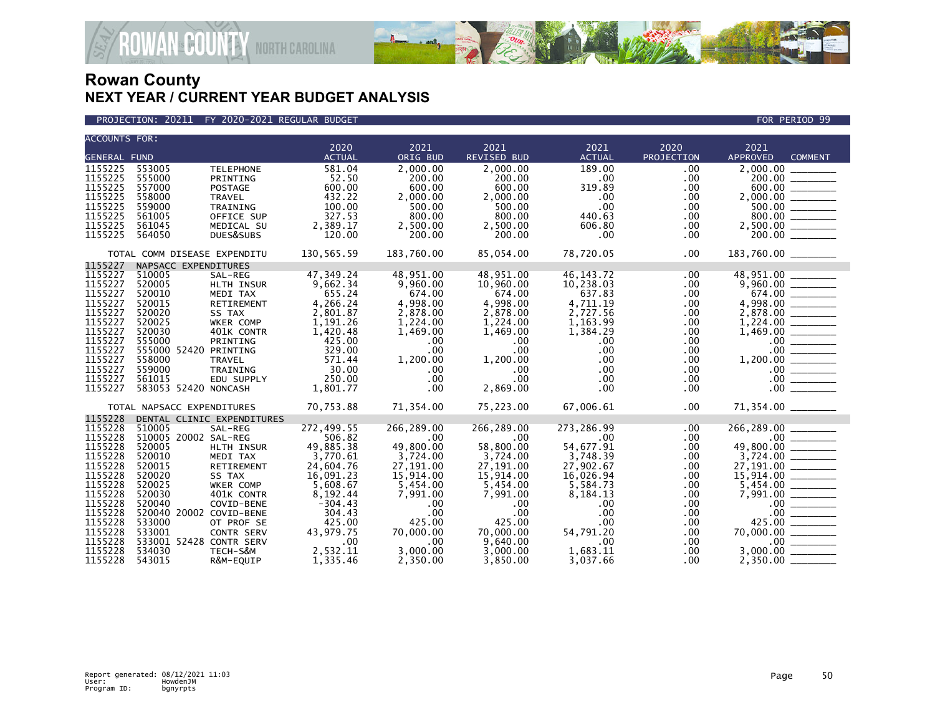



| <b>ACCOUNTS FOR:</b><br>2020<br>2020<br>2021<br>2021<br>2021<br>2021<br><b>GENERAL FUND</b><br>ORIG BUD<br>PROJECTION<br><b>APPROVED</b><br><b>ACTUAL</b><br>REVISED BUD<br><b>ACTUAL</b><br><b>COMMENT</b><br>553005<br>581.04<br>2,000,00<br>2,000.00<br>189.00<br>.00<br><b>TELEPHONE</b><br>555000<br>52.50<br>200.00<br>$.00 \,$<br>$\begin{array}{r} 2,000.00 \\ 200.00 \\ 600.00 \\ 2,000.00 \\ 500.00 \\ 800.00 \\ 2,500.00 \\ 200.00 \end{array}$<br>200.00<br>.00<br>PRINTING<br>1155225<br>557000<br>600.00<br>600.00<br>600.00<br>319.89<br>.00<br>POSTAGE<br>1155225<br>432.22<br>558000<br>2,000.00<br>2,000.00<br>.00<br>$.00 \,$<br><b>TRAVEL</b><br>1155225<br>$.00 \times$<br>559000<br>100.00<br>500.00<br>500.00<br>.00<br>TRAINING<br>561005<br>327.53<br>800.00<br>800.00<br>OFFICE SUP<br>440.63<br>.00<br>1155225<br>2,389.17<br>561045<br>2,500.00<br>606.80<br>MEDICAL SU<br>2,500.00<br>.00.<br>1155225<br>564050<br>DUES&SUBS<br>120.00<br>200.00<br>200.00<br>$.00 \,$<br>.00<br>130,565.59<br>85,054.00<br>78,720.05<br>183,760.00 _______<br>183,760.00<br>$.00 \,$<br>TOTAL COMM DISEASE EXPENDITU<br>1155227<br>NAPSACC EXPENDITURES<br>1155227<br>47,349.24<br>510005<br>48,951.00<br>48,951.00<br>46, 143. 72<br>SAL-REG<br>.00.<br>$\frac{9,960.00}{674.00}$<br>1155227<br>520005<br>9,662.34<br>9,960.00<br>10,960.00<br>10,238.03<br>HLTH INSUR<br>$.00 \,$<br>1155227<br>520010<br>674.00<br>655.24<br>674.00<br>637.83<br>.00<br>MEDI TAX<br>$\begin{array}{r} 6/4.00 \\ 4,998.00 \\ 2,878.00 \\ 1,224.00 \\ 1,469.00 \\ 0.00 \\ 1,200.00 \\ 0.00 \\ 0.00 \\ 0.00 \\ 0.00 \\ 0.00 \\ 0.00 \\ 0.00 \\ \end{array}$<br>1155227<br>4,998.00<br>520015<br>4,266.24<br>4,998.00<br>4,711.19<br>.00<br>RETIREMENT<br>520020<br>2,801.87<br>2,878.00<br>2,878.00<br>2,727.56<br>.00<br>SS TAX<br>520025<br>1,191.26<br>1,224.00<br>1,224.00<br>1,163.99<br>.00.<br>WKER COMP<br>1155227<br>520030<br>401K CONTR<br>1,420.48<br>1.469.00<br>1,469.00<br>1,384.29<br>.00<br>1155227<br>555000<br>425.00<br>.00<br>PRINTING<br>.00<br>.00<br>$.00 \,$<br>1155227<br>555000 52420 PRINTING<br>329.00<br>.00<br>$.00 \,$<br>.00.<br>$.00 \times$<br>1155227<br>558000<br>571.44<br>1,200.00<br>1,200.00<br>$.00 \,$<br>$.00 \,$<br>TRAVEL<br>1155227<br>559000<br>30.00<br>TRAINING<br>$.00 \,$<br>$.00 \,$<br>$.00 \,$<br>.00.<br>250.00<br>$.00 \,$<br>561015<br>EDU SUPPLY<br>$.00 \ \,$<br>$.00 \,$<br>$.00 \,$<br>583053 52420 NONCASH<br>.00<br>2,869.00<br>1,801.77<br>$.00 \,$<br>$.00 \,$<br>71,354.00 _______<br>70,753.88<br>71,354.00<br>75,223.00<br>67,006.61<br>$.00 \,$<br>TOTAL NAPSACC EXPENDITURES<br>1155228<br>DENTAL CLINIC EXPENDITURES<br>266,289.00<br>1155228<br>272,499.55<br>266,289.00<br>266,289.00<br>273,286.99<br>510005<br>SAL-REG<br>.00.<br>510005 20002 SAL-REG<br>$.00$ $\overline{\hspace{1.5cm}}$<br>49,800.00<br>506.82<br>$.00 \,$<br>$.00 \,$<br>$.00 \,$<br>$.00 \,$<br>49,885.38<br>520005<br>49,800.00<br>58,800.00<br>54,677.91<br>.00<br>HLTH INSUR<br>$\begin{array}{r} 49,800.00 \ \hline 3,724.00 \ \hline 15,914.00 \ \hline 15,914.00 \ \hline 5,454.00 \ \hline 7,991.00 \ \hline 0.00 \ \hline 425.00 \ \hline 7,000.00 \ \hline 3,000.00 \ \hline 3,350.00 \end{array}$<br>1155228<br>520010<br>3,770.61<br>3,724.00<br>MEDI TAX<br>3,724.00<br>3,748.39<br>.00<br>1155228<br>520015<br>27,191.00<br>27,191.00<br>27,902.67<br>RETIREMENT<br>24,604.76<br>.00<br>1155228<br>16,091.23<br>15,914.00<br>520020<br>SS TAX<br>15,914.00<br>16,026.94<br>.00.<br>1155228<br>520025<br>5,608.67<br>5,454.00<br>5,454.00<br>.00<br>5,584.73<br>WKER COMP<br>1155228<br>520030<br>8,192.44<br>7,991.00<br>.00<br>401K CONTR<br>7,991.00<br>8,184.13<br>1155228<br>520040<br>$-304.43$<br>.00<br>COVID-BENE<br>.00<br>.00<br>$.00 \,$<br>520040 20002 COVID-BENE<br>304.43<br>$.00 \times$<br>$.00 \,$<br>.00<br>$.00 \,$<br>425.00<br>533000<br>425.00<br>425.00<br>OT PROF SE<br>$.00 \,$<br>$.00 \,$<br>1155228<br>533001<br>43,979.75<br>54.791.20<br>70,000.00<br>70,000.00<br>$.00 \,$<br>CONTR SERV<br>533001 52428 CONTR SERV<br>9,640.00<br>1155228<br>.00<br>$.00 \,$<br>.00<br>$.00 \,$<br>1155228<br>534030<br>2,532.11<br>3,000.00<br>1,683.11<br>TECH-S&M<br>3,000.00<br>.00. |                    |        |           |          |          |          |          |     |          |  |
|------------------------------------------------------------------------------------------------------------------------------------------------------------------------------------------------------------------------------------------------------------------------------------------------------------------------------------------------------------------------------------------------------------------------------------------------------------------------------------------------------------------------------------------------------------------------------------------------------------------------------------------------------------------------------------------------------------------------------------------------------------------------------------------------------------------------------------------------------------------------------------------------------------------------------------------------------------------------------------------------------------------------------------------------------------------------------------------------------------------------------------------------------------------------------------------------------------------------------------------------------------------------------------------------------------------------------------------------------------------------------------------------------------------------------------------------------------------------------------------------------------------------------------------------------------------------------------------------------------------------------------------------------------------------------------------------------------------------------------------------------------------------------------------------------------------------------------------------------------------------------------------------------------------------------------------------------------------------------------------------------------------------------------------------------------------------------------------------------------------------------------------------------------------------------------------------------------------------------------------------------------------------------------------------------------------------------------------------------------------------------------------------------------------------------------------------------------------------------------------------------------------------------------------------------------------------------------------------------------------------------------------------------------------------------------------------------------------------------------------------------------------------------------------------------------------------------------------------------------------------------------------------------------------------------------------------------------------------------------------------------------------------------------------------------------------------------------------------------------------------------------------------------------------------------------------------------------------------------------------------------------------------------------------------------------------------------------------------------------------------------------------------------------------------------------------------------------------------------------------------------------------------------------------------------------------------------------------------------------------------------------------------------------------------------------------------------------------------------------------------------------------------------------------------------------------------------------------------------------------------------------------------------------------------------------------------------------------------------------------------------------------------------------------------------------------------------------------------------------------------------------------------------------------------------------------------------------------------------------------------------------------------|--------------------|--------|-----------|----------|----------|----------|----------|-----|----------|--|
|                                                                                                                                                                                                                                                                                                                                                                                                                                                                                                                                                                                                                                                                                                                                                                                                                                                                                                                                                                                                                                                                                                                                                                                                                                                                                                                                                                                                                                                                                                                                                                                                                                                                                                                                                                                                                                                                                                                                                                                                                                                                                                                                                                                                                                                                                                                                                                                                                                                                                                                                                                                                                                                                                                                                                                                                                                                                                                                                                                                                                                                                                                                                                                                                                                                                                                                                                                                                                                                                                                                                                                                                                                                                                                                                                                                                                                                                                                                                                                                                                                                                                                                                                                                                                                                                        |                    |        |           |          |          |          |          |     |          |  |
|                                                                                                                                                                                                                                                                                                                                                                                                                                                                                                                                                                                                                                                                                                                                                                                                                                                                                                                                                                                                                                                                                                                                                                                                                                                                                                                                                                                                                                                                                                                                                                                                                                                                                                                                                                                                                                                                                                                                                                                                                                                                                                                                                                                                                                                                                                                                                                                                                                                                                                                                                                                                                                                                                                                                                                                                                                                                                                                                                                                                                                                                                                                                                                                                                                                                                                                                                                                                                                                                                                                                                                                                                                                                                                                                                                                                                                                                                                                                                                                                                                                                                                                                                                                                                                                                        |                    |        |           |          |          |          |          |     |          |  |
|                                                                                                                                                                                                                                                                                                                                                                                                                                                                                                                                                                                                                                                                                                                                                                                                                                                                                                                                                                                                                                                                                                                                                                                                                                                                                                                                                                                                                                                                                                                                                                                                                                                                                                                                                                                                                                                                                                                                                                                                                                                                                                                                                                                                                                                                                                                                                                                                                                                                                                                                                                                                                                                                                                                                                                                                                                                                                                                                                                                                                                                                                                                                                                                                                                                                                                                                                                                                                                                                                                                                                                                                                                                                                                                                                                                                                                                                                                                                                                                                                                                                                                                                                                                                                                                                        |                    |        |           |          |          |          |          |     |          |  |
|                                                                                                                                                                                                                                                                                                                                                                                                                                                                                                                                                                                                                                                                                                                                                                                                                                                                                                                                                                                                                                                                                                                                                                                                                                                                                                                                                                                                                                                                                                                                                                                                                                                                                                                                                                                                                                                                                                                                                                                                                                                                                                                                                                                                                                                                                                                                                                                                                                                                                                                                                                                                                                                                                                                                                                                                                                                                                                                                                                                                                                                                                                                                                                                                                                                                                                                                                                                                                                                                                                                                                                                                                                                                                                                                                                                                                                                                                                                                                                                                                                                                                                                                                                                                                                                                        | 1155225<br>1155225 |        |           |          |          |          |          |     |          |  |
|                                                                                                                                                                                                                                                                                                                                                                                                                                                                                                                                                                                                                                                                                                                                                                                                                                                                                                                                                                                                                                                                                                                                                                                                                                                                                                                                                                                                                                                                                                                                                                                                                                                                                                                                                                                                                                                                                                                                                                                                                                                                                                                                                                                                                                                                                                                                                                                                                                                                                                                                                                                                                                                                                                                                                                                                                                                                                                                                                                                                                                                                                                                                                                                                                                                                                                                                                                                                                                                                                                                                                                                                                                                                                                                                                                                                                                                                                                                                                                                                                                                                                                                                                                                                                                                                        |                    |        |           |          |          |          |          |     |          |  |
|                                                                                                                                                                                                                                                                                                                                                                                                                                                                                                                                                                                                                                                                                                                                                                                                                                                                                                                                                                                                                                                                                                                                                                                                                                                                                                                                                                                                                                                                                                                                                                                                                                                                                                                                                                                                                                                                                                                                                                                                                                                                                                                                                                                                                                                                                                                                                                                                                                                                                                                                                                                                                                                                                                                                                                                                                                                                                                                                                                                                                                                                                                                                                                                                                                                                                                                                                                                                                                                                                                                                                                                                                                                                                                                                                                                                                                                                                                                                                                                                                                                                                                                                                                                                                                                                        |                    |        |           |          |          |          |          |     |          |  |
|                                                                                                                                                                                                                                                                                                                                                                                                                                                                                                                                                                                                                                                                                                                                                                                                                                                                                                                                                                                                                                                                                                                                                                                                                                                                                                                                                                                                                                                                                                                                                                                                                                                                                                                                                                                                                                                                                                                                                                                                                                                                                                                                                                                                                                                                                                                                                                                                                                                                                                                                                                                                                                                                                                                                                                                                                                                                                                                                                                                                                                                                                                                                                                                                                                                                                                                                                                                                                                                                                                                                                                                                                                                                                                                                                                                                                                                                                                                                                                                                                                                                                                                                                                                                                                                                        | 1155225            |        |           |          |          |          |          |     |          |  |
|                                                                                                                                                                                                                                                                                                                                                                                                                                                                                                                                                                                                                                                                                                                                                                                                                                                                                                                                                                                                                                                                                                                                                                                                                                                                                                                                                                                                                                                                                                                                                                                                                                                                                                                                                                                                                                                                                                                                                                                                                                                                                                                                                                                                                                                                                                                                                                                                                                                                                                                                                                                                                                                                                                                                                                                                                                                                                                                                                                                                                                                                                                                                                                                                                                                                                                                                                                                                                                                                                                                                                                                                                                                                                                                                                                                                                                                                                                                                                                                                                                                                                                                                                                                                                                                                        |                    |        |           |          |          |          |          |     |          |  |
|                                                                                                                                                                                                                                                                                                                                                                                                                                                                                                                                                                                                                                                                                                                                                                                                                                                                                                                                                                                                                                                                                                                                                                                                                                                                                                                                                                                                                                                                                                                                                                                                                                                                                                                                                                                                                                                                                                                                                                                                                                                                                                                                                                                                                                                                                                                                                                                                                                                                                                                                                                                                                                                                                                                                                                                                                                                                                                                                                                                                                                                                                                                                                                                                                                                                                                                                                                                                                                                                                                                                                                                                                                                                                                                                                                                                                                                                                                                                                                                                                                                                                                                                                                                                                                                                        |                    |        |           |          |          |          |          |     |          |  |
|                                                                                                                                                                                                                                                                                                                                                                                                                                                                                                                                                                                                                                                                                                                                                                                                                                                                                                                                                                                                                                                                                                                                                                                                                                                                                                                                                                                                                                                                                                                                                                                                                                                                                                                                                                                                                                                                                                                                                                                                                                                                                                                                                                                                                                                                                                                                                                                                                                                                                                                                                                                                                                                                                                                                                                                                                                                                                                                                                                                                                                                                                                                                                                                                                                                                                                                                                                                                                                                                                                                                                                                                                                                                                                                                                                                                                                                                                                                                                                                                                                                                                                                                                                                                                                                                        |                    |        |           |          |          |          |          |     |          |  |
|                                                                                                                                                                                                                                                                                                                                                                                                                                                                                                                                                                                                                                                                                                                                                                                                                                                                                                                                                                                                                                                                                                                                                                                                                                                                                                                                                                                                                                                                                                                                                                                                                                                                                                                                                                                                                                                                                                                                                                                                                                                                                                                                                                                                                                                                                                                                                                                                                                                                                                                                                                                                                                                                                                                                                                                                                                                                                                                                                                                                                                                                                                                                                                                                                                                                                                                                                                                                                                                                                                                                                                                                                                                                                                                                                                                                                                                                                                                                                                                                                                                                                                                                                                                                                                                                        |                    |        |           |          |          |          |          |     |          |  |
|                                                                                                                                                                                                                                                                                                                                                                                                                                                                                                                                                                                                                                                                                                                                                                                                                                                                                                                                                                                                                                                                                                                                                                                                                                                                                                                                                                                                                                                                                                                                                                                                                                                                                                                                                                                                                                                                                                                                                                                                                                                                                                                                                                                                                                                                                                                                                                                                                                                                                                                                                                                                                                                                                                                                                                                                                                                                                                                                                                                                                                                                                                                                                                                                                                                                                                                                                                                                                                                                                                                                                                                                                                                                                                                                                                                                                                                                                                                                                                                                                                                                                                                                                                                                                                                                        |                    |        |           |          |          |          |          |     |          |  |
|                                                                                                                                                                                                                                                                                                                                                                                                                                                                                                                                                                                                                                                                                                                                                                                                                                                                                                                                                                                                                                                                                                                                                                                                                                                                                                                                                                                                                                                                                                                                                                                                                                                                                                                                                                                                                                                                                                                                                                                                                                                                                                                                                                                                                                                                                                                                                                                                                                                                                                                                                                                                                                                                                                                                                                                                                                                                                                                                                                                                                                                                                                                                                                                                                                                                                                                                                                                                                                                                                                                                                                                                                                                                                                                                                                                                                                                                                                                                                                                                                                                                                                                                                                                                                                                                        |                    |        |           |          |          |          |          |     |          |  |
|                                                                                                                                                                                                                                                                                                                                                                                                                                                                                                                                                                                                                                                                                                                                                                                                                                                                                                                                                                                                                                                                                                                                                                                                                                                                                                                                                                                                                                                                                                                                                                                                                                                                                                                                                                                                                                                                                                                                                                                                                                                                                                                                                                                                                                                                                                                                                                                                                                                                                                                                                                                                                                                                                                                                                                                                                                                                                                                                                                                                                                                                                                                                                                                                                                                                                                                                                                                                                                                                                                                                                                                                                                                                                                                                                                                                                                                                                                                                                                                                                                                                                                                                                                                                                                                                        |                    |        |           |          |          |          |          |     |          |  |
|                                                                                                                                                                                                                                                                                                                                                                                                                                                                                                                                                                                                                                                                                                                                                                                                                                                                                                                                                                                                                                                                                                                                                                                                                                                                                                                                                                                                                                                                                                                                                                                                                                                                                                                                                                                                                                                                                                                                                                                                                                                                                                                                                                                                                                                                                                                                                                                                                                                                                                                                                                                                                                                                                                                                                                                                                                                                                                                                                                                                                                                                                                                                                                                                                                                                                                                                                                                                                                                                                                                                                                                                                                                                                                                                                                                                                                                                                                                                                                                                                                                                                                                                                                                                                                                                        | 1155227            |        |           |          |          |          |          |     |          |  |
|                                                                                                                                                                                                                                                                                                                                                                                                                                                                                                                                                                                                                                                                                                                                                                                                                                                                                                                                                                                                                                                                                                                                                                                                                                                                                                                                                                                                                                                                                                                                                                                                                                                                                                                                                                                                                                                                                                                                                                                                                                                                                                                                                                                                                                                                                                                                                                                                                                                                                                                                                                                                                                                                                                                                                                                                                                                                                                                                                                                                                                                                                                                                                                                                                                                                                                                                                                                                                                                                                                                                                                                                                                                                                                                                                                                                                                                                                                                                                                                                                                                                                                                                                                                                                                                                        | 1155227            |        |           |          |          |          |          |     |          |  |
|                                                                                                                                                                                                                                                                                                                                                                                                                                                                                                                                                                                                                                                                                                                                                                                                                                                                                                                                                                                                                                                                                                                                                                                                                                                                                                                                                                                                                                                                                                                                                                                                                                                                                                                                                                                                                                                                                                                                                                                                                                                                                                                                                                                                                                                                                                                                                                                                                                                                                                                                                                                                                                                                                                                                                                                                                                                                                                                                                                                                                                                                                                                                                                                                                                                                                                                                                                                                                                                                                                                                                                                                                                                                                                                                                                                                                                                                                                                                                                                                                                                                                                                                                                                                                                                                        |                    |        |           |          |          |          |          |     |          |  |
|                                                                                                                                                                                                                                                                                                                                                                                                                                                                                                                                                                                                                                                                                                                                                                                                                                                                                                                                                                                                                                                                                                                                                                                                                                                                                                                                                                                                                                                                                                                                                                                                                                                                                                                                                                                                                                                                                                                                                                                                                                                                                                                                                                                                                                                                                                                                                                                                                                                                                                                                                                                                                                                                                                                                                                                                                                                                                                                                                                                                                                                                                                                                                                                                                                                                                                                                                                                                                                                                                                                                                                                                                                                                                                                                                                                                                                                                                                                                                                                                                                                                                                                                                                                                                                                                        |                    |        |           |          |          |          |          |     |          |  |
|                                                                                                                                                                                                                                                                                                                                                                                                                                                                                                                                                                                                                                                                                                                                                                                                                                                                                                                                                                                                                                                                                                                                                                                                                                                                                                                                                                                                                                                                                                                                                                                                                                                                                                                                                                                                                                                                                                                                                                                                                                                                                                                                                                                                                                                                                                                                                                                                                                                                                                                                                                                                                                                                                                                                                                                                                                                                                                                                                                                                                                                                                                                                                                                                                                                                                                                                                                                                                                                                                                                                                                                                                                                                                                                                                                                                                                                                                                                                                                                                                                                                                                                                                                                                                                                                        |                    |        |           |          |          |          |          |     |          |  |
|                                                                                                                                                                                                                                                                                                                                                                                                                                                                                                                                                                                                                                                                                                                                                                                                                                                                                                                                                                                                                                                                                                                                                                                                                                                                                                                                                                                                                                                                                                                                                                                                                                                                                                                                                                                                                                                                                                                                                                                                                                                                                                                                                                                                                                                                                                                                                                                                                                                                                                                                                                                                                                                                                                                                                                                                                                                                                                                                                                                                                                                                                                                                                                                                                                                                                                                                                                                                                                                                                                                                                                                                                                                                                                                                                                                                                                                                                                                                                                                                                                                                                                                                                                                                                                                                        |                    |        |           |          |          |          |          |     |          |  |
|                                                                                                                                                                                                                                                                                                                                                                                                                                                                                                                                                                                                                                                                                                                                                                                                                                                                                                                                                                                                                                                                                                                                                                                                                                                                                                                                                                                                                                                                                                                                                                                                                                                                                                                                                                                                                                                                                                                                                                                                                                                                                                                                                                                                                                                                                                                                                                                                                                                                                                                                                                                                                                                                                                                                                                                                                                                                                                                                                                                                                                                                                                                                                                                                                                                                                                                                                                                                                                                                                                                                                                                                                                                                                                                                                                                                                                                                                                                                                                                                                                                                                                                                                                                                                                                                        | 1155227            |        |           |          |          |          |          |     |          |  |
|                                                                                                                                                                                                                                                                                                                                                                                                                                                                                                                                                                                                                                                                                                                                                                                                                                                                                                                                                                                                                                                                                                                                                                                                                                                                                                                                                                                                                                                                                                                                                                                                                                                                                                                                                                                                                                                                                                                                                                                                                                                                                                                                                                                                                                                                                                                                                                                                                                                                                                                                                                                                                                                                                                                                                                                                                                                                                                                                                                                                                                                                                                                                                                                                                                                                                                                                                                                                                                                                                                                                                                                                                                                                                                                                                                                                                                                                                                                                                                                                                                                                                                                                                                                                                                                                        | 1155227            |        |           |          |          |          |          |     |          |  |
|                                                                                                                                                                                                                                                                                                                                                                                                                                                                                                                                                                                                                                                                                                                                                                                                                                                                                                                                                                                                                                                                                                                                                                                                                                                                                                                                                                                                                                                                                                                                                                                                                                                                                                                                                                                                                                                                                                                                                                                                                                                                                                                                                                                                                                                                                                                                                                                                                                                                                                                                                                                                                                                                                                                                                                                                                                                                                                                                                                                                                                                                                                                                                                                                                                                                                                                                                                                                                                                                                                                                                                                                                                                                                                                                                                                                                                                                                                                                                                                                                                                                                                                                                                                                                                                                        |                    |        |           |          |          |          |          |     |          |  |
|                                                                                                                                                                                                                                                                                                                                                                                                                                                                                                                                                                                                                                                                                                                                                                                                                                                                                                                                                                                                                                                                                                                                                                                                                                                                                                                                                                                                                                                                                                                                                                                                                                                                                                                                                                                                                                                                                                                                                                                                                                                                                                                                                                                                                                                                                                                                                                                                                                                                                                                                                                                                                                                                                                                                                                                                                                                                                                                                                                                                                                                                                                                                                                                                                                                                                                                                                                                                                                                                                                                                                                                                                                                                                                                                                                                                                                                                                                                                                                                                                                                                                                                                                                                                                                                                        |                    |        |           |          |          |          |          |     |          |  |
|                                                                                                                                                                                                                                                                                                                                                                                                                                                                                                                                                                                                                                                                                                                                                                                                                                                                                                                                                                                                                                                                                                                                                                                                                                                                                                                                                                                                                                                                                                                                                                                                                                                                                                                                                                                                                                                                                                                                                                                                                                                                                                                                                                                                                                                                                                                                                                                                                                                                                                                                                                                                                                                                                                                                                                                                                                                                                                                                                                                                                                                                                                                                                                                                                                                                                                                                                                                                                                                                                                                                                                                                                                                                                                                                                                                                                                                                                                                                                                                                                                                                                                                                                                                                                                                                        | 1155228            |        |           |          |          |          |          |     |          |  |
|                                                                                                                                                                                                                                                                                                                                                                                                                                                                                                                                                                                                                                                                                                                                                                                                                                                                                                                                                                                                                                                                                                                                                                                                                                                                                                                                                                                                                                                                                                                                                                                                                                                                                                                                                                                                                                                                                                                                                                                                                                                                                                                                                                                                                                                                                                                                                                                                                                                                                                                                                                                                                                                                                                                                                                                                                                                                                                                                                                                                                                                                                                                                                                                                                                                                                                                                                                                                                                                                                                                                                                                                                                                                                                                                                                                                                                                                                                                                                                                                                                                                                                                                                                                                                                                                        | 1155228            |        |           |          |          |          |          |     |          |  |
|                                                                                                                                                                                                                                                                                                                                                                                                                                                                                                                                                                                                                                                                                                                                                                                                                                                                                                                                                                                                                                                                                                                                                                                                                                                                                                                                                                                                                                                                                                                                                                                                                                                                                                                                                                                                                                                                                                                                                                                                                                                                                                                                                                                                                                                                                                                                                                                                                                                                                                                                                                                                                                                                                                                                                                                                                                                                                                                                                                                                                                                                                                                                                                                                                                                                                                                                                                                                                                                                                                                                                                                                                                                                                                                                                                                                                                                                                                                                                                                                                                                                                                                                                                                                                                                                        |                    |        |           |          |          |          |          |     |          |  |
|                                                                                                                                                                                                                                                                                                                                                                                                                                                                                                                                                                                                                                                                                                                                                                                                                                                                                                                                                                                                                                                                                                                                                                                                                                                                                                                                                                                                                                                                                                                                                                                                                                                                                                                                                                                                                                                                                                                                                                                                                                                                                                                                                                                                                                                                                                                                                                                                                                                                                                                                                                                                                                                                                                                                                                                                                                                                                                                                                                                                                                                                                                                                                                                                                                                                                                                                                                                                                                                                                                                                                                                                                                                                                                                                                                                                                                                                                                                                                                                                                                                                                                                                                                                                                                                                        |                    |        |           |          |          |          |          |     |          |  |
|                                                                                                                                                                                                                                                                                                                                                                                                                                                                                                                                                                                                                                                                                                                                                                                                                                                                                                                                                                                                                                                                                                                                                                                                                                                                                                                                                                                                                                                                                                                                                                                                                                                                                                                                                                                                                                                                                                                                                                                                                                                                                                                                                                                                                                                                                                                                                                                                                                                                                                                                                                                                                                                                                                                                                                                                                                                                                                                                                                                                                                                                                                                                                                                                                                                                                                                                                                                                                                                                                                                                                                                                                                                                                                                                                                                                                                                                                                                                                                                                                                                                                                                                                                                                                                                                        |                    |        |           |          |          |          |          |     |          |  |
|                                                                                                                                                                                                                                                                                                                                                                                                                                                                                                                                                                                                                                                                                                                                                                                                                                                                                                                                                                                                                                                                                                                                                                                                                                                                                                                                                                                                                                                                                                                                                                                                                                                                                                                                                                                                                                                                                                                                                                                                                                                                                                                                                                                                                                                                                                                                                                                                                                                                                                                                                                                                                                                                                                                                                                                                                                                                                                                                                                                                                                                                                                                                                                                                                                                                                                                                                                                                                                                                                                                                                                                                                                                                                                                                                                                                                                                                                                                                                                                                                                                                                                                                                                                                                                                                        |                    |        |           |          |          |          |          |     |          |  |
|                                                                                                                                                                                                                                                                                                                                                                                                                                                                                                                                                                                                                                                                                                                                                                                                                                                                                                                                                                                                                                                                                                                                                                                                                                                                                                                                                                                                                                                                                                                                                                                                                                                                                                                                                                                                                                                                                                                                                                                                                                                                                                                                                                                                                                                                                                                                                                                                                                                                                                                                                                                                                                                                                                                                                                                                                                                                                                                                                                                                                                                                                                                                                                                                                                                                                                                                                                                                                                                                                                                                                                                                                                                                                                                                                                                                                                                                                                                                                                                                                                                                                                                                                                                                                                                                        |                    |        |           |          |          |          |          |     |          |  |
|                                                                                                                                                                                                                                                                                                                                                                                                                                                                                                                                                                                                                                                                                                                                                                                                                                                                                                                                                                                                                                                                                                                                                                                                                                                                                                                                                                                                                                                                                                                                                                                                                                                                                                                                                                                                                                                                                                                                                                                                                                                                                                                                                                                                                                                                                                                                                                                                                                                                                                                                                                                                                                                                                                                                                                                                                                                                                                                                                                                                                                                                                                                                                                                                                                                                                                                                                                                                                                                                                                                                                                                                                                                                                                                                                                                                                                                                                                                                                                                                                                                                                                                                                                                                                                                                        | 1155228            |        |           |          |          |          |          |     |          |  |
|                                                                                                                                                                                                                                                                                                                                                                                                                                                                                                                                                                                                                                                                                                                                                                                                                                                                                                                                                                                                                                                                                                                                                                                                                                                                                                                                                                                                                                                                                                                                                                                                                                                                                                                                                                                                                                                                                                                                                                                                                                                                                                                                                                                                                                                                                                                                                                                                                                                                                                                                                                                                                                                                                                                                                                                                                                                                                                                                                                                                                                                                                                                                                                                                                                                                                                                                                                                                                                                                                                                                                                                                                                                                                                                                                                                                                                                                                                                                                                                                                                                                                                                                                                                                                                                                        | 1155228            |        |           |          |          |          |          |     |          |  |
|                                                                                                                                                                                                                                                                                                                                                                                                                                                                                                                                                                                                                                                                                                                                                                                                                                                                                                                                                                                                                                                                                                                                                                                                                                                                                                                                                                                                                                                                                                                                                                                                                                                                                                                                                                                                                                                                                                                                                                                                                                                                                                                                                                                                                                                                                                                                                                                                                                                                                                                                                                                                                                                                                                                                                                                                                                                                                                                                                                                                                                                                                                                                                                                                                                                                                                                                                                                                                                                                                                                                                                                                                                                                                                                                                                                                                                                                                                                                                                                                                                                                                                                                                                                                                                                                        |                    |        |           |          |          |          |          |     |          |  |
|                                                                                                                                                                                                                                                                                                                                                                                                                                                                                                                                                                                                                                                                                                                                                                                                                                                                                                                                                                                                                                                                                                                                                                                                                                                                                                                                                                                                                                                                                                                                                                                                                                                                                                                                                                                                                                                                                                                                                                                                                                                                                                                                                                                                                                                                                                                                                                                                                                                                                                                                                                                                                                                                                                                                                                                                                                                                                                                                                                                                                                                                                                                                                                                                                                                                                                                                                                                                                                                                                                                                                                                                                                                                                                                                                                                                                                                                                                                                                                                                                                                                                                                                                                                                                                                                        |                    |        |           |          |          |          |          |     |          |  |
|                                                                                                                                                                                                                                                                                                                                                                                                                                                                                                                                                                                                                                                                                                                                                                                                                                                                                                                                                                                                                                                                                                                                                                                                                                                                                                                                                                                                                                                                                                                                                                                                                                                                                                                                                                                                                                                                                                                                                                                                                                                                                                                                                                                                                                                                                                                                                                                                                                                                                                                                                                                                                                                                                                                                                                                                                                                                                                                                                                                                                                                                                                                                                                                                                                                                                                                                                                                                                                                                                                                                                                                                                                                                                                                                                                                                                                                                                                                                                                                                                                                                                                                                                                                                                                                                        | 1155228            | 543015 | R&M-EQUIP | 1,335.46 | 2,350.00 | 3,850.00 | 3,037.66 | .00 | 2,350.00 |  |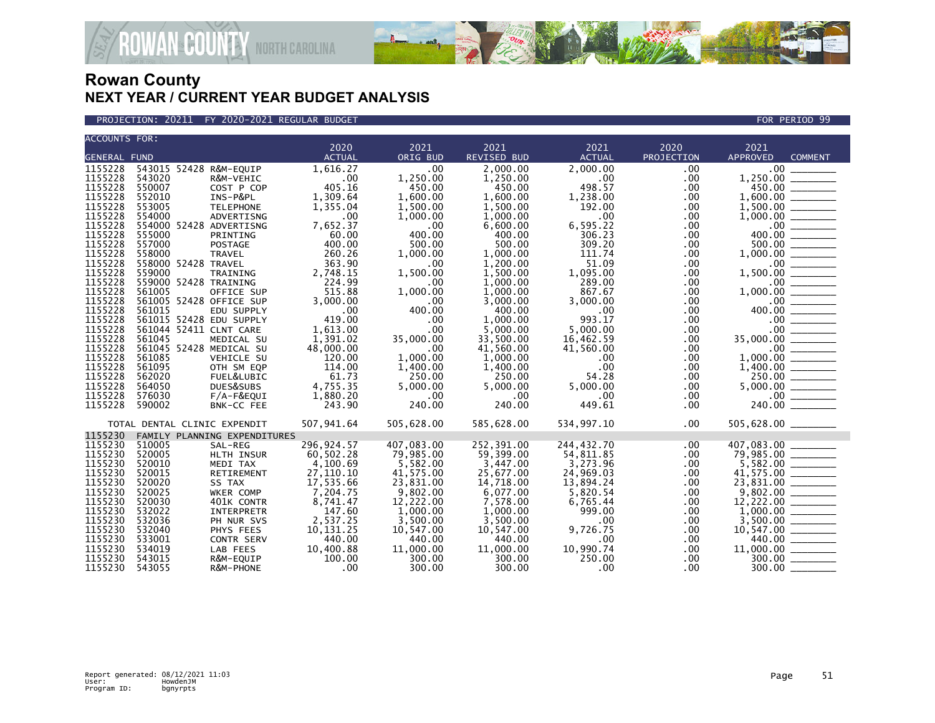



| <b>ACCOUNTS FOR:</b> |                              |                              |               |            |                    |               |                   |                                                                                       |  |
|----------------------|------------------------------|------------------------------|---------------|------------|--------------------|---------------|-------------------|---------------------------------------------------------------------------------------|--|
|                      |                              |                              | 2020          | 2021       | 2021               | 2021          | 2020              | 2021                                                                                  |  |
| <b>GENERAL FUND</b>  |                              |                              | <b>ACTUAL</b> | ORIG BUD   | <b>REVISED BUD</b> | <b>ACTUAL</b> | <b>PROJECTION</b> | <b>APPROVED</b><br><b>COMMENT</b>                                                     |  |
| 1155228              | 543015 52428 R&M-EQUIP       |                              | 1,616.27      | .00        | 2,000.00           | 2,000.00      | .00               | .00                                                                                   |  |
| 1155228              | 543020                       | R&M-VEHIC                    | .00           | 1,250.00   | 1,250.00           | .00.          | .00               |                                                                                       |  |
| 1155228              | 550007                       | COST P COP                   | 405.16        | 450.00     | 450.00             | 498.57        | .00               |                                                                                       |  |
| 1155228              | 552010                       | INS-P&PL                     | 1,309.64      | 1,600.00   | 1,600.00           | 1,238.00      | .00               | $450.00$ —<br>.600.00 —————<br>1.600.00                                               |  |
| 1155228              | 553005                       | <b>TELEPHONE</b>             | 1,355.04      | 1,500.00   | 1,500.00           | 192.00        | .00               |                                                                                       |  |
| 1155228              | 554000                       | ADVERTISNG                   | .00           | 1,000.00   | 1.000.00           | $.00 \times$  | .00               | $1,500.00$<br>$1,000.00$<br>$0.00$<br>$400.00$<br>$500.00$<br>$1,500.00$              |  |
| 1155228              | 554000 52428 ADVERTISNG      |                              | 7,652.37      | .00        | 6,600.00           | 6,595.22      | .00               |                                                                                       |  |
| 1155228              | 555000                       | PRINTING                     | 60.00         | 400.00     | 400.00             | 306.23        | .00               |                                                                                       |  |
| 1155228              | 557000                       | POSTAGE                      | 400.00        | 500.00     | 500.00             | 309.20        | .00               |                                                                                       |  |
| 1155228              | 558000                       | <b>TRAVEL</b>                | 260.26        | 1,000.00   | 1,000.00           | 111.74        | .00               | 1,000.00<br>$\overline{\phantom{a}}$                                                  |  |
| 1155228              | 558000 52428 TRAVEL          |                              | 363.90        | .00        | 1,200.00           | 51.09         | .00               |                                                                                       |  |
| 1155228              | 559000                       | TRAINING                     | 2,748.15      | 1,500.00   | 1,500.00           | 1,095.00      | .00               | 1,500.00                                                                              |  |
| 1155228              | 559000 52428 TRAINING        |                              | 224.99        | .00        | 1,000.00           | 289.00        | .00               | $\frac{1}{00}$ - 00<br>- 00<br>- 00 - 00 -                                            |  |
| 1155228              | 561005                       | OFFICE SUP                   | 515.88        | 1,000.00   | 1.000.00           | 867.67        | .00               | 1.000.00                                                                              |  |
| 1155228              | 561005 52428 OFFICE SUP      |                              | 3.000.00      | .00        | 3,000.00           | 3.000.00      | .00               |                                                                                       |  |
| 1155228              | 561015                       | EDU SUPPLY                   | $.00 \,$      | 400.00     | 400.00             | $.00 \,$      | .00               | 400.00                                                                                |  |
| 1155228              | 561015 52428 EDU SUPPLY      |                              | 419.00        | .00        | 1.000.00           | 993.17        | .00               |                                                                                       |  |
| 1155228              | 561044 52411 CLNT CARE       |                              | 1,613.00      | .00        | 5.000.00           | 5.000.00      | .00               |                                                                                       |  |
| 1155228              | 561045                       | MEDICAL SU                   | 1,391.02      | 35,000.00  | 33,500.00          | 16,462.59     | .00               | 35,000.00                                                                             |  |
| 1155228              | 561045 52428 MEDICAL SU      |                              | 48,000.00     | .00        | 41,560.00          | 41,560.00     | .00               |                                                                                       |  |
| 1155228              | 561085                       | VEHICLE SU                   | 120.00        | 1.000.00   | 1,000.00           | $.00 \times$  | .00               | 1.000.00                                                                              |  |
| 1155228              | 561095                       | OTH SM EQP                   | 114.00        | 1,400.00   | 1,400.00           | $.00 \,$      | .00               |                                                                                       |  |
| 1155228              | 562020                       | FUEL&LUBIC                   | 61.73         | 250.00     | 250.00             | 54.28         | .00               |                                                                                       |  |
| 1155228              | 564050                       | DUES&SUBS                    | 4,755.35      | 5,000.00   | 5,000.00           | 5,000.00      | .00               |                                                                                       |  |
| 1155228              | 576030                       | $F/A-F&EQUI$                 | 1,880.20      | .00        | .00                | $.00 \,$      | $.00 \,$          | $1,400.00$<br>$250.00$<br>$5,000.00$<br>$240.00$                                      |  |
| 1155228              | 590002                       | BNK-CC FEE                   | 243.90        | 240.00     | 240.00             | 449.61        | $.00 \,$          |                                                                                       |  |
|                      |                              |                              |               |            |                    |               |                   |                                                                                       |  |
|                      | TOTAL DENTAL CLINIC EXPENDIT |                              | 507,941.64    | 505,628.00 | 585,628.00         | 534,997.10    | $.00 \,$          |                                                                                       |  |
| 1155230              |                              | FAMILY PLANNING EXPENDITURES |               |            |                    |               |                   |                                                                                       |  |
| 1155230              | 510005                       | SAL-REG                      | 296,924.57    | 407,083.00 | 252,391.00         | 244,432.70    | .00               | 407,083.00                                                                            |  |
| 1155230              | 520005                       | HLTH INSUR                   | 60,502.28     | 79,985.00  | 59,399.00          | 54,811.85     | .00.              | $79,985.00$ $5,582.00$                                                                |  |
| 1155230              | 520010                       | MEDI TAX                     | 4,100.69      | 5,582.00   | 3,447.00           | 3,273.96      | .00               |                                                                                       |  |
| 1155230              | 520015                       | RETIREMENT                   | 27,110.10     | 41,575.00  | 25,677.00          | 24,969.03     | .00               | $41,575.00$<br>23,831.00                                                              |  |
| 1155230              | 520020                       | SS TAX                       | 17,535.66     | 23,831.00  | 14,718.00          | 13,894.24     | .00               |                                                                                       |  |
| 1155230              | 520025                       | WKER COMP                    | 7,204.75      | 9,802.00   | 6,077.00           | 5,820.54      | .00               |                                                                                       |  |
| 1155230              | 520030                       | 401K CONTR                   | 8,741.47      | 12,222.00  | 7,578.00           | 6,765.44      | .00               |                                                                                       |  |
| 1155230              | 532022                       | INTERPRETR                   | 147.60        | 1,000.00   | 1,000.00           | 999.00        | .00               | $\begin{array}{r} 9,802.00 \ \hline 12,222.00 \ \hline 1,000.00 \ \hline \end{array}$ |  |
| 1155230              | 532036                       | PH NUR SVS                   | 2,537.25      | 3,500.00   | 3,500.00           | $.00 \,$      | .00               | $\frac{3,500.00}{10,547.00}$                                                          |  |
| 1155230              | 532040                       | PHYS FEES                    | 10,131.25     | 10,547.00  | 10,547.00          | 9,726.75      | .00               |                                                                                       |  |
| 1155230              | 533001                       | CONTR SERV                   | 440.00        | 440.00     | 440.00             | $.00 \,$      | .00               | 440.00 _______                                                                        |  |
| 1155230              | 534019                       | LAB FEES                     | 10,400.88     | 11,000.00  | 11,000.00          | 10,990.74     | $.00 \,$          |                                                                                       |  |
| 1155230              | 543015                       | R&M-EQUIP                    | 100.00        | 300.00     | 300.00             | 250.00        | .00               | $11,000.00$ $\overline{\hspace{1cm}}$ $300.00$ $\overline{\hspace{1cm}}$              |  |
| 1155230              | 543055                       | R&M-PHONE                    | .00           | 300.00     | 300.00             | .00.          | .00.              | 300.00                                                                                |  |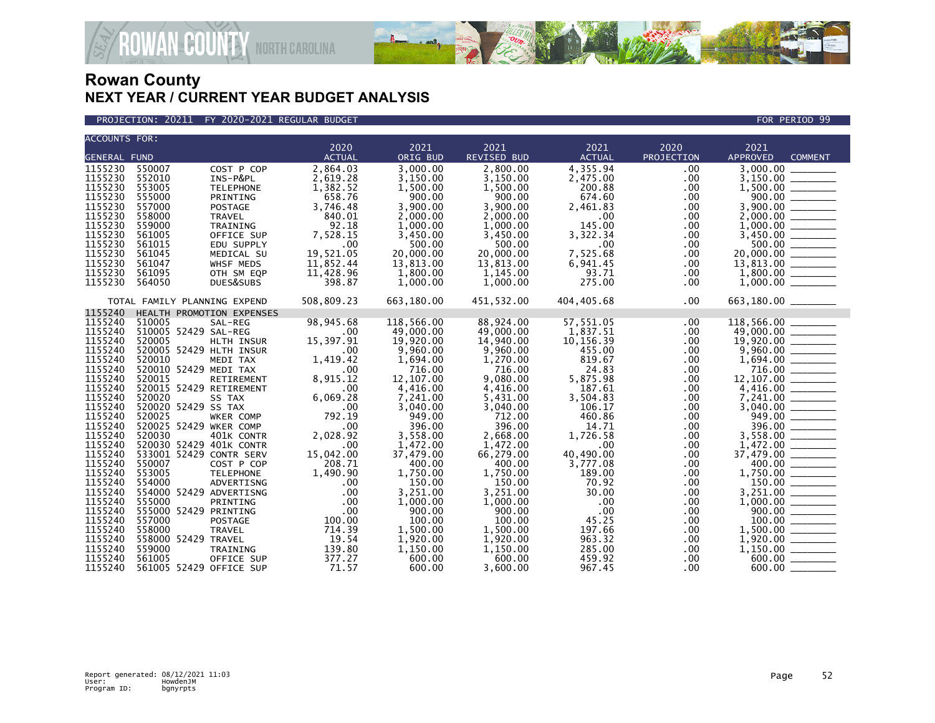

#### PROJECTION: 20211 FY 2020-2021 REGULAR BUDGET FOR PERIOD 99

| <b>ACCOUNTS FOR:</b> |                                             | 2020            | 2021                | 2021               | 2021              | 2020            | 2021                                                                                                                                                                                                                                                                      |
|----------------------|---------------------------------------------|-----------------|---------------------|--------------------|-------------------|-----------------|---------------------------------------------------------------------------------------------------------------------------------------------------------------------------------------------------------------------------------------------------------------------------|
| <b>GENERAL FUND</b>  |                                             | <b>ACTUAL</b>   | ORIG BUD            | <b>REVISED BUD</b> | <b>ACTUAL</b>     | PROJECTION      | <b>APPROVED</b><br><b>COMMENT</b>                                                                                                                                                                                                                                         |
| 1155230              | 550007<br>COST P COP                        | 2,864.03        | 3,000.00            | 2,800.00           | 4,355.94          | .00             | 3,000.00                                                                                                                                                                                                                                                                  |
| 1155230              | 552010<br>INS-P&PL                          | 2,619.28        | 3,150.00            | 3,150.00           | 2,475.00          | .00             |                                                                                                                                                                                                                                                                           |
| 1155230              | 553005<br><b>TELEPHONE</b>                  | 1,382.52        | 1,500.00            | 1,500.00           | 200.88            | .00             |                                                                                                                                                                                                                                                                           |
| 1155230              | 555000<br>PRINTING                          | 658.76          | 900.00              | 900.00             | 674.60            | .00             |                                                                                                                                                                                                                                                                           |
| 1155230              | 557000<br>POSTAGE                           | 3,746.48        | 3,900.00            | 3,900.00           | 2,461.83          | .00             |                                                                                                                                                                                                                                                                           |
| 1155230              | 558000<br><b>TRAVEL</b>                     | 840.01          | 2,000.00            | 2,000.00           | $.00 \,$          | .00             |                                                                                                                                                                                                                                                                           |
| 1155230              | 559000<br>TRAINING                          | 92.18           | 1,000.00            | 1,000.00           | 145.00            | .00             |                                                                                                                                                                                                                                                                           |
| 1155230              | 561005<br>OFFICE SUP                        | 7,528.15        | 3,450.00            | 3,450.00           | 3,322.34          | .00             |                                                                                                                                                                                                                                                                           |
| 1155230              | 561015<br>EDU SUPPLY                        | .00             | 500.00              | 500.00             | $.00 \,$          | .00             |                                                                                                                                                                                                                                                                           |
| 1155230              | 561045<br>MEDICAL SU                        | 19,521.05       | 20,000.00           | 20,000.00          | 7,525.68          | .00             |                                                                                                                                                                                                                                                                           |
| 1155230              | 561047<br>WHSF MEDS                         | 11,852.44       | 13,813.00           | 13,813.00          | 6,941.45          | $.00 \,$        |                                                                                                                                                                                                                                                                           |
| 1155230              | 561095<br>OTH SM EQP                        | 11,428.96       | 1,800.00            | 1,145.00           | 93.71             | .00             |                                                                                                                                                                                                                                                                           |
| 1155230              | 564050<br>DUES&SUBS                         | 398.87          | 1,000.00            | 1,000.00           | 275.00            | .00             | $\begin{array}{r} 3,000.00 \ \hline 3,150.00 \ \hline 1,500.00 \ \hline 1,500.00 \ \hline 3,900.00 \ \hline 2,000.00 \ \hline 2,000.00 \ \hline 1,000.00 \ \hline 5,500.00 \ \hline 2,000.00 \ \hline 13,813.00 \ \hline 1,800.00 \ \hline 1,000.00 \ \hline \end{array}$ |
|                      | TOTAL FAMILY PLANNING EXPEND                | 508,809.23      | 663,180.00          | 451,532.00         | 404,405.68        | $.00 \,$        | 663,180.00 _______                                                                                                                                                                                                                                                        |
| 1155240              | HEALTH PROMOTION EXPENSES                   |                 |                     |                    |                   |                 |                                                                                                                                                                                                                                                                           |
| 1155240              | 510005<br>SAL-REG                           | 98, 945.68      | 118,566.00          | 88,924.00          | 57,551.05         | .00.            | 118,566.00                                                                                                                                                                                                                                                                |
| 1155240              | 510005 52429 SAL-REG                        | .00             | 49,000.00           | 49,000.00          | 1,837.51          | .00             |                                                                                                                                                                                                                                                                           |
| 1155240              | 520005<br>HLTH INSUR                        | 15,397.91       | 19,920.00           | 14,940.00          | 10,156.39         | .00             |                                                                                                                                                                                                                                                                           |
| 1155240              | 520005 52429 HLTH INSUR                     | .00             | 9,960.00            | 9,960.00           | 455.00            | .00.            | $\begin{array}{r} 14,900.00 \ \hline 49,000.00 \ \hline 1,694.00 \ \hline 1,694.00 \ \hline 1,107.00 \ \hline 2,200.00 \ \hline 1,4,416.00 \ \hline 7,241.00 \ \hline 3,040.00 \ \hline 949.00 \ \hline \end{array}$                                                      |
| 1155240<br>1155240   | 520010<br>MEDI TAX<br>520010 52429 MEDI TAX | 1,419.42        | 1,694.00            | 1,270.00           | 819.67            | .00             |                                                                                                                                                                                                                                                                           |
| 1155240              | 520015<br>RETIREMENT                        | .00<br>8,915.12 | 716.00<br>12,107.00 | 716.00<br>9,080.00 | 24.83<br>5,875.98 | .00<br>$.00 \,$ |                                                                                                                                                                                                                                                                           |
| 1155240              | 520015 52429 RETIREMENT                     | .00             | 4,416.00            | 4,416.00           | 187.61            | $.00 \,$        |                                                                                                                                                                                                                                                                           |
| 1155240              | 520020<br>SS TAX                            | 6,069.28        | 7,241.00            | 5,431.00           | 3,504.83          | .00             |                                                                                                                                                                                                                                                                           |
| 1155240              | 520020 52429 SS TAX                         | .00             | 3,040.00            | 3,040.00           | 106.17            | $.00 \,$        |                                                                                                                                                                                                                                                                           |
| 1155240              | 520025<br>WKER COMP                         | 792.19          | 949.00              | 712.00             | 460.86            | $.00 \,$        |                                                                                                                                                                                                                                                                           |
| 1155240              | 520025 52429 WKER COMP                      | .00             | 396.00              | 396.00             | 14.71             | .00             | $\begin{array}{r} 949.00 \ \hline 396.00 \ \hline 1,472.00 \ \hline 37,479.00 \ \hline 1,750.00 \ \hline 1,750.00 \ \hline 1,581.00 \ \hline \end{array}$                                                                                                                 |
| 1155240              | 520030<br>401K CONTR                        | 2,028.92        | 3,558.00            | 2,668.00           | 1,726.58          | .00.            |                                                                                                                                                                                                                                                                           |
| 1155240              | 520030 52429 401K CONTR                     | .00             | 1,472.00            | 1,472.00           | $.00 \,$          | .00.            |                                                                                                                                                                                                                                                                           |
| 1155240              | 533001 52429 CONTR SERV                     | 15,042.00       | 37,479.00           | 66,279.00          | 40,490.00         | .00.            |                                                                                                                                                                                                                                                                           |
| 1155240              | 550007<br>COST P COP                        | 208.71          | 400.00              | 400.00             | 3,777.08          | .00             |                                                                                                                                                                                                                                                                           |
| 1155240              | 553005<br><b>TELEPHONE</b>                  | 1,490.90        | 1,750.00            | 1,750.00           | 189.00            | .00             |                                                                                                                                                                                                                                                                           |
| 1155240              | 554000<br>ADVERTISNG                        | $.00 \,$        | 150.00              | 150.00             | 70.92             | $.00 \,$        |                                                                                                                                                                                                                                                                           |
| 1155240              | 554000 52429 ADVERTISNG                     | .00             | 3,251.00            | 3,251.00           | 30.00             | .00             |                                                                                                                                                                                                                                                                           |
| 1155240              | 555000<br>PRINTING                          | .00             | 1,000.00            | 1,000.00           | $.00 \times$      | $.00 \,$        |                                                                                                                                                                                                                                                                           |
| 1155240              | 555000 52429 PRINTING                       | .00             | 900.00              | 900.00             | .00               | .00             |                                                                                                                                                                                                                                                                           |
| 1155240              | 557000<br>POSTAGE                           | 100.00          | 100.00              | 100.00             | 45.25             | .00             | $\begin{array}{r} 1,900.00 \ \hline 1,000.00 \ \hline 1,000.00 \ \hline 1,000.00 \ \hline 1,000.00 \ \hline 1,1,000.00 \ \hline 1,1,000.00 \ \hline 1,1,150.00 \ \hline \end{array}$                                                                                      |
| 1155240              | 558000<br><b>TRAVEL</b>                     | 714.39          | 1,500.00            | 1,500.00           | 197.66            | $.00 \,$        |                                                                                                                                                                                                                                                                           |
| 1155240              | 558000 52429 TRAVEL                         | 19.54           | 1,920.00            | 1,920.00           | 963.32            | $.00 \,$        |                                                                                                                                                                                                                                                                           |
| 1155240              | 559000<br>TRAINING                          | 139.80          | 1,150.00            | 1,150.00           | 285.00            | $.00 \,$        |                                                                                                                                                                                                                                                                           |
| 1155240              | 561005<br>OFFICE SUP                        | 377.27          | 600.00              | 600.00             | 459.92            | $.00 \,$        | $600.00$                                                                                                                                                                                                                                                                  |
| 1155240              | 561005 52429 OFFICE SUP                     | 71.57           | 600.00              | 3.600.00           | 967.45            | .00.            | 600.00                                                                                                                                                                                                                                                                    |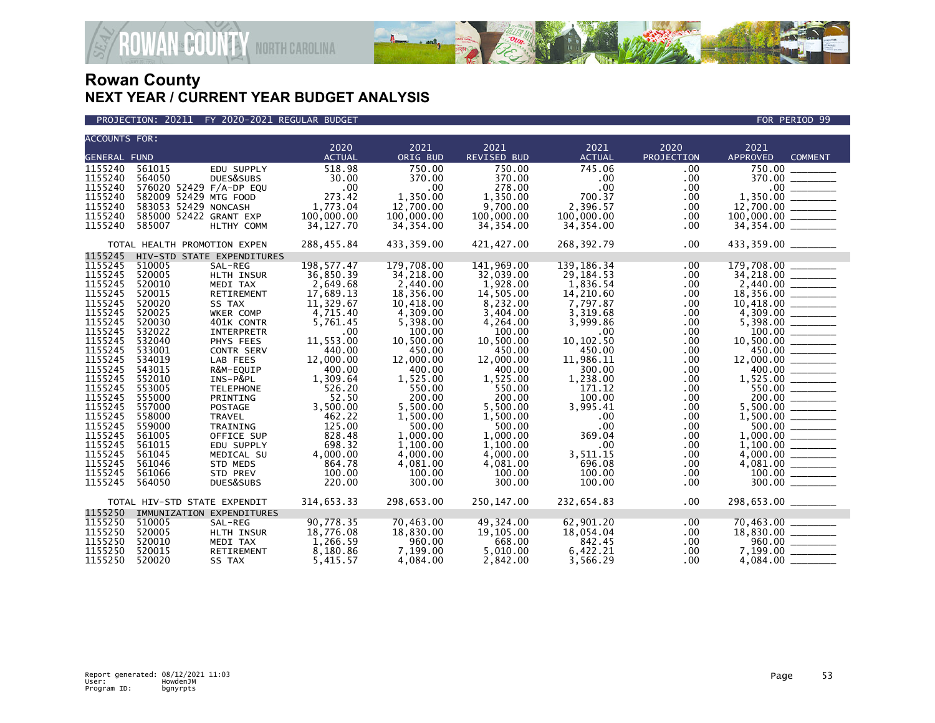



| <b>ACCOUNTS FOR:</b> |                              |                   |               |            |                    |                  |                   |                                                                                                                                                  |
|----------------------|------------------------------|-------------------|---------------|------------|--------------------|------------------|-------------------|--------------------------------------------------------------------------------------------------------------------------------------------------|
|                      |                              |                   | 2020          | 2021       | 2021               | 2021             | 2020              | 2021                                                                                                                                             |
| <b>GENERAL FUND</b>  |                              |                   | <b>ACTUAL</b> | ORIG BUD   | <b>REVISED BUD</b> | <b>ACTUAL</b>    | <b>PROJECTION</b> | <b>APPROVED</b><br><b>COMMENT</b>                                                                                                                |
| 1155240              | 561015                       | EDU SUPPLY        | 518.98        | 750.00     | 750.00             | 745.06           | $.00 \,$          |                                                                                                                                                  |
| 1155240              | 564050                       | DUES&SUBS         | 30.00         | 370.00     | 370.00             | .00              | .00               | 370.00 _______                                                                                                                                   |
| 1155240              | 576020 52429 F/A-DP EQU      |                   | .00           | .00        | 278.00             | $.00 \,$         | $.00 \,$          | $\frac{1,350.00}{12,700.00}$                                                                                                                     |
| 1155240              | 582009 52429 MTG FOOD        |                   | 273.42        | 1,350.00   | 1,350.00           | 700.37           | $.00 \,$          |                                                                                                                                                  |
| 1155240              | 583053 52429 NONCASH         |                   | 1,773.04      | 12,700.00  | 9,700.00           | 2,396.57         | .00               |                                                                                                                                                  |
| 1155240              | 585000 52422 GRANT EXP       |                   | 100,000.00    | 100,000.00 | 100,000.00         | 100,000.00       | .00               |                                                                                                                                                  |
| 1155240              | 585007                       | HLTHY COMM        | 34,127.70     | 34, 354.00 | 34,354.00          | 34,354.00        | $.00 \,$          |                                                                                                                                                  |
|                      | TOTAL HEALTH PROMOTION EXPEN |                   | 288,455.84    | 433,359.00 | 421,427.00         | 268,392.79       | $.00 \,$          | 433,359.00 _______                                                                                                                               |
| 1155245              | HIV-STD STATE EXPENDITURES   |                   |               |            |                    |                  |                   |                                                                                                                                                  |
| 1155245              | 510005                       | SAL-REG           | 198, 577.47   | 179,708.00 | 141,969.00         | 139, 186. 34     | $.00 \,$          | 179,708.00                                                                                                                                       |
| 1155245              | 520005                       | HLTH INSUR        | 36,850.39     | 34,218.00  | 32,039.00          | 29, 184. 53      | $.00 \,$          | $34,218.00$<br>2,440.00                                                                                                                          |
| 1155245              | 520010                       | MEDI TAX          | 2,649.68      | 2,440.00   | 1,928.00           | 1,836.54         | .00               |                                                                                                                                                  |
| 1155245              | 520015                       | RETIREMENT        | 17,689.13     | 18,356.00  | 14,505.00          | 14,210.60        | $.00 \,$          | $18,356.00$<br>10,418.00                                                                                                                         |
| 1155245              | 520020                       | SS TAX            | 11,329.67     | 10,418.00  | 8,232.00           | 7,797.87         | $.00 \,$          |                                                                                                                                                  |
| 1155245              | 520025                       | WKER COMP         | 4,715.40      | 4,309.00   | 3,404.00           | 3,319.68         | $.00 \,$          |                                                                                                                                                  |
| 1155245              | 520030                       | 401K CONTR        | 5,761.45      | 5,398.00   | 4,264.00           | 3.999.86         | $.00 \,$          |                                                                                                                                                  |
| 1155245              | 532022                       | INTERPRETR        | .00           | 100.00     | 100.00             | $.00 \,$         | .00               | $10,418.00$<br>$4,309.00$<br>$5,398.00$<br>$100.00$<br>$10,500.00$<br>$450.00$<br>$450.00$<br>$1,525.00$<br>$550.00$<br>$5,500.00$<br>$5,500.00$ |
| 1155245              | 532040                       | PHYS FEES         | 11,553.00     | 10,500.00  | 10,500.00          | 10, 102.50       | .00               |                                                                                                                                                  |
| 1155245              | 533001                       | <b>CONTR SERV</b> | 440.00        | 450.00     | 450.00             | 450.00           | $.00 \,$          |                                                                                                                                                  |
| 1155245              | 534019                       | LAB FEES          | 12,000.00     | 12,000.00  | 12,000.00          | 11,986.11        | $.00 \,$          |                                                                                                                                                  |
| 1155245              | 543015                       | R&M-EQUIP         | 400.00        | 400.00     | 400.00             | 300.00           | $.00 \,$          |                                                                                                                                                  |
| 1155245              | 552010                       | INS-P&PL          | 1,309.64      | 1,525.00   | 1,525.00           | 1,238.00         | $.00 \,$          |                                                                                                                                                  |
| 1155245              | 553005                       | <b>TELEPHONE</b>  | 526.20        | 550.00     | 550.00             | 171.12           | $.00 \,$          |                                                                                                                                                  |
| 1155245              | 555000                       | PRINTING          | 52.50         | 200.00     | 200.00             | 100.00           | $.00 \,$          |                                                                                                                                                  |
| 1155245              | 557000                       | POSTAGE           | 3,500.00      | 5,500.00   | 5,500.00           | 3,995.41         | $.00 \,$          |                                                                                                                                                  |
| 1155245              | 558000                       | TRAVEL            | 462.22        | 1,500.00   | 1,500.00           | $.00 \,$         | .00               |                                                                                                                                                  |
| 1155245              | 559000                       | TRAINING          | 125.00        | 500.00     | 500.00             | .00 <sub>1</sub> | $.00 \,$          | $\frac{1,000.00}{1,000.00}$                                                                                                                      |
| 1155245              | 561005                       | OFFICE SUP        | 828.48        | 1,000.00   | 1,000.00           | 369.04           | $.00 \,$          |                                                                                                                                                  |
| 1155245              | 561015                       | EDU SUPPLY        | 698.32        | 1,100.00   | 1.100.00           | $.00 \,$         | $.00 \,$          |                                                                                                                                                  |
| 1155245              | 561045                       | MEDICAL SU        | 4,000.00      | 4,000.00   | 4.000.00           | 3,511.15         | $.00 \,$          |                                                                                                                                                  |
| 1155245              | 561046                       | STD MEDS          | 864.78        | 4,081.00   | 4,081.00           | 696.08           | $.00 \,$          |                                                                                                                                                  |
| 1155245              | 561066                       | <b>STD PREV</b>   | 100.00        | 100.00     | 100.00             | 100.00           | $.00 \,$          |                                                                                                                                                  |
| 1155245              | 564050                       | DUES&SUBS         | 220.00        | 300.00     | 300.00             | 100.00           | $.00 \,$          |                                                                                                                                                  |
|                      | TOTAL HIV-STD STATE EXPENDIT |                   | 314,653.33    | 298,653.00 | 250,147.00         | 232,654.83       | $.00 \,$          | 298,653.00 _______                                                                                                                               |
| 1155250              | IMMUNIZATION EXPENDITURES    |                   |               |            |                    |                  |                   |                                                                                                                                                  |
| 1155250              | 510005                       | SAL-REG           | 90,778.35     | 70,463.00  | 49,324.00          | 62,901.20        | .00               | $70,463.00$<br>18,830.00<br>- 960.00                                                                                                             |
| 1155250              | 520005                       | HLTH INSUR        | 18,776.08     | 18,830.00  | 19,105.00          | 18,054.04        | $.00 \,$          |                                                                                                                                                  |
| 1155250              | 520010                       | MEDI TAX          | 1,266.59      | 960.00     | 668.00             | 842.45           | $.00 \,$          |                                                                                                                                                  |
| 1155250              | 520015                       | RETIREMENT        | 8,180.86      | 7,199.00   | 5,010.00           | 6,422.21         | $.00 \,$          |                                                                                                                                                  |
| 1155250              | 520020                       | SS TAX            | 5,415.57      | 4,084.00   | 2,842.00           | 3,566.29         | $.00 \,$          |                                                                                                                                                  |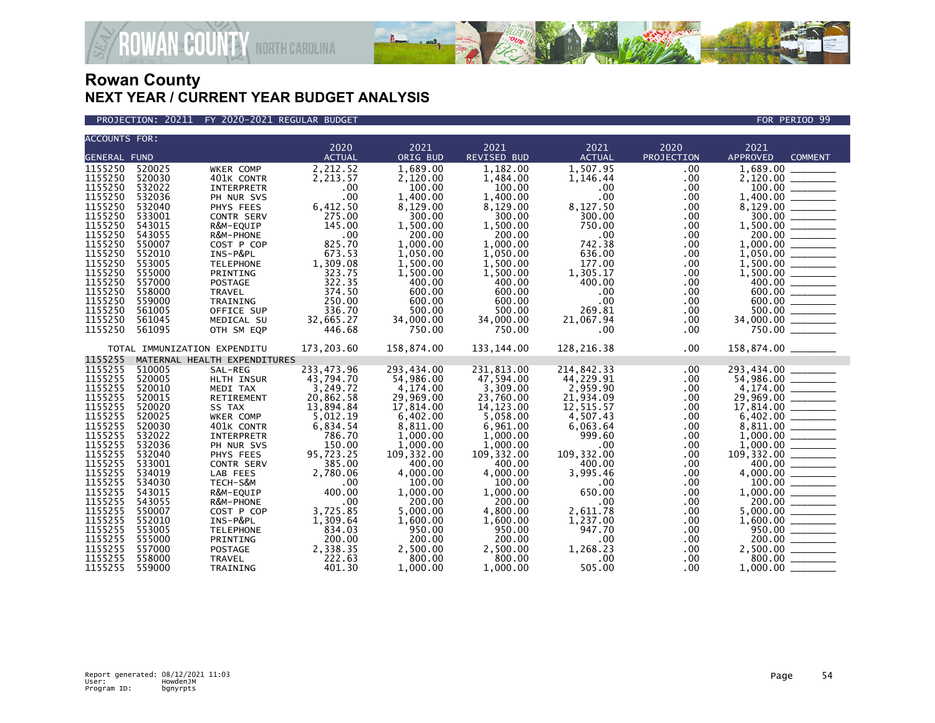

PROJECTION: 20211 FY 2020-2021 REGULAR BUDGET FOR PERIOD 99

| <b>ACCOUNTS FOR:</b> |                  |                              |                    |                    |                    |                    |            |                                                                                                                                                                                                                                                                   |
|----------------------|------------------|------------------------------|--------------------|--------------------|--------------------|--------------------|------------|-------------------------------------------------------------------------------------------------------------------------------------------------------------------------------------------------------------------------------------------------------------------|
|                      |                  |                              | 2020               | 2021               | 2021               | 2021               | 2020       | 2021                                                                                                                                                                                                                                                              |
| <b>GENERAL FUND</b>  |                  |                              | <b>ACTUAL</b>      | ORIG BUD           | <b>REVISED BUD</b> | <b>ACTUAL</b>      | PROJECTION | <b>APPROVED</b><br><b>COMMENT</b>                                                                                                                                                                                                                                 |
| 1155250              | 520025           | WKER COMP                    | 2,212.52           | 1,689.00           | 1,182.00           | 1,507.95           | .00        | $\frac{1,689.00}{2,120.00}$                                                                                                                                                                                                                                       |
| 1155250              | 520030           | 401K CONTR                   | 2,213.57           | 2,120.00           | 1,484.00           | 1,146.44           | .00        |                                                                                                                                                                                                                                                                   |
| 1155250              | 532022           | <b>INTERPRETR</b>            | .00                | 100.00             | 100.00             | $.00 \,$           | .00        |                                                                                                                                                                                                                                                                   |
| 1155250              | 532036           | PH NUR SVS                   | .00                | 1,400.00           | 1,400.00           | .00                | .00        |                                                                                                                                                                                                                                                                   |
| 1155250              | 532040           | PHYS FEES                    | 6,412.50<br>275.00 | 8,129.00           | 8,129.00           | 8,127.50           | $.00 \,$   |                                                                                                                                                                                                                                                                   |
| 1155250              | 533001           | <b>CONTR SERV</b>            |                    | 300.00             | 300.00             | 300.00             | .00        |                                                                                                                                                                                                                                                                   |
| 1155250              | 543015           | R&M-EQUIP                    | 145.00             | 1,500.00           | 1,500.00           | 750.00             | .00        |                                                                                                                                                                                                                                                                   |
| 1155250              | 543055           | R&M-PHONE                    | .00                | 200.00             | 200.00             | $.00 \,$           | .00        |                                                                                                                                                                                                                                                                   |
| 1155250              | 550007           | COST P COP                   | 825.70             | 1,000.00           | 1,000.00           | 742.38             | .00        |                                                                                                                                                                                                                                                                   |
| 1155250<br>1155250   | 552010           | INS-P&PL                     | 673.53             | 1,050.00           | 1,050.00           | 636.00             | $.00 \,$   |                                                                                                                                                                                                                                                                   |
| 1155250              | 553005<br>555000 | <b>TELEPHONE</b>             | 1,309.08<br>323.75 | 1,500.00           | 1,500.00           | 177.00             | .00        |                                                                                                                                                                                                                                                                   |
| 1155250              | 557000           | PRINTING<br>POSTAGE          | 322.35             | 1,500.00<br>400.00 | 1,500.00<br>400.00 | 1,305.17<br>400.00 | .00<br>.00 |                                                                                                                                                                                                                                                                   |
| 1155250              | 558000           | TRAVEL                       | 374.50             | 600.00             | 600.00             | $.00 \times$       | .00        |                                                                                                                                                                                                                                                                   |
| 1155250              | 559000           | TRAINING                     | 250.00             | 600.00             | 600.00             | $.00 \,$           | .00        |                                                                                                                                                                                                                                                                   |
| 1155250              | 561005           | OFFICE SUP                   | 336.70             | 500.00             | 500.00             | 269.81             | $.00 \,$   |                                                                                                                                                                                                                                                                   |
| 1155250              | 561045           | MEDICAL SU                   | 32,665.27          | 34,000.00          | 34,000.00          | 21,067.94          | $.00 \,$   |                                                                                                                                                                                                                                                                   |
| 1155250              | 561095           | OTH SM EQP                   | 446.68             | 750.00             | 750.00             | $.00 \,$           | $.00 \,$   |                                                                                                                                                                                                                                                                   |
|                      |                  |                              |                    |                    |                    |                    |            | $2,120.00$<br>$1,00.00$<br>$1,400.00$<br>$8,129.00$<br>$300.00$<br>$1,500.00$<br>$200.00$<br>$1,000.00$<br>$1,050.00$<br>$1,500.00$<br>$1,500.00$<br>$600.00$<br>$600.00$<br>$500.00$<br>$500.00$<br>$750.00$                                                     |
|                      |                  | TOTAL IMMUNIZATION EXPENDITU | 173,203.60         | 158,874.00         | 133,144.00         | 128, 216.38        | $.00 \,$   |                                                                                                                                                                                                                                                                   |
| 1155255              |                  | MATERNAL HEALTH EXPENDITURES |                    |                    |                    |                    |            |                                                                                                                                                                                                                                                                   |
| 1155255              | 510005           | SAL-REG                      | 233,473.96         | 293,434.00         | 231,813.00         | 214,842.33         | .00        | 293,434.00                                                                                                                                                                                                                                                        |
| 1155255              | 520005           | HLTH INSUR                   | 43,794.70          | 54,986.00          | 47,594.00          | 44,229.91          | .00.       |                                                                                                                                                                                                                                                                   |
| 1155255              | 520010           | MEDI TAX                     | 3,249.72           | 4,174.00           | 3,309.00           | 2,959.90           | .00        |                                                                                                                                                                                                                                                                   |
| 1155255              | 520015           | RETIREMENT                   | 20,862.58          | 29,969.00          | 23,760.00          | 21,934.09          | $.00 \,$   |                                                                                                                                                                                                                                                                   |
| 1155255              | 520020           | SS TAX                       | 13,894.84          | 17,814.00          | 14, 123.00         | 12,515.57          | $.00 \,$   |                                                                                                                                                                                                                                                                   |
| 1155255              | 520025           | WKER COMP                    | 5,012.19           | 6,402.00           | 5,058.00           | 4,507.43           | .00        |                                                                                                                                                                                                                                                                   |
| 1155255              | 520030           | 401K CONTR                   | 6,834.54           | 8,811.00           | 6,961.00           | 6,063.64           | .00        |                                                                                                                                                                                                                                                                   |
| 1155255              | 532022           | INTERPRETR                   | 786.70             | 1,000.00           | 1,000.00           | 999.60             | .00        |                                                                                                                                                                                                                                                                   |
| 1155255              | 532036           | PH NUR SVS                   | 150.00             | 1,000.00           | 1,000.00           | $.00 \,$           | .00        |                                                                                                                                                                                                                                                                   |
| 1155255              | 532040           | PHYS FEES                    | 95,723.25          | 109, 332.00        | 109, 332.00        | 109,332.00         | $.00 \,$   |                                                                                                                                                                                                                                                                   |
| 1155255              | 533001           | CONTR SERV                   | 385.00             | 400.00             | 400.00             | 400.00             | .00        |                                                                                                                                                                                                                                                                   |
| 1155255              | 534019           | LAB FEES                     | 2.780.06           | 4,000.00           | 4,000.00           | 3.995.46           | .00        |                                                                                                                                                                                                                                                                   |
| 1155255              | 534030           | TECH-S&M                     | .00                | 100.00             | 100.00             | $.00 \times$       | $.00 \,$   |                                                                                                                                                                                                                                                                   |
| 1155255              | 543015           | R&M-EQUIP                    | 400.00             | 1,000.00           | 1,000.00           | 650.00             | $.00 \,$   |                                                                                                                                                                                                                                                                   |
| 1155255              | 543055           | R&M-PHONE                    | .00                | 200.00             | 200.00             | .00.               | .00        |                                                                                                                                                                                                                                                                   |
| 1155255              | 550007           | COST P COP                   | 3,725.85           | 5,000.00           | 4,800.00           | 2,611.78           | $.00 \,$   |                                                                                                                                                                                                                                                                   |
| 1155255              | 552010           | INS-P&PL                     | 1,309.64           | 1,600.00           | 1,600.00           | 1,237.00           | $.00 \,$   |                                                                                                                                                                                                                                                                   |
| 1155255              | 553005           | <b>TELEPHONE</b>             | 834.03             | 950.00             | 950.00             | 947.70             | $.00 \,$   |                                                                                                                                                                                                                                                                   |
| 1155255              | 555000           | PRINTING                     | 200.00             | 200.00             | 200.00             | $.00 \,$           | $.00 \,$   |                                                                                                                                                                                                                                                                   |
| 1155255              | 557000           | <b>POSTAGE</b>               | 2,338.35           | 2,500.00           | 2,500.00           | 1,268.23           | .00        | $293,434.00$<br>$54,986.00$<br>$4,174.00$<br>$29,969.00$<br>$17,814.00$<br>$6,402.00$<br>$8,811.00$<br>$1,000.00$<br>$1,000.00$<br>$1,000.00$<br>$1,000.00$<br>$4,000.00$<br>$1,000.00$<br>$1,000.00$<br>$1,000.00$<br>$1,000.00$<br>$1,000.00$<br>$1,600.00$<br> |
| 1155255              | 558000           | <b>TRAVEL</b>                | 222.63             | 800.00             | 800.00             | $.00 \times$       | $.00 \,$   | $800.00$                                                                                                                                                                                                                                                          |
| 1155255              | 559000           | TRAINING                     | 401.30             | 1.000.00           | 1.000.00           | 505.00             | .00.       | 1.000.00                                                                                                                                                                                                                                                          |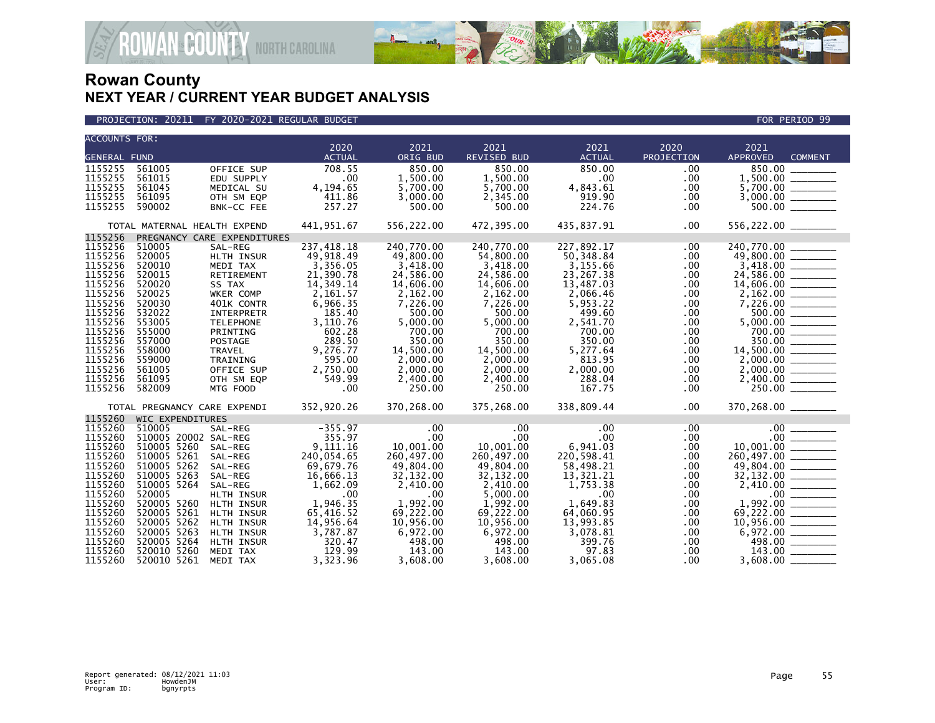

PROJECTION: 20211 FY 2020-2021 REGULAR BUDGET FOR PERIOD 99

| <b>ACCOUNTS FOR:</b> |                              |                             |                  |                  |                    |                 |              |                                      |                |
|----------------------|------------------------------|-----------------------------|------------------|------------------|--------------------|-----------------|--------------|--------------------------------------|----------------|
|                      |                              |                             | 2020             | 2021             | 2021               | 2021            | 2020         | 2021                                 |                |
| <b>GENERAL FUND</b>  |                              |                             | <b>ACTUAL</b>    | ORIG BUD         | <b>REVISED BUD</b> | <b>ACTUAL</b>   | PROJECTION   | <b>APPROVED</b>                      | <b>COMMENT</b> |
| 1155255              | 561005                       | OFFICE SUP                  | 708.55           | 850.00           | 850.00             | 850.00          | .00          | 850.00                               |                |
| 1155255              | 561015                       | EDU SUPPLY                  | .00              | 1,500.00         | 1,500.00           | .00             | .00          |                                      |                |
| 1155255              | 561045                       | MEDICAL SU                  | 4,194.65         | 5,700.00         | 5,700.00           | 4,843.61        | .00          |                                      |                |
| 1155255              | 561095                       | OTH SM EQP                  | 411.86           | 3,000.00         | 2,345.00           | 919.90          | .00          |                                      |                |
| 1155255              | 590002                       | BNK-CC FEE                  | 257.27           | 500.00           | 500.00             | 224.76          | .00          |                                      |                |
|                      | TOTAL MATERNAL HEALTH EXPEND |                             | 441,951.67       | 556,222.00       | 472,395.00         | 435,837.91      | .00          |                                      |                |
| 1155256              |                              | PREGNANCY CARE EXPENDITURES |                  |                  |                    |                 |              |                                      |                |
| 1155256              | 510005                       | SAL-REG                     | 237,418.18       | 240,770.00       | 240.770.00         | 227,892.17      | .00          | 240,770.00                           |                |
| 1155256              | 520005                       | HLTH INSUR                  | 49,918.49        | 49,800.00        | 54,800.00          | 50,348.84       | .00.         | $\frac{49,800.00}{3,418.00}$         |                |
| 1155256              | 520010                       | MEDI TAX                    | 3,356.05         | 3,418.00         | 3,418.00           | 3,155.66        | .00          |                                      |                |
| 1155256              | 520015                       | RETIREMENT                  | 21,390.78        | 24,586.00        | 24,586.00          | 23,267.38       | .00          | $24,586.00$<br>14,606.00<br>2,162.00 |                |
| 1155256              | 520020                       | SS TAX                      | 14,349.14        | 14,606.00        | 14,606.00          | 13,487.03       | .00.         |                                      |                |
| 1155256              | 520025                       | WKER COMP                   | 2,161.57         | 2,162.00         | 2,162.00           | 2,066.46        | .00          |                                      |                |
| 1155256              | 520030                       | 401K CONTR                  | 6,966.35         | 7,226.00         | 7,226.00           | 5,953.22        | .00          |                                      |                |
| 1155256              | 532022                       | INTERPRETR                  | 185.40           | 500.00           | 500.00             | 499.60          | .00          |                                      |                |
| 1155256              | 553005                       | <b>TELEPHONE</b>            | 3,110.76         | 5,000.00         | 5,000.00           | 2,541.70        | .00          |                                      |                |
| 1155256              | 555000                       | PRINTING                    | 602.28           | 700.00           | 700.00             | 700.00          | .00          |                                      |                |
| 1155256              | 557000                       | <b>POSTAGE</b>              | 289.50           | 350.00           | 350.00             | 350.00          | .00.         | 350.00                               |                |
| 1155256              | 558000                       | <b>TRAVEL</b>               | 9,276.77         | 14,500.00        | 14,500.00          | 5,277.64        | .00.         | 14,500.00 ________                   |                |
| 1155256              | 559000                       | TRAINING                    | 595.00           | 2,000.00         | 2,000.00           | 813.95          | .00.         |                                      |                |
| 1155256              | 561005                       | OFFICE SUP                  | 2,750.00         | 2,000.00         | 2,000.00           | 2,000.00        | .00          |                                      |                |
| 1155256              | 561095                       | OTH SM EQP                  | 549.99           | 2,400.00         | 2,400.00           | 288.04          | $.00 \,$     |                                      |                |
| 1155256              | 582009                       | MTG FOOD                    | .00              | 250.00           | 250.00             | 167.75          | .00          | 250.00 ________                      |                |
|                      | TOTAL PREGNANCY CARE EXPENDI |                             | 352,920.26       | 370,268.00       | 375,268.00         | 338,809.44      | $.00 \times$ | 370,268.00 _______                   |                |
| 1155260              | WIC EXPENDITURES             |                             |                  |                  |                    |                 |              |                                      |                |
| 1155260              | 510005                       | SAL-REG                     | $-355.97$        | $.00 \,$         | $.00 \,$           | .00             | .00.         |                                      |                |
| 1155260              | 510005 20002 SAL-REG         |                             | 355.97           | $.00 \,$         | $.00 \,$           | $.00 \,$        | $.00 \,$     |                                      |                |
| 1155260              | 510005 5260                  | SAL-REG                     | 9.111.16         | 10.001.00        | 10.001.00          | 6,941.03        | .00          |                                      |                |
| 1155260              | 510005 5261                  | SAL-REG                     | 240,054.65       | 260,497.00       | 260,497.00         | 220,598.41      | .00          |                                      |                |
| 1155260              | 510005 5262                  | SAL-REG                     | 69,679.76        | 49,804.00        | 49,804.00          | 58,498.21       | .00          |                                      |                |
| 1155260              | 510005 5263                  | SAL-REG                     | 16,666.13        | 32,132.00        | 32,132.00          | 13,321.21       | .00          |                                      |                |
| 1155260              | 510005 5264                  | SAL-REG                     | 1,662.09         | 2,410.00         | 2,410.00           | 1,753.38        | .00          |                                      |                |
| 1155260              | 520005                       | HLTH INSUR                  | $.00 \,$         | $.00 \,$         | 5,000.00           | .00             | .00          |                                      |                |
| 1155260              | 520005 5260                  | HLTH INSUR                  | 1,946.35         | 1,992.00         | 1,992.00           | 1,649.83        | .00          |                                      |                |
| 1155260              | 520005 5261                  | <b>HLTH INSUR</b>           | 65,416.52        | 69,222.00        | 69.222.00          | 64,060.95       | .00.         |                                      |                |
| 1155260              | 520005 5262                  | HLTH INSUR                  | 14,956.64        | 10,956.00        | 10,956.00          | 13,993.85       | .00          |                                      |                |
| 1155260<br>1155260   | 520005 5263<br>520005 5264   | HLTH INSUR                  | 3,787.87         | 6,972.00         | 6,972.00           | 3,078.81        | .00          |                                      |                |
| 1155260              | 520010 5260                  | HLTH INSUR<br>MEDI TAX      | 320.47<br>129.99 | 498.00<br>143.00 | 498.00<br>143.00   | 399.76<br>97.83 | .00<br>.00   | 143.00                               |                |
| 1155260              | 520010 5261                  | MEDI TAX                    | 3,323.96         |                  | 3,608.00           | 3,065.08        |              | 3,608.00                             |                |
|                      |                              |                             |                  | 3,608.00         |                    |                 | .00          |                                      |                |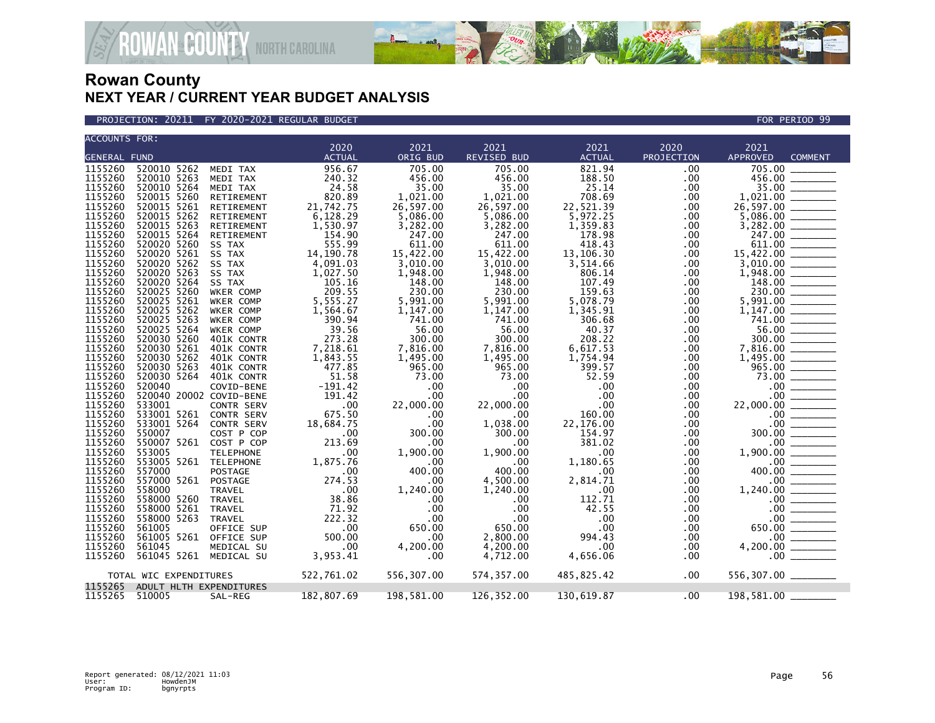

PROJECTION: 20211 FY 2020-2021 REGULAR BUDGET FOR PERIOD 99

| <b>ACCOUNTS FOR:</b> |                         |                   |                       |                  |                     |                       |                           |                                                                                                                                                                                                                                                                                                                                                                                                                                                                                                  |  |
|----------------------|-------------------------|-------------------|-----------------------|------------------|---------------------|-----------------------|---------------------------|--------------------------------------------------------------------------------------------------------------------------------------------------------------------------------------------------------------------------------------------------------------------------------------------------------------------------------------------------------------------------------------------------------------------------------------------------------------------------------------------------|--|
| <b>GENERAL FUND</b>  |                         |                   | 2020<br><b>ACTUAL</b> | 2021<br>ORIG BUD | 2021<br>REVISED BUD | 2021<br><b>ACTUAL</b> | 2020<br><b>PROJECTION</b> | 2021<br><b>APPROVED</b><br><b>COMMENT</b>                                                                                                                                                                                                                                                                                                                                                                                                                                                        |  |
|                      |                         |                   |                       |                  |                     |                       |                           |                                                                                                                                                                                                                                                                                                                                                                                                                                                                                                  |  |
| 1155260              | 520010 5262             | MEDI TAX          | 956.67                | 705.00           | 705.00              | 821.94                | .00                       | 705.00                                                                                                                                                                                                                                                                                                                                                                                                                                                                                           |  |
| 1155260              | 520010 5263             | MEDI TAX          | 240.32                | 456.00           | 456.00              | 188.50                | .00                       | 456.00                                                                                                                                                                                                                                                                                                                                                                                                                                                                                           |  |
| 1155260              | 520010 5264             | MEDI TAX          | 24.58                 | 35.00            | 35.00               | 25.14                 | .00                       | 35.00                                                                                                                                                                                                                                                                                                                                                                                                                                                                                            |  |
| 1155260              | 520015 5260             | RETIREMENT        | 820.89                | 1,021.00         | 1,021.00            | 708.69                | .00                       |                                                                                                                                                                                                                                                                                                                                                                                                                                                                                                  |  |
| 1155260              | 520015 5261             | RETIREMENT        | 21,742.75             | 26,597.00        | 26,597.00           | 22,521.39             | .00                       | 26,597.00                                                                                                                                                                                                                                                                                                                                                                                                                                                                                        |  |
| 1155260              | 520015 5262             | RETIREMENT        | 6,128.29              | 5,086.00         | 5,086.00            | 5,972.25              | .00                       |                                                                                                                                                                                                                                                                                                                                                                                                                                                                                                  |  |
| 1155260              | 520015 5263             | RETIREMENT        | 1,530.97              | 3,282.00         | 3,282.00            | 1,359.83              | .00                       |                                                                                                                                                                                                                                                                                                                                                                                                                                                                                                  |  |
| 1155260              | 520015 5264             | RETIREMENT        | 154.90                | 247.00           | 247.00              | 178.98                | .00                       | 247.00                                                                                                                                                                                                                                                                                                                                                                                                                                                                                           |  |
| 1155260              | 520020 5260             | SS TAX            | 555.99                | 611.00           | 611.00              | 418.43                | .00                       | 611.00                                                                                                                                                                                                                                                                                                                                                                                                                                                                                           |  |
| 1155260              | 520020 5261             | SS TAX            | 14, 190. 78           | 15,422.00        | 15,422.00           | 13,106.30             | .00                       |                                                                                                                                                                                                                                                                                                                                                                                                                                                                                                  |  |
| 1155260              | 520020 5262             | SS TAX            | 4,091.03              | 3,010.00         | 3,010.00            | 3,514.66              | .00                       |                                                                                                                                                                                                                                                                                                                                                                                                                                                                                                  |  |
| 1155260              | 520020 5263             | SS TAX            | 1,027.50              | 1,948.00         | 1,948.00            | 806.14                | .00                       |                                                                                                                                                                                                                                                                                                                                                                                                                                                                                                  |  |
| 1155260              | 520020 5264             | SS TAX            | 105.16                | 148.00           | 148.00              | 107.49                | .00                       | $148.00$ ________                                                                                                                                                                                                                                                                                                                                                                                                                                                                                |  |
| 1155260              | 520025 5260             | WKER COMP         | 209.55                | 230.00           | 230.00              | 159.63                | .00                       | 230.00                                                                                                                                                                                                                                                                                                                                                                                                                                                                                           |  |
| 1155260              | 520025 5261             | WKER COMP         | 5,555.27              | 5,991.00         | 5,991.00            | 5,078.79              | .00                       |                                                                                                                                                                                                                                                                                                                                                                                                                                                                                                  |  |
| 1155260              | 520025 5262             | WKER COMP         | 1,564.67              | 1,147.00         | 1,147.00            | 1,345.91              | .00                       | 1,147.00                                                                                                                                                                                                                                                                                                                                                                                                                                                                                         |  |
| 1155260              | 520025 5263             | WKER COMP         | 390.94                | 741.00           | 741.00              | 306.68                | .00                       | 741.00                                                                                                                                                                                                                                                                                                                                                                                                                                                                                           |  |
| 1155260              | 520025 5264             | WKER COMP         | 39.56                 | 56.00            | 56.00               | 40.37                 | .00                       |                                                                                                                                                                                                                                                                                                                                                                                                                                                                                                  |  |
| 1155260              | 520030 5260             | 401K CONTR        | 273.28                | 300.00           | 300.00              | 208.22                | .00                       | 300.00<br>$\begin{array}{cccccccccc} \multicolumn{2}{c}{} & \multicolumn{2}{c}{} & \multicolumn{2}{c}{} & \multicolumn{2}{c}{} & \multicolumn{2}{c}{} & \multicolumn{2}{c}{} & \multicolumn{2}{c}{} & \multicolumn{2}{c}{} & \multicolumn{2}{c}{} & \multicolumn{2}{c}{} & \multicolumn{2}{c}{} & \multicolumn{2}{c}{} & \multicolumn{2}{c}{} & \multicolumn{2}{c}{} & \multicolumn{2}{c}{} & \multicolumn{2}{c}{} & \multicolumn{2}{c}{} & \multicolumn{2}{c}{} & \multicolumn{2}{c}{} & \mult$ |  |
| 1155260              | 520030 5261             | 401K CONTR        | 7,218.61              | 7,816.00         | 7,816.00            | 6,617.53              | .00                       |                                                                                                                                                                                                                                                                                                                                                                                                                                                                                                  |  |
| 1155260              | 520030 5262             | 401K CONTR        | 1,843.55              | 1,495.00         | 1,495.00            | 1,754.94              | .00                       | 1,495.00                                                                                                                                                                                                                                                                                                                                                                                                                                                                                         |  |
| 1155260              | 520030 5263             | 401K CONTR        | 477.85                | 965.00           | 965.00              | 399.57                | .00                       | 965.00                                                                                                                                                                                                                                                                                                                                                                                                                                                                                           |  |
| 1155260              |                         |                   | 51.58                 |                  | 73.00               | 52.59                 |                           | 73.00                                                                                                                                                                                                                                                                                                                                                                                                                                                                                            |  |
|                      | 520030 5264<br>520040   | 401K CONTR        |                       | 73.00            |                     |                       | .00                       |                                                                                                                                                                                                                                                                                                                                                                                                                                                                                                  |  |
| 1155260              |                         | COVID-BENE        | $-191.42$             | .00              | $.00 \,$            | .00                   | .00                       | $.00 \,$                                                                                                                                                                                                                                                                                                                                                                                                                                                                                         |  |
| 1155260              | 520040 20002 COVID-BENE |                   | 191.42                | .00              | $.00 \cdot$         | .00                   | .00                       | $.00 \,$                                                                                                                                                                                                                                                                                                                                                                                                                                                                                         |  |
| 1155260              | 533001                  | <b>CONTR SERV</b> | .00                   | 22,000.00        | 22,000.00           | .00                   | .00                       | 22,000.00                                                                                                                                                                                                                                                                                                                                                                                                                                                                                        |  |
| 1155260              | 533001 5261             | <b>CONTR SERV</b> | 675.50                | .00              | .00                 | 160.00                | .00                       | $.00 \,$                                                                                                                                                                                                                                                                                                                                                                                                                                                                                         |  |
| 1155260              | 533001 5264             | <b>CONTR SERV</b> | 18,684.75             | .00              | 1,038.00            | 22,176.00             | .00                       | .00                                                                                                                                                                                                                                                                                                                                                                                                                                                                                              |  |
| 1155260              | 550007                  | COST P COP        | $\sim 00$             | 300.00           | 300.00              | 154.97                | .00                       | 300.00                                                                                                                                                                                                                                                                                                                                                                                                                                                                                           |  |
| 1155260              | 550007 5261             | COST P COP        | 213.69                | $.00 \ \,$       | $.00 \cdot$         | 381.02                | .00.                      | $.00 \,$                                                                                                                                                                                                                                                                                                                                                                                                                                                                                         |  |
| 1155260              | 553005                  | <b>TELEPHONE</b>  | .00.                  | 1,900.00         | 1,900.00            | .00                   | .00                       | 1.900.00                                                                                                                                                                                                                                                                                                                                                                                                                                                                                         |  |
| 1155260              | 553005 5261 TELEPHONE   |                   | 1,875.76              | .00              | $.00 \,$            | 1,180.65              | .00                       | $.00 \,$                                                                                                                                                                                                                                                                                                                                                                                                                                                                                         |  |
| 1155260              | 557000                  | <b>POSTAGE</b>    | .00                   | 400.00           | 400.00              | $.00 \,$              | .00.                      | 400.00                                                                                                                                                                                                                                                                                                                                                                                                                                                                                           |  |
| 1155260              | 557000 5261             | POSTAGE           | 274.53                | .00              | 4,500.00            | 2,814.71              | $.00 \,$                  | $.00 \,$                                                                                                                                                                                                                                                                                                                                                                                                                                                                                         |  |
| 1155260              | 558000                  | <b>TRAVEL</b>     | .00                   | 1,240.00         | 1,240.00            | .00                   | .00                       | 1,240.00                                                                                                                                                                                                                                                                                                                                                                                                                                                                                         |  |
| 1155260              | 558000 5260             | <b>TRAVEL</b>     | 38.86                 | .00              | $.00 \ \,$          | 112.71                | .00                       | $.00 \,$                                                                                                                                                                                                                                                                                                                                                                                                                                                                                         |  |
| 1155260              | 558000 5261             | TRAVEL            | 71.92                 | .00              | $.00 \cdot$         | 42.55                 | .00                       |                                                                                                                                                                                                                                                                                                                                                                                                                                                                                                  |  |
| 1155260              | 558000 5263             | <b>TRAVEL</b>     | 222.32                | .00              | .00                 | .00                   | .00                       |                                                                                                                                                                                                                                                                                                                                                                                                                                                                                                  |  |
| 1155260              | 561005                  | OFFICE SUP        | .00                   | 650.00           | 650.00              | .00                   | .00                       | 650.00                                                                                                                                                                                                                                                                                                                                                                                                                                                                                           |  |
| 1155260              | 561005 5261 OFFICE SUP  |                   | 500.00                | .00              | 2,800.00            | 994.43                | $.00 \,$                  |                                                                                                                                                                                                                                                                                                                                                                                                                                                                                                  |  |
| 1155260              | 561045                  | MEDICAL SU        | .00                   | 4,200.00         | 4,200.00            | .00                   | .00.                      | 4,200.00                                                                                                                                                                                                                                                                                                                                                                                                                                                                                         |  |
| 1155260              | 561045 5261             | MEDICAL SU        | 3,953.41              | .00              | 4,712.00            | 4,656.06              | .00                       | $\begin{tabular}{c c} \hline \multicolumn{1}{c}{\textbf{00}} & \multicolumn{1}{c}{\textbf{00}}\\ \hline \multicolumn{1}{c}{\textbf{00}} & \multicolumn{1}{c}{\textbf{00}}\\ \hline \multicolumn{1}{c}{\textbf{00}} & \multicolumn{1}{c}{\textbf{00}}\\ \hline \multicolumn{1}{c}{\textbf{00}} & \multicolumn{1}{c}{\textbf{00}}\\ \hline \multicolumn{1}{c}{\textbf{00}} & \multicolumn{1}{c}{\textbf{00}}\\ \hline \multicolumn{1}{c}{\textbf{00}} & \multicolumn{$                             |  |
|                      |                         |                   |                       |                  |                     |                       |                           |                                                                                                                                                                                                                                                                                                                                                                                                                                                                                                  |  |
|                      | TOTAL WIC EXPENDITURES  |                   | 522,761.02            | 556,307.00       | 574,357.00          | 485,825.42            | .00                       | 556,307.00 ________                                                                                                                                                                                                                                                                                                                                                                                                                                                                              |  |
| 1155265              | ADULT HLTH EXPENDITURES |                   |                       |                  |                     |                       |                           |                                                                                                                                                                                                                                                                                                                                                                                                                                                                                                  |  |
| 1155265              | 510005                  | SAL-REG           | 182,807.69            | 198,581.00       | 126,352.00          | 130,619.87            | .00                       | 198,581.00                                                                                                                                                                                                                                                                                                                                                                                                                                                                                       |  |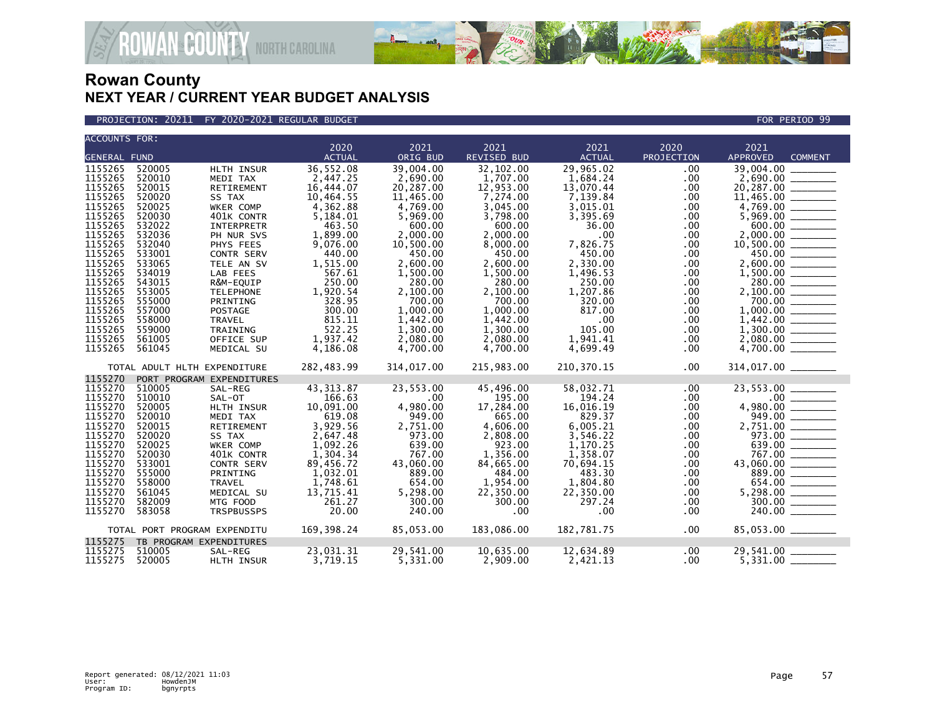

PROJECTION: 20211 FY 2020-2021 REGULAR BUDGET FOR PERIOD 99

| <b>ACCOUNTS FOR:</b>                                                                                            |                  |                              |                        |                        |                            |                       |                    |                                                                                                                                                                                                                                                                                                                                                                                                                                                                                                 |  |  |
|-----------------------------------------------------------------------------------------------------------------|------------------|------------------------------|------------------------|------------------------|----------------------------|-----------------------|--------------------|-------------------------------------------------------------------------------------------------------------------------------------------------------------------------------------------------------------------------------------------------------------------------------------------------------------------------------------------------------------------------------------------------------------------------------------------------------------------------------------------------|--|--|
|                                                                                                                 |                  |                              | 2020<br><b>ACTUAL</b>  | 2021<br>ORIG BUD       | 2021<br><b>REVISED BUD</b> | 2021<br><b>ACTUAL</b> | 2020<br>PROJECTION | 2021<br><b>APPROVED</b><br><b>COMMENT</b>                                                                                                                                                                                                                                                                                                                                                                                                                                                       |  |  |
| <b>GENERAL FUND</b>                                                                                             |                  |                              |                        |                        |                            |                       |                    |                                                                                                                                                                                                                                                                                                                                                                                                                                                                                                 |  |  |
| 1155265                                                                                                         | 520005           | HLTH INSUR                   | 36,552.08              | 39,004.00              | 32,102.00                  | 29,965.02             | .00                | 39,004.00                                                                                                                                                                                                                                                                                                                                                                                                                                                                                       |  |  |
| 1155265                                                                                                         | 520010<br>520015 | MEDI TAX                     | 2,447.25               | 2.690.00               | 1.707.00                   | 1,684.24              | .00                | 2,690.00                                                                                                                                                                                                                                                                                                                                                                                                                                                                                        |  |  |
| 1155265<br>1155265                                                                                              | 520020           | RETIREMENT<br>SS TAX         | 16,444.07<br>10,464.55 | 20,287.00<br>11,465.00 | 12,953.00<br>7,274.00      | 13,070.44<br>7,139.84 | .00<br>.00         | 20,287.00<br>11,465.00                                                                                                                                                                                                                                                                                                                                                                                                                                                                          |  |  |
| 1155265                                                                                                         | 520025           |                              | 4,362.88               |                        | 3,045.00                   | 3,015.01              |                    | 4,769.00                                                                                                                                                                                                                                                                                                                                                                                                                                                                                        |  |  |
| 1155265                                                                                                         | 520030           | WKER COMP<br>401K CONTR      | 5,184.01               | 4,769.00<br>5,969.00   | 3,798.00                   | 3,395.69              | .00<br>.00         |                                                                                                                                                                                                                                                                                                                                                                                                                                                                                                 |  |  |
| 1155265                                                                                                         | 532022           | INTERPRETR                   | 463.50                 | 600.00                 | 600.00                     | 36.00                 | .00.               |                                                                                                                                                                                                                                                                                                                                                                                                                                                                                                 |  |  |
| 1155265                                                                                                         | 532036           | PH NUR SVS                   | 1,899.00               | 2,000.00               | 2,000.00                   | .00                   | .00                | 2.000.00                                                                                                                                                                                                                                                                                                                                                                                                                                                                                        |  |  |
| 1155265                                                                                                         | 532040           | PHYS FEES                    | 9,076.00               | 10,500.00              | 8,000.00                   | 7,826.75              | .00.               |                                                                                                                                                                                                                                                                                                                                                                                                                                                                                                 |  |  |
| 1155265                                                                                                         | 533001           | CONTR SERV                   | 440.00                 | 450.00                 | 450.00                     | 450.00                | .00                | 450.00                                                                                                                                                                                                                                                                                                                                                                                                                                                                                          |  |  |
| 1155265                                                                                                         | 533065           | TELE AN SV                   | 1,515.00               | 2,600.00               | 2,600.00                   | 2,330.00              | .00.               |                                                                                                                                                                                                                                                                                                                                                                                                                                                                                                 |  |  |
| 1155265                                                                                                         | 534019           | LAB FEES                     | 567.61                 | 1,500.00               | 1,500.00                   | 1,496.53              | .00.               |                                                                                                                                                                                                                                                                                                                                                                                                                                                                                                 |  |  |
| 1155265                                                                                                         | 543015           | R&M-EQUIP                    | 250.00                 | 280.00                 | 280.00                     | 250.00                | .00                |                                                                                                                                                                                                                                                                                                                                                                                                                                                                                                 |  |  |
| 1155265                                                                                                         | 553005           | <b>TELEPHONE</b>             | 1,920.54               | 2,100.00               | 2,100.00                   | 1,207.86              | .00.               | 2,100.00                                                                                                                                                                                                                                                                                                                                                                                                                                                                                        |  |  |
| 1155265                                                                                                         | 555000           | PRINTING                     | 328.95                 | 700.00                 | 700.00                     | 320.00                | .00                | $700.00$ ________                                                                                                                                                                                                                                                                                                                                                                                                                                                                               |  |  |
| 1155265                                                                                                         | 557000           | <b>POSTAGE</b>               | 300.00                 | 1,000.00               | 1,000.00                   | 817.00                | .00.               | 1,000.00                                                                                                                                                                                                                                                                                                                                                                                                                                                                                        |  |  |
| 1155265                                                                                                         | 558000           | TRAVEL                       | 815.11                 | 1,442.00               | 1,442.00                   | .00                   | .00.               |                                                                                                                                                                                                                                                                                                                                                                                                                                                                                                 |  |  |
| 1155265                                                                                                         | 559000           | TRAINING                     | 522.25                 | 1,300.00               | 1,300.00                   | 105.00                | .00                |                                                                                                                                                                                                                                                                                                                                                                                                                                                                                                 |  |  |
| 1155265                                                                                                         | 561005           | OFFICE SUP                   | 1,937.42               | 2,080.00               | 2,080.00                   | 1,941.41              | .00.               |                                                                                                                                                                                                                                                                                                                                                                                                                                                                                                 |  |  |
| 1155265                                                                                                         | 561045           | MEDICAL SU                   | 4,186.08               | 4,700.00               | 4,700.00                   | 4,699.49              | .00.               | 4,700.00                                                                                                                                                                                                                                                                                                                                                                                                                                                                                        |  |  |
|                                                                                                                 |                  | TOTAL ADULT HLTH EXPENDITURE | 282,483.99             | 314,017.00             | 215,983.00                 | 210,370.15            | .00                |                                                                                                                                                                                                                                                                                                                                                                                                                                                                                                 |  |  |
| 1155270                                                                                                         |                  | PORT PROGRAM EXPENDITURES    |                        |                        |                            |                       |                    |                                                                                                                                                                                                                                                                                                                                                                                                                                                                                                 |  |  |
| 1155270                                                                                                         | 510005           | SAL-REG                      | 43, 313.87             | 23,553.00              | 45,496.00                  | 58,032.71             | .00                | 23,553.00                                                                                                                                                                                                                                                                                                                                                                                                                                                                                       |  |  |
| 1155270                                                                                                         | 510010           | SAL-OT                       | 166.63                 | .00                    | 195.00                     | 194.24                | .00                | $.00$ $\qquad \qquad$                                                                                                                                                                                                                                                                                                                                                                                                                                                                           |  |  |
| 1155270                                                                                                         | 520005           | HLTH INSUR                   | 10,091.00              | 4,980.00               | 17,284.00                  | 16,016.19             | .00                | 4,980.00                                                                                                                                                                                                                                                                                                                                                                                                                                                                                        |  |  |
| 1155270                                                                                                         | 520010           | MEDI TAX                     | 619.08                 | 949.00                 | 665.00                     | 829.37                | .00.               | 949.00<br>$\begin{array}{ccccccccccccc} \multicolumn{2}{c}{} & \multicolumn{2}{c}{} & \multicolumn{2}{c}{} & \multicolumn{2}{c}{} & \multicolumn{2}{c}{} & \multicolumn{2}{c}{} & \multicolumn{2}{c}{} & \multicolumn{2}{c}{} & \multicolumn{2}{c}{} & \multicolumn{2}{c}{} & \multicolumn{2}{c}{} & \multicolumn{2}{c}{} & \multicolumn{2}{c}{} & \multicolumn{2}{c}{} & \multicolumn{2}{c}{} & \multicolumn{2}{c}{} & \multicolumn{2}{c}{} & \multicolumn{2}{c}{} & \multicolumn{2}{c}{} & \$ |  |  |
| 1155270                                                                                                         | 520015           | RETIREMENT                   | 3,929.56               | 2,751.00               | 4,606.00                   | 6,005.21              | .00                |                                                                                                                                                                                                                                                                                                                                                                                                                                                                                                 |  |  |
| 1155270                                                                                                         | 520020           | SS TAX                       | 2,647.48               | 973.00                 | 2,808.00                   | 3,546.22              | .00                |                                                                                                                                                                                                                                                                                                                                                                                                                                                                                                 |  |  |
| 1155270                                                                                                         | 520025           | WKER COMP                    | 1,092.26               | 639.00                 | 923.00                     | 1,170.25              | .00                | 639.00                                                                                                                                                                                                                                                                                                                                                                                                                                                                                          |  |  |
| 1155270                                                                                                         | 520030           | 401K CONTR                   | 1,304.34               | 767.00                 | 1.356.00                   | 1,358.07              | .00.               | 767.00                                                                                                                                                                                                                                                                                                                                                                                                                                                                                          |  |  |
| 1155270                                                                                                         | 533001           | CONTR SERV                   | 89,456.72              | 43,060.00              | 84,665.00                  | 70,694.15             | .00.               | 43,060.00                                                                                                                                                                                                                                                                                                                                                                                                                                                                                       |  |  |
| 1155270                                                                                                         | 555000           | PRINTING                     | 1,032.01               | 889.00                 | 484.00                     | 483.30                | .00                | 889.00                                                                                                                                                                                                                                                                                                                                                                                                                                                                                          |  |  |
| 1155270                                                                                                         | 558000           | <b>TRAVEL</b>                | 1,748.61               | 654.00                 | 1,954.00                   | 1,804.80              | .00                | 654.00                                                                                                                                                                                                                                                                                                                                                                                                                                                                                          |  |  |
| 1155270                                                                                                         | 561045           | MEDICAL SU                   | 13,715.41              | 5,298.00               | 22,350.00                  | 22,350.00             | .00.               |                                                                                                                                                                                                                                                                                                                                                                                                                                                                                                 |  |  |
| 1155270                                                                                                         | 582009           | MTG FOOD                     | 261.27                 | 300.00                 | 300.00                     | 297.24                | .00.               | 300.00                                                                                                                                                                                                                                                                                                                                                                                                                                                                                          |  |  |
| 1155270                                                                                                         | 583058           | <b>TRSPBUSSPS</b>            | 20.00                  | 240.00                 | .00                        | .00                   | .00.               |                                                                                                                                                                                                                                                                                                                                                                                                                                                                                                 |  |  |
| 85,053.00 _______<br>169,398.24<br>85,053.00<br>183,086.00<br>182,781.75<br>.00<br>TOTAL PORT PROGRAM EXPENDITU |                  |                              |                        |                        |                            |                       |                    |                                                                                                                                                                                                                                                                                                                                                                                                                                                                                                 |  |  |
| 1155275                                                                                                         |                  | TB PROGRAM EXPENDITURES      |                        |                        |                            |                       |                    |                                                                                                                                                                                                                                                                                                                                                                                                                                                                                                 |  |  |
| 1155275                                                                                                         | 510005           | SAL-REG                      | 23,031.31              | 29,541.00              | 10,635.00                  | 12,634.89             | .00                | 29,541.00                                                                                                                                                                                                                                                                                                                                                                                                                                                                                       |  |  |
| 1155275                                                                                                         | 520005           | HLTH INSUR                   | 3,719.15               | 5,331.00               | 2,909.00                   | 2,421.13              | .00                | $5,331.00$ $-$                                                                                                                                                                                                                                                                                                                                                                                                                                                                                  |  |  |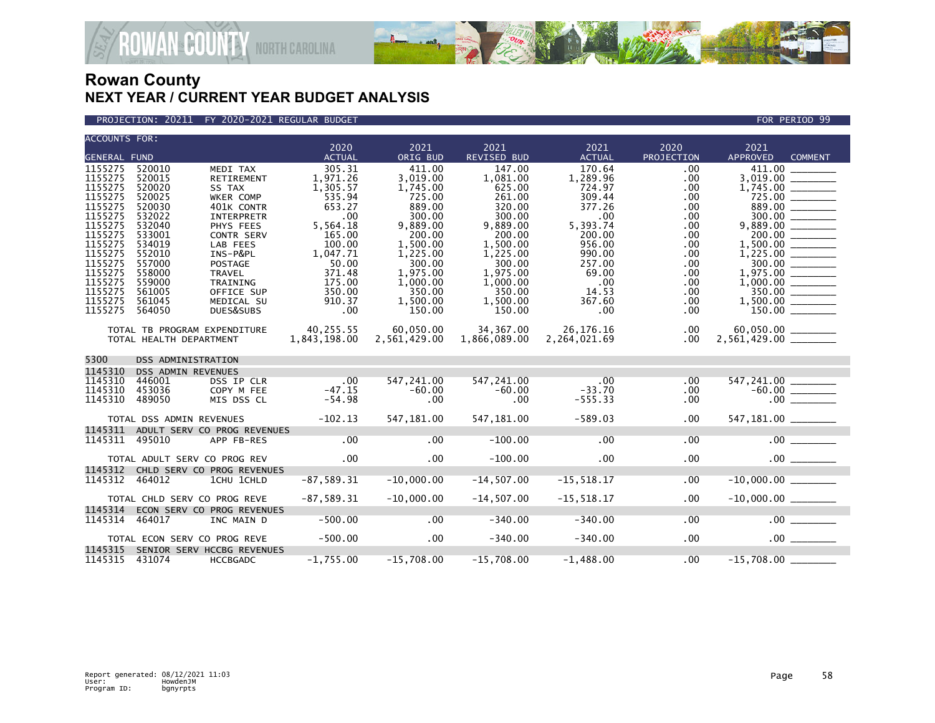

#### PROJECTION: 20211 FY 2020-2021 REGULAR BUDGET FOR PERIOD 99

| <b>ACCOUNTS FOR:</b> |                              |                             | 2020          | 2021         | 2021               | 2021                         | 2020       | 2021               |                       |  |
|----------------------|------------------------------|-----------------------------|---------------|--------------|--------------------|------------------------------|------------|--------------------|-----------------------|--|
| <b>GENERAL FUND</b>  |                              |                             | <b>ACTUAL</b> | ORIG BUD     | <b>REVISED BUD</b> | <b>ACTUAL</b>                | PROJECTION | <b>APPROVED</b>    | <b>COMMENT</b>        |  |
| 1155275              | 520010                       | MEDI TAX                    | 305.31        | 411.00       | 147.00             | 170.64                       | .00        | 411.00             |                       |  |
| 1155275              | 520015                       | RETIREMENT                  | 1,971.26      | 3,019.00     | 1,081.00           | 1,289.96                     | .00        | 3,019.00           |                       |  |
| 1155275              | 520020                       | SS TAX                      | 1.305.57      | 1,745.00     | 625.00             | 724.97                       | .00.       | 1,745.00           |                       |  |
| 1155275              | 520025                       | WKER COMP                   | 535.94        | 725.00       | 261.00             | 309.44                       | .00        | 725.00             |                       |  |
| 1155275              | 520030                       | 401K CONTR                  | 653.27        | 889.00       | 320.00             | 377.26                       | .00        | 889.00             |                       |  |
| 1155275              | 532022                       | <b>INTERPRETR</b>           | .00           | 300.00       | 300.00             | .00                          | .00.       | 300.00             |                       |  |
| 1155275              | 532040                       | PHYS FEES                   | 5,564.18      | 9,889.00     | 9,889.00           | 5,393.74                     | .00.       |                    |                       |  |
| 1155275              | 533001                       | <b>CONTR SERV</b>           | 165.00        | 200.00       | 200.00             | 200.00                       | .00        | 200.00             |                       |  |
| 1155275              | 534019                       | LAB FEES                    | 100.00        | 1,500.00     | 1,500.00           | 956.00                       | .00        |                    |                       |  |
| 1155275              | 552010                       | INS-P&PL                    | 1,047.71      | 1,225.00     | 1,225.00           | 990.00                       | .00        |                    |                       |  |
| 1155275              | 557000                       | <b>POSTAGE</b>              | 50.00         | 300.00       | 300.00             | 257.00                       | .00.       |                    | 300.00                |  |
| 1155275              | 558000                       | <b>TRAVEL</b>               | 371.48        | 1,975.00     | 1.975.00           | 69.00                        | .00.       |                    |                       |  |
| 1155275              | 559000                       | TRAINING                    | 175.00        | 1,000.00     | 1,000.00           | $\overline{\phantom{0}}$ .00 | .00        |                    |                       |  |
| 1155275              | 561005                       | OFFICE SUP                  | 350.00        | 350.00       | 350.00             | 14.53                        | .00.       | 350.00             |                       |  |
| 1155275              | 561045                       | MEDICAL SU                  | 910.37        | 1,500.00     | 1,500.00           | 367.60                       | .00        | 1,500.00           |                       |  |
| 1155275              | 564050                       | DUES&SUBS                   | .00           | 150.00       | 150.00             | $.00 \,$                     | .00        |                    |                       |  |
|                      | TOTAL TB PROGRAM EXPENDITURE |                             | 40,255.55     | 60,050.00    | 34,367.00          | 26,176.16                    | $.00 \,$   | 60,050.00 ______   |                       |  |
|                      | TOTAL HEALTH DEPARTMENT      |                             | 1,843,198.00  | 2,561,429.00 | 1,866,089.00       | 2,264,021.69                 | $.00 \,$   |                    |                       |  |
|                      |                              |                             |               |              |                    |                              |            |                    |                       |  |
| 5300                 | <b>DSS ADMINISTRATION</b>    |                             |               |              |                    |                              |            |                    |                       |  |
| 1145310              | <b>DSS ADMIN REVENUES</b>    |                             |               |              |                    |                              |            |                    |                       |  |
| 1145310              | 446001                       | DSS IP CLR                  |               | 547,241.00   | 547,241.00         | $\overline{\phantom{0}}$ .00 | .00        | 547,241.00         |                       |  |
| 1145310              | 453036                       | COPY M FEE                  | $-47.15$      | $-60.00$     | $-60.00$           | $-33.70$                     | $.00 \,$   |                    |                       |  |
| 1145310              | 489050                       | MIS DSS CL                  | $-54.98$      | $.00 \,$     | .00                | $-555.33$                    | $.00 \,$   |                    | .00                   |  |
|                      |                              |                             |               |              |                    |                              |            |                    |                       |  |
|                      | TOTAL DSS ADMIN REVENUES     |                             | $-102.13$     | 547,181.00   | 547,181.00         | $-589.03$                    | $.00 \,$   | 547,181.00 _______ |                       |  |
| 1145311              |                              | ADULT SERV CO PROG REVENUES |               |              |                    |                              |            |                    |                       |  |
| 1145311              | 495010                       | APP FB-RES                  | .00           | .00          | $-100.00$          | .00                          | .00        |                    |                       |  |
|                      | TOTAL ADULT SERV CO PROG REV |                             | $.00 \,$      | $.00 \times$ | $-100.00$          | $.00 \times$                 | .00        |                    | $.00$ $\qquad$        |  |
| 1145312              |                              | CHLD SERV CO PROG REVENUES  |               |              |                    |                              |            |                    |                       |  |
| 1145312              | 464012                       | 1CHU 1CHLD                  | $-87,589.31$  | $-10,000.00$ | $-14, 507.00$      | $-15, 518.17$                | .00        | $-10,000.00$       |                       |  |
|                      |                              |                             |               |              |                    |                              |            |                    |                       |  |
|                      | TOTAL CHLD SERV CO PROG REVE |                             | $-87,589.31$  | $-10,000.00$ | $-14,507.00$       | $-15,518.17$                 | .00        |                    |                       |  |
| 1145314              |                              | ECON SERV CO PROG REVENUES  |               |              |                    |                              |            |                    |                       |  |
| 1145314              | 464017                       | INC MAIN D                  | $-500.00$     | .00          | $-340.00$          | $-340.00$                    | .00        |                    | $.00$ $\qquad \qquad$ |  |
|                      |                              |                             |               |              |                    |                              |            |                    |                       |  |
|                      | TOTAL ECON SERV CO PROG REVE |                             | $-500.00$     | $.00 \times$ | $-340.00$          | $-340.00$                    | .00        |                    | $.00$ $\qquad$        |  |
| 1145315              |                              | SENIOR SERV HCCBG REVENUES  |               |              |                    |                              |            |                    |                       |  |
| 1145315 431074       |                              | HCCBGADC                    | $-1,755.00$   | $-15,708.00$ | $-15,708.00$       | $-1,488.00$                  | .00        | $-15,708.00$       |                       |  |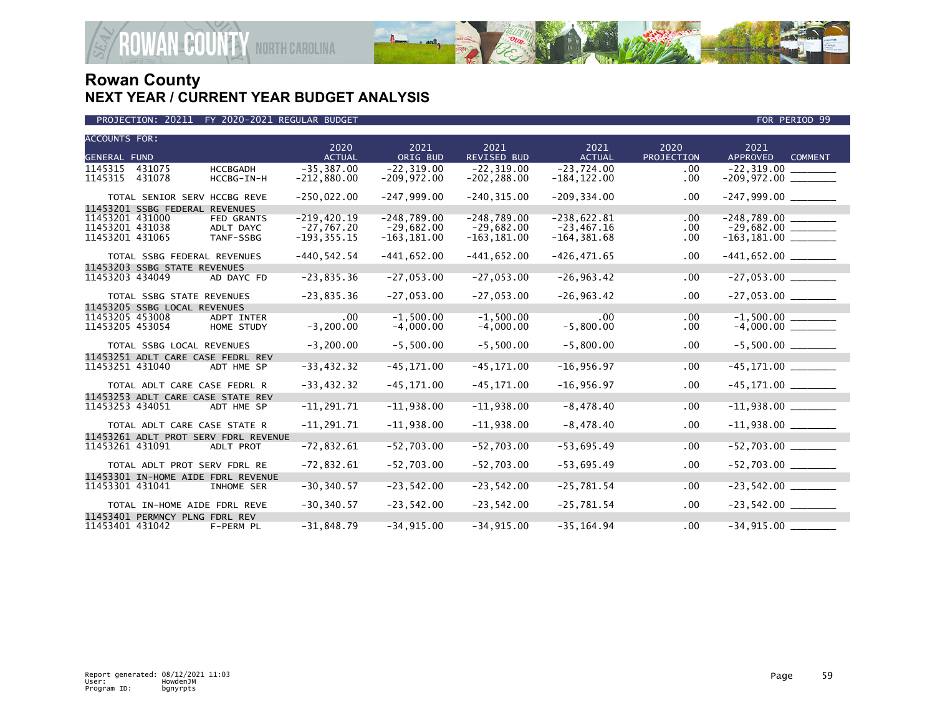

| <b>ACCOUNTS FOR:</b>                 |                        | 2020                           | 2021                           | 2021                           | 2021                           | 2020            | 2021                              |
|--------------------------------------|------------------------|--------------------------------|--------------------------------|--------------------------------|--------------------------------|-----------------|-----------------------------------|
| <b>GENERAL FUND</b>                  |                        | <b>ACTUAL</b>                  | ORIG BUD                       | <b>REVISED BUD</b>             | <b>ACTUAL</b>                  | PROJECTION      | <b>APPROVED</b><br><b>COMMENT</b> |
| 1145315<br>431075                    | <b>HCCBGADH</b>        | $-35.387.00$                   | $-22.319.00$                   | $-22.319.00$                   | $-23.724.00$                   | .00             |                                   |
| 1145315<br>431078                    | HCCBG-IN-H             | $-212,880.00$                  | $-209,972.00$                  | $-202, 288.00$                 | $-184, 122.00$                 | $.00 \,$        |                                   |
| TOTAL SENIOR SERV HCCBG REVE         |                        | $-250,022.00$                  | $-247,999.00$                  | $-240, 315.00$                 | $-209, 334.00$                 | $.00 \,$        |                                   |
| 11453201 SSBG FEDERAL REVENUES       |                        |                                |                                |                                |                                |                 |                                   |
| 11453201 431000                      | <b>FED GRANTS</b>      | $-219,420.19$                  | $-248.789.00$                  | $-248.789.00$                  | $-238,622.81$                  | $.00 \,$        |                                   |
| 11453201 431038<br>11453201 431065   | ADLT DAYC<br>TANF-SSBG | $-27,767.20$<br>$-193, 355.15$ | $-29,682.00$<br>$-163, 181.00$ | $-29,682.00$<br>$-163, 181.00$ | $-23,467.16$<br>$-164, 381.68$ | .00<br>$.00 \,$ | $-163, 181.00$ ________           |
|                                      |                        |                                |                                |                                |                                |                 |                                   |
| TOTAL SSBG FEDERAL REVENUES          |                        | $-440, 542.54$                 | $-441,652.00$                  | $-441,652.00$                  | $-426, 471.65$                 | $.00 \,$        |                                   |
| 11453203 SSBG STATE REVENUES         |                        |                                |                                |                                |                                |                 |                                   |
| 11453203 434049                      | AD DAYC FD             | $-23,835.36$                   | $-27,053.00$                   | $-27,053.00$                   | $-26, 963.42$                  | .00             |                                   |
| TOTAL SSBG STATE REVENUES            |                        | $-23,835.36$                   | $-27,053.00$                   | $-27,053.00$                   | $-26, 963.42$                  | $.00 \,$        | $-27,053.00$ _______              |
| 11453205 SSBG LOCAL REVENUES         |                        |                                |                                |                                |                                |                 |                                   |
| 11453205 453008                      | ADPT INTER             | $.00 \,$                       | $-1,500.00$                    | $-1,500.00$                    | .00                            | .00             | $-1,500.00$<br>$-4,000.00$        |
| 11453205 453054                      | HOME STUDY             | $-3, 200.00$                   | $-4,000.00$                    | $-4,000.00$                    | $-5,800.00$                    | $.00 \,$        |                                   |
| TOTAL SSBG LOCAL REVENUES            |                        | $-3, 200.00$                   | $-5,500.00$                    | $-5,500.00$                    | $-5,800.00$                    | .00             | $-5,500.00$ ________              |
| 11453251 ADLT CARE CASE FEDRL REV    |                        |                                |                                |                                |                                |                 |                                   |
| 11453251 431040                      | ADT HME SP             | $-33,432.32$                   | $-45, 171.00$                  | $-45, 171.00$                  | $-16,956.97$                   | .00             |                                   |
| TOTAL ADLT CARE CASE FEDRL R         |                        | $-33,432.32$                   | $-45, 171.00$                  | $-45, 171.00$                  | $-16,956.97$                   | $.00 \,$        |                                   |
| 11453253 ADLT CARE CASE STATE REV    |                        |                                |                                |                                |                                |                 |                                   |
| 11453253 434051                      | ADT HME SP             | $-11, 291.71$                  | $-11,938.00$                   | $-11,938.00$                   | $-8,478.40$                    | .00             |                                   |
| TOTAL ADLT CARE CASE STATE R         |                        | $-11, 291.71$                  | $-11,938.00$                   | $-11,938.00$                   | $-8,478.40$                    | $.00 \,$        |                                   |
| 11453261 ADLT PROT SERV FDRL REVENUE |                        |                                |                                |                                |                                |                 |                                   |
| 11453261 431091                      | ADLT PROT              | $-72,832.61$                   | $-52,703.00$                   | $-52,703.00$                   | $-53,695.49$                   | .00             |                                   |
| TOTAL ADLT PROT SERV FDRL RE         |                        | $-72,832.61$                   | $-52,703.00$                   | $-52,703.00$                   | $-53,695.49$                   | $.00 \,$        | $-52,703.00$ _________            |
| 11453301 IN-HOME AIDE FDRL REVENUE   |                        |                                |                                |                                |                                |                 |                                   |
| 11453301 431041                      | <b>INHOME SER</b>      | $-30, 340.57$                  | $-23,542.00$                   | $-23,542.00$                   | $-25,781.54$                   | .00             | $-23,542.00$ ________             |
| TOTAL IN-HOME AIDE FDRL REVE         |                        | $-30, 340.57$                  | $-23,542.00$                   | $-23,542.00$                   | $-25,781.54$                   | $.00 \,$        | $-23,542.00$ ________             |
| 11453401 PERMNCY PLNG FDRL REV       |                        |                                |                                |                                |                                |                 |                                   |
| 11453401 431042                      | F-PERM PL              | $-31,848.79$                   | $-34, 915.00$                  | $-34,915.00$                   | $-35, 164.94$                  | .00             |                                   |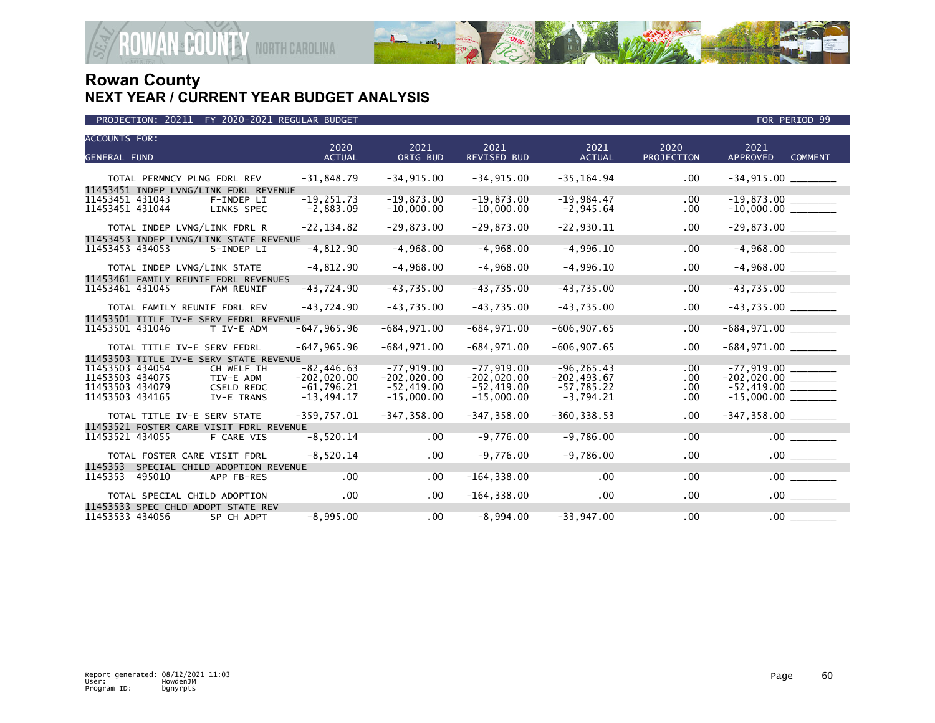

| <b>ACCOUNTS FOR:</b><br><b>GENERAL FUND</b>                    | 2020<br><b>ACTUAL</b>        | 2021<br>ORIG BUD             | 2021<br><b>REVISED BUD</b>   | 2021<br><b>ACTUAL</b>       | 2020<br>PROJECTION | 2021<br><b>APPROVED</b><br><b>COMMENT</b> |
|----------------------------------------------------------------|------------------------------|------------------------------|------------------------------|-----------------------------|--------------------|-------------------------------------------|
|                                                                |                              |                              |                              |                             |                    |                                           |
| TOTAL PERMNCY PLNG FDRL REV                                    | $-31,848.79$                 | $-34.915.00$                 | $-34.915.00$                 | $-35, 164.94$               | .00                |                                           |
| 11453451 INDEP LVNG/LINK FDRL REVENUE                          |                              |                              |                              |                             |                    |                                           |
| 11453451 431043<br>F-INDEP LI<br>11453451 431044<br>LINKS SPEC | $-19, 251.73$<br>$-2,883.09$ | $-19,873.00$<br>$-10,000.00$ | $-19,873.00$<br>$-10,000.00$ | $-19,984.47$<br>$-2,945.64$ | .00<br>.00         | $-19,873.00$<br>$-10,000.00$              |
| TOTAL INDEP LVNG/LINK FDRL R                                   | $-22, 134.82$                | $-29,873.00$                 | $-29,873.00$                 | $-22,930.11$                | .00                |                                           |
| 11453453 INDEP LVNG/LINK STATE REVENUE                         |                              |                              |                              |                             |                    |                                           |
| 11453453 434053<br>S-INDEP LI                                  | $-4,812.90$                  | $-4,968.00$                  | $-4,968.00$                  | $-4,996.10$                 | .00                | $-4,968.00$                               |
| TOTAL INDEP LVNG/LINK STATE                                    | $-4,812.90$                  | $-4,968.00$                  | $-4,968.00$                  | $-4,996.10$                 | .00                |                                           |
| 11453461 FAMILY REUNIF FDRL REVENUES                           |                              |                              |                              |                             |                    |                                           |
| 11453461 431045<br>FAM REUNIF                                  | $-43,724.90$                 | $-43,735.00$                 | $-43,735.00$                 | $-43,735.00$                | .00                | $-43,735.00$                              |
| TOTAL FAMILY REUNIF FDRL REV                                   | $-43,724.90$                 | $-43,735.00$                 | $-43,735.00$                 | $-43,735.00$                | .00                |                                           |
| 11453501 TITLE IV-E SERV FEDRL REVENUE                         |                              |                              |                              |                             |                    |                                           |
| 11453501 431046<br>T IV-E ADM                                  | $-647, 965.96$               | $-684,971.00$                | $-684,971.00$                | $-606, 907.65$              | .00.               |                                           |
| TOTAL TITLE IV-E SERV FEDRL                                    | $-647, 965.96$               | $-684, 971.00$               | $-684,971.00$                | $-606, 907.65$              | .00                |                                           |
| 11453503 TITLE IV-E SERV STATE REVENUE                         |                              |                              |                              |                             |                    |                                           |
| 11453503 434054<br>CH WELF IH                                  | $-82, 446.63$                | $-77.919.00$                 | $-77,919.00$                 | $-96, 265.43$               | .00                | $-77,919.00$ ________                     |
| 11453503 434075<br>TIV-E ADM                                   | $-202,020.00$                | $-202,020.00$                | $-202,020.00$                | $-202, 493.67$              | .00.               | $-202,020.00$ ________                    |
| 11453503 434079<br><b>CSELD REDC</b><br>11453503 434165        | $-61,796.21$<br>$-13,494.17$ | $-52,419.00$<br>$-15,000.00$ | $-52,419.00$<br>$-15,000.00$ | $-57,785.22$<br>$-3,794.21$ | .00<br>.00         |                                           |
| IV-E TRANS                                                     |                              |                              |                              |                             |                    |                                           |
| TOTAL TITLE IV-E SERV STATE                                    | $-359.757.01$                | $-347, 358.00$               | $-347.358.00$                | $-360.338.53$               | $.00 \,$           |                                           |
| 11453521 FOSTER CARE VISIT FDRL REVENUE                        |                              |                              |                              |                             |                    |                                           |
| 11453521 434055<br>F CARE VIS                                  | $-8,520.14$                  | .00                          | $-9,776.00$                  | $-9,786.00$                 | .00                | .00                                       |
| TOTAL FOSTER CARE VISIT FDRL                                   | $-8,520.14$                  | $.00 \,$                     | $-9,776.00$                  | $-9,786.00$                 | .00                |                                           |
| 1145353<br>SPECIAL CHILD ADOPTION REVENUE                      |                              |                              |                              |                             |                    |                                           |
| 1145353<br>495010<br>APP FB-RES                                | .00                          | .00                          | $-164, 338.00$               | .00                         | .00                | $.00$ $\qquad$                            |
| TOTAL SPECIAL CHILD ADOPTION                                   | .00                          | $.00 \,$                     | $-164, 338.00$               | .00                         | .00                |                                           |
| 11453533 SPEC CHLD ADOPT STATE REV                             |                              |                              |                              |                             |                    |                                           |
| 11453533 434056<br>SP CH ADPT                                  | $-8,995.00$                  | .00                          | $-8,994.00$                  | $-33,947.00$                | .00                | .00                                       |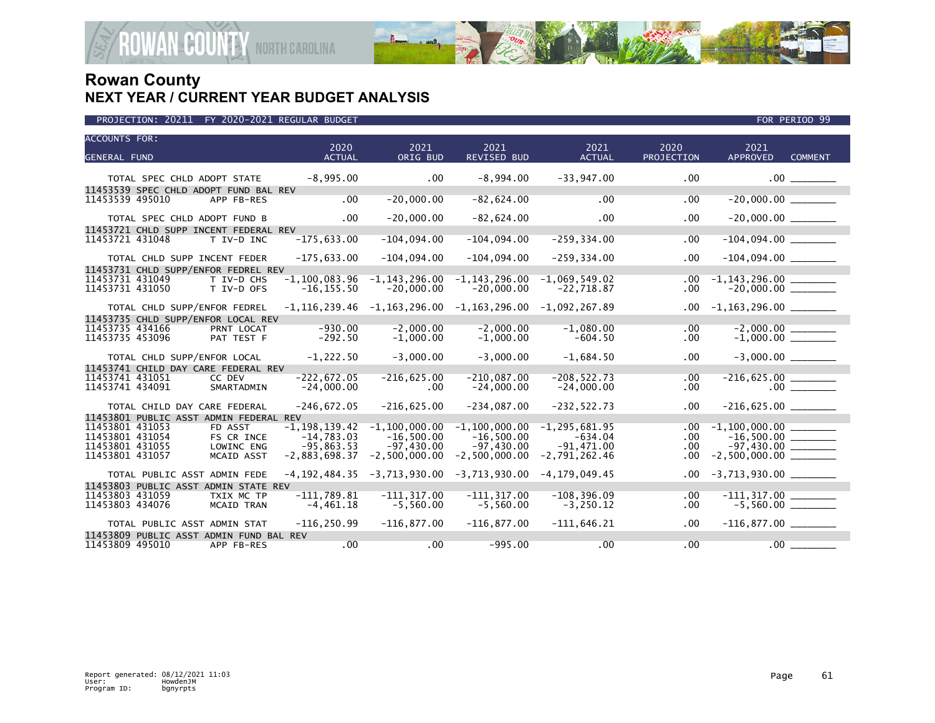

| <b>ACCOUNTS FOR:</b><br><b>GENERAL FUND</b>                                                                                   | 2020<br><b>ACTUAL</b>                                                | 2021<br>ORIG BUD                                                     | 2021<br><b>REVISED BUD</b>                                         | 2021<br><b>ACTUAL</b>                                             | 2020<br><b>PROJECTION</b> | 2021<br><b>APPROVED</b><br><b>COMMENT</b>                          |
|-------------------------------------------------------------------------------------------------------------------------------|----------------------------------------------------------------------|----------------------------------------------------------------------|--------------------------------------------------------------------|-------------------------------------------------------------------|---------------------------|--------------------------------------------------------------------|
| TOTAL SPEC CHLD ADOPT STATE                                                                                                   | $-8,995.00$                                                          | $.00 \,$                                                             | $-8,994.00$                                                        | $-33,947.00$                                                      | .00                       | $.00$ $\qquad \qquad$                                              |
| 11453539 SPEC CHLD ADOPT FUND BAL REV<br>11453539 495010<br>APP FB-RES                                                        | $.00 \,$                                                             | $-20,000.00$                                                         | $-82,624.00$                                                       | .00                                                               | .00                       | $-20,000.00$ ________                                              |
| TOTAL SPEC CHLD ADOPT FUND B<br>11453721 CHLD SUPP INCENT FEDERAL REV                                                         | $.00 \,$                                                             | $-20,000.00$                                                         | $-82,624.00$                                                       | $.00 \,$                                                          | .00                       | $-20,000.00$ ________                                              |
| 11453721 431048<br>T IV-D INC                                                                                                 | $-175,633.00$                                                        | $-104,094.00$                                                        | $-104,094.00$                                                      | $-259, 334.00$                                                    | .00                       |                                                                    |
| TOTAL CHLD SUPP INCENT FEDER<br>11453731 CHLD SUPP/ENFOR FEDREL REV                                                           | $-175,633.00$                                                        | $-104,094.00$                                                        | $-104,094.00$                                                      | $-259, 334.00$                                                    | .00                       |                                                                    |
| 11453731 431049<br>T IV-D CHS<br>11453731 431050<br>T IV-D OFS                                                                | $-1, 100, 083.96$<br>$-16, 155.50$                                   | $-1, 143, 296.00$<br>$-20,000.00$                                    | $-1, 143, 296.00$<br>$-20,000.00$                                  | $-1,069,549.02$<br>$-22,718.87$                                   | .00<br>.00                |                                                                    |
| TOTAL CHLD SUPP/ENFOR FEDREL                                                                                                  |                                                                      | $-1, 116, 239.46$ $-1, 163, 296.00$                                  | $-1, 163, 296.00$                                                  | $-1,092,267.89$                                                   | $.00 \,$                  | $-1,163,296.00$ ________                                           |
| 11453735 CHLD SUPP/ENFOR LOCAL REV<br>11453735 434166<br>PRNT LOCAT<br>11453735 453096<br>PAT TEST F                          | $-930.00$<br>$-292.50$                                               | $-2,000.00$<br>$-1,000.00$                                           | $-2,000.00$<br>$-1,000.00$                                         | $-1.080.00$<br>$-604.50$                                          | $.00 \,$<br>$.00 \,$      | $-2,000.00$<br>$-1,000.00$                                         |
| TOTAL CHLD SUPP/ENFOR LOCAL                                                                                                   | $-1,222.50$                                                          | $-3,000.00$                                                          | $-3,000.00$                                                        | $-1,684.50$                                                       | .00                       |                                                                    |
| 11453741 CHILD DAY CARE FEDERAL REV<br>11453741 431051<br>CC DEV<br>11453741 434091<br>SMARTADMIN                             | $-222.672.05$<br>$-24,000.00$                                        | $-216,625.00$<br>.00                                                 | $-210.087.00$<br>$-24,000.00$                                      | $-208.522.73$<br>$-24,000.00$                                     | .00<br>.00                | $-216,625.00$ _______<br>00                                        |
| TOTAL CHILD DAY CARE FEDERAL<br>11453801 PUBLIC ASST ADMIN FEDERAL REV                                                        | $-246,672.05$                                                        | $-216,625.00$                                                        | $-234,087.00$                                                      | $-232, 522.73$                                                    | .00                       |                                                                    |
| 11453801 431053<br>FD ASST<br>11453801 431054<br>FS CR INCE<br>11453801 431055<br>LOWINC ENG<br>11453801 431057<br>MCAID ASST | $-1, 198, 139.42$<br>$-14,783.03$<br>$-95,863.53$<br>$-2,883,698.37$ | $-1, 100, 000.00$<br>$-16,500.00$<br>$-97,430.00$<br>$-2,500,000.00$ | $-1,100,000.00$<br>$-16,500.00$<br>$-97,430.00$<br>$-2,500,000.00$ | $-1, 295, 681.95$<br>$-634.04$<br>$-91,471.00$<br>$-2,791,262.46$ | .00.<br>.00<br>.00<br>.00 | $-1,100,000.00$<br>$-16,500.00$ ________<br>$-97,430.00$ _________ |
| TOTAL PUBLIC ASST ADMIN FEDE                                                                                                  | $-4, 192, 484.35$                                                    | -3,713,930.00                                                        | $-3,713,930.00$                                                    | $-4, 179, 049.45$                                                 | $.00 \ \,$                | $-3,713,930.00$ ________                                           |
| 11453803 PUBLIC ASST ADMIN STATE REV<br>11453803 431059<br>TXIX MC TP<br>11453803 434076<br><b>MCAID TRAN</b>                 | $-111,789.81$<br>$-4,461.18$                                         | $-111.317.00$<br>$-5,560.00$                                         | $-111.317.00$<br>$-5,560.00$                                       | $-108, 396.09$<br>$-3,250.12$                                     | .00<br>.00                | $-111, 317.00$ ________<br>-5,560.00 ________                      |
| TOTAL PUBLIC ASST ADMIN STAT                                                                                                  | $-116, 250.99$                                                       | $-116,877.00$                                                        | $-116,877.00$                                                      | $-111.646.21$                                                     | .00                       |                                                                    |
| 11453809 PUBLIC ASST ADMIN FUND BAL REV<br>11453809 495010<br>APP FB-RES                                                      | .00                                                                  | .00                                                                  | $-995.00$                                                          | .00                                                               | .00                       | .00                                                                |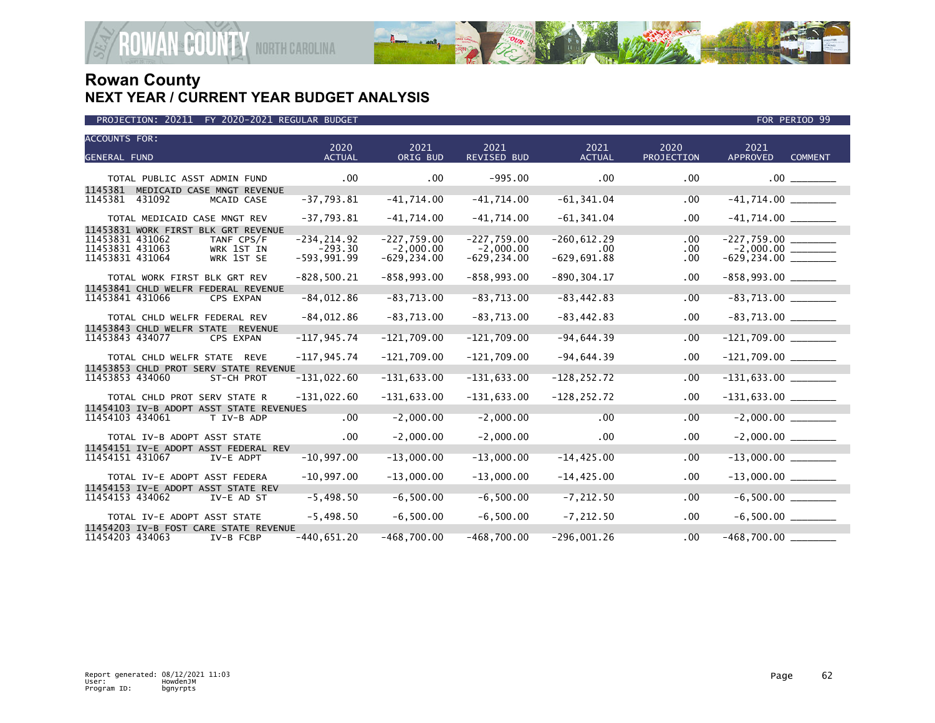

| <b>ACCOUNTS FOR:</b><br><b>GENERAL FUND</b>                                                     | 2020<br><b>ACTUAL</b>                        | 2021<br>ORIG BUD                               | 2021<br><b>REVISED BUD</b>                     | 2021<br><b>ACTUAL</b>                       | 2020<br>PROJECTION     | 2021<br><b>APPROVED</b><br><b>COMMENT</b> |  |
|-------------------------------------------------------------------------------------------------|----------------------------------------------|------------------------------------------------|------------------------------------------------|---------------------------------------------|------------------------|-------------------------------------------|--|
|                                                                                                 |                                              |                                                |                                                |                                             |                        |                                           |  |
| TOTAL PUBLIC ASST ADMIN FUND<br>1145381<br>MEDICAID CASE MNGT REVENUE                           | $.00 \,$                                     | $.00 \times$                                   | $-995.00$                                      | .00                                         | .00                    | $.00$ $\qquad$                            |  |
| 1145381<br>431092<br>MCAID CASE                                                                 | $-37,793.81$                                 | $-41,714.00$                                   | $-41,714.00$                                   | $-61, 341.04$                               | .00                    | $-41,714.00$ ________                     |  |
| TOTAL MEDICAID CASE MNGT REV<br>11453831 WORK FIRST BLK GRT REVENUE                             | $-37,793.81$                                 | $-41,714.00$                                   | $-41,714.00$                                   | $-61, 341.04$                               | .00                    | $-41,714.00$ _______                      |  |
| 11453831 431062<br>TANF CPS/F<br>11453831 431063<br>WRK 1ST IN<br>11453831 431064<br>WRK 1ST SE | $-234, 214.92$<br>$-293.30$<br>$-593,991.99$ | $-227,759.00$<br>$-2,000.00$<br>$-629, 234.00$ | $-227,759.00$<br>$-2,000.00$<br>$-629, 234.00$ | $-260, 612.29$<br>$.00 \,$<br>$-629,691.88$ | .00<br>$.00 \,$<br>.00 | $-227,759.00$                             |  |
| TOTAL WORK FIRST BLK GRT REV                                                                    | $-828,500.21$                                | $-858,993.00$                                  | $-858,993.00$                                  | $-890, 304.17$                              | .00                    |                                           |  |
| 11453841 CHLD WELFR FEDERAL REVENUE<br>11453841 431066<br>CPS EXPAN                             | $-84,012.86$                                 | $-83,713.00$                                   | $-83,713.00$                                   | $-83, 442.83$                               | .00                    |                                           |  |
| TOTAL CHLD WELFR FEDERAL REV                                                                    | $-84,012.86$                                 | $-83,713.00$                                   | $-83,713.00$                                   | $-83, 442.83$                               | .00                    | $-83,713.00$ ________                     |  |
| 11453843 CHLD WELFR STATE<br><b>REVENUE</b><br>11453843 434077<br>CPS EXPAN                     | $-117, 945.74$                               | $-121,709.00$                                  | $-121,709.00$                                  | $-94,644.39$                                | .00                    |                                           |  |
| TOTAL CHLD WELFR STATE REVE                                                                     | $-117, 945.74$                               | $-121,709.00$                                  | $-121,709.00$                                  | $-94,644.39$                                | .00                    | $-121,709.00$ ________                    |  |
| 11453853 CHLD PROT SERV STATE REVENUE<br>11453853 434060<br>ST-CH PROT                          | $-131,022.60$                                | $-131,633.00$                                  | $-131,633.00$                                  | $-128, 252.72$                              | .00                    |                                           |  |
| TOTAL CHLD PROT SERV STATE R                                                                    | $-131,022.60$                                | $-131,633.00$                                  | $-131,633.00$                                  | $-128, 252, 72$                             | .00                    |                                           |  |
| 11454103 IV-B ADOPT ASST STATE REVENUES<br>11454103 434061<br>T IV-B ADP                        | .00                                          | $-2,000.00$                                    | $-2,000.00$                                    | .00                                         | .00                    | $-2,000.00$                               |  |
| TOTAL IV-B ADOPT ASST STATE                                                                     | $.00 \,$                                     | $-2,000.00$                                    | $-2,000.00$                                    | $.00 \,$                                    | .00                    | $-2,000.00$ _________                     |  |
| 11454151 IV-E ADOPT ASST FEDERAL REV<br>11454151 431067<br>IV-E ADPT                            | $-10,997.00$                                 | $-13,000.00$                                   | $-13,000.00$                                   | $-14, 425.00$                               | .00                    | $-13,000.00$                              |  |
| TOTAL IV-E ADOPT ASST FEDERA                                                                    | $-10,997.00$                                 | $-13,000.00$                                   | $-13,000.00$                                   | $-14, 425.00$                               | $.00 \,$               |                                           |  |
| 11454153 IV-E ADOPT ASST STATE REV<br>11454153 434062<br>IV-E AD ST                             | $-5,498.50$                                  | $-6,500.00$                                    | $-6,500.00$                                    | $-7, 212.50$                                | .00                    |                                           |  |
| TOTAL IV-E ADOPT ASST STATE                                                                     | $-5,498.50$                                  | $-6,500.00$                                    | $-6,500.00$                                    | $-7, 212.50$                                | .00                    | $-6,500.00$ _________                     |  |
| 11454203 IV-B FOST CARE STATE REVENUE<br>11454203 434063<br>IV-B FCBP                           | $-440,651.20$                                | $-468,700.00$                                  | $-468,700.00$                                  | $-296.001.26$                               | $.00 \,$               | $-468,700.00$                             |  |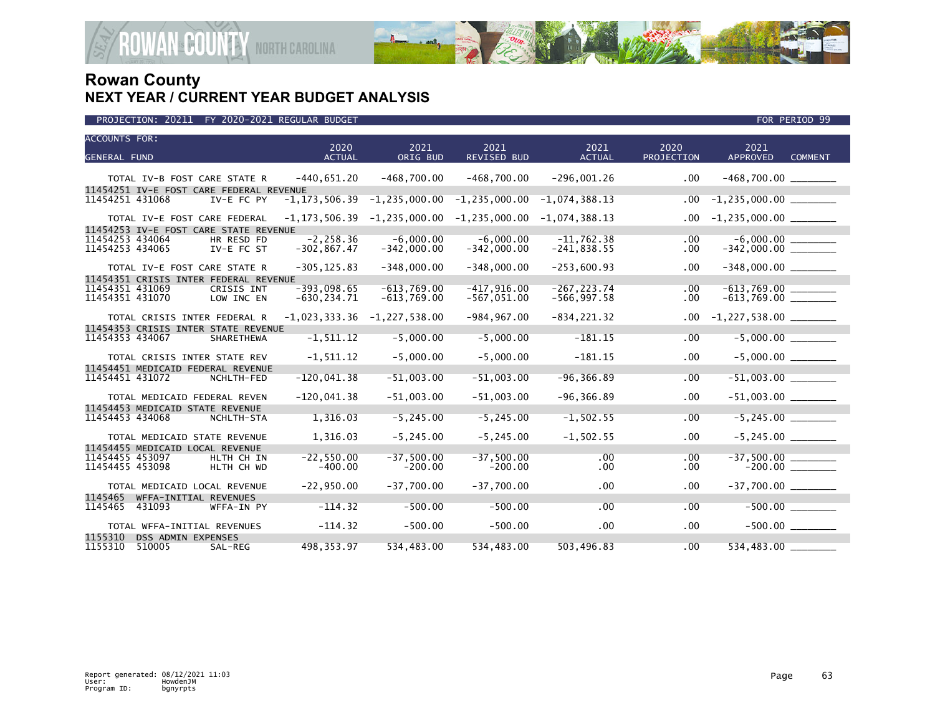

| <b>ACCOUNTS FOR:</b> |                       |                                         | 2020              | 2021              | 2021              | 2021             | 2020       | 2021                      |                |
|----------------------|-----------------------|-----------------------------------------|-------------------|-------------------|-------------------|------------------|------------|---------------------------|----------------|
| <b>GENERAL FUND</b>  |                       |                                         | <b>ACTUAL</b>     | ORIG BUD          | REVISED BUD       | <b>ACTUAL</b>    | PROJECTION | <b>APPROVED</b>           | <b>COMMENT</b> |
|                      |                       |                                         |                   |                   |                   |                  |            |                           |                |
|                      |                       | TOTAL IV-B FOST CARE STATE R            | $-440,651.20$     | $-468,700.00$     | $-468,700.00$     | $-296,001.26$    | .00        | $-468,700.00$ _________   |                |
|                      |                       | 11454251 IV-E FOST CARE FEDERAL REVENUE |                   |                   |                   |                  |            |                           |                |
| 11454251 431068      |                       | IV-E FC PY                              | $-1, 173, 506.39$ | $-1, 235, 000.00$ | $-1, 235, 000.00$ | $-1,074,388.13$  | .00        | $-1,235,000.00$ ________  |                |
|                      |                       | TOTAL IV-E FOST CARE FEDERAL            | $-1, 173, 506.39$ | $-1, 235, 000.00$ | $-1, 235, 000.00$ | $-1,074,388.13$  | .00        | $-1,235,000.00$ ________  |                |
|                      |                       | 11454253 IV-E FOST CARE STATE REVENUE   |                   |                   |                   |                  |            |                           |                |
| 11454253 434064      |                       | HR RESD FD                              | $-2, 258.36$      | $-6,000.00$       | $-6,000.00$       | $-11,762.38$     | .00        |                           |                |
| 11454253 434065      |                       | IV-E FC ST                              | $-302, 867.47$    | $-342,000.00$     | $-342,000.00$     | $-241,838.55$    | .00.       |                           |                |
|                      |                       | TOTAL IV-E FOST CARE STATE R            | $-305, 125.83$    | $-348,000.00$     | $-348,000.00$     | $-253,600.93$    | .00        |                           |                |
|                      |                       | 11454351 CRISIS INTER FEDERAL REVENUE   |                   |                   |                   |                  |            |                           |                |
| 11454351 431069      |                       | CRISIS INT                              | $-393.098.65$     | $-613.769.00$     | $-417.916.00$     | $-267.223.74$    | $.00 \,$   |                           |                |
| 11454351 431070      |                       | LOW INC EN                              | $-630, 234.71$    | $-613,769.00$     | $-567,051.00$     | $-566, 997.58$   | $.00 \,$   |                           |                |
|                      |                       | TOTAL CRISIS INTER FEDERAL R            | $-1,023,333.36$   | $-1, 227, 538.00$ | $-984, 967.00$    | $-834, 221.32$   | .00.       | $-1,227,538.00$ _________ |                |
|                      |                       | 11454353 CRISIS INTER STATE REVENUE     |                   |                   |                   |                  |            |                           |                |
| 11454353 434067      |                       | SHARETHEWA                              | $-1, 511.12$      | $-5,000.00$       | $-5,000.00$       | $-181.15$        | .00        | $-5,000.00$               |                |
|                      |                       | TOTAL CRISIS INTER STATE REV            | $-1, 511.12$      | $-5,000.00$       | $-5,000.00$       | $-181.15$        | .00        |                           |                |
|                      |                       | 11454451 MEDICAID FEDERAL REVENUE       |                   |                   |                   |                  |            |                           |                |
| 11454451 431072      |                       | NCHLTH-FED                              | $-120,041.38$     | $-51,003.00$      | $-51,003.00$      | $-96, 366.89$    | .00        |                           |                |
|                      |                       | TOTAL MEDICAID FEDERAL REVEN            | $-120,041.38$     | $-51,003.00$      | $-51,003.00$      | $-96, 366.89$    | .00        |                           |                |
|                      |                       | 11454453 MEDICAID STATE REVENUE         |                   |                   |                   |                  |            |                           |                |
| 11454453 434068      |                       | NCHLTH-STA                              | 1,316.03          | $-5, 245.00$      | $-5, 245.00$      | $-1, 502.55$     | .00        | $-5, 245.00$              |                |
|                      |                       | TOTAL MEDICAID STATE REVENUE            | 1,316.03          | $-5, 245.00$      | $-5, 245.00$      | $-1, 502.55$     | .00        | $-5, 245.00$              |                |
|                      |                       | 11454455 MEDICAID LOCAL REVENUE         |                   |                   |                   |                  |            |                           |                |
| 11454455 453097      |                       | HLTH CH IN                              | $-22.550.00$      | $-37,500.00$      | $-37,500.00$      | .00              | .00.       |                           |                |
| 11454455 453098      |                       | HLTH CH WD                              | $-400.00$         | $-200.00$         | $-200.00$         | .00 <sub>1</sub> | .00        |                           |                |
|                      |                       | TOTAL MEDICAID LOCAL REVENUE            | $-22,950.00$      | $-37,700.00$      | $-37,700.00$      | .00              | .00        |                           |                |
| 1145465              | WFFA-INITIAL REVENUES |                                         |                   |                   |                   |                  |            |                           |                |
| 1145465              | 431093                | WFFA-IN PY                              | $-114.32$         | $-500.00$         | $-500.00$         | .00              | .00        |                           | $-500.00$      |
|                      |                       | TOTAL WFFA-INITIAL REVENUES             | $-114.32$         | $-500.00$         | $-500.00$         | .00              | .00        |                           |                |
| 1155310              | DSS ADMIN EXPENSES    |                                         |                   |                   |                   |                  |            |                           |                |
| 1155310              | 510005                | SAL-REG                                 | 498.353.97        | 534,483.00        | 534.483.00        | 503.496.83       | .00        | 534,483.00                |                |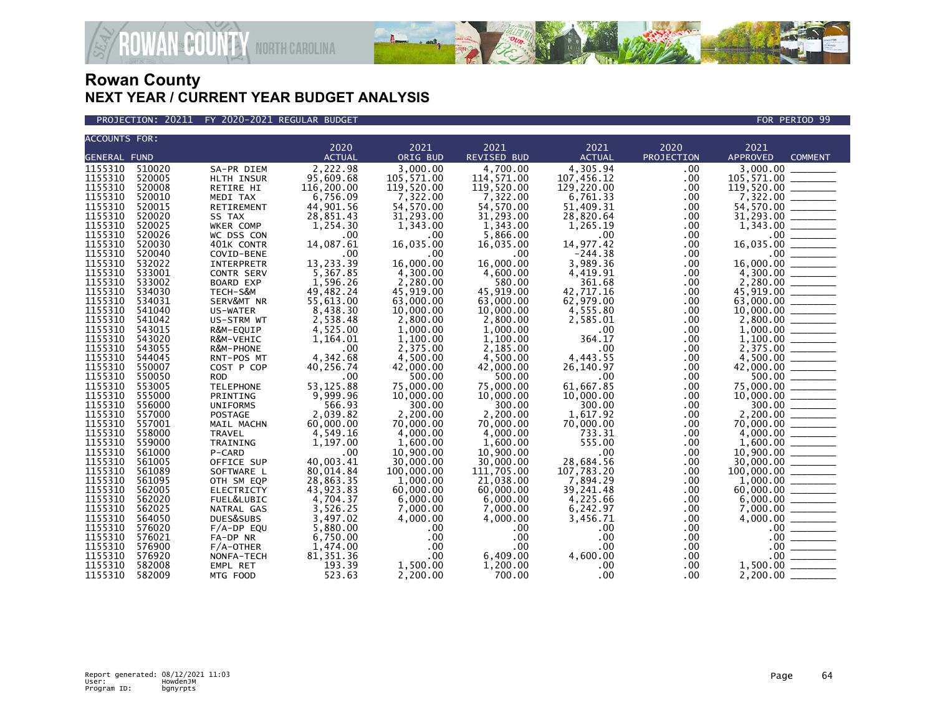

**AN<sup>&</sup>COUNTY** NORTH CAROLINA

| <b>ACCOUNTS FOR:</b> |        |                   |               |                  |                    |               |                  |                 |                                                                                                                                                                                                                                                                                                                                                                                                                                                                                        |
|----------------------|--------|-------------------|---------------|------------------|--------------------|---------------|------------------|-----------------|----------------------------------------------------------------------------------------------------------------------------------------------------------------------------------------------------------------------------------------------------------------------------------------------------------------------------------------------------------------------------------------------------------------------------------------------------------------------------------------|
|                      |        |                   | 2020          | 2021             | 2021               | 2021          | 2020             | 2021            |                                                                                                                                                                                                                                                                                                                                                                                                                                                                                        |
| <b>GENERAL FUND</b>  |        |                   | <b>ACTUAL</b> | ORIG BUD         | <b>REVISED BUD</b> | <b>ACTUAL</b> | PROJECTION       | <b>APPROVED</b> | <b>COMMENT</b>                                                                                                                                                                                                                                                                                                                                                                                                                                                                         |
| 1155310              | 510020 | SA-PR DIEM        | 2,222.98      | 3,000.00         | 4.700.00           | 4,305.94      | .00 <sub>1</sub> | 3.000.00        |                                                                                                                                                                                                                                                                                                                                                                                                                                                                                        |
| 1155310              | 520005 | HLTH INSUR        | 95,609.68     | 105,571.00       | 114,571.00         | 107,456.12    | .00              | 105,571.00      |                                                                                                                                                                                                                                                                                                                                                                                                                                                                                        |
| 1155310              | 520008 | RETIRE HI         | 116,200.00    | 119,520.00       | 119,520.00         | 129,220,00    | .00              | 119,520.00      |                                                                                                                                                                                                                                                                                                                                                                                                                                                                                        |
| 1155310              | 520010 | MEDI TAX          | 6,756.09      | 7,322.00         | 7,322.00           | 6,761.33      | .00              | 7,322.00        |                                                                                                                                                                                                                                                                                                                                                                                                                                                                                        |
|                      |        |                   |               |                  |                    |               |                  |                 |                                                                                                                                                                                                                                                                                                                                                                                                                                                                                        |
| 1155310              | 520015 | RETIREMENT        | 44,901.56     | 54,570.00        | 54,570.00          | 51,409.31     | .00              | 54,570.00       |                                                                                                                                                                                                                                                                                                                                                                                                                                                                                        |
| 1155310              | 520020 | SS TAX            | 28,851.43     | 31,293.00        | 31,293.00          | 28,820.64     | .00              | 31,293.00       | $\begin{tabular}{ccccc} \multicolumn{2}{c }{\textbf{1} & \multicolumn{2}{c }{\textbf{2} & \multicolumn{2}{c }{\textbf{3} & \multicolumn{2}{c }{\textbf{4} & \multicolumn{2}{c }{\textbf{5} & \multicolumn{2}{c }{\textbf{6} & \multicolumn{2}{c }{\textbf{6} & \multicolumn{2}{c }{\textbf{6} & \multicolumn{2}{c }{\textbf{6} & \multicolumn{2}{c }{\textbf{6} & \multicolumn{2}{c }{\textbf{6} & \multicolumn{2}{c }{\textbf{6} & \multicolumn{2}{$                                  |
| 1155310              | 520025 | WKER COMP         | 1,254.30      | 1,343.00         | 1,343.00           | 1,265.19      | .00              |                 |                                                                                                                                                                                                                                                                                                                                                                                                                                                                                        |
| 1155310              | 520026 | WC DSS CON        | .00           | .00              | 5,866.00           | .00           | .00              |                 |                                                                                                                                                                                                                                                                                                                                                                                                                                                                                        |
| 1155310              | 520030 | 401K CONTR        | 14,087.61     | 16,035.00        | 16,035.00          | 14,977.42     | .00              | 16,035.00       |                                                                                                                                                                                                                                                                                                                                                                                                                                                                                        |
| 1155310              | 520040 | COVID-BENE        | .00           | .00              | $.00 \,$           | $-244.38$     | .00              |                 |                                                                                                                                                                                                                                                                                                                                                                                                                                                                                        |
| 1155310              | 532022 | INTERPRETR        | 13,233.39     | 16,000.00        | 16,000.00          | 3,989.36      | .00              | 16,000.00       |                                                                                                                                                                                                                                                                                                                                                                                                                                                                                        |
| 1155310              | 533001 | CONTR SERV        | 5.367.85      | 4.300.00         | 4,600.00           | 4.419.91      | .00              | 4,300.00        |                                                                                                                                                                                                                                                                                                                                                                                                                                                                                        |
| 1155310              | 533002 | <b>BOARD EXP</b>  | 1,596.26      | 2,280.00         | 580.00             | 361.68        | .00              | 2,280.00        |                                                                                                                                                                                                                                                                                                                                                                                                                                                                                        |
| 1155310              | 534030 | TECH-S&M          | 49,482.24     | 45,919.00        | 45,919.00          | 42,717.16     | .00              | 45,919.00       | ___________                                                                                                                                                                                                                                                                                                                                                                                                                                                                            |
| 1155310              | 534031 | SERV&MT NR        | 55,613.00     | 63,000.00        | 63,000.00          | 62,979.00     | $.00 \,$         | 63,000,00       | $\begin{array}{ccccccccc} \multicolumn{3}{c}{} & \multicolumn{3}{c}{} & \multicolumn{3}{c}{} & \multicolumn{3}{c}{} & \multicolumn{3}{c}{} & \multicolumn{3}{c}{} & \multicolumn{3}{c}{} & \multicolumn{3}{c}{} & \multicolumn{3}{c}{} & \multicolumn{3}{c}{} & \multicolumn{3}{c}{} & \multicolumn{3}{c}{} & \multicolumn{3}{c}{} & \multicolumn{3}{c}{} & \multicolumn{3}{c}{} & \multicolumn{3}{c}{} & \multicolumn{3}{c}{} & \multicolumn{3}{c}{} & \multicolumn{3}{c}{} & \mult$  |
| 1155310              | 541040 | US-WATER          | 8,438.30      | 10,000.00        | 10,000.00          | 4,555.80      | .00              | 10,000.00       |                                                                                                                                                                                                                                                                                                                                                                                                                                                                                        |
| 1155310              | 541042 | US-STRM WT        | 2,538.48      | 2,800.00         | 2,800.00           | 2,585.01      | .00              | 2,800.00        |                                                                                                                                                                                                                                                                                                                                                                                                                                                                                        |
| 1155310              | 543015 | R&M-EQUIP         | 4,525.00      | 1,000.00         | 1,000.00           | .00           | .00              | 1,000.00        |                                                                                                                                                                                                                                                                                                                                                                                                                                                                                        |
| 1155310              | 543020 | R&M-VEHIC         | 1,164.01      | 1,100.00         | 1,100.00           | 364.17        | .00 <sub>1</sub> | 1,100.00        | $\frac{1}{1}$                                                                                                                                                                                                                                                                                                                                                                                                                                                                          |
| 1155310              | 543055 | R&M-PHONE         | .00           | 2,375.00         | 2,185.00           | .00           | .00              | 2,375.00        |                                                                                                                                                                                                                                                                                                                                                                                                                                                                                        |
| 1155310              | 544045 | RNT-POS MT        | 4,342.68      | 4,500.00         | 4,500.00           | 4,443.55      | $.00 \,$         | 4,500.00        |                                                                                                                                                                                                                                                                                                                                                                                                                                                                                        |
| 1155310              | 550007 | COST P COP        | 40,256.74     | 42,000.00        | 42,000.00          | 26,140.97     | .00              |                 |                                                                                                                                                                                                                                                                                                                                                                                                                                                                                        |
| 1155310              | 550050 | <b>ROD</b>        | .00           | 500.00           | 500.00             | .00           | .00              | 500.00          |                                                                                                                                                                                                                                                                                                                                                                                                                                                                                        |
| 1155310              | 553005 | <b>TELEPHONE</b>  | 53, 125.88    | 75,000,00        | 75,000.00          | 61.667.85     | .00              | 75,000,00       |                                                                                                                                                                                                                                                                                                                                                                                                                                                                                        |
| 1155310              | 555000 | PRINTING          | 9,999.96      | 10,000.00        | 10,000.00          | 10,000.00     | .00              | 10,000.00       |                                                                                                                                                                                                                                                                                                                                                                                                                                                                                        |
| 1155310              | 556000 | <b>UNIFORMS</b>   | 566.93        | 300.00           | 300.00             | 300.00        | .00              | 300.00          |                                                                                                                                                                                                                                                                                                                                                                                                                                                                                        |
|                      |        |                   |               |                  |                    |               |                  |                 |                                                                                                                                                                                                                                                                                                                                                                                                                                                                                        |
| 1155310              | 557000 | POSTAGE           | 2,039.82      | 2,200.00         | 2,200.00           | 1,617.92      | .00              | 2.200.00        | $\begin{array}{ccccccccc} \multicolumn{3}{c}{} & \multicolumn{3}{c}{} & \multicolumn{3}{c}{} & \multicolumn{3}{c}{} & \multicolumn{3}{c}{} & \multicolumn{3}{c}{} & \multicolumn{3}{c}{} & \multicolumn{3}{c}{} & \multicolumn{3}{c}{} & \multicolumn{3}{c}{} & \multicolumn{3}{c}{} & \multicolumn{3}{c}{} & \multicolumn{3}{c}{} & \multicolumn{3}{c}{} & \multicolumn{3}{c}{} & \multicolumn{3}{c}{} & \multicolumn{3}{c}{} & \multicolumn{3}{c}{} & \multicolumn{3}{c}{} & \mult$  |
| 1155310              | 557001 | MAIL MACHN        | 60,000.00     | 70,000.00        | 70,000.00          | 70,000.00     | $.00 \,$         | 70,000.00       |                                                                                                                                                                                                                                                                                                                                                                                                                                                                                        |
| 1155310              | 558000 | <b>TRAVEL</b>     | 4,549.16      | 4.000.00         | 4.000.00           | 733.31        | .00              |                 |                                                                                                                                                                                                                                                                                                                                                                                                                                                                                        |
| 1155310              | 559000 | TRAINING          | 1,197.00      | 1,600.00         | 1,600.00           | 555.00        | .00              | 1,600.00        |                                                                                                                                                                                                                                                                                                                                                                                                                                                                                        |
| 1155310              | 561000 | P-CARD            | .00           | 10,900.00        | 10,900.00          | .00           | .00              | 10,900.00       |                                                                                                                                                                                                                                                                                                                                                                                                                                                                                        |
| 1155310              | 561005 | OFFICE SUP        | 40,003.41     | 30,000.00        | 30,000.00          | 28,684.56     | .00              | 30,000.00       |                                                                                                                                                                                                                                                                                                                                                                                                                                                                                        |
| 1155310              | 561089 | SOFTWARE L        | 80,014.84     | 100,000.00       | 111,705.00         | 107,783.20    | .00              | 100,000.00      | $\begin{array}{cccccccccc} \multicolumn{2}{c}{} & \multicolumn{2}{c}{} & \multicolumn{2}{c}{} & \multicolumn{2}{c}{} & \multicolumn{2}{c}{} & \multicolumn{2}{c}{} & \multicolumn{2}{c}{} & \multicolumn{2}{c}{} & \multicolumn{2}{c}{} & \multicolumn{2}{c}{} & \multicolumn{2}{c}{} & \multicolumn{2}{c}{} & \multicolumn{2}{c}{} & \multicolumn{2}{c}{} & \multicolumn{2}{c}{} & \multicolumn{2}{c}{} & \multicolumn{2}{c}{} & \multicolumn{2}{c}{} & \multicolumn{2}{c}{} & \mult$ |
| 1155310              | 561095 | OTH SM EQP        | 28,863.35     | 1,000.00         | 21,038.00          | 7,894.29      | .00              | 1,000.00        |                                                                                                                                                                                                                                                                                                                                                                                                                                                                                        |
| 1155310              | 562005 | <b>ELECTRICTY</b> | 43.923.83     | 60,000.00        | 60,000,00          | 39.241.48     | .00              | 60,000.00       |                                                                                                                                                                                                                                                                                                                                                                                                                                                                                        |
| 1155310              | 562020 | FUEL&LUBIC        | 4,704.37      | 6,000.00         | 6,000.00           | 4,225.66      | .00              | 6,000.00        |                                                                                                                                                                                                                                                                                                                                                                                                                                                                                        |
| 1155310              | 562025 | NATRAL GAS        | 3,526.25      | 7,000.00         | 7,000.00           | 6,242.97      | $.00 \,$         | 7,000.00        |                                                                                                                                                                                                                                                                                                                                                                                                                                                                                        |
| 1155310              | 564050 | DUES&SUBS         | 3.497.02      | 4,000.00         | 4,000.00           | 3,456.71      | .00              | 4,000.00        |                                                                                                                                                                                                                                                                                                                                                                                                                                                                                        |
| 1155310              | 576020 | $F/A-DP$ EQU      | 5,880.00      | .00              | .00.               | .00           | .00 <sub>1</sub> | $.00 \,$        |                                                                                                                                                                                                                                                                                                                                                                                                                                                                                        |
| 1155310              | 576021 | FA-DP NR          | 6,750.00      | .00              | .00                | .00           | $.00 \,$         | .00             |                                                                                                                                                                                                                                                                                                                                                                                                                                                                                        |
| 1155310              | 576900 | $F/A$ -OTHER      | 1,474.00      | .00              | .00                | .00           | .00              | $.00 \,$        | $\begin{array}{c} \begin{array}{c} \begin{array}{c} \begin{array}{c} \end{array} \\ \end{array} \end{array} \end{array}$                                                                                                                                                                                                                                                                                                                                                               |
| 1155310              | 576920 | NONFA-TECH        | 81, 351.36    | .00 <sub>1</sub> | 6.409.00           | 4.600.00      | .00 <sub>1</sub> | $.00 \,$        |                                                                                                                                                                                                                                                                                                                                                                                                                                                                                        |
| 1155310              | 582008 | EMPL RET          | 193.39        | 1,500.00         | 1,200.00           | .00           | .00              | 1,500.00        |                                                                                                                                                                                                                                                                                                                                                                                                                                                                                        |
| 1155310              | 582009 | MTG FOOD          | 523.63        | 2,200.00         | 700.00             | .00           | .00              | 2,200.00        |                                                                                                                                                                                                                                                                                                                                                                                                                                                                                        |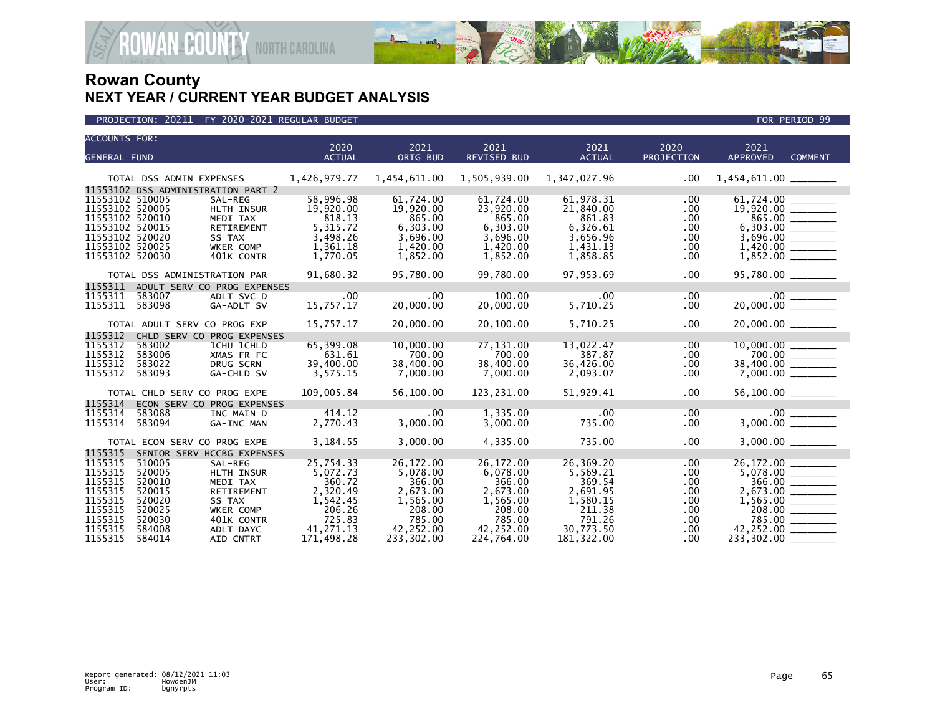

| <b>ACCOUNTS FOR:</b> |                          |                                    |                       |                  |                            |                       |                    |                       |                |
|----------------------|--------------------------|------------------------------------|-----------------------|------------------|----------------------------|-----------------------|--------------------|-----------------------|----------------|
| <b>GENERAL FUND</b>  |                          |                                    | 2020<br><b>ACTUAL</b> | 2021<br>ORIG BUD | 2021<br><b>REVISED BUD</b> | 2021<br><b>ACTUAL</b> | 2020<br>PROJECTION | 2021<br>APPROVED      | <b>COMMENT</b> |
|                      |                          |                                    |                       |                  |                            |                       |                    |                       |                |
|                      | TOTAL DSS ADMIN EXPENSES |                                    | 1,426,979.77          | 1,454,611.00     | 1,505,939.00               | 1,347,027.96          | $.00 \,$           |                       |                |
|                      |                          | 11553102 DSS ADMINISTRATION PART 2 |                       |                  |                            |                       |                    |                       |                |
| 11553102 510005      |                          | SAL-REG                            | 58,996.98             | 61,724.00        | 61,724.00                  | 61,978.31             | .00.               |                       |                |
| 11553102 520005      |                          | HLTH INSUR                         | 19,920.00             | 19,920.00        | 23,920.00                  | 21,840.00             | $.00 \,$           |                       |                |
| 11553102 520010      |                          | MEDI TAX                           | 818.13                | 865.00           | 865.00                     | 861.83                | .00                |                       | 865.00         |
| 11553102 520015      |                          | RETIREMENT                         | 5, 315.72             | 6,303.00         | 6,303.00                   | 6,326.61              | $.00 \,$           |                       |                |
| 11553102 520020      |                          | SS TAX                             | 3,498.26              | 3,696.00         | 3,696.00                   | 3,656.96              | $.00 \,$           |                       |                |
| 11553102 520025      |                          | WKER COMP                          | 1,361.18              | 1,420.00         | 1,420.00                   | 1,431.13              | $.00 \,$           |                       |                |
| 11553102 520030      |                          | 401K CONTR                         | 1,770.05              | 1,852.00         | 1,852.00                   | 1,858.85              | .00                |                       |                |
|                      |                          | TOTAL DSS ADMINISTRATION PAR       | 91,680.32             | 95,780.00        | 99.780.00                  | 97,953.69             | $.00 \,$           | $95,780.00$ _________ |                |
| 1155311              |                          | ADULT SERV CO PROG EXPENSES        |                       |                  |                            |                       |                    |                       |                |
| 1155311              | 583007                   | ADLT SVC D                         | .00                   | .00              | 100.00                     | .00                   | .00                |                       |                |
| 1155311              | 583098                   | GA-ADLT SV                         | 15,757.17             | 20,000.00        | 20,000.00                  | 5,710.25              | $.00 \cdot$        | 20,000.00             |                |
|                      |                          | TOTAL ADULT SERV CO PROG EXP       | 15,757.17             | 20,000.00        | 20,100.00                  | 5,710.25              | $.00 \,$           |                       |                |
| 1155312              |                          | CHLD SERV CO PROG EXPENSES         |                       |                  |                            |                       |                    |                       |                |
| 1155312              | 583002                   | 1CHU 1CHLD                         | 65,399.08             | 10,000.00        | 77,131.00                  | 13,022.47             | $.00 \,$           |                       |                |
| 1155312              | 583006                   | XMAS FR FC                         | 631.61                | 700.00           | 700.00                     | 387.87                | $.00 \,$           |                       |                |
| 1155312              | 583022                   | DRUG SCRN                          | 39,400.00             | 38,400.00        | 38,400.00                  | 36,426.00             | .00.               | 38,400.00 _______     |                |
| 1155312              | 583093                   | GA-CHLD SV                         | 3,575.15              | 7,000.00         | 7,000.00                   | 2,093.07              | .00                |                       |                |
|                      |                          | TOTAL CHLD SERV CO PROG EXPE       | 109,005.84            | 56,100.00        | 123,231.00                 | 51,929.41             | $.00 \,$           | $56,100.00$ _________ |                |
| 1155314              |                          | ECON SERV CO PROG EXPENSES         |                       |                  |                            |                       |                    |                       |                |
| 1155314              | 583088                   | INC MAIN D                         | 414.12                | $.00 \cdot$      | 1,335.00                   | .00                   | $.00 \,$           |                       |                |
| 1155314              | 583094                   | GA-INC MAN                         | 2,770.43              | 3,000.00         | 3,000.00                   | 735.00                | $.00 \,$           |                       |                |
|                      |                          | TOTAL ECON SERV CO PROG EXPE       | 3,184.55              | 3,000.00         | 4,335.00                   | 735.00                | .00                |                       |                |
| 1155315              |                          | SENIOR SERV HCCBG EXPENSES         |                       |                  |                            |                       |                    |                       |                |
| 1155315              | 510005                   | SAL-REG                            | 25,754.33             | 26,172.00        | 26,172.00                  | 26,369.20             | .00                | 26, 172.00            |                |
| 1155315              | 520005                   | HLTH INSUR                         | 5,072.73              | 5,078.00         | 6,078.00                   | 5,569.21              | .00.               |                       |                |
| 1155315              | 520010                   | MEDI TAX                           | 360.72                | 366.00           | 366.00                     | 369.54                | $.00 \,$           |                       | 366.00         |
| 1155315              | 520015                   | RETIREMENT                         | 2,320.49              | 2,673.00         | 2,673.00                   | 2,691.95              | .00.               |                       |                |
| 1155315              | 520020                   | SS TAX                             | 1,542.45              | 1,565.00         | 1,565.00                   | 1,580.15              | .00                |                       |                |
| 1155315              | 520025                   | <b>WKER COMP</b>                   | 206.26                | 208.00           | 208.00                     | 211.38                | $.00 \,$           |                       | 208.00 ______  |
| 1155315              | 520030                   | 401K CONTR                         | 725.83                | 785.00           | 785.00                     | 791.26                | $.00 \,$           |                       | 785.00         |
| 1155315              | 584008                   | ADLT DAYC                          | 41,271.13             | 42,252.00        | 42,252.00                  | 30,773.50             | $.00 \,$           | 42,252.00             |                |
| 1155315              | 584014                   | AID CNTRT                          | 171,498.28            | 233,302.00       | 224,764.00                 | 181,322.00            | $.00 \,$           | 233,302.00            |                |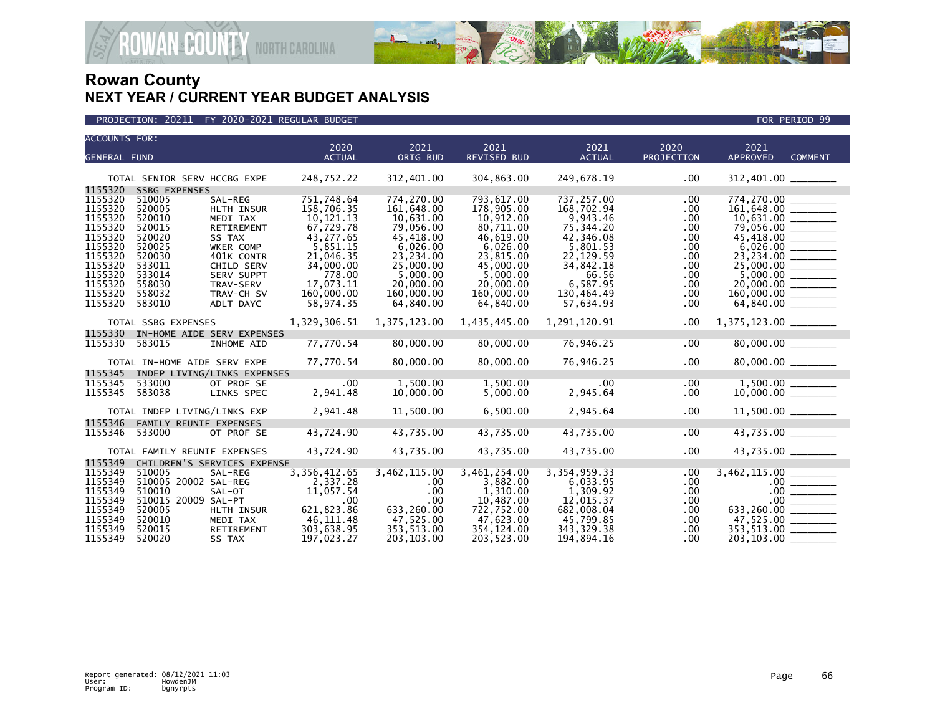

| <b>ACCOUNTS FOR:</b> |                               |                             | 2020                   | 2021                   | 2021                    | 2021                    | 2020              | 2021                                  |  |
|----------------------|-------------------------------|-----------------------------|------------------------|------------------------|-------------------------|-------------------------|-------------------|---------------------------------------|--|
| <b>GENERAL FUND</b>  |                               |                             | <b>ACTUAL</b>          | ORIG BUD               | <b>REVISED BUD</b>      | <b>ACTUAL</b>           | <b>PROJECTION</b> | <b>APPROVED</b><br><b>COMMENT</b>     |  |
|                      |                               |                             |                        |                        |                         |                         |                   |                                       |  |
|                      | TOTAL SENIOR SERV HCCBG EXPE  |                             | 248,752.22             | 312,401.00             | 304,863.00              | 249,678.19              | .00               | 312,401.00 _______                    |  |
| 1155320              | <b>SSBG EXPENSES</b>          |                             |                        |                        |                         |                         |                   |                                       |  |
| 1155320              | 510005                        | SAL-REG                     | 751,748.64             | 774,270.00             | 793,617.00              | 737,257.00              | .00               | 774,270.00<br>161,648.00              |  |
| 1155320              | 520005                        | HLTH INSUR                  | 158,706.35             | 161,648.00             | 178,905.00              | 168,702.94              | .00.              |                                       |  |
| 1155320              | 520010                        | MEDI TAX                    | 10,121.13              | 10.631.00              | 10.912.00               | 9.943.46                | .00               |                                       |  |
| 1155320<br>1155320   | 520015<br>520020              | RETIREMENT<br>SS TAX        | 67,729.78<br>43,277.65 | 79,056.00<br>45,418.00 | 80,711.00<br>46,619.00  | 75,344.20<br>42,346.08  | .00<br>.00.       | 79,056.00 _______<br>45,418.00 ______ |  |
| 1155320              | 520025                        | WKER COMP                   | 5,851.15               | 6,026.00               | 6,026.00                | 5,801.53                | .00               |                                       |  |
| 1155320              | 520030                        | 401K CONTR                  | 21,046.35              | 23,234.00              | 23,815.00               | 22,129.59               | .00               |                                       |  |
| 1155320              | 533011                        | CHILD SERV                  | 34,000.00              | 25,000.00              | 45,000.00               | 34,842.18               | $.00 \,$          |                                       |  |
| 1155320              | 533014                        | SERV SUPPT                  | 778.00                 | 5,000.00               | 5,000.00                | 66.56                   | .00               |                                       |  |
| 1155320              | 558030                        | TRAV-SERV                   | 17.073.11              | 20,000.00              | 20,000.00               | 6,587.95                | .00.              | $20,000.00$ ________                  |  |
| 1155320              | 558032                        | TRAV-CH SV                  | 160,000.00             | 160,000.00             | 160,000.00              | 130,464.49              | .00               | $160,000.00$ ________                 |  |
| 1155320              | 583010                        | ADLT DAYC                   | 58,974.35              | 64,840.00              | 64,840.00               | 57,634.93               | .00               | 64,840.00 ________                    |  |
|                      | TOTAL SSBG EXPENSES           |                             | 1,329,306.51           | 1,375,123.00           | 1,435,445.00            | 1,291,120.91            | $.00 \,$          |                                       |  |
| 1155330              |                               | IN-HOME AIDE SERV EXPENSES  |                        |                        |                         |                         |                   |                                       |  |
| 1155330              | 583015                        | INHOME AID                  | 77,770.54              | 80,000.00              | 80,000.00               | 76,946.25               | $.00 \,$          | $80,000.00$ _______                   |  |
|                      | TOTAL IN-HOME AIDE SERV EXPE  |                             | 77,770.54              | 80,000.00              | 80,000.00               | 76,946.25               | .00               | 80,000.00 ______                      |  |
| 1155345              |                               | INDEP LIVING/LINKS EXPENSES |                        |                        |                         |                         |                   |                                       |  |
| 1155345              | 533000                        | OT PROF SE                  | .00                    | 1,500.00               | 1,500.00                | .00                     | .00               | $1,500.00$<br>10,000.00               |  |
| 1155345              | 583038                        | LINKS SPEC                  | 2,941.48               | 10,000.00              | 5,000.00                | 2,945.64                | .00               |                                       |  |
|                      | TOTAL INDEP LIVING/LINKS EXP  |                             | 2,941.48               | 11,500.00              | 6,500.00                | 2,945.64                | .00               | $11,500.00$ _______                   |  |
| 1155346              | FAMILY REUNIF EXPENSES        |                             |                        |                        |                         |                         |                   |                                       |  |
| 1155346              | 533000                        | OT PROF SE                  | 43,724.90              | 43,735.00              | 43,735.00               | 43,735.00               | .00               | 43,735.00 ______                      |  |
|                      | TOTAL FAMILY REUNIF EXPENSES  |                             | 43,724.90              | 43,735.00              | 43,735.00               | 43,735.00               | .00               | 43,735.00                             |  |
| 1155349              |                               | CHILDREN'S SERVICES EXPENSE |                        |                        |                         |                         |                   |                                       |  |
| 1155349              | 510005                        | SAL-REG                     | 3, 356, 412.65         | 3,462,115.00           | 3,461,254.00            | 3, 354, 959. 33         | .00.              | 3,462,115.00                          |  |
| 1155349              | 510005 20002 SAL-REG          |                             | 2,337.28               | $.00 \,$               | 3,882.00                | 6,033.95                | .00               |                                       |  |
| 1155349              | 510010                        | SAL-OT                      | 11,057.54              | .00                    | 1,310.00                | 1,309.92                | .00               |                                       |  |
| 1155349<br>1155349   | 510015 20009 SAL-PT<br>520005 | HLTH INSUR                  | .00<br>621.823.86      | $.00 \,$<br>633,260.00 | 10,487.00<br>722,752.00 | 12,015.37<br>682,008.04 | .00<br>$.00 \,$   |                                       |  |
| 1155349              | 520010                        | MEDI TAX                    | 46,111.48              | 47,525.00              | 47,623.00               | 45,799.85               | .00               |                                       |  |
| 1155349              | 520015                        | RETIREMENT                  | 303,638.95             | 353, 513.00            | 354,124.00              | 343, 329. 38            | .00               | $353,513.00$ _______                  |  |
| 1155349              | 520020                        | SS TAX                      | 197,023.27             | 203,103.00             | 203,523.00              | 194.894.16              | $.00 \,$          | 203,103.00                            |  |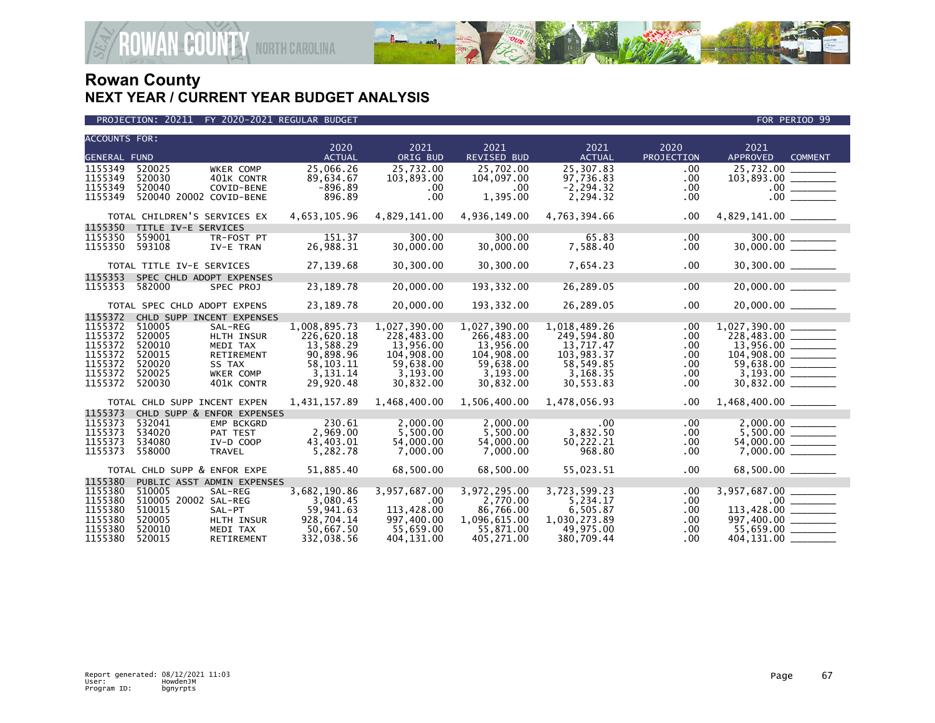

| <b>ACCOUNTS FOR:</b> |                              |                            |                        |                         |                         |                           |                      |                                 |                |
|----------------------|------------------------------|----------------------------|------------------------|-------------------------|-------------------------|---------------------------|----------------------|---------------------------------|----------------|
|                      |                              |                            | 2020                   | 2021                    | 2021                    | 2021                      | 2020                 | 2021                            |                |
| <b>GENERAL FUND</b>  |                              |                            | <b>ACTUAL</b>          | ORIG BUD                | <b>REVISED BUD</b>      | <b>ACTUAL</b>             | PROJECTION           | <b>APPROVED</b>                 | <b>COMMENT</b> |
| 1155349              | 520025                       | WKER COMP                  | 25,066.26              | 25,732.00               | 25,702.00               | 25,307.83                 | .00                  | 25,732.00                       |                |
| 1155349<br>1155349   | 520030<br>520040             | 401K CONTR<br>COVID-BENE   | 89,634.67<br>$-896.89$ | 103,893.00<br>.00       | 104,097.00<br>.00       | 97,736.83<br>$-2, 294.32$ | .00<br>$.00 \,$      | $103,893.00$ ________           |                |
| 1155349              | 520040 20002 COVID-BENE      |                            | 896.89                 | .00 <sub>1</sub>        | 1,395.00                | 2,294.32                  | $.00 \,$             | .00 <sub>1</sub>                |                |
|                      |                              |                            |                        |                         |                         |                           |                      |                                 |                |
|                      | TOTAL CHILDREN'S SERVICES EX |                            | 4,653,105.96           | 4,829,141.00            | 4,936,149.00            | 4,763,394.66              | $.00 \,$             |                                 |                |
| 1155350              | TITLE IV-E SERVICES          |                            |                        |                         |                         |                           |                      |                                 |                |
| 1155350              | 559001                       | TR-FOST PT                 | 151.37                 | 300.00                  | 300.00                  | 65.83                     | .00                  | $300.00$<br>30,000.00           |                |
| 1155350              | 593108                       | IV-E TRAN                  | 26,988.31              | 30,000.00               | 30,000.00               | 7,588.40                  | $.00 \,$             |                                 |                |
|                      | TOTAL TITLE IV-E SERVICES    |                            | 27,139.68              | 30,300.00               | 30,300.00               | 7,654.23                  | $.00 \,$             | 30,300.00 _______               |                |
| 1155353              | SPEC CHLD ADOPT EXPENSES     |                            |                        |                         |                         |                           |                      |                                 |                |
| 1155353              | 582000                       | SPEC PROJ                  | 23, 189. 78            | 20,000.00               | 193, 332.00             | 26,289.05                 | .00                  |                                 |                |
|                      |                              |                            |                        |                         |                         |                           |                      |                                 |                |
|                      | TOTAL SPEC CHLD ADOPT EXPENS |                            | 23,189.78              | 20,000.00               | 193,332.00              | 26,289.05                 | $.00 \,$             | $20,000.00$ ________            |                |
| 1155372              |                              | CHLD SUPP INCENT EXPENSES  |                        |                         |                         |                           |                      |                                 |                |
| 1155372              | 510005                       | SAL-REG                    | 1,008,895.73           | 1,027,390.00            | 1,027,390.00            | 1,018,489.26              | $.00 \,$             |                                 |                |
| 1155372              | 520005                       | HLTH INSUR                 | 226,620.18             | 228,483.00              | 266,483.00              | 249,594.80                | $.00 \,$             | $228,483.00$ _______            |                |
| 1155372<br>1155372   | 520010<br>520015             | MEDI TAX<br>RETIREMENT     | 13,588.29<br>90,898.96 | 13,956.00<br>104,908.00 | 13,956.00<br>104,908.00 | 13,717.47<br>103,983.37   | .00<br>$.00 \,$      | $13,956.00$ ________            |                |
| 1155372              | 520020                       | SS TAX                     | 58, 103. 11            | 59,638.00               | 59,638.00               | 58,549.85                 | $.00 \,$             | $104,908.00$<br>59,638.00       |                |
| 1155372              | 520025                       | <b>WKER COMP</b>           | 3,131.14               | 3,193.00                | 3,193.00                | 3,168.35                  | $.00 \,$             |                                 |                |
| 1155372              | 520030                       | 401K CONTR                 | 29,920.48              | 30,832.00               | 30,832.00               | 30,553.83                 | $.00 \,$             | 30,832.00                       |                |
|                      |                              |                            |                        |                         |                         |                           |                      |                                 |                |
|                      | TOTAL CHLD SUPP INCENT EXPEN |                            | 1,431,157.89           | 1,468,400.00            | 1,506,400.00            | 1,478,056.93              | $.00 \,$             | $1,468,400.00$ _________        |                |
| 1155373              |                              | CHLD SUPP & ENFOR EXPENSES |                        |                         |                         |                           |                      |                                 |                |
| 1155373              | 532041                       | EMP BCKGRD                 | 230.61                 | 2,000.00                | 2,000.00                | .00                       | $.00 \,$             |                                 |                |
| 1155373<br>1155373   | 534020<br>534080             | PAT TEST<br>IV-D COOP      | 2,969.00<br>43,403.01  | 5,500.00                | 5,500.00<br>54,000.00   | 3,832.50                  | $.00 \,$<br>$.00 \,$ |                                 |                |
| 1155373              | 558000                       | <b>TRAVEL</b>              | 5,282.78               | 54,000.00<br>7,000.00   | 7,000.00                | 50,222.21<br>968.80       | $.00 \,$             |                                 |                |
|                      |                              |                            |                        |                         |                         |                           |                      |                                 |                |
|                      | TOTAL CHLD SUPP & ENFOR EXPE |                            | 51,885.40              | 68,500.00               | 68,500.00               | 55,023.51                 | $.00 \,$             | 68,500.00 ________              |                |
| 1155380              |                              | PUBLIC ASST ADMIN EXPENSES |                        |                         |                         |                           |                      |                                 |                |
| 1155380              | 510005                       | SAL-REG                    | 3,682,190.86           | 3,957,687.00            | 3,972,295.00            | 3,723,599.23              | .00.                 | 3,957,687.00 ________           |                |
| 1155380              | 510005 20002 SAL-REG         |                            | 3,080.45               | $.00 \ \,$              | 2,770.00                | 5,234.17                  | $.00 \,$             |                                 |                |
| 1155380              | 510015                       | SAL-PT                     | 59,941.63              | 113,428.00              | 86,766.00               | 6,505.87                  | $.00 \,$             | $\frac{113,428.00}{997,400.00}$ |                |
| 1155380              | 520005                       | HLTH INSUR                 | 928,704.14             | 997,400.00              | 1,096,615.00            | 1,030,273.89              | $.00 \,$             |                                 |                |
| 1155380              | 520010                       | MEDI TAX                   | 50,667.50              | 55,659.00               | 55,871.00               | 49,975.00                 | .00                  | $55,659.00$ ________            |                |
| 1155380              | 520015                       | <b>RETIREMENT</b>          | 332,038.56             | 404,131.00              | 405,271.00              | 380.709.44                | $.00 \,$             | 404,131.00                      |                |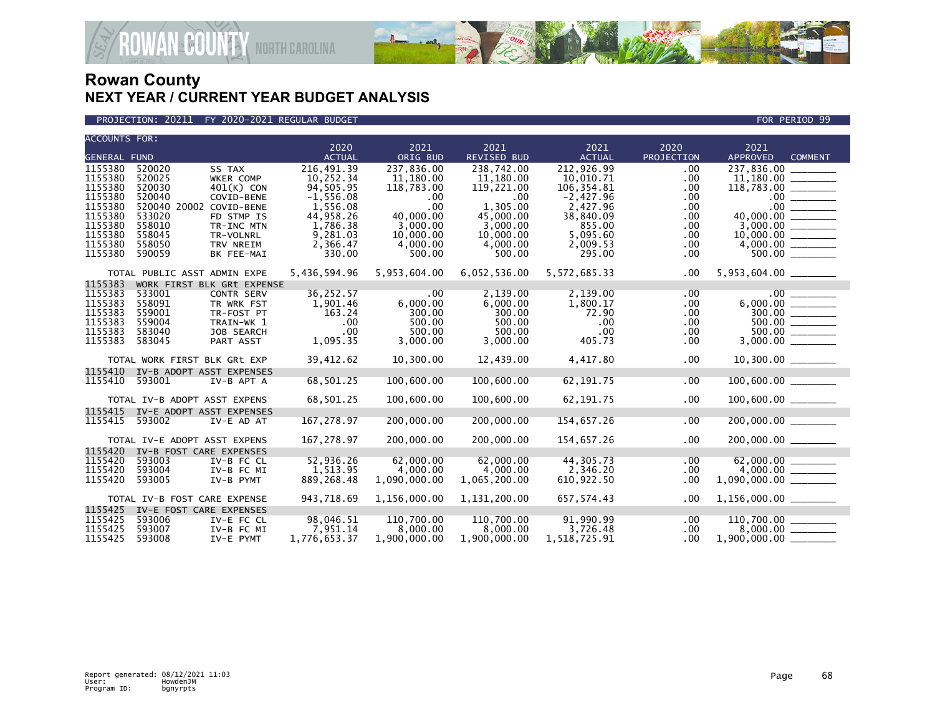

PROJECTION: 20211 FY 2020-2021 REGULAR BUDGET FOR PERIOD 99

| <b>ACCOUNTS FOR:</b>                                |                                                       |                                                                           | 2020                                          | 2021                                          | 2021                                               | 2021                                                  | 2020                                      | 2021                                                                      |
|-----------------------------------------------------|-------------------------------------------------------|---------------------------------------------------------------------------|-----------------------------------------------|-----------------------------------------------|----------------------------------------------------|-------------------------------------------------------|-------------------------------------------|---------------------------------------------------------------------------|
| <b>GENERAL FUND</b>                                 |                                                       |                                                                           | <b>ACTUAL</b>                                 | ORIG BUD                                      | REVISED BUD                                        | <b>ACTUAL</b>                                         | PROJECTION                                | <b>APPROVED</b><br><b>COMMENT</b>                                         |
| 1155380<br>1155380<br>1155380                       | 520020<br>520025<br>520030                            | SS TAX<br>WKER COMP<br>$401(K)$ CON                                       | 216,491.39<br>10,252.34<br>94,505.95          | 237,836.00<br>11,180.00<br>118,783.00         | 238.742.00<br>11,180.00<br>119,221.00              | 212,926.99<br>10,010.71<br>106,354.81                 | .00<br>.00<br>.00                         | 237.836.00                                                                |
| 1155380<br>1155380<br>1155380<br>1155380            | 520040<br>520040 20002 COVID-BENE<br>533020           | COVID-BENE<br>FD STMP IS                                                  | $-1,556.08$<br>1,556.08<br>44,958.26          | $.00 \,$<br>.00<br>40,000,00                  | .00<br>1,305.00<br>45,000.00                       | $-2,427.96$<br>2,427.96<br>38,840.09                  | .00<br>.00<br>.00.                        | 40.000.00                                                                 |
| 1155380<br>1155380<br>1155380                       | 558010<br>558045<br>558050<br>590059                  | TR-INC MTN<br>TR-VOLNRL<br>TRV NREIM<br>BK FEE-MAI                        | 1,786.38<br>9,281.03<br>2,366.47<br>330.00    | 3,000.00<br>10,000.00<br>4,000.00<br>500.00   | 3,000.00<br>10,000.00<br>4,000.00<br>500.00        | 855.00<br>5,095.60<br>2,009.53<br>295.00              | .00<br>.00.<br>.00<br>.00.                |                                                                           |
|                                                     | TOTAL PUBLIC ASST ADMIN EXPE                          |                                                                           | 5,436,594.96                                  | 5,953,604.00                                  | 6,052,536.00                                       | 5,572,685.33                                          | .00                                       |                                                                           |
| 1155383                                             |                                                       | WORK FIRST BLK GRt EXPENSE                                                |                                               |                                               |                                                    |                                                       |                                           |                                                                           |
| 1155383<br>1155383<br>1155383<br>1155383<br>1155383 | 533001<br>558091<br>559001<br>559004<br>583040        | <b>CONTR SERV</b><br>TR WRK FST<br>TR-FOST PT<br>TRAIN-WK 1<br>JOB SEARCH | 36,252.57<br>1,901.46<br>163.24<br>.00<br>.00 | .00<br>6,000.00<br>300.00<br>500.00<br>500.00 | 2,139.00<br>6,000.00<br>300.00<br>500.00<br>500.00 | 2,139.00<br>1,800.17<br>72.90<br>$.00 \,$<br>$.00 \,$ | .00<br>.00<br>.00<br>$.00 \,$<br>$.00 \,$ | .00 <sub>1</sub><br>$\frac{300.00}{500.00} \ \frac{\ \ }{2000}$<br>500.00 |
| 1155383                                             | 583045                                                | PART ASST                                                                 | 1,095.35                                      | 3,000.00                                      | 3,000.00                                           | 405.73                                                | .00.                                      |                                                                           |
|                                                     | TOTAL WORK FIRST BLK GRt EXP                          |                                                                           | 39,412.62                                     | 10,300.00                                     | 12,439.00                                          | 4,417.80                                              | .00                                       |                                                                           |
| 1155410<br>1155410                                  | IV-B ADOPT ASST EXPENSES<br>593001                    | IV-B APT A                                                                | 68,501.25                                     | 100,600.00                                    | 100,600.00                                         | 62, 191.75                                            | .00                                       |                                                                           |
|                                                     | TOTAL IV-B ADOPT ASST EXPENS                          |                                                                           | 68,501.25                                     | 100,600.00                                    | 100,600.00                                         | 62, 191.75                                            | .00                                       | 100,600.00 _______                                                        |
| 1155415<br>1155415                                  | IV-E ADOPT ASST EXPENSES<br>593002                    | IV-E AD AT                                                                | 167,278.97                                    | 200,000.00                                    | 200,000.00                                         | 154,657.26                                            | .00                                       |                                                                           |
|                                                     | TOTAL IV-E ADOPT ASST EXPENS                          |                                                                           | 167,278.97                                    | 200,000.00                                    | 200,000.00                                         | 154,657.26                                            | .00                                       | 200,000.00 ______                                                         |
| 1155420                                             | IV-B FOST CARE EXPENSES                               |                                                                           |                                               |                                               |                                                    |                                                       |                                           |                                                                           |
| 1155420<br>1155420<br>1155420                       | 593003<br>593004<br>593005                            | IV-B FC CL<br>IV-B FC MI<br>IV-B PYMT                                     | 52,936.26<br>1,513.95<br>889, 268.48          | 62,000.00<br>4,000.00<br>1,090,000.00         | 62,000.00<br>4,000.00<br>1,065,200.00              | 44,305.73<br>2,346.20<br>610,922.50                   | .00<br>.00<br>.00                         | $4,000.00$ ________<br>1,090,000.00 ________                              |
|                                                     | TOTAL IV-B FOST CARE EXPENSE                          |                                                                           | 943,718.69                                    | 1,156,000.00                                  | 1,131,200.00                                       | 657,574.43                                            | .00                                       | $1,156,000.00$ _________                                                  |
| 1155425<br>1155425<br>1155425<br>1155425            | IV-E FOST CARE EXPENSES<br>593006<br>593007<br>593008 | IV-E FC CL<br>IV-B FC MI<br>IV-E PYMT                                     | 98,046.51<br>7,951.14<br>1,776,653.37         | 110,700.00<br>8,000.00<br>1,900,000.00        | 110,700.00<br>8,000.00<br>1,900,000.00             | 91,990.99<br>3,726.48<br>1,518,725.91                 | .00<br>.00.<br>$.00 \,$                   | 110,700.00<br>$1,900,000.00$ __                                           |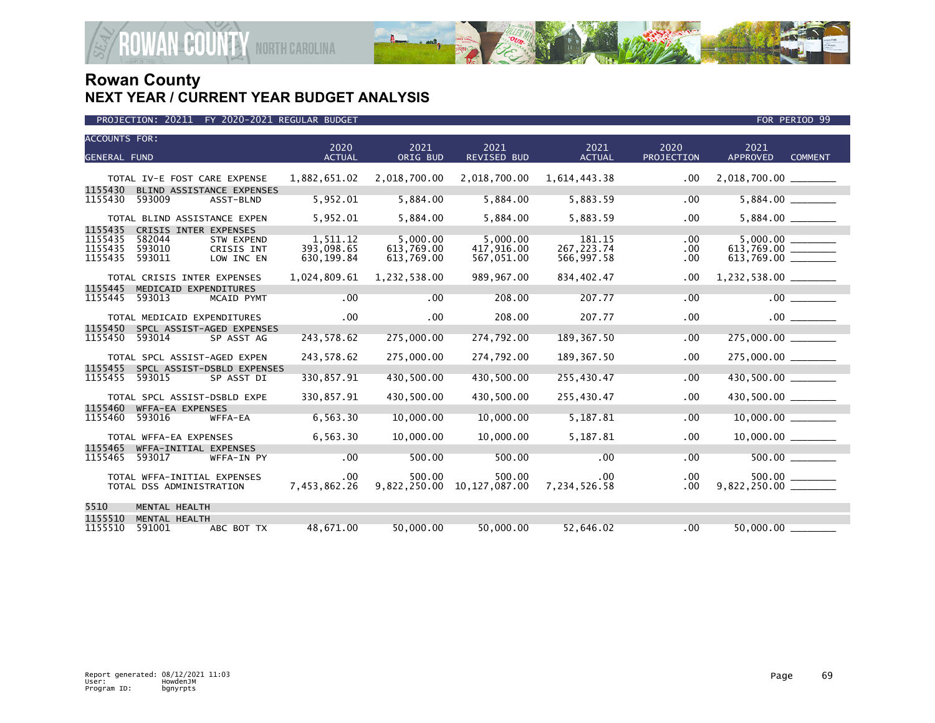

| <b>ACCOUNTS FOR:</b><br><b>GENERAL FUND</b> |                                                         |                                        | 2020<br><b>ACTUAL</b>                 | 2021<br>ORIG BUD                     | 2021<br><b>REVISED BUD</b>           | 2021<br><b>ACTUAL</b>               | 2020<br>PROJECTION      | 2021<br><b>APPROVED</b> | <b>COMMENT</b> |
|---------------------------------------------|---------------------------------------------------------|----------------------------------------|---------------------------------------|--------------------------------------|--------------------------------------|-------------------------------------|-------------------------|-------------------------|----------------|
|                                             | TOTAL IV-E FOST CARE EXPENSE                            |                                        | 1,882,651.02                          | 2,018,700.00                         | 2,018,700.00                         | 1,614,443.38                        | $.00 \,$                |                         |                |
| 1155430<br>1155430                          | BLIND ASSISTANCE EXPENSES<br>593009                     | ASST-BLND                              | 5,952.01                              | 5,884.00                             | 5,884.00                             | 5,883.59                            | .00                     | 5,884.00                |                |
|                                             | TOTAL BLIND ASSISTANCE EXPEN                            |                                        | 5,952.01                              | 5,884.00                             | 5,884.00                             | 5,883.59                            | .00                     |                         |                |
| 1155435<br>1155435<br>1155435<br>1155435    | CRISIS INTER EXPENSES<br>582044<br>593010<br>593011     | STW EXPEND<br>CRISIS INT<br>LOW INC EN | 1,511.12<br>393.098.65<br>630, 199.84 | 5,000.00<br>613.769.00<br>613,769.00 | 5,000.00<br>417.916.00<br>567,051.00 | 181.15<br>267, 223.74<br>566,997.58 | .00<br>.00.<br>$.00 \,$ | 613,769.00 _______      |                |
|                                             | TOTAL CRISIS INTER EXPENSES                             |                                        | 1,024,809.61                          | 1,232,538.00                         | 989,967.00                           | 834.402.47                          | $.00 \,$                |                         |                |
| 1155445<br>1155445                          | MEDICAID EXPENDITURES<br>593013                         | MCAID PYMT                             | .00                                   | .00                                  | 208.00                               | 207.77                              | .00                     |                         | .00            |
|                                             | TOTAL MEDICAID EXPENDITURES                             |                                        | .00                                   | $.00 \,$                             | 208.00                               | 207.77                              | .00                     |                         | $.00$ $\qquad$ |
| 1155450<br>1155450                          | SPCL ASSIST-AGED EXPENSES<br>593014                     | SP ASST AG                             | 243,578.62                            | 275,000.00                           | 274,792.00                           | 189, 367.50                         | .00                     | 275,000.00 _______      |                |
|                                             | TOTAL SPCL ASSIST-AGED EXPEN                            |                                        | 243,578.62                            | 275,000.00                           | 274,792.00                           | 189, 367.50                         | .00                     |                         |                |
| 1155455<br>1155455                          | SPCL ASSIST-DSBLD EXPENSES<br>593015                    | SP ASST DI                             | 330,857.91                            | 430,500.00                           | 430,500.00                           | 255,430.47                          | .00                     | 430,500.00              |                |
|                                             | TOTAL SPCL ASSIST-DSBLD EXPE                            |                                        | 330,857.91                            | 430,500.00                           | 430,500.00                           | 255,430.47                          | .00.                    |                         |                |
| 1155460<br>1155460                          | WFFA-EA EXPENSES<br>593016                              | WFFA-EA                                | 6,563.30                              | 10,000.00                            | 10,000.00                            | 5,187.81                            | .00                     |                         |                |
|                                             | TOTAL WFFA-EA EXPENSES                                  |                                        | 6,563.30                              | 10,000.00                            | 10,000.00                            | 5,187.81                            | .00                     |                         |                |
| 1155465<br>1155465                          | WFFA-INITIAL EXPENSES<br>593017                         | WFFA-IN PY                             | .00                                   | 500.00                               | 500.00                               | .00                                 | .00                     |                         |                |
|                                             | TOTAL WFFA-INITIAL EXPENSES<br>TOTAL DSS ADMINISTRATION |                                        | .00<br>7,453,862.26                   | 500.00<br>9,822,250.00               | 500.00<br>10,127,087.00              | $.00 \,$<br>7,234,526.58            | $.00 \,$<br>$.00 \,$    | $500.00$ _______        |                |
| 5510                                        | MENTAL HEALTH                                           |                                        |                                       |                                      |                                      |                                     |                         |                         |                |
| 1155510<br>1155510                          | MENTAL HEALTH<br>591001                                 | ABC BOT TX                             | 48.671.00                             | 50.000.00                            | 50.000.00                            | 52.646.02                           | .00                     | 50,000,00               |                |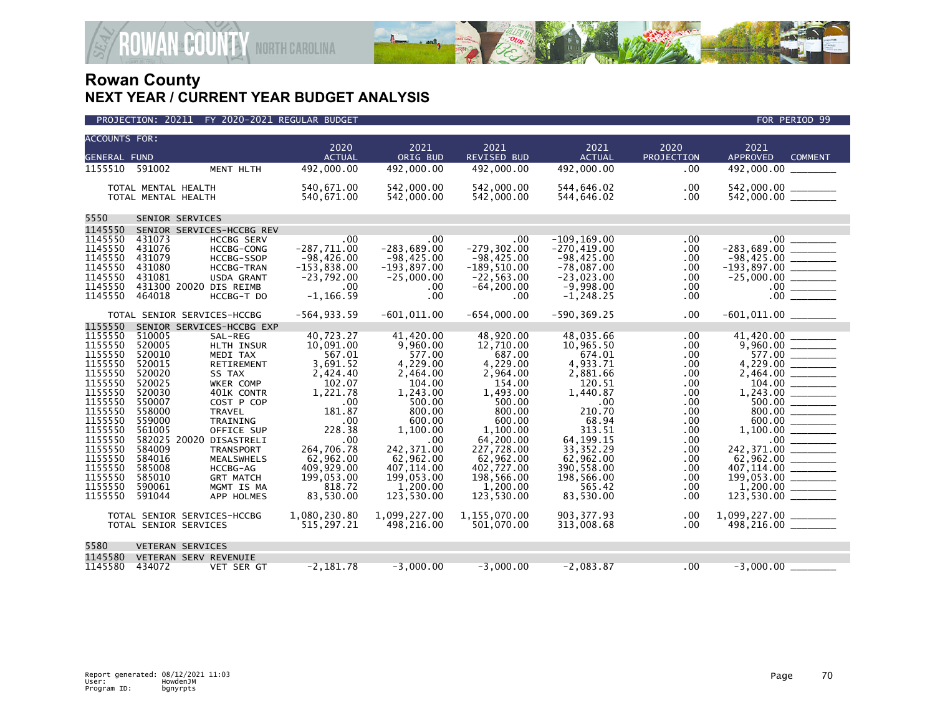

|                     |                     | PROJECTION: 20211 FY 2020-2021 REGULAR BUDGET        |                            |                            |                            |                            |                    | FOR PERIOD 99                                                                                                                                                                                                                                                                                                                                                                                                                                                                                        |
|---------------------|---------------------|------------------------------------------------------|----------------------------|----------------------------|----------------------------|----------------------------|--------------------|------------------------------------------------------------------------------------------------------------------------------------------------------------------------------------------------------------------------------------------------------------------------------------------------------------------------------------------------------------------------------------------------------------------------------------------------------------------------------------------------------|
| ACCOUNTS FOR:       |                     |                                                      |                            |                            |                            |                            |                    |                                                                                                                                                                                                                                                                                                                                                                                                                                                                                                      |
| <b>GENERAL FUND</b> |                     |                                                      | 2020<br><b>ACTUAL</b>      | 2021<br>ORIG BUD           | 2021<br><b>REVISED BUD</b> | 2021<br><b>ACTUAL</b>      | 2020<br>PROJECTION | 2021<br><b>APPROVED</b><br><b>COMMENT</b>                                                                                                                                                                                                                                                                                                                                                                                                                                                            |
| 1155510 591002      |                     | MENT HLTH                                            | 492,000.00                 | 492,000.00                 | 492,000,00                 | 492,000.00                 | .00.               | 492,000,00                                                                                                                                                                                                                                                                                                                                                                                                                                                                                           |
|                     | TOTAL MENTAL HEALTH |                                                      | 540,671.00                 | 542,000.00                 | 542,000.00                 | 544,646.02                 | .00                | 542,000.00                                                                                                                                                                                                                                                                                                                                                                                                                                                                                           |
|                     | TOTAL MENTAL HEALTH |                                                      | 540,671.00                 | 542,000.00                 | 542,000.00                 | 544,646.02                 | .00                |                                                                                                                                                                                                                                                                                                                                                                                                                                                                                                      |
| 5550                |                     | SENIOR SERVICES                                      |                            |                            |                            |                            |                    |                                                                                                                                                                                                                                                                                                                                                                                                                                                                                                      |
| 1145550             |                     | SENIOR SERVICES-HCCBG REV                            |                            |                            |                            |                            |                    |                                                                                                                                                                                                                                                                                                                                                                                                                                                                                                      |
| 1145550             | 431073              | <b>HCCBG SERV</b>                                    | .00                        | .00                        | .00                        | $-109, 169.00$             | .00                | .00 <sub>1</sub>                                                                                                                                                                                                                                                                                                                                                                                                                                                                                     |
| 1145550             | 431076              | <b>HCCBG-CONG</b>                                    | $-287,711.00$              | $-283,689.00$              | $-279, 302.00$             | $-270, 419.00$             | .00                | $-283,689.00$                                                                                                                                                                                                                                                                                                                                                                                                                                                                                        |
| 1145550             | 431079              | <b>HCCBG-SSOP</b>                                    | $-98,426.00$               | $-98,425.00$               | $-98,425.00$               | $-98,425.00$               | .00                | $-98,425.00$<br>$\frac{1}{2} \left( \frac{1}{2} \left( \frac{1}{2} \right) + \frac{1}{2} \left( \frac{1}{2} \right) + \frac{1}{2} \left( \frac{1}{2} \right) + \frac{1}{2} \left( \frac{1}{2} \right) + \frac{1}{2} \left( \frac{1}{2} \right) + \frac{1}{2} \left( \frac{1}{2} \right) + \frac{1}{2} \left( \frac{1}{2} \right) + \frac{1}{2} \left( \frac{1}{2} \right) + \frac{1}{2} \left( \frac{1}{2} \right) + \frac{1}{2} \left( \frac{1}{2} \right) +$                                       |
| 1145550             | 431080              | <b>HCCBG-TRAN</b>                                    | $-153,838.00$              | $-193,897.00$              | $-189,510.00$              | $-78,087.00$               | .00                | $-193,897.00$ ________                                                                                                                                                                                                                                                                                                                                                                                                                                                                               |
| 1145550             | 431081              | USDA GRANT                                           | $-23,792.00$               | $-25,000.00$               | $-22, 563.00$              | $-23,023.00$               | .00                |                                                                                                                                                                                                                                                                                                                                                                                                                                                                                                      |
| 1145550             |                     | 431300 20020 DIS REIMB                               | $.00 \times$               | .00                        | $-64, 200.00$              | $-9,998.00$                | .00                | $.00 \,$<br>$\begin{array}{cccccccccc} \multicolumn{2}{c}{} & \multicolumn{2}{c}{} & \multicolumn{2}{c}{} & \multicolumn{2}{c}{} & \multicolumn{2}{c}{} & \multicolumn{2}{c}{} & \multicolumn{2}{c}{} & \multicolumn{2}{c}{} & \multicolumn{2}{c}{} & \multicolumn{2}{c}{} & \multicolumn{2}{c}{} & \multicolumn{2}{c}{} & \multicolumn{2}{c}{} & \multicolumn{2}{c}{} & \multicolumn{2}{c}{} & \multicolumn{2}{c}{} & \multicolumn{2}{c}{} & \multicolumn{2}{c}{} & \multicolumn{2}{c}{} & \mult$   |
| 1145550             | 464018              | HCCBG-T DO                                           | $-1, 166.59$               | .00                        | .00                        | $-1, 248.25$               | .00                | .00.                                                                                                                                                                                                                                                                                                                                                                                                                                                                                                 |
|                     |                     | TOTAL SENIOR SERVICES-HCCBG                          | $-564, 933.59$             | $-601,011.00$              | $-654.000.00$              | $-590.369.25$              | .00                |                                                                                                                                                                                                                                                                                                                                                                                                                                                                                                      |
| 1155550             |                     | SENIOR SERVICES-HCCBG EXP                            |                            |                            |                            |                            |                    |                                                                                                                                                                                                                                                                                                                                                                                                                                                                                                      |
| 1155550             | 510005              | SAL-REG                                              | 40,723.27                  | 41,420.00                  | 48,920.00                  | 48,035.66                  | .00                | 41,420.00                                                                                                                                                                                                                                                                                                                                                                                                                                                                                            |
| 1155550             | 520005              | HLTH INSUR                                           | 10,091.00                  | 9,960.00                   | 12,710.00                  | 10,965.50                  | .00                |                                                                                                                                                                                                                                                                                                                                                                                                                                                                                                      |
| 1155550             | 520010              | MEDI TAX                                             | 567.01                     | 577.00                     | 687.00                     | 674.01                     | .00                | 577.00                                                                                                                                                                                                                                                                                                                                                                                                                                                                                               |
| 1155550             | 520015              | RETIREMENT                                           | 3,691.52                   | 4,229.00                   | 4,229.00                   | 4,933.71                   | .00                | 4,229.00                                                                                                                                                                                                                                                                                                                                                                                                                                                                                             |
| 1155550             | 520020              | SS TAX                                               | 2,424.40                   | 2,464.00                   | 2,964.00                   | 2,881.66                   | .00                | 2,464.00                                                                                                                                                                                                                                                                                                                                                                                                                                                                                             |
| 1155550             | 520025              | WKER COMP                                            | 102.07                     | 104.00                     | 154.00                     | 120.51                     | .00                |                                                                                                                                                                                                                                                                                                                                                                                                                                                                                                      |
| 1155550             | 520030              | 401K CONTR                                           | 1,221.78                   | 1,243.00                   | 1,493.00                   | 1,440.87                   | .00                |                                                                                                                                                                                                                                                                                                                                                                                                                                                                                                      |
| 1155550             | 550007              | COST P COP                                           | .00                        | 500.00                     | 500.00                     | .00                        | .00                |                                                                                                                                                                                                                                                                                                                                                                                                                                                                                                      |
| 1155550             | 558000              | <b>TRAVEL</b>                                        | 181.87                     | 800.00                     | 800.00                     | 210.70                     | .00                | 800.00                                                                                                                                                                                                                                                                                                                                                                                                                                                                                               |
| 1155550             | 559000              | TRAINING                                             | $.00 \times$               | 600.00                     | 600.00                     | 68.94                      | .00.               | 600.00                                                                                                                                                                                                                                                                                                                                                                                                                                                                                               |
| 1155550             | 561005              | OFFICE SUP                                           | 228.38                     | 1,100.00                   | 1.100.00                   | 313.51                     | .00                | 1,100.00<br>$\frac{1}{1}$                                                                                                                                                                                                                                                                                                                                                                                                                                                                            |
| 1155550<br>1155550  | 584009              | 582025 20020 DISASTRELI<br><b>TRANSPORT</b>          | .00<br>264,706.78          | .00<br>242,371.00          | 64,200.00<br>227,728.00    | 64, 199. 15<br>33, 352. 29 | .00                | 242,371.00                                                                                                                                                                                                                                                                                                                                                                                                                                                                                           |
| 1155550             | 584016              | <b>MEALSWHELS</b>                                    | 62,962.00                  | 62,962.00                  | 62,962.00                  | 62,962.00                  | .00<br>.00         | 62,962.00                                                                                                                                                                                                                                                                                                                                                                                                                                                                                            |
| 1155550             | 585008              | HCCBG-AG                                             | 409,929.00                 | 407, 114.00                | 402,727.00                 | 390,558.00                 | .00                | 407,114.00<br>$\begin{array}{cccccccccc} \multicolumn{2}{c}{} & \multicolumn{2}{c}{} & \multicolumn{2}{c}{} & \multicolumn{2}{c}{} & \multicolumn{2}{c}{} & \multicolumn{2}{c}{} & \multicolumn{2}{c}{} & \multicolumn{2}{c}{} & \multicolumn{2}{c}{} & \multicolumn{2}{c}{} & \multicolumn{2}{c}{} & \multicolumn{2}{c}{} & \multicolumn{2}{c}{} & \multicolumn{2}{c}{} & \multicolumn{2}{c}{} & \multicolumn{2}{c}{} & \multicolumn{2}{c}{} & \multicolumn{2}{c}{} & \multicolumn{2}{c}{} & \mult$ |
| 1155550             | 585010              | <b>GRT MATCH</b>                                     | 199,053.00                 | 199,053.00                 | 198,566.00                 | 198,566.00                 | .00                |                                                                                                                                                                                                                                                                                                                                                                                                                                                                                                      |
| 1155550             | 590061              | MGMT IS MA                                           | 818.72                     | 1,200.00                   | 1.200.00                   | 565.42                     | .00                | 1,200.00                                                                                                                                                                                                                                                                                                                                                                                                                                                                                             |
| 1155550             | 591044              | APP HOLMES                                           | 83,530.00                  | 123,530.00                 | 123,530.00                 | 83,530.00                  | .00                |                                                                                                                                                                                                                                                                                                                                                                                                                                                                                                      |
|                     |                     |                                                      |                            |                            |                            |                            |                    |                                                                                                                                                                                                                                                                                                                                                                                                                                                                                                      |
|                     |                     | TOTAL SENIOR SERVICES-HCCBG<br>TOTAL SENIOR SERVICES | 1,080,230.80<br>515,297.21 | 1,099,227.00<br>498,216.00 | 1,155,070.00<br>501,070.00 | 903, 377.93<br>313,008.68  | .00<br>.00         | $498, 216.00$ _______                                                                                                                                                                                                                                                                                                                                                                                                                                                                                |
|                     |                     |                                                      |                            |                            |                            |                            |                    |                                                                                                                                                                                                                                                                                                                                                                                                                                                                                                      |
| 5580                |                     | VETERAN SERVICES                                     |                            |                            |                            |                            |                    |                                                                                                                                                                                                                                                                                                                                                                                                                                                                                                      |
| 1145580             |                     | VETERAN SERV REVENUIE                                |                            |                            |                            |                            |                    |                                                                                                                                                                                                                                                                                                                                                                                                                                                                                                      |
| 1145580             | 434072              | VET SER GT                                           | $-2,181.78$                | $-3,000.00$                | $-3,000.00$                | $-2,083.87$                | .00                | $-3,000.00$                                                                                                                                                                                                                                                                                                                                                                                                                                                                                          |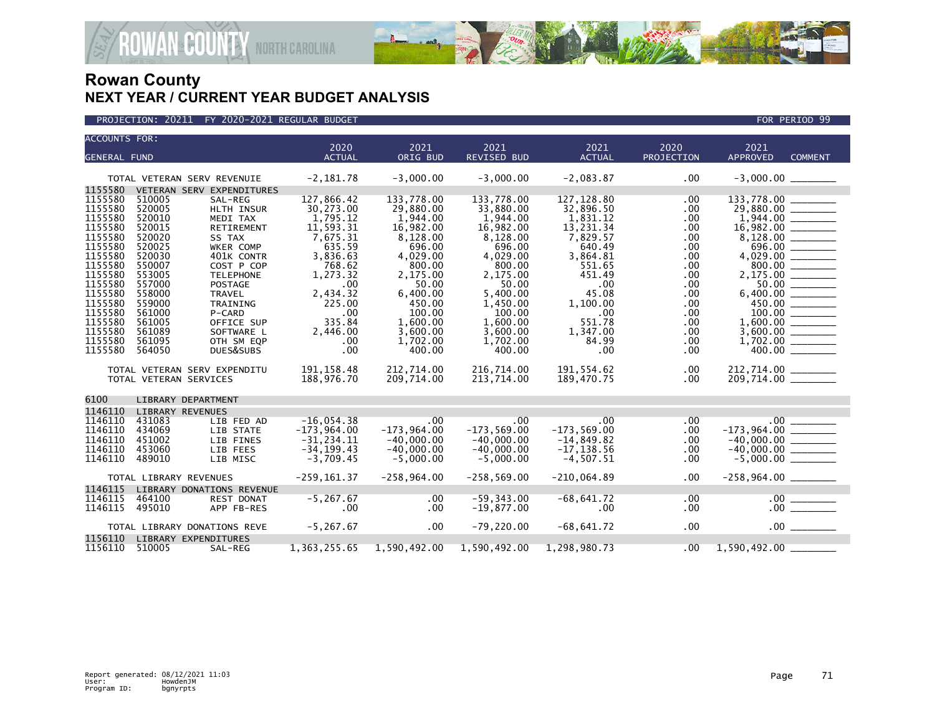



| <b>ACCOUNTS FOR:</b> |                                                        |                                | 2020                          | 2021                          | 2021                     | 2021                     | 2020         | 2021                                       |                |
|----------------------|--------------------------------------------------------|--------------------------------|-------------------------------|-------------------------------|--------------------------|--------------------------|--------------|--------------------------------------------|----------------|
| <b>GENERAL FUND</b>  |                                                        |                                | <b>ACTUAL</b>                 | ORIG BUD                      | <b>REVISED BUD</b>       | <b>ACTUAL</b>            | PROJECTION   | <b>APPROVED</b>                            | <b>COMMENT</b> |
|                      |                                                        |                                |                               |                               |                          |                          |              |                                            |                |
|                      | TOTAL VETERAN SERV REVENUIE                            |                                | $-2,181.78$                   | $-3,000.00$                   | $-3,000.00$              | $-2,083.87$              | .00          |                                            |                |
| 1155580              |                                                        | VETERAN SERV EXPENDITURES      |                               |                               |                          |                          |              |                                            |                |
| 1155580<br>1155580   | 510005<br>520005                                       | SAL-REG<br>HLTH INSUR          | 127,866.42<br>30,273.00       | 133,778.00<br>29,880.00       | 133.778.00<br>33,880.00  | 127, 128.80<br>32,896.50 | .00<br>.00   | 133,778.00<br>29,880.00 ______             |                |
| 1155580              | 520010                                                 | MEDI TAX                       | 1,795.12                      | 1,944.00                      | 1.944.00                 | 1,831.12                 | .00          |                                            |                |
| 1155580              | 520015                                                 | RETIREMENT                     | 11,593.31                     | 16,982.00                     | 16,982.00                | 13,231.34                | .00.         |                                            |                |
| 1155580              | 520020                                                 | SS TAX                         | 7,675.31                      | 8,128.00                      | 8,128.00                 | 7,829.57                 | .00          |                                            |                |
| 1155580              | 520025                                                 | WKER COMP                      | 635.59                        | 696.00                        | 696.00                   | 640.49                   | .00.         | 696.00                                     |                |
| 1155580              | 520030                                                 | 401K CONTR                     | 3,836.63                      | 4,029.00                      | 4,029.00                 | 3,864.81                 | .00.         |                                            |                |
| 1155580<br>1155580   | 550007<br>553005                                       | COST P COP<br><b>TELEPHONE</b> | 768.62<br>1,273.32            | 800.00<br>2,175.00            | 800.00<br>2,175.00       | 551.65<br>451.49         | .00<br>.00   |                                            |                |
| 1155580              | 557000                                                 | <b>POSTAGE</b>                 | .00                           | 50.00                         | 50.00                    | $.00 \,$                 | .00.         |                                            |                |
| 1155580              | 558000                                                 | <b>TRAVEL</b>                  | 2,434.32                      | 6,400.00                      | 5,400.00                 | 45.08                    | .00.         |                                            |                |
| 1155580              | 559000                                                 | <b>TRAINING</b>                | 225.00                        | 450.00                        | 1,450.00                 | 1,100.00                 | .00          | 450.00                                     |                |
| 1155580              | 561000                                                 | P-CARD                         | .00                           | 100.00                        | 100.00                   | .00                      | .00          |                                            |                |
| 1155580<br>1155580   | 561005<br>561089                                       | OFFICE SUP<br>SOFTWARE L       | 335.84<br>2,446.00            | 1,600.00<br>3,600.00          | 1,600.00<br>3,600.00     | 551.78<br>1,347.00       | .00.<br>.00. |                                            |                |
| 1155580              | 561095                                                 | OTH SM EQP                     | .00                           | 1,702.00                      | 1,702.00                 | 84.99                    | .00          |                                            |                |
| 1155580              | 564050                                                 | DUES&SUBS                      | .00                           | 400.00                        | 400.00                   | .00                      | .00          |                                            |                |
|                      |                                                        |                                |                               |                               |                          |                          |              |                                            |                |
|                      | TOTAL VETERAN SERV EXPENDITU<br>TOTAL VETERAN SERVICES |                                | 191, 158.48<br>188,976.70     | 212,714.00<br>209,714.00      | 216.714.00<br>213,714.00 | 191,554.62<br>189,470.75 | .00<br>.00   | 212,714.00<br>209,714.00 _______           |                |
|                      |                                                        |                                |                               |                               |                          |                          |              |                                            |                |
| 6100                 | LIBRARY DEPARTMENT                                     |                                |                               |                               |                          |                          |              |                                            |                |
| 1146110              | <b>LIBRARY REVENUES</b>                                |                                |                               |                               |                          |                          |              |                                            |                |
| 1146110<br>1146110   | 431083<br>434069                                       | LIB FED AD<br>LIB STATE        | $-16,054.38$<br>$-173,964.00$ | .00<br>$-173,964.00$          | .00<br>$-173,569.00$     | .00<br>$-173,569.00$     | .00<br>.00.  | $.00$ $-$                                  |                |
| 1146110              | 451002                                                 | LIB FINES                      | $-31.234.11$                  | $-40.000.00$                  | $-40.000.00$             | $-14,849.82$             | .00          | $-40.000.00$                               |                |
| 1146110              | 453060                                                 | LIB FEES                       | $-34, 199.43$                 | $-40,000.00$                  | $-40,000.00$             | $-17, 138.56$            | .00          |                                            |                |
| 1146110              | 489010                                                 | LIB MISC                       | $-3,709.45$                   | $-5,000.00$                   | $-5,000.00$              | $-4,507.51$              | .00          | $-40,000.00$ _______<br>-5,000.00 ________ |                |
|                      | TOTAL LIBRARY REVENUES                                 |                                | $-259, 161.37$                | $-258, 964.00$                | $-258,569.00$            | $-210,064.89$            | .00          | $-258,964.00$ _________                    |                |
| 1146115              |                                                        | LIBRARY DONATIONS REVENUE      |                               |                               |                          |                          |              |                                            |                |
| 1146115              | 464100                                                 | REST DONAT                     | $-5, 267.67$                  | $.00 \,$                      | $-59, 343.00$            | $-68,641.72$             | .00          |                                            |                |
| 1146115              | 495010                                                 | APP FB-RES                     | .00                           | .00                           | $-19,877.00$             | $.00 \,$                 | .00.         |                                            |                |
|                      | TOTAL LIBRARY DONATIONS REVE                           |                                | $-5, 267.67$                  | $.00 \,$                      | $-79, 220.00$            | $-68,641.72$             | .00          |                                            | $.00$ $\qquad$ |
| 1156110              | LIBRARY EXPENDITURES                                   |                                |                               |                               |                          |                          |              |                                            |                |
| 1156110              | 510005                                                 | SAL-REG                        |                               | 1, 363, 255.65 1, 590, 492.00 | 1,590,492.00             | 1,298,980.73             | $.00\,$      | $1,590,492.00$ _______                     |                |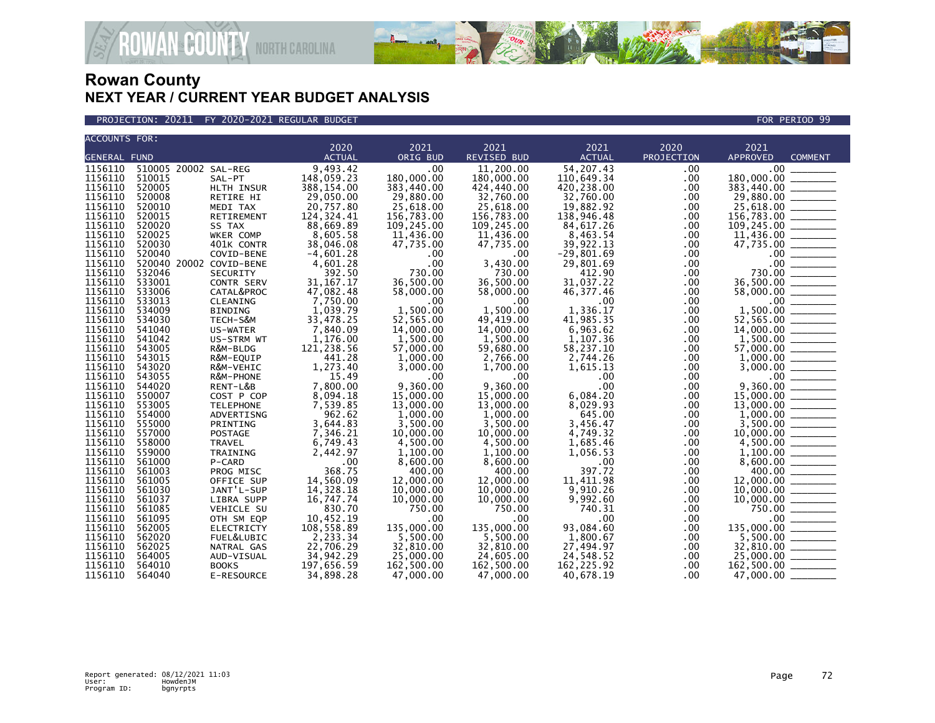

**GOUNTY** NORTH CAROLINA

| <b>ACCOUNTS FOR:</b> |                         |                   |               |                        |             |               |            |                 |                                                                                                                                                                                                                                                                                                                                                                                                                                                                                                |
|----------------------|-------------------------|-------------------|---------------|------------------------|-------------|---------------|------------|-----------------|------------------------------------------------------------------------------------------------------------------------------------------------------------------------------------------------------------------------------------------------------------------------------------------------------------------------------------------------------------------------------------------------------------------------------------------------------------------------------------------------|
|                      |                         |                   | 2020          | 2021                   | 2021        | 2021          | 2020       | 2021            |                                                                                                                                                                                                                                                                                                                                                                                                                                                                                                |
| <b>GENERAL FUND</b>  |                         |                   | <b>ACTUAL</b> | ORIG BUD               | REVISED BUD | <b>ACTUAL</b> | PROJECTION | <b>APPROVED</b> | <b>COMMENT</b>                                                                                                                                                                                                                                                                                                                                                                                                                                                                                 |
| 1156110              | 510005 20002 SAL-REG    |                   | 9,493.42      | .00                    | 11,200.00   | 54,207.43     | .00        | $.00 \,$        |                                                                                                                                                                                                                                                                                                                                                                                                                                                                                                |
| 1156110              | 510015                  | SAL-PT            | 148,059.23    | 180,000.00             | 180,000.00  | 110,649.34    | .00        | 180,000.00      | $\frac{1}{1}$                                                                                                                                                                                                                                                                                                                                                                                                                                                                                  |
| 1156110              | 520005                  | HLTH INSUR        | 388,154.00    | 383,440.00             | 424,440.00  | 420,238.00    | .00        | 383,440.00      |                                                                                                                                                                                                                                                                                                                                                                                                                                                                                                |
| 1156110              | 520008                  | RETIRE HI         | 29,050.00     | 29,880.00              | 32,760.00   | 32,760.00     | .00.       | 29,880.00       | $\frac{1}{1-\frac{1}{1-\frac{1}{1-\frac{1}{1-\frac{1}{1-\frac{1}{1-\frac{1}{1-\frac{1}{1-\frac{1}{1-\frac{1}{1-\frac{1}{1-\frac{1}{1-\frac{1}{1-\frac{1}{1-\frac{1}{1-\frac{1}{1-\frac{1}{1-\frac{1}{1-\frac{1}{1-\frac{1}{1-\frac{1}{1-\frac{1}{1-\frac{1}{1-\frac{1}{1-\frac{1}{1-\frac{1}{1-\frac{1}{1-\frac{1}{1-\frac{1}{1-\frac{1}{1-\frac{1}{1-\frac{1}{1-\frac{1}{1-\frac{1}{1-\frac{1}{1-\frac{1}{1-\frac{1$                                                                          |
| 1156110              | 520010                  | MEDI TAX          | 20,757.80     | 25,618.00              | 25,618.00   | 19,882.92     | .00        | 25,618.00       |                                                                                                                                                                                                                                                                                                                                                                                                                                                                                                |
| 1156110              | 520015                  | RETIREMENT        | 124, 324.41   | 156,783.00             | 156,783.00  | 138,946.48    | .00        | 156,783.00      |                                                                                                                                                                                                                                                                                                                                                                                                                                                                                                |
| 1156110              | 520020                  | SS TAX            | 88,669.89     | 109,245.00             | 109,245.00  | 84,617.26     | .00        | 109,245.00      |                                                                                                                                                                                                                                                                                                                                                                                                                                                                                                |
| 1156110              | 520025                  | WKER COMP         | 8,605.58      | 11,436.00              | 11,436.00   | 8,463.54      | .00        | 11,436.00       |                                                                                                                                                                                                                                                                                                                                                                                                                                                                                                |
| 1156110              | 520030                  | 401K CONTR        | 38,046.08     | 47,735.00              | 47,735.00   | 39,922.13     | .00.       | 47,735.00       | $\begin{tabular}{ccccc} \multicolumn{2}{c }{\textbf{1} & \textbf{2} & \textbf{3} & \textbf{4} & \textbf{5} & \textbf{5} & \textbf{6} & \textbf{6} & \textbf{7} & \textbf{8} & \textbf{8} & \textbf{9} & \textbf{10} & \textbf{10} & \textbf{10} & \textbf{10} & \textbf{10} & \textbf{10} & \textbf{10} & \textbf{10} & \textbf{10} & \textbf{10} & \textbf{10} & \textbf{10} & \textbf{10} & \textbf{10} & \textbf{1$                                                                         |
| 1156110              | 520040                  | COVID-BENE        | $-4,601.28$   | .00                    | $.00 \,$    | $-29,801.69$  | .00        | $.00 \,$        |                                                                                                                                                                                                                                                                                                                                                                                                                                                                                                |
| 1156110              | 520040 20002 COVID-BENE |                   | 4,601.28      | .00                    | 3,430.00    | 29,801.69     | .00        | .00             |                                                                                                                                                                                                                                                                                                                                                                                                                                                                                                |
| 1156110              | 532046                  | <b>SECURITY</b>   | 392.50        | 730.00                 | 730.00      | 412.90        | .00        | 730.00          |                                                                                                                                                                                                                                                                                                                                                                                                                                                                                                |
| 1156110              | 533001                  | CONTR SERV        | 31, 167. 17   | 36,500.00              | 36,500.00   | 31,037.22     | .00.       | 36,500.00       | $\begin{tabular}{ c c c c } \hline \quad \quad & \quad \quad & \quad \quad \\ \hline \quad \quad & \quad \quad & \quad \quad \\ \hline \quad \quad & \quad \quad & \quad \quad \\ \hline \quad \quad & \quad \quad & \quad \quad \\ \hline \quad \quad & \quad \quad & \quad \quad \\ \hline \quad \quad & \quad \quad & \quad \quad \\ \hline \quad \quad & \quad \quad & \quad \quad \\ \hline \end{tabular}$                                                                                |
| 1156110              | 533006                  | CATAL&PROC        | 47,082.48     | 58,000.00              | 58,000.00   | 46, 377.46    | .00        | 58,000.00       | $\frac{1}{2}$                                                                                                                                                                                                                                                                                                                                                                                                                                                                                  |
| 1156110              | 533013                  | CLEANING          | 7,750.00      | .00                    | .00         | .00           | .00        | $.00 \,$        |                                                                                                                                                                                                                                                                                                                                                                                                                                                                                                |
| 1156110              | 534009                  | <b>BINDING</b>    | 1,039.79      | 1,500.00               | 1,500.00    | 1,336.17      | .00        | 1,500.00        | =======                                                                                                                                                                                                                                                                                                                                                                                                                                                                                        |
| 1156110              | 534030                  | TECH-S&M          | 33,478.25     | 52,565.00              | 49.419.00   | 41,985.35     | .00.       | 52,565.00       |                                                                                                                                                                                                                                                                                                                                                                                                                                                                                                |
| 1156110              | 541040                  | US-WATER          | 7,840.09      | 14,000.00              | 14,000.00   | 6,963.62      | .00.       | 14,000.00       |                                                                                                                                                                                                                                                                                                                                                                                                                                                                                                |
| 1156110              | 541042                  | US-STRM WT        | 1,176.00      | 1,500.00               | 1,500.00    | 1,107.36      | .00        |                 |                                                                                                                                                                                                                                                                                                                                                                                                                                                                                                |
| 1156110              | 543005                  | R&M-BLDG          | 121,238.56    | 57,000.00              | 59,680.00   | 58,237.10     | .00.       | 57,000.00       | $\begin{array}{cccccccccc} \multicolumn{2}{c}{} & \multicolumn{2}{c}{} & \multicolumn{2}{c}{} & \multicolumn{2}{c}{} & \multicolumn{2}{c}{} & \multicolumn{2}{c}{} & \multicolumn{2}{c}{} & \multicolumn{2}{c}{} & \multicolumn{2}{c}{} & \multicolumn{2}{c}{} & \multicolumn{2}{c}{} & \multicolumn{2}{c}{} & \multicolumn{2}{c}{} & \multicolumn{2}{c}{} & \multicolumn{2}{c}{} & \multicolumn{2}{c}{} & \multicolumn{2}{c}{} & \multicolumn{2}{c}{} & \multicolumn{2}{c}{} & \mult$         |
| 1156110              | 543015                  | R&M-EQUIP         | 441.28        | 1,000.00               | 2,766.00    | 2,744.26      | $.00 \,$   | 1,000.00        |                                                                                                                                                                                                                                                                                                                                                                                                                                                                                                |
| 1156110              | 543020                  | R&M-VEHIC         | 1,273.40      | 3,000.00               | 1,700.00    | 1,615.13      | .00.       | 3,000.00        | $\overline{\phantom{a}}$                                                                                                                                                                                                                                                                                                                                                                                                                                                                       |
| 1156110              | 543055                  | R&M-PHONE         | 15.49         | .00                    | .00.        | .00           | .00        | .00             |                                                                                                                                                                                                                                                                                                                                                                                                                                                                                                |
| 1156110              | 544020                  | RENT-L&B          | 7,800.00      | 9.360.00               | 9.360.00    | .00           | .00        | 9,360.00        |                                                                                                                                                                                                                                                                                                                                                                                                                                                                                                |
| 1156110              | 550007                  | COST P COP        | 8,094.18      | 15,000.00              | 15,000.00   | 6,084.20      | .00.       | 15,000.00       |                                                                                                                                                                                                                                                                                                                                                                                                                                                                                                |
| 1156110              | 553005                  | <b>TELEPHONE</b>  | 7,539.85      | 13,000.00              | 13,000.00   | 8.029.93      | .00        | 13,000.00       |                                                                                                                                                                                                                                                                                                                                                                                                                                                                                                |
| 1156110              | 554000                  | ADVERTISNG        | 962.62        | 1,000.00               | 1,000.00    | 645.00        | .00        | 1,000.00        | $\begin{tabular}{ccccc} \multicolumn{2}{c }{\textbf{1} & \multicolumn{2}{c }{\textbf{2} & \multicolumn{2}{c }{\textbf{3} & \multicolumn{2}{c }{\textbf{4} & \multicolumn{2}{c }{\textbf{5} & \multicolumn{2}{c }{\textbf{6} & \multicolumn{2}{c }{\textbf{6} & \multicolumn{2}{c }{\textbf{6} & \multicolumn{2}{c }{\textbf{6} & \multicolumn{2}{c }{\textbf{6} & \multicolumn{2}{c }{\textbf{6} & \multicolumn{2}{c }{\textbf{6} & \multicolumn{2}{$                                          |
| 1156110              | 555000                  | PRINTING          | 3,644.83      | 3,500.00               | 3,500.00    | 3,456.47      | .00        | 3,500.00        |                                                                                                                                                                                                                                                                                                                                                                                                                                                                                                |
| 1156110              | 557000                  | POSTAGE           | 7,346.21      | 10,000.00              | 10,000.00   | 4,749.32      | .00        | 10,000.00       | $\frac{1}{2}$                                                                                                                                                                                                                                                                                                                                                                                                                                                                                  |
| 1156110              | 558000                  | <b>TRAVEL</b>     | 6,749.43      | 4,500.00               | 4,500.00    | 1,685.46      | $.00 \,$   | 4,500.00        |                                                                                                                                                                                                                                                                                                                                                                                                                                                                                                |
| 1156110              | 559000                  | TRAINING          | 2,442.97      | 1,100.00               | 1,100.00    | 1,056.53      | .00.       | 1,100.00        |                                                                                                                                                                                                                                                                                                                                                                                                                                                                                                |
| 1156110              | 561000                  | P-CARD            | .00           | 8,600.00               | 8,600.00    | .00           | .00        | 8,600.00        |                                                                                                                                                                                                                                                                                                                                                                                                                                                                                                |
| 1156110              | 561003                  | PROG MISC         | 368.75        | 400.00                 | 400.00      | 397.72        | .00        | 400.00          | $\begin{tabular}{ccccc} \multicolumn{2}{c }{\textbf{1} & \textbf{2} & \textbf{3} & \textbf{4} & \textbf{5} & \textbf{5} & \textbf{6} & \textbf{6} & \textbf{7} & \textbf{8} & \textbf{8} & \textbf{9} & \textbf{10} & \textbf{10} & \textbf{10} & \textbf{10} & \textbf{10} & \textbf{10} & \textbf{10} & \textbf{10} & \textbf{10} & \textbf{10} & \textbf{10} & \textbf{10} & \textbf{10} & \textbf{10} & \textbf{1$                                                                         |
| 1156110              | 561005                  | OFFICE SUP        | 14,560.09     | 12,000.00              | 12,000.00   | 11,411.98     | .00.       | 12,000.00       |                                                                                                                                                                                                                                                                                                                                                                                                                                                                                                |
| 1156110              | 561030                  | JANT'L-SUP        | 14,328.18     | 10,000.00              | 10,000.00   | 9,910.26      | .00.       | 10,000.00       |                                                                                                                                                                                                                                                                                                                                                                                                                                                                                                |
| 1156110              | 561037                  | LIBRA SUPP        | 16,747.74     | 10,000.00              | 10,000.00   | 9,992.60      | .00        | 10,000.00       |                                                                                                                                                                                                                                                                                                                                                                                                                                                                                                |
| 1156110              | 561085                  | VEHICLE SU        | 830.70        | 750.00                 | 750.00      | 740.31        | .00        |                 | $\begin{tabular}{ll} \multicolumn{3}{c} {\textbf{1}} & \multicolumn{3}{c} {\textbf{2}} & \multicolumn{3}{c} {\textbf{3}} & \multicolumn{3}{c} {\textbf{4}} \\ \multicolumn{3}{c} {\textbf{1}} & \multicolumn{3}{c} {\textbf{2}} & \multicolumn{3}{c} {\textbf{3}} & \multicolumn{3}{c} {\textbf{4}} & \multicolumn{3}{c} {\textbf{5}} \\ \multicolumn{3}{c} {\textbf{1}} & \multicolumn{3}{c} {\textbf{1}} & \multicolumn{3}{c} {\textbf{1}} & \multicolumn{3}{c} {\textbf{1}} & \multicolumn$ |
| 1156110              | 561095                  | OTH SM EQP        | 10,452.19     | .00                    | .00         | .00           | .00        |                 |                                                                                                                                                                                                                                                                                                                                                                                                                                                                                                |
| 1156110              | 562005                  | <b>ELECTRICTY</b> | 108,558.89    | 135,000.00             | 135,000.00  | 93,084.60     | .00.       | 135,000.00      | $\overline{\phantom{a}}$                                                                                                                                                                                                                                                                                                                                                                                                                                                                       |
| 1156110              | 562020                  | FUEL&LUBIC        | 2,233.34      | 5,500.00               | 5,500.00    | 1,800.67      | .00.       | 5,500.00        |                                                                                                                                                                                                                                                                                                                                                                                                                                                                                                |
|                      |                         |                   |               |                        |             |               |            |                 |                                                                                                                                                                                                                                                                                                                                                                                                                                                                                                |
| 1156110              | 562025<br>564005        | NATRAL GAS        | 22,706.29     | 32,810.00<br>25,000.00 | 32,810.00   | 27,494.97     | .00        | 32,810.00       |                                                                                                                                                                                                                                                                                                                                                                                                                                                                                                |
| 1156110              |                         | AUD-VISUAL        | 34,942.29     |                        | 24,605.00   | 24,548.52     | .00.       | 25,000.00       |                                                                                                                                                                                                                                                                                                                                                                                                                                                                                                |
| 1156110              | 564010                  | <b>BOOKS</b>      | 197,656.59    | 162,500.00             | 162,500.00  | 162, 225.92   | .00        | 162,500.00      |                                                                                                                                                                                                                                                                                                                                                                                                                                                                                                |
| 1156110              | 564040                  | E-RESOURCE        | 34,898.28     | 47,000.00              | 47.000.00   | 40,678.19     | $.00 \,$   | 47,000.00       |                                                                                                                                                                                                                                                                                                                                                                                                                                                                                                |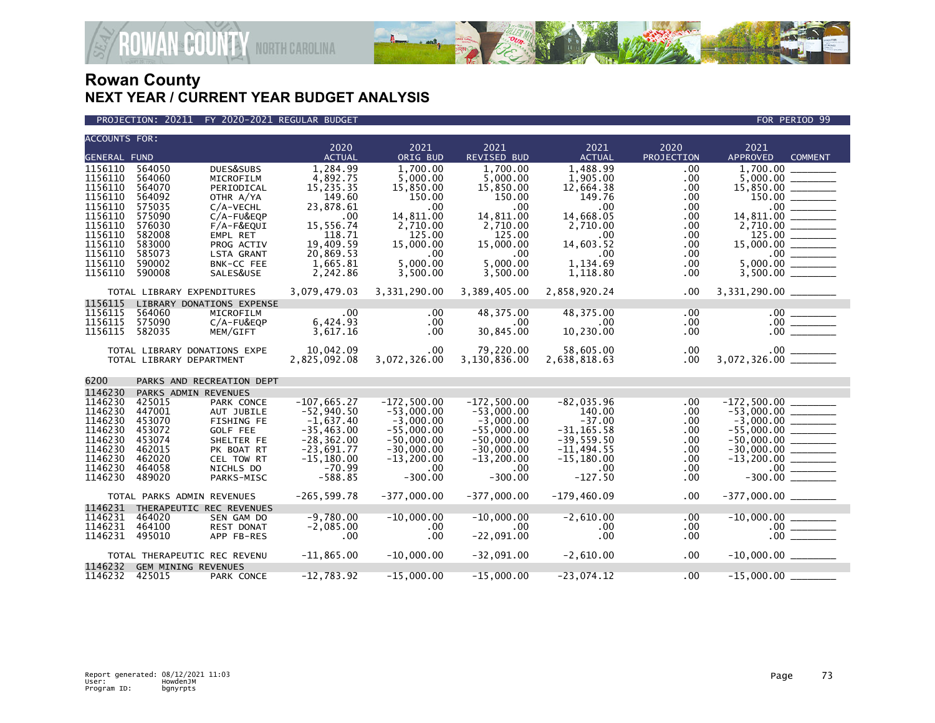

### PROJECTION: 20211 FY 2020-2021 REGULAR BUDGET FOR PERIOD 99

| <b>ACCOUNTS FOR:</b> |                              |                                 |                            |                     |                          |                         |                      |                   |                                                                                         |
|----------------------|------------------------------|---------------------------------|----------------------------|---------------------|--------------------------|-------------------------|----------------------|-------------------|-----------------------------------------------------------------------------------------|
|                      |                              |                                 | 2020                       | 2021                | 2021                     | 2021                    | 2020                 | 2021              |                                                                                         |
| GENERAL FUND         |                              |                                 | <b>ACTUAL</b>              | ORIG BUD            | REVISED BUD              | <b>ACTUAL</b>           | PROJECTION           | <b>APPROVED</b>   | <b>COMMENT</b>                                                                          |
| 1156110              | 564050                       | DUES&SUBS                       | 1,284.99                   | 1.700.00            | 1.700.00                 | 1.488.99                | $.00 \,$             | 1.700.00          |                                                                                         |
| 1156110              | 564060                       | MICROFILM                       | 4,892.75                   | 5,000.00            | 5,000.00                 | 1,905.00                | .00                  | 5,000,00          |                                                                                         |
| 1156110              | 564070                       | PERIODICAL                      | 15,235.35                  | 15,850.00           | 15,850.00                | 12,664.38               | .00                  | 15,850.00         |                                                                                         |
| 1156110              | 564092                       | OTHR A/YA                       | 149.60                     | 150.00              | 150.00                   | 149.76                  | .00                  | 150.00            |                                                                                         |
| 1156110              | 575035                       | $C/A$ -VECHL                    | 23,878.61                  | .00                 | .00.                     | $.00 \,$                | .00                  | $.00 \,$          |                                                                                         |
| 1156110              | 575090                       | $C/A$ -FU&EQP                   | .00                        | 14,811.00           | 14,811.00                | 14,668.05               | .00                  | 14,811.00         |                                                                                         |
| 1156110              | 576030                       | $F/A-F\&EQUI$                   | 15,556.74                  | 2,710.00            | 2,710.00                 | 2,710.00                | .00                  |                   |                                                                                         |
| 1156110              | 582008                       | EMPL RET                        | 118.71                     | 125.00              | 125.00                   | .00                     | $.00 \,$             | 125.00 ________   |                                                                                         |
| 1156110              | 583000                       | PROG ACTIV                      | 19,409.59                  | 15,000.00           | 15,000.00                | 14,603.52               | .00                  |                   |                                                                                         |
| 1156110              | 585073                       | LSTA GRANT                      | 20,869.53                  | .00                 | $.00 \times$             | .00                     | .00                  |                   |                                                                                         |
| 1156110              | 590002                       | BNK-CC FEE                      | 1,665.81                   | 5,000.00            | 5,000.00                 | 1,134.69                | .00                  | 5,000.00          |                                                                                         |
| 1156110              | 590008                       | SALES&USE                       | 2,242.86                   | 3,500.00            | 3,500.00                 | 1,118.80                | .00                  |                   |                                                                                         |
|                      | TOTAL LIBRARY EXPENDITURES   |                                 | 3,079,479.03               | 3,331,290.00        | 3,389,405.00             | 2,858,920.24            | .00.                 |                   |                                                                                         |
| 1156115              |                              | LIBRARY DONATIONS EXPENSE       |                            |                     |                          |                         |                      |                   |                                                                                         |
| 1156115              | 564060                       | MICROFILM                       |                            | .00                 | 48,375.00                | 48,375.00               | .00                  |                   |                                                                                         |
| 1156115              | 575090                       | C/A-FU&EQP                      | 6,424.93                   | .00                 | $.00 \,$                 | $.00 \cdot$             | $.00 \,$             |                   |                                                                                         |
| 1156115              | 582035                       | MEM/GIFT                        | 3,617.16                   | .00                 | 30,845.00                | 10,230.00               | $.00 \,$             |                   | $\begin{array}{c}\n 00 \quad \text{---} \\  \hline\n 00 \quad \text{---}\n \end{array}$ |
|                      |                              |                                 |                            |                     |                          |                         |                      |                   |                                                                                         |
|                      | TOTAL LIBRARY DONATIONS EXPE |                                 | 10,042.09                  | $.00 \,$            | 79,220.00                | 58,605.00               | $.00 \,$             |                   |                                                                                         |
|                      | TOTAL LIBRARY DEPARTMENT     |                                 | 2,825,092.08               | 3,072,326.00        | 3,130,836.00             | 2,638,818.63            | $.00 \,$             |                   |                                                                                         |
| 6200                 |                              | PARKS AND RECREATION DEPT       |                            |                     |                          |                         |                      |                   |                                                                                         |
| 1146230              | PARKS ADMIN REVENUES         |                                 |                            |                     |                          |                         |                      |                   |                                                                                         |
| 1146230              | 425015                       | PARK CONCE                      | $-107,665.27$              | $-172,500.00$       | $-172,500.00$            | $-82,035.96$            | .00                  | $-172,500.00$ $-$ |                                                                                         |
| 1146230              | 447001                       | AUT JUBILE                      | $-52,940.50$               | $-53,000.00$        | $-53,000.00$             | 140.00                  | .00                  |                   |                                                                                         |
| 1146230              | 453070                       | FISHING FE                      | $-1,637.40$                | $-3,000.00$         | $-3,000.00$              | $-37.00$                | .00                  |                   |                                                                                         |
| 1146230              | 453072                       | <b>GOLF FEE</b>                 | $-35, 463.00$              | $-55,000.00$        | $-55.000.00$             | $-31.165.58$            | $.00 \,$             |                   |                                                                                         |
| 1146230              | 453074                       | SHELTER FE                      | $-28, 362.00$              | $-50,000.00$        | $-50,000.00$             | $-39,559.50$            | .00                  |                   |                                                                                         |
| 1146230              | 462015                       | PK BOAT RT                      | $-23,691.77$               | $-30,000.00$        | $-30,000.00$             | $-11,494.55$            | .00                  |                   |                                                                                         |
| 1146230              | 462020                       | CEL TOW RT                      | $-15, 180.00$              | $-13, 200.00$       | $-13, 200.00$            | $-15,180.00$            | .00                  |                   |                                                                                         |
| 1146230              | 464058                       | NICHLS DO                       | $-70.99$                   | .00                 | $.00 \cdot$              | .00                     | .00                  | $.00 \,$          |                                                                                         |
| 1146230              | 489020                       | PARKS-MISC                      | $-588.85$                  | $-300.00$           | $-300.00$                | $-127.50$               | .00                  | $-300.00$         |                                                                                         |
|                      | TOTAL PARKS ADMIN REVENUES   |                                 | $-265, 599.78$             | $-377,000.00$       | $-377,000.00$            | $-179,460.09$           | .00                  |                   |                                                                                         |
| 1146231              | THERAPEUTIC REC REVENUES     |                                 |                            |                     |                          |                         |                      |                   |                                                                                         |
| 1146231              |                              |                                 |                            |                     |                          |                         |                      |                   |                                                                                         |
| 1146231              | 464020<br>464100             | SEN GAM DO<br><b>REST DONAT</b> | $-9,780.00$<br>$-2,085.00$ | $-10,000.00$<br>.00 | $-10,000.00$<br>$.00 \,$ | $-2,610.00$<br>$.00 \,$ | $.00 \,$<br>$.00 \,$ |                   |                                                                                         |
| 1146231 495010       |                              |                                 |                            |                     |                          | .00                     |                      |                   |                                                                                         |
|                      |                              | APP FB-RES                      | .00                        | .00                 | $-22,091.00$             |                         | $.00 \,$             |                   |                                                                                         |
|                      | TOTAL THERAPEUTIC REC REVENU |                                 | $-11,865.00$               | $-10,000.00$        | -32,091.00               | $-2,610.00$             | $.00 \,$             |                   |                                                                                         |
| 1146232              | <b>GEM MINING REVENUES</b>   |                                 |                            |                     |                          |                         |                      |                   |                                                                                         |
| 1146232 425015       |                              | PARK CONCE                      | $-12,783.92$               | $-15,000.00$        | $-15,000.00$             | $-23,074.12$            | .00                  | $-15,000.00$      |                                                                                         |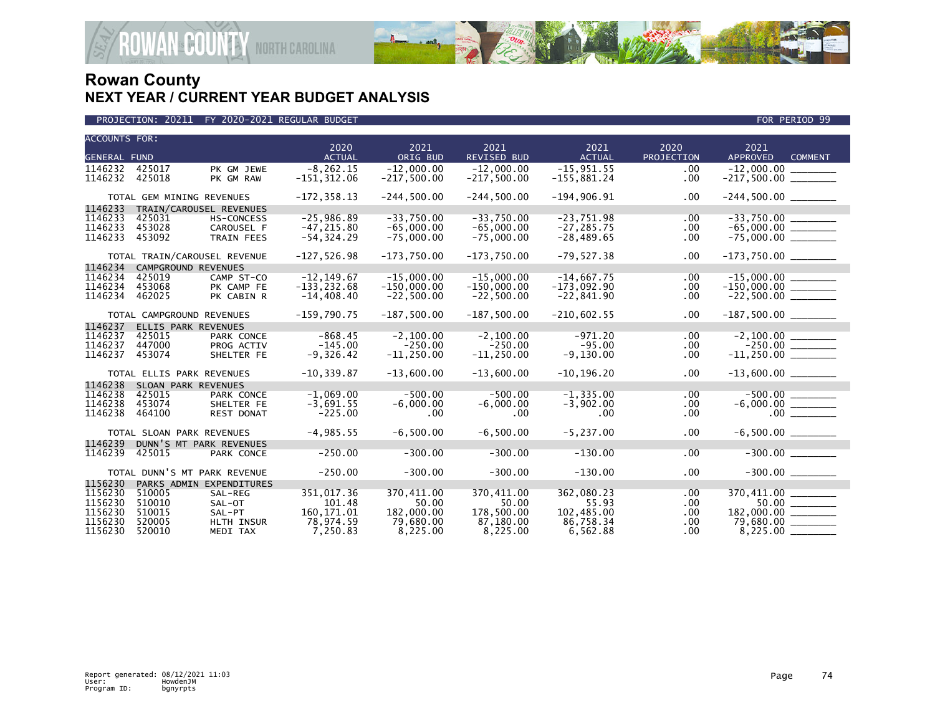

| <b>ACCOUNTS FOR:</b> |                           |                              |                       |                  |                            |                       |                    |                                                |
|----------------------|---------------------------|------------------------------|-----------------------|------------------|----------------------------|-----------------------|--------------------|------------------------------------------------|
| <b>GENERAL FUND</b>  |                           |                              | 2020<br><b>ACTUAL</b> | 2021<br>ORIG BUD | 2021<br><b>REVISED BUD</b> | 2021<br><b>ACTUAL</b> | 2020<br>PROJECTION | 2021<br><b>APPROVED</b><br><b>COMMENT</b>      |
| 1146232              | 425017                    | PK GM JEWE                   | $-8.262.15$           | $-12.000.00$     | $-12.000.00$               | $-15,951.55$          | $.00 \,$           |                                                |
| 1146232              | 425018                    | PK GM RAW                    | $-151, 312.06$        | $-217,500.00$    | $-217,500.00$              | $-155,881.24$         | .00                | $-12,000.00$                                   |
|                      |                           |                              |                       |                  |                            |                       |                    |                                                |
|                      | TOTAL GEM MINING REVENUES |                              | $-172, 358.13$        | $-244,500.00$    | $-244,500.00$              | $-194,906.91$         | $.00 \,$           |                                                |
| 1146233              |                           | TRAIN/CAROUSEL REVENUES      |                       |                  |                            |                       |                    |                                                |
| 1146233              | 425031                    | <b>HS-CONCESS</b>            | $-25,986.89$          | $-33,750.00$     | $-33,750.00$               | $-23,751.98$          | .00                |                                                |
| 1146233              | 453028                    | CAROUSEL F                   | $-47, 215.80$         | $-65,000.00$     | $-65,000.00$               | $-27, 285.75$         | .00                | $-65,000.00$ ________                          |
| 1146233              | 453092                    | <b>TRAIN FEES</b>            | $-54, 324.29$         | $-75,000.00$     | $-75,000.00$               | $-28,489.65$          | .00                |                                                |
|                      |                           |                              |                       |                  |                            |                       |                    |                                                |
|                      |                           | TOTAL TRAIN/CAROUSEL REVENUE | $-127,526.98$         | $-173,750.00$    | $-173,750.00$              | $-79,527.38$          | $.00 \,$           |                                                |
| 1146234              | CAMPGROUND REVENUES       |                              |                       |                  |                            |                       |                    |                                                |
| 1146234              | 425019                    | CAMP ST-CO                   | $-12, 149.67$         | $-15,000.00$     | $-15.000.00$               | $-14,667.75$          | .00                |                                                |
| 1146234              | 453068                    | PK CAMP FE                   | $-133, 232.68$        | $-150,000.00$    | $-150,000.00$              | $-173,092.90$         | .00                | $-150,000.00$ ________                         |
| 1146234              | 462025                    | PK CABIN R                   | $-14,408.40$          | $-22,500.00$     | $-22,500.00$               | $-22,841.90$          | .00                | $-22,500.00$ _________                         |
|                      |                           |                              |                       |                  |                            |                       |                    |                                                |
|                      | TOTAL CAMPGROUND REVENUES |                              | $-159,790.75$         | $-187,500.00$    | $-187,500.00$              | $-210,602.55$         | $.00 \,$           | $-187,500.00$ _________                        |
| 1146237              | ELLIS PARK REVENUES       |                              |                       |                  |                            |                       |                    |                                                |
| 1146237              | 425015                    | <b>PARK CONCE</b>            | $-868.45$             | $-2, 100.00$     | $-2, 100.00$               | $-971.20$             | $.00 \,$           |                                                |
| 1146237              | 447000                    | PROG ACTIV                   | $-145.00$             | $-250.00$        | $-250.00$                  | $-95.00$              | $.00 \,$           | $-250.00$ $\overline{\hspace{1.5cm}11,250.00}$ |
| 1146237              | 453074                    | SHELTER FE                   | $-9,326.42$           | $-11, 250.00$    | $-11, 250.00$              | $-9,130.00$           | .00                |                                                |
|                      | TOTAL ELLIS PARK REVENUES |                              | $-10, 339.87$         | $-13,600.00$     | $-13,600.00$               | $-10, 196.20$         | $.00 \,$           | $-13,600.00$ _______                           |
| 1146238              | SLOAN PARK REVENUES       |                              |                       |                  |                            |                       |                    |                                                |
| 1146238              | 425015                    | PARK CONCE                   | $-1,069.00$           | $-500.00$        | $-500.00$                  | $-1, 335.00$          | .00                |                                                |
| 1146238              | 453074                    | SHELTER FE                   | $-3,691.55$           | $-6,000.00$      | $-6,000.00$                | $-3,902.00$           | $.00 \,$           |                                                |
| 1146238              | 464100                    | <b>REST DONAT</b>            | $-225.00$             | .00              | .00                        | .00                   | .00                |                                                |
|                      |                           |                              |                       |                  |                            |                       |                    |                                                |
|                      | TOTAL SLOAN PARK REVENUES |                              | $-4,985.55$           | $-6,500.00$      | $-6,500.00$                | $-5, 237.00$          | $.00 \,$           |                                                |
| 1146239              |                           | DUNN'S MT PARK REVENUES      |                       |                  |                            |                       |                    |                                                |
| 1146239              | 425015                    | PARK CONCE                   | $-250.00$             | $-300.00$        | $-300.00$                  | $-130.00$             | .00                | $-300.00$                                      |
|                      |                           |                              |                       |                  |                            |                       |                    |                                                |
|                      |                           | TOTAL DUNN'S MT PARK REVENUE | $-250.00$             | $-300.00$        | $-300.00$                  | $-130.00$             | $.00 \,$           |                                                |
| 1156230              |                           | PARKS ADMIN EXPENDITURES     |                       |                  |                            |                       |                    |                                                |
| 1156230              | 510005                    | SAL-REG                      | 351.017.36            | 370,411.00       | 370,411.00                 | 362,080.23            | .00                | 370,411.00                                     |
| 1156230              | 510010                    | SAL-OT                       | 101.48                | 50.00            | 50.00                      | 55.93                 | .00                | $50.00$ _______                                |
| 1156230              | 510015                    | SAL-PT                       | 160.171.01            | 182,000.00       | 178.500.00                 | 102,485.00            | .00                | 182,000.00 ______                              |
| 1156230              | 520005                    | HLTH INSUR                   | 78,974.59             | 79,680.00        | 87,180.00                  | 86,758.34             | .00                | $79,680.00$ ________                           |
| 1156230              | 520010                    | MEDI TAX                     | 7,250.83              | 8,225.00         | 8,225.00                   | 6,562.88              | .00                |                                                |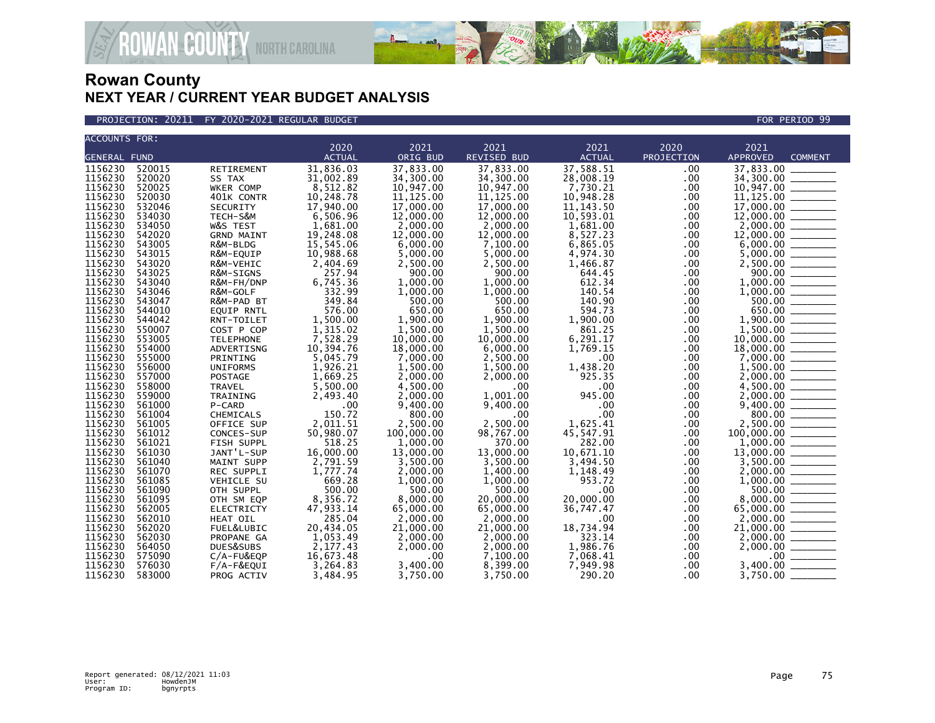

**COUNTY NORTH CAROLINA** 

| ACCOUNTS FOR:       |                  |                   |               |            |             |               |            |                                                                                                                    |
|---------------------|------------------|-------------------|---------------|------------|-------------|---------------|------------|--------------------------------------------------------------------------------------------------------------------|
|                     |                  |                   | 2020          | 2021       | 2021        | 2021          | 2020       | 2021                                                                                                               |
| <b>GENERAL FUND</b> |                  |                   | <b>ACTUAL</b> | ORIG BUD   | REVISED BUD | <b>ACTUAL</b> | PROJECTION | <b>APPROVED</b><br><b>COMMENT</b>                                                                                  |
| 1156230             | 520015           | RETIREMENT        | 31,836.03     | 37,833.00  | 37,833.00   | 37,588.51     | .00        | 37,833.00                                                                                                          |
| 1156230             | 520020           | SS TAX            | 31,002.89     | 34,300.00  | 34,300.00   | 28,008.19     | .00        | 34,300.00 _______                                                                                                  |
| 1156230             | 520025           | WKER COMP         | 8,512.82      | 10,947.00  | 10,947.00   | 7,730.21      | .00        | 10,947.00 _______                                                                                                  |
| 1156230             | 520030           | 401K CONTR        | 10,248.78     | 11, 125.00 | 11, 125.00  | 10,948.28     | .00.       | 11, 125.00                                                                                                         |
| 1156230             | 532046           | SECURITY          | 17,940.00     | 17,000.00  | 17,000.00   | 11, 143.50    | .00        |                                                                                                                    |
| 1156230             | 534030           | TECH-S&M          | 6,506.96      | 12,000.00  | 12,000.00   | 10,593.01     | .00        |                                                                                                                    |
| 1156230             | 534050           | W&S TEST          | 1,681.00      | 2,000.00   | 2,000.00    | 1,681.00      | .00        |                                                                                                                    |
| 1156230             | 542020           | <b>GRND MAINT</b> | 19,248.08     | 12,000.00  | 12,000.00   | 8.527.23      | .00        |                                                                                                                    |
| 1156230             | 543005           | R&M-BLDG          | 15,545.06     | 6,000.00   | 7,100.00    | 6,865.05      | .00        | $6,000.00$ $\frac{1}{1000}$                                                                                        |
| 1156230             | 543015           | R&M-EQUIP         | 10,988.68     | 5,000.00   | 5,000.00    | 4,974.30      | .00        |                                                                                                                    |
| 1156230             | 543020           | R&M-VEHIC         | 2,404.69      | 2,500.00   | 2,500.00    | 1,466.87      | .00        |                                                                                                                    |
| 1156230             | 543025           | R&M-SIGNS         | 257.94        | 900.00     | 900.00      | 644.45        | .00        |                                                                                                                    |
| 1156230             | 543040           | R&M-FH/DNP        | 6,745.36      | 1,000.00   | 1,000.00    | 612.34        | .00        |                                                                                                                    |
| 1156230             | 543046           | R&M-GOLF          | 332.99        | 1,000.00   | 1,000.00    | 140.54        | .00        |                                                                                                                    |
| 1156230             | 543047           | R&M-PAD BT        | 349.84        | 500.00     | 500.00      | 140.90        | .00        |                                                                                                                    |
| 1156230             | 544010           | <b>EQUIP RNTL</b> | 576.00        | 650.00     | 650.00      | 594.73        | .00.       |                                                                                                                    |
| 1156230             | 544042           | RNT-TOILET        | 1,500.00      | 1.900.00   | 1.900.00    | 1,900.00      | $.00 \,$   |                                                                                                                    |
| 1156230             | 550007           | COST P COP        | 1,315.02      | 1.500.00   | 1,500.00    | 861.25        | $.00 \,$   |                                                                                                                    |
| 1156230             | 553005           | <b>TELEPHONE</b>  | 7,528.29      | 10,000.00  | 10,000.00   | 6,291.17      | .00.       |                                                                                                                    |
| 1156230             | 554000           | ADVERTISNG        | 10,394.76     | 18,000.00  | 6,000,00    | 1,769.15      | .00        |                                                                                                                    |
| 1156230             | 555000           | PRINTING          | 5,045.79      | 7,000.00   | 2,500.00    | .00           | .00        | $1,000.00$<br>$500.00$<br>$650.00$<br>$1,900.00$<br>$1,500.00$<br>$1,500.00$<br>$10,000.00$<br>$18,000.00$         |
| 1156230             | 556000           | <b>UNIFORMS</b>   | 1,926.21      | 1,500.00   | 1,500.00    | 1,438.20      | $.00 \,$   |                                                                                                                    |
| 1156230             | 557000           |                   |               | 2.000.00   | 2.000.00    | 925.35        | .00        |                                                                                                                    |
|                     |                  | POSTAGE           | 1,669.25      |            | .00         |               |            | $2,000.00$ _______                                                                                                 |
| 1156230<br>1156230  | 558000<br>559000 | TRAVEL            | 5,500.00      | 4,500.00   | 1.001.00    | .00<br>945.00 | .00.       |                                                                                                                    |
|                     |                  | TRAINING          | 2,493.40      | 2,000.00   |             |               | $.00 \,$   | $\begin{array}{r} 2,000.00 \\ 4,500.00 \\ 2,000.00 \\ 9,400.00 \\ 800.00 \\ 2,500.00 \\ 100,000.00 \\ \end{array}$ |
| 1156230             | 561000           | P-CARD            | .00           | 9,400.00   | 9,400.00    | .00           | .00.       |                                                                                                                    |
| 1156230             | 561004           | CHEMICALS         | 150.72        | 800.00     | .00         | .00           | .00.       |                                                                                                                    |
| 1156230             | 561005           | OFFICE SUP        | 2,011.51      | 2,500.00   | 2,500.00    | 1,625.41      | .00        |                                                                                                                    |
| 1156230             | 561012           | CONCES-SUP        | 50,980.07     | 100,000.00 | 98,767.00   | 45,547.91     | .00        |                                                                                                                    |
| 1156230             | 561021           | FISH SUPPL        | 518.25        | 1,000.00   | 370.00      | 282.00        | .00        | $\frac{1,000.00}{13,000.00}$                                                                                       |
| 1156230             | 561030           | JANT'L-SUP        | 16,000.00     | 13,000.00  | 13,000.00   | 10,671.10     | $.00 \,$   | 13,000.00                                                                                                          |
| 1156230             | 561040           | MAINT SUPP        | 2,791.59      | 3,500.00   | 3,500.00    | 3,494.50      | .00        | $3,500.00$<br>$2,000.00$<br>$1,000.00$                                                                             |
| 1156230             | 561070           | REC SUPPLI        | 1,777.74      | 2,000.00   | 1,400.00    | 1,148.49      | .00        |                                                                                                                    |
| 1156230             | 561085           | VEHICLE SU        | 669.28        | 1,000.00   | 1,000.00    | 953.72        | .00        |                                                                                                                    |
| 1156230             | 561090           | OTH SUPPL         | 500.00        | 500.00     | 500.00      | .00           | .00        |                                                                                                                    |
| 1156230             | 561095           | OTH SM EQP        | 8,356.72      | 8,000.00   | 20,000.00   | 20,000.00     | .00.       |                                                                                                                    |
| 1156230             | 562005           | <b>ELECTRICTY</b> | 47,933.14     | 65,000.00  | 65,000.00   | 36,747.47     | .00        |                                                                                                                    |
| 1156230             | 562010           | HEAT OIL          | 285.04        | 2,000.00   | 2,000.00    | .00           | .00        | $\begin{array}{c} 7,600.00 \ \hline 8,000.00 \ \hline 65,000.00 \ \hline 2,000.00 \ \hline \end{array}$            |
| 1156230             | 562020           | FUEL&LUBIC        | 20,434.05     | 21,000.00  | 21,000.00   | 18,734.94     | .00        | 21,000.00                                                                                                          |
| 1156230             | 562030           | PROPANE GA        | 1,053.49      | 2,000.00   | 2,000.00    | 323.14        | $.00 \,$   | 2,000.00                                                                                                           |
| 1156230             | 564050           | DUES&SUBS         | 2,177.43      | 2,000.00   | 2,000.00    | 1,986.76      | .00        | 2,000.00                                                                                                           |
| 1156230             | 575090           | C/A-FU&EQP        | 16,673.48     | .00        | 7.100.00    | 7.068.41      | .00        | .00 <sub>1</sub>                                                                                                   |
| 1156230             | 576030           | $F/A-F\&EQUI$     | 3,264.83      | 3,400.00   | 8,399.00    | 7,949.98      | .00.       | 3,400.00                                                                                                           |
| 1156230             | 583000           | PROG ACTIV        | 3.484.95      | 3,750.00   | 3.750.00    | 290.20        | $.00 \,$   | 3,750.00                                                                                                           |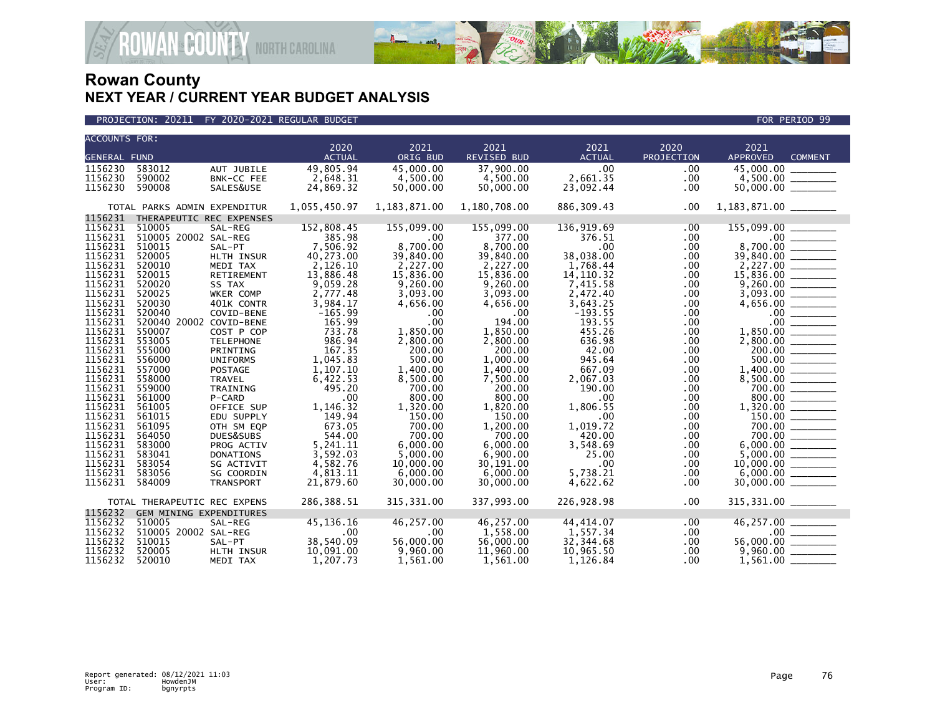

| <b>ACCOUNTS FOR:</b> |                                |                  |                       |                  |                            |                       |                    |                                           |  |
|----------------------|--------------------------------|------------------|-----------------------|------------------|----------------------------|-----------------------|--------------------|-------------------------------------------|--|
| <b>GENERAL FUND</b>  |                                |                  | 2020<br><b>ACTUAL</b> | 2021<br>ORIG BUD | 2021<br><b>REVISED BUD</b> | 2021<br><b>ACTUAL</b> | 2020<br>PROJECTION | 2021<br><b>APPROVED</b><br><b>COMMENT</b> |  |
|                      |                                |                  |                       |                  |                            |                       |                    |                                           |  |
| 1156230              | 583012                         | AUT JUBILE       | 49,805.94             | 45,000.00        | 37,900.00                  | .00                   | .00                | 45,000.00                                 |  |
| 1156230              | 590002                         | BNK-CC FEE       | 2,648.31              | 4,500.00         | 4,500.00                   | 2,661.35              | .00                |                                           |  |
| 1156230              | 590008                         | SALES&USE        | 24,869.32             | 50,000.00        | 50,000.00                  | 23,092.44             | .00                |                                           |  |
|                      | TOTAL PARKS ADMIN EXPENDITUR   |                  | 1,055,450.97          | 1,183,871.00     | 1,180,708.00               | 886, 309.43           | .00                |                                           |  |
| 1156231              | THERAPEUTIC REC EXPENSES       |                  |                       |                  |                            |                       |                    |                                           |  |
| 1156231              | 510005                         | SAL-REG          | 152,808.45            | 155,099.00       | 155,099.00                 | 136,919.69            | .00                | 155,099.00                                |  |
| 1156231              | 510005 20002 SAL-REG           |                  | 385.98                | $.00 \,$         | 377.00                     | 376.51                | .00                |                                           |  |
| 1156231              | 510015                         | SAL-PT           | 7,506.92              | 8,700.00         | 8,700.00                   | .00                   | .00                | 8,700.00 _______                          |  |
| 1156231              | 520005                         | HLTH INSUR       | 40,273.00             | 39,840.00        | 39,840.00                  | 38,038.00             | .00.               |                                           |  |
| 1156231              | 520010                         | MEDI TAX         | 2,126.10              | 2,227.00         | 2,227.00                   | 1,768.44              | .00.               |                                           |  |
| 1156231              | 520015                         | RETIREMENT       | 13,886.48             | 15,836.00        | 15,836.00                  | 14, 110.32            | .00                |                                           |  |
| 1156231              | 520020                         | SS TAX           | 9,059.28              | 9.260.00         | 9.260.00                   | 7,415.58              | .00                |                                           |  |
| 1156231              | 520025                         | WKER COMP        | 2,777.48              | 3,093.00         | 3,093.00                   | 2,472.40              | .00                |                                           |  |
| 1156231              | 520030                         | 401K CONTR       | 3,984.17              | 4,656.00         | 4,656.00                   | 3,643.25              | .00                |                                           |  |
| 1156231              | 520040                         | COVID-BENE       | $-165.99$             | $.00 \,$         | $.00 \times$               | $-193.55$             | .00.               |                                           |  |
| 1156231              | 520040 20002 COVID-BENE        |                  | 165.99                | .00              | 194.00                     | 193.55                | .00                | $.00 \,$                                  |  |
| 1156231              | 550007                         | COST P COP       | 733.78                | 1,850.00         | 1,850.00                   | 455.26                | $.00 \,$           |                                           |  |
| 1156231              | 553005                         | <b>TELEPHONE</b> | 986.94                | 2,800.00         | 2,800.00                   | 636.98                | .00                |                                           |  |
| 1156231              | 555000                         | PRINTING         | 167.35                | 200.00           | 200.00                     | 42.00                 | .00                |                                           |  |
| 1156231              | 556000                         | <b>UNIFORMS</b>  | 1,045.83              | 500.00           | 1,000.00                   | 945.64                | .00.               | 500.00                                    |  |
| 1156231              | 557000                         | POSTAGE          | 1,107.10              | 1,400.00         | 1,400.00                   | 667.09                | .00.               | $1,400.00$ _________                      |  |
| 1156231              | 558000                         | TRAVEL           | 6,422.53              | 8,500.00         | 7,500.00                   | 2,067.03              | .00.               |                                           |  |
| 1156231              | 559000                         | TRAINING         | 495.20                | 700.00           | 200.00                     | 190.00                | .00                | 700.00                                    |  |
| 1156231              | 561000                         | P-CARD           | .00                   | 800.00           | 800.00                     | .00                   | .00                | 800.00                                    |  |
| 1156231              | 561005                         | OFFICE SUP       | 1,146.32              | 1,320.00         | 1,820.00                   | 1,806.55              | .00                |                                           |  |
| 1156231              | 561015                         | EDU SUPPLY       | 149.94                | 150.00           | 150.00                     | .00                   | .00.               |                                           |  |
| 1156231              | 561095                         | OTH SM EQP       | 673.05                | 700.00           | 1,200.00                   | 1,019.72              | .00.               | $\frac{150.00}{700.00}$                   |  |
| 1156231              | 564050                         | DUES&SUBS        | 544.00                | 700.00           | 700.00                     | 420.00                | .00                |                                           |  |
| 1156231              | 583000                         | PROG ACTIV       | 5,241.11              | 6,000.00         | 6,000.00                   | 3,548.69              | .00                |                                           |  |
| 1156231              | 583041                         | <b>DONATIONS</b> | 3,592.03              | 5,000.00         | 6,900.00                   | 25.00                 | .00                | $5,000.00$ _________                      |  |
| 1156231              | 583054                         | SG ACTIVIT       | 4,582.76              | 10,000.00        | 30,191.00                  | .00                   | .00.               |                                           |  |
| 1156231              | 583056                         | SG COORDIN       | 4,813.11              | 6,000.00         | 6,000.00                   | 5,738.21              | .00                |                                           |  |
| 1156231              | 584009                         | TRANSPORT        | 21,879.60             | 30,000.00        | 30,000.00                  | 4,622.62              | .00                |                                           |  |
|                      | TOTAL THERAPEUTIC REC EXPENS   |                  | 286,388.51            | 315, 331.00      | 337,993.00                 | 226,928.98            | $.00 \,$           | 315, 331.00 _______                       |  |
| 1156232              | <b>GEM MINING EXPENDITURES</b> |                  |                       |                  |                            |                       |                    |                                           |  |
| 1156232              | 510005                         | SAL-REG          | 45,136.16             | 46,257.00        | 46,257.00                  | 44, 414.07            | .00                | 46,257.00                                 |  |
| 1156232              | 510005 20002 SAL-REG           |                  | .00                   | $.00 \,$         | 1,558.00                   | 1,557.34              | .00.               |                                           |  |
| 1156232              | 510015                         | SAL-PT           | 38,540.09             | 56,000.00        | 56,000.00                  | 32,344.68             | .00                | $56,000.00$ _________                     |  |
| 1156232              | 520005                         | HLTH INSUR       | 10,091.00             | 9,960.00         | 11,960.00                  | 10,965.50             | .00                |                                           |  |
| 1156232              | 520010                         | MEDI TAX         | 1,207.73              | 1.561.00         | 1,561.00                   | 1,126.84              | .00.               | $1,561.00$ $\_$                           |  |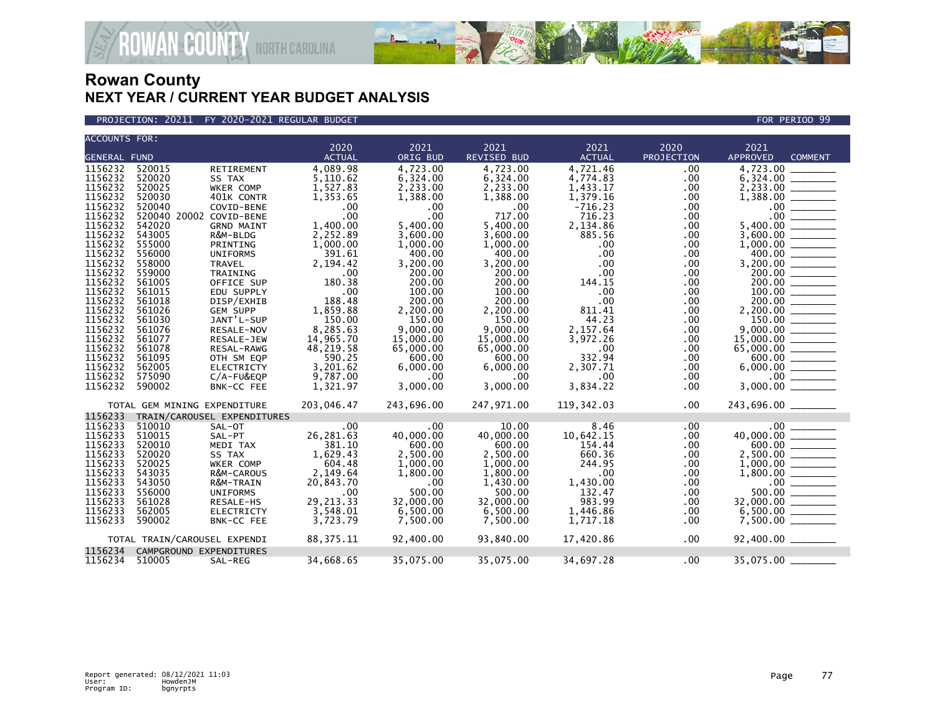

### PROJECTION: 20211 FY 2020-2021 REGULAR BUDGET FOR PERIOD 99

| <b>ACCOUNTS FOR:</b> |                              |                             |               |            |                    |               |             |                                         |
|----------------------|------------------------------|-----------------------------|---------------|------------|--------------------|---------------|-------------|-----------------------------------------|
|                      |                              |                             | 2020          | 2021       | 2021               | 2021          | 2020        | 2021                                    |
| <b>GENERAL FUND</b>  |                              |                             | <b>ACTUAL</b> | ORIG BUD   | <b>REVISED BUD</b> | <b>ACTUAL</b> | PROJECTION  | <b>APPROVED</b><br><b>COMMENT</b>       |
| 1156232              | 520015                       | <b>RETIREMENT</b>           | 4,089.98      | 4.723.00   | 4.723.00           | 4,721.46      | .00         | 4.723.00                                |
| 1156232              | 520020                       | SS TAX                      | 5,110.62      | 6,324.00   | 6,324.00           | 4,774.83      | .00         | 6,324.00                                |
| 1156232              | 520025                       | WKER COMP                   | 1,527.83      | 2,233.00   | 2,233.00           | 1,433.17      | .00         |                                         |
| 1156232              | 520030                       | 401K CONTR                  | 1,353.65      | 1,388.00   | 1,388.00           | 1,379.16      | .00         | 1,388.00                                |
| 1156232              | 520040                       | COVID-BENE                  | .00           | .00        | $.00 \,$           | $-716.23$     | .00         | .00                                     |
| 1156232              | 520040 20002 COVID-BENE      |                             | .00           | .00        | 717.00             | 716.23        | .00.        | .00 <sub>1</sub>                        |
| 1156232              | 542020                       | <b>GRND MAINT</b>           | 1,400.00      | 5,400.00   | 5,400.00           | 2,134.86      | $.00 \,$    | 5,400.00                                |
| 1156232              | 543005                       | R&M-BLDG                    | 2,252.89      | 3,600.00   | 3,600.00           | 885.56        | .00         | 3,600.00                                |
| 1156232              | 555000                       | PRINTING                    | 1,000.00      | 1,000.00   | 1,000.00           | $.00 \,$      | .00         |                                         |
| 1156232              | 556000                       | <b>UNIFORMS</b>             | 391.61        | 400.00     | 400.00             | .00           | .00         | 400.00                                  |
| 1156232              | 558000                       | <b>TRAVEL</b>               | 2,194.42      | 3,200.00   | 3.200.00           | $.00 \,$      | .00         | 3,200.00 ________                       |
| 1156232              | 559000                       | TRAINING                    | .00           | 200.00     | 200.00             | .00           | .00.        |                                         |
| 1156232              | 561005                       | OFFICE SUP                  | 180.38        | 200.00     | 200.00             | 144.15        | .00         |                                         |
| 1156232              | 561015                       | EDU SUPPLY                  | .00           | 100.00     | 100.00             | .00           | .00         | 100.00                                  |
| 1156232              | 561018                       | DISP/EXHIB                  | 188.48        | 200.00     | 200.00             | .00           | .00.        |                                         |
| 1156232              | 561026                       | <b>GEM SUPP</b>             | 1,859.88      | 2,200.00   | 2,200.00           | 811.41        | .00.        |                                         |
| 1156232              | 561030                       | JANT'L-SUP                  | 150.00        | 150.00     | 150.00             | 44.23         | .00         |                                         |
| 1156232              | 561076                       | RESALE-NOV                  | 8,285.63      | 9,000.00   | 9.000.00           | 2,157.64      | .00         | 9,000.00                                |
| 1156232              | 561077                       | RESALE-JEW                  | 14,965.70     | 15,000.00  | 15,000.00          | 3,972.26      | .00         | 15,000.00                               |
| 1156232              | 561078                       | RESAL-RAWG                  | 48,219.58     | 65,000.00  | 65,000.00          | .00           | .00         | 65,000.00                               |
| 1156232              | 561095                       | OTH SM EQP                  | 590.25        | 600.00     | 600.00             | 332.94        | .00.        | 600.00 _______                          |
| 1156232              | 562005                       | <b>ELECTRICTY</b>           | 3,201.62      | 6,000.00   | 6,000.00           | 2,307.71      | .00.        |                                         |
| 1156232              | 575090                       | C/A-FU&EQP                  | 9,787.00      | $.00 \,$   | $.00 \times$       | .00           | .00         |                                         |
| 1156232              | 590002                       | BNK-CC FEE                  | 1,321.97      | 3,000.00   | 3,000.00           | 3,834.22      | .00         | 3,000.00                                |
|                      | TOTAL GEM MINING EXPENDITURE |                             | 203,046.47    | 243,696.00 | 247,971.00         | 119,342.03    | $.00 \,$    | 243,696.00 _______                      |
| 1156233              |                              | TRAIN/CAROUSEL EXPENDITURES |               |            |                    |               |             |                                         |
| 1156233              | 510010                       | SAL-OT                      | .00           | .00        | 10.00              | 8.46          | .00         |                                         |
| 1156233              | 510015                       | SAL-PT                      | 26, 281.63    | 40,000.00  | 40,000.00          | 10,642.15     | .00         |                                         |
| 1156233              | 520010                       | MEDI TAX                    | 381.10        | 600.00     | 600.00             | 154.44        | .00         |                                         |
| 1156233              | 520020                       | SS TAX                      | 1,629.43      | 2,500.00   | 2,500.00           | 660.36        | .00.        |                                         |
| 1156233              | 520025                       | WKER COMP                   | 604.48        | 1,000.00   | 1,000.00           | 244.95        | .00.        |                                         |
| 1156233              | 543035                       | R&M-CAROUS                  | 2,149.64      | 1,800.00   | 1,800.00           | .00           | .00         |                                         |
| 1156233              | 543050                       | R&M-TRAIN                   | 20,843.70     | $.00 \,$   | 1.430.00           | 1,430.00      | .00         | $.00$ $\frac{1}{\sqrt{1-\frac{1}{2}}}\$ |
| 1156233              | 556000                       | <b>UNIFORMS</b>             | .00           | 500.00     | 500.00             | 132.47        | .00         | 500.00                                  |
| 1156233              | 561028                       | RESALE-HS                   | 29, 213. 33   | 32,000.00  | 32,000.00          | 983.99        | $.00 \,$    | 32,000.00                               |
| 1156233              | 562005                       | <b>ELECTRICTY</b>           | 3,548.01      | 6,500.00   | 6,500.00           | 1,446.86      | .00.        | 6,500.00                                |
| 1156233              | 590002                       | BNK-CC FEE                  | 3,723.79      | 7,500.00   | 7,500.00           | 1,717.18      | .00         | 7,500.00                                |
|                      | TOTAL TRAIN/CAROUSEL EXPENDI |                             | 88, 375. 11   | 92,400.00  | 93,840.00          | 17,420.86     | $.00 \,$    | $92,400.00$ _________                   |
| 1156234              | CAMPGROUND EXPENDITURES      |                             |               |            |                    |               |             |                                         |
| 1156234              | 510005                       | SAL-REG                     | 34,668.65     | 35,075.00  | 35,075.00          | 34,697.28     | $.00 \cdot$ | 35,075.00                               |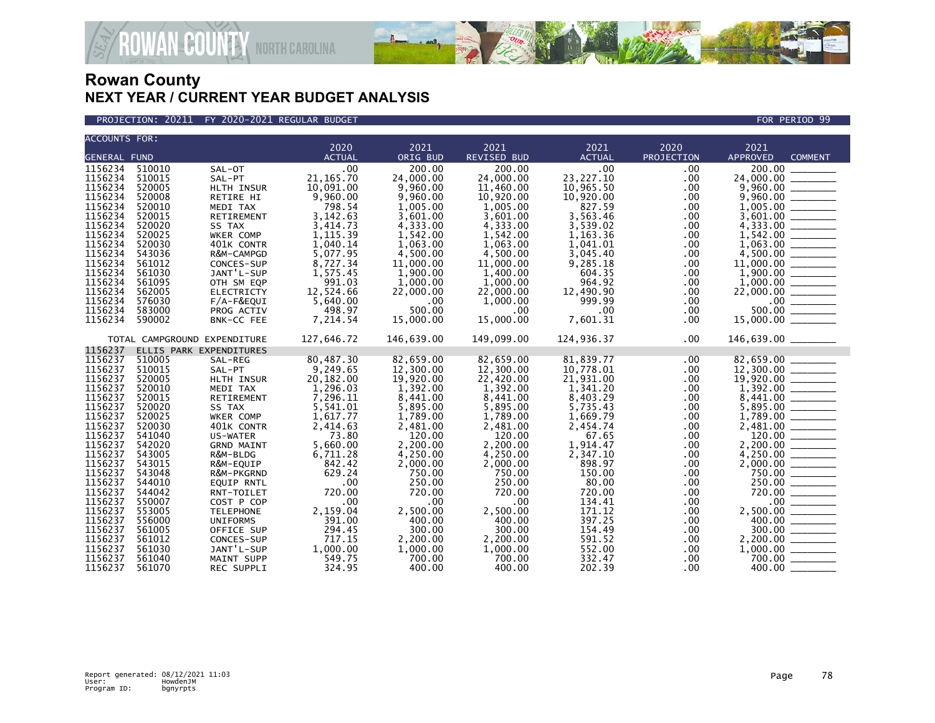

PROJECTION: 20211 FY 2020-2021 REGULAR BUDGET FOR PERIOD 99

| <b>ACCOUNTS FOR:</b> |                  |                               | 2020                 | 2021                 |                            |                       | 2020                 |                                                                                                                                                                                |
|----------------------|------------------|-------------------------------|----------------------|----------------------|----------------------------|-----------------------|----------------------|--------------------------------------------------------------------------------------------------------------------------------------------------------------------------------|
| <b>GENERAL FUND</b>  |                  |                               | <b>ACTUAL</b>        | ORIG BUD             | 2021<br><b>REVISED BUD</b> | 2021<br><b>ACTUAL</b> | PROJECTION           | 2021<br><b>APPROVED</b><br><b>COMMENT</b>                                                                                                                                      |
| 1156234              | 510010           | SAL-OT                        | .00                  | 200.00               | 200.00                     | .00.                  | $.00 \,$             | 200.00                                                                                                                                                                         |
| 1156234              | 510015           | SAL-PT                        | 21, 165.70           | 24,000.00            | 24,000.00                  | 23, 227. 10           | .00                  | 24,000.00 _______                                                                                                                                                              |
| 1156234              | 520005           | HLTH INSUR                    | 10,091.00            | 9,960.00             | 11,460.00                  | 10,965.50             | $.00 \,$             |                                                                                                                                                                                |
| 1156234              | 520008           | RETIRE HI                     | 9,960.00             | 9,960.00             | 10,920.00                  | 10,920.00             | .00                  |                                                                                                                                                                                |
| 1156234              | 520010           | MEDI TAX                      | 798.54               | 1,005.00             | 1,005.00                   | 827.59                | $.00 \,$             |                                                                                                                                                                                |
| 1156234              | 520015           | RETIREMENT                    | 3,142.63             | 3,601.00             | 3,601.00                   | 3,563.46              | .00                  |                                                                                                                                                                                |
| 1156234              | 520020           | SS TAX                        | 3,414.73             | 4,333.00             | 4,333.00                   | 3,539.02              | $.00 \,$             | $\begin{array}{r} 9,960.00 \\ 9,960.00 \\ 1,005.00 \\ 3,601.00 \\ 4,333.00 \end{array}$                                                                                        |
| 1156234              | 520025           | WKER COMP                     | 1, 115.39            | 1,542.00             | 1,542.00                   | 1,163.36              | .00                  |                                                                                                                                                                                |
| 1156234              | 520030           | 401K CONTR                    | 1,040.14             | 1,063.00             | 1,063.00                   | 1,041.01              | .00                  | $1,542.00$<br>1,063.00                                                                                                                                                         |
| 1156234              | 543036           | R&M-CAMPGD                    | 5,077.95             | 4,500.00             | 4,500.00                   | 3,045.40              | $.00 \,$             |                                                                                                                                                                                |
| 1156234              | 561012           | CONCES-SUP                    |                      | 11,000.00            | 11,000,00                  | 9.285.18              | .00                  |                                                                                                                                                                                |
| 1156234              | 561030           | JANT'L-SUP                    | 8,727.34<br>1,575.45 | 1,900.00             | 1,400.00                   | 604.35                | $.00 \,$             |                                                                                                                                                                                |
| 1156234              | 561095           | OTH SM EQP                    | 991.03               | 1,000.00             | 1,000.00                   | 964.92                | $.00 \,$             |                                                                                                                                                                                |
| 1156234              | 562005           | <b>ELECTRICTY</b>             | 12,524.66            | 22,000.00            | 22,000.00                  | 12.490.90             | $.00 \,$             |                                                                                                                                                                                |
| 1156234              | 576030           | F/A-F&EQUI                    | 5,640.00             | .00                  | 1,000.00                   | 999.99                | $.00 \,$             |                                                                                                                                                                                |
| 1156234              | 583000           | PROG ACTIV                    | 498.97               | 500.00               | $.00 \,$                   | $.00 \,$              | $.00 \,$             |                                                                                                                                                                                |
| 1156234              | 590002           | BNK-CC FEE                    | 7,214.54             | 15,000.00            | 15,000.00                  | 7,601.31              | $.00 \,$             | $\frac{4,500.00}{1,900.00}$<br>$\frac{1,900.00}{1,900.00}$<br>$\frac{1,900.00}{0.00}$<br>$\frac{500.00}{15,000.00}$                                                            |
|                      |                  | TOTAL CAMPGROUND EXPENDITURE  | 127,646.72           | 146,639.00           | 149,099.00                 | 124,936.37            | $.00 \,$             | 146,639.00 _______                                                                                                                                                             |
| 1156237              |                  | ELLIS PARK EXPENDITURES       |                      |                      |                            |                       |                      |                                                                                                                                                                                |
| 1156237              | 510005           | SAL-REG                       | 80,487.30            | 82,659.00            | 82,659.00                  | 81,839.77             | $.00 \,$             | 82,659.00<br>12,300.00                                                                                                                                                         |
| 1156237              | 510015           | SAL-PT                        | 9,249.65             | 12,300.00            | 12,300.00                  | 10,778.01             | $.00 \,$             |                                                                                                                                                                                |
| 1156237              | 520005           | HLTH INSUR                    | 20,182.00            | 19,920.00            | 22,420.00                  | 21,931.00             | $.00 \,$             |                                                                                                                                                                                |
| 1156237              | 520010           | MEDI TAX                      | 1.296.03             | 1.392.00             | 1.392.00                   | 1.341.20              | $.00 \,$             |                                                                                                                                                                                |
| 1156237              | 520015           | <b>RETIREMENT</b>             | 7,296.11             | 8,441.00             | 8,441.00                   | 8,403.29              | $.00 \,$             | $\begin{array}{r} 12,300.00 \ \hline 19,920.00 \ \hline 1,392.00 \ \hline 8,441.00 \ \hline 5,895.00 \ \hline 1,789.00 \ \hline 2,481.00 \ \hline 120.00 \ \hline \end{array}$ |
| 1156237              | 520020           | SS TAX                        | 5,541.01             | 5,895.00             | 5,895.00                   | 5,735.43              | .00                  |                                                                                                                                                                                |
| 1156237              | 520025           | WKER COMP                     | 1,617.77             | 1,789.00             | 1.789.00                   | 1,669.79              | $.00 \,$             |                                                                                                                                                                                |
| 1156237              | 520030           | 401K CONTR                    | 2,414.63             | 2,481.00             | 2,481.00                   | 2.454.74              | $.00 \,$<br>.00      |                                                                                                                                                                                |
| 1156237<br>1156237   | 541040<br>542020 | US-WATER                      | 73.80                | 120.00               | 120.00                     | 67.65                 |                      |                                                                                                                                                                                |
| 1156237              | 543005           | <b>GRND MAINT</b><br>R&M-BLDG | 5,660.00<br>6,711.28 | 2,200.00<br>4,250.00 | 2,200.00<br>4,250.00       | 1,914.47<br>2,347.10  | $.00 \,$<br>$.00 \,$ | $\begin{array}{r} 2,200.00 \\ 4,250.00 \\ 2,000.00 \\ 750.00 \\ 750.00 \\ 720.00 \\ \hline \end{array}$                                                                        |
| 1156237              | 543015           | R&M-EQUIP                     | 842.42               | 2,000.00             | 2,000.00                   | 898.97                | $.00 \,$             |                                                                                                                                                                                |
| 1156237              | 543048           | R&M-PKGRND                    | 629.24               | 750.00               | 750.00                     | 150.00                | .00                  |                                                                                                                                                                                |
| 1156237              | 544010           | <b>EQUIP RNTL</b>             | .00                  | 250.00               | 250.00                     | 80.00                 | $.00 \,$             |                                                                                                                                                                                |
| 1156237              | 544042           | RNT-TOILET                    | 720.00               | 720.00               | 720.00                     | 720.00                | $.00 \,$             |                                                                                                                                                                                |
| 1156237              | 550007           | COST P COP                    | .00                  | .00                  | $.00 \times$               | 134.41                | $.00 \,$             |                                                                                                                                                                                |
| 1156237              | 553005           | <b>TELEPHONE</b>              | 2,159.04             | 2,500.00             | 2,500.00                   | 171.12                | $.00 \,$             |                                                                                                                                                                                |
| 1156237              | 556000           | <b>UNIFORMS</b>               | 391.00               | 400.00               | 400.00                     | 397.25                | $.00 \,$             | $2,500.00$<br>$400.00$<br>$300.00$<br>$2,200.00$<br>$1,000.00$<br>$1,000.00$                                                                                                   |
| 1156237              | 561005           | OFFICE SUP                    | 294.45               | 300.00               | 300.00                     | 154.49                | $.00 \,$             |                                                                                                                                                                                |
| 1156237              | 561012           | CONCES-SUP                    | 717.15               | 2,200.00             | 2,200.00                   | 591.52                | $.00 \,$             |                                                                                                                                                                                |
| 1156237              | 561030           | JANT'L-SUP                    | 1,000.00             | 1,000.00             | 1,000.00                   | 552.00                | $.00 \,$             |                                                                                                                                                                                |
| 1156237              | 561040           | MAINT SUPP                    | 549.75               | 700.00               | 700.00                     | 332.47                | $.00 \,$             | $\frac{700.00}{20000}$                                                                                                                                                         |
| 1156237              | 561070           | REC SUPPLI                    | 324.95               | 400.00               | 400.00                     | 202.39                | .00.                 | 400.00                                                                                                                                                                         |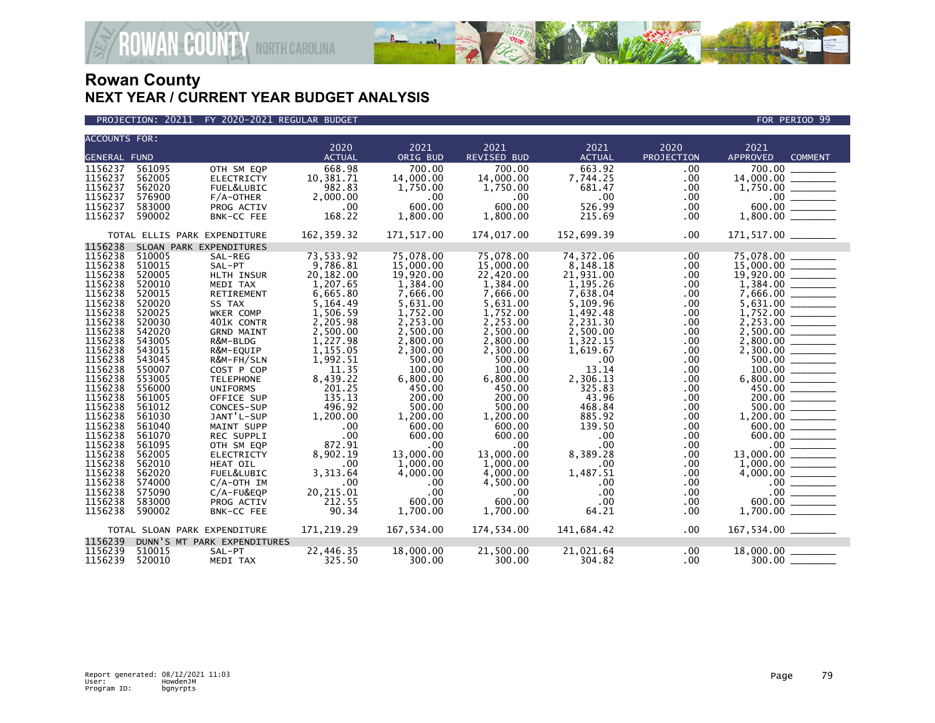

PROJECTION: 20211 FY 2020-2021 REGULAR BUDGET FOR PERIOD 99

| <b>ACCOUNTS FOR:</b> |        |                              | 2020          | 2021       | 2021               | 2021          | 2020       | 2021                              |                          |
|----------------------|--------|------------------------------|---------------|------------|--------------------|---------------|------------|-----------------------------------|--------------------------|
| <b>GENERAL FUND</b>  |        |                              | <b>ACTUAL</b> | ORIG BUD   | <b>REVISED BUD</b> | <b>ACTUAL</b> | PROJECTION | <b>APPROVED</b><br><b>COMMENT</b> |                          |
|                      |        |                              |               |            |                    |               |            |                                   |                          |
| 1156237              | 561095 | OTH SM EQP                   | 668.98        | 700.00     | 700.00             | 663.92        | .00        | 700.00                            |                          |
| 1156237              | 562005 | <b>ELECTRICTY</b>            | 10,381.71     | 14,000,00  | 14,000.00          | 7,744.25      | .00        | 14,000.00                         |                          |
| 1156237              | 562020 | FUEL&LUBIC                   | 982.83        | 1,750.00   | 1,750.00           | 681.47        | .00        | 1,750.00                          |                          |
| 1156237              | 576900 | $F/A$ -OTHER                 | 2,000.00      | $.00 \,$   | .00                | .00           | .00        | $.00 \cdot$                       |                          |
| 1156237              | 583000 | PROG ACTIV                   | .00           | 600.00     | 600.00             | 526.99        | .00        | 600.00                            |                          |
| 1156237              | 590002 | BNK-CC FEE                   | 168.22        | 1,800.00   | 1,800.00           | 215.69        | .00        | 1,800.00                          |                          |
|                      |        | TOTAL ELLIS PARK EXPENDITURE | 162,359.32    | 171,517.00 | 174,017.00         | 152,699.39    | .00        |                                   |                          |
| 1156238              |        | SLOAN PARK EXPENDITURES      |               |            |                    |               |            |                                   |                          |
| 1156238              | 510005 | SAL-REG                      | 73,533.92     | 75,078.00  | 75,078.00          | 74,372.06     | .00        | 75,078.00                         |                          |
| 1156238              | 510015 | SAL-PT                       | 9,786.81      | 15,000.00  | 15,000.00          | 8,148.18      | .00        | 15,000.00                         |                          |
| 1156238              | 520005 | HLTH INSUR                   | 20,182.00     | 19,920.00  | 22,420.00          | 21,931.00     | .00        | 19,920.00                         |                          |
| 1156238              | 520010 | MEDI TAX                     | 1,207.65      | 1,384.00   | 1,384.00           | 1,195.26      | .00.       | 1,384.00                          |                          |
| 1156238              | 520015 | RETIREMENT                   | 6,665.80      | 7,666.00   | 7,666.00           | 7,638.04      | .00        | 7,666.00                          |                          |
| 1156238              | 520020 | SS TAX                       | 5,164.49      | 5,631.00   | 5,631.00           | 5,109.96      | .00        | 5,631.00                          |                          |
| 1156238              | 520025 | WKER COMP                    | 1,506.59      | 1,752.00   | 1,752.00           | 1,492.48      | .00        | 1,752.00                          |                          |
| 1156238              | 520030 | 401K CONTR                   | 2,205.98      | 2,253.00   | 2,253.00           | 2,231.30      | .00        | 2,253.00                          |                          |
| 1156238              | 542020 | <b>GRND MAINT</b>            | 2,500.00      | 2,500.00   | 2,500.00           | 2,500.00      | .00        | 2,500.00                          |                          |
| 1156238              | 543005 | R&M-BLDG                     | 1,227.98      | 2,800.00   | 2,800.00           | 1,322.15      | .00        | 2.800.00                          |                          |
| 1156238              | 543015 | R&M-EQUIP                    | 1,155.05      | 2,300.00   | 2,300.00           | 1,619.67      | .00        | 2,300.00                          |                          |
| 1156238              | 543045 | R&M-FH/SLN                   | 1,992.51      | 500.00     | 500.00             | .00           | .00        | 500.00                            |                          |
| 1156238              | 550007 | COST P COP                   | 11.35         | 100.00     | 100.00             | 13.14         | .00.       | 100.00                            |                          |
| 1156238              | 553005 | <b>TELEPHONE</b>             | 8,439.22      | 6,800.00   | 6,800.00           | 2,306.13      | .00        | 6,800.00                          |                          |
| 1156238              | 556000 | <b>UNIFORMS</b>              | 201.25        | 450.00     | 450.00             | 325.83        | .00        | 450.00                            |                          |
| 1156238              | 561005 | OFFICE SUP                   | 135.13        | 200.00     | 200.00             | 43.96         | .00.       | 200.00                            |                          |
| 1156238              | 561012 | CONCES-SUP                   | 496.92        | 500.00     | 500.00             | 468.84        | .00        | 500.00                            |                          |
| 1156238              | 561030 | JANT'L-SUP                   | 1,200.00      | 1,200.00   | 1,200.00           | 885.92        | .00.       | 1,200.00                          |                          |
| 1156238              | 561040 | MAINT SUPP                   | .00           | 600.00     | 600.00             | 139.50        | .00        | 600.00                            |                          |
| 1156238              | 561070 | REC SUPPLI                   | .00           | 600.00     | 600.00             | .00           | .00        | 600.00                            |                          |
| 1156238              | 561095 | OTH SM EQP                   | 872.91        | .00        | .00                | .00           | .00.       | .00 <sub>1</sub>                  |                          |
| 1156238              | 562005 | <b>ELECTRICTY</b>            | 8,902.19      | 13,000,00  | 13,000.00          | 8,389.28      | .00        | 13,000.00                         |                          |
| 1156238              | 562010 | HEAT OIL                     | .00           | 1,000.00   | 1,000.00           | .00           | .00        | 1,000.00                          |                          |
| 1156238              | 562020 | FUEL&LUBIC                   | 3,313.64      | 4,000.00   | 4,000.00           | 1,487.51      | .00        | 4,000.00                          |                          |
| 1156238              | 574000 | $C/A$ -OTH IM                | .00           | .00        | 4,500.00           | .00           | .00        |                                   |                          |
| 1156238              | 575090 | $C/A-FU&EQP$                 | 20,215.01     | .00        | .00                | .00           | .00.       | $.00 \,$                          | $\overline{\phantom{a}}$ |
| 1156238              | 583000 | PROG ACTIV                   | 212.55        | 600.00     | 600.00             | .00           | .00        | 600.00                            |                          |
| 1156238              | 590002 | BNK-CC FEE                   | 90.34         | 1,700.00   | 1,700.00           | 64.21         | .00.       | 1,700.00                          |                          |
|                      |        | TOTAL SLOAN PARK EXPENDITURE | 171,219.29    | 167,534.00 | 174,534.00         | 141,684.42    | .00        | 167,534.00 _______                |                          |
| 1156239              |        | DUNN'S MT PARK EXPENDITURES  |               |            |                    |               |            |                                   |                          |
| 1156239              | 510015 | SAL-PT                       | 22,446.35     | 18,000.00  | 21,500.00          | 21,021.64     | .00        | 18,000.00                         |                          |
| 1156239              | 520010 | MEDI TAX                     | 325.50        | 300.00     | 300.00             | 304.82        | $.00 \,$   | $300.00$ __                       |                          |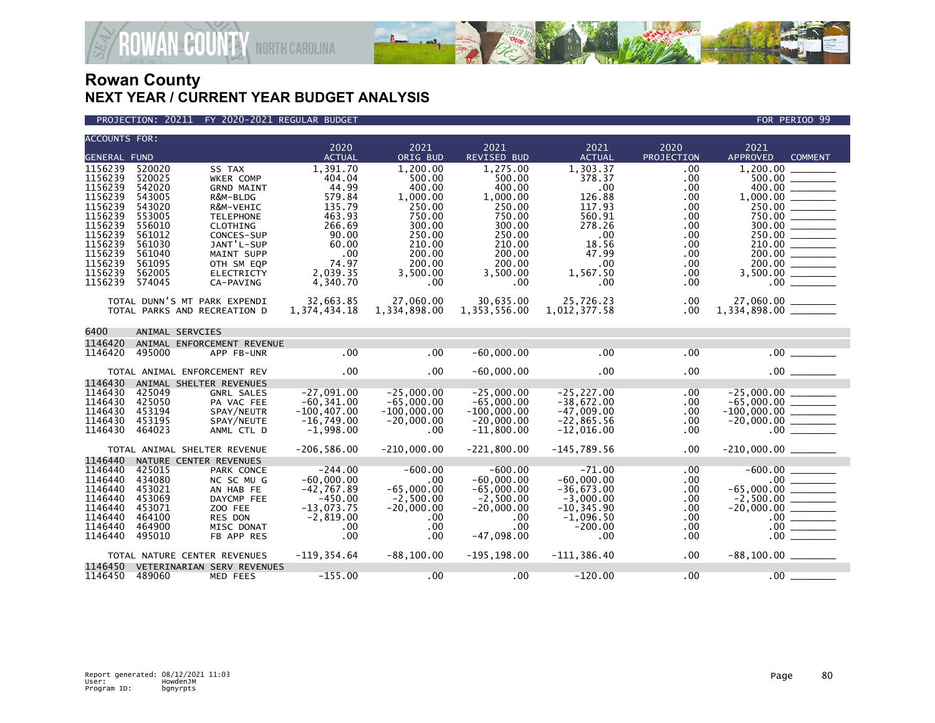

### PROJECTION: 20211 FY 2020-2021 REGULAR BUDGET FOR PERIOD 99

| <b>ACCOUNTS FOR:</b> |        |                              |                 |               |                |                |            |                         |                |
|----------------------|--------|------------------------------|-----------------|---------------|----------------|----------------|------------|-------------------------|----------------|
|                      |        |                              | 2020            | 2021          | 2021           | 2021           | 2020       | 2021                    |                |
| <b>GENERAL FUND</b>  |        |                              | <b>ACTUAL</b>   | ORIG BUD      | REVISED BUD    | <b>ACTUAL</b>  | PROJECTION | APPROVED                | <b>COMMENT</b> |
| 1156239              | 520020 | SS TAX                       | 1,391.70        | 1.200.00      | 1,275.00       | 1,303.37       | .00        | 1.200.00                |                |
| 1156239              | 520025 | <b>WKER COMP</b>             | 404.04          | 500.00        | 500.00         | 378.37         | .00        | 500.00                  |                |
| 1156239              | 542020 | <b>GRND MAINT</b>            | 44.99           | 400.00        | 400.00         | .00            | .00        | 400.00                  |                |
| 1156239              | 543005 | R&M-BLDG                     | 579.84          | 1,000.00      | 1,000.00       | 126.88         | .00        | 1,000.00                |                |
| 1156239              | 543020 | R&M-VEHIC                    | 135.79          | 250.00        | 250.00         | 117.93         | .00        | 250.00                  |                |
| 1156239              | 553005 | <b>TELEPHONE</b>             | 463.93          | 750.00        | 750.00         | 560.91         | .00        | 750.00                  |                |
| 1156239              | 556010 | CLOTHING                     | 266.69          | 300.00        | 300.00         | 278.26         | .00        |                         |                |
| 1156239              | 561012 | CONCES-SUP                   | 90.00           | 250.00        | 250.00         | .00            | .00        | 250.00 ________         |                |
| 1156239              | 561030 | JANT'L-SUP                   | 60.00           | 210.00        | 210.00         | 18.56          | .00        | $\frac{210.00}{200.00}$ |                |
| 1156239              | 561040 | MAINT SUPP                   | .00             | 200.00        | 200.00         | 47.99          | .00        |                         |                |
| 1156239              | 561095 | OTH SM EQP                   | 74.97           | 200.00        | 200.00         | .00            | .00        | 200.00                  |                |
| 1156239              | 562005 | <b>ELECTRICTY</b>            | 2,039.35        | 3,500.00      | 3,500.00       | 1,567.50       | .00        | $3,500.00$ _________    |                |
| 1156239              | 574045 | CA-PAVING                    | 4,340.70        | $.00 \,$      | .00            | .00            | .00        | .00 <sub>1</sub>        |                |
|                      |        |                              |                 |               |                |                |            |                         |                |
|                      |        | TOTAL DUNN'S MT PARK EXPENDI | 32,663.85       | 27,060.00     | 30,635.00      | 25,726.23      | .00        | 27,060.00 _______       |                |
|                      |        | TOTAL PARKS AND RECREATION D | 1, 374, 434. 18 | 1,334,898.00  | 1,353,556.00   | 1,012,377.58   | $.00 \,$   |                         |                |
|                      |        |                              |                 |               |                |                |            |                         |                |
| 6400                 |        | ANIMAL SERVCIES              |                 |               |                |                |            |                         |                |
| 1146420              |        | ANIMAL ENFORCEMENT REVENUE   |                 |               |                |                |            |                         |                |
| 1146420              | 495000 | APP FB-UNR                   | .00             | .00           | $-60,000.00$   | .00            | .00        | .00                     |                |
|                      |        |                              |                 |               |                |                |            |                         |                |
|                      |        | TOTAL ANIMAL ENFORCEMENT REV | .00             | .00           | $-60,000.00$   | .00            | .00        |                         |                |
| 1146430              |        | ANIMAL SHELTER REVENUES      |                 |               |                |                |            |                         |                |
| 1146430              | 425049 | <b>GNRL SALES</b>            | $-27,091.00$    | $-25,000.00$  | $-25,000.00$   | $-25, 227.00$  | .00        | $-25,000.00$            |                |
| 1146430              | 425050 | PA VAC FEE                   | $-60, 341.00$   | $-65,000.00$  | $-65,000.00$   | $-38,672.00$   | .00        |                         |                |
| 1146430              | 453194 | SPAY/NEUTR                   | $-100, 407.00$  | $-100,000.00$ | $-100,000.00$  | $-47,009.00$   | .00        |                         |                |
| 1146430              | 453195 | SPAY/NEUTE                   | $-16,749.00$    | $-20,000.00$  | $-20,000.00$   | $-22,865.56$   | .00        | $-20,000.00$ ________   |                |
| 1146430              | 464023 | ANML CTL D                   | $-1,998.00$     | .00           | $-11,800.00$   | $-12,016.00$   | .00        |                         | .00            |
|                      |        |                              |                 |               |                |                |            |                         |                |
|                      |        | TOTAL ANIMAL SHELTER REVENUE | $-206, 586.00$  | $-210,000.00$ | $-221,800.00$  | $-145,789.56$  | .00        |                         |                |
| 1146440              |        | NATURE CENTER REVENUES       |                 |               |                |                |            |                         |                |
| 1146440              | 425015 | PARK CONCE                   | $-244.00$       | $-600.00$     | $-600.00$      | $-71.00$       | .00        |                         |                |
| 1146440              | 434080 | NC SC MU G                   | $-60,000.00$    | .00           | $-60,000.00$   | $-60,000.00$   | .00        |                         |                |
| 1146440              | 453021 | AN HAB FE                    | $-42,767.89$    | $-65,000.00$  | $-65,000.00$   | $-36,673.00$   | .00        |                         |                |
| 1146440              | 453069 | DAYCMP FEE                   | $-450.00$       | $-2,500.00$   | $-2,500.00$    | $-3,000.00$    | .00        | $-2,500.00$ ________    |                |
| 1146440              | 453071 | ZOO FEE                      | $-13,073.75$    | $-20,000.00$  | $-20,000.00$   | $-10, 345.90$  | .00        | $-20,000.00$            |                |
| 1146440              | 464100 | RES DON                      | $-2,819.00$     | $.00 \,$      | .00.           | $-1,096.50$    | .00        |                         |                |
| 1146440              | 464900 | MISC DONAT                   | .00             | $.00 \,$      | .00            | $-200.00$      | .00        | $.00 \,$                |                |
| 1146440              | 495010 | FB APP RES                   | .00             | $.00 \,$      | $-47,098.00$   | .00            | .00.       | .00                     |                |
|                      |        |                              |                 |               |                |                |            |                         |                |
|                      |        | TOTAL NATURE CENTER REVENUES | $-119, 354.64$  | $-88, 100.00$ | $-195, 198.00$ | $-111, 386.40$ | .00.       |                         |                |
| 1146450              |        | VETERINARIAN SERV REVENUES   |                 |               |                |                |            |                         |                |
| 1146450 489060       |        | MED FEES                     | $-155.00$       | $.00 \ \,$    | .00            | $-120.00$      | .00        | .00                     |                |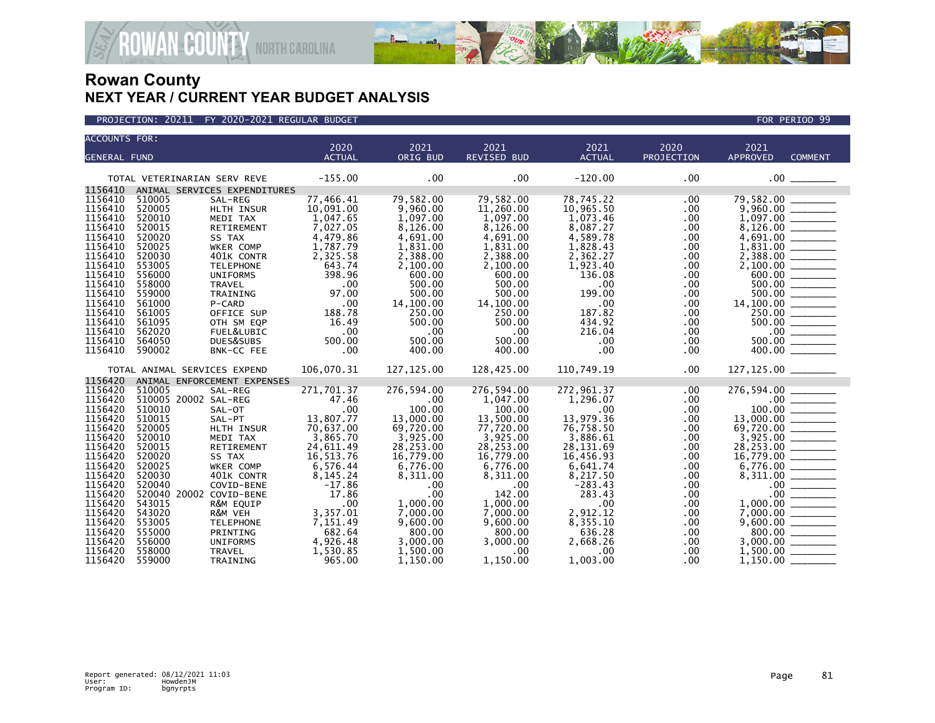

| <b>ACCOUNTS FOR:</b> |                              |                        |                       |                       |                            |                        |                    |                         |                                                                                                                                                                                                                                                                                                                                                                                                                                    |
|----------------------|------------------------------|------------------------|-----------------------|-----------------------|----------------------------|------------------------|--------------------|-------------------------|------------------------------------------------------------------------------------------------------------------------------------------------------------------------------------------------------------------------------------------------------------------------------------------------------------------------------------------------------------------------------------------------------------------------------------|
|                      |                              |                        | 2020<br><b>ACTUAL</b> | 2021<br>ORIG BUD      | 2021<br><b>REVISED BUD</b> | 2021<br><b>ACTUAL</b>  | 2020<br>PROJECTION | 2021<br><b>APPROVED</b> | <b>COMMENT</b>                                                                                                                                                                                                                                                                                                                                                                                                                     |
| <b>GENERAL FUND</b>  |                              |                        |                       |                       |                            |                        |                    |                         |                                                                                                                                                                                                                                                                                                                                                                                                                                    |
|                      | TOTAL VETERINARIAN SERV REVE |                        | $-155.00$             | $.00 \times$          | .00                        | $-120.00$              | .00                | .00 <sub>1</sub>        |                                                                                                                                                                                                                                                                                                                                                                                                                                    |
| 1156410              | ANIMAL SERVICES EXPENDITURES |                        |                       |                       |                            |                        |                    |                         |                                                                                                                                                                                                                                                                                                                                                                                                                                    |
| 1156410              | 510005                       | SAL-REG                | 77,466.41             | 79,582.00             | 79,582.00                  | 78,745.22              | .00.               | 79,582.00               |                                                                                                                                                                                                                                                                                                                                                                                                                                    |
| 1156410<br>1156410   | 520005<br>520010             | HLTH INSUR             | 10,091.00<br>1,047.65 | 9,960.00<br>1.097.00  | 11,260.00<br>1,097.00      | 10,965.50              | .00                | 9,960.00<br>1.097.00    |                                                                                                                                                                                                                                                                                                                                                                                                                                    |
| 1156410              | 520015                       | MEDI TAX<br>RETIREMENT | 7,027.05              | 8,126.00              | 8,126.00                   | 1,073.46<br>8,087.27   | .00<br>.00         | 8,126.00                |                                                                                                                                                                                                                                                                                                                                                                                                                                    |
| 1156410              | 520020                       | SS TAX                 | 4,479.86              | 4,691.00              | 4,691.00                   | 4,589.78               | .00                | 4,691.00                |                                                                                                                                                                                                                                                                                                                                                                                                                                    |
| 1156410              | 520025                       | WKER COMP              | 1,787.79              | 1,831.00              | 1,831.00                   | 1,828.43               | .00                | 1,831.00                |                                                                                                                                                                                                                                                                                                                                                                                                                                    |
| 1156410              | 520030                       | 401K CONTR             | 2,325.58              | 2,388.00              | 2,388.00                   | 2,362.27               | .00                | 2,388.00                |                                                                                                                                                                                                                                                                                                                                                                                                                                    |
| 1156410              | 553005                       | <b>TELEPHONE</b>       | 643.74                | 2,100.00              | 2,100.00                   | 1,923.40               | .00                | 2,100.00                |                                                                                                                                                                                                                                                                                                                                                                                                                                    |
| 1156410              | 556000                       | <b>UNIFORMS</b>        | 398.96                | 600.00                | 600.00                     | 136.08                 | .00                | 600.00                  |                                                                                                                                                                                                                                                                                                                                                                                                                                    |
| 1156410              | 558000                       | <b>TRAVEL</b>          | .00                   | 500.00                | 500.00                     | .00                    | .00                |                         |                                                                                                                                                                                                                                                                                                                                                                                                                                    |
| 1156410              | 559000                       | TRAINING               | 97.00                 | 500.00                | 500.00                     | 199.00                 | .00                |                         |                                                                                                                                                                                                                                                                                                                                                                                                                                    |
| 1156410              | 561000                       | P-CARD                 | .00                   | 14,100.00             | 14,100.00                  | .00                    | .00                | 14,100.00               | $\frac{1}{1}$                                                                                                                                                                                                                                                                                                                                                                                                                      |
| 1156410              | 561005                       | OFFICE SUP             | 188.78                | 250.00                | 250.00                     | 187.82                 | .00                |                         | 250.00                                                                                                                                                                                                                                                                                                                                                                                                                             |
| 1156410              | 561095                       | OTH SM EQP             | 16.49                 | 500.00                | 500.00                     | 434.92                 | .00                |                         | 500.00                                                                                                                                                                                                                                                                                                                                                                                                                             |
| 1156410              | 562020                       | FUEL&LUBIC             | .00                   | .00                   | $.00 \,$                   | 216.04                 | .00                | $.00 \,$                |                                                                                                                                                                                                                                                                                                                                                                                                                                    |
| 1156410              | 564050                       | DUES&SUBS              | 500.00                | 500.00                | 500.00                     | .00                    | .00                | 500.00                  |                                                                                                                                                                                                                                                                                                                                                                                                                                    |
| 1156410              | 590002                       | BNK-CC FEE             | .00                   | 400.00                | 400.00                     | .00 <sub>1</sub>       | .00                | 400.00                  |                                                                                                                                                                                                                                                                                                                                                                                                                                    |
|                      | TOTAL ANIMAL SERVICES EXPEND |                        | 106,070.31            | 127, 125.00           | 128,425.00                 | 110,749.19             | .00                | $127, 125.00$ ________  |                                                                                                                                                                                                                                                                                                                                                                                                                                    |
| 1156420              | ANIMAL ENFORCEMENT EXPENSES  |                        |                       |                       |                            |                        |                    |                         |                                                                                                                                                                                                                                                                                                                                                                                                                                    |
| 1156420              | 510005                       | SAL-REG                | 271,701.37            | 276,594.00            | 276,594.00                 | 272,961.37             | .00.               | 276,594.00              |                                                                                                                                                                                                                                                                                                                                                                                                                                    |
| 1156420              | 510005 20002 SAL-REG         |                        | 47.46                 | .00                   | 1,047.00                   | 1,296.07               | .00                |                         | $.00$ $\qquad \qquad$                                                                                                                                                                                                                                                                                                                                                                                                              |
| 1156420              | 510010                       | SAL-OT                 | .00                   | 100.00                | 100.00                     | .00                    | .00                | 100.00                  |                                                                                                                                                                                                                                                                                                                                                                                                                                    |
| 1156420              | 510015                       | SAL-PT                 | 13,807.77             | 13,000.00             | 13.500.00                  | 13,979.36              | .00                |                         |                                                                                                                                                                                                                                                                                                                                                                                                                                    |
| 1156420<br>1156420   | 520005<br>520010             | HLTH INSUR             | 70,637.00<br>3,865.70 | 69,720.00             | 77,720.00                  | 76,758.50              | .00<br>.00.        |                         |                                                                                                                                                                                                                                                                                                                                                                                                                                    |
| 1156420              | 520015                       | MEDI TAX<br>RETIREMENT | 24,611.49             | 3,925.00<br>28,253.00 | 3,925.00<br>28,253.00      | 3,886.61<br>28, 131.69 | .00                | 28, 253.00              | <u>and the state</u>                                                                                                                                                                                                                                                                                                                                                                                                               |
| 1156420              | 520020                       | SS TAX                 | 16,513.76             | 16,779.00             | 16,779.00                  | 16,456.93              | .00                | 16,779.00               |                                                                                                                                                                                                                                                                                                                                                                                                                                    |
| 1156420              | 520025                       | WKER COMP              | 6,576.44              | 6,776.00              | 6,776.00                   | 6,641.74               | .00                | 6,776.00                |                                                                                                                                                                                                                                                                                                                                                                                                                                    |
| 1156420              | 520030                       | 401K CONTR             | 8,145.24              | 8,311.00              | 8,311.00                   | 8,217.50               | .00                | 8,311.00                |                                                                                                                                                                                                                                                                                                                                                                                                                                    |
| 1156420              | 520040                       | COVID-BENE             | $-17.86$              | $.00 \,$              | .00.                       | $-283.43$              | .00                | .00 <sub>1</sub>        | $\frac{1}{1-\frac{1}{1-\frac{1}{1-\frac{1}{1-\frac{1}{1-\frac{1}{1-\frac{1}{1-\frac{1}{1-\frac{1}{1-\frac{1}{1-\frac{1}{1-\frac{1}{1-\frac{1}{1-\frac{1}{1-\frac{1}{1-\frac{1}{1-\frac{1}{1-\frac{1}{1-\frac{1}{1-\frac{1}{1-\frac{1}{1-\frac{1}{1-\frac{1}{1-\frac{1}{1-\frac{1}{1-\frac{1}{1-\frac{1}{1-\frac{1}{1-\frac{1}{1-\frac{1}{1-\frac{1}{1-\frac{1}{1-\frac{1}{1-\frac{1}{1-\frac{1}{1-\frac{1}{1-\frac{1$              |
| 1156420              | 520040 20002 COVID-BENE      |                        | 17.86                 | $.00 \times$          | 142.00                     | 283.43                 | .00                | .00 <sub>1</sub>        |                                                                                                                                                                                                                                                                                                                                                                                                                                    |
| 1156420              | 543015                       | R&M EQUIP              | .00                   | 1.000.00              | 1.000.00                   | .00                    | .00                | 1.000.00                |                                                                                                                                                                                                                                                                                                                                                                                                                                    |
| 1156420              | 543020                       | R&M VEH                | 3,357.01              | 7,000.00              | 7,000.00                   | 2,912.12               | .00                | 7,000.00                |                                                                                                                                                                                                                                                                                                                                                                                                                                    |
| 1156420              | 553005                       | <b>TELEPHONE</b>       | 7,151.49              | 9,600.00              | 9,600.00                   | 8,355.10               | .00                |                         |                                                                                                                                                                                                                                                                                                                                                                                                                                    |
| 1156420              | 555000                       | PRINTING               | 682.64                | 800.00                | 800.00                     | 636.28                 | .00                | 800.00                  | $\begin{array}{ccccccccc} \textbf{1} & \textbf{1} & \textbf{1} & \textbf{1} & \textbf{1} & \textbf{1} & \textbf{1} & \textbf{1} & \textbf{1} & \textbf{1} & \textbf{1} & \textbf{1} & \textbf{1} & \textbf{1} & \textbf{1} & \textbf{1} & \textbf{1} & \textbf{1} & \textbf{1} & \textbf{1} & \textbf{1} & \textbf{1} & \textbf{1} & \textbf{1} & \textbf{1} & \textbf{1} & \textbf{1} & \textbf{1} & \textbf{1} & \textbf{1} & \$ |
| 1156420              | 556000                       | <b>UNIFORMS</b>        | 4,926.48              | 3,000.00              | 3,000.00                   | 2,668.26               | .00                | 3,000.00                |                                                                                                                                                                                                                                                                                                                                                                                                                                    |
| 1156420              | 558000                       | <b>TRAVEL</b>          | 1,530.85              | 1,500.00              | .00.                       | .00                    | .00                | 1,500.00                |                                                                                                                                                                                                                                                                                                                                                                                                                                    |
| 1156420              | 559000                       | TRAINING               | 965.00                | 1,150.00              | 1,150.00                   | 1,003.00               | $.00 \,$           | 1,150.00                |                                                                                                                                                                                                                                                                                                                                                                                                                                    |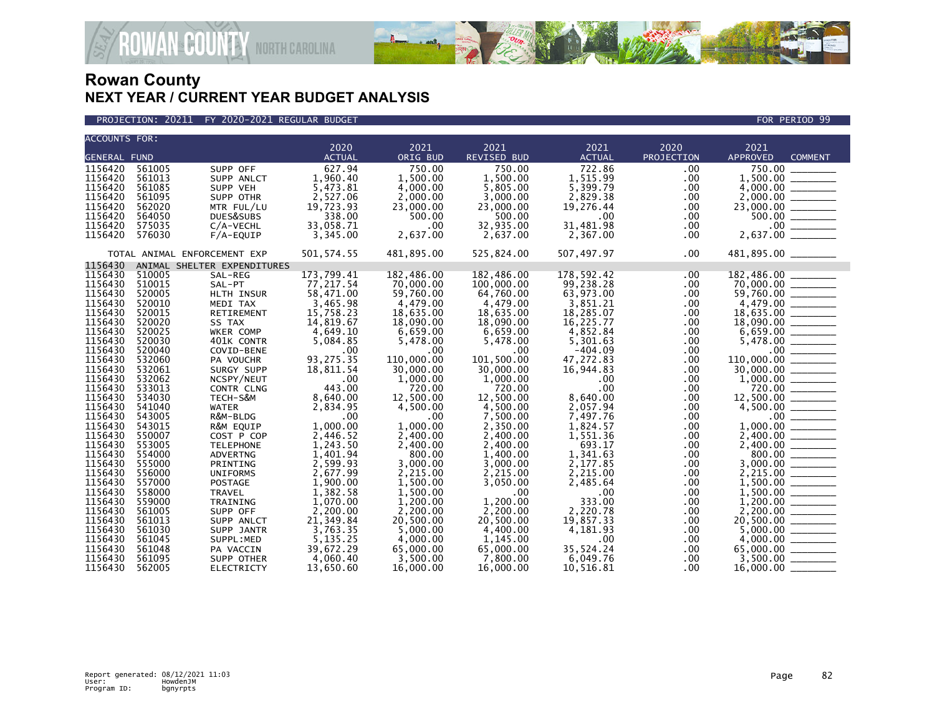



| <b>ACCOUNTS FOR:</b> |        |                              |               |            |                    |                  |                  |                                                                                                    |
|----------------------|--------|------------------------------|---------------|------------|--------------------|------------------|------------------|----------------------------------------------------------------------------------------------------|
|                      |        |                              | 2020          | 2021       | 2021               | 2021             | 2020             | 2021                                                                                               |
| <b>GENERAL FUND</b>  |        |                              | <b>ACTUAL</b> | ORIG BUD   | <b>REVISED BUD</b> | <b>ACTUAL</b>    | PROJECTION       | <b>APPROVED</b><br><b>COMMENT</b>                                                                  |
| 1156420              | 561005 | SUPP OFF                     | 627.94        | 750.00     | 750.00             | 722.86           | $.00 \,$         | 750.00                                                                                             |
| 1156420              | 561013 | SUPP ANLCT                   | 1,960.40      | 1,500.00   | 1,500.00           | 1,515.99         | .00              |                                                                                                    |
| 1156420              | 561085 | SUPP VEH                     | 5,473.81      | 4,000.00   | 5,805.00           | 5,399.79         | .00.             |                                                                                                    |
| 1156420              | 561095 | SUPP OTHR                    | 2,527.06      | 2,000.00   | 3,000.00           | 2,829.38         | .00              |                                                                                                    |
| 1156420              | 562020 | MTR FUL/LU                   | 19,723.93     | 23,000.00  | 23,000.00          | 19,276.44        | .00.             |                                                                                                    |
| 1156420              | 564050 | DUES&SUBS                    | 338.00        | 500.00     | 500.00             | $.00 \,$         | .00.             |                                                                                                    |
| 1156420              | 575035 | C/A-VECHL                    | 33,058.71     | .00        | 32,935.00          | 31,481.98        | .00.             |                                                                                                    |
| 1156420              | 576030 | F/A-EQUIP                    | 3,345.00      | 2,637.00   | 2,637.00           | 2,367.00         | .00.             |                                                                                                    |
|                      |        | TOTAL ANIMAL ENFORCEMENT EXP | 501, 574.55   | 481,895.00 | 525,824.00         | 507,497.97       | $.00 \,$         | 481,895.00 ________                                                                                |
| 1156430              |        | ANIMAL SHELTER EXPENDITURES  |               |            |                    |                  |                  |                                                                                                    |
| 1156430              | 510005 | SAL-REG                      | 173,799.41    | 182,486.00 | 182,486.00         | 178,592.42       | $.00 \,$         | 182,486.00                                                                                         |
| 1156430              | 510015 | SAL-PT                       | 77,217.54     | 70,000.00  | 100,000.00         | 99,238.28        | .00              | 70,000.00                                                                                          |
| 1156430              | 520005 | HLTH INSUR                   | 58,471.00     | 59,760.00  | 64,760.00          | 63,973.00        | .00.             |                                                                                                    |
| 1156430              | 520010 | MEDI TAX                     | 3,465.98      | 4,479.00   | 4,479.00           | 3,851.21         | $.00 \,$         |                                                                                                    |
| 1156430              | 520015 | RETIREMENT                   | 15,758.23     | 18,635.00  | 18,635.00          | 18,285.07        | .00.             |                                                                                                    |
| 1156430              | 520020 | SS TAX                       | 14,819.67     | 18,090.00  | 18,090.00          | 16,225.77        | .00              | $18,635.00$ $\overline{\hspace{1cm}}$<br>18,090.00 $\overline{\hspace{1cm}}$                       |
| 1156430              | 520025 | WKER COMP                    | 4,649.10      | 6,659.00   | 6,659.00           | 4,852.84         | .00.             |                                                                                                    |
| 1156430              | 520030 | 401K CONTR                   | 5,084.85      | 5,478.00   | 5,478.00           | 5,301.63         | .00.             |                                                                                                    |
| 1156430              | 520040 | COVID-BENE                   | .00           | .00        | $.00 \,$           | $-404.09$        | .00              |                                                                                                    |
| 1156430              | 532060 | PA VOUCHR                    | 93,275.35     | 110,000.00 | 101,500.00         | 47,272.83        | .00              | $\begin{array}{r} 6,659.00 \ \hline 6,659.00 \ \hline 5,478.00 \ \hline \end{array}$<br>110,000.00 |
| 1156430              | 532061 | SURGY SUPP                   | 18,811.54     | 30,000.00  | 30,000.00          | 16,944.83        | .00              |                                                                                                    |
| 1156430              | 532062 | NCSPY/NEUT                   | .00           | 1,000.00   | 1,000.00           | $.00 \,$         | .00.             |                                                                                                    |
| 1156430              | 533013 | CONTR CLNG                   | 443.00        | 720.00     | 720.00             | .00 <sub>1</sub> | .00              | $1,000.00$<br>$720.00$<br>$12,500.00$<br>$4,500.00$<br>$$<br>$0,00$<br>$1,000.00$<br>$2,400.00$    |
| 1156430              | 534030 | TECH-S&M                     | 8,640.00      | 12,500.00  | 12.500.00          | 8,640.00         | .00.             |                                                                                                    |
| 1156430              | 541040 | <b>WATER</b>                 | 2,834.95      | 4,500.00   | 4,500.00           | 2,057.94         | .00.             |                                                                                                    |
| 1156430              | 543005 | R&M-BLDG                     | .00           | .00        | 7.500.00           | 7,497.76         | .00              |                                                                                                    |
| 1156430              | 543015 | R&M EQUIP                    | 1,000.00      | 1.000.00   | 2,350.00           | 1,824.57         | .00 <sub>1</sub> |                                                                                                    |
| 1156430              | 550007 | COST P COP                   | 2,446.52      | 2,400.00   | 2,400.00           | 1,551.36         | .00              |                                                                                                    |
| 1156430              | 553005 | <b>TELEPHONE</b>             | 1,243.50      | 2,400.00   | 2,400.00           | 693.17           | .00              |                                                                                                    |
| 1156430              | 554000 | <b>ADVERTNG</b>              | 1,401.94      | 800.00     | 1,400.00           | 1,341.63         | $.00 \,$         | $2,400.00$<br>800.00<br>3,000.00                                                                   |
| 1156430              | 555000 | PRINTING                     | 2,599.93      | 3,000.00   | 3,000.00           | 2,177.85         | .00              |                                                                                                    |
| 1156430              | 556000 | <b>UNIFORMS</b>              | 2,677.99      | 2,215.00   | 2.215.00           | 2,215.00         | .00              |                                                                                                    |
| 1156430              | 557000 | <b>POSTAGE</b>               | 1.900.00      | 1.500.00   | 3,050.00           | 2,485.64         | $.00 \,$         |                                                                                                    |
| 1156430              | 558000 | <b>TRAVEL</b>                | 1,382.58      | 1,500.00   | .00                | $.00 \,$         | .00.             |                                                                                                    |
| 1156430              | 559000 | TRAINING                     | 1,070.00      | 1.200.00   | 1.200.00           | 333.00           | .00              |                                                                                                    |
| 1156430              | 561005 | SUPP OFF                     | 2,200.00      | 2,200.00   | 2,200.00           | 2,220.78         | .00.             | $1,200.00$<br>$2,200.00$<br>$20,500.00$                                                            |
| 1156430              | 561013 | SUPP ANLCT                   | 21,349.84     | 20,500.00  | 20,500.00          | 19,857.33        | .00.             |                                                                                                    |
| 1156430              | 561030 | SUPP JANTR                   | 3,763.35      | 5.000.00   | 4.400.00           | 4,181.93         | $.00 \,$         |                                                                                                    |
| 1156430              | 561045 | SUPPL:MED                    | 5,135.25      | 4,000.00   | 1,145.00           | .00              | $.00 \,$         |                                                                                                    |
| 1156430              | 561048 | PA VACCIN                    | 39,672.29     | 65,000.00  | 65,000.00          | 35,524.24        | .00.             |                                                                                                    |
| 1156430              | 561095 | SUPP OTHER                   | 4,060.40      | 3,500.00   | 7,800.00           | 6,049.76         | .00              |                                                                                                    |
| 1156430              | 562005 | <b>ELECTRICTY</b>            | 13,650.60     | 16,000.00  | 16,000.00          | 10.516.81        | .00.             | 16,000.00                                                                                          |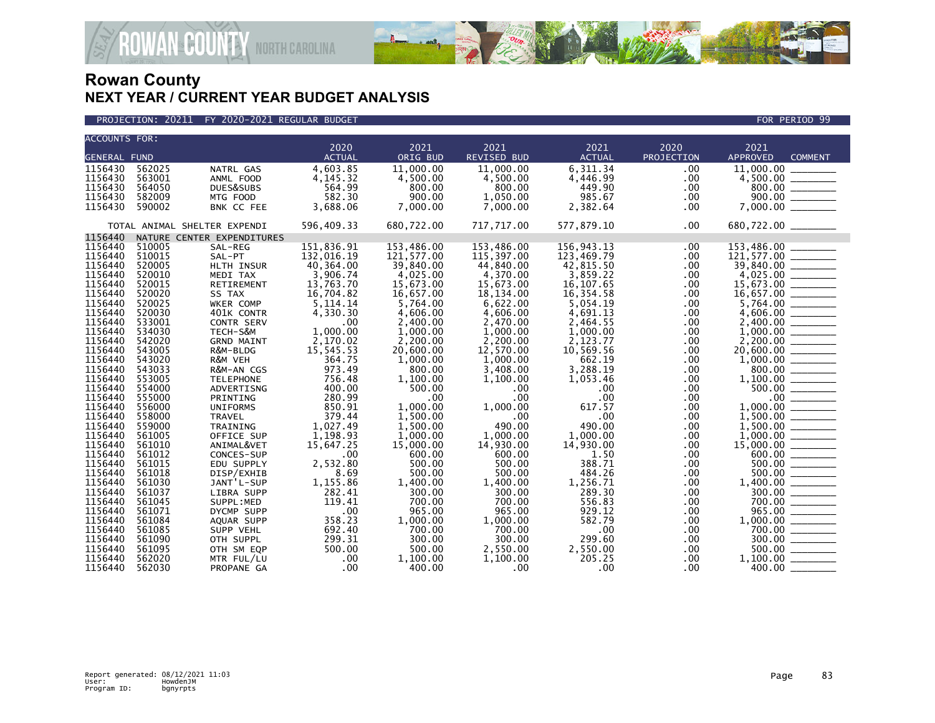



| <b>ACCOUNTS FOR:</b> |        |                              |               |            |                    |                  |            |                                                                                                                                                                                                                                                                                                                                                                                                                                                                                                 |
|----------------------|--------|------------------------------|---------------|------------|--------------------|------------------|------------|-------------------------------------------------------------------------------------------------------------------------------------------------------------------------------------------------------------------------------------------------------------------------------------------------------------------------------------------------------------------------------------------------------------------------------------------------------------------------------------------------|
|                      |        |                              | 2020          | 2021       | 2021               | 2021             | 2020       | 2021                                                                                                                                                                                                                                                                                                                                                                                                                                                                                            |
| <b>GENERAL FUND</b>  |        |                              | <b>ACTUAL</b> | ORIG BUD   | <b>REVISED BUD</b> | <b>ACTUAL</b>    | PROJECTION | <b>APPROVED</b><br><b>COMMENT</b>                                                                                                                                                                                                                                                                                                                                                                                                                                                               |
| 1156430              | 562025 | NATRL GAS                    | 4,603.85      | 11,000.00  | 11,000.00          | 6,311.34         | .00        | 11,000.00                                                                                                                                                                                                                                                                                                                                                                                                                                                                                       |
| 1156430              | 563001 | ANML FOOD                    | 4,145.32      | 4,500.00   | 4,500.00           | 4,446.99         | .00        | 4,500.00                                                                                                                                                                                                                                                                                                                                                                                                                                                                                        |
| 1156430              | 564050 | DUES&SUBS                    | 564.99        | 800.00     | 800.00             | 449.90           | .00        | 800.00                                                                                                                                                                                                                                                                                                                                                                                                                                                                                          |
| 1156430              | 582009 | MTG FOOD                     | 582.30        | 900.00     | 1,050.00           | 985.67           | .00        |                                                                                                                                                                                                                                                                                                                                                                                                                                                                                                 |
| 1156430              | 590002 | BNK CC FEE                   | 3,688.06      | 7,000.00   | 7,000.00           | 2,382.64         | .00        |                                                                                                                                                                                                                                                                                                                                                                                                                                                                                                 |
|                      |        | TOTAL ANIMAL SHELTER EXPENDI | 596,409.33    | 680,722.00 | 717,717.00         | 577,879.10       | .00        | 680,722.00 _______                                                                                                                                                                                                                                                                                                                                                                                                                                                                              |
| 1156440              |        | NATURE CENTER EXPENDITURES   |               |            |                    |                  |            |                                                                                                                                                                                                                                                                                                                                                                                                                                                                                                 |
| 1156440              | 510005 | SAL-REG                      | 151,836.91    | 153,486.00 | 153,486.00         | 156,943.13       | .00        | 153,486.00                                                                                                                                                                                                                                                                                                                                                                                                                                                                                      |
| 1156440              | 510015 | SAL-PT                       | 132,016.19    | 121,577.00 | 115,397.00         | 123,469.79       | .00        | 121,577.00                                                                                                                                                                                                                                                                                                                                                                                                                                                                                      |
| 1156440              | 520005 | HLTH INSUR                   | 40,364.00     | 39,840.00  | 44,840.00          | 42,815.50        | .00        | 39,840.00<br>$\frac{1}{2}$                                                                                                                                                                                                                                                                                                                                                                                                                                                                      |
| 1156440              | 520010 | MEDI TAX                     | 3,906.74      | 4,025.00   | 4,370.00           | 3,859.22         | .00        |                                                                                                                                                                                                                                                                                                                                                                                                                                                                                                 |
| 1156440              | 520015 | RETIREMENT                   | 13,763.70     | 15,673.00  | 15,673.00          | 16, 107.65       | .00        |                                                                                                                                                                                                                                                                                                                                                                                                                                                                                                 |
| 1156440              | 520020 | SS TAX                       | 16,704.82     | 16,657.00  | 18,134.00          | 16,354.58        | .00        |                                                                                                                                                                                                                                                                                                                                                                                                                                                                                                 |
| 1156440              | 520025 | WKER COMP                    | 5, 114. 14    | 5,764.00   | 6,622.00           | 5,054.19         | .00        |                                                                                                                                                                                                                                                                                                                                                                                                                                                                                                 |
| 1156440              | 520030 | 401K CONTR                   | 4,330.30      | 4,606.00   | 4,606.00           | 4,691.13         | .00        | 4,606.00<br>$\frac{1}{1-\frac{1}{1-\frac{1}{1-\frac{1}{1-\frac{1}{1-\frac{1}{1-\frac{1}{1-\frac{1}{1-\frac{1}{1-\frac{1}{1-\frac{1}{1-\frac{1}{1-\frac{1}{1-\frac{1}{1-\frac{1}{1-\frac{1}{1-\frac{1}{1-\frac{1}{1-\frac{1}{1-\frac{1}{1-\frac{1}{1-\frac{1}{1-\frac{1}{1-\frac{1}{1-\frac{1}{1-\frac{1}{1-\frac{1}{1-\frac{1}{1-\frac{1}{1-\frac{1}{1-\frac{1}{1-\frac{1}{1-\frac{1}{1-\frac{1}{1-\frac{1}{1-\frac{1}{1-\frac{1$                                                               |
| 1156440              | 533001 | CONTR SERV                   | .00           | 2,400.00   | 2,470.00           | 2,464.55         | .00        | 2,400.00                                                                                                                                                                                                                                                                                                                                                                                                                                                                                        |
| 1156440              | 534030 | TECH-S&M                     | 1,000.00      | 1,000.00   | 1,000.00           | 1,000.00         | .00        | 1,000.00                                                                                                                                                                                                                                                                                                                                                                                                                                                                                        |
| 1156440              | 542020 | <b>GRND MAINT</b>            | 2,170.02      | 2,200.00   | 2,200.00           | 2,123.77         | .00        |                                                                                                                                                                                                                                                                                                                                                                                                                                                                                                 |
| 1156440              | 543005 | R&M-BLDG                     | 15,545.53     | 20,600.00  | 12,570.00          | 10,569.56        | .00        |                                                                                                                                                                                                                                                                                                                                                                                                                                                                                                 |
| 1156440              | 543020 | R&M VEH                      | 364.75        | 1,000.00   | 1.000.00           | 662.19           | .00        | 1,000.00                                                                                                                                                                                                                                                                                                                                                                                                                                                                                        |
| 1156440              | 543033 | R&M-AN CGS                   | 973.49        | 800.00     | 3,408.00           | 3,288.19         | .00        | 800.00                                                                                                                                                                                                                                                                                                                                                                                                                                                                                          |
| 1156440              | 553005 | <b>TELEPHONE</b>             | 756.48        | 1,100.00   | 1,100.00           | 1,053.46         | .00        | 1,100.00                                                                                                                                                                                                                                                                                                                                                                                                                                                                                        |
| 1156440              | 554000 | ADVERTISNG                   | 400.00        | 500.00     | .00.               | .00              | .00        | 500.00                                                                                                                                                                                                                                                                                                                                                                                                                                                                                          |
| 1156440              | 555000 | PRINTING                     | 280.99        | .00        | .00                | .00              | .00        | .00 <sub>1</sub>                                                                                                                                                                                                                                                                                                                                                                                                                                                                                |
| 1156440              | 556000 | <b>UNIFORMS</b>              | 850.91        | 1,000.00   | 1,000.00           | 617.57           | .00.       | 1,000.00                                                                                                                                                                                                                                                                                                                                                                                                                                                                                        |
| 1156440              | 558000 | <b>TRAVEL</b>                | 379.44        | 1.500.00   | .00                | .00              | .00        | 1.500.00                                                                                                                                                                                                                                                                                                                                                                                                                                                                                        |
| 1156440              | 559000 | TRAINING                     | 1,027.49      | 1.500.00   | 490.00             | 490.00           | .00        | 1.500.00                                                                                                                                                                                                                                                                                                                                                                                                                                                                                        |
| 1156440              | 561005 | OFFICE SUP                   | 1,198.93      | 1,000.00   | 1,000.00           | 1,000.00         | .00        | 1,000.00                                                                                                                                                                                                                                                                                                                                                                                                                                                                                        |
| 1156440              | 561010 | ANIMAL&VET                   | 15,647.25     | 15,000.00  | 14,930.00          | 14,930.00        | .00        | 15,000,00                                                                                                                                                                                                                                                                                                                                                                                                                                                                                       |
| 1156440              | 561012 | CONCES-SUP                   | .00           | 600.00     | 600.00             | 1.50             | .00        |                                                                                                                                                                                                                                                                                                                                                                                                                                                                                                 |
| 1156440              | 561015 | EDU SUPPLY                   | 2,532.80      | 500.00     | 500.00             | 388.71           | .00        | 500.00                                                                                                                                                                                                                                                                                                                                                                                                                                                                                          |
| 1156440              | 561018 | DISP/EXHIB                   | 8.69          | 500.00     | 500.00             | 484.26           | .00        | 500.00                                                                                                                                                                                                                                                                                                                                                                                                                                                                                          |
| 1156440              | 561030 | JANT'L-SUP                   | 1,155.86      | 1,400.00   | 1,400.00           | 1,256.71         | .00        | 1.400.00                                                                                                                                                                                                                                                                                                                                                                                                                                                                                        |
| 1156440              | 561037 | LIBRA SUPP                   | 282.41        | 300.00     | 300.00             | 289.30           | .00        | 300.00                                                                                                                                                                                                                                                                                                                                                                                                                                                                                          |
| 1156440              | 561045 | SUPPL:MED                    | 119.41        | 700.00     | 700.00             | 556.83           | .00        | 700.00                                                                                                                                                                                                                                                                                                                                                                                                                                                                                          |
| 1156440              | 561071 | DYCMP SUPP                   | .00           | 965.00     | 965.00             | 929.12           | .00        | 965.00                                                                                                                                                                                                                                                                                                                                                                                                                                                                                          |
| 1156440              | 561084 | AQUAR SUPP                   | 358.23        | 1,000.00   | 1,000.00           | 582.79           | .00.       | 1,000.00                                                                                                                                                                                                                                                                                                                                                                                                                                                                                        |
| 1156440              | 561085 | SUPP VEHL                    | 692.40        | 700.00     | 700.00             | .00              | .00        | 700.00                                                                                                                                                                                                                                                                                                                                                                                                                                                                                          |
| 1156440              | 561090 | OTH SUPPL                    | 299.31        | 300.00     | 300.00             | 299.60           | .00        | 300.00<br>$\begin{array}{ccccccccc} \multicolumn{3}{c}{} & \multicolumn{3}{c}{} & \multicolumn{3}{c}{} & \multicolumn{3}{c}{} & \multicolumn{3}{c}{} & \multicolumn{3}{c}{} & \multicolumn{3}{c}{} & \multicolumn{3}{c}{} & \multicolumn{3}{c}{} & \multicolumn{3}{c}{} & \multicolumn{3}{c}{} & \multicolumn{3}{c}{} & \multicolumn{3}{c}{} & \multicolumn{3}{c}{} & \multicolumn{3}{c}{} & \multicolumn{3}{c}{} & \multicolumn{3}{c}{} & \multicolumn{3}{c}{} & \multicolumn{3}{c}{} & \mult$ |
| 1156440              | 561095 | OTH SM EQP                   | 500.00        | 500.00     | 2,550.00           | 2,550.00         | .00        | 500.00                                                                                                                                                                                                                                                                                                                                                                                                                                                                                          |
| 1156440              | 562020 | MTR FUL/LU                   | .00           | 1,100.00   | 1,100.00           | 205.25           | .00        | 1.100.00                                                                                                                                                                                                                                                                                                                                                                                                                                                                                        |
| 1156440              | 562030 | PROPANE GA                   | .00           | 400.00     | .00.               | .00 <sub>1</sub> | .00        | 400.00                                                                                                                                                                                                                                                                                                                                                                                                                                                                                          |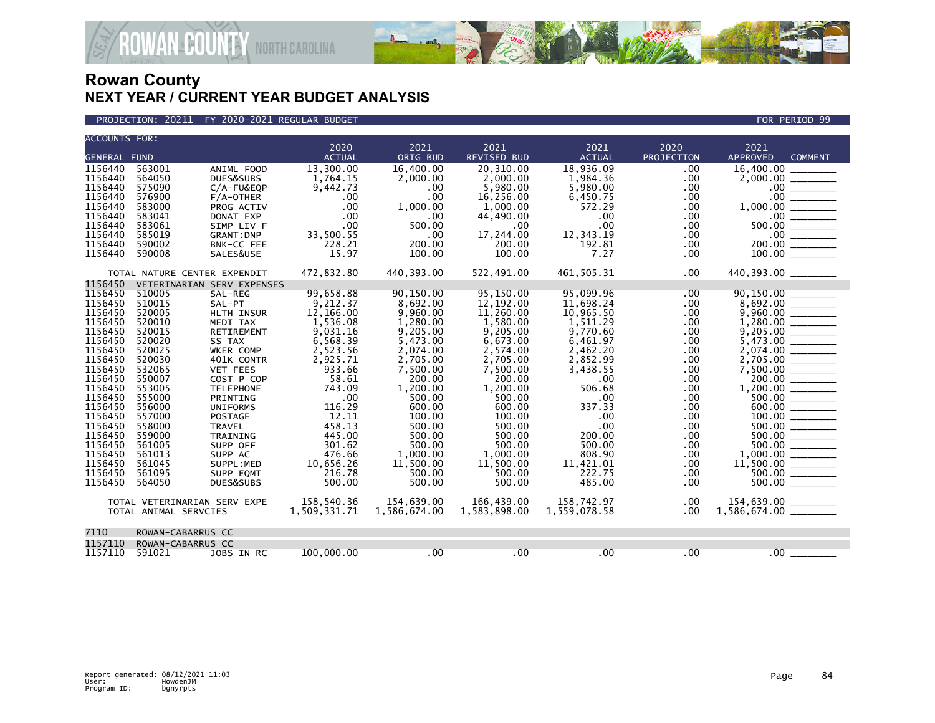

### PROJECTION: 20211 FY 2020-2021 REGULAR BUDGET FOR PERIOD 99

| <b>ACCOUNTS FOR:</b> |                                                       |                            |                 |                  |                    |                  |                  |                                                                                                                                                                  |
|----------------------|-------------------------------------------------------|----------------------------|-----------------|------------------|--------------------|------------------|------------------|------------------------------------------------------------------------------------------------------------------------------------------------------------------|
|                      |                                                       |                            | 2020            | 2021             | 2021               | 2021             | 2020             | 2021                                                                                                                                                             |
| <b>GENERAL FUND</b>  |                                                       |                            | <b>ACTUAL</b>   | ORIG BUD         | <b>REVISED BUD</b> | <b>ACTUAL</b>    | PROJECTION       | <b>APPROVED</b><br><b>COMMENT</b>                                                                                                                                |
| 1156440              | 563001                                                | ANIML FOOD                 | 13,300.00       | 16,400.00        | 20.310.00          | 18,936.09        | .00              | 16,400,00                                                                                                                                                        |
| 1156440              | 564050                                                | DUES&SUBS                  | 1,764.15        | 2.000.00         | 2,000.00           | 1,984.36         | .00              |                                                                                                                                                                  |
| 1156440              | 575090                                                | C/A-FU&EQP                 | 9,442.73        | .00              | 5,980.00           | 5,980.00         | .00              |                                                                                                                                                                  |
| 1156440              | 576900                                                | $F/A$ -OTHER               | .00             | .00              | 16,256.00          | 6,450.75         | .00.             |                                                                                                                                                                  |
| 1156440              | 583000<br>583041                                      | PROG ACTIV                 | .00             | 1,000.00         | 1,000.00           | 572.29           | .00              |                                                                                                                                                                  |
| 1156440<br>1156440   | 583061                                                | DONAT EXP                  | .00<br>.00      | .00<br>500.00    | 44,490.00          | $.00 \,$<br>.00  | $.00 \,$<br>.00  | $\begin{array}{r} 2,000.00 \ \hline 2,000.00 \ \hline 0.00 \ \hline 0.00 \ \hline 1,000.00 \ \hline 500.00 \ \hline 200.00 \ \hline 200.00 \ \hline \end{array}$ |
|                      |                                                       | SIMP LIV F                 |                 |                  | .00                |                  |                  |                                                                                                                                                                  |
| 1156440<br>1156440   | 585019                                                | <b>GRANT: DNP</b>          | 33,500.55       | .00<br>200.00    | 17,244.00          | 12,343.19        | $.00 \,$         |                                                                                                                                                                  |
| 1156440              | 590002<br>590008                                      | BNK-CC FEE                 | 228.21<br>15.97 | 100.00           | 200.00             | 192.81<br>7.27   | .00.<br>.00      |                                                                                                                                                                  |
|                      |                                                       | SALES&USE                  |                 |                  | 100.00             |                  |                  |                                                                                                                                                                  |
|                      | TOTAL NATURE CENTER EXPENDIT                          |                            | 472,832.80      | 440,393.00       | 522,491.00         | 461,505.31       | .00.             | 440,393.00                                                                                                                                                       |
| 1156450              |                                                       | VETERINARIAN SERV EXPENSES |                 |                  |                    |                  |                  |                                                                                                                                                                  |
| 1156450              | 510005                                                | SAL-REG                    | 99,658.88       | 90,150.00        | 95,150.00          | 95,099.96        | .00.             | 90,150.00                                                                                                                                                        |
| 1156450              | 510015                                                | SAL-PT                     | 9,212.37        | 8,692.00         | 12, 192.00         | 11,698.24        | .00              |                                                                                                                                                                  |
| 1156450              | 520005                                                | <b>HLTH INSUR</b>          | 12,166.00       | 9,960.00         | 11,260.00          | 10,965.50        | .00.             |                                                                                                                                                                  |
| 1156450              | 520010                                                | MEDI TAX                   | 1,536.08        | 1,280.00         | 1,580.00           | 1,511.29         | .00              |                                                                                                                                                                  |
| 1156450              | 520015                                                | RETIREMENT                 | 9,031.16        | 9,205.00         | 9,205.00           | 9,770.60         | .00              |                                                                                                                                                                  |
| 1156450              | 520020                                                | SS TAX                     | 6,568.39        | 5,473.00         | 6,673.00           | 6,461.97         | .00.             |                                                                                                                                                                  |
| 1156450              | 520025                                                | <b>WKER COMP</b>           | 2,523.56        | 2,074.00         | 2,574.00           | 2,462.20         | .00              |                                                                                                                                                                  |
| 1156450              | 520030                                                | 401K CONTR                 | 2,925.71        | 2,705.00         | 2,705.00           | 2,852.99         | .00              |                                                                                                                                                                  |
| 1156450              | 532065                                                | <b>VET FEES</b>            | 933.66          | 7,500.00         | 7,500.00           | 3,438.55         | .00              | $7,500.00$ $\frac{1}{\sqrt{25}}$                                                                                                                                 |
| 1156450              | 550007                                                | COST P COP                 | 58.61           | 200.00           | 200.00             | $.00 \,$         | .00              | $200.00$ ______                                                                                                                                                  |
| 1156450              | 553005                                                | <b>TELEPHONE</b>           | 743.09          | 1,200.00         | 1.200.00           | 506.68           | .00              |                                                                                                                                                                  |
| 1156450              | 555000                                                | PRINTING                   | .00             | 500.00           | 500.00             | $.00 \times$     | $.00 \,$         | $\frac{500.00}{600.00}$                                                                                                                                          |
| 1156450              | 556000                                                | <b>UNIFORMS</b>            | 116.29          | 600.00           | 600.00             | 337.33           | $.00 \,$         |                                                                                                                                                                  |
| 1156450<br>1156450   | 557000<br>558000                                      | POSTAGE                    | 12.11<br>458.13 | 100.00           | 100.00<br>500.00   | .00<br>.00.      | .00              |                                                                                                                                                                  |
| 1156450              | 559000                                                | <b>TRAVEL</b><br>TRAINING  | 445.00          | 500.00<br>500.00 | 500.00             | 200.00           | $.00 \,$<br>.00. |                                                                                                                                                                  |
| 1156450              | 561005                                                | SUPP OFF                   | 301.62          | 500.00           | 500.00             | 500.00           | .00              |                                                                                                                                                                  |
| 1156450              | 561013                                                | SUPP AC                    | 476.66          | 1.000.00         | 1.000.00           | 808.90           | $.00 \times$     |                                                                                                                                                                  |
| 1156450              | 561045                                                | SUPPL:MED                  | 10,656.26       | 11,500.00        | 11,500.00          | 11,421.01        | .00.             |                                                                                                                                                                  |
| 1156450              | 561095                                                | SUPP EQMT                  | 216.78          | 500.00           | 500.00             | 222.75           | .00              | 500.00                                                                                                                                                           |
| 1156450              | 564050                                                | DUES&SUBS                  | 500.00          | 500.00           | 500.00             | 485.00           | .00.             | 500.00                                                                                                                                                           |
|                      |                                                       |                            | 158,540.36      | 154,639.00       | 166.439.00         | 158,742.97       | $.00 \times$     |                                                                                                                                                                  |
|                      | TOTAL VETERINARIAN SERV EXPE<br>TOTAL ANIMAL SERVCIES |                            | 1,509,331.71    | 1,586,674.00     | 1,583,898.00       | 1,559,078.58     | .00.             |                                                                                                                                                                  |
|                      |                                                       |                            |                 |                  |                    |                  |                  |                                                                                                                                                                  |
| 7110                 | ROWAN-CABARRUS CC                                     |                            |                 |                  |                    |                  |                  |                                                                                                                                                                  |
| 1157110              | ROWAN-CABARRUS CC                                     |                            |                 |                  |                    |                  |                  |                                                                                                                                                                  |
| 1157110              | 591021                                                | JOBS IN RC                 | 100,000,00      | .00              | .00                | .00 <sub>1</sub> | .00              | .00 <sub>1</sub>                                                                                                                                                 |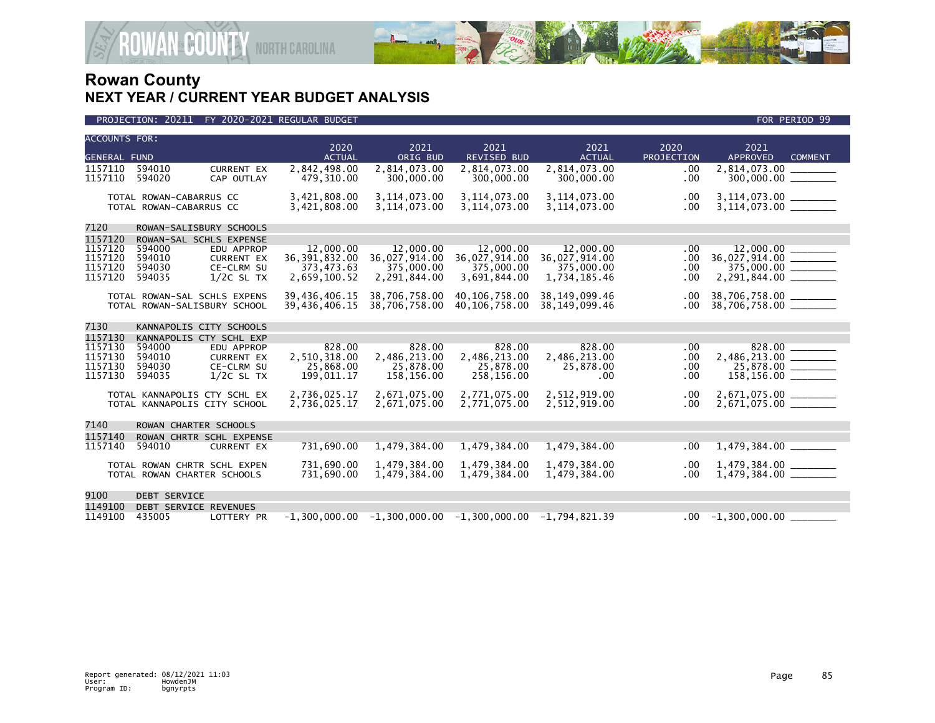

| <b>ACCOUNTS FOR:</b> |                                                              |                                 | 2020                         | 2021                         | 2021                                                            | 2021                         | 2020        | 2021                                                            |  |
|----------------------|--------------------------------------------------------------|---------------------------------|------------------------------|------------------------------|-----------------------------------------------------------------|------------------------------|-------------|-----------------------------------------------------------------|--|
| <b>GENERAL FUND</b>  |                                                              |                                 | <b>ACTUAL</b>                | ORIG BUD                     | <b>REVISED BUD</b>                                              | <b>ACTUAL</b>                | PROJECTION  | <b>APPROVED</b><br><b>COMMENT</b>                               |  |
| 1157110              | 594010                                                       | <b>CURRENT EX</b>               | 2,842,498.00                 | 2,814,073.00                 | 2,814,073.00                                                    | 2,814,073.00                 | .00         | 2,814,073.00                                                    |  |
| 1157110              | 594020                                                       | CAP OUTLAY                      | 479,310.00                   | 300,000.00                   | 300,000.00                                                      | 300,000.00                   | .00         | $300,000.00$ _________                                          |  |
|                      | TOTAL ROWAN-CABARRUS CC                                      |                                 | 3,421,808.00                 | 3,114,073.00                 | 3,114,073.00                                                    | 3, 114, 073.00               | $.00 \,$    |                                                                 |  |
|                      | TOTAL ROWAN-CABARRUS CC                                      |                                 | 3,421,808.00                 | 3, 114, 073.00               | 3, 114, 073.00                                                  | 3, 114, 073.00               | .00         | $3,114,073.00$ _________                                        |  |
|                      |                                                              |                                 |                              |                              |                                                                 |                              |             |                                                                 |  |
| 7120                 | ROWAN-SALISBURY SCHOOLS                                      |                                 |                              |                              |                                                                 |                              |             |                                                                 |  |
| 1157120              | ROWAN-SAL SCHLS EXPENSE                                      |                                 |                              |                              |                                                                 |                              |             |                                                                 |  |
| 1157120<br>1157120   | 594000<br>594010                                             | EDU APPROP<br><b>CURRENT EX</b> | 12,000.00<br>36, 391, 832.00 | 12,000.00<br>36,027,914.00   | 12,000,00<br>36,027,914.00                                      | 12,000.00<br>36,027,914.00   | .00<br>.00  |                                                                 |  |
| 1157120              | 594030                                                       | CE-CLRM SU                      | 373,473.63                   | 375,000.00                   | 375,000,00                                                      | 375,000.00                   | .00         | $\frac{36,027,914.00}{375,000.00} \overline{\hspace{2cm} 2000}$ |  |
| 1157120              | 594035                                                       | $1/2C$ SL TX                    | 2,659,100.52                 | 2,291,844.00                 | 3,691,844.00                                                    | 1,734,185.46                 | .00         |                                                                 |  |
|                      | TOTAL ROWAN-SAL SCHLS EXPENS                                 |                                 | 39,436,406.15                | 38,706,758.00                | 40,106,758.00                                                   | 38, 149, 099. 46             | .00.        | 38,706,758.00 _______                                           |  |
|                      | TOTAL ROWAN-SALISBURY SCHOOL                                 |                                 | 39,436,406.15                | 38,706,758.00                | 40,106,758.00                                                   | 38, 149, 099. 46             | .00         | 38,706,758.00 _________                                         |  |
|                      |                                                              |                                 |                              |                              |                                                                 |                              |             |                                                                 |  |
| 7130                 | KANNAPOLIS CITY SCHOOLS                                      |                                 |                              |                              |                                                                 |                              |             |                                                                 |  |
| 1157130              | KANNAPOLIS CTY SCHL EXP                                      |                                 |                              |                              |                                                                 |                              |             |                                                                 |  |
| 1157130<br>1157130   | 594000<br>594010                                             | EDU APPROP                      | 828.00<br>2,510,318.00       | 828.00<br>2,486,213.00       | 828.00<br>2,486,213.00                                          | 828.00<br>2,486,213.00       | .00         |                                                                 |  |
| 1157130              | 594030                                                       | <b>CURRENT EX</b><br>CE-CLRM SU | 25,868.00                    | 25,878.00                    | 25,878.00                                                       | 25,878.00                    | .00<br>.00  | 25,878.00 ________                                              |  |
| 1157130              | 594035                                                       | $1/2C$ SL TX                    | 199,011.17                   | 158,156.00                   | 258,156.00                                                      | $.00 \,$                     | .00         |                                                                 |  |
|                      |                                                              |                                 |                              |                              |                                                                 |                              |             |                                                                 |  |
|                      | TOTAL KANNAPOLIS CTY SCHL EX<br>TOTAL KANNAPOLIS CITY SCHOOL |                                 | 2,736,025.17<br>2,736,025.17 | 2,671,075.00<br>2,671,075.00 | 2,771,075.00<br>2,771,075.00                                    | 2,512,919.00<br>2,512,919.00 | .00.<br>.00 | 2,671,075.00 _______                                            |  |
|                      |                                                              |                                 |                              |                              |                                                                 |                              |             |                                                                 |  |
| 7140                 | ROWAN CHARTER SCHOOLS                                        |                                 |                              |                              |                                                                 |                              |             |                                                                 |  |
| 1157140              |                                                              | ROWAN CHRTR SCHL EXPENSE        |                              |                              |                                                                 |                              |             |                                                                 |  |
| 1157140              | 594010                                                       | <b>CURRENT EX</b>               | 731,690.00                   | 1,479,384.00                 | 1,479,384.00                                                    | 1,479,384.00                 | .00         | 1,479,384.00                                                    |  |
|                      | TOTAL ROWAN CHRTR SCHL EXPEN                                 |                                 | 731.690.00                   | 1,479,384.00                 | 1,479,384.00                                                    | 1,479,384.00                 | $.00 \,$    |                                                                 |  |
|                      | TOTAL ROWAN CHARTER SCHOOLS                                  |                                 | 731,690.00                   | 1,479,384.00                 | 1,479,384.00                                                    | 1,479,384.00                 | .00         | $1,479,384.00$ _________<br>1,479,384.00 ________               |  |
|                      |                                                              |                                 |                              |                              |                                                                 |                              |             |                                                                 |  |
| 9100                 | <b>DEBT SERVICE</b>                                          |                                 |                              |                              |                                                                 |                              |             |                                                                 |  |
| 1149100              | DEBT SERVICE REVENUES                                        |                                 |                              |                              |                                                                 |                              |             |                                                                 |  |
| 1149100              | 435005                                                       | LOTTERY PR                      |                              |                              | $-1,300,000.00$ $-1,300,000.00$ $-1,300,000.00$ $-1,794,821.39$ |                              |             | $.00 - 1,300,000.00$                                            |  |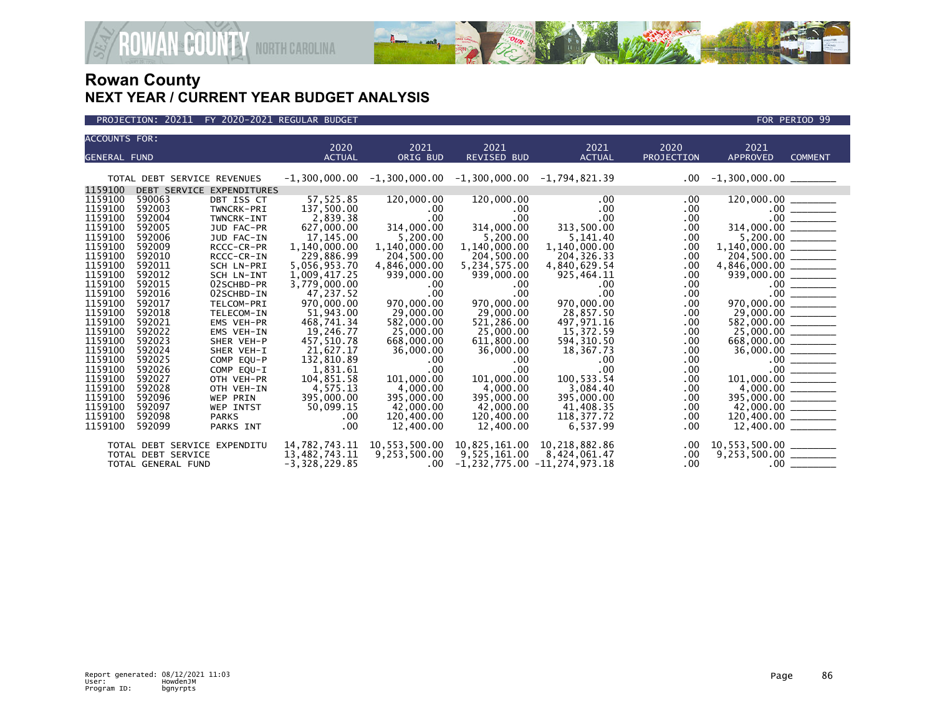



| ACCOUNTS FOR:       |                              |                           |                 |               |                               |                             |                   |                          |                |
|---------------------|------------------------------|---------------------------|-----------------|---------------|-------------------------------|-----------------------------|-------------------|--------------------------|----------------|
|                     |                              |                           | 2020            | 2021          | 2021                          | 2021                        | 2020              | 2021                     |                |
| <b>GENERAL FUND</b> |                              |                           | <b>ACTUAL</b>   | ORIG BUD      | <b>REVISED BUD</b>            | <b>ACTUAL</b>               | <b>PROJECTION</b> | <b>APPROVED</b>          | <b>COMMENT</b> |
|                     |                              |                           |                 |               |                               |                             |                   |                          |                |
|                     | TOTAL DEBT SERVICE REVENUES  |                           | $-1,300,000.00$ |               | $-1,300,000.00 -1,300,000.00$ | -1,794,821.39               | $.00\,$           | $-1,300,000.00$ ________ |                |
| 1159100             |                              | DEBT SERVICE EXPENDITURES |                 |               |                               |                             |                   |                          |                |
| 1159100             | 590063                       | DBT ISS CT                | 57.525.85       | 120,000.00    | 120,000.00                    | .00 <sub>1</sub>            | $.00 \,$          |                          |                |
| 1159100             | 592003                       | TWNCRK-PRI                | 137,500.00      | $.00 \,$      | $.00 \,$                      | $.00 \,$                    | .00               |                          |                |
| 1159100             | 592004                       | TWNCRK-INT                | 2,839.38        | .00           | $.00 \,$                      | $.00 \,$                    | $.00 \,$          |                          |                |
| 1159100             | 592005                       | JUD FAC-PR                | 627,000.00      | 314,000.00    | 314,000.00                    | 313,500.00                  | .00.              |                          |                |
| 1159100             | 592006                       | JUD FAC-IN                | 17, 145.00      | 5,200.00      | 5,200.00                      | 5,141.40                    | .00               |                          |                |
| 1159100             | 592009                       | RCCC-CR-PR                | 1,140,000.00    | 1,140,000.00  | 1,140,000.00                  | 1,140,000.00                | .00               |                          |                |
| 1159100             | 592010                       | RCCC-CR-IN                | 229,886.99      | 204,500.00    | 204,500.00                    | 204, 326. 33                | .00               |                          |                |
| 1159100             | 592011                       | SCH LN-PRI                | 5,056,953.70    | 4,846,000.00  | 5,234,575.00                  | 4,840,629.54                | .00               |                          |                |
| 1159100             | 592012                       | SCH LN-INT                | 1,009,417.25    | 939,000.00    | 939,000.00                    | 925,464.11                  | .00               |                          |                |
| 1159100             | 592015                       | 02SCHBD-PR                | 3,779,000.00    | $.00 \,$      | .00                           | $.00 \,$                    | .00               |                          |                |
| 1159100             | 592016                       | 02SCHBD-IN                | 47,237.52       | .00           | .00                           | .00                         | $.00 \,$          |                          |                |
| 1159100             | 592017                       | TELCOM-PRI                | 970,000,00      | 970,000,00    | 970,000,00                    | 970,000.00                  | $.00 \,$          |                          |                |
| 1159100             | 592018                       | TELECOM-IN                | 51,943.00       | 29,000.00     | 29,000.00                     | 28,857.50                   | .00               |                          |                |
| 1159100             | 592021                       | <b>EMS VEH-PR</b>         | 468,741.34      | 582,000.00    | 521,286.00                    | 497,971.16                  | $.00 \,$          |                          |                |
| 1159100             | 592022                       | EMS VEH-IN                | 19,246.77       | 25,000.00     | 25,000.00                     | 15,372.59                   | .00               |                          |                |
| 1159100             | 592023                       | SHER VEH-P                | 457,510.78      | 668,000.00    | 611,800.00                    | 594, 310.50                 | .00               |                          |                |
| 1159100             | 592024                       | SHER VEH-I                | 21,627.17       | 36,000.00     | 36,000.00                     | 18,367.73                   | .00               |                          |                |
| 1159100             | 592025                       | COMP EOU-P                | 132,810.89      | .00           | .00                           | $.00 \,$                    | .00               |                          |                |
| 1159100             | 592026                       | COMP EQU-I                | 1,831.61        | .00           | $.00 \,$                      | .00 <sub>1</sub>            | .00               |                          |                |
| 1159100             | 592027                       | OTH VEH-PR                | 104,851.58      | 101,000.00    | 101,000.00                    | 100,533.54                  | .00               |                          |                |
| 1159100             | 592028                       | OTH VEH-IN                | 4,575.13        | 4,000.00      | 4,000.00                      | 3,084.40                    | .00               |                          |                |
| 1159100             | 592096                       | WEP PRIN                  | 395,000.00      | 395,000.00    | 395,000.00                    | 395,000.00                  | .00               |                          |                |
| 1159100             | 592097                       | WEP INTST                 | 50,099.15       | 42,000.00     | 42,000.00                     | 41,408.35                   | .00               |                          |                |
| 1159100             | 592098                       | <b>PARKS</b>              | .00             | 120,400.00    | 120,400.00                    | 118,377.72                  | .00               | 120,400.00 ______        |                |
| 1159100             | 592099                       | PARKS INT                 | .00             | 12,400.00     | 12,400.00                     | 6,537.99                    | .00               | $12,400.00$ ________     |                |
|                     | TOTAL DEBT SERVICE EXPENDITU |                           | 14,782,743.11   | 10,553,500.00 |                               | 10,825,161.00 10,218,882.86 | $.00 \,$          |                          |                |
|                     | TOTAL DEBT SERVICE           |                           | 13,482,743.11   | 9,253,500.00  |                               | 9,525,161.00 8,424,061.47   | $.00\,$           |                          |                |
|                     | TOTAL GENERAL FUND           |                           | $-3,328,229.85$ | $.00 \,$      | -1,232,775.00 -11,274,973.18  |                             | $.00 \,$          |                          |                |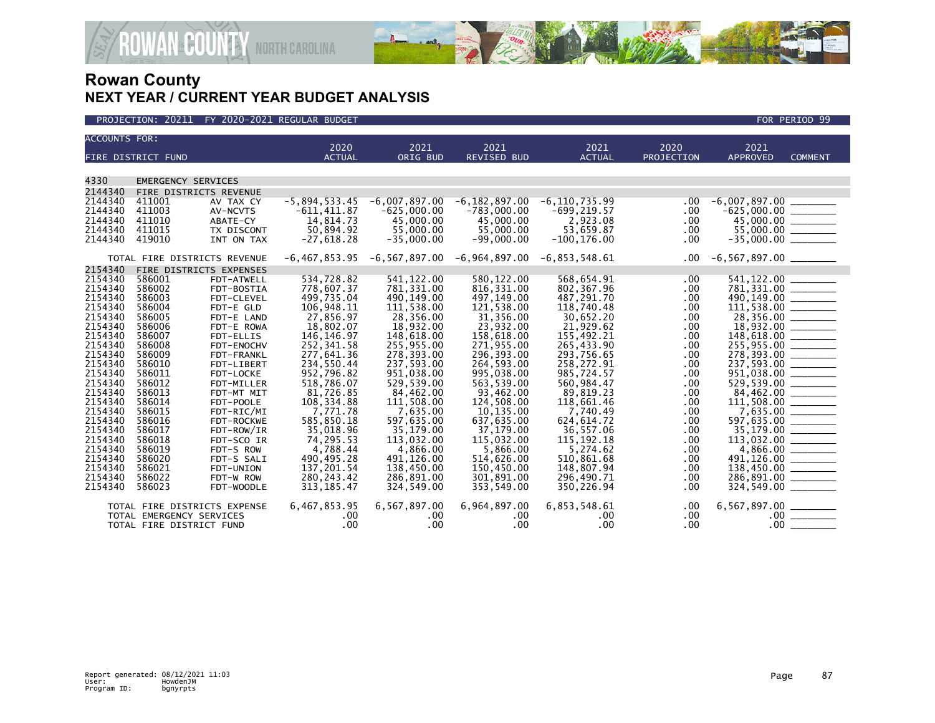

| <b>ACCOUNTS FOR:</b> |                              |                         | 2020                      | 2021                    | 2021                    | 2021                    | 2020       | 2021                      |                                                                                                                                                                                                                                                                                                                                                                                                               |
|----------------------|------------------------------|-------------------------|---------------------------|-------------------------|-------------------------|-------------------------|------------|---------------------------|---------------------------------------------------------------------------------------------------------------------------------------------------------------------------------------------------------------------------------------------------------------------------------------------------------------------------------------------------------------------------------------------------------------|
|                      | FIRE DISTRICT FUND           |                         | <b>ACTUAL</b>             | ORIG BUD                | <b>REVISED BUD</b>      | <b>ACTUAL</b>           | PROJECTION | <b>APPROVED</b>           | <b>COMMENT</b>                                                                                                                                                                                                                                                                                                                                                                                                |
|                      |                              |                         |                           |                         |                         |                         |            |                           |                                                                                                                                                                                                                                                                                                                                                                                                               |
| 4330                 | <b>EMERGENCY SERVICES</b>    |                         |                           |                         |                         |                         |            |                           |                                                                                                                                                                                                                                                                                                                                                                                                               |
| 2144340              | FIRE DISTRICTS REVENUE       |                         |                           |                         |                         |                         |            |                           |                                                                                                                                                                                                                                                                                                                                                                                                               |
| 2144340              | 411001                       | AV TAX CY               | $-5,894,533.45$           | $-6,007,897.00$         | $-6, 182, 897.00$       | $-6, 110, 735.99$       | .00        | $-6,007,897.00$           |                                                                                                                                                                                                                                                                                                                                                                                                               |
| 2144340              | 411003                       | AV-NCVTS                | $-611, 411.87$            | $-625,000.00$           | $-783,000.00$           | $-699, 219.57$          | .00        | $-625,000.00$             | $\frac{1}{2}$                                                                                                                                                                                                                                                                                                                                                                                                 |
| 2144340              | 411010                       | ABATE-CY                | 14,814.73                 | 45,000,00               | 45,000,00               | 2.923.08                | .00        | 45,000.00 _______         |                                                                                                                                                                                                                                                                                                                                                                                                               |
| 2144340              | 411015                       | TX DISCONT              | 50,894.92                 | 55,000.00               | 55,000.00               | 53,659.87               | .00        |                           |                                                                                                                                                                                                                                                                                                                                                                                                               |
| 2144340              | 419010                       | INT ON TAX              | $-27,618.28$              | $-35,000.00$            | $-99,000.00$            | $-100, 176.00$          | .00        |                           |                                                                                                                                                                                                                                                                                                                                                                                                               |
|                      | TOTAL FIRE DISTRICTS REVENUE |                         | $-6, 467, 853.95$         | -6,567,897.00           | $-6,964,897.00$         | $-6,853,548.61$         | .00.       |                           |                                                                                                                                                                                                                                                                                                                                                                                                               |
| 2154340              | FIRE DISTRICTS EXPENSES      |                         |                           |                         |                         |                         |            |                           |                                                                                                                                                                                                                                                                                                                                                                                                               |
| 2154340              | 586001                       | FDT-ATWELL              | 534,728.82                | 541, 122.00             | 580, 122.00             | 568,654.91              | .00        | 541,122.00                |                                                                                                                                                                                                                                                                                                                                                                                                               |
| 2154340              | 586002                       | FDT-BOSTIA              | 778,607.37                | 781, 331.00             | 816, 331.00             | 802,367.96              | .00        | 781,331.00 _______        |                                                                                                                                                                                                                                                                                                                                                                                                               |
| 2154340              | 586003                       | FDT-CLEVEL              | 499.735.04                | 490,149.00              | 497,149.00              | 487.291.70              | .00        |                           |                                                                                                                                                                                                                                                                                                                                                                                                               |
| 2154340              | 586004                       | FDT-E GLD               | 106,948.11                | 111,538.00              | 121,538.00              | 118,740.48              | .00        |                           |                                                                                                                                                                                                                                                                                                                                                                                                               |
| 2154340<br>2154340   | 586005                       | FDT-E LAND              | 27,856.97                 | 28,356.00               | 31,356.00               | 30,652.20               | .00        | 28,356.00 ______          |                                                                                                                                                                                                                                                                                                                                                                                                               |
| 2154340              | 586006<br>586007             | FDT-E ROWA<br>FDT-ELLIS | 18,802.07<br>146, 146. 97 | 18,932.00<br>148,618.00 | 23,932.00<br>158,618.00 | 21,929.62<br>155,492.21 | .00<br>.00 |                           |                                                                                                                                                                                                                                                                                                                                                                                                               |
| 2154340              | 586008                       | FDT-ENOCHV              | 252,341.58                | 255,955.00              | 271,955.00              | 265,433.90              | .00        | 255,955.00 ________       |                                                                                                                                                                                                                                                                                                                                                                                                               |
| 2154340              | 586009                       | FDT-FRANKL              | 277,641.36                | 278,393.00              | 296,393.00              | 293,756.65              | .00        |                           |                                                                                                                                                                                                                                                                                                                                                                                                               |
| 2154340              | 586010                       | FDT-LIBERT              | 234,550.44                | 237,593.00              | 264,593.00              | 258,272.91              | .00        | 237,593.00 _______        |                                                                                                                                                                                                                                                                                                                                                                                                               |
| 2154340              | 586011                       | FDT-LOCKE               | 952,796.82                | 951,038.00              | 995,038.00              | 985,724.57              | .00        | 951,038.00 ________       |                                                                                                                                                                                                                                                                                                                                                                                                               |
| 2154340              | 586012                       | FDT-MILLER              | 518.786.07                | 529,539.00              | 563,539.00              | 560.984.47              | .00        |                           |                                                                                                                                                                                                                                                                                                                                                                                                               |
| 2154340              | 586013                       | FDT-MT MIT              | 81,726.85                 | 84,462.00               | 93,462.00               | 89,819.23               | .00        |                           |                                                                                                                                                                                                                                                                                                                                                                                                               |
| 2154340              | 586014                       | FDT-POOLE               | 108, 334.88               | 111.508.00              | 124.508.00              | 118.661.46              | .00        | $84,462.00$<br>111,508.00 |                                                                                                                                                                                                                                                                                                                                                                                                               |
| 2154340              | 586015                       | FDT-RIC/MI              | 7,771.78                  | 7,635.00                | 10,135.00               | 7.740.49                | .00        |                           |                                                                                                                                                                                                                                                                                                                                                                                                               |
| 2154340              | 586016                       | FDT-ROCKWE              | 585,850.18                | 597,635.00              | 637,635.00              | 624.614.72              | .00        | 597,635.00                |                                                                                                                                                                                                                                                                                                                                                                                                               |
| 2154340              | 586017                       | FDT-ROW/IR              | 35,018.96                 | 35,179.00               | 37,179.00               | 36,557.06               | .00        |                           |                                                                                                                                                                                                                                                                                                                                                                                                               |
| 2154340              | 586018                       | FDT-SCO IR              | 74.295.53                 | 113,032,00              | 115.032.00              | 115.192.18              | .00        | 113,032.00                |                                                                                                                                                                                                                                                                                                                                                                                                               |
| 2154340              | 586019                       | FDT-S ROW               | 4,788.44                  | 4,866.00                | 5,866.00                | 5,274.62                | .00        |                           |                                                                                                                                                                                                                                                                                                                                                                                                               |
| 2154340              | 586020                       | FDT-S SALI              | 490.495.28                | 491,126.00              | 514.626.00              | 510.861.68              | .00        | 491,126.00                | $\begin{tabular}{lcccccc} \multicolumn{2}{c }{\textbf{1.5} & \textbf{1.5} & \textbf{1.5} \\ \multicolumn{2}{c }{\textbf{2.5} & \textbf{1.5} & \textbf{1.5} & \textbf{1.5} \\ \multicolumn{2}{c }{\textbf{3.5} & \textbf{1.5} & \textbf{1.5} & \textbf{1.5} \\ \multicolumn{2}{c }{\textbf{4.5} & \textbf{1.5} & \textbf{1.5} & \textbf{1.5} \\ \multicolumn{2}{c }{\textbf{5.5} & \textbf{1.5} & \textbf{1.5$ |
| 2154340              | 586021                       | FDT-UNION               | 137,201.54                | 138,450.00              | 150,450.00              | 148,807.94              | .00        |                           |                                                                                                                                                                                                                                                                                                                                                                                                               |
| 2154340              | 586022                       | FDT-W ROW               | 280, 243.42               | 286,891.00              | 301,891.00              | 296,490.71              | .00        | 286,891.00                |                                                                                                                                                                                                                                                                                                                                                                                                               |
| 2154340              | 586023                       | FDT-WOODLE              | 313, 185.47               | 324,549.00              | 353,549.00              | 350,226.94              | .00        | 324,549.00                |                                                                                                                                                                                                                                                                                                                                                                                                               |
|                      | TOTAL FIRE DISTRICTS EXPENSE |                         | 6,467,853.95              | 6,567,897.00            | 6,964,897.00            | 6,853,548.61            | .00        |                           |                                                                                                                                                                                                                                                                                                                                                                                                               |
|                      | TOTAL EMERGENCY SERVICES     |                         | .00                       | .00                     | .00                     | .00.                    | .00        |                           |                                                                                                                                                                                                                                                                                                                                                                                                               |
|                      | TOTAL FIRE DISTRICT FUND     |                         | .00                       | .00                     | .00                     | .00                     | .00        | .00 <sub>1</sub>          |                                                                                                                                                                                                                                                                                                                                                                                                               |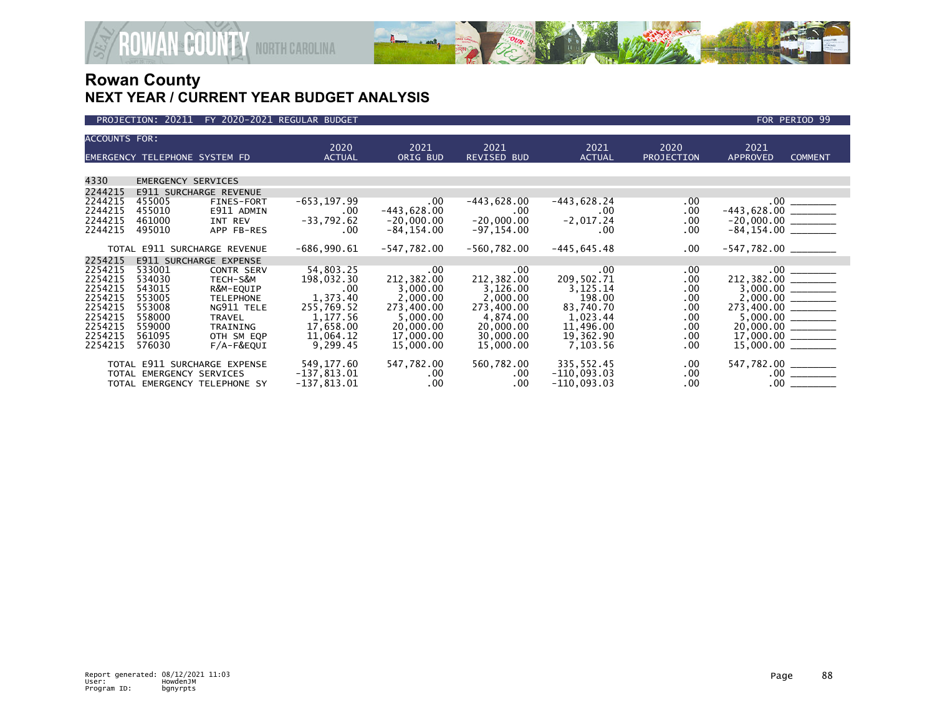

| <b>ACCOUNTS FOR:</b> |                               |                              | 2020           | 2021          | 2021               | 2021           | 2020              | 2021                                                                                                 |                |
|----------------------|-------------------------------|------------------------------|----------------|---------------|--------------------|----------------|-------------------|------------------------------------------------------------------------------------------------------|----------------|
|                      | EMERGENCY TELEPHONE SYSTEM FD |                              | <b>ACTUAL</b>  | ORIG BUD      | <b>REVISED BUD</b> | <b>ACTUAL</b>  | <b>PROJECTION</b> | <b>APPROVED</b>                                                                                      | <b>COMMENT</b> |
|                      |                               |                              |                |               |                    |                |                   |                                                                                                      |                |
| 4330                 | <b>EMERGENCY SERVICES</b>     |                              |                |               |                    |                |                   |                                                                                                      |                |
| 2244215              | <b>E911 SURCHARGE REVENUE</b> |                              |                |               |                    |                |                   |                                                                                                      |                |
| 2244215              | 455005                        | FINES-FORT                   | $-653, 197.99$ | $.00 \,$      | $-443,628.00$      | $-443,628.24$  | .00               |                                                                                                      |                |
| 2244215              | 455010                        | E911 ADMIN                   | .00.           | $-443,628.00$ | .00.               | $.00 \,$       | .00               |                                                                                                      |                |
| 2244215              | 461000                        | INT REV                      | $-33,792.62$   | $-20,000.00$  | $-20,000.00$       | $-2,017.24$    | .00.              | $-20,000.00$<br>$-84,154.00$                                                                         |                |
| 2244215              | 495010                        | APP FB-RES                   | $.00 \,$       | $-84, 154.00$ | $-97, 154.00$      | $.00 \,$       | .00               |                                                                                                      |                |
|                      |                               |                              |                |               |                    |                |                   |                                                                                                      |                |
|                      |                               | TOTAL E911 SURCHARGE REVENUE | $-686,990.61$  | $-547,782.00$ | $-560,782.00$      | $-445, 645.48$ | .00               | $-547,782.00$ ________                                                                               |                |
| 2254215              |                               | E911 SURCHARGE EXPENSE       |                |               |                    |                |                   |                                                                                                      |                |
| 2254215              | 533001                        | <b>CONTR SERV</b>            | 54,803.25      | $.00 \,$      | .00                | $.00 \,$       | .00               | $212,382.00$<br>$3,000.00$<br>$2,000.00$<br>$273,400.00$<br>$5,000.00$<br>$20,000.00$<br>$17,000.00$ |                |
| 2254215              | 534030                        | TECH-S&M                     | 198,032.30     | 212,382.00    | 212,382.00         | 209,502.71     | $.00 \,$          |                                                                                                      |                |
| 2254215              | 543015                        | R&M-EQUIP                    | $.00 \,$       | 3,000.00      | 3,126.00           | 3,125.14       | .00               |                                                                                                      |                |
| 2254215              | 553005                        | <b>TELEPHONE</b>             | 1,373.40       | 2,000.00      | 2,000.00           | 198.00         | $.00 \,$          |                                                                                                      |                |
| 2254215              | 553008                        | NG911 TELE                   | 255,769.52     | 273,400.00    | 273,400.00         | 83,740.70      | .00               |                                                                                                      |                |
| 2254215              | 558000                        | TRAVEL                       | 1,177.56       | 5,000.00      | 4,874.00           | 1,023.44       | .00               |                                                                                                      |                |
| 2254215              | 559000                        | TRAINING                     | 17,658.00      | 20,000.00     | 20,000.00          | 11,496.00      | $.00 \,$          |                                                                                                      |                |
| 2254215              | 561095                        | OTH SM EQP                   | 11,064.12      | 17,000.00     | 30,000.00          | 19,362.90      | .00.              |                                                                                                      |                |
| 2254215              | 576030                        | $F/A-F\&EQUI$                | 9,299.45       | 15,000.00     | 15,000.00          | 7,103.56       | .00               |                                                                                                      |                |
|                      |                               | TOTAL E911 SURCHARGE EXPENSE | 549,177.60     | 547,782.00    | 560,782.00         | 335,552.45     | .00               | 547,782.00 _______                                                                                   |                |
|                      | TOTAL EMERGENCY SERVICES      |                              | $-137,813.01$  | $.00 \,$      | $.00 \,$           | $-110,093.03$  | $.00 \,$          |                                                                                                      |                |
|                      |                               | TOTAL EMERGENCY TELEPHONE SY | $-137,813.01$  | $.00 \,$      | .00.               | $-110,093.03$  | .00               |                                                                                                      |                |
|                      |                               |                              |                |               |                    |                |                   |                                                                                                      |                |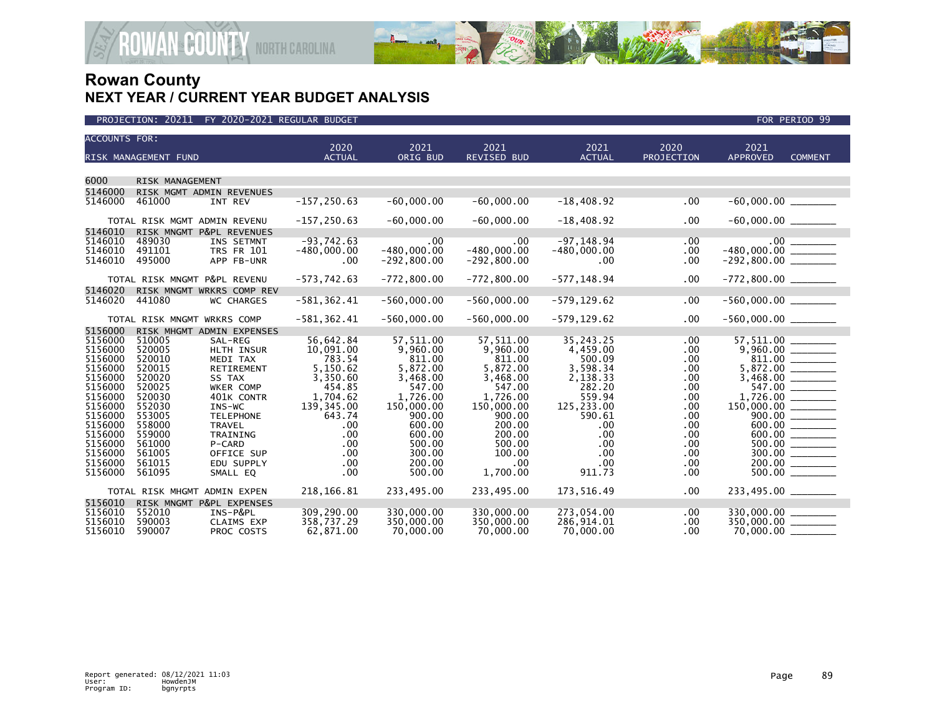

| <b>ACCOUNTS FOR:</b> |                              |                           |                       |                  |                            |                       |                    |                                      |                |
|----------------------|------------------------------|---------------------------|-----------------------|------------------|----------------------------|-----------------------|--------------------|--------------------------------------|----------------|
|                      | RISK MANAGEMENT FUND         |                           | 2020<br><b>ACTUAL</b> | 2021<br>ORIG BUD | 2021<br><b>REVISED BUD</b> | 2021<br><b>ACTUAL</b> | 2020<br>PROJECTION | 2021<br><b>APPROVED</b>              | <b>COMMENT</b> |
|                      |                              |                           |                       |                  |                            |                       |                    |                                      |                |
| 6000                 | RISK MANAGEMENT              |                           |                       |                  |                            |                       |                    |                                      |                |
| 5146000              |                              | RISK MGMT ADMIN REVENUES  |                       |                  |                            |                       |                    |                                      |                |
| 5146000              | 461000                       | INT REV                   | $-157, 250.63$        | $-60,000.00$     | $-60,000.00$               | $-18,408.92$          | .00                |                                      |                |
|                      | TOTAL RISK MGMT ADMIN REVENU |                           | $-157, 250.63$        | $-60,000.00$     | $-60,000.00$               | $-18,408.92$          | $.00 \,$           | $-60,000.00$ ________                |                |
| 5146010              |                              | RISK MNGMT P&PL REVENUES  |                       |                  |                            |                       |                    |                                      |                |
| 5146010              | 489030                       | INS SETMNT                | $-93,742.63$          | .00              | $.00 \,$                   | $-97, 148.94$         | .00                |                                      |                |
| 5146010              | 491101                       | <b>TRS FR 101</b>         | $-480,000.00$         | $-480,000.00$    | $-480,000.00$              | $-480,000.00$         | $.00 \,$           |                                      |                |
| 5146010              | 495000                       | APP FB-UNR                | .00.                  | $-292, 800.00$   | $-292, 800.00$             | $.00 \,$              | $.00 \,$           |                                      |                |
|                      | TOTAL RISK MNGMT P&PL REVENU |                           | $-573,742.63$         | $-772,800.00$    | $-772,800.00$              | $-577, 148.94$        | $.00 \,$           |                                      |                |
| 5146020              |                              | RISK MNGMT WRKRS COMP REV |                       |                  |                            |                       |                    |                                      |                |
| 5146020              | 441080                       | <b>WC CHARGES</b>         | $-581, 362.41$        | $-560,000.00$    | $-560,000.00$              | $-579, 129.62$        | .00                | $-560,000.00$ _________              |                |
|                      | TOTAL RISK MNGMT WRKRS COMP  |                           | $-581, 362.41$        | $-560.000.00$    | $-560,000.00$              | $-579, 129.62$        | $.00 \,$           | $-560,000.00$ ________               |                |
| 5156000              |                              | RISK MHGMT ADMIN EXPENSES |                       |                  |                            |                       |                    |                                      |                |
| 5156000              | 510005                       | SAL-REG                   | 56,642.84             | 57,511.00        | 57,511.00                  | 35,243.25             | $.00 \,$           | $57,511.00$<br>9,960.00              |                |
| 5156000              | 520005                       | HLTH INSUR                | 10,091.00             | 9,960.00         | 9,960.00                   | 4,459.00              | $.00 \,$           |                                      |                |
| 5156000              | 520010                       | MEDI TAX                  | 783.54                | 811.00           | 811.00                     | 500.09                | $.00 \,$           |                                      |                |
| 5156000              | 520015                       | <b>RETIREMENT</b>         | 5,150.62              | 5,872.00         | 5,872.00                   | 3,598.34              | .00                | $5,872.00$<br>$3,468.00$<br>$547.00$ |                |
| 5156000              | 520020                       | SS TAX                    | 3,350.60              | 3,468.00         | 3,468.00                   | 2,138.33              | $.00 \,$           |                                      |                |
| 5156000              | 520025                       | WKER COMP                 | 454.85                | 547.00           | 547.00                     | 282.20                | $.00 \,$           |                                      |                |
| 5156000              | 520030                       | 401K CONTR                | 1,704.62              | 1,726.00         | 1,726.00                   | 559.94                | $.00 \,$           |                                      |                |
| 5156000              | 552030                       | INS-WC                    | 139, 345.00           | 150,000.00       | 150,000.00<br>900.00       | 125,233.00            | $.00 \,$           | $150,000.00$<br>900.00               |                |
| 5156000<br>5156000   | 553005<br>558000             | <b>TELEPHONE</b>          | 643.74                | 900.00           | 200.00                     | 590.61                | .00                |                                      |                |
| 5156000              | 559000                       | <b>TRAVEL</b><br>TRAINING | .00<br>.00            | 600.00<br>600.00 | 200.00                     | $.00 \,$<br>.00       | .00.<br>$.00 \,$   |                                      |                |
| 5156000              | 561000                       | P-CARD                    | .00                   | 500.00           | 500.00                     | .00                   | $.00 \,$           |                                      |                |
| 5156000              | 561005                       | OFFICE SUP                | .00                   | 300.00           | 100.00                     | $.00 \,$              | $.00 \,$           | $\frac{500.00}{300.00}$              |                |
| 5156000              | 561015                       | EDU SUPPLY                | .00                   | 200.00           | .00                        | .00                   | $.00 \,$           | 200.00                               |                |
| 5156000              | 561095                       | SMALL EQ                  | .00                   | 500.00           | 1,700.00                   | 911.73                | $.00 \,$           |                                      |                |
|                      |                              |                           |                       |                  |                            |                       |                    |                                      |                |
|                      | TOTAL RISK MHGMT ADMIN EXPEN |                           | 218,166.81            | 233,495.00       | 233,495.00                 | 173,516.49            | $.00 \,$           | 233,495.00 _______                   |                |
| 5156010              |                              | RISK MNGMT P&PL EXPENSES  |                       |                  |                            |                       |                    |                                      |                |
| 5156010              | 552010                       | INS-P&PL                  | 309,290.00            | 330,000,00       | 330,000,00                 | 273,054.00            | $.00 \,$           | 330,000.00 _______                   |                |
| 5156010              | 590003                       | <b>CLAIMS EXP</b>         | 358,737.29            | 350,000.00       | 350,000.00                 | 286,914.01            | .00.               | 350,000.00 ______                    |                |
| 5156010              | 590007                       | PROC COSTS                | 62,871.00             | 70,000.00        | 70,000.00                  | 70,000.00             | $.00 \,$           | 70,000.00 __                         |                |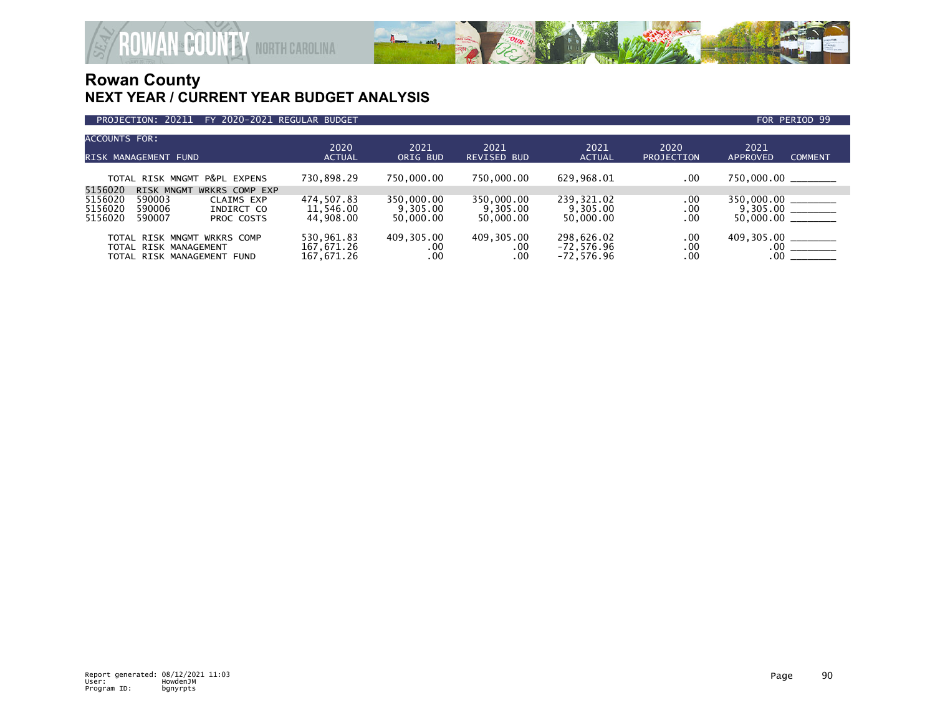

| ACCOUNTS FOR:<br>RISK MANAGEMENT FUND                                                                                                            | 2020<br><b>ACTUAL</b>                  | 2021<br>ORIG BUD                    | 2021<br><b>REVISED BUD</b>          | 2021<br><b>ACTUAL</b>                      | 2020<br><b>PROJECTION</b> | 2021<br>APPROVED<br><b>COMMENT</b>                                    |
|--------------------------------------------------------------------------------------------------------------------------------------------------|----------------------------------------|-------------------------------------|-------------------------------------|--------------------------------------------|---------------------------|-----------------------------------------------------------------------|
| TOTAL RISK MNGMT P&PL EXPENS                                                                                                                     | 730,898.29                             | 750,000.00                          | 750,000.00                          | 629,968.01                                 | $.00 \,$                  | 750,000.00 _______                                                    |
| 5156020<br>WRKRS COMP EXP<br>RISK MNGMT<br>5156020<br>590003<br>CLAIMS EXP<br>5156020<br>590006<br>INDIRCT CO<br>5156020<br>590007<br>PROC COSTS | 474,507.83<br>11,546.00<br>44,908.00   | 350,000.00<br>9,305.00<br>50,000.00 | 350,000.00<br>9,305.00<br>50.000.00 | 239,321.02<br>9,305.00<br>50,000.00        | .00<br>.00<br>.00         | $350,000.00$ ________<br>$9,305.00$ ________<br>$50,000.00$ _________ |
| TOTAL RISK MNGMT WRKRS COMP<br>TOTAL RISK MANAGEMENT<br>TOTAL RISK MANAGEMENT FUND                                                               | 530,961.83<br>167,671.26<br>167,671.26 | 409,305.00<br>.00<br>.00            | 409,305.00<br>$.00 \,$<br>.00       | 298,626.02<br>$-72,576.96$<br>$-72.576.96$ | .00<br>.00<br>.00         | 409,305.00 ________<br>$.00$ $\qquad \qquad$<br>$.00 \,$              |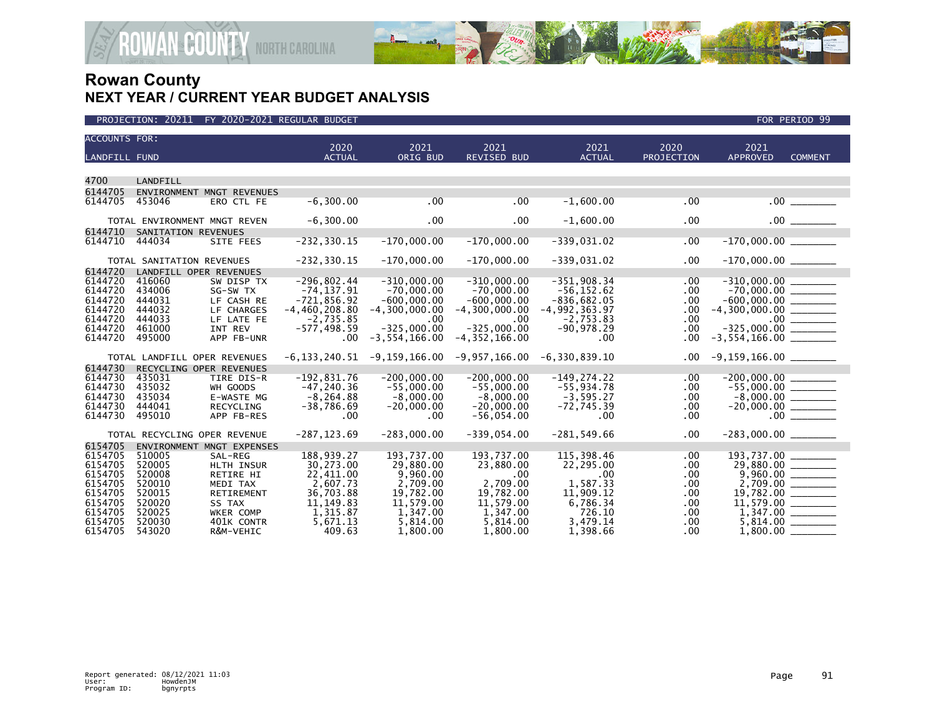

| <b>ACCOUNTS FOR:</b> |                              |                           |                       |                    |                            |                       |                    |                             |                |
|----------------------|------------------------------|---------------------------|-----------------------|--------------------|----------------------------|-----------------------|--------------------|-----------------------------|----------------|
| <b>LANDFILL FUND</b> |                              |                           | 2020<br><b>ACTUAL</b> | 2021<br>ORIG BUD   | 2021<br><b>REVISED BUD</b> | 2021<br><b>ACTUAL</b> | 2020<br>PROJECTION | 2021<br><b>APPROVED</b>     | <b>COMMENT</b> |
|                      |                              |                           |                       |                    |                            |                       |                    |                             |                |
| 4700                 | LANDFILL                     |                           |                       |                    |                            |                       |                    |                             |                |
| 6144705              |                              | ENVIRONMENT MNGT REVENUES |                       |                    |                            |                       |                    |                             |                |
| 6144705              | 453046                       | ERO CTL FE                | $-6, 300.00$          | .00                | .00                        | $-1,600.00$           | .00                |                             | .00            |
|                      |                              |                           |                       |                    |                            |                       |                    |                             |                |
|                      | TOTAL ENVIRONMENT MNGT REVEN |                           | $-6,300.00$           | .00                | .00                        | $-1,600.00$           | .00                |                             | $.00$ $\qquad$ |
| 6144710              | SANITATION REVENUES          |                           |                       |                    |                            |                       |                    |                             |                |
| 6144710              | 444034                       | SITE FEES                 | $-232, 330.15$        | $-170,000.00$      | $-170,000.00$              | -339,031.02           | .00                | $-170,000.00$ ________      |                |
|                      |                              |                           |                       |                    |                            |                       |                    |                             |                |
|                      | TOTAL SANITATION REVENUES    |                           | $-232, 330.15$        | $-170,000.00$      | $-170,000.00$              | $-339,031.02$         | .00                |                             |                |
| 6144720              | LANDFILL OPER REVENUES       |                           |                       |                    |                            |                       |                    |                             |                |
| 6144720              | 416060                       | SW DISP TX                | $-296,802.44$         | $-310,000.00$      | $-310,000.00$              | $-351,908.34$         | $.00 \,$           |                             |                |
| 6144720              | 434006                       | SG-SW TX                  | $-74, 137.91$         | $-70,000.00$       | $-70,000.00$               | $-56, 152.62$         | .00                |                             |                |
| 6144720              | 444031                       | LF CASH RE                | $-721,856.92$         | $-600,000.00$      | $-600,000.00$              | $-836,682.05$         | $.00 \,$           |                             |                |
| 6144720              | 444032                       | LF CHARGES                | $-4,460,208.80$       | $-4, 300, 000, 00$ | $-4, 300, 000, 00$         | $-4,992,363.97$       | .00                | $-4,300,000.00$ _________   |                |
| 6144720              | 444033                       | LF LATE FE                | $-2,735.85$           | .00                | .00                        | $-2,753.83$           | .00                |                             |                |
| 6144720              | 461000                       | INT REV                   | $-577, 498.59$        | $-325.000.00$      | $-325,000.00$              | $-90.978.29$          | .00                |                             |                |
| 6144720              | 495000                       | APP FB-UNR                | $.00 \,$              | $-3, 554, 166.00$  | $-4, 352, 166.00$          | $.00 \times$          | .00                |                             |                |
|                      | TOTAL LANDFILL OPER REVENUES |                           | -6,133,240.51         | $-9,159,166.00$    | $-9,957,166.00$            | $-6, 330, 839, 10$    | .00                | $-9,159,166.00$ ________    |                |
| 6144730              | RECYCLING OPER REVENUES      |                           |                       |                    |                            |                       |                    |                             |                |
| 6144730              | 435031                       | TIRE DIS-R                | $-192,831.76$         | $-200,000.00$      | $-200,000.00$              | $-149, 274.22$        | .00                | $-200,000.00$               |                |
| 6144730              | 435032                       | WH GOODS                  | $-47.240.36$          | $-55.000.00$       | $-55.000.00$               | $-55.934.78$          | .00                |                             |                |
| 6144730              | 435034                       | E-WASTE MG                | $-8.264.88$           | $-8,000.00$        | $-8.000.00$                | $-3.595.27$           | .00                | $-55,000.00$<br>$-8,000.00$ |                |
| 6144730              | 444041                       | RECYCLING                 | $-38,786.69$          | $-20,000.00$       | $-20,000.00$               | $-72,745.39$          | .00                |                             |                |
| 6144730              | 495010                       | APP FB-RES                | .00                   | .00.               | $-56,054.00$               | $.00 \times$          | .00                |                             | .00            |
|                      |                              |                           |                       |                    |                            |                       |                    |                             |                |
|                      | TOTAL RECYCLING OPER REVENUE |                           | $-287, 123.69$        | $-283,000.00$      | $-339,054.00$              | $-281,549.66$         | .00                |                             |                |
| 6154705              |                              | ENVIRONMENT MNGT EXPENSES |                       |                    |                            |                       |                    |                             |                |
| 6154705              | 510005                       | SAL-REG                   | 188,939.27            | 193,737.00         | 193,737.00                 | 115,398.46            | .00                | 193,737.00                  |                |
| 6154705              | 520005                       | <b>HLTH INSUR</b>         | 30.273.00             | 29,880,00          | 23,880.00                  | 22,295.00             | .00                | 29,880.00 ________          |                |
| 6154705              | 520008                       | RETIRE HI                 | 22,411.00             | 9,960.00           | .00                        | $.00 \,$              | .00                |                             |                |
| 6154705              | 520010                       | MEDI TAX                  | 2,607.73              | 2,709.00           | 2,709.00                   | 1,587.33              | .00                |                             |                |
| 6154705              | 520015                       | RETIREMENT                | 36,703.88             | 19,782.00          | 19,782.00                  | 11,909.12             | .00                |                             |                |
| 6154705              | 520020                       | SS TAX                    | 11, 149.83            | 11,579.00          | 11,579.00                  | 6,786.34              | .00                |                             |                |
| 6154705              | 520025                       | WKER COMP                 | 1,315.87              | 1,347.00           | 1,347.00                   | 726.10                | .00                |                             |                |
| 6154705              | 520030                       | 401K CONTR                | 5,671.13              | 5,814.00           | 5,814.00                   | 3,479.14              | .00                | 5,814.00                    |                |
| 6154705              | 543020                       | R&M-VEHIC                 | 409.63                | 1,800.00           | 1,800.00                   | 1,398.66              | .00                | 1,800.00                    |                |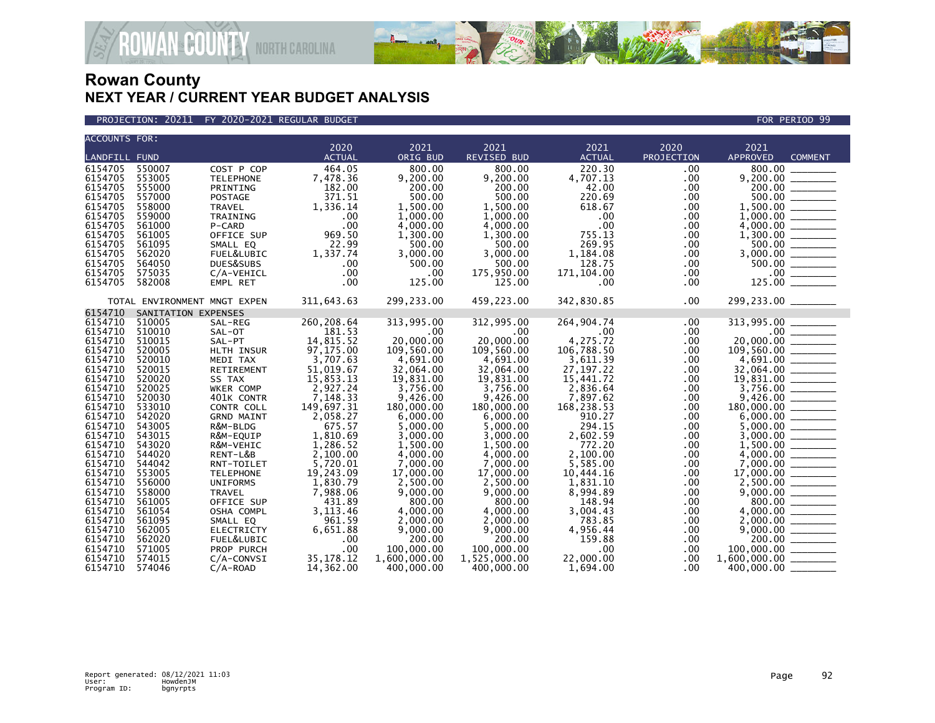

### PROJECTION: 20211 FY 2020-2021 REGULAR BUDGET FOR PERIOD 99

| <b>ACCOUNTS FOR:</b> |                              |                   |               |              |                    |               |            |                                                                                                                                                                               |
|----------------------|------------------------------|-------------------|---------------|--------------|--------------------|---------------|------------|-------------------------------------------------------------------------------------------------------------------------------------------------------------------------------|
|                      |                              |                   | 2020          | 2021         | 2021               | 2021          | 2020       | 2021                                                                                                                                                                          |
| <b>LANDFILL FUND</b> |                              |                   | <b>ACTUAL</b> | ORIG BUD     | <b>REVISED BUD</b> | <b>ACTUAL</b> | PROJECTION | <b>APPROVED</b><br><b>COMMENT</b>                                                                                                                                             |
| 6154705              | 550007                       | COST P COP        | 464.05        | 800.00       | 800.00             | 220.30        | .00        |                                                                                                                                                                               |
| 6154705              | 553005                       | <b>TELEPHONE</b>  | 7,478.36      | 9.200.00     | 9.200.00           | 4,707.13      | .00        | $9,200.00$<br>$200.00$<br>$500.00$<br>$1,500.00$<br>$1,500.00$                                                                                                                |
| 6154705              | 555000                       | PRINTING          | 182.00        | 200.00       | 200.00             | 42.00         | .00.       |                                                                                                                                                                               |
| 6154705              | 557000                       | POSTAGE           | 371.51        | 500.00       | 500.00             | 220.69        | .00        |                                                                                                                                                                               |
| 6154705              | 558000                       | TRAVEL            | 1,336.14      | 1.500.00     | 1,500.00           | 618.67        | .00        |                                                                                                                                                                               |
| 6154705              | 559000                       | TRAINING          | .00           | 1,000.00     | 1,000.00           | $.00 \times$  | .00.       |                                                                                                                                                                               |
| 6154705              | 561000                       | P-CARD            | .00           | 4,000.00     | 4,000.00           | $.00 \times$  | .00        |                                                                                                                                                                               |
| 6154705              | 561005                       | OFFICE SUP        | 969.50        | 1,300.00     | 1,300.00           | 755.13        | .00.       |                                                                                                                                                                               |
| 6154705              | 561095                       | SMALL EQ          | 22.99         | 500.00       | 500.00             | 269.95        | .00        |                                                                                                                                                                               |
| 6154705              | 562020                       | FUEL&LUBIC        | 1,337.74      | 3,000.00     | 3.000.00           | 1,184.08      | .00        |                                                                                                                                                                               |
| 6154705              | 564050                       | DUES&SUBS         | .00           | 500.00       | 500.00             | 128.75        | $.00 \,$   |                                                                                                                                                                               |
| 6154705              | 575035                       | C/A-VEHICL        | .00           | .00          | 175,950.00         | 171,104.00    | $.00 \,$   |                                                                                                                                                                               |
| 6154705              | 582008                       | EMPL RET          | .00           | 125.00       | 125.00             | .00.          | $.00 \,$   | $1,000.00$<br>$4,000.00$<br>$1,300.00$<br>$500.00$<br>$3,000.00$<br>$500.00$<br>$500.00$<br>$125.00$                                                                          |
|                      |                              |                   |               |              |                    |               |            |                                                                                                                                                                               |
|                      | TOTAL ENVIRONMENT MNGT EXPEN |                   | 311,643.63    | 299,233.00   | 459,223.00         | 342,830.85    | $.00 \,$   |                                                                                                                                                                               |
| 6154710              | SANITATION EXPENSES          |                   |               |              |                    |               |            |                                                                                                                                                                               |
| 6154710              | 510005                       | SAL-REG           | 260,208.64    | 313,995.00   | 312,995.00         | 264,904.74    | .00        | 313,995.00                                                                                                                                                                    |
| 6154710              | 510010                       | SAL-OT            | 181.53        | .00          | $.00 \,$           | $.00 \,$      | .00        |                                                                                                                                                                               |
| 6154710              | 510015                       | SAL-PT            | 14,815.52     | 20,000,00    | 20,000.00          | 4,275.72      | .00        |                                                                                                                                                                               |
| 6154710              | 520005                       | HLTH INSUR        | 97,175.00     | 109,560.00   | 109,560.00         | 106,788.50    | .00        | 20,000.00                                                                                                                                                                     |
| 6154710              | 520010                       | MEDI TAX          | 3,707.63      | 4,691.00     | 4,691.00           | 3,611.39      | .00        | $\begin{array}{r} 4,691.00 \ \hline 4,691.00 \ \hline 32,064.00 \ \hline 19,831.00 \ \hline 37,756.00 \ \hline 9,426.00 \ \hline 180,000.00 \ \hline \end{array}$             |
| 6154710              | 520015                       | RETIREMENT        | 51,019.67     | 32.064.00    | 32.064.00          | 27, 197. 22   | .00.       |                                                                                                                                                                               |
| 6154710              | 520020                       | SS TAX            | 15,853.13     | 19,831.00    | 19,831.00          | 15,441.72     | .00.       |                                                                                                                                                                               |
| 6154710              | 520025                       | WKER COMP         | 2,927.24      | 3,756.00     | 3,756.00           | 2,836.64      | .00.       |                                                                                                                                                                               |
| 6154710              | 520030                       | 401K CONTR        | 7,148.33      | 9,426.00     | 9,426.00           | 7,897.62      | .00.       |                                                                                                                                                                               |
| 6154710              | 533010                       | CONTR COLL        | 149,697.31    | 180,000.00   | 180,000.00         | 168,238.53    | .00        |                                                                                                                                                                               |
| 6154710              | 542020                       | <b>GRND MAINT</b> | 2,058.27      | 6,000.00     | 6,000.00           | 910.27        | .00        |                                                                                                                                                                               |
| 6154710              | 543005                       | R&M-BLDG          | 675.57        | 5,000.00     | 5,000.00           | 294.15        | .00.       |                                                                                                                                                                               |
| 6154710              | 543015                       | R&M-EQUIP         | 1,810.69      | 3,000.00     | 3,000.00           | 2,602.59      | .00        |                                                                                                                                                                               |
| 6154710              | 543020                       | R&M-VEHIC         | 1,286.52      | 1.500.00     | 1.500.00           | 772.20        | .00.       | $\begin{array}{r} 5,000.00 \ \hline 3,000.00 \ \hline 1,500.00 \ \hline 4,000.00 \ \hline 7,000.00 \ \hline \end{array}$                                                      |
| 6154710              | 544020                       | RENT-L&B          | 2,100.00      | 4,000.00     | 4,000.00           | 2,100.00      | .00        |                                                                                                                                                                               |
| 6154710              | 544042                       | RNT-TOILET        | 5,720.01      | 7,000.00     | 7,000.00           | 5,585.00      | .00        |                                                                                                                                                                               |
| 6154710              | 553005                       | <b>TELEPHONE</b>  | 19.243.09     | 17,000.00    | 17,000.00          | 10.444.16     | .00        | $17,000.00$<br>2,500.00                                                                                                                                                       |
| 6154710              | 556000                       | <b>UNIFORMS</b>   | 1,830.79      | 2.500.00     | 2.500.00           | 1.831.10      | .00.       |                                                                                                                                                                               |
| 6154710              | 558000                       | TRAVEL            | 7,988.06      | 9,000.00     | 9,000.00           | 8,994.89      | .00.       |                                                                                                                                                                               |
| 6154710              | 561005                       | OFFICE SUP        | 431.89        | 800.00       | 800.00             | 148.94        | .00        |                                                                                                                                                                               |
| 6154710              | 561054                       | OSHA COMPL        | 3, 113, 46    | 4,000.00     | 4,000.00           | 3,004.43      | .00        |                                                                                                                                                                               |
| 6154710              | 561095                       | SMALL EQ          | 961.59        | 2,000.00     | 2,000.00           | 783.85        | .00.       |                                                                                                                                                                               |
| 6154710              | 562005                       | <b>ELECTRICTY</b> | 6,651.88      | 9,000.00     | 9,000.00           | 4,956.44      | .00        | $\begin{array}{r} 2,3000.00 \ \hline 9,000.00 \ \hline 800.00 \ \hline 4,000.00 \ \hline 2,000.00 \ \hline 9,000.00 \ \hline 200.00 \ \hline 100,000.00 \ \hline \end{array}$ |
| 6154710              | 562020                       | FUEL&LUBIC        | .00           | 200.00       | 200.00             | 159.88        | .00.       |                                                                                                                                                                               |
| 6154710              | 571005                       | PROP PURCH        | .00           | 100,000.00   | 100,000.00         | $.00 \,$      | .00.       |                                                                                                                                                                               |
| 6154710              | 574015                       | $C/A$ -CONVSI     | 35, 178. 12   | 1,600,000.00 | 1,525,000.00       | 22,000.00     | .00        | $1,600,000.00$ ________                                                                                                                                                       |
| 6154710              | 574046                       | $C/A-ROAD$        | 14,362.00     | 400,000.00   | 400,000.00         | 1,694.00      | .00.       | 400,000.00 _                                                                                                                                                                  |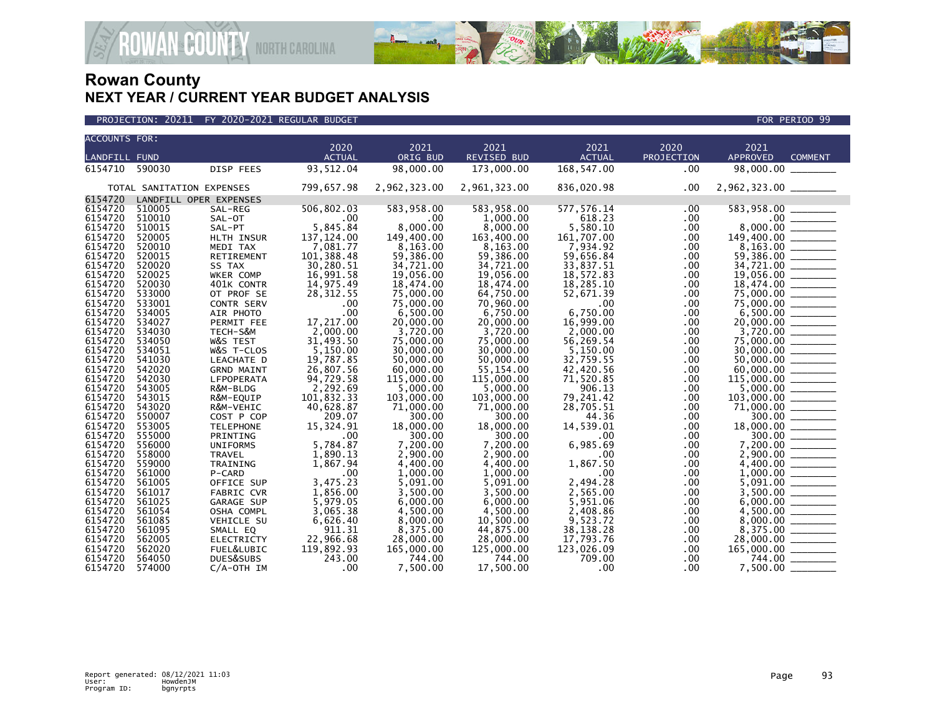

| <b>ACCOUNTS FOR:</b> |                           |                        |                  |                       |                       |                       |              |                                                                              |
|----------------------|---------------------------|------------------------|------------------|-----------------------|-----------------------|-----------------------|--------------|------------------------------------------------------------------------------|
|                      |                           |                        | 2020             | 2021                  | 2021                  | 2021                  | 2020         | 2021                                                                         |
| <b>LANDFILL FUND</b> |                           |                        | <b>ACTUAL</b>    | ORIG BUD              | <b>REVISED BUD</b>    | <b>ACTUAL</b>         | PROJECTION   | <b>APPROVED</b><br><b>COMMENT</b>                                            |
| 6154710 590030       |                           | DISP FEES              | 93,512.04        | 98,000.00             | 173,000.00            | 168,547.00            | .00          | 98,000.00                                                                    |
|                      | TOTAL SANITATION EXPENSES |                        | 799,657.98       | 2,962,323.00          | 2,961,323.00          | 836,020.98            | .00.         | 2,962,323.00 _______                                                         |
| 6154720              |                           | LANDFILL OPER EXPENSES |                  |                       |                       |                       |              |                                                                              |
| 6154720              | 510005                    | SAL-REG                | 506,802.03       | 583,958.00            | 583,958.00            | 577, 576.14           | .00          |                                                                              |
| 6154720              | 510010                    | SAL-OT                 | .00              | .00                   | 1,000.00              | 618.23                | .00.         |                                                                              |
| 6154720              | 510015                    | SAL-PT                 | 5,845.84         | 8,000.00              | 8,000.00              | 5,580.10              | .00.         |                                                                              |
| 6154720              | 520005                    | HLTH INSUR             | 137, 124.00      | 149,400.00            | 163,400.00            | 161,707.00            | .00.         | $8,000.00$<br>149,400.00                                                     |
| 6154720              | 520010                    | MEDI TAX               | 7,081.77         | 8,163.00              | 8,163.00              | 7,934.92              | .00          |                                                                              |
| 6154720              | 520015                    | RETIREMENT             | 101,388.48       | 59,386.00             | 59,386.00             | 59,656.84             | .00          |                                                                              |
| 6154720              | 520020                    | SS TAX                 | 30,280.51        | 34,721.00             | 34,721.00             | 33,837.51             | .00.         | 34,721.00                                                                    |
| 6154720              | 520025                    | WKER COMP              | 16,991.58        | 19,056.00             | 19,056.00             | 18,572.83             | .00          | $19,056.00$ 18,474.00                                                        |
| 6154720              | 520030                    | 401K CONTR             | 14,975.49        | 18,474.00             | 18,474.00             | 18,285.10             | .00          |                                                                              |
| 6154720              | 533000                    | OT PROF SE             | 28, 312.55       | 75,000.00             | 64,750.00             | 52,671.39             | .00.         |                                                                              |
| 6154720              | 533001                    | <b>CONTR SERV</b>      | .00              | 75,000.00             | 70,960.00             | .00                   | .00          |                                                                              |
| 6154720              | 534005                    | AIR PHOTO              | .00<br>17,217.00 | 6,500.00              | 6,750.00              | 6,750.00<br>16,999.00 | .00          |                                                                              |
| 6154720<br>6154720   | 534027<br>534030          | PERMIT FEE             | 2,000.00         | 20,000.00<br>3,720.00 | 20,000.00             |                       | .00.         |                                                                              |
| 6154720              | 534050                    | TECH-S&M<br>W&S TEST   | 31,493.50        | 75,000.00             | 3,720.00<br>75,000,00 | 2,000.00<br>56.269.54 | .00.<br>.00. | $3,720.00$<br>75,000.00                                                      |
| 6154720              | 534051                    | W&S T-CLOS             | 5,150.00         | 30,000.00             | 30,000.00             | 5,150.00              | .00          |                                                                              |
| 6154720              | 541030                    | LEACHATE D             | 19,787.85        | 50,000.00             | 50,000.00             | 32,759.55             | .00          |                                                                              |
| 6154720              | 542020                    | <b>GRND MAINT</b>      | 26,807.56        | 60,000.00             | 55,154.00             | 42,420.56             | .00          |                                                                              |
| 6154720              | 542030                    | LFPOPERATA             | 94,729.58        | 115,000.00            | 115,000.00            | 71,520.85             | .00          | 115,000.00 ______                                                            |
| 6154720              | 543005                    | R&M-BLDG               | 2,292.69         | 5.000.00              | 5,000.00              | 906.13                | .00          |                                                                              |
| 6154720              | 543015                    | R&M-EQUIP              | 101,832.33       | 103,000.00            | 103,000,00            | 79,241.42             | .00          |                                                                              |
| 6154720              | 543020                    | R&M-VEHIC              | 40,628.87        | 71,000.00             | 71,000.00             | 28,705.51             | .00.         |                                                                              |
| 6154720              | 550007                    | COST P COP             | 209.07           | 300.00                | 300.00                | 44.36                 | .00          | $\frac{300.00}{200}$                                                         |
| 6154720              | 553005                    | <b>TELEPHONE</b>       | 15,324.91        | 18,000.00             | 18,000.00             | 14,539.01             | .00          |                                                                              |
| 6154720              | 555000                    | PRINTING               | .00              | 300.00                | 300.00                | $.00 \,$              | .00          | $18,000.00$ $\overline{\hspace{1.5cm}}$ $300.00$ $\overline{\hspace{1.5cm}}$ |
| 6154720              | 556000                    | <b>UNIFORMS</b>        | 5,784.87         | 7,200.00              | 7,200.00              | 6,985.69              | .00.         |                                                                              |
| 6154720              | 558000                    | <b>TRAVEL</b>          | 1,890.13         | 2,900.00              | 2,900.00              | .00                   | .00          |                                                                              |
| 6154720              | 559000                    | TRAINING               | 1,867.94         | 4,400.00              | 4,400.00              | 1,867.50              | .00          |                                                                              |
| 6154720              | 561000                    | P-CARD                 | .00              | 1,000.00              | 1,000.00              | .00                   | .00          |                                                                              |
| 6154720              | 561005                    | OFFICE SUP             | 3,475.23         | 5,091.00              | 5.091.00              | 2.494.28              | .00          |                                                                              |
| 6154720              | 561017                    | <b>FABRIC CVR</b>      | 1,856.00         | 3,500.00              | 3,500.00              | 2,565.00              | .00.         |                                                                              |
| 6154720              | 561025                    | GARAGE SUP             | 5,979.05         | 6.000.00              | 6,000.00              | 5,951.06              | .00          |                                                                              |
| 6154720              | 561054                    | OSHA COMPL             | 3,065.38         | 4,500.00              | 4.500.00              | 2,408.86              | .00.         |                                                                              |
| 6154720              | 561085                    | VEHICLE SU             | 6,626.40         | 8,000.00              | 10,500.00             | 9,523.72              | .00.         |                                                                              |
| 6154720              | 561095                    | SMALL EQ               | 911.31           | 8.375.00              | 44.875.00             | 38.138.28             | .00          |                                                                              |
| 6154720              | 562005                    | <b>ELECTRICTY</b>      | 22,966.68        | 28,000.00             | 28,000.00             | 17,793.76             | .00.         |                                                                              |
| 6154720              | 562020                    | FUEL&LUBIC             | 119,892.93       | 165,000.00            | 125,000.00            | 123,026.09            | .00.         |                                                                              |
| 6154720              | 564050                    | DUES&SUBS              | 243.00<br>.00    | 744.00                | 744.00                | 709.00<br>.00.        | .00<br>.00.  | 744.00 _______                                                               |
| 6154720              | 574000                    | $C/A$ -OTH IM          |                  | 7,500.00              | 17.500.00             |                       |              | 7,500.00                                                                     |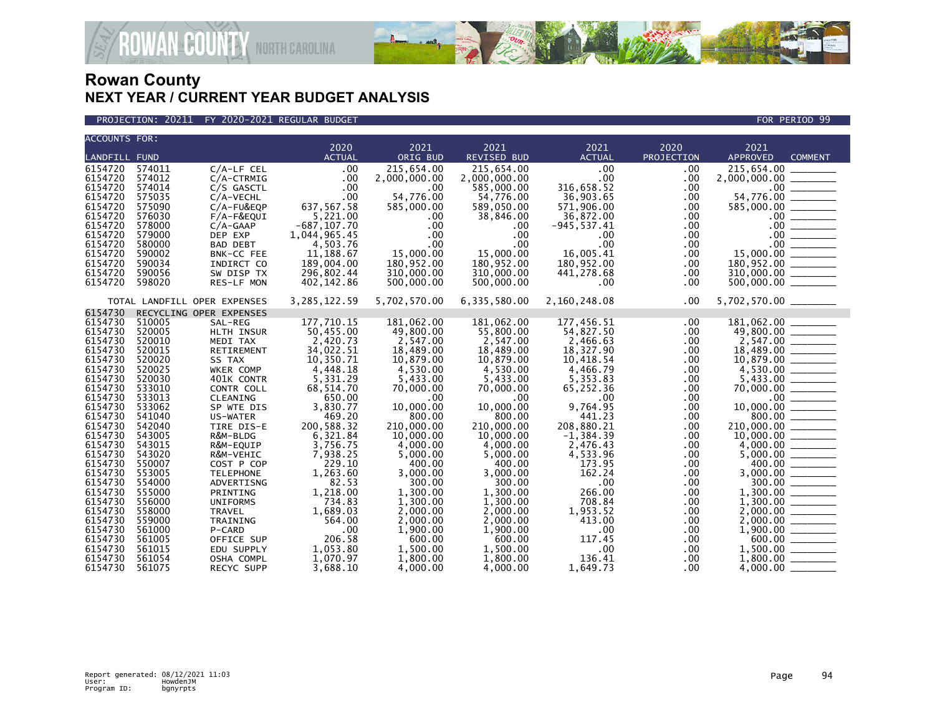

**AN<sup>&</sup>COUNTY** NORTH CAROLINA

| ACCOUNTS FOR:      |                  |                              |                       |                      |                            |                       |                    |                                                                                                                                                                                                                                                                                                                                                          |
|--------------------|------------------|------------------------------|-----------------------|----------------------|----------------------------|-----------------------|--------------------|----------------------------------------------------------------------------------------------------------------------------------------------------------------------------------------------------------------------------------------------------------------------------------------------------------------------------------------------------------|
| LANDFILL FUND      |                  |                              | 2020<br><b>ACTUAL</b> | 2021<br>ORIG BUD     | 2021<br><b>REVISED BUD</b> | 2021<br><b>ACTUAL</b> | 2020<br>PROJECTION | 2021<br><b>APPROVED</b><br><b>COMMENT</b>                                                                                                                                                                                                                                                                                                                |
| 6154720            | 574011           | $C/A$ -LF CEL                | .00                   | 215,654.00           | 215,654.00                 | .00 <sub>1</sub>      |                    | 215,654.00 ______                                                                                                                                                                                                                                                                                                                                        |
| 6154720            | 574012           | $C/A$ -CTRMIG                | .00                   | 2,000,000.00         | 2,000,000.00               | .00 <sub>1</sub>      | .00<br>.00         | 2,000,000.00 _______                                                                                                                                                                                                                                                                                                                                     |
| 6154720            | 574014           | C/S GASCTL                   | .00                   | $.00 \ \,$           | 585,000.00                 | 316,658.52            | .00                |                                                                                                                                                                                                                                                                                                                                                          |
| 6154720            | 575035           | C/A-VECHL                    | .00                   | 54,776.00            | 54,776.00                  | 36,903.65             | .00                |                                                                                                                                                                                                                                                                                                                                                          |
| 6154720            | 575090           | C/A-FU&EQP                   | 637, 567. 58          | 585,000.00           | 589,050.00                 | 571,906.00            | .00.               |                                                                                                                                                                                                                                                                                                                                                          |
| 6154720            | 576030           | $F/A-F\&EQUI$                | 5,221.00              | .00.                 | 38,846.00                  | 36,872.00             | .00                |                                                                                                                                                                                                                                                                                                                                                          |
| 6154720            | 578000           | $C/A-GAAP$                   | $-687, 107.70$        | $.00 \,$             | .00.                       | $-945, 537.41$        | $.00 \,$           |                                                                                                                                                                                                                                                                                                                                                          |
| 6154720            | 579000           | DEP EXP                      | 1,044,965.45          | .00                  | $.00 \times$               | $.00 \,$              | .00                |                                                                                                                                                                                                                                                                                                                                                          |
| 6154720            | 580000           | BAD DEBT                     | 4,503.76              | .00                  | $.00 \times$               | .00 <sub>1</sub>      | $.00 \,$           |                                                                                                                                                                                                                                                                                                                                                          |
| 6154720            | 590002           | BNK-CC FEE                   | 11,188.67             | 15,000.00            | 15,000.00                  | 16,005.41             | .00.               |                                                                                                                                                                                                                                                                                                                                                          |
| 6154720            | 590034           | INDIRCT CO                   | 189,004.00            | 180.952.00           | 180,952.00                 | 180,952.00            | .00                |                                                                                                                                                                                                                                                                                                                                                          |
| 6154720            | 590056           | SW DISP TX                   | 296,802.44            | 310,000.00           | 310,000.00                 | 441,278.68            | .00                |                                                                                                                                                                                                                                                                                                                                                          |
| 6154720            | 598020           | RES-LF MON                   | 402,142.86            | 500,000.00           | 500,000.00                 | .00.                  | .00                | $\begin{array}{r} 15,000,000.000\ \hline 585,000.000\ \hline 585,000.000\ \hline 0.00\ \hline 0.00\ \hline 0.00\ \hline 15,000.000\ \hline 180,952.00\ \hline 310,000.00\ \hline 500,000.00\ \hline \end{array}$                                                                                                                                         |
|                    |                  | TOTAL LANDFILL OPER EXPENSES | 3, 285, 122.59        | 5,702,570.00         | 6,335,580.00               | 2,160,248.08          | .00                | 5,702,570.00 ________                                                                                                                                                                                                                                                                                                                                    |
| 6154730            |                  | RECYCLING OPER EXPENSES      |                       |                      |                            |                       |                    |                                                                                                                                                                                                                                                                                                                                                          |
| 6154730            | 510005           | SAL-REG                      | 177,710.15            | 181,062.00           | 181,062.00                 | 177,456.51            | .00                |                                                                                                                                                                                                                                                                                                                                                          |
| 6154730            | 520005           | HLTH INSUR                   | 50,455.00             | 49,800.00            | 55,800.00                  | 54,827.50             | .00.               |                                                                                                                                                                                                                                                                                                                                                          |
| 6154730            | 520010           | MEDI TAX                     | 2,420.73              | 2,547.00             | 2,547.00                   | 2,466.63              | .00                |                                                                                                                                                                                                                                                                                                                                                          |
| 6154730            | 520015           | RETIREMENT                   | 34,022.51             | 18,489.00            | 18,489.00                  | 18,327.90             | .00.               |                                                                                                                                                                                                                                                                                                                                                          |
| 6154730            | 520020<br>520025 | SS TAX                       | 10,350.71             | 10,879.00            | 10,879.00                  | 10,418.54             | .00                |                                                                                                                                                                                                                                                                                                                                                          |
| 6154730<br>6154730 | 520030           | WKER COMP<br>401K CONTR      | 4,448.18<br>5,331.29  | 4,530.00<br>5,433.00 | 4,530.00                   | 4,466.79              | .00<br>.00         |                                                                                                                                                                                                                                                                                                                                                          |
| 6154730            | 533010           | CONTR COLL                   | 68,514.70             | 70,000.00            | 5,433.00<br>70,000.00      | 5,353.83<br>65,252.36 | .00                |                                                                                                                                                                                                                                                                                                                                                          |
| 6154730            | 533013           | CLEANING                     | 650.00                | .00                  | $.00 \times$               | $.00 \,$              | .00.               |                                                                                                                                                                                                                                                                                                                                                          |
| 6154730            | 533062           | SP WTE DIS                   | 3,830.77              | 10,000.00            | 10,000.00                  | 9,764.95              | .00.               |                                                                                                                                                                                                                                                                                                                                                          |
| 6154730            | 541040           | US-WATER                     | 469.20                | 800.00               | 800.00                     | 441.23                | .00                |                                                                                                                                                                                                                                                                                                                                                          |
| 6154730            | 542040           | TIRE DIS-E                   | 200,588.32            | 210,000.00           | 210,000.00                 | 208,880.21            | .00                |                                                                                                                                                                                                                                                                                                                                                          |
| 6154730            | 543005           | R&M-BLDG                     | 6,321.84              | 10,000.00            | 10,000.00                  | $-1,384.39$           | .00                |                                                                                                                                                                                                                                                                                                                                                          |
| 6154730            | 543015           | R&M-EOUIP                    | 3,756.75              | 4,000.00             | 4,000.00                   | 2,476.43              | .00                |                                                                                                                                                                                                                                                                                                                                                          |
| 6154730            | 543020           | R&M-VEHIC                    | 7,938.25              | 5,000.00             | 5,000.00                   | 4,533.96              | .00.               |                                                                                                                                                                                                                                                                                                                                                          |
| 6154730            | 550007           | COST P COP                   | 229.10                | 400.00               | 400.00                     | 173.95                | .00                |                                                                                                                                                                                                                                                                                                                                                          |
| 6154730            | 553005           | <b>TELEPHONE</b>             | 1,263.60              | 3,000.00             | 3,000.00                   | 162.24                | .00                |                                                                                                                                                                                                                                                                                                                                                          |
| 6154730            | 554000           | ADVERTISNG                   | 82.53                 | 300.00               | 300.00                     | $.00 \times$          | .00                |                                                                                                                                                                                                                                                                                                                                                          |
| 6154730            | 555000           | PRINTING                     | 1,218.00              | 1,300.00             | 1,300.00                   | 266.00                | .00                |                                                                                                                                                                                                                                                                                                                                                          |
| 6154730            | 556000           | <b>UNIFORMS</b>              | 734.83                | 1,300.00             | 1.300.00                   | 708.84                | .00                |                                                                                                                                                                                                                                                                                                                                                          |
| 6154730            | 558000           | <b>TRAVEL</b>                | 1,689.03              | 2,000.00             | 2,000.00                   | 1,953.52              | .00                |                                                                                                                                                                                                                                                                                                                                                          |
| 6154730            | 559000           | TRAINING                     | 564.00                | 2,000.00             | 2,000.00                   | 413.00                | .00.               | $\begin{tabular}{r c c} 181,062.00 & \hline\hline 49,800.00 & \hline\hline 2,547.00 & \hline\hline 18,489.00 & \hline\hline 10,879.00 & \hline\hline\hline 11,987.00 & \hline\hline\hline 2,547.00 & \hline\hline\hline 11,987.00 & \hline\hline\hline 4,530.00 & \hline\hline\hline 5,433.00 & \hline\hline\hline\hline 5,433.00 & \hline\hline\hline $ |
| 6154730            | 561000           | P-CARD                       | .00                   | 1,900.00             | 1,900.00                   | $.00 \,$              | .00                |                                                                                                                                                                                                                                                                                                                                                          |
| 6154730            | 561005           | OFFICE SUP                   | 206.58                | 600.00               | 600.00                     | 117.45                | .00                |                                                                                                                                                                                                                                                                                                                                                          |
| 6154730            | 561015           | EDU SUPPLY                   | 1,053.80              | 1,500.00             | 1,500.00                   | $.00 \,$              | .00                |                                                                                                                                                                                                                                                                                                                                                          |
| 6154730<br>6154730 | 561054<br>561075 | OSHA COMPL                   | 1.070.97<br>3,688.10  | 1,800.00<br>4,000.00 | 1,800.00                   | 136.41<br>1,649.73    | .00<br>.00         |                                                                                                                                                                                                                                                                                                                                                          |
|                    |                  | RECYC SUPP                   |                       |                      | 4,000.00                   |                       |                    |                                                                                                                                                                                                                                                                                                                                                          |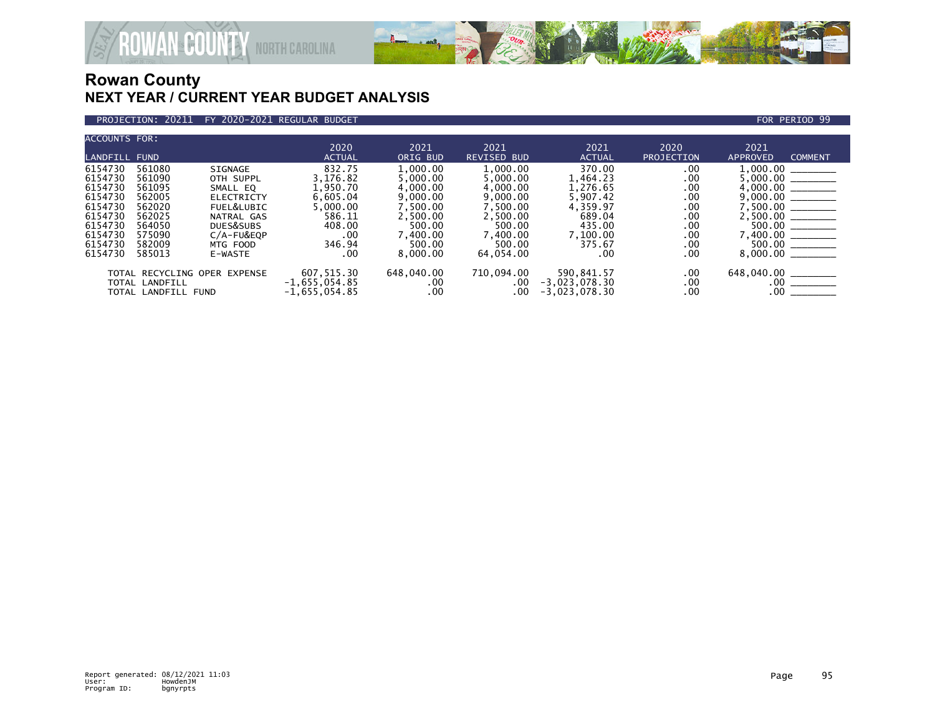

### PROJECTION: 20211 FY 2020-2021 REGULAR BUDGET FOR PERIOD 99

| <b>ACCOUNTS FOR:</b> |                     |                              |                 |            |                    |                 |                   |                     |                                                                                                                                                                                                                                                                                                                                                                                                                                                                                                  |
|----------------------|---------------------|------------------------------|-----------------|------------|--------------------|-----------------|-------------------|---------------------|--------------------------------------------------------------------------------------------------------------------------------------------------------------------------------------------------------------------------------------------------------------------------------------------------------------------------------------------------------------------------------------------------------------------------------------------------------------------------------------------------|
|                      |                     |                              | 2020            | 2021       | 2021               | 2021            | 2020              | 2021                |                                                                                                                                                                                                                                                                                                                                                                                                                                                                                                  |
| <b>LANDFILL FUND</b> |                     |                              | <b>ACTUAL</b>   | ORIG BUD   | <b>REVISED BUD</b> | <b>ACTUAL</b>   | <b>PROJECTION</b> | <b>APPROVED</b>     | <b>COMMENT</b>                                                                                                                                                                                                                                                                                                                                                                                                                                                                                   |
| 6154730              | 561080              | SIGNAGE                      | 832.75          | 1,000.00   | 1,000.00           | 370.00          | .00               | 1,000.00            |                                                                                                                                                                                                                                                                                                                                                                                                                                                                                                  |
| 6154730              | 561090              | OTH SUPPL                    | 3.176.82        | 5.000.00   | 5.000.00           | 1.464.23        | .00               | 5,000.00            | $\begin{tabular}{ccccc} \multicolumn{2}{c }{\textbf{1} & \textbf{2} & \textbf{3} & \textbf{4} & \textbf{5} & \textbf{5} & \textbf{6} & \textbf{7} & \textbf{8} & \textbf{8} & \textbf{9} & \textbf{10} & \textbf{10} & \textbf{10} & \textbf{10} & \textbf{10} & \textbf{10} & \textbf{10} & \textbf{10} & \textbf{10} & \textbf{10} & \textbf{10} & \textbf{10} & \textbf{10} & \textbf{10} & \textbf{10} & \textbf{$                                                                           |
| 6154730              | 561095              | SMALL EO                     | 1,950.70        | 4,000.00   | 4.000.00           | 1.276.65        | .00               | 4,000.00            | $\begin{tabular}{ll} \multicolumn{3}{c} {\textbf{1}} & \multicolumn{3}{c} {\textbf{1}} & \multicolumn{3}{c} {\textbf{1}} \\ \multicolumn{3}{c} {\textbf{2}} & \multicolumn{3}{c} {\textbf{3}} & \multicolumn{3}{c} {\textbf{4}} \\ \multicolumn{3}{c} {\textbf{4}} & \multicolumn{3}{c} {\textbf{5}} & \multicolumn{3}{c} {\textbf{6}} \\ \multicolumn{3}{c} {\textbf{5}} & \multicolumn{3}{c} {\textbf{6}} & \multicolumn{3}{c} {\textbf{6}} \\ \multicolumn{3}{c} {\textbf{5}} & \multicolumn$ |
| 6154730              | 562005              | <b>ELECTRICTY</b>            | 6,605.04        | 9,000.00   | 9,000.00           | 5,907.42        | .00               |                     |                                                                                                                                                                                                                                                                                                                                                                                                                                                                                                  |
| 6154730              | 562020              | FUEL&LUBIC                   | 5,000.00        | 7.500.00   | 7.500.00           | 4,359.97        | .00               |                     |                                                                                                                                                                                                                                                                                                                                                                                                                                                                                                  |
| 6154730              | 562025              | NATRAL GAS                   | 586.11          | 2,500.00   | 2,500.00           | 689.04          | .00               | $2,500.00$ ________ |                                                                                                                                                                                                                                                                                                                                                                                                                                                                                                  |
| 6154730              | 564050              | DUES&SUBS                    | 408.00          | 500.00     | 500.00             | 435.00          | .00               |                     |                                                                                                                                                                                                                                                                                                                                                                                                                                                                                                  |
| 6154730              | 575090              | $C/A-FU&EOP$                 | .00             | 7.400.00   | 7.400.00           | 7,100.00        | .00               |                     |                                                                                                                                                                                                                                                                                                                                                                                                                                                                                                  |
| 6154730              | 582009              | MTG FOOD                     | 346.94          | 500.00     | 500.00             | 375.67          | .00               |                     |                                                                                                                                                                                                                                                                                                                                                                                                                                                                                                  |
| 6154730              | 585013              | E-WASTE                      | .00             | 8.000.00   | 64,054.00          | .00             | .00               | 8,000.00            | $\begin{tabular}{lcccccc} \multicolumn{2}{c }{\textbf{1} & \textbf{2} & \textbf{3} & \textbf{4} & \textbf{5} & \textbf{5} & \textbf{6} & \textbf{7} & \textbf{8} & \textbf{8} & \textbf{9} & \textbf{10} & \textbf{10} & \textbf{10} & \textbf{10} & \textbf{10} & \textbf{10} & \textbf{10} & \textbf{10} & \textbf{10} & \textbf{10} & \textbf{10} & \textbf{10} & \textbf{10} & \textbf{10} & \textbf{10} & \textbf$                                                                          |
|                      |                     | TOTAL RECYCLING OPER EXPENSE | 607,515.30      | 648,040.00 | 710,094.00         | 590.841.57      | .00.              | 648,040.00          |                                                                                                                                                                                                                                                                                                                                                                                                                                                                                                  |
|                      | TOTAL LANDFILL      |                              | $-1,655,054.85$ | .00        | .00                | $-3,023,078.30$ | .00               | .00                 |                                                                                                                                                                                                                                                                                                                                                                                                                                                                                                  |
|                      | TOTAL LANDFILL FUND |                              | $-1,655,054.85$ | $.00 \,$   | $.00 \,$           | $-3,023,078.30$ | .00.              | .00                 |                                                                                                                                                                                                                                                                                                                                                                                                                                                                                                  |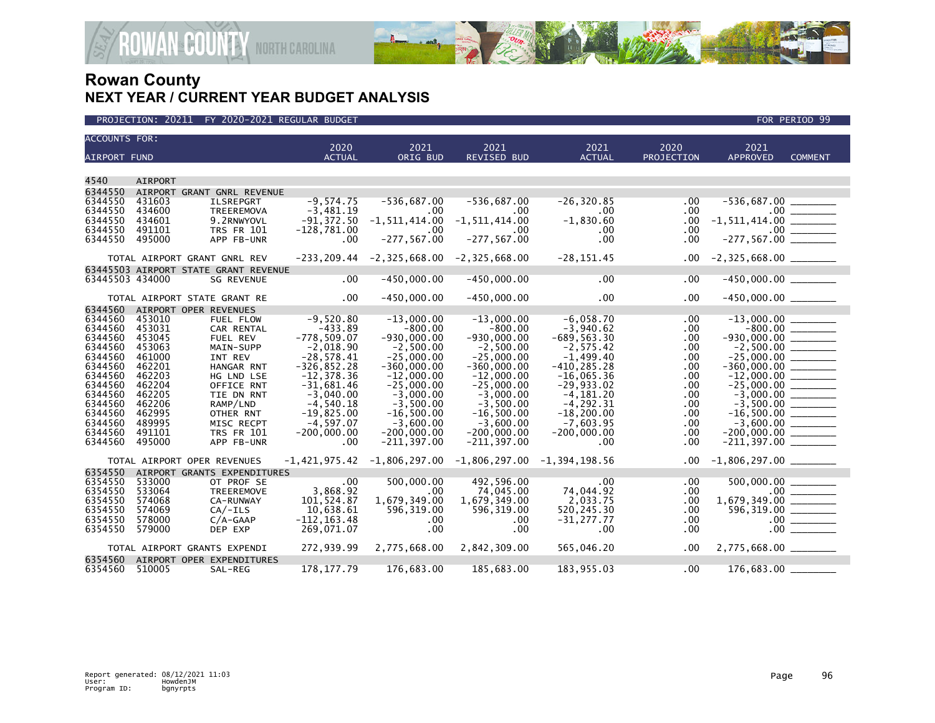

| <b>ACCOUNTS FOR:</b> |                                      |                   |                 |                                                    |                    |                |            |                          |                                   |
|----------------------|--------------------------------------|-------------------|-----------------|----------------------------------------------------|--------------------|----------------|------------|--------------------------|-----------------------------------|
|                      |                                      |                   | 2020            | 2021                                               | 2021               | 2021           | 2020       | 2021                     |                                   |
| <b>AIRPORT FUND</b>  |                                      |                   | <b>ACTUAL</b>   | ORIG BUD                                           | <b>REVISED BUD</b> | <b>ACTUAL</b>  | PROJECTION | <b>APPROVED</b>          | <b>COMMENT</b>                    |
|                      |                                      |                   |                 |                                                    |                    |                |            |                          |                                   |
| 4540                 | <b>AIRPORT</b>                       |                   |                 |                                                    |                    |                |            |                          |                                   |
| 6344550              | AIRPORT GRANT GNRL REVENUE           |                   |                 |                                                    |                    |                |            |                          |                                   |
| 6344550              | 431603                               | <b>ILSREPGRT</b>  | $-9.574.75$     | $-536,687.00$                                      | $-536,687.00$      | $-26, 320.85$  | $.00 \,$   |                          |                                   |
| 6344550              | 434600                               | TREEREMOVA        | $-3,481.19$     | $.00 \,$                                           | $.00 \times$       | $.00 \,$       | $.00 \,$   |                          |                                   |
| 6344550              | 434601                               | 9.2RNWYOVL        | $-91,372.50$    | $-1, 511, 414.00$                                  | $-1, 511, 414.00$  | $-1,830.60$    | $.00 \,$   |                          |                                   |
| 6344550              | 491101                               | <b>TRS FR 101</b> | $-128,781.00$   | .00                                                | .00.               | $.00 \,$       | .00.       |                          |                                   |
| 6344550              | 495000                               | APP FB-UNR        | .00             | $-277, 567.00$                                     | $-277, 567.00$     | .00            | $.00 \,$   |                          |                                   |
|                      |                                      |                   |                 |                                                    |                    |                |            |                          |                                   |
|                      | TOTAL AIRPORT GRANT GNRL REV         |                   |                 | $-233, 209.44$ $-2, 325, 668.00$ $-2, 325, 668.00$ |                    | $-28, 151.45$  | $.00 \,$   |                          |                                   |
|                      | 63445503 AIRPORT STATE GRANT REVENUE |                   |                 |                                                    |                    |                |            |                          |                                   |
| 63445503 434000      |                                      | <b>SG REVENUE</b> | $.00 \,$        | $-450,000.00$                                      | $-450,000.00$      | $.00 \,$       | .00.       | $-450,000.00$ ________   |                                   |
|                      |                                      |                   |                 |                                                    |                    |                |            |                          |                                   |
|                      | TOTAL AIRPORT STATE GRANT RE         |                   | $.00 \,$        | $-450.000.00$                                      | $-450,000.00$      | $.00 \,$       | $.00 \,$   | $-450,000.00$ _________  |                                   |
| 6344560              | AIRPORT OPER REVENUES                |                   |                 |                                                    |                    |                |            |                          |                                   |
| 6344560              | 453010                               | FUEL FLOW         | $-9,520.80$     | $-13,000.00$                                       | $-13,000.00$       | $-6,058.70$    | $.00 \,$   |                          |                                   |
| 6344560              | 453031                               | CAR RENTAL        | $-433.89$       | $-800.00$                                          | $-800.00$          | $-3,940.62$    | $.00 \,$   |                          |                                   |
| 6344560              | 453045                               | FUEL REV          | $-778,509.07$   | $-930,000.00$                                      | $-930,000.00$      | $-689, 563.30$ | $.00 \,$   | $-930,000.00$ _________  |                                   |
| 6344560              | 453063                               | MAIN-SUPP         | $-2,018.90$     | $-2,500.00$                                        | $-2,500.00$        | $-2,575.42$    | .00        |                          |                                   |
| 6344560              | 461000                               | INT REV           | $-28,578.41$    | $-25,000.00$                                       | $-25,000.00$       | $-1,499.40$    | .00.       | $-25,000.00$ ________    |                                   |
| 6344560              | 462201                               | HANGAR RNT        | $-326, 852.28$  | $-360,000.00$                                      | $-360,000.00$      | $-410, 285.28$ | .00.       | $-360,000.00$ _________  |                                   |
| 6344560              | 462203                               | HG LND LSE        | $-12, 378.36$   | $-12,000.00$                                       | $-12,000.00$       | $-16,065.36$   | .00        |                          |                                   |
| 6344560              | 462204                               | OFFICE RNT        | $-31,681.46$    | $-25,000.00$                                       | $-25,000.00$       | $-29,933.02$   | .00.       |                          |                                   |
| 6344560              | 462205                               | TIE DN RNT        | $-3,040.00$     | $-3,000.00$                                        | $-3,000.00$        | $-4, 181.20$   | $.00 \,$   |                          |                                   |
| 6344560              | 462206                               | RAMP/LND          | $-4,540.18$     | $-3,500.00$                                        | $-3,500.00$        | $-4, 292.31$   | .00.       |                          |                                   |
| 6344560              | 462995                               | OTHER RNT         | $-19,825.00$    | $-16,500.00$                                       | $-16,500.00$       | $-18, 200.00$  | .00.       | $-16,500.00$ ________    |                                   |
| 6344560              | 489995                               | MISC RECPT        | $-4,597.07$     | $-3,600.00$                                        | $-3,600.00$        | $-7,603.95$    | .00        |                          |                                   |
| 6344560              | 491101                               | <b>TRS FR 101</b> | $-200,000.00$   | $-200,000.00$                                      | $-200,000.00$      | $-200,000.00$  | .00.       |                          |                                   |
| 6344560              | 495000                               | APP FB-UNR        | .00             | $-211, 397.00$                                     | $-211, 397.00$     | $.00 \times$   | .00.       |                          |                                   |
|                      |                                      |                   |                 |                                                    |                    |                |            |                          |                                   |
|                      | TOTAL AIRPORT OPER REVENUES          |                   | $-1,421,975.42$ | $-1,806,297.00$ $-1,806,297.00$ $-1,394,198.56$    |                    |                | $.00 \,$   | $-1,806,297.00$ ________ |                                   |
| 6354550              | AIRPORT GRANTS EXPENDITURES          |                   |                 |                                                    |                    |                |            |                          |                                   |
| 6354550              | 533000                               | OT PROF SE        | .00             | 500,000,00                                         | 492,596.00         | .00            | .00        | 500,000.00               |                                   |
| 6354550              | 533064                               | TREEREMOVE        | 3,868.92        | $.00 \,$                                           | 74,045.00          | 74,044.92      | .00        |                          |                                   |
| 6354550              | 574068                               | CA-RUNWAY         | 101,524.87      | 1,679,349.00                                       | 1,679,349.00       | 2,033.75       | .00.       |                          |                                   |
| 6354550              | 574069                               | $CA/-ILS$         | 10,638.61       | 596,319.00                                         | 596, 319.00        | 520, 245.30    | .00.       |                          |                                   |
| 6354550              | 578000                               | $C/A-GAAP$        | $-112, 163.48$  | $.00 \,$                                           | $.00 \cdot$        | $-31, 277.77$  | $.00 \,$   |                          | $.00$ $\overline{\qquad \qquad }$ |
| 6354550              | 579000                               | DEP EXP           | 269,071.07      | .00                                                | .00                | $.00 \,$       | .00.       |                          | $.00$ $\qquad$                    |
|                      |                                      |                   |                 |                                                    |                    |                |            |                          |                                   |
|                      | TOTAL AIRPORT GRANTS EXPENDI         |                   | 272,939.99      | 2,775,668.00                                       | 2,842,309.00       | 565,046.20     | $.00 \,$   | $2,775,668.00$ _________ |                                   |
| 6354560              | AIRPORT OPER EXPENDITURES            |                   |                 |                                                    |                    |                |            |                          |                                   |
| 6354560              | 510005                               | SAL-REG           | 178, 177. 79    | 176,683.00                                         | 185,683.00         | 183,955.03     | $.00 \,$   | 176,683.00               |                                   |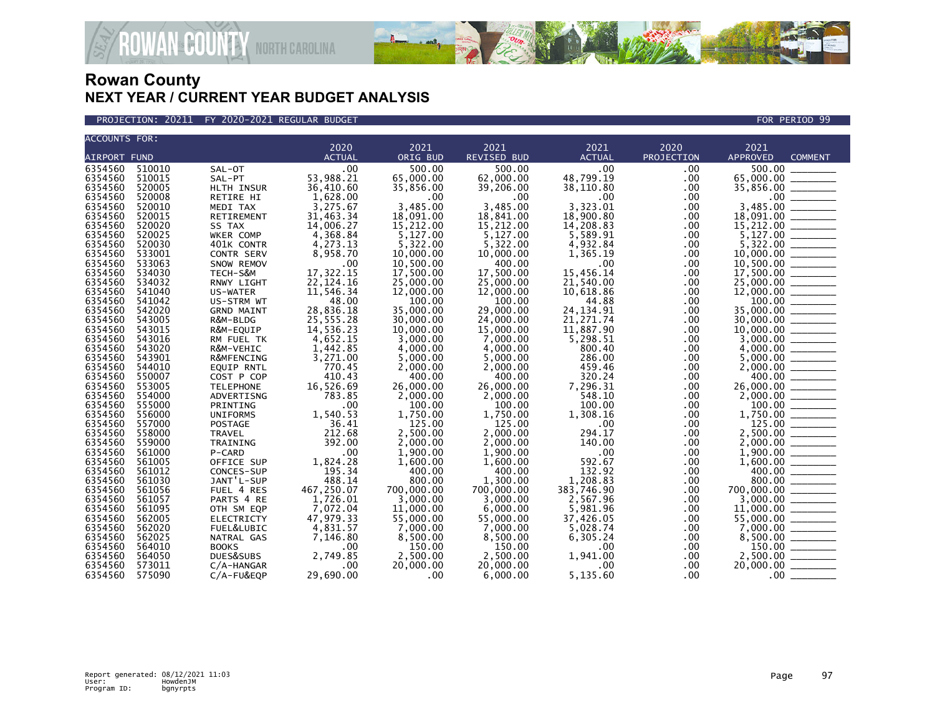

PROJECTION: 20211 FY 2020-2021 REGULAR BUDGET FOR PERIOD 99

| <b>ACCOUNTS FOR:</b>                                                                                                                          |                                                                              |  |  |  |  |  |  |  |
|-----------------------------------------------------------------------------------------------------------------------------------------------|------------------------------------------------------------------------------|--|--|--|--|--|--|--|
| 2020<br>2021<br>2021<br>2021<br>2020<br>ORIG BUD<br><b>REVISED BUD</b><br><b>AIRPORT FUND</b><br><b>ACTUAL</b><br><b>ACTUAL</b><br>PROJECTION | 2021<br><b>APPROVED</b><br><b>COMMENT</b>                                    |  |  |  |  |  |  |  |
| 6354560<br>510010<br>.00<br>500.00<br>500.00<br>.00                                                                                           | 500.00                                                                       |  |  |  |  |  |  |  |
| SAL-OT<br>.00.<br>53,988.21<br>6354560<br>510015<br>65,000.00<br>.00<br>SAL-PT                                                                |                                                                              |  |  |  |  |  |  |  |
| 48,799.19<br>62,000.00<br>6354560<br>520005<br>36,410.60<br>35,856.00<br>.00                                                                  | 65,000.00 _______                                                            |  |  |  |  |  |  |  |
| HLTH INSUR<br>39,206.00<br>38,110.80<br>6354560                                                                                               | 35,856.00 _______                                                            |  |  |  |  |  |  |  |
| 520008<br>1,628.00<br>.00<br>.00<br>.00<br>RETIRE HI<br>.00<br>3,275.67<br>3.485.00<br>3.323.01<br>520010<br>3.485.00<br>.00                  |                                                                              |  |  |  |  |  |  |  |
| 6354560<br>MEDI TAX<br>6354560<br>520015<br>31,463.34<br>18,091.00<br>18,841.00<br>18,900.80<br><b>RETIREMENT</b>                             |                                                                              |  |  |  |  |  |  |  |
| .00<br>6354560<br>14,208.83<br>520020<br>14,006.27<br>15,212.00<br>15,212.00<br>.00.<br>SS TAX                                                | $3,485.00$ $18,091.00$ $15,212.00$ $15,212.00$                               |  |  |  |  |  |  |  |
| 6354560<br>520025<br>4,368.84<br>5,127.00<br>5,127.00<br>5,589.91                                                                             |                                                                              |  |  |  |  |  |  |  |
| WKER COMP<br>.00<br>6354560<br>520030<br>4,273.13<br>5,322.00<br>5,322.00<br>4,932.84<br>.00                                                  |                                                                              |  |  |  |  |  |  |  |
| 401K CONTR<br>6354560<br>533001<br>8,958.70<br>10,000.00<br>10,000.00<br>CONTR SERV<br>1,365.19<br>.00                                        |                                                                              |  |  |  |  |  |  |  |
| 6354560<br>533063<br>400.00<br>.00<br>.00                                                                                                     |                                                                              |  |  |  |  |  |  |  |
| 10,500.00<br>SNOW REMOV<br>.00<br>17,322.15<br>6354560<br>17,500.00<br>17,500.00<br>15,456.14                                                 | $10,500.00$ $\overline{\hspace{1cm}}$<br>17,500.00 $\overline{\hspace{1cm}}$ |  |  |  |  |  |  |  |
| 534030<br>TECH-S&M<br>.00<br>6354560<br>534032<br>22, 124. 16<br>21,540.00<br>25,000.00<br>25,000.00                                          |                                                                              |  |  |  |  |  |  |  |
| RNWY LIGHT<br>.00<br>6354560<br>541040<br>11,546.34<br>10,618.86<br>.00<br>12,000,00<br>12,000,00                                             |                                                                              |  |  |  |  |  |  |  |
| US-WATER<br>6354560<br>541042<br>48.00<br>100.00<br>100.00<br>44.88<br>.00<br>US-STRM WT                                                      |                                                                              |  |  |  |  |  |  |  |
| 6354560<br>542020<br>28,836.18<br>35,000.00<br>29,000.00<br>24, 134. 91<br>.00<br><b>GRND MAINT</b>                                           |                                                                              |  |  |  |  |  |  |  |
| 6354560<br>543005<br>25,555.28<br>30,000,00<br>24,000,00<br>21,271.74<br>.00                                                                  | $30,000.00$ ________                                                         |  |  |  |  |  |  |  |
| R&M-BLDG<br>6354560<br>543015<br>14,536.23<br>11,887.90<br>R&M-EQUIP<br>10,000,00<br>15,000.00<br>.00                                         |                                                                              |  |  |  |  |  |  |  |
| 6354560<br>543016<br>4,652.15<br>3,000.00<br>7,000.00<br>5,298.51<br>.00<br>RM FUEL TK                                                        |                                                                              |  |  |  |  |  |  |  |
| 6354560<br>543020<br>1,442.85<br>4,000.00<br>4,000.00<br>800.40<br>R&M-VEHIC<br>.00                                                           |                                                                              |  |  |  |  |  |  |  |
| 286.00<br>6354560<br>543901<br>3,271.00<br>5.000.00<br>5.000.00<br>.00<br>R&MFENCING                                                          |                                                                              |  |  |  |  |  |  |  |
| 6354560<br>544010<br>770.45<br>2,000.00<br>2,000.00<br>459.46<br>.00<br><b>EQUIP RNTL</b>                                                     | $4,000.00$<br>5,000.00<br>2,000.00                                           |  |  |  |  |  |  |  |
| 6354560<br>410.43<br>400.00<br>400.00<br>320.24<br>550007<br>.00<br>COST P COP                                                                |                                                                              |  |  |  |  |  |  |  |
| 6354560<br>553005<br>16,526.69<br>26,000.00<br>26,000.00<br>7,296.31<br>.00<br><b>TELEPHONE</b>                                               |                                                                              |  |  |  |  |  |  |  |
| 6354560<br>554000<br>783.85<br>2,000.00<br>548.10<br>2,000.00<br>.00<br>ADVERTISNG                                                            |                                                                              |  |  |  |  |  |  |  |
| 6354560<br>555000<br>.00<br>100.00<br>100.00<br>100.00<br>.00<br>PRINTING                                                                     |                                                                              |  |  |  |  |  |  |  |
| 6354560<br>556000<br><b>UNIFORMS</b><br>1,540.53<br>1,750.00<br>1,750.00<br>1,308.16<br>.00                                                   |                                                                              |  |  |  |  |  |  |  |
| 36.41<br>6354560<br>557000<br>125.00<br>125.00<br>.00<br>.00<br><b>POSTAGE</b>                                                                |                                                                              |  |  |  |  |  |  |  |
| 6354560<br>212.68<br>558000<br>2,500.00<br>2.000.00<br>294.17<br><b>TRAVEL</b><br>.00                                                         | $1,750.00$<br>125.00<br>2,500.00                                             |  |  |  |  |  |  |  |
| 392.00<br>140.00<br>6354560<br>559000<br>2,000,00<br>2.000.00<br>.00<br>TRAINING                                                              |                                                                              |  |  |  |  |  |  |  |
| 6354560<br>.00<br>1,900.00<br>1,900.00<br>.00<br>561000<br>P-CARD<br>.00                                                                      |                                                                              |  |  |  |  |  |  |  |
| 592.67<br>6354560<br>1,824.28<br>1,600.00<br>.00<br>561005<br>OFFICE SUP<br>1,600.00                                                          |                                                                              |  |  |  |  |  |  |  |
| 132.92<br>6354560<br>195.34<br>400.00<br>400.00<br>561012<br>CONCES-SUP<br>.00                                                                |                                                                              |  |  |  |  |  |  |  |
| 488.14<br>1,208.83<br>6354560<br>561030<br>JANT'L-SUP<br>800.00<br>1,300.00<br>.00                                                            |                                                                              |  |  |  |  |  |  |  |
| 6354560<br>561056<br>467,250.07<br>700,000.00<br>700,000,00<br>383,746.90<br>FUEL 4 RES<br>.00.                                               | $700,000.00$<br>$3,000.00$<br>$11,000.00$<br>$55,000.00$<br>$55,000.00$      |  |  |  |  |  |  |  |
| 6354560<br>1,726.01<br>561057<br>PARTS 4 RE<br>3.000.00<br>3.000.00<br>2,567.96<br>.00                                                        |                                                                              |  |  |  |  |  |  |  |
| 6354560<br>561095<br>7,072.04<br>OTH SM EQP<br>11,000.00<br>6,000.00<br>5,981.96<br>$.00 \,$                                                  |                                                                              |  |  |  |  |  |  |  |
| 47.979.33<br>6354560<br>55,000,00<br>55,000,00<br>37.426.05<br>562005<br><b>ELECTRICTY</b><br>.00                                             |                                                                              |  |  |  |  |  |  |  |
| 6354560<br>562020<br>4,831.57<br>7,000.00<br>7,000.00<br>5.028.74<br>.00<br>FUEL&LUBIC                                                        |                                                                              |  |  |  |  |  |  |  |
| 6354560<br>7,146.80<br>8,500.00<br>8,500.00<br>562025<br>6,305.24<br>.00<br>NATRAL GAS                                                        |                                                                              |  |  |  |  |  |  |  |
| 6354560<br>564010<br><b>BOOKS</b><br>150.00<br>150.00<br>.00<br>.00<br>.00                                                                    | 150.00                                                                       |  |  |  |  |  |  |  |
| 6354560<br>2,749.85<br>2,500.00<br>2,500.00<br>564050<br>DUES&SUBS<br>1,941.00<br>.00.                                                        | 2,500.00                                                                     |  |  |  |  |  |  |  |
| 6354560<br>573011<br>20,000.00<br>20,000.00<br>$.00 \,$<br>$C/A$ -HANGAR<br>.00<br>.00                                                        | 20,000.00                                                                    |  |  |  |  |  |  |  |
| 5,135.60<br>6354560<br>575090<br>29,690.00<br>.00.<br>$C/A$ -FU&EQP<br>$.00 \,$<br>6.000.00                                                   | $.00 \,$                                                                     |  |  |  |  |  |  |  |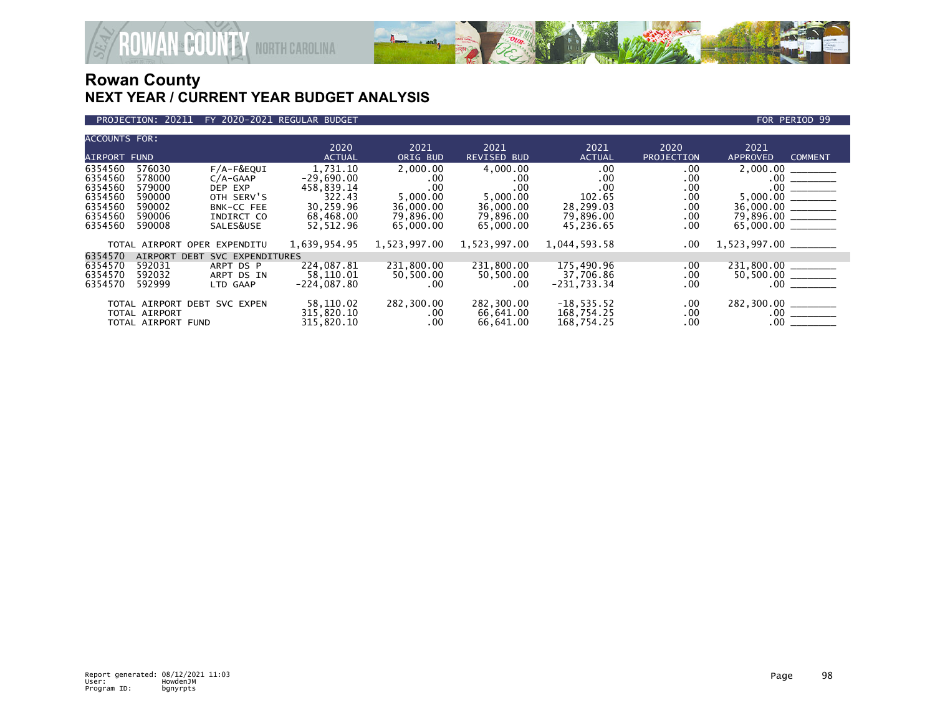

### PROJECTION: 20211 FY 2020-2021 REGULAR BUDGET FOR PERIOD 99

| <b>ACCOUNTS FOR:</b> |                    |                                 |               |              |              |               |            |                                   |
|----------------------|--------------------|---------------------------------|---------------|--------------|--------------|---------------|------------|-----------------------------------|
|                      |                    |                                 | 2020          | 2021         | 2021         | 2021          | 2020       | 2021                              |
| <b>AIRPORT FUND</b>  |                    |                                 | <b>ACTUAL</b> | ORIG BUD     | REVISED BUD  | <b>ACTUAL</b> | PROJECTION | <b>APPROVED</b><br><b>COMMENT</b> |
| 6354560              | 576030             | $F/A-F\&EQUI$                   | 1,731.10      | 2,000.00     | 4,000.00     | .00.          | $.00 \,$   |                                   |
| 6354560              | 578000             | $C/A-GAAP$                      | $-29,690.00$  | $.00 \times$ | .00          | .00           | .00        |                                   |
| 6354560              | 579000             | DEP EXP                         | 458,839.14    | .00          | .00          | .00           | .00        |                                   |
| 6354560              | 590000             | OTH SERV'S                      | 322.43        | 5,000.00     | 5,000.00     | 102.65        | $.00 \,$   |                                   |
| 6354560              | 590002             | <b>BNK-CC FEE</b>               | 30,259.96     | 36,000,00    | 36,000.00    | 28,299.03     | .00        | $36,000.00$ _______               |
| 6354560              | 590006             | INDIRCT CO                      | 68,468.00     | 79,896.00    | 79,896.00    | 79,896.00     | $.00 \,$   | 79,896.00 ______                  |
| 6354560              | 590008             | SALES&USE                       | 52,512.96     | 65,000.00    | 65,000.00    | 45,236.65     | .00        |                                   |
|                      |                    |                                 |               |              |              |               |            |                                   |
|                      |                    | TOTAL AIRPORT OPER EXPENDITU    | 1,639,954.95  | 1,523,997.00 | 1,523,997.00 | 1,044,593.58  | .00        |                                   |
| 6354570              | <b>AIRPORT</b>     | SVC EXPENDITURES<br><b>DEBT</b> |               |              |              |               |            |                                   |
| 6354570              | 592031             | ARPT DS P                       | 224,087.81    | 231,800.00   | 231,800.00   | 175,490.96    | .00        | 231,800.00                        |
| 6354570              | 592032             | ARPT DS IN                      | 58,110.01     | 50,500.00    | 50,500.00    | 37,706.86     | $.00 \,$   | 50,500.00 _______                 |
| 6354570              | 592999             | LTD GAAP                        | $-224,087.80$ | $.00 \times$ | .00          | $-231,733.34$ | .00        | .00                               |
|                      |                    |                                 |               |              |              |               |            |                                   |
|                      |                    | TOTAL AIRPORT DEBT SVC EXPEN    | 58,110.02     | 282,300.00   | 282,300.00   | $-18, 535.52$ | .00        | 282,300.00 _______                |
|                      | TOTAL AIRPORT      |                                 | 315,820.10    | $.00 \,$     | 66,641.00    | 168,754.25    | $.00 \,$   |                                   |
|                      | TOTAL AIRPORT FUND |                                 | 315,820.10    | $.00 \,$     | 66,641.00    | 168,754.25    | .00        | $.00$ $\qquad \qquad$             |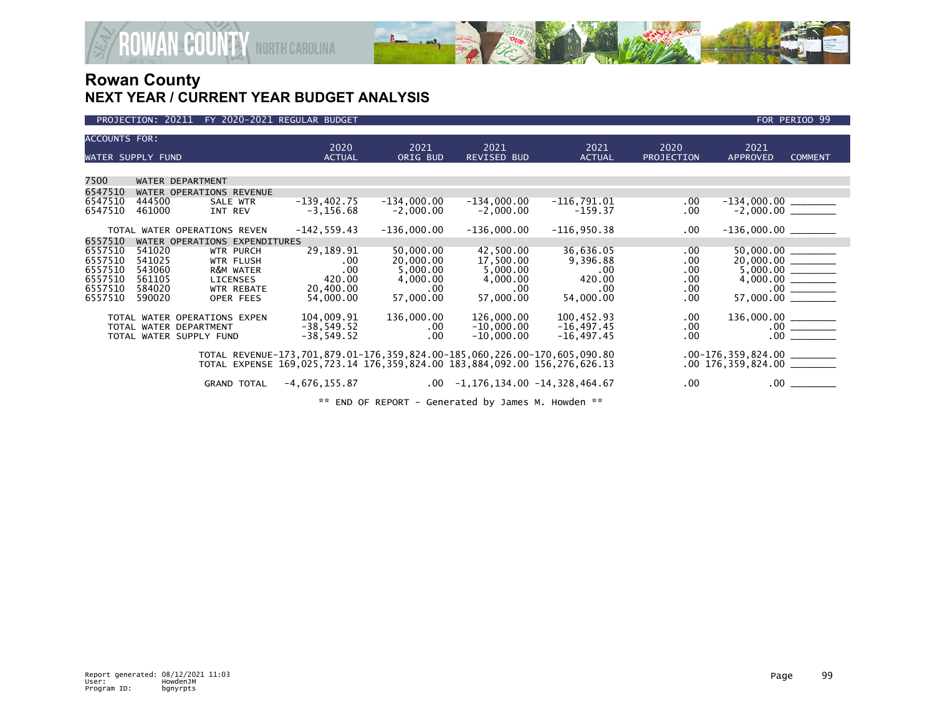

### PROJECTION: 20211 FY 2020-2021 REGULAR BUDGET FOR PERIOD 99

| <b>ACCOUNTS FOR:</b><br>WATER SUPPLY FUND                      |                                                                         |                                                                                          |                                                                                            | 2020<br><b>ACTUAL</b> |                                                                                                           | 2021<br>ORIG BUD | 2021<br><b>REVISED BUD</b>                                                                     | 2021<br><b>ACTUAL</b>                                                                                                                                                                        | 2020<br>PROJECTION                                                                                                  | 2021<br><b>APPROVED</b>                                     | <b>COMMENT</b>                                      |  |
|----------------------------------------------------------------|-------------------------------------------------------------------------|------------------------------------------------------------------------------------------|--------------------------------------------------------------------------------------------|-----------------------|-----------------------------------------------------------------------------------------------------------|------------------|------------------------------------------------------------------------------------------------|----------------------------------------------------------------------------------------------------------------------------------------------------------------------------------------------|---------------------------------------------------------------------------------------------------------------------|-------------------------------------------------------------|-----------------------------------------------------|--|
|                                                                |                                                                         |                                                                                          |                                                                                            |                       |                                                                                                           |                  |                                                                                                |                                                                                                                                                                                              |                                                                                                                     |                                                             |                                                     |  |
| 7500                                                           |                                                                         | WATER DEPARTMENT                                                                         |                                                                                            |                       |                                                                                                           |                  |                                                                                                |                                                                                                                                                                                              |                                                                                                                     |                                                             |                                                     |  |
| 6547510                                                        |                                                                         | WATER OPERATIONS REVENUE                                                                 |                                                                                            |                       |                                                                                                           |                  |                                                                                                |                                                                                                                                                                                              |                                                                                                                     |                                                             |                                                     |  |
| 6547510<br>6547510                                             | 444500<br>461000                                                        | INT REV                                                                                  | SALE WTR                                                                                   |                       | $-139, 402.75$<br>$-3, 156.68$                                                                            | $-134,000.00$    | $-2,000.00$                                                                                    | $-134,000.00$<br>$-2,000.00$                                                                                                                                                                 | $-116,791.01$<br>$-159.37$                                                                                          | $.00 \,$<br>.00                                             |                                                     |  |
|                                                                |                                                                         | TOTAL WATER OPERATIONS REVEN                                                             |                                                                                            |                       | $-142, 559.43$                                                                                            | $-136,000.00$    |                                                                                                | $-136,000.00$                                                                                                                                                                                | $-116,950.38$                                                                                                       | .00                                                         | $-136,000.00$ ________                              |  |
| 6557510                                                        |                                                                         | WATER OPERATIONS EXPENDITURES                                                            |                                                                                            |                       |                                                                                                           |                  |                                                                                                |                                                                                                                                                                                              |                                                                                                                     |                                                             |                                                     |  |
| 6557510<br>6557510<br>6557510<br>6557510<br>6557510<br>6557510 | 541020<br>541025<br>543060<br>561105<br>584020<br>590020<br>TOTAL WATER | <b>LICENSES</b><br>OPERATIONS EXPEN<br>TOTAL WATER DEPARTMENT<br>TOTAL WATER SUPPLY FUND | <b>WTR PURCH</b><br><b>WTR FLUSH</b><br>R&M WATER<br><b>WTR REBATE</b><br><b>OPER FEES</b> |                       | 29,189.91<br>.00<br>.00<br>420.00<br>20,400.00<br>54,000,00<br>104,009.91<br>$-38,549.52$<br>$-38,549.52$ | 136,000.00       | 50,000.00<br>20,000.00<br>5,000.00<br>4,000.00<br>$.00 \times$<br>57,000,00<br>$.00 \,$<br>.00 | 42,500.00<br>17,500.00<br>5,000.00<br>4,000.00<br>.00.<br>57,000,00<br>126,000.00<br>$-10,000.00$<br>$-10,000.00$                                                                            | 36,636.05<br>9,396.88<br>$.00 \,$<br>420.00<br>$.00 \,$<br>54,000.00<br>100,452.93<br>$-16, 497.45$<br>$-16,497.45$ | .00<br>.00<br>.00<br>.00<br>.00<br>.00<br>.00<br>.00<br>.00 | 57,000.00<br>136,000.00<br>$.00\,$<br>.00.          |  |
|                                                                |                                                                         |                                                                                          | <b>GRAND TOTAL</b>                                                                         | $-4,676,155.87$       |                                                                                                           |                  | $.00\,$                                                                                        | TOTAL REVENUE-173,701,879.01-176,359,824.00-185,060,226.00-170,605,090.80<br>TOTAL EXPENSE 169,025,723.14 176,359,824.00 183,884,092.00 156,276,626.13<br>$-1, 176, 134.00 -14, 328, 464.67$ |                                                                                                                     | .00                                                         | $.00-176,359,824.00$<br>$.00 176,359,824.00$<br>.00 |  |

\*\* END OF REPORT - Generated by James M. Howden \*\*